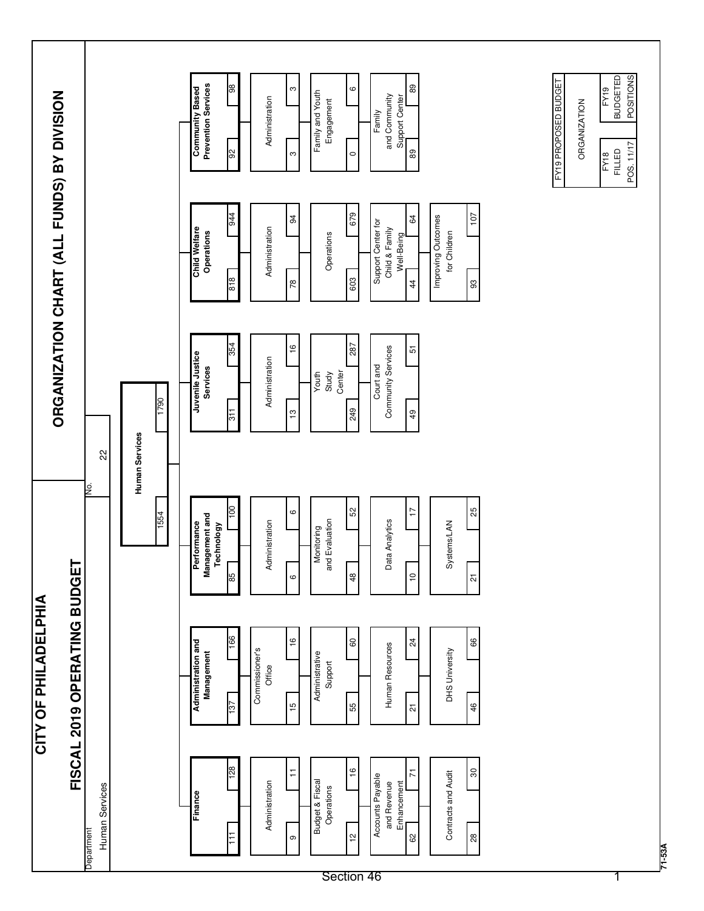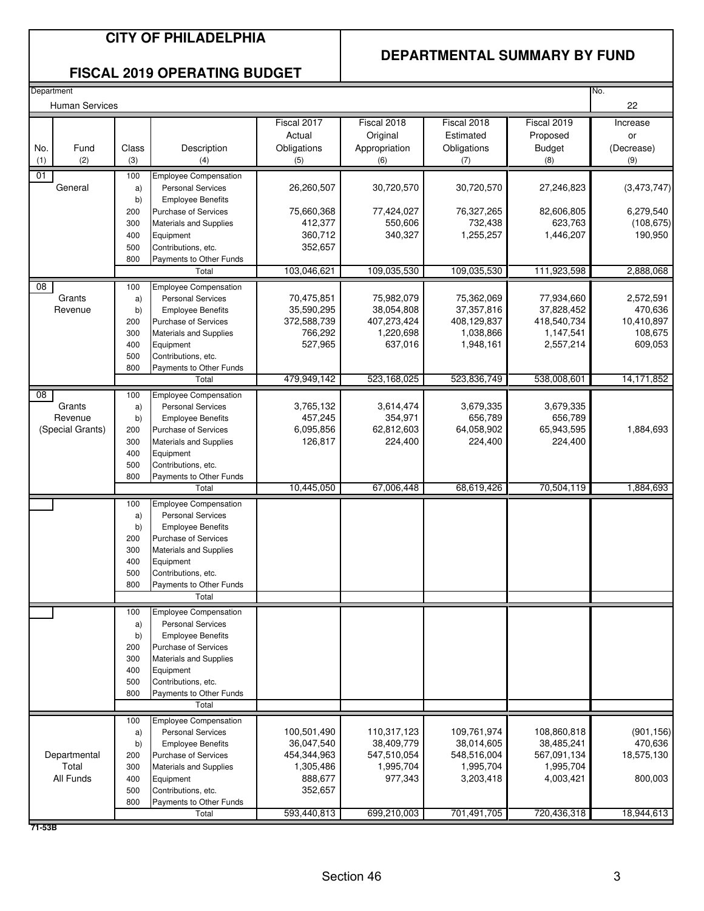## **CITY OF PHILADELPHIA**

## **DEPARTMENTAL SUMMARY BY FUND**

### **FISCAL 2019 OPERATING BUDGET**

| Department      |                                       |                                                    |                                                                                                                                                                                                                              |                                                                             |                                                                  |                                                                     |                                                                    | No.                                                      |
|-----------------|---------------------------------------|----------------------------------------------------|------------------------------------------------------------------------------------------------------------------------------------------------------------------------------------------------------------------------------|-----------------------------------------------------------------------------|------------------------------------------------------------------|---------------------------------------------------------------------|--------------------------------------------------------------------|----------------------------------------------------------|
|                 | <b>Human Services</b>                 |                                                    |                                                                                                                                                                                                                              |                                                                             |                                                                  |                                                                     |                                                                    | 22                                                       |
| No.<br>(1)      | Fund<br>(2)                           | Class<br>(3)                                       | Description<br>(4)                                                                                                                                                                                                           | Fiscal 2017<br>Actual<br>Obligations<br>(5)                                 | Fiscal 2018<br>Original<br>Appropriation<br>(6)                  | Fiscal 2018<br>Estimated<br>Obligations<br>(7)                      | Fiscal 2019<br>Proposed<br><b>Budget</b><br>(8)                    | Increase<br>or<br>(Decrease)<br>(9)                      |
|                 |                                       |                                                    |                                                                                                                                                                                                                              |                                                                             |                                                                  |                                                                     |                                                                    |                                                          |
| 01              | General                               | 100<br>a)<br>b)                                    | <b>Employee Compensation</b><br><b>Personal Services</b><br><b>Employee Benefits</b>                                                                                                                                         | 26,260,507                                                                  | 30,720,570                                                       | 30,720,570                                                          | 27,246,823                                                         | (3,473,747)                                              |
|                 |                                       | 200<br>300<br>400<br>500<br>800                    | <b>Purchase of Services</b><br><b>Materials and Supplies</b><br>Equipment<br>Contributions, etc.<br>Payments to Other Funds                                                                                                  | 75,660,368<br>412,377<br>360,712<br>352,657                                 | 77,424,027<br>550,606<br>340,327                                 | 76,327,265<br>732,438<br>1,255,257                                  | 82,606,805<br>623,763<br>1,446,207                                 | 6,279,540<br>(108, 675)<br>190,950                       |
|                 |                                       |                                                    | Total                                                                                                                                                                                                                        | 103,046,621                                                                 | 109,035,530                                                      | 109,035,530                                                         | 111,923,598                                                        | 2,888,068                                                |
| $\overline{08}$ | Grants<br>Revenue                     | 100<br>a)<br>b)<br>200<br>300<br>400<br>500<br>800 | <b>Employee Compensation</b><br><b>Personal Services</b><br><b>Employee Benefits</b><br><b>Purchase of Services</b><br><b>Materials and Supplies</b><br>Equipment<br>Contributions, etc.<br>Payments to Other Funds          | 70,475,851<br>35,590,295<br>372,588,739<br>766,292<br>527,965               | 75,982,079<br>38,054,808<br>407,273,424<br>1,220,698<br>637,016  | 75,362,069<br>37, 357, 816<br>408,129,837<br>1,038,866<br>1,948,161 | 77,934,660<br>37,828,452<br>418,540,734<br>1,147,541<br>2,557,214  | 2,572,591<br>470,636<br>10,410,897<br>108,675<br>609,053 |
|                 |                                       |                                                    | Total                                                                                                                                                                                                                        | 479,949,142                                                                 | 523,168,025                                                      | 523.836.749                                                         | 538,008,601                                                        | 14,171,852                                               |
| $\overline{08}$ | Grants<br>Revenue<br>(Special Grants) | 100<br>a)<br>b)<br>200<br>300<br>400<br>500<br>800 | <b>Employee Compensation</b><br><b>Personal Services</b><br><b>Employee Benefits</b><br><b>Purchase of Services</b><br><b>Materials and Supplies</b><br>Equipment<br>Contributions, etc.<br>Payments to Other Funds          | 3,765,132<br>457,245<br>6,095,856<br>126,817                                | 3,614,474<br>354,971<br>62,812,603<br>224,400                    | 3,679,335<br>656,789<br>64,058,902<br>224,400                       | 3,679,335<br>656,789<br>65,943,595<br>224,400                      | 1,884,693                                                |
|                 |                                       |                                                    | Total                                                                                                                                                                                                                        | 10,445,050                                                                  | 67,006,448                                                       | 68,619,426                                                          | 70,504,119                                                         | 1,884,693                                                |
|                 |                                       | 100<br>a)<br>b)<br>200<br>300<br>400<br>500<br>800 | <b>Employee Compensation</b><br><b>Personal Services</b><br><b>Employee Benefits</b><br><b>Purchase of Services</b><br><b>Materials and Supplies</b><br>Equipment<br>Contributions, etc.<br>Payments to Other Funds<br>Total |                                                                             |                                                                  |                                                                     |                                                                    |                                                          |
|                 |                                       | 100                                                | <b>Employee Compensation</b>                                                                                                                                                                                                 |                                                                             |                                                                  |                                                                     |                                                                    |                                                          |
|                 |                                       | a)<br>b)<br>200<br>300<br>400<br>500<br>800        | <b>Personal Services</b><br><b>Employee Benefits</b><br>Purchase of Services<br>Materials and Supplies<br>Equipment<br>Contributions, etc.<br>Payments to Other Funds<br>Total                                               |                                                                             |                                                                  |                                                                     |                                                                    |                                                          |
|                 |                                       | 100                                                | <b>Employee Compensation</b>                                                                                                                                                                                                 |                                                                             |                                                                  |                                                                     |                                                                    |                                                          |
|                 | Departmental<br>Total<br>All Funds    | a)<br>b)<br>200<br>300<br>400<br>500<br>800        | <b>Personal Services</b><br><b>Employee Benefits</b><br><b>Purchase of Services</b><br><b>Materials and Supplies</b><br>Equipment<br>Contributions, etc.<br>Payments to Other Funds                                          | 100,501,490<br>36,047,540<br>454,344,963<br>1,305,486<br>888,677<br>352,657 | 110,317,123<br>38,409,779<br>547,510,054<br>1,995,704<br>977,343 | 109,761,974<br>38,014,605<br>548,516,004<br>1,995,704<br>3,203,418  | 108,860,818<br>38,485,241<br>567,091,134<br>1,995,704<br>4,003,421 | (901, 156)<br>470,636<br>18,575,130<br>800,003           |
|                 |                                       |                                                    | Total                                                                                                                                                                                                                        | 593,440,813                                                                 | 699,210,003                                                      | 701,491,705                                                         | 720,436,318                                                        | 18,944,613                                               |
| 71-53B          |                                       |                                                    |                                                                                                                                                                                                                              |                                                                             |                                                                  |                                                                     |                                                                    |                                                          |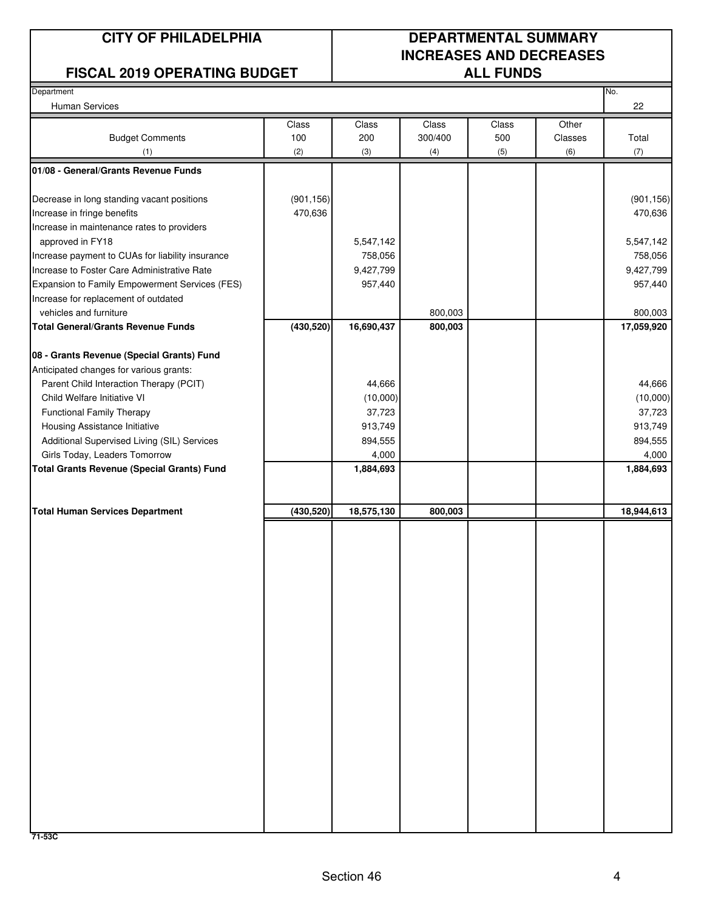## **FISCAL 2019 OPERATING BUDGET**

## **CITY OF PHILADELPHIA DEPARTMENTAL SUMMARY INCREASES AND DECREASES**

| Department<br>Human Services                      |            |            |         |       |         | No.<br>22  |
|---------------------------------------------------|------------|------------|---------|-------|---------|------------|
|                                                   | Class      | Class      | Class   | Class | Other   |            |
| <b>Budget Comments</b>                            | 100        | 200        | 300/400 | 500   | Classes | Total      |
| (1)                                               | (2)        | (3)        | (4)     | (5)   | (6)     | (7)        |
| 01/08 - General/Grants Revenue Funds              |            |            |         |       |         |            |
| Decrease in long standing vacant positions        | (901, 156) |            |         |       |         | (901, 156) |
| Increase in fringe benefits                       | 470,636    |            |         |       |         | 470,636    |
| Increase in maintenance rates to providers        |            |            |         |       |         |            |
| approved in FY18                                  |            | 5,547,142  |         |       |         | 5,547,142  |
| Increase payment to CUAs for liability insurance  |            | 758,056    |         |       |         | 758,056    |
| Increase to Foster Care Administrative Rate       |            | 9,427,799  |         |       |         | 9,427,799  |
| Expansion to Family Empowerment Services (FES)    |            | 957,440    |         |       |         | 957,440    |
| Increase for replacement of outdated              |            |            |         |       |         |            |
| vehicles and furniture                            |            |            | 800,003 |       |         | 800,003    |
| <b>Total General/Grants Revenue Funds</b>         | (430, 520) | 16,690,437 | 800,003 |       |         | 17,059,920 |
| 08 - Grants Revenue (Special Grants) Fund         |            |            |         |       |         |            |
| Anticipated changes for various grants:           |            |            |         |       |         |            |
| Parent Child Interaction Therapy (PCIT)           |            | 44,666     |         |       |         | 44,666     |
| Child Welfare Initiative VI                       |            | (10,000)   |         |       |         | (10,000)   |
| <b>Functional Family Therapy</b>                  |            | 37,723     |         |       |         | 37,723     |
| Housing Assistance Initiative                     |            | 913,749    |         |       |         | 913,749    |
| Additional Supervised Living (SIL) Services       |            | 894,555    |         |       |         | 894,555    |
| Girls Today, Leaders Tomorrow                     |            | 4,000      |         |       |         | 4,000      |
| <b>Total Grants Revenue (Special Grants) Fund</b> |            | 1,884,693  |         |       |         | 1,884,693  |
|                                                   |            |            |         |       |         |            |
| <b>Total Human Services Department</b>            | (430, 520) | 18,575,130 | 800,003 |       |         | 18,944,613 |
|                                                   |            |            |         |       |         |            |
|                                                   |            |            |         |       |         |            |
|                                                   |            |            |         |       |         |            |
|                                                   |            |            |         |       |         |            |
|                                                   |            |            |         |       |         |            |
|                                                   |            |            |         |       |         |            |
|                                                   |            |            |         |       |         |            |
|                                                   |            |            |         |       |         |            |
|                                                   |            |            |         |       |         |            |
|                                                   |            |            |         |       |         |            |
|                                                   |            |            |         |       |         |            |
|                                                   |            |            |         |       |         |            |
|                                                   |            |            |         |       |         |            |
|                                                   |            |            |         |       |         |            |
|                                                   |            |            |         |       |         |            |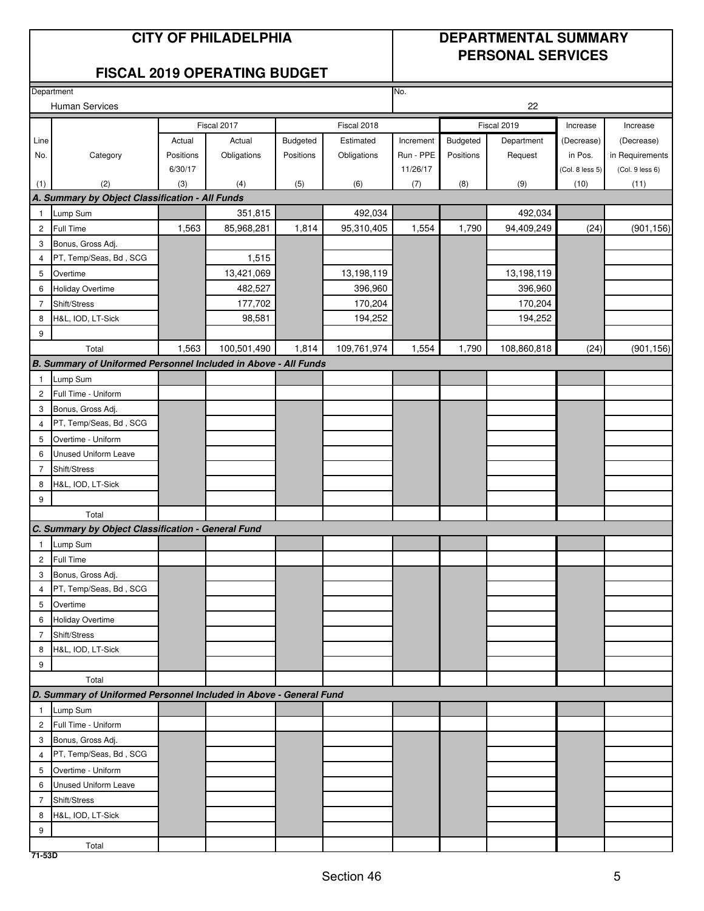## **CITY OF PHILADELPHIA DEPARTMENTAL SUMMARY PERSONAL SERVICES**

## **FISCAL 2019 OPERATING BUDGET**

|                | Department                                                         |           | No.         |                 |             |           |           |             |                 |                 |
|----------------|--------------------------------------------------------------------|-----------|-------------|-----------------|-------------|-----------|-----------|-------------|-----------------|-----------------|
|                | <b>Human Services</b>                                              |           |             |                 |             |           |           | 22          |                 |                 |
|                |                                                                    |           | Fiscal 2017 |                 | Fiscal 2018 |           |           | Fiscal 2019 | Increase        | Increase        |
| Line           |                                                                    | Actual    | Actual      | <b>Budgeted</b> | Estimated   | Increment | Budgeted  | Department  | (Decrease)      | (Decrease)      |
| No.            | Category                                                           | Positions | Obligations | Positions       | Obligations | Run - PPE | Positions | Request     | in Pos.         | in Requirements |
|                |                                                                    | 6/30/17   |             |                 |             | 11/26/17  |           |             | (Col. 8 less 5) | (Col. 9 less 6) |
| (1)            | (2)                                                                | (3)       | (4)         | (5)             | (6)         | (7)       | (8)       | (9)         | (10)            | (11)            |
|                | A. Summary by Object Classification - All Funds                    |           |             |                 |             |           |           |             |                 |                 |
| 1              | Lump Sum                                                           |           | 351,815     |                 | 492,034     |           |           | 492,034     |                 |                 |
| $\overline{c}$ | Full Time                                                          | 1,563     | 85,968,281  | 1,814           | 95,310,405  | 1,554     | 1,790     | 94,409,249  | (24)            | (901, 156)      |
| 3              | Bonus, Gross Adj.                                                  |           |             |                 |             |           |           |             |                 |                 |
| 4              | PT, Temp/Seas, Bd, SCG                                             |           | 1,515       |                 |             |           |           |             |                 |                 |
| 5              | Overtime                                                           |           | 13,421,069  |                 | 13,198,119  |           |           | 13,198,119  |                 |                 |
| 6              | Holiday Overtime                                                   |           | 482,527     |                 | 396,960     |           |           | 396,960     |                 |                 |
| $\overline{7}$ | Shift/Stress                                                       |           | 177,702     |                 | 170,204     |           |           | 170,204     |                 |                 |
| 8              | H&L, IOD, LT-Sick                                                  |           | 98,581      |                 | 194,252     |           |           | 194,252     |                 |                 |
| 9              |                                                                    |           |             |                 |             |           |           |             |                 |                 |
|                | Total                                                              | 1,563     | 100,501,490 | 1,814           | 109,761,974 | 1,554     | 1,790     | 108,860,818 | (24)            | (901, 156)      |
|                | B. Summary of Uniformed Personnel Included in Above - All Funds    |           |             |                 |             |           |           |             |                 |                 |
| 1              | Lump Sum                                                           |           |             |                 |             |           |           |             |                 |                 |
| $\overline{c}$ | Full Time - Uniform                                                |           |             |                 |             |           |           |             |                 |                 |
| 3              | Bonus, Gross Adj.                                                  |           |             |                 |             |           |           |             |                 |                 |
| 4              | PT, Temp/Seas, Bd, SCG                                             |           |             |                 |             |           |           |             |                 |                 |
| 5              | Overtime - Uniform                                                 |           |             |                 |             |           |           |             |                 |                 |
| 6              | Unused Uniform Leave                                               |           |             |                 |             |           |           |             |                 |                 |
| $\overline{7}$ | Shift/Stress                                                       |           |             |                 |             |           |           |             |                 |                 |
| 8              | H&L, IOD, LT-Sick                                                  |           |             |                 |             |           |           |             |                 |                 |
| 9              |                                                                    |           |             |                 |             |           |           |             |                 |                 |
|                | Total                                                              |           |             |                 |             |           |           |             |                 |                 |
|                | C. Summary by Object Classification - General Fund                 |           |             |                 |             |           |           |             |                 |                 |
| 1              | Lump Sum                                                           |           |             |                 |             |           |           |             |                 |                 |
| $\overline{c}$ | <b>Full Time</b>                                                   |           |             |                 |             |           |           |             |                 |                 |
| 3              | Bonus, Gross Adj.                                                  |           |             |                 |             |           |           |             |                 |                 |
| 4              | PT, Temp/Seas, Bd, SCG                                             |           |             |                 |             |           |           |             |                 |                 |
| 5              | Overtime                                                           |           |             |                 |             |           |           |             |                 |                 |
|                | 6 Holiday Overtime                                                 |           |             |                 |             |           |           |             |                 |                 |
| $\overline{7}$ | Shift/Stress                                                       |           |             |                 |             |           |           |             |                 |                 |
| 8              | H&L, IOD, LT-Sick                                                  |           |             |                 |             |           |           |             |                 |                 |
| 9              |                                                                    |           |             |                 |             |           |           |             |                 |                 |
|                | Total                                                              |           |             |                 |             |           |           |             |                 |                 |
|                | D. Summary of Uniformed Personnel Included in Above - General Fund |           |             |                 |             |           |           |             |                 |                 |
| $\mathbf{1}$   | Lump Sum                                                           |           |             |                 |             |           |           |             |                 |                 |
| $\mathbf{2}$   | Full Time - Uniform                                                |           |             |                 |             |           |           |             |                 |                 |
| 3              | Bonus, Gross Adj.                                                  |           |             |                 |             |           |           |             |                 |                 |
| 4              | PT, Temp/Seas, Bd, SCG                                             |           |             |                 |             |           |           |             |                 |                 |
| 5              | Overtime - Uniform                                                 |           |             |                 |             |           |           |             |                 |                 |
| 6              | <b>Unused Uniform Leave</b>                                        |           |             |                 |             |           |           |             |                 |                 |
| $\overline{7}$ | Shift/Stress                                                       |           |             |                 |             |           |           |             |                 |                 |
| 8              | H&L, IOD, LT-Sick                                                  |           |             |                 |             |           |           |             |                 |                 |
| 9              |                                                                    |           |             |                 |             |           |           |             |                 |                 |
| 71-53D         | Total                                                              |           |             |                 |             |           |           |             |                 |                 |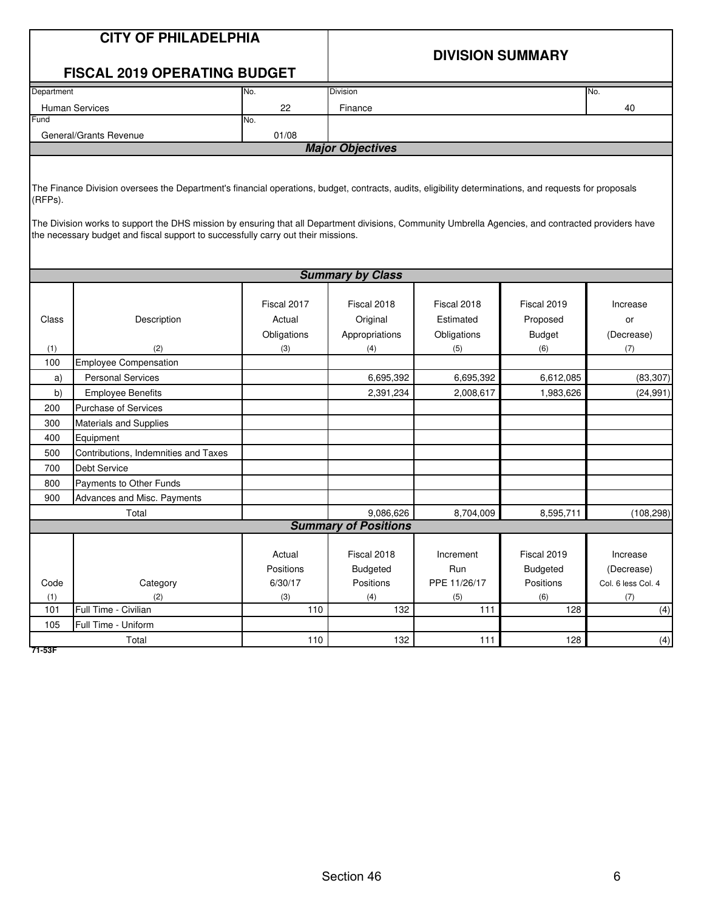|                                                      | <b>CITY OF PHILADELPHIA</b><br><b>FISCAL 2019 OPERATING BUDGET</b>                                                                                                                                                                                                                                                                                                                                 |                                              | <b>DIVISION SUMMARY</b>                                                    |                                                                          |                                                                           |                                                               |  |  |  |
|------------------------------------------------------|----------------------------------------------------------------------------------------------------------------------------------------------------------------------------------------------------------------------------------------------------------------------------------------------------------------------------------------------------------------------------------------------------|----------------------------------------------|----------------------------------------------------------------------------|--------------------------------------------------------------------------|---------------------------------------------------------------------------|---------------------------------------------------------------|--|--|--|
| Department                                           |                                                                                                                                                                                                                                                                                                                                                                                                    | No.                                          | Division                                                                   |                                                                          |                                                                           | No.                                                           |  |  |  |
|                                                      | <b>Human Services</b>                                                                                                                                                                                                                                                                                                                                                                              | 22                                           | Finance                                                                    |                                                                          |                                                                           | 40                                                            |  |  |  |
| Fund                                                 |                                                                                                                                                                                                                                                                                                                                                                                                    | No.                                          |                                                                            |                                                                          |                                                                           |                                                               |  |  |  |
|                                                      | General/Grants Revenue                                                                                                                                                                                                                                                                                                                                                                             | 01/08                                        |                                                                            |                                                                          |                                                                           |                                                               |  |  |  |
|                                                      |                                                                                                                                                                                                                                                                                                                                                                                                    |                                              | <b>Major Objectives</b>                                                    |                                                                          |                                                                           |                                                               |  |  |  |
| (RFPs).                                              | The Finance Division oversees the Department's financial operations, budget, contracts, audits, eligibility determinations, and requests for proposals<br>The Division works to support the DHS mission by ensuring that all Department divisions, Community Umbrella Agencies, and contracted providers have<br>the necessary budget and fiscal support to successfully carry out their missions. |                                              |                                                                            |                                                                          |                                                                           |                                                               |  |  |  |
|                                                      |                                                                                                                                                                                                                                                                                                                                                                                                    |                                              | <b>Summary by Class</b>                                                    |                                                                          |                                                                           |                                                               |  |  |  |
| Class<br>(1)<br>100<br>a)<br>b)<br>200<br>300<br>400 | Description<br>(2)<br><b>Employee Compensation</b><br><b>Personal Services</b><br><b>Employee Benefits</b><br><b>Purchase of Services</b><br>Materials and Supplies<br>Equipment                                                                                                                                                                                                                   | Fiscal 2017<br>Actual<br>Obligations<br>(3)  | Fiscal 2018<br>Original<br>Appropriations<br>(4)<br>6,695,392<br>2,391,234 | Fiscal 2018<br>Estimated<br>Obligations<br>(5)<br>6,695,392<br>2,008,617 | Fiscal 2019<br>Proposed<br><b>Budget</b><br>(6)<br>6,612,085<br>1,983,626 | Increase<br>or<br>(Decrease)<br>(7)<br>(83, 307)<br>(24, 991) |  |  |  |
| 500<br>700                                           | Contributions, Indemnities and Taxes<br><b>Debt Service</b>                                                                                                                                                                                                                                                                                                                                        |                                              |                                                                            |                                                                          |                                                                           |                                                               |  |  |  |
| 800                                                  | Payments to Other Funds                                                                                                                                                                                                                                                                                                                                                                            |                                              |                                                                            |                                                                          |                                                                           |                                                               |  |  |  |
| 900                                                  | Advances and Misc. Payments                                                                                                                                                                                                                                                                                                                                                                        |                                              |                                                                            |                                                                          |                                                                           |                                                               |  |  |  |
|                                                      | Total                                                                                                                                                                                                                                                                                                                                                                                              |                                              | 9,086,626                                                                  | 8,704,009                                                                | 8,595,711                                                                 | (108, 298)                                                    |  |  |  |
|                                                      |                                                                                                                                                                                                                                                                                                                                                                                                    |                                              | <b>Summary of Positions</b>                                                |                                                                          |                                                                           |                                                               |  |  |  |
| Code<br>(1)<br>101                                   | Category<br>(2)<br>Full Time - Civilian                                                                                                                                                                                                                                                                                                                                                            | Actual<br>Positions<br>6/30/17<br>(3)<br>110 | Fiscal 2018<br>Budgeted<br>Positions<br>(4)<br>132                         | Increment<br>Run<br>PPE 11/26/17<br>(5)<br>111                           | Fiscal 2019<br><b>Budgeted</b><br>Positions<br>(6)<br>128                 | Increase<br>(Decrease)<br>Col. 6 less Col. 4<br>(7)<br>(4)    |  |  |  |
| 105                                                  | Full Time - Uniform                                                                                                                                                                                                                                                                                                                                                                                |                                              |                                                                            |                                                                          |                                                                           |                                                               |  |  |  |
|                                                      | Total                                                                                                                                                                                                                                                                                                                                                                                              | 110                                          | 132                                                                        | 111                                                                      | 128                                                                       | (4)                                                           |  |  |  |
| 74 EOC                                               |                                                                                                                                                                                                                                                                                                                                                                                                    |                                              |                                                                            |                                                                          |                                                                           |                                                               |  |  |  |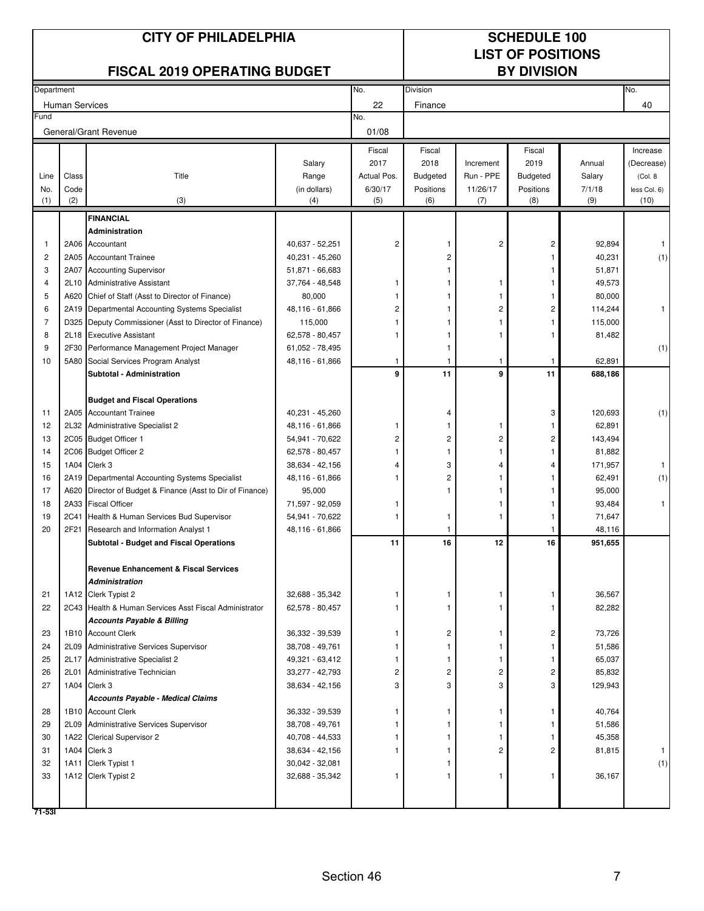|            |                | <b>CITY OF PHILADELPHIA</b><br><b>FISCAL 2019 OPERATING BUDGET</b>              |                                    |                |                         |                | <b>SCHEDULE 100</b><br><b>LIST OF POSITIONS</b><br><b>BY DIVISION</b> |                  |              |
|------------|----------------|---------------------------------------------------------------------------------|------------------------------------|----------------|-------------------------|----------------|-----------------------------------------------------------------------|------------------|--------------|
|            |                |                                                                                 |                                    |                |                         |                |                                                                       |                  |              |
| Department |                |                                                                                 |                                    | No.            | <b>Division</b>         |                |                                                                       |                  | No.          |
| Fund       | Human Services |                                                                                 |                                    | 22<br>No.      | Finance                 |                |                                                                       |                  | 40           |
|            |                | General/Grant Revenue                                                           |                                    | 01/08          |                         |                |                                                                       |                  |              |
|            |                |                                                                                 |                                    | Fiscal         | Fiscal                  |                | Fiscal                                                                |                  | Increase     |
|            |                |                                                                                 | Salary                             | 2017           | 2018                    | Increment      | 2019                                                                  | Annual           | (Decrease)   |
| Line       | Class          | Title                                                                           | Range                              | Actual Pos.    | <b>Budgeted</b>         | Run - PPE      | <b>Budgeted</b>                                                       | Salary           | (Col. 8)     |
| No.        | Code           |                                                                                 | (in dollars)                       | 6/30/17        | Positions               | 11/26/17       | Positions                                                             | 7/1/18           | less Col. 6) |
| (1)        | (2)            | (3)                                                                             | (4)                                | (5)            | (6)                     | (7)            | (8)                                                                   | (9)              | (10)         |
|            |                | <b>FINANCIAL</b>                                                                |                                    |                |                         |                |                                                                       |                  |              |
|            |                | Administration                                                                  |                                    |                |                         |                |                                                                       |                  |              |
| -1         |                | 2A06 Accountant                                                                 | 40,637 - 52,251                    | $\overline{c}$ |                         | $\overline{c}$ | 2                                                                     | 92,894           | $\mathbf{1}$ |
| 2          |                | 2A05 Accountant Trainee                                                         | 40,231 - 45,260                    |                | 2                       |                |                                                                       | 40,231           | (1)          |
| 3          |                | 2A07 Accounting Supervisor                                                      | 51,871 - 66,683                    |                |                         |                |                                                                       | 51,871           |              |
| 4<br>5     | 2L10<br>A620   | <b>Administrative Assistant</b><br>Chief of Staff (Asst to Director of Finance) | 37,764 - 48,548<br>80,000          | 1              |                         | -1             |                                                                       | 49,573<br>80,000 |              |
| 6          |                | 2A19 Departmental Accounting Systems Specialist                                 | 48,116 - 61,866                    | 2              |                         | 2              | 2                                                                     | 114,244          |              |
| 7          |                | D325 Deputy Commissioner (Asst to Director of Finance)                          | 115,000                            |                |                         |                |                                                                       | 115,000          |              |
| 8          |                | 2L18 Executive Assistant                                                        | 62,578 - 80,457                    |                |                         |                |                                                                       | 81,482           |              |
| 9          |                | 2F30 Performance Management Project Manager                                     | 61,052 - 78,495                    |                |                         |                |                                                                       |                  | (1)          |
| 10         |                | 5A80 Social Services Program Analyst                                            | 48,116 - 61,866                    | 1              |                         | 1              |                                                                       | 62,891           |              |
|            |                | Subtotal - Administration                                                       |                                    | 9              | 11                      | 9              | 11                                                                    | 688,186          |              |
|            |                | <b>Budget and Fiscal Operations</b>                                             |                                    |                |                         |                |                                                                       |                  |              |
| 11         |                | 2A05 Accountant Trainee                                                         | 40,231 - 45,260                    |                | 4                       |                | 3                                                                     | 120,693          | (1)          |
| 12         |                | 2L32 Administrative Specialist 2                                                | 48,116 - 61,866                    | 1              | 1                       | 1              |                                                                       | 62,891           |              |
| 13         |                | 2C05 Budget Officer 1                                                           | 54,941 - 70,622                    | 2              | 2                       | 2              | 2                                                                     | 143,494          |              |
| 14         |                | 2C06 Budget Officer 2                                                           | 62,578 - 80,457                    |                |                         |                |                                                                       | 81,882           |              |
| 15         |                | 1A04 Clerk 3                                                                    | 38,634 - 42,156                    | 4              | 3                       | 4              | 4                                                                     | 171,957          | 1            |
| 16         |                | 2A19 Departmental Accounting Systems Specialist                                 | 48,116 - 61,866                    | 1              | 2                       |                |                                                                       | 62,491           | (1)          |
| 17         |                | A620 Director of Budget & Finance (Asst to Dir of Finance)                      | 95,000                             | 1              |                         |                |                                                                       | 95,000           |              |
| 18<br>19   | <b>2C41</b>    | 2A33 Fiscal Officer<br>Health & Human Services Bud Supervisor                   | 71,597 - 92,059<br>54,941 - 70,622 | 1              |                         |                |                                                                       | 93,484<br>71,647 | 1            |
| 20         | 2F21           | Research and Information Analyst 1                                              | 48,116 - 61,866                    |                |                         |                |                                                                       | 48,116           |              |
|            |                | <b>Subtotal - Budget and Fiscal Operations</b>                                  |                                    | 11             | 16                      | 12             | 16                                                                    | 951,655          |              |
|            |                | <b>Revenue Enhancement &amp; Fiscal Services</b>                                |                                    |                |                         |                |                                                                       |                  |              |
|            |                | <b>Administration</b>                                                           |                                    |                |                         |                |                                                                       |                  |              |
| 21         |                | 1A12 Clerk Typist 2                                                             | 32,688 - 35,342                    | 1              | 1                       | 1              | 1                                                                     | 36,567           |              |
| 22         |                | 2C43 Health & Human Services Asst Fiscal Administrator                          | 62,578 - 80,457                    |                | 1                       |                |                                                                       | 82,282           |              |
|            |                | <b>Accounts Payable &amp; Billing</b>                                           |                                    |                |                         |                |                                                                       |                  |              |
| 23         |                | 1B10 Account Clerk                                                              | 36,332 - 39,539                    | 1              | 2                       | 1              | 2                                                                     | 73,726           |              |
| 24         |                | 2L09 Administrative Services Supervisor                                         | 38,708 - 49,761                    | 1              | $\mathbf{1}$            | 1              |                                                                       | 51,586           |              |
| 25         |                | 2L17 Administrative Specialist 2                                                | 49,321 - 63,412                    | 1              | $\mathbf{1}$            | 1              | 1                                                                     | 65,037           |              |
| 26         |                | 2L01 Administrative Technician                                                  | 33,277 - 42,793                    | 2              | $\overline{\mathbf{c}}$ | 2              | 2                                                                     | 85,832           |              |
| 27         |                | 1A04 Clerk 3                                                                    | 38,634 - 42,156                    | 3              | 3                       | 3              | 3                                                                     | 129,943          |              |
|            |                | Accounts Payable - Medical Claims                                               |                                    | 1              |                         | 1              | 1                                                                     |                  |              |
| 28<br>29   |                | 1B10 Account Clerk<br>2L09 Administrative Services Supervisor                   | 36,332 - 39,539<br>38,708 - 49,761 |                | 1                       |                |                                                                       | 40,764<br>51,586 |              |
| 30         |                | 1A22 Clerical Supervisor 2                                                      | 40,708 - 44,533                    |                | 1                       |                |                                                                       | 45,358           |              |
| 31         |                | 1A04 Clerk 3                                                                    | 38,634 - 42,156                    | 1              |                         | $\overline{2}$ | 2                                                                     | 81,815           | 1            |
| 32         |                | 1A11 Clerk Typist 1                                                             | 30,042 - 32,081                    |                |                         |                |                                                                       |                  | (1)          |
| 33         |                | 1A12 Clerk Typist 2                                                             | 32,688 - 35,342                    | 1              |                         | 1              | 1                                                                     | 36,167           |              |
|            |                |                                                                                 |                                    |                |                         |                |                                                                       |                  |              |
| $71 - 53$  |                |                                                                                 |                                    |                |                         |                |                                                                       |                  |              |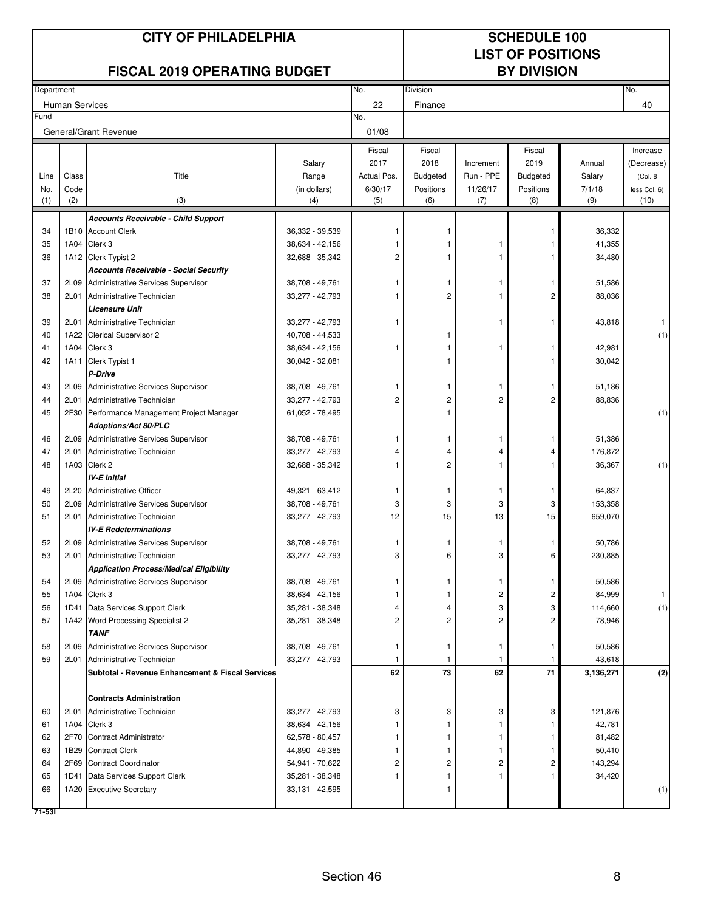| <b>FISCAL 2019 OPERATING BUDGET</b><br><b>BY DIVISION</b><br>No.<br><b>Division</b><br>No.<br>Department<br><b>Human Services</b><br>22<br>40<br>Finance<br>Fund<br>No.<br>01/08<br>General/Grant Revenue<br>Fiscal<br>Fiscal<br>Fiscal<br>Increase<br>2017<br>Salary<br>2018<br>2019<br>Increment<br>Annual<br>(Decrease)<br>Title<br>Actual Pos.<br>Run - PPE<br>Class<br>Range<br><b>Budgeted</b><br><b>Budgeted</b><br>Salary<br>(Col. 8<br>Line<br>(in dollars)<br>6/30/17<br>11/26/17<br>Positions<br>7/1/18<br>Code<br>Positions<br>less Col. 6)<br>No.<br>(2)<br>(3)<br>(4)<br>(6)<br>(8)<br>(9)<br>(10)<br>(1)<br>(5)<br>(7)<br><b>Accounts Receivable - Child Support</b><br>1B10 Account Clerk<br>34<br>36,332 - 39,539<br>36,332<br>Clerk 3<br>1A04<br>41,355<br>35<br>38,634 - 42,156<br>34,480<br>36<br>1A12 Clerk Typist 2<br>32,688 - 35,342<br>2<br><b>Accounts Receivable - Social Security</b><br>Administrative Services Supervisor<br>51,586<br>37<br>2L09<br>38,708 - 49,761<br>1<br>1<br>1<br>-1<br>Administrative Technician<br>2<br>88,036<br>38<br>2L01<br>33,277 - 42,793<br>2<br><b>Licensure Unit</b><br>39<br>2L01<br>Administrative Technician<br>33,277 - 42,793<br>43,818<br>1<br>1A22<br>Clerical Supervisor 2<br>(1)<br>40<br>40,708 - 44,533<br>1A04 Clerk 3<br>38,634 - 42,156<br>42,981<br>41<br>1<br>1<br>1<br>1A11 Clerk Typist 1<br>30,042 - 32,081<br>30,042<br>42<br>P-Drive<br>Administrative Services Supervisor<br>51,186<br>43<br>2L09<br>38,708 - 49,761<br>1<br>1<br>2<br>2<br>88,836<br>44<br>2L01<br>Administrative Technician<br>33,277 - 42,793<br>2<br>2<br>2F30<br>(1)<br>45<br>Performance Management Project Manager<br>61,052 - 78,495<br><b>Adoptions/Act 80/PLC</b><br>2L09<br>Administrative Services Supervisor<br>38,708 - 49,761<br>51,386<br>46<br>1<br>1<br>176,872<br>47<br>2L01<br>Administrative Technician<br>33,277 - 42,793<br>4<br>4<br>1A03 Clerk 2<br>$\overline{c}$<br>36,367<br>(1)<br>48<br>32,688 - 35,342<br><b>IV-E Initial</b><br>49<br>2L20<br>Administrative Officer<br>49,321 - 63,412<br>64,837<br>1<br>1<br>1<br>1<br>2L09<br>38,708 - 49,761<br>3<br>153,358<br>50<br>Administrative Services Supervisor<br>3<br>3<br>3<br>15<br>33,277 - 42,793<br>659,070<br>51<br>2L01<br>Administrative Technician<br>12<br>15<br>13<br><b>IV-E Redeterminations</b><br>2L09 Administrative Services Supervisor<br>38,708 - 49,761<br>50,786<br>52<br>$\mathbf{1}$<br>$\mathbf{1}$<br>1<br>1<br>2L01 Administrative Technician<br>230,885<br>53<br>33,277 - 42,793<br>3<br>6<br>3<br>6<br><b>Application Process/Medical Eligibility</b><br>50,586<br>2L09<br>Administrative Services Supervisor<br>38,708 - 49,761<br>54<br>1<br>1<br>Clerk 3<br>2<br>84,999<br>1A04<br>38,634 - 42,156<br>55<br>2<br>Data Services Support Clerk<br>3<br>114,660<br>56<br>1D41<br>35,281 - 38,348<br>3<br>4<br>2<br>78,946<br>57<br>1A42 Word Processing Specialist 2<br>35,281 - 38,348<br>2<br>2<br>2<br><b>TANF</b><br>58<br>2L09<br>Administrative Services Supervisor<br>38,708 - 49,761<br>50,586<br>-1<br>1<br>59<br>43,618<br>2L01<br>Administrative Technician<br>33,277 - 42,793<br>-1<br>73<br>62<br>71<br>62<br>Subtotal - Revenue Enhancement & Fiscal Services<br>3,136,271<br><b>Contracts Administration</b><br>2L01<br>Administrative Technician<br>33,277 - 42,793<br>3<br>3<br>3<br>3<br>121,876<br>60<br>42,781<br>61<br>1A04<br>Clerk 3<br>38,634 - 42,156<br>81,482<br>62<br>2F70<br><b>Contract Administrator</b><br>62,578 - 80,457<br>63<br>1B29<br><b>Contract Clerk</b><br>44,890 - 49,385<br>50,410<br>2F69<br>143,294<br><b>Contract Coordinator</b><br>54,941 - 70,622<br>64<br>2<br>2<br>2<br>2<br>34,420<br>1D41<br>Data Services Support Clerk<br>35,281 - 38,348<br>65<br>-1<br>1<br>66<br>1A20 Executive Secretary<br>33,131 - 42,595<br>71-531 |  | <b>CITY OF PHILADELPHIA</b> |  | <b>SCHEDULE 100</b><br><b>LIST OF POSITIONS</b> |  |  |  |     |
|--------------------------------------------------------------------------------------------------------------------------------------------------------------------------------------------------------------------------------------------------------------------------------------------------------------------------------------------------------------------------------------------------------------------------------------------------------------------------------------------------------------------------------------------------------------------------------------------------------------------------------------------------------------------------------------------------------------------------------------------------------------------------------------------------------------------------------------------------------------------------------------------------------------------------------------------------------------------------------------------------------------------------------------------------------------------------------------------------------------------------------------------------------------------------------------------------------------------------------------------------------------------------------------------------------------------------------------------------------------------------------------------------------------------------------------------------------------------------------------------------------------------------------------------------------------------------------------------------------------------------------------------------------------------------------------------------------------------------------------------------------------------------------------------------------------------------------------------------------------------------------------------------------------------------------------------------------------------------------------------------------------------------------------------------------------------------------------------------------------------------------------------------------------------------------------------------------------------------------------------------------------------------------------------------------------------------------------------------------------------------------------------------------------------------------------------------------------------------------------------------------------------------------------------------------------------------------------------------------------------------------------------------------------------------------------------------------------------------------------------------------------------------------------------------------------------------------------------------------------------------------------------------------------------------------------------------------------------------------------------------------------------------------------------------------------------------------------------------------------------------------------------------------------------------------------------------------------------------------------------------------------------------------------------------------------------------------------------------------------------------------------------------------------------------------------------------------------------------------------------------------------------------------------------------------------------------------------------------------------------------------------------------------------------------------------------------------------------------------------------------------------------------------------------------------------------------------------------------|--|-----------------------------|--|-------------------------------------------------|--|--|--|-----|
|                                                                                                                                                                                                                                                                                                                                                                                                                                                                                                                                                                                                                                                                                                                                                                                                                                                                                                                                                                                                                                                                                                                                                                                                                                                                                                                                                                                                                                                                                                                                                                                                                                                                                                                                                                                                                                                                                                                                                                                                                                                                                                                                                                                                                                                                                                                                                                                                                                                                                                                                                                                                                                                                                                                                                                                                                                                                                                                                                                                                                                                                                                                                                                                                                                                                                                                                                                                                                                                                                                                                                                                                                                                                                                                                                                                                                                                  |  |                             |  |                                                 |  |  |  |     |
|                                                                                                                                                                                                                                                                                                                                                                                                                                                                                                                                                                                                                                                                                                                                                                                                                                                                                                                                                                                                                                                                                                                                                                                                                                                                                                                                                                                                                                                                                                                                                                                                                                                                                                                                                                                                                                                                                                                                                                                                                                                                                                                                                                                                                                                                                                                                                                                                                                                                                                                                                                                                                                                                                                                                                                                                                                                                                                                                                                                                                                                                                                                                                                                                                                                                                                                                                                                                                                                                                                                                                                                                                                                                                                                                                                                                                                                  |  |                             |  |                                                 |  |  |  |     |
|                                                                                                                                                                                                                                                                                                                                                                                                                                                                                                                                                                                                                                                                                                                                                                                                                                                                                                                                                                                                                                                                                                                                                                                                                                                                                                                                                                                                                                                                                                                                                                                                                                                                                                                                                                                                                                                                                                                                                                                                                                                                                                                                                                                                                                                                                                                                                                                                                                                                                                                                                                                                                                                                                                                                                                                                                                                                                                                                                                                                                                                                                                                                                                                                                                                                                                                                                                                                                                                                                                                                                                                                                                                                                                                                                                                                                                                  |  |                             |  |                                                 |  |  |  |     |
|                                                                                                                                                                                                                                                                                                                                                                                                                                                                                                                                                                                                                                                                                                                                                                                                                                                                                                                                                                                                                                                                                                                                                                                                                                                                                                                                                                                                                                                                                                                                                                                                                                                                                                                                                                                                                                                                                                                                                                                                                                                                                                                                                                                                                                                                                                                                                                                                                                                                                                                                                                                                                                                                                                                                                                                                                                                                                                                                                                                                                                                                                                                                                                                                                                                                                                                                                                                                                                                                                                                                                                                                                                                                                                                                                                                                                                                  |  |                             |  |                                                 |  |  |  |     |
|                                                                                                                                                                                                                                                                                                                                                                                                                                                                                                                                                                                                                                                                                                                                                                                                                                                                                                                                                                                                                                                                                                                                                                                                                                                                                                                                                                                                                                                                                                                                                                                                                                                                                                                                                                                                                                                                                                                                                                                                                                                                                                                                                                                                                                                                                                                                                                                                                                                                                                                                                                                                                                                                                                                                                                                                                                                                                                                                                                                                                                                                                                                                                                                                                                                                                                                                                                                                                                                                                                                                                                                                                                                                                                                                                                                                                                                  |  |                             |  |                                                 |  |  |  |     |
|                                                                                                                                                                                                                                                                                                                                                                                                                                                                                                                                                                                                                                                                                                                                                                                                                                                                                                                                                                                                                                                                                                                                                                                                                                                                                                                                                                                                                                                                                                                                                                                                                                                                                                                                                                                                                                                                                                                                                                                                                                                                                                                                                                                                                                                                                                                                                                                                                                                                                                                                                                                                                                                                                                                                                                                                                                                                                                                                                                                                                                                                                                                                                                                                                                                                                                                                                                                                                                                                                                                                                                                                                                                                                                                                                                                                                                                  |  |                             |  |                                                 |  |  |  |     |
|                                                                                                                                                                                                                                                                                                                                                                                                                                                                                                                                                                                                                                                                                                                                                                                                                                                                                                                                                                                                                                                                                                                                                                                                                                                                                                                                                                                                                                                                                                                                                                                                                                                                                                                                                                                                                                                                                                                                                                                                                                                                                                                                                                                                                                                                                                                                                                                                                                                                                                                                                                                                                                                                                                                                                                                                                                                                                                                                                                                                                                                                                                                                                                                                                                                                                                                                                                                                                                                                                                                                                                                                                                                                                                                                                                                                                                                  |  |                             |  |                                                 |  |  |  |     |
|                                                                                                                                                                                                                                                                                                                                                                                                                                                                                                                                                                                                                                                                                                                                                                                                                                                                                                                                                                                                                                                                                                                                                                                                                                                                                                                                                                                                                                                                                                                                                                                                                                                                                                                                                                                                                                                                                                                                                                                                                                                                                                                                                                                                                                                                                                                                                                                                                                                                                                                                                                                                                                                                                                                                                                                                                                                                                                                                                                                                                                                                                                                                                                                                                                                                                                                                                                                                                                                                                                                                                                                                                                                                                                                                                                                                                                                  |  |                             |  |                                                 |  |  |  |     |
|                                                                                                                                                                                                                                                                                                                                                                                                                                                                                                                                                                                                                                                                                                                                                                                                                                                                                                                                                                                                                                                                                                                                                                                                                                                                                                                                                                                                                                                                                                                                                                                                                                                                                                                                                                                                                                                                                                                                                                                                                                                                                                                                                                                                                                                                                                                                                                                                                                                                                                                                                                                                                                                                                                                                                                                                                                                                                                                                                                                                                                                                                                                                                                                                                                                                                                                                                                                                                                                                                                                                                                                                                                                                                                                                                                                                                                                  |  |                             |  |                                                 |  |  |  |     |
|                                                                                                                                                                                                                                                                                                                                                                                                                                                                                                                                                                                                                                                                                                                                                                                                                                                                                                                                                                                                                                                                                                                                                                                                                                                                                                                                                                                                                                                                                                                                                                                                                                                                                                                                                                                                                                                                                                                                                                                                                                                                                                                                                                                                                                                                                                                                                                                                                                                                                                                                                                                                                                                                                                                                                                                                                                                                                                                                                                                                                                                                                                                                                                                                                                                                                                                                                                                                                                                                                                                                                                                                                                                                                                                                                                                                                                                  |  |                             |  |                                                 |  |  |  |     |
|                                                                                                                                                                                                                                                                                                                                                                                                                                                                                                                                                                                                                                                                                                                                                                                                                                                                                                                                                                                                                                                                                                                                                                                                                                                                                                                                                                                                                                                                                                                                                                                                                                                                                                                                                                                                                                                                                                                                                                                                                                                                                                                                                                                                                                                                                                                                                                                                                                                                                                                                                                                                                                                                                                                                                                                                                                                                                                                                                                                                                                                                                                                                                                                                                                                                                                                                                                                                                                                                                                                                                                                                                                                                                                                                                                                                                                                  |  |                             |  |                                                 |  |  |  |     |
|                                                                                                                                                                                                                                                                                                                                                                                                                                                                                                                                                                                                                                                                                                                                                                                                                                                                                                                                                                                                                                                                                                                                                                                                                                                                                                                                                                                                                                                                                                                                                                                                                                                                                                                                                                                                                                                                                                                                                                                                                                                                                                                                                                                                                                                                                                                                                                                                                                                                                                                                                                                                                                                                                                                                                                                                                                                                                                                                                                                                                                                                                                                                                                                                                                                                                                                                                                                                                                                                                                                                                                                                                                                                                                                                                                                                                                                  |  |                             |  |                                                 |  |  |  |     |
|                                                                                                                                                                                                                                                                                                                                                                                                                                                                                                                                                                                                                                                                                                                                                                                                                                                                                                                                                                                                                                                                                                                                                                                                                                                                                                                                                                                                                                                                                                                                                                                                                                                                                                                                                                                                                                                                                                                                                                                                                                                                                                                                                                                                                                                                                                                                                                                                                                                                                                                                                                                                                                                                                                                                                                                                                                                                                                                                                                                                                                                                                                                                                                                                                                                                                                                                                                                                                                                                                                                                                                                                                                                                                                                                                                                                                                                  |  |                             |  |                                                 |  |  |  |     |
|                                                                                                                                                                                                                                                                                                                                                                                                                                                                                                                                                                                                                                                                                                                                                                                                                                                                                                                                                                                                                                                                                                                                                                                                                                                                                                                                                                                                                                                                                                                                                                                                                                                                                                                                                                                                                                                                                                                                                                                                                                                                                                                                                                                                                                                                                                                                                                                                                                                                                                                                                                                                                                                                                                                                                                                                                                                                                                                                                                                                                                                                                                                                                                                                                                                                                                                                                                                                                                                                                                                                                                                                                                                                                                                                                                                                                                                  |  |                             |  |                                                 |  |  |  |     |
|                                                                                                                                                                                                                                                                                                                                                                                                                                                                                                                                                                                                                                                                                                                                                                                                                                                                                                                                                                                                                                                                                                                                                                                                                                                                                                                                                                                                                                                                                                                                                                                                                                                                                                                                                                                                                                                                                                                                                                                                                                                                                                                                                                                                                                                                                                                                                                                                                                                                                                                                                                                                                                                                                                                                                                                                                                                                                                                                                                                                                                                                                                                                                                                                                                                                                                                                                                                                                                                                                                                                                                                                                                                                                                                                                                                                                                                  |  |                             |  |                                                 |  |  |  |     |
|                                                                                                                                                                                                                                                                                                                                                                                                                                                                                                                                                                                                                                                                                                                                                                                                                                                                                                                                                                                                                                                                                                                                                                                                                                                                                                                                                                                                                                                                                                                                                                                                                                                                                                                                                                                                                                                                                                                                                                                                                                                                                                                                                                                                                                                                                                                                                                                                                                                                                                                                                                                                                                                                                                                                                                                                                                                                                                                                                                                                                                                                                                                                                                                                                                                                                                                                                                                                                                                                                                                                                                                                                                                                                                                                                                                                                                                  |  |                             |  |                                                 |  |  |  |     |
|                                                                                                                                                                                                                                                                                                                                                                                                                                                                                                                                                                                                                                                                                                                                                                                                                                                                                                                                                                                                                                                                                                                                                                                                                                                                                                                                                                                                                                                                                                                                                                                                                                                                                                                                                                                                                                                                                                                                                                                                                                                                                                                                                                                                                                                                                                                                                                                                                                                                                                                                                                                                                                                                                                                                                                                                                                                                                                                                                                                                                                                                                                                                                                                                                                                                                                                                                                                                                                                                                                                                                                                                                                                                                                                                                                                                                                                  |  |                             |  |                                                 |  |  |  |     |
|                                                                                                                                                                                                                                                                                                                                                                                                                                                                                                                                                                                                                                                                                                                                                                                                                                                                                                                                                                                                                                                                                                                                                                                                                                                                                                                                                                                                                                                                                                                                                                                                                                                                                                                                                                                                                                                                                                                                                                                                                                                                                                                                                                                                                                                                                                                                                                                                                                                                                                                                                                                                                                                                                                                                                                                                                                                                                                                                                                                                                                                                                                                                                                                                                                                                                                                                                                                                                                                                                                                                                                                                                                                                                                                                                                                                                                                  |  |                             |  |                                                 |  |  |  |     |
|                                                                                                                                                                                                                                                                                                                                                                                                                                                                                                                                                                                                                                                                                                                                                                                                                                                                                                                                                                                                                                                                                                                                                                                                                                                                                                                                                                                                                                                                                                                                                                                                                                                                                                                                                                                                                                                                                                                                                                                                                                                                                                                                                                                                                                                                                                                                                                                                                                                                                                                                                                                                                                                                                                                                                                                                                                                                                                                                                                                                                                                                                                                                                                                                                                                                                                                                                                                                                                                                                                                                                                                                                                                                                                                                                                                                                                                  |  |                             |  |                                                 |  |  |  |     |
|                                                                                                                                                                                                                                                                                                                                                                                                                                                                                                                                                                                                                                                                                                                                                                                                                                                                                                                                                                                                                                                                                                                                                                                                                                                                                                                                                                                                                                                                                                                                                                                                                                                                                                                                                                                                                                                                                                                                                                                                                                                                                                                                                                                                                                                                                                                                                                                                                                                                                                                                                                                                                                                                                                                                                                                                                                                                                                                                                                                                                                                                                                                                                                                                                                                                                                                                                                                                                                                                                                                                                                                                                                                                                                                                                                                                                                                  |  |                             |  |                                                 |  |  |  |     |
|                                                                                                                                                                                                                                                                                                                                                                                                                                                                                                                                                                                                                                                                                                                                                                                                                                                                                                                                                                                                                                                                                                                                                                                                                                                                                                                                                                                                                                                                                                                                                                                                                                                                                                                                                                                                                                                                                                                                                                                                                                                                                                                                                                                                                                                                                                                                                                                                                                                                                                                                                                                                                                                                                                                                                                                                                                                                                                                                                                                                                                                                                                                                                                                                                                                                                                                                                                                                                                                                                                                                                                                                                                                                                                                                                                                                                                                  |  |                             |  |                                                 |  |  |  |     |
|                                                                                                                                                                                                                                                                                                                                                                                                                                                                                                                                                                                                                                                                                                                                                                                                                                                                                                                                                                                                                                                                                                                                                                                                                                                                                                                                                                                                                                                                                                                                                                                                                                                                                                                                                                                                                                                                                                                                                                                                                                                                                                                                                                                                                                                                                                                                                                                                                                                                                                                                                                                                                                                                                                                                                                                                                                                                                                                                                                                                                                                                                                                                                                                                                                                                                                                                                                                                                                                                                                                                                                                                                                                                                                                                                                                                                                                  |  |                             |  |                                                 |  |  |  |     |
|                                                                                                                                                                                                                                                                                                                                                                                                                                                                                                                                                                                                                                                                                                                                                                                                                                                                                                                                                                                                                                                                                                                                                                                                                                                                                                                                                                                                                                                                                                                                                                                                                                                                                                                                                                                                                                                                                                                                                                                                                                                                                                                                                                                                                                                                                                                                                                                                                                                                                                                                                                                                                                                                                                                                                                                                                                                                                                                                                                                                                                                                                                                                                                                                                                                                                                                                                                                                                                                                                                                                                                                                                                                                                                                                                                                                                                                  |  |                             |  |                                                 |  |  |  |     |
|                                                                                                                                                                                                                                                                                                                                                                                                                                                                                                                                                                                                                                                                                                                                                                                                                                                                                                                                                                                                                                                                                                                                                                                                                                                                                                                                                                                                                                                                                                                                                                                                                                                                                                                                                                                                                                                                                                                                                                                                                                                                                                                                                                                                                                                                                                                                                                                                                                                                                                                                                                                                                                                                                                                                                                                                                                                                                                                                                                                                                                                                                                                                                                                                                                                                                                                                                                                                                                                                                                                                                                                                                                                                                                                                                                                                                                                  |  |                             |  |                                                 |  |  |  |     |
|                                                                                                                                                                                                                                                                                                                                                                                                                                                                                                                                                                                                                                                                                                                                                                                                                                                                                                                                                                                                                                                                                                                                                                                                                                                                                                                                                                                                                                                                                                                                                                                                                                                                                                                                                                                                                                                                                                                                                                                                                                                                                                                                                                                                                                                                                                                                                                                                                                                                                                                                                                                                                                                                                                                                                                                                                                                                                                                                                                                                                                                                                                                                                                                                                                                                                                                                                                                                                                                                                                                                                                                                                                                                                                                                                                                                                                                  |  |                             |  |                                                 |  |  |  |     |
|                                                                                                                                                                                                                                                                                                                                                                                                                                                                                                                                                                                                                                                                                                                                                                                                                                                                                                                                                                                                                                                                                                                                                                                                                                                                                                                                                                                                                                                                                                                                                                                                                                                                                                                                                                                                                                                                                                                                                                                                                                                                                                                                                                                                                                                                                                                                                                                                                                                                                                                                                                                                                                                                                                                                                                                                                                                                                                                                                                                                                                                                                                                                                                                                                                                                                                                                                                                                                                                                                                                                                                                                                                                                                                                                                                                                                                                  |  |                             |  |                                                 |  |  |  |     |
|                                                                                                                                                                                                                                                                                                                                                                                                                                                                                                                                                                                                                                                                                                                                                                                                                                                                                                                                                                                                                                                                                                                                                                                                                                                                                                                                                                                                                                                                                                                                                                                                                                                                                                                                                                                                                                                                                                                                                                                                                                                                                                                                                                                                                                                                                                                                                                                                                                                                                                                                                                                                                                                                                                                                                                                                                                                                                                                                                                                                                                                                                                                                                                                                                                                                                                                                                                                                                                                                                                                                                                                                                                                                                                                                                                                                                                                  |  |                             |  |                                                 |  |  |  |     |
|                                                                                                                                                                                                                                                                                                                                                                                                                                                                                                                                                                                                                                                                                                                                                                                                                                                                                                                                                                                                                                                                                                                                                                                                                                                                                                                                                                                                                                                                                                                                                                                                                                                                                                                                                                                                                                                                                                                                                                                                                                                                                                                                                                                                                                                                                                                                                                                                                                                                                                                                                                                                                                                                                                                                                                                                                                                                                                                                                                                                                                                                                                                                                                                                                                                                                                                                                                                                                                                                                                                                                                                                                                                                                                                                                                                                                                                  |  |                             |  |                                                 |  |  |  |     |
|                                                                                                                                                                                                                                                                                                                                                                                                                                                                                                                                                                                                                                                                                                                                                                                                                                                                                                                                                                                                                                                                                                                                                                                                                                                                                                                                                                                                                                                                                                                                                                                                                                                                                                                                                                                                                                                                                                                                                                                                                                                                                                                                                                                                                                                                                                                                                                                                                                                                                                                                                                                                                                                                                                                                                                                                                                                                                                                                                                                                                                                                                                                                                                                                                                                                                                                                                                                                                                                                                                                                                                                                                                                                                                                                                                                                                                                  |  |                             |  |                                                 |  |  |  |     |
|                                                                                                                                                                                                                                                                                                                                                                                                                                                                                                                                                                                                                                                                                                                                                                                                                                                                                                                                                                                                                                                                                                                                                                                                                                                                                                                                                                                                                                                                                                                                                                                                                                                                                                                                                                                                                                                                                                                                                                                                                                                                                                                                                                                                                                                                                                                                                                                                                                                                                                                                                                                                                                                                                                                                                                                                                                                                                                                                                                                                                                                                                                                                                                                                                                                                                                                                                                                                                                                                                                                                                                                                                                                                                                                                                                                                                                                  |  |                             |  |                                                 |  |  |  |     |
|                                                                                                                                                                                                                                                                                                                                                                                                                                                                                                                                                                                                                                                                                                                                                                                                                                                                                                                                                                                                                                                                                                                                                                                                                                                                                                                                                                                                                                                                                                                                                                                                                                                                                                                                                                                                                                                                                                                                                                                                                                                                                                                                                                                                                                                                                                                                                                                                                                                                                                                                                                                                                                                                                                                                                                                                                                                                                                                                                                                                                                                                                                                                                                                                                                                                                                                                                                                                                                                                                                                                                                                                                                                                                                                                                                                                                                                  |  |                             |  |                                                 |  |  |  |     |
|                                                                                                                                                                                                                                                                                                                                                                                                                                                                                                                                                                                                                                                                                                                                                                                                                                                                                                                                                                                                                                                                                                                                                                                                                                                                                                                                                                                                                                                                                                                                                                                                                                                                                                                                                                                                                                                                                                                                                                                                                                                                                                                                                                                                                                                                                                                                                                                                                                                                                                                                                                                                                                                                                                                                                                                                                                                                                                                                                                                                                                                                                                                                                                                                                                                                                                                                                                                                                                                                                                                                                                                                                                                                                                                                                                                                                                                  |  |                             |  |                                                 |  |  |  |     |
|                                                                                                                                                                                                                                                                                                                                                                                                                                                                                                                                                                                                                                                                                                                                                                                                                                                                                                                                                                                                                                                                                                                                                                                                                                                                                                                                                                                                                                                                                                                                                                                                                                                                                                                                                                                                                                                                                                                                                                                                                                                                                                                                                                                                                                                                                                                                                                                                                                                                                                                                                                                                                                                                                                                                                                                                                                                                                                                                                                                                                                                                                                                                                                                                                                                                                                                                                                                                                                                                                                                                                                                                                                                                                                                                                                                                                                                  |  |                             |  |                                                 |  |  |  |     |
|                                                                                                                                                                                                                                                                                                                                                                                                                                                                                                                                                                                                                                                                                                                                                                                                                                                                                                                                                                                                                                                                                                                                                                                                                                                                                                                                                                                                                                                                                                                                                                                                                                                                                                                                                                                                                                                                                                                                                                                                                                                                                                                                                                                                                                                                                                                                                                                                                                                                                                                                                                                                                                                                                                                                                                                                                                                                                                                                                                                                                                                                                                                                                                                                                                                                                                                                                                                                                                                                                                                                                                                                                                                                                                                                                                                                                                                  |  |                             |  |                                                 |  |  |  |     |
|                                                                                                                                                                                                                                                                                                                                                                                                                                                                                                                                                                                                                                                                                                                                                                                                                                                                                                                                                                                                                                                                                                                                                                                                                                                                                                                                                                                                                                                                                                                                                                                                                                                                                                                                                                                                                                                                                                                                                                                                                                                                                                                                                                                                                                                                                                                                                                                                                                                                                                                                                                                                                                                                                                                                                                                                                                                                                                                                                                                                                                                                                                                                                                                                                                                                                                                                                                                                                                                                                                                                                                                                                                                                                                                                                                                                                                                  |  |                             |  |                                                 |  |  |  |     |
|                                                                                                                                                                                                                                                                                                                                                                                                                                                                                                                                                                                                                                                                                                                                                                                                                                                                                                                                                                                                                                                                                                                                                                                                                                                                                                                                                                                                                                                                                                                                                                                                                                                                                                                                                                                                                                                                                                                                                                                                                                                                                                                                                                                                                                                                                                                                                                                                                                                                                                                                                                                                                                                                                                                                                                                                                                                                                                                                                                                                                                                                                                                                                                                                                                                                                                                                                                                                                                                                                                                                                                                                                                                                                                                                                                                                                                                  |  |                             |  |                                                 |  |  |  |     |
|                                                                                                                                                                                                                                                                                                                                                                                                                                                                                                                                                                                                                                                                                                                                                                                                                                                                                                                                                                                                                                                                                                                                                                                                                                                                                                                                                                                                                                                                                                                                                                                                                                                                                                                                                                                                                                                                                                                                                                                                                                                                                                                                                                                                                                                                                                                                                                                                                                                                                                                                                                                                                                                                                                                                                                                                                                                                                                                                                                                                                                                                                                                                                                                                                                                                                                                                                                                                                                                                                                                                                                                                                                                                                                                                                                                                                                                  |  |                             |  |                                                 |  |  |  |     |
|                                                                                                                                                                                                                                                                                                                                                                                                                                                                                                                                                                                                                                                                                                                                                                                                                                                                                                                                                                                                                                                                                                                                                                                                                                                                                                                                                                                                                                                                                                                                                                                                                                                                                                                                                                                                                                                                                                                                                                                                                                                                                                                                                                                                                                                                                                                                                                                                                                                                                                                                                                                                                                                                                                                                                                                                                                                                                                                                                                                                                                                                                                                                                                                                                                                                                                                                                                                                                                                                                                                                                                                                                                                                                                                                                                                                                                                  |  |                             |  |                                                 |  |  |  |     |
|                                                                                                                                                                                                                                                                                                                                                                                                                                                                                                                                                                                                                                                                                                                                                                                                                                                                                                                                                                                                                                                                                                                                                                                                                                                                                                                                                                                                                                                                                                                                                                                                                                                                                                                                                                                                                                                                                                                                                                                                                                                                                                                                                                                                                                                                                                                                                                                                                                                                                                                                                                                                                                                                                                                                                                                                                                                                                                                                                                                                                                                                                                                                                                                                                                                                                                                                                                                                                                                                                                                                                                                                                                                                                                                                                                                                                                                  |  |                             |  |                                                 |  |  |  | (1) |
|                                                                                                                                                                                                                                                                                                                                                                                                                                                                                                                                                                                                                                                                                                                                                                                                                                                                                                                                                                                                                                                                                                                                                                                                                                                                                                                                                                                                                                                                                                                                                                                                                                                                                                                                                                                                                                                                                                                                                                                                                                                                                                                                                                                                                                                                                                                                                                                                                                                                                                                                                                                                                                                                                                                                                                                                                                                                                                                                                                                                                                                                                                                                                                                                                                                                                                                                                                                                                                                                                                                                                                                                                                                                                                                                                                                                                                                  |  |                             |  |                                                 |  |  |  |     |
|                                                                                                                                                                                                                                                                                                                                                                                                                                                                                                                                                                                                                                                                                                                                                                                                                                                                                                                                                                                                                                                                                                                                                                                                                                                                                                                                                                                                                                                                                                                                                                                                                                                                                                                                                                                                                                                                                                                                                                                                                                                                                                                                                                                                                                                                                                                                                                                                                                                                                                                                                                                                                                                                                                                                                                                                                                                                                                                                                                                                                                                                                                                                                                                                                                                                                                                                                                                                                                                                                                                                                                                                                                                                                                                                                                                                                                                  |  |                             |  |                                                 |  |  |  |     |
|                                                                                                                                                                                                                                                                                                                                                                                                                                                                                                                                                                                                                                                                                                                                                                                                                                                                                                                                                                                                                                                                                                                                                                                                                                                                                                                                                                                                                                                                                                                                                                                                                                                                                                                                                                                                                                                                                                                                                                                                                                                                                                                                                                                                                                                                                                                                                                                                                                                                                                                                                                                                                                                                                                                                                                                                                                                                                                                                                                                                                                                                                                                                                                                                                                                                                                                                                                                                                                                                                                                                                                                                                                                                                                                                                                                                                                                  |  |                             |  |                                                 |  |  |  |     |
|                                                                                                                                                                                                                                                                                                                                                                                                                                                                                                                                                                                                                                                                                                                                                                                                                                                                                                                                                                                                                                                                                                                                                                                                                                                                                                                                                                                                                                                                                                                                                                                                                                                                                                                                                                                                                                                                                                                                                                                                                                                                                                                                                                                                                                                                                                                                                                                                                                                                                                                                                                                                                                                                                                                                                                                                                                                                                                                                                                                                                                                                                                                                                                                                                                                                                                                                                                                                                                                                                                                                                                                                                                                                                                                                                                                                                                                  |  |                             |  |                                                 |  |  |  |     |
|                                                                                                                                                                                                                                                                                                                                                                                                                                                                                                                                                                                                                                                                                                                                                                                                                                                                                                                                                                                                                                                                                                                                                                                                                                                                                                                                                                                                                                                                                                                                                                                                                                                                                                                                                                                                                                                                                                                                                                                                                                                                                                                                                                                                                                                                                                                                                                                                                                                                                                                                                                                                                                                                                                                                                                                                                                                                                                                                                                                                                                                                                                                                                                                                                                                                                                                                                                                                                                                                                                                                                                                                                                                                                                                                                                                                                                                  |  |                             |  |                                                 |  |  |  | (2) |
|                                                                                                                                                                                                                                                                                                                                                                                                                                                                                                                                                                                                                                                                                                                                                                                                                                                                                                                                                                                                                                                                                                                                                                                                                                                                                                                                                                                                                                                                                                                                                                                                                                                                                                                                                                                                                                                                                                                                                                                                                                                                                                                                                                                                                                                                                                                                                                                                                                                                                                                                                                                                                                                                                                                                                                                                                                                                                                                                                                                                                                                                                                                                                                                                                                                                                                                                                                                                                                                                                                                                                                                                                                                                                                                                                                                                                                                  |  |                             |  |                                                 |  |  |  |     |
|                                                                                                                                                                                                                                                                                                                                                                                                                                                                                                                                                                                                                                                                                                                                                                                                                                                                                                                                                                                                                                                                                                                                                                                                                                                                                                                                                                                                                                                                                                                                                                                                                                                                                                                                                                                                                                                                                                                                                                                                                                                                                                                                                                                                                                                                                                                                                                                                                                                                                                                                                                                                                                                                                                                                                                                                                                                                                                                                                                                                                                                                                                                                                                                                                                                                                                                                                                                                                                                                                                                                                                                                                                                                                                                                                                                                                                                  |  |                             |  |                                                 |  |  |  |     |
|                                                                                                                                                                                                                                                                                                                                                                                                                                                                                                                                                                                                                                                                                                                                                                                                                                                                                                                                                                                                                                                                                                                                                                                                                                                                                                                                                                                                                                                                                                                                                                                                                                                                                                                                                                                                                                                                                                                                                                                                                                                                                                                                                                                                                                                                                                                                                                                                                                                                                                                                                                                                                                                                                                                                                                                                                                                                                                                                                                                                                                                                                                                                                                                                                                                                                                                                                                                                                                                                                                                                                                                                                                                                                                                                                                                                                                                  |  |                             |  |                                                 |  |  |  |     |
|                                                                                                                                                                                                                                                                                                                                                                                                                                                                                                                                                                                                                                                                                                                                                                                                                                                                                                                                                                                                                                                                                                                                                                                                                                                                                                                                                                                                                                                                                                                                                                                                                                                                                                                                                                                                                                                                                                                                                                                                                                                                                                                                                                                                                                                                                                                                                                                                                                                                                                                                                                                                                                                                                                                                                                                                                                                                                                                                                                                                                                                                                                                                                                                                                                                                                                                                                                                                                                                                                                                                                                                                                                                                                                                                                                                                                                                  |  |                             |  |                                                 |  |  |  |     |
|                                                                                                                                                                                                                                                                                                                                                                                                                                                                                                                                                                                                                                                                                                                                                                                                                                                                                                                                                                                                                                                                                                                                                                                                                                                                                                                                                                                                                                                                                                                                                                                                                                                                                                                                                                                                                                                                                                                                                                                                                                                                                                                                                                                                                                                                                                                                                                                                                                                                                                                                                                                                                                                                                                                                                                                                                                                                                                                                                                                                                                                                                                                                                                                                                                                                                                                                                                                                                                                                                                                                                                                                                                                                                                                                                                                                                                                  |  |                             |  |                                                 |  |  |  |     |
|                                                                                                                                                                                                                                                                                                                                                                                                                                                                                                                                                                                                                                                                                                                                                                                                                                                                                                                                                                                                                                                                                                                                                                                                                                                                                                                                                                                                                                                                                                                                                                                                                                                                                                                                                                                                                                                                                                                                                                                                                                                                                                                                                                                                                                                                                                                                                                                                                                                                                                                                                                                                                                                                                                                                                                                                                                                                                                                                                                                                                                                                                                                                                                                                                                                                                                                                                                                                                                                                                                                                                                                                                                                                                                                                                                                                                                                  |  |                             |  |                                                 |  |  |  |     |
|                                                                                                                                                                                                                                                                                                                                                                                                                                                                                                                                                                                                                                                                                                                                                                                                                                                                                                                                                                                                                                                                                                                                                                                                                                                                                                                                                                                                                                                                                                                                                                                                                                                                                                                                                                                                                                                                                                                                                                                                                                                                                                                                                                                                                                                                                                                                                                                                                                                                                                                                                                                                                                                                                                                                                                                                                                                                                                                                                                                                                                                                                                                                                                                                                                                                                                                                                                                                                                                                                                                                                                                                                                                                                                                                                                                                                                                  |  |                             |  |                                                 |  |  |  |     |
|                                                                                                                                                                                                                                                                                                                                                                                                                                                                                                                                                                                                                                                                                                                                                                                                                                                                                                                                                                                                                                                                                                                                                                                                                                                                                                                                                                                                                                                                                                                                                                                                                                                                                                                                                                                                                                                                                                                                                                                                                                                                                                                                                                                                                                                                                                                                                                                                                                                                                                                                                                                                                                                                                                                                                                                                                                                                                                                                                                                                                                                                                                                                                                                                                                                                                                                                                                                                                                                                                                                                                                                                                                                                                                                                                                                                                                                  |  |                             |  |                                                 |  |  |  | (1) |
|                                                                                                                                                                                                                                                                                                                                                                                                                                                                                                                                                                                                                                                                                                                                                                                                                                                                                                                                                                                                                                                                                                                                                                                                                                                                                                                                                                                                                                                                                                                                                                                                                                                                                                                                                                                                                                                                                                                                                                                                                                                                                                                                                                                                                                                                                                                                                                                                                                                                                                                                                                                                                                                                                                                                                                                                                                                                                                                                                                                                                                                                                                                                                                                                                                                                                                                                                                                                                                                                                                                                                                                                                                                                                                                                                                                                                                                  |  |                             |  |                                                 |  |  |  |     |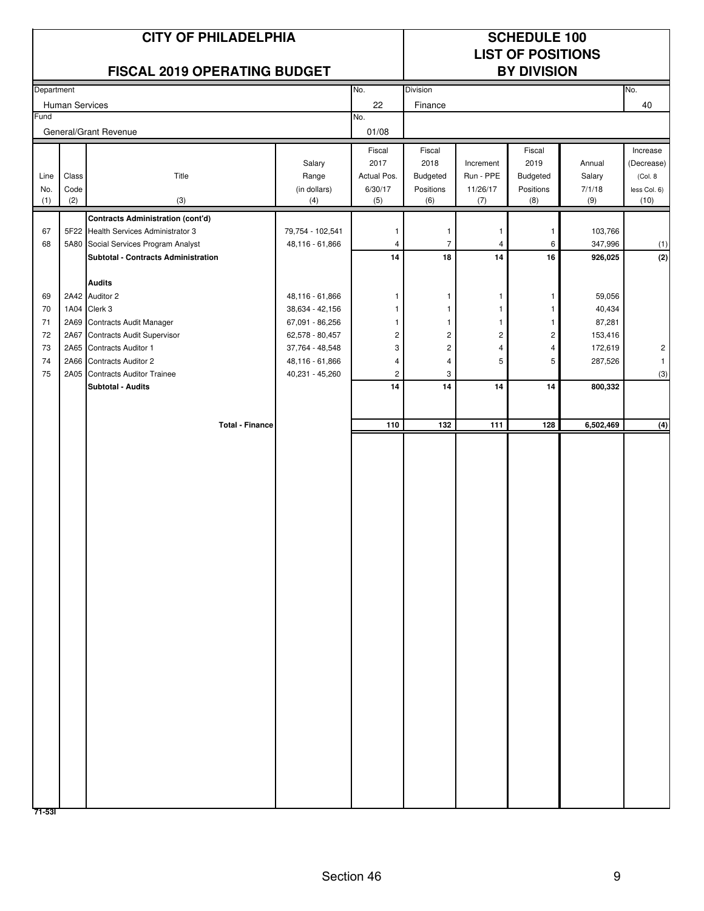|            |                | <b>CITY OF PHILADELPHIA</b>                                                      | <b>SCHEDULE 100</b><br><b>LIST OF POSITIONS</b> |                         |                         |                         |                         |                  |                      |
|------------|----------------|----------------------------------------------------------------------------------|-------------------------------------------------|-------------------------|-------------------------|-------------------------|-------------------------|------------------|----------------------|
|            |                | <b>FISCAL 2019 OPERATING BUDGET</b>                                              |                                                 |                         |                         |                         | <b>BY DIVISION</b>      |                  |                      |
| Department |                |                                                                                  |                                                 | No.                     | <b>Division</b>         |                         |                         |                  | No.                  |
| Fund       | Human Services |                                                                                  |                                                 | 22<br>No.               | Finance                 |                         |                         |                  | 40                   |
|            |                | General/Grant Revenue                                                            |                                                 | 01/08                   |                         |                         |                         |                  |                      |
|            |                |                                                                                  |                                                 | Fiscal                  | Fiscal                  |                         | Fiscal                  |                  | Increase             |
|            |                |                                                                                  | Salary                                          | 2017                    | 2018                    | Increment               | 2019                    | Annual           | (Decrease)           |
| Line       | Class          | Title                                                                            | Range                                           | Actual Pos.             | Budgeted                | Run - PPE               | Budgeted                | Salary           | (Col. 8)             |
| No.<br>(1) | Code<br>(2)    | (3)                                                                              | (in dollars)                                    | 6/30/17<br>(5)          | Positions<br>(6)        | 11/26/17<br>(7)         | Positions<br>(8)        | 7/1/18<br>(9)    | less Col. 6)<br>(10) |
|            |                |                                                                                  | (4)                                             |                         |                         |                         |                         |                  |                      |
| 67         |                | <b>Contracts Administration (cont'd)</b><br>5F22 Health Services Administrator 3 | 79,754 - 102,541                                | $\overline{1}$          | $\mathbf{1}$            | 1                       | 1                       | 103,766          |                      |
| 68         |                | 5A80 Social Services Program Analyst                                             | 48,116 - 61,866                                 | 4                       | $\overline{7}$          | 4                       | 6                       | 347,996          | (1)                  |
|            |                | Subtotal - Contracts Administration                                              |                                                 | 14                      | 18                      | 14                      | 16                      | 926,025          | (2)                  |
|            |                |                                                                                  |                                                 |                         |                         |                         |                         |                  |                      |
|            |                | <b>Audits</b>                                                                    |                                                 |                         |                         |                         |                         |                  |                      |
| 69         |                | 2A42 Auditor 2                                                                   | 48,116 - 61,866                                 | $\mathbf{1}$            | 1                       | 1                       | 1                       | 59,056           |                      |
| 70<br>71   |                | 1A04 Clerk 3<br>2A69 Contracts Audit Manager                                     | 38,634 - 42,156<br>67,091 - 86,256              | -1<br>$\mathbf{1}$      | 1<br>1                  | 1<br>1                  | 1                       | 40,434<br>87,281 |                      |
| 72         | 2A67           | <b>Contracts Audit Supervisor</b>                                                | 62,578 - 80,457                                 | $\overline{\mathbf{c}}$ | $\overline{\mathbf{c}}$ | $\overline{\mathbf{c}}$ | $\overline{\mathbf{c}}$ | 153,416          |                      |
| 73         | 2A65           | Contracts Auditor 1                                                              | 37,764 - 48,548                                 | 3                       | $\overline{\mathbf{c}}$ | 4                       | 4                       | 172,619          | $\overline{c}$       |
| 74         | 2A66           | <b>Contracts Auditor 2</b>                                                       | 48,116 - 61,866                                 | $\overline{4}$          | $\overline{4}$          | 5                       | 5                       | 287,526          | $\mathbf{1}$         |
| 75         | 2A05           | <b>Contracts Auditor Trainee</b>                                                 | 40,231 - 45,260                                 | $\overline{\mathbf{c}}$ | 3                       |                         |                         |                  | (3)                  |
|            |                | Subtotal - Audits                                                                |                                                 | 14                      | 14                      | 14                      | 14                      | 800,332          |                      |
|            |                |                                                                                  |                                                 |                         |                         |                         |                         |                  |                      |
|            |                | <b>Total - Finance</b>                                                           |                                                 | 110                     | 132                     | 111                     | 128                     | 6,502,469        | (4)                  |
|            |                |                                                                                  |                                                 |                         |                         |                         |                         |                  |                      |
| 71-531     |                |                                                                                  |                                                 |                         |                         |                         |                         |                  |                      |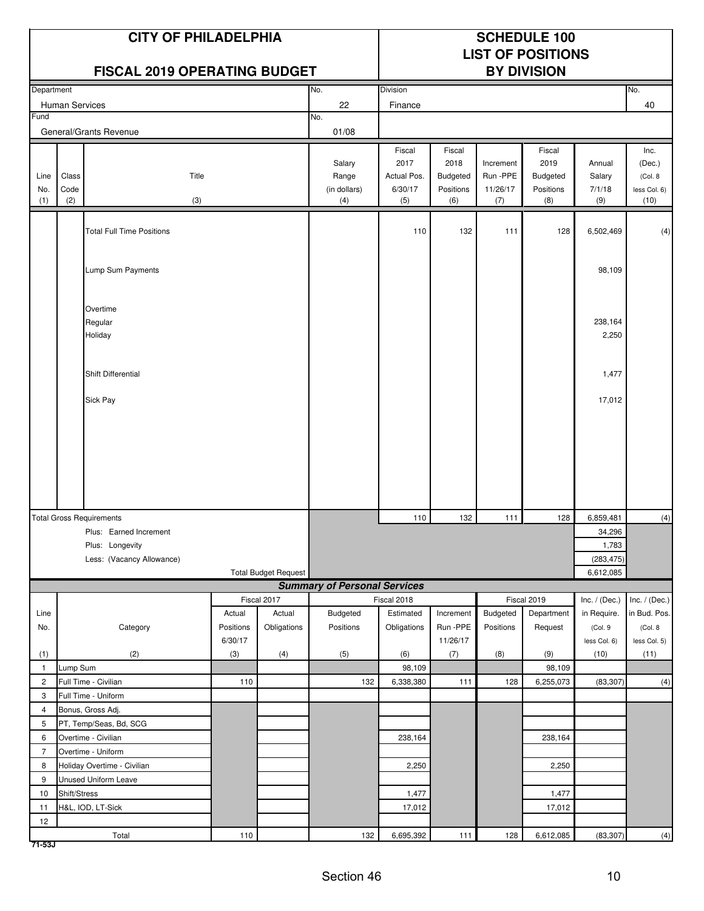|                                |                       | <b>CITY OF PHILADELPHIA</b><br><b>FISCAL 2019 OPERATING BUDGET</b> |           |                             |                                        |                                                 |                                                       |                                          | <b>SCHEDULE 100</b><br><b>LIST OF POSITIONS</b><br><b>BY DIVISION</b> |                                   |                                                   |
|--------------------------------|-----------------------|--------------------------------------------------------------------|-----------|-----------------------------|----------------------------------------|-------------------------------------------------|-------------------------------------------------------|------------------------------------------|-----------------------------------------------------------------------|-----------------------------------|---------------------------------------------------|
| Department                     |                       |                                                                    |           |                             | No.                                    | Division                                        |                                                       |                                          |                                                                       |                                   | No.                                               |
|                                | <b>Human Services</b> |                                                                    |           |                             | 22                                     | Finance                                         |                                                       |                                          |                                                                       |                                   | 40                                                |
| Fund                           |                       |                                                                    |           |                             | No.                                    |                                                 |                                                       |                                          |                                                                       |                                   |                                                   |
|                                |                       | General/Grants Revenue                                             |           |                             | 01/08                                  |                                                 |                                                       |                                          |                                                                       |                                   |                                                   |
| Line<br>No.<br>(1)             | Class<br>Code<br>(2)  | Title<br>(3)                                                       |           |                             | Salary<br>Range<br>(in dollars)<br>(4) | Fiscal<br>2017<br>Actual Pos.<br>6/30/17<br>(5) | Fiscal<br>2018<br><b>Budgeted</b><br>Positions<br>(6) | Increment<br>Run -PPE<br>11/26/17<br>(7) | Fiscal<br>2019<br><b>Budgeted</b><br>Positions<br>(8)                 | Annual<br>Salary<br>7/1/18<br>(9) | Inc.<br>(Dec.)<br>(Col. 8<br>less Col. 6)<br>(10) |
|                                |                       |                                                                    |           |                             |                                        |                                                 |                                                       |                                          |                                                                       |                                   |                                                   |
|                                |                       | <b>Total Full Time Positions</b>                                   |           |                             |                                        | 110                                             | 132                                                   | 111                                      | 128                                                                   | 6,502,469                         | (4)                                               |
|                                |                       |                                                                    |           |                             |                                        |                                                 |                                                       |                                          |                                                                       |                                   |                                                   |
|                                |                       | Lump Sum Payments                                                  |           |                             |                                        |                                                 |                                                       |                                          |                                                                       | 98,109                            |                                                   |
|                                |                       |                                                                    |           |                             |                                        |                                                 |                                                       |                                          |                                                                       |                                   |                                                   |
|                                |                       | Overtime<br>Regular<br>Holiday                                     |           |                             |                                        |                                                 |                                                       |                                          |                                                                       | 238,164<br>2,250                  |                                                   |
|                                |                       |                                                                    |           |                             |                                        |                                                 |                                                       |                                          |                                                                       |                                   |                                                   |
|                                |                       | Shift Differential                                                 |           |                             |                                        |                                                 |                                                       |                                          |                                                                       | 1,477                             |                                                   |
|                                |                       |                                                                    |           |                             |                                        |                                                 |                                                       |                                          |                                                                       |                                   |                                                   |
|                                |                       | Sick Pay                                                           |           |                             |                                        |                                                 |                                                       |                                          |                                                                       | 17,012                            |                                                   |
|                                |                       |                                                                    |           |                             |                                        |                                                 |                                                       |                                          |                                                                       |                                   |                                                   |
|                                |                       |                                                                    |           |                             |                                        |                                                 |                                                       |                                          |                                                                       |                                   |                                                   |
|                                |                       | <b>Total Gross Requirements</b>                                    |           |                             |                                        | 110                                             | 132                                                   | 111                                      | 128                                                                   | 6,859,481                         | (4)                                               |
|                                |                       | Plus: Earned Increment                                             |           |                             |                                        |                                                 |                                                       |                                          |                                                                       | 34,296                            |                                                   |
|                                |                       | Plus: Longevity                                                    |           |                             |                                        |                                                 |                                                       |                                          |                                                                       | 1,783                             |                                                   |
|                                |                       | Less: (Vacancy Allowance)                                          |           |                             |                                        |                                                 |                                                       |                                          |                                                                       | (283, 475)                        |                                                   |
|                                |                       |                                                                    |           | <b>Total Budget Request</b> | <b>Summary of Personal Services</b>    |                                                 |                                                       |                                          |                                                                       | 6,612,085                         |                                                   |
|                                |                       |                                                                    |           | Fiscal 2017                 |                                        | Fiscal 2018                                     |                                                       |                                          | Fiscal 2019                                                           | Inc. $/$ (Dec.)                   | Inc. $/$ (Dec.)                                   |
| Line                           |                       |                                                                    | Actual    | Actual                      | Budgeted                               | Estimated                                       | Increment                                             | Budgeted                                 | Department                                                            | in Require.                       | in Bud. Pos.                                      |
| No.                            |                       | Category                                                           | Positions | Obligations                 | Positions                              | Obligations                                     | Run -PPE                                              | Positions                                | Request                                                               | (Col.9                            | (Col. 8                                           |
|                                |                       |                                                                    | 6/30/17   |                             |                                        |                                                 | 11/26/17                                              |                                          |                                                                       | less Col. 6)                      | less Col. 5)                                      |
| (1)                            |                       | (2)                                                                | (3)       | (4)                         | (5)                                    | (6)                                             | (7)                                                   | (8)                                      | (9)                                                                   | (10)                              | (11)                                              |
| $\mathbf{1}$<br>$\overline{c}$ | Lump Sum              | Full Time - Civilian                                               | 110       |                             | 132                                    | 98,109<br>6,338,380                             |                                                       | 128                                      | 98,109<br>6,255,073                                                   | (83, 307)                         |                                                   |
| 3                              |                       | Full Time - Uniform                                                |           |                             |                                        |                                                 | 111                                                   |                                          |                                                                       |                                   | (4)                                               |
| 4                              |                       | Bonus, Gross Adj.                                                  |           |                             |                                        |                                                 |                                                       |                                          |                                                                       |                                   |                                                   |
| 5                              |                       | PT, Temp/Seas, Bd, SCG                                             |           |                             |                                        |                                                 |                                                       |                                          |                                                                       |                                   |                                                   |
| 6                              |                       | Overtime - Civilian                                                |           |                             |                                        | 238,164                                         |                                                       |                                          | 238,164                                                               |                                   |                                                   |
| $\overline{7}$                 |                       | Overtime - Uniform                                                 |           |                             |                                        |                                                 |                                                       |                                          |                                                                       |                                   |                                                   |
| 8                              |                       | Holiday Overtime - Civilian                                        |           |                             |                                        | 2,250                                           |                                                       |                                          | 2,250                                                                 |                                   |                                                   |
| 9                              |                       | <b>Unused Uniform Leave</b>                                        |           |                             |                                        |                                                 |                                                       |                                          |                                                                       |                                   |                                                   |
| 10                             | Shift/Stress          |                                                                    |           |                             |                                        | 1,477                                           |                                                       |                                          | 1,477                                                                 |                                   |                                                   |
| 11                             |                       | H&L, IOD, LT-Sick                                                  |           |                             |                                        | 17,012                                          |                                                       |                                          | 17,012                                                                |                                   |                                                   |
| 12                             |                       |                                                                    |           |                             |                                        |                                                 |                                                       |                                          |                                                                       |                                   |                                                   |
|                                |                       | Total                                                              | 110       |                             | 132                                    | 6,695,392                                       | 111                                                   | 128                                      | 6,612,085                                                             | (83, 307)                         | (4)                                               |

**71-53J**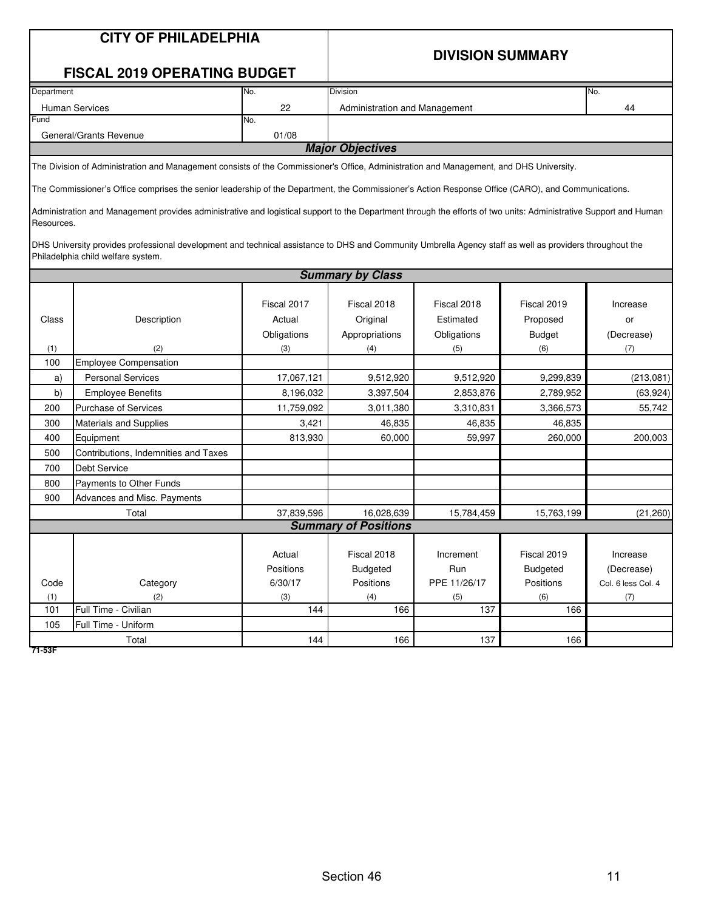#### **DIVISION SUMMARY**

### **FISCAL 2019 OPERATING BUDGET**

| Department              | INo.  | <b>Division</b>               | No. |  |  |  |  |
|-------------------------|-------|-------------------------------|-----|--|--|--|--|
| <b>Human Services</b>   | 22    | Administration and Management | 44  |  |  |  |  |
| Fund                    | INo.  |                               |     |  |  |  |  |
| General/Grants Revenue  | 01/08 |                               |     |  |  |  |  |
| <b>Major Objectives</b> |       |                               |     |  |  |  |  |

The Division of Administration and Management consists of the Commissioner's Office, Administration and Management, and DHS University.

The Commissioner's Office comprises the senior leadership of the Department, the Commissioner's Action Response Office (CARO), and Communications.

Administration and Management provides administrative and logistical support to the Department through the efforts of two units: Administrative Support and Human Resources.

DHS University provides professional development and technical assistance to DHS and Community Umbrella Agency staff as well as providers throughout the Philadelphia child welfare system.

|       |                                      |             | <b>Summary by Class</b>     |                              |                 |                    |
|-------|--------------------------------------|-------------|-----------------------------|------------------------------|-----------------|--------------------|
|       |                                      |             |                             |                              |                 |                    |
|       |                                      | Fiscal 2017 | Fiscal 2018                 | Fiscal 2018                  | Fiscal 2019     | Increase           |
| Class | Description                          | Actual      | Original                    | Estimated<br>Proposed        |                 | or                 |
|       |                                      | Obligations | Appropriations              | Obligations<br><b>Budget</b> |                 | (Decrease)         |
| (1)   | (2)                                  | (3)         | (4)                         | (5)                          | (6)             | (7)                |
| 100   | <b>Employee Compensation</b>         |             |                             |                              |                 |                    |
| a)    | <b>Personal Services</b>             | 17,067,121  | 9,512,920                   | 9,512,920                    | 9,299,839       | (213, 081)         |
| b)    | <b>Employee Benefits</b>             | 8,196,032   | 3,397,504                   | 2,853,876                    | 2,789,952       | (63, 924)          |
| 200   | <b>Purchase of Services</b>          | 11,759,092  | 3,011,380                   | 3,310,831                    | 3,366,573       | 55,742             |
| 300   | <b>Materials and Supplies</b>        | 3,421       | 46,835                      | 46,835                       | 46,835          |                    |
| 400   | Equipment                            | 813,930     | 60,000                      | 59,997                       | 260,000         | 200,003            |
| 500   | Contributions, Indemnities and Taxes |             |                             |                              |                 |                    |
| 700   | <b>Debt Service</b>                  |             |                             |                              |                 |                    |
| 800   | Payments to Other Funds              |             |                             |                              |                 |                    |
| 900   | Advances and Misc. Payments          |             |                             |                              |                 |                    |
|       | Total                                | 37,839,596  | 16,028,639                  | 15,784,459                   | 15,763,199      | (21, 260)          |
|       |                                      |             | <b>Summary of Positions</b> |                              |                 |                    |
|       |                                      |             |                             |                              |                 |                    |
|       |                                      | Actual      | Fiscal 2018                 | Increment                    | Fiscal 2019     | Increase           |
|       |                                      | Positions   | <b>Budgeted</b>             | Run                          | <b>Budgeted</b> | (Decrease)         |
| Code  | Category                             | 6/30/17     | Positions                   | PPE 11/26/17                 | Positions       | Col. 6 less Col. 4 |
| (1)   | (2)                                  | (3)         | (4)                         | (5)                          | (6)             | (7)                |
| 101   | Full Time - Civilian                 | 144         | 166                         | 137                          | 166             |                    |
| 105   | Full Time - Uniform                  |             |                             |                              |                 |                    |
|       | Total                                | 144         | 166                         | 137                          | 166             |                    |

**71-53F**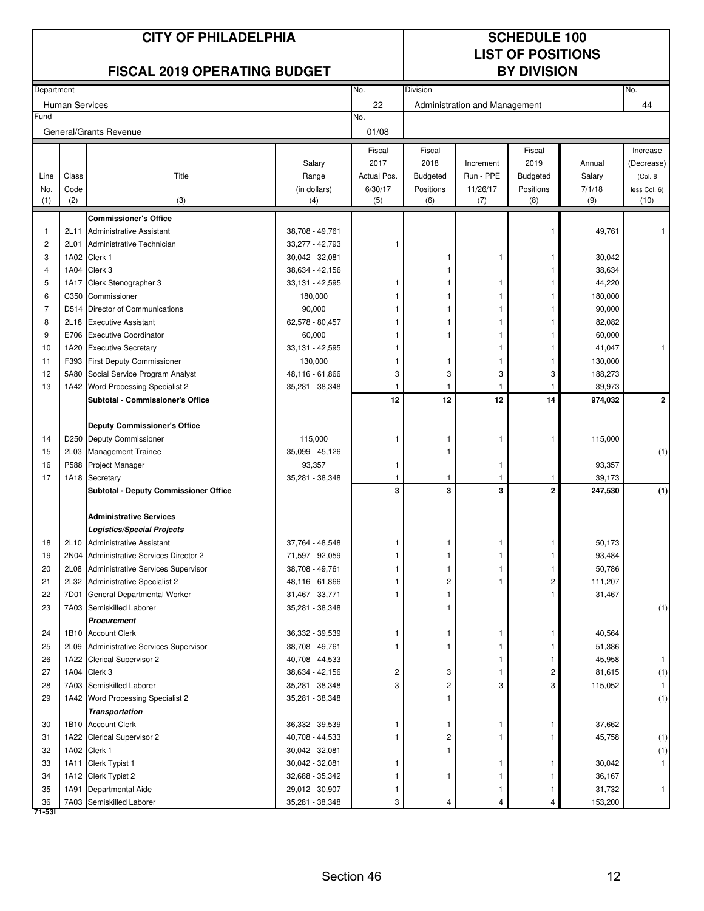|            |                       | <b>CITY OF PHILADELPHIA</b><br><b>FISCAL 2019 OPERATING BUDGET</b>       |                                    |              | <b>SCHEDULE 100</b><br><b>LIST OF POSITIONS</b><br><b>BY DIVISION</b> |                               |                 |                   |                |
|------------|-----------------------|--------------------------------------------------------------------------|------------------------------------|--------------|-----------------------------------------------------------------------|-------------------------------|-----------------|-------------------|----------------|
| Department |                       |                                                                          |                                    | No.          | <b>Division</b>                                                       |                               |                 |                   | No.            |
|            | <b>Human Services</b> |                                                                          |                                    | 22           |                                                                       | Administration and Management |                 |                   | 44             |
| Fund       |                       | General/Grants Revenue                                                   |                                    | No.<br>01/08 |                                                                       |                               |                 |                   |                |
|            |                       |                                                                          |                                    | Fiscal       | Fiscal                                                                |                               | Fiscal          |                   | Increase       |
|            |                       |                                                                          | Salary                             | 2017         | 2018                                                                  | Increment                     | 2019            | Annual            | (Decrease)     |
| Line       | Class                 | Title                                                                    | Range                              | Actual Pos.  | <b>Budgeted</b>                                                       | Run - PPE                     | <b>Budgeted</b> | Salary            | (Col. 8)       |
| No.        | Code                  |                                                                          | (in dollars)                       | 6/30/17      | Positions                                                             | 11/26/17                      | Positions       | 7/1/18            | less Col. 6)   |
| (1)        | (2)                   | (3)                                                                      | (4)                                | (5)          | (6)                                                                   | (7)                           | (8)             | (9)               | (10)           |
|            |                       | <b>Commissioner's Office</b>                                             |                                    |              |                                                                       |                               |                 |                   |                |
| -1         | 2L11                  | <b>Administrative Assistant</b>                                          | 38,708 - 49,761                    |              |                                                                       |                               |                 | 49,761            |                |
| 2          | 2L01                  | Administrative Technician                                                | 33,277 - 42,793                    | 1            |                                                                       |                               |                 |                   |                |
| 3          |                       | 1A02 Clerk 1                                                             | 30,042 - 32,081                    |              |                                                                       |                               |                 | 30,042            |                |
| 4          |                       | 1A04 Clerk 3                                                             | 38,634 - 42,156                    |              |                                                                       |                               |                 | 38,634            |                |
| 5          | 1A17                  | Clerk Stenographer 3                                                     | 33,131 - 42,595                    | 1            |                                                                       |                               |                 | 44,220            |                |
| 6          | C350                  | Commissioner                                                             | 180,000                            |              |                                                                       |                               |                 | 180,000           |                |
| 7          | D514                  | Director of Communications                                               | 90,000                             |              |                                                                       |                               |                 | 90,000            |                |
| 8          | 2L18                  | <b>Executive Assistant</b>                                               | 62,578 - 80,457                    |              |                                                                       |                               |                 | 82,082            |                |
| 9          |                       | E706 Executive Coordinator                                               | 60,000                             |              |                                                                       |                               |                 | 60,000            |                |
| 10         |                       | 1A20 Executive Secretary                                                 | 33,131 - 42,595                    |              |                                                                       |                               |                 | 41,047            | 1              |
| 11         |                       | F393 First Deputy Commissioner                                           | 130,000                            |              |                                                                       |                               |                 | 130,000           |                |
| 12<br>13   |                       | 5A80 Social Service Program Analyst<br>1A42 Word Processing Specialist 2 | 48,116 - 61,866                    | 3<br>1       | 3<br>1                                                                | 3                             | 3               | 188,273<br>39,973 |                |
|            |                       | Subtotal - Commissioner's Office                                         | 35,281 - 38,348                    | 12           | 12                                                                    | 12                            | 14              | 974,032           | $\mathbf{2}$   |
|            |                       |                                                                          |                                    |              |                                                                       |                               |                 |                   |                |
|            |                       | <b>Deputy Commissioner's Office</b>                                      |                                    |              |                                                                       |                               |                 |                   |                |
| 14         |                       | D250 Deputy Commissioner                                                 | 115,000                            | 1            | -1                                                                    |                               |                 | 115,000           |                |
| 15         |                       | 2L03 Management Trainee                                                  | 35,099 - 45,126                    |              | 1                                                                     |                               |                 |                   | (1)            |
| 16         |                       | P588 Project Manager                                                     | 93,357                             | 1            |                                                                       | 1                             |                 | 93,357            |                |
| 17         |                       | 1A18 Secretary                                                           | 35,281 - 38,348                    | 1            | 1                                                                     | 1                             | 1               | 39,173            |                |
|            |                       | Subtotal - Deputy Commissioner Office                                    |                                    | 3            | 3                                                                     | 3                             | $\mathbf{2}$    | 247,530           | (1)            |
|            |                       | <b>Administrative Services</b>                                           |                                    |              |                                                                       |                               |                 |                   |                |
|            |                       | Logistics/Special Projects                                               |                                    |              |                                                                       |                               |                 |                   |                |
| 18         |                       | 2L10 Administrative Assistant                                            | 37,764 - 48,548                    | 1            | 1                                                                     | 1                             | 1               | 50.173            |                |
| 19         |                       | 2N04 Administrative Services Director 2                                  | 71,597 - 92,059                    |              |                                                                       |                               |                 | 93,484            |                |
| 20         |                       | 2L08 Administrative Services Supervisor                                  | 38,708 - 49,761                    |              |                                                                       |                               |                 | 50,786            |                |
| 21         |                       | 2L32 Administrative Specialist 2                                         | 48,116 - 61,866                    |              | 2                                                                     |                               | 2               | 111,207           |                |
| 22         | 7D01                  | General Departmental Worker                                              | 31,467 - 33,771                    |              |                                                                       |                               |                 | 31,467            |                |
| 23         |                       | 7A03 Semiskilled Laborer                                                 | 35,281 - 38,348                    |              |                                                                       |                               |                 |                   | (1)            |
|            |                       | Procurement                                                              |                                    |              |                                                                       |                               |                 |                   |                |
| 24         |                       | 1B10 Account Clerk                                                       | 36,332 - 39,539                    |              |                                                                       |                               |                 | 40,564            |                |
| 25         | 2L09                  | Administrative Services Supervisor                                       | 38,708 - 49,761                    |              |                                                                       |                               |                 | 51,386            |                |
| 26         |                       | 1A22 Clerical Supervisor 2                                               | 40,708 - 44,533                    |              |                                                                       |                               |                 | 45,958            | 1              |
| 27         |                       | 1A04 Clerk 3                                                             | 38,634 - 42,156                    | 2            | 3                                                                     |                               | 2               | 81,615            | (1)            |
| 28         |                       | 7A03 Semiskilled Laborer                                                 | 35,281 - 38,348                    | 3            | $\overline{\mathbf{c}}$                                               | 3                             | 3               | 115,052           | 1 <sup>1</sup> |
| 29         |                       | 1A42 Word Processing Specialist 2                                        | 35,281 - 38,348                    |              |                                                                       |                               |                 |                   | (1)            |
|            |                       | <b>Transportation</b>                                                    |                                    |              |                                                                       |                               |                 |                   |                |
| 30<br>31   |                       | 1B10 Account Clerk<br>1A22 Clerical Supervisor 2                         | 36,332 - 39,539                    |              | 1<br>2                                                                |                               |                 | 37,662<br>45,758  |                |
| 32         |                       | 1A02 Clerk 1                                                             | 40,708 - 44,533<br>30,042 - 32,081 |              |                                                                       |                               |                 |                   | (1)<br>(1)     |
| 33         |                       | 1A11 Clerk Typist 1                                                      | 30,042 - 32,081                    |              |                                                                       |                               |                 | 30,042            | 1.             |
| 34         |                       | 1A12 Clerk Typist 2                                                      | 32,688 - 35,342                    |              | 1                                                                     |                               |                 | 36,167            |                |
| 35         |                       | 1A91 Departmental Aide                                                   | 29,012 - 30,907                    | 1            |                                                                       |                               |                 | 31,732            | 1 <sub>1</sub> |
| 36         |                       | 7A03 Semiskilled Laborer                                                 | 35,281 - 38,348                    | 3            | 4                                                                     |                               |                 | 153,200           |                |
| 71-531     |                       |                                                                          |                                    |              |                                                                       |                               |                 |                   |                |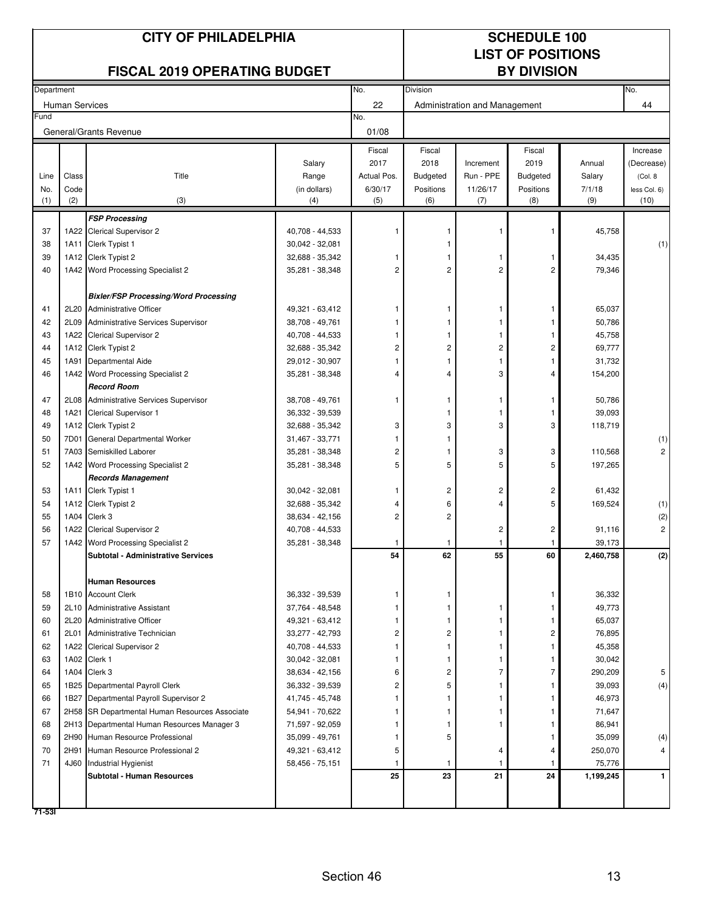|            |                       | <b>CITY OF PHILADELPHIA</b>                                                    |                 |                |                 | <b>SCHEDULE 100</b><br><b>LIST OF POSITIONS</b> |                    |                     |                |
|------------|-----------------------|--------------------------------------------------------------------------------|-----------------|----------------|-----------------|-------------------------------------------------|--------------------|---------------------|----------------|
|            |                       | <b>FISCAL 2019 OPERATING BUDGET</b>                                            |                 |                |                 |                                                 | <b>BY DIVISION</b> |                     |                |
| Department |                       |                                                                                |                 | No.            | <b>Division</b> |                                                 |                    |                     | No.            |
|            | <b>Human Services</b> |                                                                                |                 | 22             |                 | Administration and Management                   |                    |                     | 44             |
| Fund       |                       | General/Grants Revenue                                                         |                 | No.<br>01/08   |                 |                                                 |                    |                     |                |
|            |                       |                                                                                |                 | Fiscal         | Fiscal          |                                                 | Fiscal             |                     | Increase       |
|            |                       |                                                                                | Salary          | 2017           | 2018            | Increment                                       | 2019               | Annual              | (Decrease)     |
| Line       | Class                 | Title                                                                          | Range           | Actual Pos.    | <b>Budgeted</b> | Run - PPE                                       | <b>Budgeted</b>    | Salary              | (Col. 8)       |
| No.        | Code                  |                                                                                | (in dollars)    | 6/30/17        | Positions       | 11/26/17                                        | Positions          | 7/1/18              | less Col. 6)   |
| (1)        | (2)                   | (3)                                                                            | (4)             | (5)            | (6)             | (7)                                             | (8)                | (9)                 | (10)           |
|            |                       | <b>FSP Processing</b>                                                          |                 |                |                 |                                                 |                    |                     |                |
| 37         |                       | 1A22 Clerical Supervisor 2                                                     | 40,708 - 44,533 | 1              |                 |                                                 |                    | 45,758              |                |
| 38         |                       | 1A11 Clerk Typist 1                                                            | 30,042 - 32,081 |                |                 |                                                 |                    |                     | (1)            |
| 39         |                       | 1A12 Clerk Typist 2                                                            | 32,688 - 35,342 | -1             |                 |                                                 | 1                  | 34,435              |                |
| 40         |                       | 1A42 Word Processing Specialist 2                                              | 35,281 - 38,348 | 2              | 2               | $\overline{2}$                                  | $\overline{c}$     | 79,346              |                |
|            |                       | <b>Bixler/FSP Processing/Word Processing</b>                                   |                 |                |                 |                                                 |                    |                     |                |
| 41         |                       | 2L20 Administrative Officer                                                    | 49,321 - 63,412 | 1              | 1               |                                                 | 1                  | 65,037              |                |
| 42         | 2L09                  | Administrative Services Supervisor                                             | 38,708 - 49,761 |                |                 |                                                 |                    | 50,786              |                |
| 43         | 1A22                  | <b>Clerical Supervisor 2</b>                                                   | 40,708 - 44,533 |                |                 |                                                 |                    | 45,758              |                |
| 44         |                       | 1A12 Clerk Typist 2                                                            | 32,688 - 35,342 | 2              | 2               | 2                                               | $\overline{c}$     | 69,777              |                |
| 45         |                       | 1A91 Departmental Aide                                                         | 29,012 - 30,907 |                |                 |                                                 |                    | 31,732              |                |
| 46         |                       | 1A42 Word Processing Specialist 2                                              | 35,281 - 38,348 | 4              | 4               | 3                                               | 4                  | 154,200             |                |
|            |                       | <b>Record Room</b>                                                             |                 |                |                 |                                                 |                    |                     |                |
| 47         |                       | 2L08 Administrative Services Supervisor                                        | 38,708 - 49,761 | 1              |                 |                                                 | 1                  | 50,786              |                |
| 48         | 1A21                  | Clerical Supervisor 1                                                          | 36,332 - 39,539 |                |                 |                                                 | 1                  | 39,093              |                |
| 49         |                       | 1A12 Clerk Typist 2                                                            | 32,688 - 35,342 | 3              | 3               | 3                                               | 3                  | 118,719             |                |
| 50         | 7D01                  | General Departmental Worker                                                    | 31,467 - 33,771 |                |                 |                                                 |                    |                     | (1)            |
| 51         |                       | 7A03 Semiskilled Laborer                                                       | 35,281 - 38,348 | 2              |                 | 3                                               | 3                  | 110,568             | $\overline{2}$ |
| 52         |                       | 1A42 Word Processing Specialist 2                                              | 35,281 - 38,348 | 5              | 5               | 5                                               | 5                  | 197,265             |                |
|            |                       | <b>Records Management</b>                                                      |                 |                |                 |                                                 |                    |                     |                |
| 53         |                       | 1A11 Clerk Typist 1                                                            | 30,042 - 32,081 |                | 2               | 2                                               | 2                  | 61,432              |                |
| 54         |                       | 1A12 Clerk Typist 2                                                            | 32,688 - 35,342 |                | 6               | 4                                               | 5                  | 169,524             | (1)            |
| 55         |                       | 1A04 Clerk 3                                                                   | 38,634 - 42,156 | $\overline{2}$ | $\overline{2}$  |                                                 |                    |                     | (2)            |
| 56         |                       | 1A22 Clerical Supervisor 2                                                     | 40,708 - 44,533 |                |                 | 2                                               | 2                  | 91,116              | $\overline{c}$ |
| 57         |                       | 1A42 Word Processing Specialist 2<br><b>Subtotal - Administrative Services</b> | 35,281 - 38,348 | 1<br>54        | 1<br>62         | 55                                              | 60                 | 39,173<br>2,460,758 |                |
|            |                       |                                                                                |                 |                |                 |                                                 |                    |                     | (2)            |
|            |                       | <b>Human Resources</b>                                                         |                 |                |                 |                                                 |                    |                     |                |
| 58         |                       | 1B10 Account Clerk                                                             | 36,332 - 39,539 | 1              | 1               |                                                 | -1                 | 36,332              |                |
| 59         |                       | 2L10 Administrative Assistant                                                  | 37,764 - 48,548 |                |                 | 1                                               |                    | 49,773              |                |
| 60         |                       | 2L20 Administrative Officer                                                    | 49,321 - 63,412 |                | 1               |                                                 | 1                  | 65,037              |                |
| 61         | 2L01                  | Administrative Technician                                                      | 33,277 - 42,793 | 2              | 2               |                                                 | 2                  | 76,895              |                |
| 62         |                       | 1A22 Clerical Supervisor 2                                                     | 40,708 - 44,533 |                |                 |                                                 |                    | 45,358              |                |
| 63         |                       | 1A02 Clerk 1                                                                   | 30,042 - 32,081 |                |                 |                                                 |                    | 30,042              |                |
| 64         |                       | 1A04 Clerk 3                                                                   | 38,634 - 42,156 | 6              | 2               |                                                 | 7                  | 290,209             | 5              |
| 65         |                       | 1B25 Departmental Payroll Clerk                                                | 36,332 - 39,539 | 2              | 5               |                                                 |                    | 39,093              | (4)            |
| 66         |                       | 1B27 Departmental Payroll Supervisor 2                                         | 41,745 - 45,748 |                |                 |                                                 |                    | 46,973              |                |
| 67         |                       | 2H58 SR Departmental Human Resources Associate                                 | 54,941 - 70,622 |                |                 |                                                 |                    | 71,647              |                |
| 68         |                       | 2H13 Departmental Human Resources Manager 3                                    | 71,597 - 92,059 |                |                 |                                                 |                    | 86,941              |                |
| 69         |                       | 2H90 Human Resource Professional                                               | 35,099 - 49,761 | 1              | 5               |                                                 | 1                  | 35,099              | (4)            |
| 70         |                       | 2H91 Human Resource Professional 2                                             | 49,321 - 63,412 | 5              |                 | 4                                               | 4                  | 250,070             |                |
| 71         | 4J60                  | Industrial Hygienist                                                           | 58,456 - 75,151 |                | -1              |                                                 |                    | 75,776              |                |
|            |                       | Subtotal - Human Resources                                                     |                 | 25             | 23              | 21                                              | 24                 | 1,199,245           | 1              |
|            |                       |                                                                                |                 |                |                 |                                                 |                    |                     |                |
| 71-531     |                       |                                                                                |                 |                |                 |                                                 |                    |                     |                |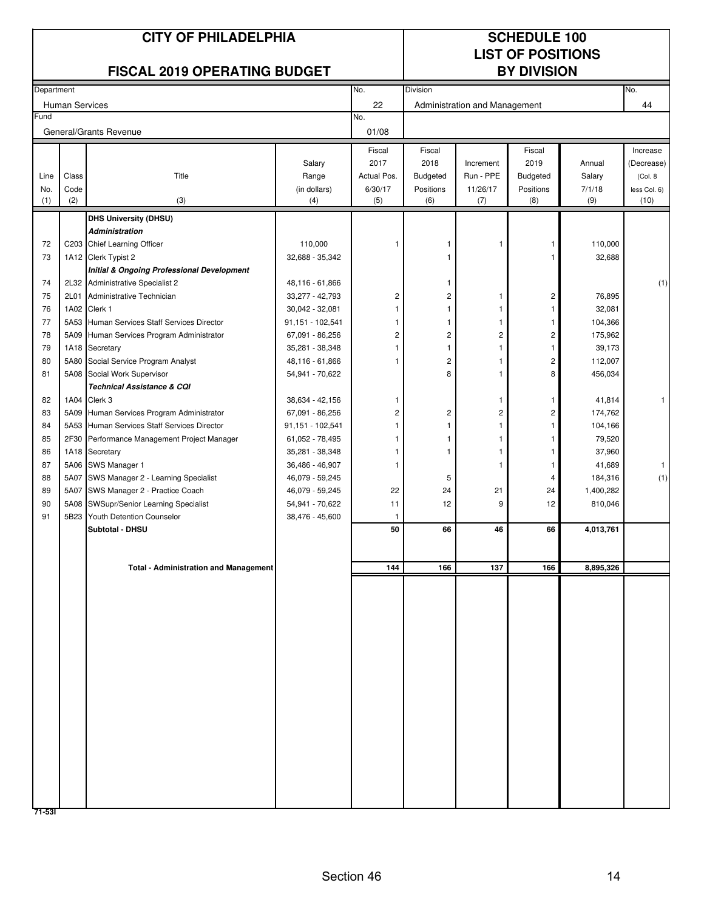|             | <b>CITY OF PHILADELPHIA</b><br><b>FISCAL 2019 OPERATING BUDGET</b> |                                                                                           |                                    |                        | <b>SCHEDULE 100</b><br><b>LIST OF POSITIONS</b><br><b>BY DIVISION</b> |                               |                              |                      |                         |
|-------------|--------------------------------------------------------------------|-------------------------------------------------------------------------------------------|------------------------------------|------------------------|-----------------------------------------------------------------------|-------------------------------|------------------------------|----------------------|-------------------------|
| Department  |                                                                    |                                                                                           |                                    | No.                    | Division                                                              |                               |                              |                      | No.                     |
|             | <b>Human Services</b>                                              |                                                                                           |                                    | 22                     |                                                                       | Administration and Management |                              |                      | 44                      |
| Fund        |                                                                    |                                                                                           |                                    | No.                    |                                                                       |                               |                              |                      |                         |
|             |                                                                    | General/Grants Revenue                                                                    |                                    | 01/08                  |                                                                       |                               |                              |                      |                         |
|             |                                                                    |                                                                                           |                                    | Fiscal                 | Fiscal                                                                |                               | Fiscal                       |                      | Increase                |
|             |                                                                    |                                                                                           | Salary                             | 2017                   | 2018                                                                  | Increment                     | 2019                         | Annual               | (Decrease)              |
| Line<br>No. | Class<br>Code                                                      | Title                                                                                     | Range<br>(in dollars)              | Actual Pos.<br>6/30/17 | <b>Budgeted</b><br>Positions                                          | Run - PPE<br>11/26/17         | <b>Budgeted</b><br>Positions | Salary<br>7/1/18     | (Col. 8<br>less Col. 6) |
| (1)         | (2)                                                                | (3)                                                                                       | (4)                                | (5)                    | (6)                                                                   | (7)                           | (8)                          | (9)                  | (10)                    |
|             |                                                                    | <b>DHS University (DHSU)</b>                                                              |                                    |                        |                                                                       |                               |                              |                      |                         |
|             |                                                                    | <b>Administration</b>                                                                     |                                    |                        |                                                                       |                               |                              |                      |                         |
| 72          |                                                                    | C203 Chief Learning Officer                                                               | 110,000                            | 1                      |                                                                       | 1                             |                              | 110,000              |                         |
| 73          |                                                                    | 1A12 Clerk Typist 2                                                                       | 32,688 - 35,342                    |                        |                                                                       |                               |                              | 32,688               |                         |
| 74          |                                                                    | <b>Initial &amp; Ongoing Professional Development</b><br>2L32 Administrative Specialist 2 | 48,116 - 61,866                    |                        |                                                                       |                               |                              |                      | (1)                     |
| 75          | 2L01                                                               | Administrative Technician                                                                 | 33,277 - 42,793                    | $\overline{c}$         | 2                                                                     | 1                             | 2                            | 76,895               |                         |
| 76          |                                                                    | 1A02 Clerk 1                                                                              | 30,042 - 32,081                    | -1                     |                                                                       |                               | 1                            | 32,081               |                         |
| 77          |                                                                    | 5A53 Human Services Staff Services Director                                               | 91,151 - 102,541                   |                        |                                                                       |                               |                              | 104,366              |                         |
| 78          |                                                                    | 5A09 Human Services Program Administrator                                                 | 67,091 - 86,256                    | $\overline{c}$         | 2                                                                     | 2                             | 2                            | 175,962              |                         |
| 79          |                                                                    | 1A18 Secretary                                                                            | 35,281 - 38,348                    | -1                     |                                                                       |                               | 1                            | 39,173               |                         |
| 80          |                                                                    | 5A80 Social Service Program Analyst                                                       | 48,116 - 61,866                    | -1                     | 2                                                                     |                               | 2                            | 112,007              |                         |
| 81          |                                                                    | 5A08 Social Work Supervisor                                                               | 54,941 - 70,622                    |                        | 8                                                                     |                               | 8                            | 456,034              |                         |
| 82          |                                                                    | <b>Technical Assistance &amp; CQI</b><br>1A04 Clerk 3                                     | 38,634 - 42,156                    | 1                      |                                                                       | 1                             | 1                            | 41,814               | 1                       |
| 83          |                                                                    | 5A09 Human Services Program Administrator                                                 | 67,091 - 86,256                    | $\overline{c}$         | $\overline{c}$                                                        | 2                             | 2                            | 174,762              |                         |
| 84          |                                                                    | 5A53 Human Services Staff Services Director                                               | 91,151 - 102,541                   | -1                     |                                                                       |                               |                              | 104,166              |                         |
| 85          |                                                                    | 2F30 Performance Management Project Manager                                               | 61,052 - 78,495                    | 1                      |                                                                       |                               |                              | 79,520               |                         |
| 86          |                                                                    | 1A18 Secretary                                                                            | 35,281 - 38,348                    | -1                     |                                                                       |                               | 1                            | 37,960               |                         |
| 87          |                                                                    | 5A06 SWS Manager 1                                                                        | 36,486 - 46,907                    | 1                      |                                                                       |                               | 1                            | 41,689               | 1                       |
| 88          | 5A07                                                               | SWS Manager 2 - Learning Specialist                                                       | 46,079 - 59,245                    |                        | 5                                                                     |                               | 4                            | 184,316              | (1)                     |
| 89<br>90    | 5A07                                                               | SWS Manager 2 - Practice Coach                                                            | 46,079 - 59,245                    | 22                     | 24                                                                    | 21<br>9                       | 24                           | 1,400,282<br>810,046 |                         |
| 91          |                                                                    | 5A08 SWSupr/Senior Learning Specialist<br>5B23 Youth Detention Counselor                  | 54,941 - 70,622<br>38,476 - 45,600 | 11<br>1                | 12                                                                    |                               | 12                           |                      |                         |
|             |                                                                    | Subtotal - DHSU                                                                           |                                    | 50                     | 66                                                                    | 46                            | 66                           | 4,013,761            |                         |
|             |                                                                    |                                                                                           |                                    |                        |                                                                       |                               |                              |                      |                         |
|             |                                                                    | <b>Total - Administration and Management</b>                                              |                                    | 144                    | 166                                                                   | 137                           | 166                          | 8,895,326            |                         |
|             |                                                                    |                                                                                           |                                    |                        |                                                                       |                               |                              |                      |                         |
|             |                                                                    |                                                                                           |                                    |                        |                                                                       |                               |                              |                      |                         |
|             |                                                                    |                                                                                           |                                    |                        |                                                                       |                               |                              |                      |                         |
|             |                                                                    |                                                                                           |                                    |                        |                                                                       |                               |                              |                      |                         |
|             |                                                                    |                                                                                           |                                    |                        |                                                                       |                               |                              |                      |                         |
|             |                                                                    |                                                                                           |                                    |                        |                                                                       |                               |                              |                      |                         |
|             |                                                                    |                                                                                           |                                    |                        |                                                                       |                               |                              |                      |                         |
|             |                                                                    |                                                                                           |                                    |                        |                                                                       |                               |                              |                      |                         |
|             |                                                                    |                                                                                           |                                    |                        |                                                                       |                               |                              |                      |                         |
|             |                                                                    |                                                                                           |                                    |                        |                                                                       |                               |                              |                      |                         |
|             |                                                                    |                                                                                           |                                    |                        |                                                                       |                               |                              |                      |                         |
|             |                                                                    |                                                                                           |                                    |                        |                                                                       |                               |                              |                      |                         |
|             |                                                                    |                                                                                           |                                    |                        |                                                                       |                               |                              |                      |                         |
|             |                                                                    |                                                                                           |                                    |                        |                                                                       |                               |                              |                      |                         |
|             |                                                                    |                                                                                           |                                    |                        |                                                                       |                               |                              |                      |                         |
|             |                                                                    |                                                                                           |                                    |                        |                                                                       |                               |                              |                      |                         |
| $71 - 531$  |                                                                    |                                                                                           |                                    |                        |                                                                       |                               |                              |                      |                         |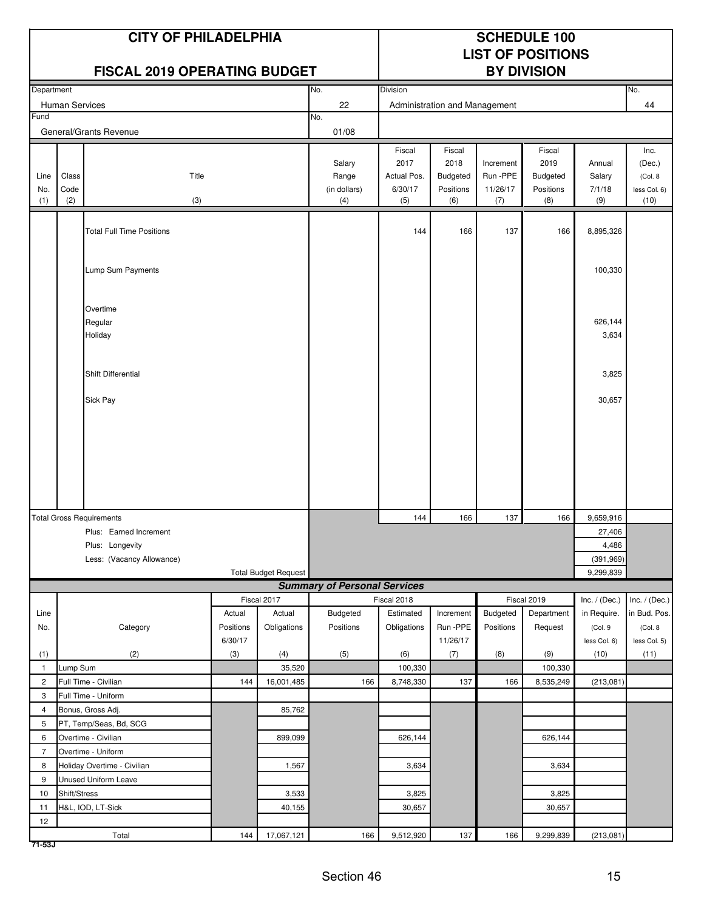|                |                | <b>CITY OF PHILADELPHIA</b><br><b>FISCAL 2019 OPERATING BUDGET</b> |                      |                             |                                     | <b>SCHEDULE 100</b><br><b>LIST OF POSITIONS</b><br><b>BY DIVISION</b> |                                                |                                   |                                         |                            |                                            |
|----------------|----------------|--------------------------------------------------------------------|----------------------|-----------------------------|-------------------------------------|-----------------------------------------------------------------------|------------------------------------------------|-----------------------------------|-----------------------------------------|----------------------------|--------------------------------------------|
| Department     |                |                                                                    |                      |                             | No.                                 | Division                                                              |                                                |                                   |                                         |                            | No.                                        |
|                | Human Services |                                                                    |                      |                             | 22                                  |                                                                       | Administration and Management                  |                                   |                                         |                            | 44                                         |
| Fund           |                |                                                                    |                      |                             | No.                                 |                                                                       |                                                |                                   |                                         |                            |                                            |
|                |                | General/Grants Revenue                                             |                      |                             | 01/08                               |                                                                       |                                                |                                   |                                         |                            |                                            |
| Line<br>No.    | Class<br>Code  | Title                                                              |                      |                             | Salary<br>Range<br>(in dollars)     | Fiscal<br>2017<br>Actual Pos.<br>6/30/17                              | Fiscal<br>2018<br><b>Budgeted</b><br>Positions | Increment<br>Run -PPE<br>11/26/17 | Fiscal<br>2019<br>Budgeted<br>Positions | Annual<br>Salary<br>7/1/18 | Inc.<br>(Dec.)<br>(Col. 8)<br>less Col. 6) |
| (1)            | (2)            | (3)                                                                |                      |                             | (4)                                 | (5)                                                                   | (6)                                            | (7)                               | (8)                                     | (9)                        | (10)                                       |
|                |                | <b>Total Full Time Positions</b>                                   |                      |                             |                                     | 144                                                                   | 166                                            | 137                               | 166                                     | 8,895,326                  |                                            |
|                |                | Lump Sum Payments                                                  |                      |                             |                                     |                                                                       |                                                |                                   |                                         | 100,330                    |                                            |
|                |                | Overtime<br>Regular<br>Holiday                                     |                      |                             |                                     |                                                                       |                                                |                                   |                                         | 626,144<br>3,634           |                                            |
|                |                | <b>Shift Differential</b>                                          |                      |                             |                                     |                                                                       |                                                |                                   |                                         | 3,825                      |                                            |
|                |                | Sick Pay                                                           |                      |                             |                                     |                                                                       |                                                |                                   |                                         | 30,657                     |                                            |
|                |                |                                                                    |                      |                             |                                     |                                                                       |                                                |                                   |                                         |                            |                                            |
|                |                | <b>Total Gross Requirements</b>                                    |                      |                             |                                     | 144                                                                   | 166                                            | 137                               | 166                                     | 9,659,916                  |                                            |
|                |                | Plus: Earned Increment                                             |                      |                             |                                     |                                                                       |                                                |                                   |                                         | 27,406                     |                                            |
|                |                | Plus: Longevity                                                    |                      |                             |                                     |                                                                       |                                                |                                   |                                         | 4,486                      |                                            |
|                |                | Less: (Vacancy Allowance)                                          |                      | <b>Total Budget Request</b> |                                     |                                                                       |                                                |                                   |                                         | (391, 969)<br>9,299,839    |                                            |
|                |                |                                                                    |                      |                             | <b>Summary of Personal Services</b> |                                                                       |                                                |                                   |                                         |                            |                                            |
|                |                |                                                                    |                      | Fiscal 2017                 |                                     | Fiscal 2018                                                           |                                                |                                   | Fiscal 2019                             | Inc. $/$ (Dec.)            | Inc. $/$ (Dec.)                            |
| Line           |                |                                                                    | Actual               | Actual                      | Budgeted                            | Estimated                                                             | Increment                                      | Budgeted                          | Department                              | in Require.                | in Bud. Pos.                               |
| No.            |                | Category                                                           | Positions<br>6/30/17 | Obligations                 | Positions                           | Obligations                                                           | Run -PPE<br>11/26/17                           | Positions                         | Request                                 | (Col. 9<br>less Col. 6)    | (Col. 8<br>less Col. 5)                    |
| (1)            |                | (2)                                                                | (3)                  | (4)                         | (5)                                 | (6)                                                                   | (7)                                            | (8)                               | (9)                                     | (10)                       | (11)                                       |
| $\mathbf{1}$   | Lump Sum       |                                                                    |                      | 35,520                      |                                     | 100,330                                                               |                                                |                                   | 100,330                                 |                            |                                            |
| $\overline{2}$ |                | Full Time - Civilian                                               | 144                  | 16,001,485                  | 166                                 | 8,748,330                                                             | 137                                            | 166                               | 8,535,249                               | (213,081)                  |                                            |
| 3              |                | Full Time - Uniform                                                |                      |                             |                                     |                                                                       |                                                |                                   |                                         |                            |                                            |
| $\overline{4}$ |                | Bonus, Gross Adj.                                                  |                      | 85,762                      |                                     |                                                                       |                                                |                                   |                                         |                            |                                            |
| 5              |                | PT, Temp/Seas, Bd, SCG                                             |                      |                             |                                     |                                                                       |                                                |                                   |                                         |                            |                                            |
| 6              |                | Overtime - Civilian                                                |                      | 899,099                     |                                     | 626,144                                                               |                                                |                                   | 626,144                                 |                            |                                            |
| $\overline{7}$ |                | Overtime - Uniform                                                 |                      |                             |                                     |                                                                       |                                                |                                   |                                         |                            |                                            |
| 8              |                | Holiday Overtime - Civilian                                        |                      | 1,567                       |                                     | 3,634                                                                 |                                                |                                   | 3,634                                   |                            |                                            |
| 9              |                | Unused Uniform Leave                                               |                      |                             |                                     |                                                                       |                                                |                                   |                                         |                            |                                            |
| 10             | Shift/Stress   |                                                                    |                      | 3,533                       |                                     | 3,825                                                                 |                                                |                                   | 3,825                                   |                            |                                            |
| 11             |                | H&L, IOD, LT-Sick                                                  |                      | 40,155                      |                                     | 30,657                                                                |                                                |                                   | 30,657                                  |                            |                                            |
| 12             |                | Total                                                              | 144                  | 17,067,121                  | 166                                 | 9,512,920                                                             | 137                                            | 166                               | 9,299,839                               | (213,081)                  |                                            |

**71-53J**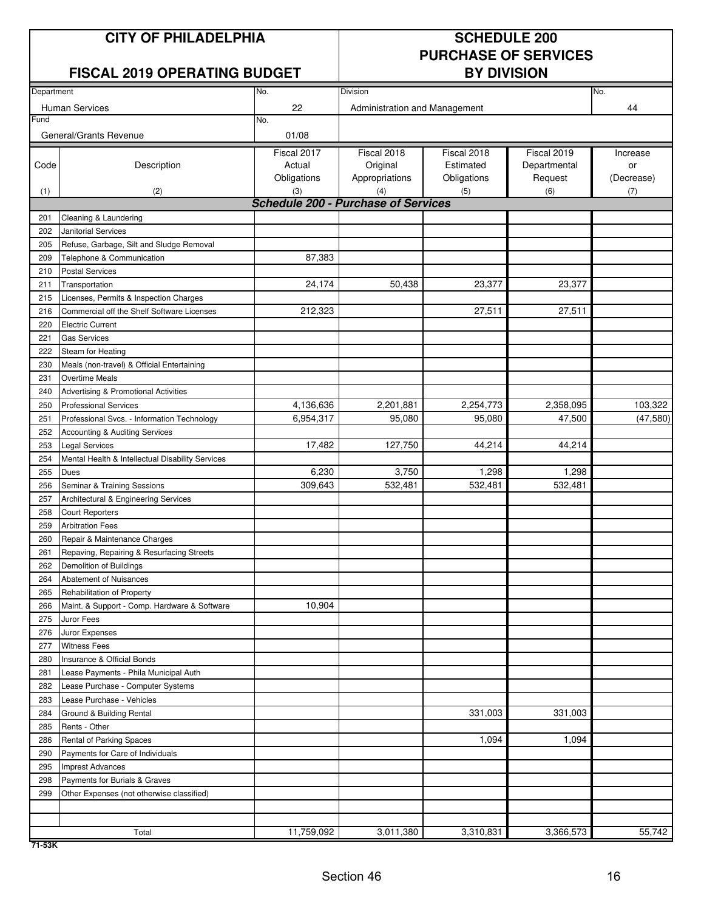## **CITY OF PHILADELPHIA** SCHEDULE 200

## **FISCAL 2019 OPERATING BUDGET**

# **PURCHASE OF SERVICES**

| Department |                                                  | No.                                        | No.                           |             |              |            |
|------------|--------------------------------------------------|--------------------------------------------|-------------------------------|-------------|--------------|------------|
|            |                                                  |                                            | Division                      |             |              |            |
|            | <b>Human Services</b>                            | 22                                         | Administration and Management |             |              | 44         |
| Fund       |                                                  | No.                                        |                               |             |              |            |
|            | General/Grants Revenue                           | 01/08                                      |                               |             |              |            |
|            |                                                  | Fiscal 2017                                | Fiscal 2018                   | Fiscal 2018 | Fiscal 2019  | Increase   |
| Code       | Description                                      | Actual                                     | Original                      | Estimated   | Departmental | or         |
|            |                                                  | Obligations                                | Appropriations                | Obligations | Request      | (Decrease) |
| (1)        | (2)                                              | (3)                                        | (4)                           | (5)         | (6)          | (7)        |
|            |                                                  | <b>Schedule 200 - Purchase of Services</b> |                               |             |              |            |
| 201        | Cleaning & Laundering                            |                                            |                               |             |              |            |
| 202        | Janitorial Services                              |                                            |                               |             |              |            |
| 205        | Refuse, Garbage, Silt and Sludge Removal         |                                            |                               |             |              |            |
| 209        | Telephone & Communication                        | 87,383                                     |                               |             |              |            |
| 210        | <b>Postal Services</b>                           |                                            |                               |             |              |            |
| 211        | Transportation                                   | 24,174                                     | 50,438                        | 23,377      | 23,377       |            |
| 215        | Licenses, Permits & Inspection Charges           |                                            |                               |             |              |            |
| 216        | Commercial off the Shelf Software Licenses       | 212,323                                    |                               | 27,511      | 27,511       |            |
| 220        | <b>Electric Current</b>                          |                                            |                               |             |              |            |
| 221        | <b>Gas Services</b>                              |                                            |                               |             |              |            |
| 222        | Steam for Heating                                |                                            |                               |             |              |            |
| 230        | Meals (non-travel) & Official Entertaining       |                                            |                               |             |              |            |
| 231        | <b>Overtime Meals</b>                            |                                            |                               |             |              |            |
| 240        | Advertising & Promotional Activities             |                                            |                               |             |              |            |
| 250        | <b>Professional Services</b>                     | 4,136,636                                  | 2,201,881                     | 2,254,773   | 2,358,095    | 103,322    |
| 251        | Professional Svcs. - Information Technology      | 6,954,317                                  | 95,080                        | 95,080      | 47,500       | (47, 580)  |
| 252        | Accounting & Auditing Services                   |                                            |                               |             |              |            |
| 253        | <b>Legal Services</b>                            | 17,482                                     | 127,750                       | 44,214      | 44,214       |            |
| 254        | Mental Health & Intellectual Disability Services |                                            |                               |             |              |            |
| 255        | Dues                                             | 6,230                                      | 3,750                         | 1,298       | 1,298        |            |
| 256        | Seminar & Training Sessions                      | 309,643                                    | 532,481                       | 532,481     | 532,481      |            |
| 257        | Architectural & Engineering Services             |                                            |                               |             |              |            |
| 258        | <b>Court Reporters</b>                           |                                            |                               |             |              |            |
| 259        | <b>Arbitration Fees</b>                          |                                            |                               |             |              |            |
| 260        | Repair & Maintenance Charges                     |                                            |                               |             |              |            |
| 261        | Repaving, Repairing & Resurfacing Streets        |                                            |                               |             |              |            |
| 262        | Demolition of Buildings                          |                                            |                               |             |              |            |
| 264        | Abatement of Nuisances                           |                                            |                               |             |              |            |
| 265        | Rehabilitation of Property                       |                                            |                               |             |              |            |
| 266        | Maint. & Support - Comp. Hardware & Software     | 10,904                                     |                               |             |              |            |
| 275        | Juror Fees                                       |                                            |                               |             |              |            |
| 276        | Juror Expenses                                   |                                            |                               |             |              |            |
| 277        | <b>Witness Fees</b>                              |                                            |                               |             |              |            |
| 280        | Insurance & Official Bonds                       |                                            |                               |             |              |            |
| 281        | Lease Payments - Phila Municipal Auth            |                                            |                               |             |              |            |
| 282        | Lease Purchase - Computer Systems                |                                            |                               |             |              |            |
| 283        | Lease Purchase - Vehicles                        |                                            |                               |             |              |            |
|            |                                                  |                                            |                               | 331,003     | 331,003      |            |
| 284        | Ground & Building Rental                         |                                            |                               |             |              |            |
| 285        | Rents - Other                                    |                                            |                               | 1,094       | 1,094        |            |
| 286        | Rental of Parking Spaces                         |                                            |                               |             |              |            |
| 290        | Payments for Care of Individuals                 |                                            |                               |             |              |            |
| 295        | <b>Imprest Advances</b>                          |                                            |                               |             |              |            |
| 298        | Payments for Burials & Graves                    |                                            |                               |             |              |            |
| 299        | Other Expenses (not otherwise classified)        |                                            |                               |             |              |            |
|            |                                                  |                                            |                               |             |              |            |
|            |                                                  |                                            |                               |             |              | 55,742     |
|            | Total                                            | 11,759,092                                 | 3,011,380                     | 3,310,831   | 3,366,573    |            |

**71-53K**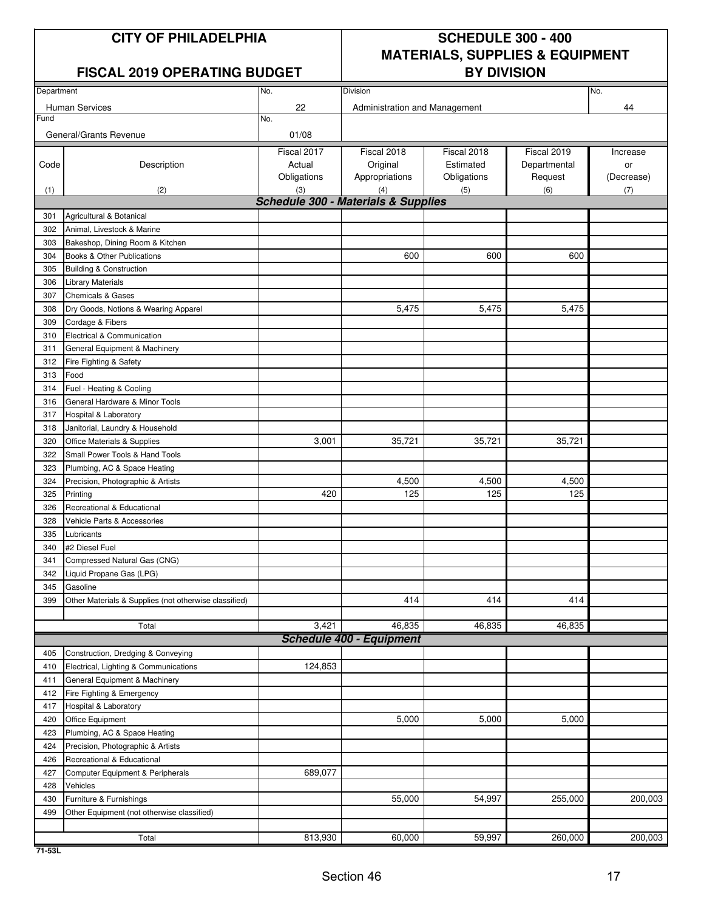### **FISCAL 2019 OPERATING BUDGET**

## **CITY OF PHILADELPHIA SCHEDULE 300 - 400 MATERIALS, SUPPLIES & EQUIPMENT**

| 22<br><b>Human Services</b><br>44<br>Administration and Management<br>Fund<br>No.<br>General/Grants Revenue<br>01/08<br>Fiscal 2017<br>Fiscal 2018<br>Fiscal 2019<br>Fiscal 2018<br>Increase<br>Description<br>Actual<br>Original<br>Estimated<br>Departmental<br>Code<br>or<br>Obligations<br>Appropriations<br>Obligations<br>Request<br>(Decrease)<br>(2)<br>(3)<br>(6)<br>(4)<br>(5)<br>(7)<br>(1)<br><b>Schedule 300 - Materials &amp; Supplies</b><br>301<br>Agricultural & Botanical<br>302<br>Animal, Livestock & Marine<br>303<br>Bakeshop, Dining Room & Kitchen<br>600<br>600<br>600<br>304<br>Books & Other Publications<br>305<br><b>Building &amp; Construction</b><br><b>Library Materials</b><br>306<br>307<br><b>Chemicals &amp; Gases</b><br>5,475<br>5,475<br>5,475<br>308<br>Dry Goods, Notions & Wearing Apparel<br>309<br>Cordage & Fibers<br>Electrical & Communication<br>310<br>General Equipment & Machinery<br>311<br>312<br>Fire Fighting & Safety<br>Food<br>313<br>Fuel - Heating & Cooling<br>314<br>316<br>General Hardware & Minor Tools<br>317<br>Hospital & Laboratory<br>318<br>Janitorial, Laundry & Household<br>35,721<br>35,721<br>320<br>Office Materials & Supplies<br>3,001<br>35,721<br>322<br>Small Power Tools & Hand Tools<br>323<br>Plumbing, AC & Space Heating<br>4,500<br>4,500<br>4,500<br>324<br>Precision, Photographic & Artists<br>420<br>125<br>125<br>125<br>325<br>Printing<br>326<br>Recreational & Educational<br>328<br>Vehicle Parts & Accessories<br>335<br>Lubricants<br>340<br>#2 Diesel Fuel<br>Compressed Natural Gas (CNG)<br>341<br>Liquid Propane Gas (LPG)<br>342<br>345<br>Gasoline<br>414<br>414<br>414<br>399<br>Other Materials & Supplies (not otherwise classified)<br>3,421<br>46,835<br>46,835<br>46,835<br>Total<br><b>Schedule 400 - Equipment</b><br>405<br>Construction, Dredging & Conveying<br>124,853<br>410<br>Electrical, Lighting & Communications<br>General Equipment & Machinery<br>411<br>412<br>Fire Fighting & Emergency<br>417<br>Hospital & Laboratory<br>5,000<br>5,000<br>5,000<br>420<br>Office Equipment<br>423<br>Plumbing, AC & Space Heating<br>424<br>Precision, Photographic & Artists<br>426<br>Recreational & Educational<br>689,077<br>427<br>Computer Equipment & Peripherals<br>428<br>Vehicles<br>Furniture & Furnishings<br>55,000<br>54,997<br>255,000<br>200,003<br>430<br>499<br>Other Equipment (not otherwise classified)<br>59,997<br>813,930<br>60,000<br>260,000<br>200,003<br>Total | Department | No. | Division |  | No. |
|----------------------------------------------------------------------------------------------------------------------------------------------------------------------------------------------------------------------------------------------------------------------------------------------------------------------------------------------------------------------------------------------------------------------------------------------------------------------------------------------------------------------------------------------------------------------------------------------------------------------------------------------------------------------------------------------------------------------------------------------------------------------------------------------------------------------------------------------------------------------------------------------------------------------------------------------------------------------------------------------------------------------------------------------------------------------------------------------------------------------------------------------------------------------------------------------------------------------------------------------------------------------------------------------------------------------------------------------------------------------------------------------------------------------------------------------------------------------------------------------------------------------------------------------------------------------------------------------------------------------------------------------------------------------------------------------------------------------------------------------------------------------------------------------------------------------------------------------------------------------------------------------------------------------------------------------------------------------------------------------------------------------------------------------------------------------------------------------------------------------------------------------------------------------------------------------------------------------------------------------------------------------------------------------------------------------------------------------------------------------------------------------------------------------------------------------------------------------------------------------------------------|------------|-----|----------|--|-----|
|                                                                                                                                                                                                                                                                                                                                                                                                                                                                                                                                                                                                                                                                                                                                                                                                                                                                                                                                                                                                                                                                                                                                                                                                                                                                                                                                                                                                                                                                                                                                                                                                                                                                                                                                                                                                                                                                                                                                                                                                                                                                                                                                                                                                                                                                                                                                                                                                                                                                                                                |            |     |          |  |     |
|                                                                                                                                                                                                                                                                                                                                                                                                                                                                                                                                                                                                                                                                                                                                                                                                                                                                                                                                                                                                                                                                                                                                                                                                                                                                                                                                                                                                                                                                                                                                                                                                                                                                                                                                                                                                                                                                                                                                                                                                                                                                                                                                                                                                                                                                                                                                                                                                                                                                                                                |            |     |          |  |     |
|                                                                                                                                                                                                                                                                                                                                                                                                                                                                                                                                                                                                                                                                                                                                                                                                                                                                                                                                                                                                                                                                                                                                                                                                                                                                                                                                                                                                                                                                                                                                                                                                                                                                                                                                                                                                                                                                                                                                                                                                                                                                                                                                                                                                                                                                                                                                                                                                                                                                                                                |            |     |          |  |     |
|                                                                                                                                                                                                                                                                                                                                                                                                                                                                                                                                                                                                                                                                                                                                                                                                                                                                                                                                                                                                                                                                                                                                                                                                                                                                                                                                                                                                                                                                                                                                                                                                                                                                                                                                                                                                                                                                                                                                                                                                                                                                                                                                                                                                                                                                                                                                                                                                                                                                                                                |            |     |          |  |     |
|                                                                                                                                                                                                                                                                                                                                                                                                                                                                                                                                                                                                                                                                                                                                                                                                                                                                                                                                                                                                                                                                                                                                                                                                                                                                                                                                                                                                                                                                                                                                                                                                                                                                                                                                                                                                                                                                                                                                                                                                                                                                                                                                                                                                                                                                                                                                                                                                                                                                                                                |            |     |          |  |     |
|                                                                                                                                                                                                                                                                                                                                                                                                                                                                                                                                                                                                                                                                                                                                                                                                                                                                                                                                                                                                                                                                                                                                                                                                                                                                                                                                                                                                                                                                                                                                                                                                                                                                                                                                                                                                                                                                                                                                                                                                                                                                                                                                                                                                                                                                                                                                                                                                                                                                                                                |            |     |          |  |     |
|                                                                                                                                                                                                                                                                                                                                                                                                                                                                                                                                                                                                                                                                                                                                                                                                                                                                                                                                                                                                                                                                                                                                                                                                                                                                                                                                                                                                                                                                                                                                                                                                                                                                                                                                                                                                                                                                                                                                                                                                                                                                                                                                                                                                                                                                                                                                                                                                                                                                                                                |            |     |          |  |     |
|                                                                                                                                                                                                                                                                                                                                                                                                                                                                                                                                                                                                                                                                                                                                                                                                                                                                                                                                                                                                                                                                                                                                                                                                                                                                                                                                                                                                                                                                                                                                                                                                                                                                                                                                                                                                                                                                                                                                                                                                                                                                                                                                                                                                                                                                                                                                                                                                                                                                                                                |            |     |          |  |     |
|                                                                                                                                                                                                                                                                                                                                                                                                                                                                                                                                                                                                                                                                                                                                                                                                                                                                                                                                                                                                                                                                                                                                                                                                                                                                                                                                                                                                                                                                                                                                                                                                                                                                                                                                                                                                                                                                                                                                                                                                                                                                                                                                                                                                                                                                                                                                                                                                                                                                                                                |            |     |          |  |     |
|                                                                                                                                                                                                                                                                                                                                                                                                                                                                                                                                                                                                                                                                                                                                                                                                                                                                                                                                                                                                                                                                                                                                                                                                                                                                                                                                                                                                                                                                                                                                                                                                                                                                                                                                                                                                                                                                                                                                                                                                                                                                                                                                                                                                                                                                                                                                                                                                                                                                                                                |            |     |          |  |     |
|                                                                                                                                                                                                                                                                                                                                                                                                                                                                                                                                                                                                                                                                                                                                                                                                                                                                                                                                                                                                                                                                                                                                                                                                                                                                                                                                                                                                                                                                                                                                                                                                                                                                                                                                                                                                                                                                                                                                                                                                                                                                                                                                                                                                                                                                                                                                                                                                                                                                                                                |            |     |          |  |     |
|                                                                                                                                                                                                                                                                                                                                                                                                                                                                                                                                                                                                                                                                                                                                                                                                                                                                                                                                                                                                                                                                                                                                                                                                                                                                                                                                                                                                                                                                                                                                                                                                                                                                                                                                                                                                                                                                                                                                                                                                                                                                                                                                                                                                                                                                                                                                                                                                                                                                                                                |            |     |          |  |     |
|                                                                                                                                                                                                                                                                                                                                                                                                                                                                                                                                                                                                                                                                                                                                                                                                                                                                                                                                                                                                                                                                                                                                                                                                                                                                                                                                                                                                                                                                                                                                                                                                                                                                                                                                                                                                                                                                                                                                                                                                                                                                                                                                                                                                                                                                                                                                                                                                                                                                                                                |            |     |          |  |     |
|                                                                                                                                                                                                                                                                                                                                                                                                                                                                                                                                                                                                                                                                                                                                                                                                                                                                                                                                                                                                                                                                                                                                                                                                                                                                                                                                                                                                                                                                                                                                                                                                                                                                                                                                                                                                                                                                                                                                                                                                                                                                                                                                                                                                                                                                                                                                                                                                                                                                                                                |            |     |          |  |     |
|                                                                                                                                                                                                                                                                                                                                                                                                                                                                                                                                                                                                                                                                                                                                                                                                                                                                                                                                                                                                                                                                                                                                                                                                                                                                                                                                                                                                                                                                                                                                                                                                                                                                                                                                                                                                                                                                                                                                                                                                                                                                                                                                                                                                                                                                                                                                                                                                                                                                                                                |            |     |          |  |     |
|                                                                                                                                                                                                                                                                                                                                                                                                                                                                                                                                                                                                                                                                                                                                                                                                                                                                                                                                                                                                                                                                                                                                                                                                                                                                                                                                                                                                                                                                                                                                                                                                                                                                                                                                                                                                                                                                                                                                                                                                                                                                                                                                                                                                                                                                                                                                                                                                                                                                                                                |            |     |          |  |     |
|                                                                                                                                                                                                                                                                                                                                                                                                                                                                                                                                                                                                                                                                                                                                                                                                                                                                                                                                                                                                                                                                                                                                                                                                                                                                                                                                                                                                                                                                                                                                                                                                                                                                                                                                                                                                                                                                                                                                                                                                                                                                                                                                                                                                                                                                                                                                                                                                                                                                                                                |            |     |          |  |     |
|                                                                                                                                                                                                                                                                                                                                                                                                                                                                                                                                                                                                                                                                                                                                                                                                                                                                                                                                                                                                                                                                                                                                                                                                                                                                                                                                                                                                                                                                                                                                                                                                                                                                                                                                                                                                                                                                                                                                                                                                                                                                                                                                                                                                                                                                                                                                                                                                                                                                                                                |            |     |          |  |     |
|                                                                                                                                                                                                                                                                                                                                                                                                                                                                                                                                                                                                                                                                                                                                                                                                                                                                                                                                                                                                                                                                                                                                                                                                                                                                                                                                                                                                                                                                                                                                                                                                                                                                                                                                                                                                                                                                                                                                                                                                                                                                                                                                                                                                                                                                                                                                                                                                                                                                                                                |            |     |          |  |     |
|                                                                                                                                                                                                                                                                                                                                                                                                                                                                                                                                                                                                                                                                                                                                                                                                                                                                                                                                                                                                                                                                                                                                                                                                                                                                                                                                                                                                                                                                                                                                                                                                                                                                                                                                                                                                                                                                                                                                                                                                                                                                                                                                                                                                                                                                                                                                                                                                                                                                                                                |            |     |          |  |     |
|                                                                                                                                                                                                                                                                                                                                                                                                                                                                                                                                                                                                                                                                                                                                                                                                                                                                                                                                                                                                                                                                                                                                                                                                                                                                                                                                                                                                                                                                                                                                                                                                                                                                                                                                                                                                                                                                                                                                                                                                                                                                                                                                                                                                                                                                                                                                                                                                                                                                                                                |            |     |          |  |     |
|                                                                                                                                                                                                                                                                                                                                                                                                                                                                                                                                                                                                                                                                                                                                                                                                                                                                                                                                                                                                                                                                                                                                                                                                                                                                                                                                                                                                                                                                                                                                                                                                                                                                                                                                                                                                                                                                                                                                                                                                                                                                                                                                                                                                                                                                                                                                                                                                                                                                                                                |            |     |          |  |     |
|                                                                                                                                                                                                                                                                                                                                                                                                                                                                                                                                                                                                                                                                                                                                                                                                                                                                                                                                                                                                                                                                                                                                                                                                                                                                                                                                                                                                                                                                                                                                                                                                                                                                                                                                                                                                                                                                                                                                                                                                                                                                                                                                                                                                                                                                                                                                                                                                                                                                                                                |            |     |          |  |     |
|                                                                                                                                                                                                                                                                                                                                                                                                                                                                                                                                                                                                                                                                                                                                                                                                                                                                                                                                                                                                                                                                                                                                                                                                                                                                                                                                                                                                                                                                                                                                                                                                                                                                                                                                                                                                                                                                                                                                                                                                                                                                                                                                                                                                                                                                                                                                                                                                                                                                                                                |            |     |          |  |     |
|                                                                                                                                                                                                                                                                                                                                                                                                                                                                                                                                                                                                                                                                                                                                                                                                                                                                                                                                                                                                                                                                                                                                                                                                                                                                                                                                                                                                                                                                                                                                                                                                                                                                                                                                                                                                                                                                                                                                                                                                                                                                                                                                                                                                                                                                                                                                                                                                                                                                                                                |            |     |          |  |     |
|                                                                                                                                                                                                                                                                                                                                                                                                                                                                                                                                                                                                                                                                                                                                                                                                                                                                                                                                                                                                                                                                                                                                                                                                                                                                                                                                                                                                                                                                                                                                                                                                                                                                                                                                                                                                                                                                                                                                                                                                                                                                                                                                                                                                                                                                                                                                                                                                                                                                                                                |            |     |          |  |     |
|                                                                                                                                                                                                                                                                                                                                                                                                                                                                                                                                                                                                                                                                                                                                                                                                                                                                                                                                                                                                                                                                                                                                                                                                                                                                                                                                                                                                                                                                                                                                                                                                                                                                                                                                                                                                                                                                                                                                                                                                                                                                                                                                                                                                                                                                                                                                                                                                                                                                                                                |            |     |          |  |     |
|                                                                                                                                                                                                                                                                                                                                                                                                                                                                                                                                                                                                                                                                                                                                                                                                                                                                                                                                                                                                                                                                                                                                                                                                                                                                                                                                                                                                                                                                                                                                                                                                                                                                                                                                                                                                                                                                                                                                                                                                                                                                                                                                                                                                                                                                                                                                                                                                                                                                                                                |            |     |          |  |     |
|                                                                                                                                                                                                                                                                                                                                                                                                                                                                                                                                                                                                                                                                                                                                                                                                                                                                                                                                                                                                                                                                                                                                                                                                                                                                                                                                                                                                                                                                                                                                                                                                                                                                                                                                                                                                                                                                                                                                                                                                                                                                                                                                                                                                                                                                                                                                                                                                                                                                                                                |            |     |          |  |     |
|                                                                                                                                                                                                                                                                                                                                                                                                                                                                                                                                                                                                                                                                                                                                                                                                                                                                                                                                                                                                                                                                                                                                                                                                                                                                                                                                                                                                                                                                                                                                                                                                                                                                                                                                                                                                                                                                                                                                                                                                                                                                                                                                                                                                                                                                                                                                                                                                                                                                                                                |            |     |          |  |     |
|                                                                                                                                                                                                                                                                                                                                                                                                                                                                                                                                                                                                                                                                                                                                                                                                                                                                                                                                                                                                                                                                                                                                                                                                                                                                                                                                                                                                                                                                                                                                                                                                                                                                                                                                                                                                                                                                                                                                                                                                                                                                                                                                                                                                                                                                                                                                                                                                                                                                                                                |            |     |          |  |     |
|                                                                                                                                                                                                                                                                                                                                                                                                                                                                                                                                                                                                                                                                                                                                                                                                                                                                                                                                                                                                                                                                                                                                                                                                                                                                                                                                                                                                                                                                                                                                                                                                                                                                                                                                                                                                                                                                                                                                                                                                                                                                                                                                                                                                                                                                                                                                                                                                                                                                                                                |            |     |          |  |     |
|                                                                                                                                                                                                                                                                                                                                                                                                                                                                                                                                                                                                                                                                                                                                                                                                                                                                                                                                                                                                                                                                                                                                                                                                                                                                                                                                                                                                                                                                                                                                                                                                                                                                                                                                                                                                                                                                                                                                                                                                                                                                                                                                                                                                                                                                                                                                                                                                                                                                                                                |            |     |          |  |     |
|                                                                                                                                                                                                                                                                                                                                                                                                                                                                                                                                                                                                                                                                                                                                                                                                                                                                                                                                                                                                                                                                                                                                                                                                                                                                                                                                                                                                                                                                                                                                                                                                                                                                                                                                                                                                                                                                                                                                                                                                                                                                                                                                                                                                                                                                                                                                                                                                                                                                                                                |            |     |          |  |     |
|                                                                                                                                                                                                                                                                                                                                                                                                                                                                                                                                                                                                                                                                                                                                                                                                                                                                                                                                                                                                                                                                                                                                                                                                                                                                                                                                                                                                                                                                                                                                                                                                                                                                                                                                                                                                                                                                                                                                                                                                                                                                                                                                                                                                                                                                                                                                                                                                                                                                                                                |            |     |          |  |     |
|                                                                                                                                                                                                                                                                                                                                                                                                                                                                                                                                                                                                                                                                                                                                                                                                                                                                                                                                                                                                                                                                                                                                                                                                                                                                                                                                                                                                                                                                                                                                                                                                                                                                                                                                                                                                                                                                                                                                                                                                                                                                                                                                                                                                                                                                                                                                                                                                                                                                                                                |            |     |          |  |     |
|                                                                                                                                                                                                                                                                                                                                                                                                                                                                                                                                                                                                                                                                                                                                                                                                                                                                                                                                                                                                                                                                                                                                                                                                                                                                                                                                                                                                                                                                                                                                                                                                                                                                                                                                                                                                                                                                                                                                                                                                                                                                                                                                                                                                                                                                                                                                                                                                                                                                                                                |            |     |          |  |     |
|                                                                                                                                                                                                                                                                                                                                                                                                                                                                                                                                                                                                                                                                                                                                                                                                                                                                                                                                                                                                                                                                                                                                                                                                                                                                                                                                                                                                                                                                                                                                                                                                                                                                                                                                                                                                                                                                                                                                                                                                                                                                                                                                                                                                                                                                                                                                                                                                                                                                                                                |            |     |          |  |     |
|                                                                                                                                                                                                                                                                                                                                                                                                                                                                                                                                                                                                                                                                                                                                                                                                                                                                                                                                                                                                                                                                                                                                                                                                                                                                                                                                                                                                                                                                                                                                                                                                                                                                                                                                                                                                                                                                                                                                                                                                                                                                                                                                                                                                                                                                                                                                                                                                                                                                                                                |            |     |          |  |     |
|                                                                                                                                                                                                                                                                                                                                                                                                                                                                                                                                                                                                                                                                                                                                                                                                                                                                                                                                                                                                                                                                                                                                                                                                                                                                                                                                                                                                                                                                                                                                                                                                                                                                                                                                                                                                                                                                                                                                                                                                                                                                                                                                                                                                                                                                                                                                                                                                                                                                                                                |            |     |          |  |     |
|                                                                                                                                                                                                                                                                                                                                                                                                                                                                                                                                                                                                                                                                                                                                                                                                                                                                                                                                                                                                                                                                                                                                                                                                                                                                                                                                                                                                                                                                                                                                                                                                                                                                                                                                                                                                                                                                                                                                                                                                                                                                                                                                                                                                                                                                                                                                                                                                                                                                                                                |            |     |          |  |     |
|                                                                                                                                                                                                                                                                                                                                                                                                                                                                                                                                                                                                                                                                                                                                                                                                                                                                                                                                                                                                                                                                                                                                                                                                                                                                                                                                                                                                                                                                                                                                                                                                                                                                                                                                                                                                                                                                                                                                                                                                                                                                                                                                                                                                                                                                                                                                                                                                                                                                                                                |            |     |          |  |     |
|                                                                                                                                                                                                                                                                                                                                                                                                                                                                                                                                                                                                                                                                                                                                                                                                                                                                                                                                                                                                                                                                                                                                                                                                                                                                                                                                                                                                                                                                                                                                                                                                                                                                                                                                                                                                                                                                                                                                                                                                                                                                                                                                                                                                                                                                                                                                                                                                                                                                                                                |            |     |          |  |     |
|                                                                                                                                                                                                                                                                                                                                                                                                                                                                                                                                                                                                                                                                                                                                                                                                                                                                                                                                                                                                                                                                                                                                                                                                                                                                                                                                                                                                                                                                                                                                                                                                                                                                                                                                                                                                                                                                                                                                                                                                                                                                                                                                                                                                                                                                                                                                                                                                                                                                                                                |            |     |          |  |     |
|                                                                                                                                                                                                                                                                                                                                                                                                                                                                                                                                                                                                                                                                                                                                                                                                                                                                                                                                                                                                                                                                                                                                                                                                                                                                                                                                                                                                                                                                                                                                                                                                                                                                                                                                                                                                                                                                                                                                                                                                                                                                                                                                                                                                                                                                                                                                                                                                                                                                                                                |            |     |          |  |     |
|                                                                                                                                                                                                                                                                                                                                                                                                                                                                                                                                                                                                                                                                                                                                                                                                                                                                                                                                                                                                                                                                                                                                                                                                                                                                                                                                                                                                                                                                                                                                                                                                                                                                                                                                                                                                                                                                                                                                                                                                                                                                                                                                                                                                                                                                                                                                                                                                                                                                                                                |            |     |          |  |     |
|                                                                                                                                                                                                                                                                                                                                                                                                                                                                                                                                                                                                                                                                                                                                                                                                                                                                                                                                                                                                                                                                                                                                                                                                                                                                                                                                                                                                                                                                                                                                                                                                                                                                                                                                                                                                                                                                                                                                                                                                                                                                                                                                                                                                                                                                                                                                                                                                                                                                                                                |            |     |          |  |     |
|                                                                                                                                                                                                                                                                                                                                                                                                                                                                                                                                                                                                                                                                                                                                                                                                                                                                                                                                                                                                                                                                                                                                                                                                                                                                                                                                                                                                                                                                                                                                                                                                                                                                                                                                                                                                                                                                                                                                                                                                                                                                                                                                                                                                                                                                                                                                                                                                                                                                                                                |            |     |          |  |     |
|                                                                                                                                                                                                                                                                                                                                                                                                                                                                                                                                                                                                                                                                                                                                                                                                                                                                                                                                                                                                                                                                                                                                                                                                                                                                                                                                                                                                                                                                                                                                                                                                                                                                                                                                                                                                                                                                                                                                                                                                                                                                                                                                                                                                                                                                                                                                                                                                                                                                                                                |            |     |          |  |     |
|                                                                                                                                                                                                                                                                                                                                                                                                                                                                                                                                                                                                                                                                                                                                                                                                                                                                                                                                                                                                                                                                                                                                                                                                                                                                                                                                                                                                                                                                                                                                                                                                                                                                                                                                                                                                                                                                                                                                                                                                                                                                                                                                                                                                                                                                                                                                                                                                                                                                                                                |            |     |          |  |     |
|                                                                                                                                                                                                                                                                                                                                                                                                                                                                                                                                                                                                                                                                                                                                                                                                                                                                                                                                                                                                                                                                                                                                                                                                                                                                                                                                                                                                                                                                                                                                                                                                                                                                                                                                                                                                                                                                                                                                                                                                                                                                                                                                                                                                                                                                                                                                                                                                                                                                                                                |            |     |          |  |     |
|                                                                                                                                                                                                                                                                                                                                                                                                                                                                                                                                                                                                                                                                                                                                                                                                                                                                                                                                                                                                                                                                                                                                                                                                                                                                                                                                                                                                                                                                                                                                                                                                                                                                                                                                                                                                                                                                                                                                                                                                                                                                                                                                                                                                                                                                                                                                                                                                                                                                                                                |            |     |          |  |     |
|                                                                                                                                                                                                                                                                                                                                                                                                                                                                                                                                                                                                                                                                                                                                                                                                                                                                                                                                                                                                                                                                                                                                                                                                                                                                                                                                                                                                                                                                                                                                                                                                                                                                                                                                                                                                                                                                                                                                                                                                                                                                                                                                                                                                                                                                                                                                                                                                                                                                                                                |            |     |          |  |     |
|                                                                                                                                                                                                                                                                                                                                                                                                                                                                                                                                                                                                                                                                                                                                                                                                                                                                                                                                                                                                                                                                                                                                                                                                                                                                                                                                                                                                                                                                                                                                                                                                                                                                                                                                                                                                                                                                                                                                                                                                                                                                                                                                                                                                                                                                                                                                                                                                                                                                                                                |            |     |          |  |     |
|                                                                                                                                                                                                                                                                                                                                                                                                                                                                                                                                                                                                                                                                                                                                                                                                                                                                                                                                                                                                                                                                                                                                                                                                                                                                                                                                                                                                                                                                                                                                                                                                                                                                                                                                                                                                                                                                                                                                                                                                                                                                                                                                                                                                                                                                                                                                                                                                                                                                                                                |            |     |          |  |     |
|                                                                                                                                                                                                                                                                                                                                                                                                                                                                                                                                                                                                                                                                                                                                                                                                                                                                                                                                                                                                                                                                                                                                                                                                                                                                                                                                                                                                                                                                                                                                                                                                                                                                                                                                                                                                                                                                                                                                                                                                                                                                                                                                                                                                                                                                                                                                                                                                                                                                                                                |            |     |          |  |     |
|                                                                                                                                                                                                                                                                                                                                                                                                                                                                                                                                                                                                                                                                                                                                                                                                                                                                                                                                                                                                                                                                                                                                                                                                                                                                                                                                                                                                                                                                                                                                                                                                                                                                                                                                                                                                                                                                                                                                                                                                                                                                                                                                                                                                                                                                                                                                                                                                                                                                                                                |            |     |          |  |     |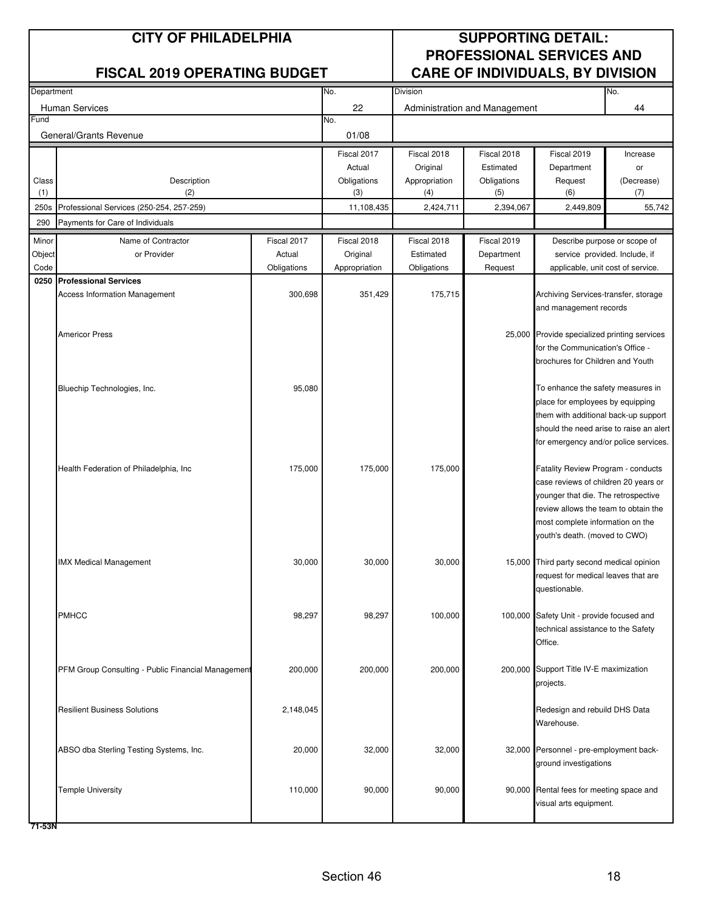| Department     |                                                    |                       | No.<br><b>Division</b>    |                          |                               |                                                                                  | No.                          |
|----------------|----------------------------------------------------|-----------------------|---------------------------|--------------------------|-------------------------------|----------------------------------------------------------------------------------|------------------------------|
|                | <b>Human Services</b>                              |                       | 22                        |                          | Administration and Management |                                                                                  | 44                           |
| Fund           |                                                    |                       | No.                       |                          |                               |                                                                                  |                              |
|                | General/Grants Revenue                             |                       | 01/08                     |                          |                               |                                                                                  |                              |
|                |                                                    |                       | Fiscal 2017               | Fiscal 2018              | Fiscal 2018                   | Fiscal 2019                                                                      | Increase                     |
|                |                                                    |                       | Actual                    | Original                 | Estimated                     | Department                                                                       | or                           |
| Class          | Description                                        |                       | Obligations               | Appropriation            | Obligations                   | Request                                                                          | (Decrease)                   |
| (1)            | (2)                                                |                       | (3)                       | (4)                      | (5)                           | (6)                                                                              | (7)                          |
| 250s           | Professional Services (250-254, 257-259)           |                       | 11,108,435                | 2,424,711                | 2,394,067                     | 2,449,809                                                                        | 55,742                       |
| 290            | Payments for Care of Individuals                   |                       |                           |                          |                               |                                                                                  |                              |
| Minor          | Name of Contractor                                 | Fiscal 2017           | Fiscal 2018               | Fiscal 2018              | Fiscal 2019                   |                                                                                  | Describe purpose or scope of |
| Object<br>Code | or Provider                                        | Actual<br>Obligations | Original<br>Appropriation | Estimated<br>Obligations | Department<br>Request         | service provided. Include, if                                                    |                              |
| 0250           | <b>Professional Services</b>                       |                       |                           |                          |                               | applicable, unit cost of service.                                                |                              |
|                | <b>Access Information Management</b>               | 300,698               | 351,429                   | 175,715                  |                               | Archiving Services-transfer, storage                                             |                              |
|                |                                                    |                       |                           |                          |                               | and management records                                                           |                              |
|                |                                                    |                       |                           |                          |                               |                                                                                  |                              |
|                | <b>Americor Press</b>                              |                       |                           |                          |                               | 25,000 Provide specialized printing services                                     |                              |
|                |                                                    |                       |                           |                          |                               | for the Communication's Office -                                                 |                              |
|                |                                                    |                       |                           |                          |                               | brochures for Children and Youth                                                 |                              |
|                | Bluechip Technologies, Inc.                        | 95,080                |                           |                          |                               | To enhance the safety measures in                                                |                              |
|                |                                                    |                       |                           |                          |                               | place for employees by equipping                                                 |                              |
|                |                                                    |                       |                           |                          |                               | them with additional back-up support                                             |                              |
|                |                                                    |                       |                           |                          |                               | should the need arise to raise an alert                                          |                              |
|                |                                                    |                       |                           |                          |                               | for emergency and/or police services.                                            |                              |
|                |                                                    |                       |                           |                          |                               |                                                                                  |                              |
|                | Health Federation of Philadelphia, Inc             | 175,000               | 175,000                   | 175,000                  |                               | Fatality Review Program - conducts<br>case reviews of children 20 years or       |                              |
|                |                                                    |                       |                           |                          |                               | younger that die. The retrospective                                              |                              |
|                |                                                    |                       |                           |                          |                               | review allows the team to obtain the                                             |                              |
|                |                                                    |                       |                           |                          |                               | most complete information on the                                                 |                              |
|                |                                                    |                       |                           |                          |                               | outh's death. (moved to CWO)                                                     |                              |
|                |                                                    |                       |                           |                          |                               |                                                                                  |                              |
|                | <b>IMX Medical Management</b>                      | 30,000                | 30,000                    | 30,000                   |                               | 15,000 Third party second medical opinion<br>request for medical leaves that are |                              |
|                |                                                    |                       |                           |                          |                               | questionable.                                                                    |                              |
|                |                                                    |                       |                           |                          |                               |                                                                                  |                              |
|                | <b>PMHCC</b>                                       | 98,297                | 98,297                    | 100,000                  |                               | 100,000 Safety Unit - provide focused and                                        |                              |
|                |                                                    |                       |                           |                          |                               | technical assistance to the Safety                                               |                              |
|                |                                                    |                       |                           |                          |                               | Office.                                                                          |                              |
|                |                                                    |                       |                           |                          |                               |                                                                                  |                              |
|                | PFM Group Consulting - Public Financial Management | 200,000               | 200,000                   | 200,000                  |                               | 200,000 Support Title IV-E maximization<br>projects.                             |                              |
|                |                                                    |                       |                           |                          |                               |                                                                                  |                              |
|                | <b>Resilient Business Solutions</b>                | 2,148,045             |                           |                          |                               | Redesign and rebuild DHS Data                                                    |                              |
|                |                                                    |                       |                           |                          |                               | Warehouse.                                                                       |                              |
|                |                                                    |                       |                           |                          |                               |                                                                                  |                              |
|                | ABSO dba Sterling Testing Systems, Inc.            | 20,000                | 32,000                    | 32,000                   |                               | 32,000 Personnel - pre-employment back-                                          |                              |
|                |                                                    |                       |                           |                          |                               | ground investigations                                                            |                              |
|                | <b>Temple University</b>                           | 110,000               | 90,000                    | 90,000                   |                               | 90,000 Rental fees for meeting space and                                         |                              |
|                |                                                    |                       |                           |                          |                               | visual arts equipment.                                                           |                              |
|                |                                                    |                       |                           |                          |                               |                                                                                  |                              |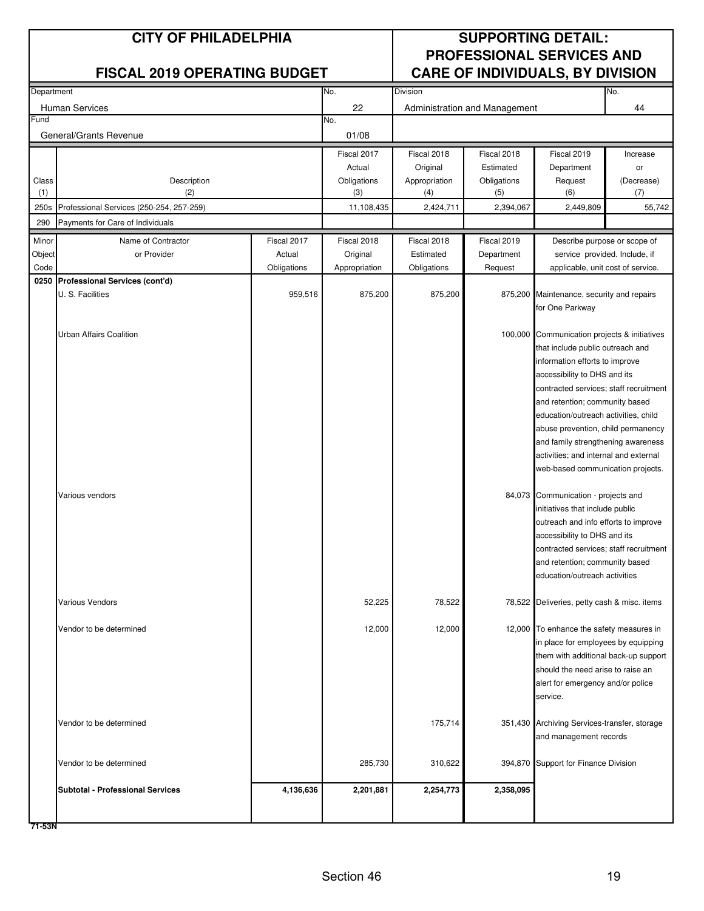| Department |                                                         |             | No.           | <b>Division</b> |                               |                                                                            | No.        |
|------------|---------------------------------------------------------|-------------|---------------|-----------------|-------------------------------|----------------------------------------------------------------------------|------------|
|            | <b>Human Services</b>                                   |             | 22            |                 | Administration and Management |                                                                            | 44         |
| Fund       |                                                         |             | No.           |                 |                               |                                                                            |            |
|            | General/Grants Revenue                                  |             | 01/08         |                 |                               |                                                                            |            |
|            |                                                         |             | Fiscal 2017   | Fiscal 2018     | Fiscal 2018                   | Fiscal 2019                                                                | Increase   |
|            |                                                         |             | Actual        | Original        | Estimated                     | Department                                                                 | or         |
| Class      | Description                                             |             | Obligations   | Appropriation   | Obligations                   | Request                                                                    | (Decrease) |
| (1)        | (2)                                                     |             | (3)           | (4)             | (5)                           | (6)                                                                        | (7)        |
| 250s       | Professional Services (250-254, 257-259)                |             | 11,108,435    | 2,424,711       | 2,394,067                     | 2,449,809                                                                  | 55,742     |
| 290        | Payments for Care of Individuals                        |             |               |                 |                               |                                                                            |            |
| Minor      | Name of Contractor                                      | Fiscal 2017 | Fiscal 2018   | Fiscal 2018     | Fiscal 2019                   | Describe purpose or scope of                                               |            |
| Object     | or Provider                                             | Actual      | Original      | Estimated       | Department                    | service provided. Include, if                                              |            |
| Code       |                                                         | Obligations | Appropriation | Obligations     | Request                       | applicable, unit cost of service.                                          |            |
|            | 0250 Professional Services (cont'd)<br>U. S. Facilities | 959,516     | 875,200       | 875,200         |                               | 875,200 Maintenance, security and repairs                                  |            |
|            |                                                         |             |               |                 |                               | for One Parkway                                                            |            |
|            |                                                         |             |               |                 |                               |                                                                            |            |
|            | Urban Affairs Coalition                                 |             |               |                 |                               | 100,000 Communication projects & initiatives                               |            |
|            |                                                         |             |               |                 |                               | that include public outreach and                                           |            |
|            |                                                         |             |               |                 |                               | information efforts to improve                                             |            |
|            |                                                         |             |               |                 |                               | accessibility to DHS and its                                               |            |
|            |                                                         |             |               |                 |                               | contracted services; staff recruitment                                     |            |
|            |                                                         |             |               |                 |                               | and retention; community based                                             |            |
|            |                                                         |             |               |                 |                               | education/outreach activities, child<br>abuse prevention, child permanency |            |
|            |                                                         |             |               |                 |                               | and family strengthening awareness                                         |            |
|            |                                                         |             |               |                 |                               | activities; and internal and external                                      |            |
|            |                                                         |             |               |                 |                               | web-based communication projects.                                          |            |
|            |                                                         |             |               |                 |                               |                                                                            |            |
|            | Various vendors                                         |             |               |                 |                               | 84,073 Communication - projects and                                        |            |
|            |                                                         |             |               |                 |                               | initiatives that include public                                            |            |
|            |                                                         |             |               |                 |                               | outreach and info efforts to improve                                       |            |
|            |                                                         |             |               |                 |                               | accessibility to DHS and its                                               |            |
|            |                                                         |             |               |                 |                               | contracted services; staff recruitment<br>and retention; community based   |            |
|            |                                                         |             |               |                 |                               | education/outreach activities                                              |            |
|            |                                                         |             |               |                 |                               |                                                                            |            |
|            | Various Vendors                                         |             | 52,225        | 78,522          |                               | 78,522 Deliveries, petty cash & misc. items                                |            |
|            | Vendor to be determined                                 |             | 12,000        | 12,000          |                               | 12,000 To enhance the safety measures in                                   |            |
|            |                                                         |             |               |                 |                               | in place for employees by equipping                                        |            |
|            |                                                         |             |               |                 |                               | them with additional back-up support                                       |            |
|            |                                                         |             |               |                 |                               | should the need arise to raise an                                          |            |
|            |                                                         |             |               |                 |                               | alert for emergency and/or police                                          |            |
|            |                                                         |             |               |                 |                               | service.                                                                   |            |
|            |                                                         |             |               |                 |                               |                                                                            |            |
|            | Vendor to be determined                                 |             |               | 175,714         |                               | 351,430 Archiving Services-transfer, storage<br>and management records     |            |
|            |                                                         |             |               |                 |                               |                                                                            |            |
|            | Vendor to be determined                                 |             | 285,730       | 310,622         |                               | 394,870 Support for Finance Division                                       |            |
|            |                                                         |             |               |                 |                               |                                                                            |            |
|            | <b>Subtotal - Professional Services</b>                 | 4,136,636   | 2,201,881     | 2,254,773       | 2,358,095                     |                                                                            |            |
|            |                                                         |             |               |                 |                               |                                                                            |            |
|            |                                                         |             |               |                 |                               |                                                                            |            |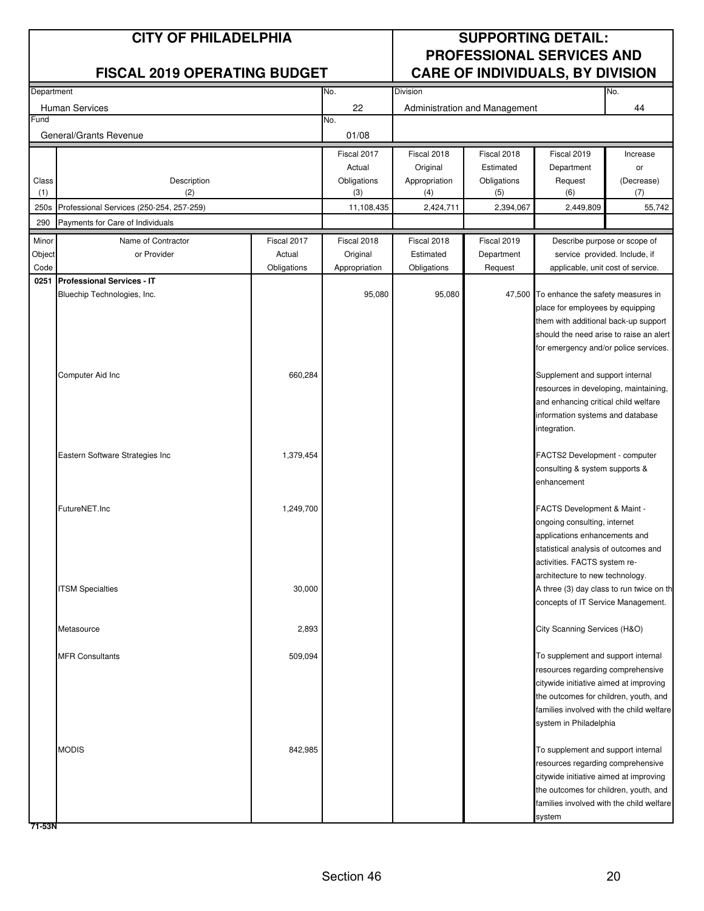| Department |                                          |             | No.           |               | No.                           |                                          |            |
|------------|------------------------------------------|-------------|---------------|---------------|-------------------------------|------------------------------------------|------------|
|            |                                          |             |               | Division      |                               |                                          |            |
| Fund       | <b>Human Services</b>                    |             | 22<br>No.     |               | Administration and Management |                                          | 44         |
|            | General/Grants Revenue                   |             | 01/08         |               |                               |                                          |            |
|            |                                          |             |               |               |                               |                                          |            |
|            |                                          |             | Fiscal 2017   | Fiscal 2018   | Fiscal 2018                   | Fiscal 2019                              | Increase   |
|            |                                          |             | Actual        | Original      | Estimated                     | Department                               | or         |
| Class      | Description                              |             | Obligations   | Appropriation | Obligations                   | Request                                  | (Decrease) |
| (1)        | (2)                                      |             | (3)           | (4)           | (5)                           | (6)                                      | (7)        |
| 250s       | Professional Services (250-254, 257-259) |             | 11,108,435    | 2,424,711     | 2,394,067                     | 2,449,809                                | 55,742     |
| 290        | Payments for Care of Individuals         |             |               |               |                               |                                          |            |
| Minor      | Name of Contractor                       | Fiscal 2017 | Fiscal 2018   | Fiscal 2018   | Fiscal 2019                   | Describe purpose or scope of             |            |
| Object     | or Provider                              | Actual      | Original      | Estimated     | Department                    | service provided. Include, if            |            |
| Code       |                                          | Obligations | Appropriation | Obligations   | Request                       | applicable, unit cost of service.        |            |
| 0251       | <b>Professional Services - IT</b>        |             |               |               |                               |                                          |            |
|            | Bluechip Technologies, Inc.              |             | 95,080        | 95,080        |                               | 47,500 To enhance the safety measures in |            |
|            |                                          |             |               |               |                               | place for employees by equipping         |            |
|            |                                          |             |               |               |                               | them with additional back-up support     |            |
|            |                                          |             |               |               |                               | should the need arise to raise an alert  |            |
|            |                                          |             |               |               |                               | for emergency and/or police services.    |            |
|            |                                          |             |               |               |                               |                                          |            |
|            | Computer Aid Inc                         | 660,284     |               |               |                               | Supplement and support internal          |            |
|            |                                          |             |               |               |                               | resources in developing, maintaining,    |            |
|            |                                          |             |               |               |                               | and enhancing critical child welfare     |            |
|            |                                          |             |               |               |                               | information systems and database         |            |
|            |                                          |             |               |               |                               | integration.                             |            |
|            |                                          |             |               |               |                               |                                          |            |
|            | Eastern Software Strategies Inc          | 1,379,454   |               |               |                               | FACTS2 Development - computer            |            |
|            |                                          |             |               |               |                               | consulting & system supports &           |            |
|            |                                          |             |               |               |                               | enhancement                              |            |
|            | FutureNET.Inc                            | 1,249,700   |               |               |                               | FACTS Development & Maint -              |            |
|            |                                          |             |               |               |                               | ongoing consulting, internet             |            |
|            |                                          |             |               |               |                               | applications enhancements and            |            |
|            |                                          |             |               |               |                               | statistical analysis of outcomes and     |            |
|            |                                          |             |               |               |                               | activities. FACTS system re-             |            |
|            |                                          |             |               |               |                               | architecture to new technology.          |            |
|            | <b>ITSM Specialties</b>                  | 30,000      |               |               |                               | A three (3) day class to run twice on th |            |
|            |                                          |             |               |               |                               | concepts of IT Service Management.       |            |
|            |                                          |             |               |               |                               |                                          |            |
|            | Metasource                               | 2,893       |               |               |                               | City Scanning Services (H&O)             |            |
|            |                                          |             |               |               |                               |                                          |            |
|            | <b>MFR Consultants</b>                   | 509,094     |               |               |                               | To supplement and support internal       |            |
|            |                                          |             |               |               |                               | resources regarding comprehensive        |            |
|            |                                          |             |               |               |                               | citywide initiative aimed at improving   |            |
|            |                                          |             |               |               |                               | the outcomes for children, youth, and    |            |
|            |                                          |             |               |               |                               | families involved with the child welfare |            |
|            |                                          |             |               |               |                               | system in Philadelphia                   |            |
|            |                                          |             |               |               |                               |                                          |            |
|            | <b>MODIS</b>                             | 842,985     |               |               |                               | To supplement and support internal       |            |
|            |                                          |             |               |               |                               | resources regarding comprehensive        |            |
|            |                                          |             |               |               |                               | citywide initiative aimed at improving   |            |
|            |                                          |             |               |               |                               | the outcomes for children, youth, and    |            |
|            |                                          |             |               |               |                               | families involved with the child welfare |            |
|            |                                          |             |               |               |                               | system                                   |            |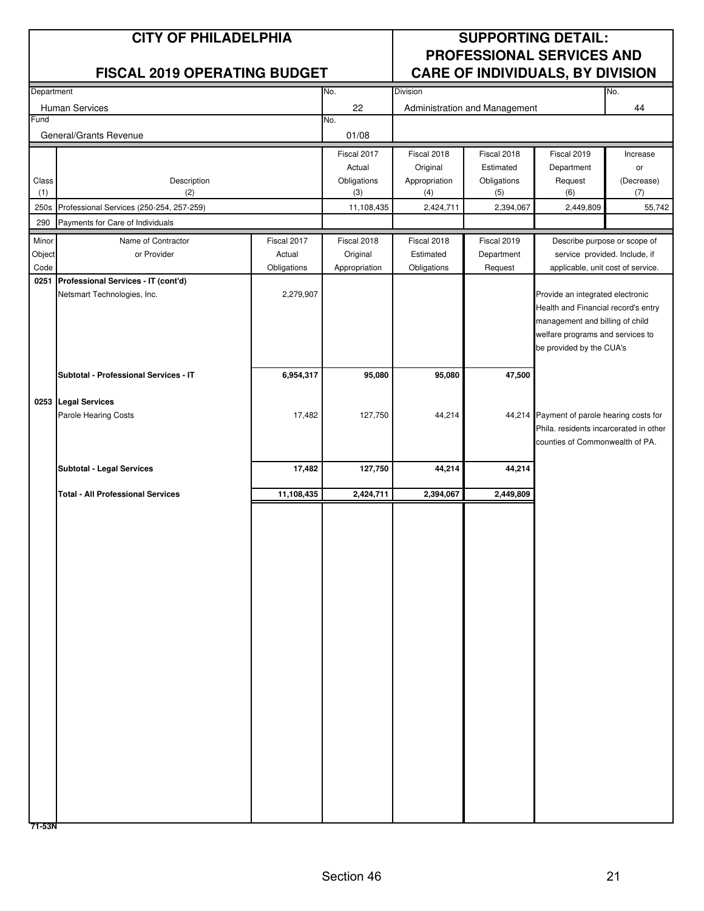| Department |                                          |             | No.           | Division      |                               |                                            | No.        |  |
|------------|------------------------------------------|-------------|---------------|---------------|-------------------------------|--------------------------------------------|------------|--|
|            | Human Services                           |             | 22            |               | Administration and Management |                                            | 44         |  |
| Fund       |                                          |             | No.           |               |                               |                                            |            |  |
|            | General/Grants Revenue                   |             | 01/08         |               |                               |                                            |            |  |
|            |                                          |             | Fiscal 2017   | Fiscal 2018   | Fiscal 2018                   | Fiscal 2019                                | Increase   |  |
|            |                                          |             | Actual        | Original      | Estimated                     | Department                                 | or         |  |
| Class      | Description                              |             | Obligations   | Appropriation | Obligations                   | Request                                    | (Decrease) |  |
| (1)        | (2)                                      |             | (3)           | (4)           | (5)                           | (6)                                        | (7)        |  |
| 250s       | Professional Services (250-254, 257-259) |             | 11,108,435    | 2,424,711     | 2,394,067                     | 2,449,809                                  | 55,742     |  |
| 290        | Payments for Care of Individuals         |             |               |               |                               |                                            |            |  |
| Minor      | Name of Contractor                       | Fiscal 2017 | Fiscal 2018   | Fiscal 2018   | Fiscal 2019                   | Describe purpose or scope of               |            |  |
| Object     | or Provider                              | Actual      | Original      | Estimated     | Department                    | service provided. Include, if              |            |  |
| Code       |                                          | Obligations | Appropriation | Obligations   | Request                       | applicable, unit cost of service.          |            |  |
| 0251       | Professional Services - IT (cont'd)      |             |               |               |                               |                                            |            |  |
|            | Netsmart Technologies, Inc.              | 2,279,907   |               |               |                               | Provide an integrated electronic           |            |  |
|            |                                          |             |               |               |                               | Health and Financial record's entry        |            |  |
|            |                                          |             |               |               |                               | management and billing of child            |            |  |
|            |                                          |             |               |               |                               | welfare programs and services to           |            |  |
|            |                                          |             |               |               |                               | be provided by the CUA's                   |            |  |
|            |                                          |             |               |               |                               |                                            |            |  |
|            | Subtotal - Professional Services - IT    | 6,954,317   | 95,080        | 95,080        | 47,500                        |                                            |            |  |
|            |                                          |             |               |               |                               |                                            |            |  |
|            | 0253 Legal Services                      |             |               |               |                               |                                            |            |  |
|            | <b>Parole Hearing Costs</b>              | 17,482      | 127,750       | 44,214        |                               | 44,214 Payment of parole hearing costs for |            |  |
|            |                                          |             |               |               |                               | Phila. residents incarcerated in other     |            |  |
|            |                                          |             |               |               |                               | counties of Commonwealth of PA.            |            |  |
|            |                                          |             |               |               |                               |                                            |            |  |
|            | <b>Subtotal - Legal Services</b>         | 17,482      | 127,750       | 44,214        | 44,214                        |                                            |            |  |
|            |                                          |             |               |               |                               |                                            |            |  |
|            | <b>Total - All Professional Services</b> | 11,108,435  | 2,424,711     | 2,394,067     | 2,449,809                     |                                            |            |  |
|            |                                          |             |               |               |                               |                                            |            |  |
|            |                                          |             |               |               |                               |                                            |            |  |
|            |                                          |             |               |               |                               |                                            |            |  |
|            |                                          |             |               |               |                               |                                            |            |  |
|            |                                          |             |               |               |                               |                                            |            |  |
|            |                                          |             |               |               |                               |                                            |            |  |
|            |                                          |             |               |               |                               |                                            |            |  |
|            |                                          |             |               |               |                               |                                            |            |  |
|            |                                          |             |               |               |                               |                                            |            |  |
|            |                                          |             |               |               |                               |                                            |            |  |
|            |                                          |             |               |               |                               |                                            |            |  |
|            |                                          |             |               |               |                               |                                            |            |  |
|            |                                          |             |               |               |                               |                                            |            |  |
|            |                                          |             |               |               |                               |                                            |            |  |
|            |                                          |             |               |               |                               |                                            |            |  |
|            |                                          |             |               |               |                               |                                            |            |  |
|            |                                          |             |               |               |                               |                                            |            |  |
|            |                                          |             |               |               |                               |                                            |            |  |
|            |                                          |             |               |               |                               |                                            |            |  |
|            |                                          |             |               |               |                               |                                            |            |  |
|            |                                          |             |               |               |                               |                                            |            |  |
|            |                                          |             |               |               |                               |                                            |            |  |
|            |                                          |             |               |               |                               |                                            |            |  |
|            |                                          |             |               |               |                               |                                            |            |  |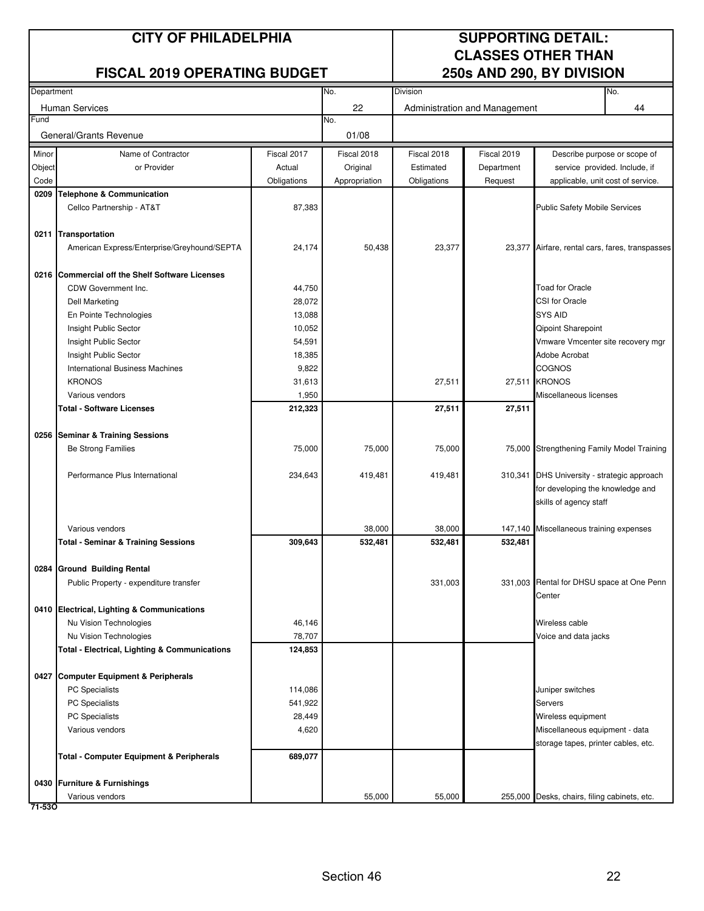### **CITY OF PHILADELPHIA SUPPORTING DETAIL:**

### **FISCAL 2019 OPERATING BUDGET**

# **CLASSES OTHER THAN<br>250s AND 290, BY DIVISION**

| Department |                                                                 |                  | No.           | Division    |                               |                                                         | No.                               |
|------------|-----------------------------------------------------------------|------------------|---------------|-------------|-------------------------------|---------------------------------------------------------|-----------------------------------|
|            | Human Services                                                  |                  | 22            |             | Administration and Management |                                                         | 44                                |
| Fund       |                                                                 |                  | No.           |             |                               |                                                         |                                   |
|            | General/Grants Revenue                                          |                  | 01/08         |             |                               |                                                         |                                   |
| Minor      | Name of Contractor                                              | Fiscal 2017      | Fiscal 2018   | Fiscal 2018 | Fiscal 2019                   |                                                         | Describe purpose or scope of      |
| Object     | or Provider                                                     | Actual           | Original      | Estimated   | Department                    |                                                         | service provided. Include, if     |
| Code       |                                                                 | Obligations      | Appropriation | Obligations | Request                       |                                                         | applicable, unit cost of service. |
| 0209       | <b>Telephone &amp; Communication</b>                            |                  |               |             |                               |                                                         |                                   |
|            | Cellco Partnership - AT&T                                       | 87,383           |               |             |                               | Public Safety Mobile Services                           |                                   |
|            |                                                                 |                  |               |             |                               |                                                         |                                   |
|            | 0211 Transportation                                             |                  |               |             |                               |                                                         |                                   |
|            | American Express/Enterprise/Greyhound/SEPTA                     | 24,174           | 50,438        | 23,377      |                               | 23,377 Airfare, rental cars, fares, transpasses         |                                   |
|            | 0216 Commercial off the Shelf Software Licenses                 |                  |               |             |                               |                                                         |                                   |
|            |                                                                 |                  |               |             |                               | <b>Toad for Oracle</b>                                  |                                   |
|            | CDW Government Inc.                                             | 44,750           |               |             |                               | CSI for Oracle                                          |                                   |
|            | <b>Dell Marketing</b>                                           | 28,072           |               |             |                               | <b>SYS AID</b>                                          |                                   |
|            | En Pointe Technologies                                          | 13,088           |               |             |                               |                                                         |                                   |
|            | Insight Public Sector<br>Insight Public Sector                  | 10,052<br>54,591 |               |             |                               | Qipoint Sharepoint<br>Vmware Vmcenter site recovery mgr |                                   |
|            |                                                                 | 18,385           |               |             |                               | Adobe Acrobat                                           |                                   |
|            | Insight Public Sector<br><b>International Business Machines</b> | 9,822            |               |             |                               | <b>COGNOS</b>                                           |                                   |
|            | <b>KRONOS</b>                                                   | 31,613           |               | 27,511      |                               | 27,511 KRONOS                                           |                                   |
|            | Various vendors                                                 | 1,950            |               |             |                               | Miscellaneous licenses                                  |                                   |
|            | Total - Software Licenses                                       | 212,323          |               | 27,511      | 27,511                        |                                                         |                                   |
|            |                                                                 |                  |               |             |                               |                                                         |                                   |
|            | 0256 Seminar & Training Sessions                                |                  |               |             |                               |                                                         |                                   |
|            | Be Strong Families                                              | 75,000           | 75,000        | 75,000      |                               | 75,000 Strengthening Family Model Training              |                                   |
|            |                                                                 |                  |               |             |                               |                                                         |                                   |
|            | Performance Plus International                                  | 234,643          | 419,481       | 419,481     |                               | 310,341 DHS University - strategic approach             |                                   |
|            |                                                                 |                  |               |             |                               | for developing the knowledge and                        |                                   |
|            |                                                                 |                  |               |             |                               | skills of agency staff                                  |                                   |
|            |                                                                 |                  |               |             |                               |                                                         |                                   |
|            | Various vendors                                                 |                  | 38,000        | 38,000      |                               | 147,140 Miscellaneous training expenses                 |                                   |
|            | <b>Total - Seminar &amp; Training Sessions</b>                  | 309,643          | 532,481       | 532,481     | 532,481                       |                                                         |                                   |
|            |                                                                 |                  |               |             |                               |                                                         |                                   |
|            | 0284 Ground Building Rental                                     |                  |               |             |                               |                                                         |                                   |
|            | Public Property - expenditure transfer                          |                  |               | 331,003     |                               | 331,003 Rental for DHSU space at One Penn               |                                   |
|            |                                                                 |                  |               |             |                               | Center                                                  |                                   |
|            | 0410 Electrical, Lighting & Communications                      |                  |               |             |                               |                                                         |                                   |
|            | Nu Vision Technologies                                          | 46,146           |               |             |                               | Wireless cable                                          |                                   |
|            | Nu Vision Technologies                                          | 78,707           |               |             |                               | Voice and data jacks                                    |                                   |
|            | <b>Total - Electrical, Lighting &amp; Communications</b>        | 124,853          |               |             |                               |                                                         |                                   |
|            | 0427 Computer Equipment & Peripherals                           |                  |               |             |                               |                                                         |                                   |
|            | <b>PC</b> Specialists                                           | 114,086          |               |             |                               | Juniper switches                                        |                                   |
|            | PC Specialists                                                  | 541,922          |               |             |                               | Servers                                                 |                                   |
|            | PC Specialists                                                  | 28,449           |               |             |                               | Wireless equipment                                      |                                   |
|            | Various vendors                                                 | 4,620            |               |             |                               | Miscellaneous equipment - data                          |                                   |
|            |                                                                 |                  |               |             |                               | storage tapes, printer cables, etc.                     |                                   |
|            | <b>Total - Computer Equipment &amp; Peripherals</b>             | 689,077          |               |             |                               |                                                         |                                   |
|            |                                                                 |                  |               |             |                               |                                                         |                                   |
|            | 0430 Furniture & Furnishings                                    |                  |               |             |                               |                                                         |                                   |
| 71-530     | Various vendors                                                 |                  | 55,000        | 55,000      |                               | 255,000 Desks, chairs, filing cabinets, etc.            |                                   |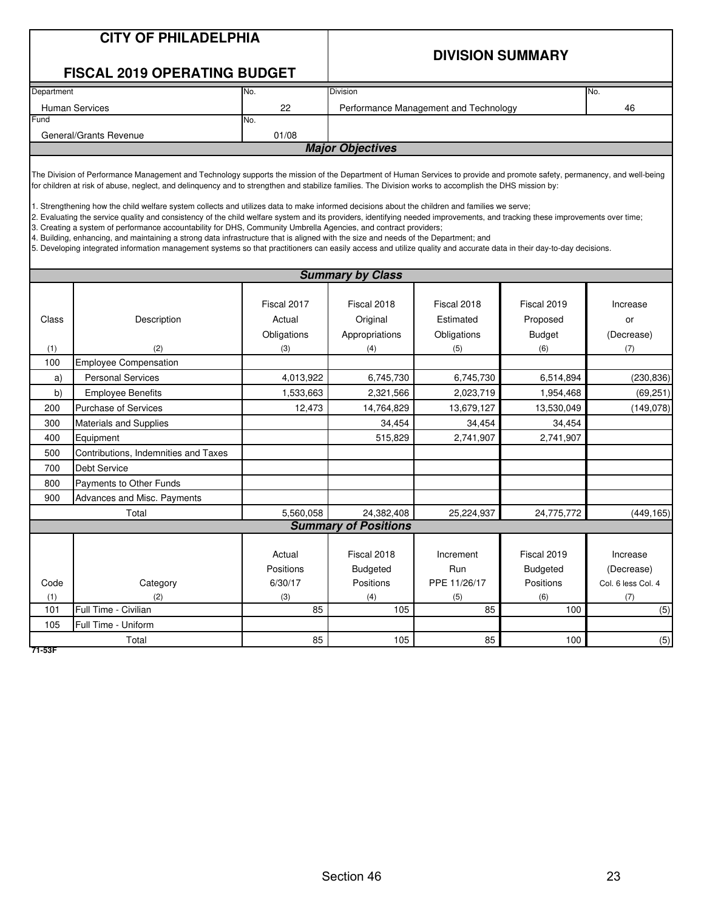| <b>CITY OF PHILADELPHIA</b> |  |
|-----------------------------|--|
|-----------------------------|--|

#### **DIVISION SUMMARY**

#### **FISCAL 2019 OPERATING BUDGET**

| Department             | INo.                    | <b>Division</b>                       | No. |  |  |  |  |  |
|------------------------|-------------------------|---------------------------------------|-----|--|--|--|--|--|
| <b>Human Services</b>  | 22                      | Performance Management and Technology | 46  |  |  |  |  |  |
| Fund                   | No.                     |                                       |     |  |  |  |  |  |
| General/Grants Revenue | 01/08                   |                                       |     |  |  |  |  |  |
|                        | <b>Major Objectives</b> |                                       |     |  |  |  |  |  |
|                        |                         |                                       |     |  |  |  |  |  |

The Division of Performance Management and Technology supports the mission of the Department of Human Services to provide and promote safety, permanency, and well-being for children at risk of abuse, neglect, and delinquency and to strengthen and stabilize families. The Division works to accomplish the DHS mission by:

1. Strengthening how the child welfare system collects and utilizes data to make informed decisions about the children and families we serve;

2. Evaluating the service quality and consistency of the child welfare system and its providers, identifying needed improvements, and tracking these improvements over time;

3. Creating a system of performance accountability for DHS, Community Umbrella Agencies, and contract providers;

4. Building, enhancing, and maintaining a strong data infrastructure that is aligned with the size and needs of the Department; and

5. Developing integrated information management systems so that practitioners can easily access and utilize quality and accurate data in their day-to-day decisions.

|       | <b>Summary by Class</b>              |                     |                                |                  |                                |                        |  |  |  |  |
|-------|--------------------------------------|---------------------|--------------------------------|------------------|--------------------------------|------------------------|--|--|--|--|
|       |                                      | Fiscal 2017         | Fiscal 2018                    | Fiscal 2018      | Fiscal 2019                    | Increase               |  |  |  |  |
| Class | Description                          | Actual              | Original                       | Estimated        | Proposed                       | or                     |  |  |  |  |
|       |                                      | Obligations         | Appropriations                 | Obligations      | <b>Budget</b>                  | (Decrease)             |  |  |  |  |
| (1)   | (2)                                  | (3)                 | (4)                            | (5)              | (6)                            | (7)                    |  |  |  |  |
| 100   | Employee Compensation                |                     |                                |                  |                                |                        |  |  |  |  |
| a)    | <b>Personal Services</b>             | 4,013,922           | 6,745,730                      | 6,745,730        | 6,514,894                      | (230, 836)             |  |  |  |  |
| b)    | <b>Employee Benefits</b>             | 1,533,663           | 2,321,566                      | 2,023,719        | 1,954,468                      | (69, 251)              |  |  |  |  |
| 200   | <b>Purchase of Services</b>          | 12,473              | 14,764,829                     | 13,679,127       | 13,530,049                     | (149, 078)             |  |  |  |  |
| 300   | Materials and Supplies               |                     | 34,454                         | 34,454           | 34,454                         |                        |  |  |  |  |
| 400   | Equipment                            |                     | 515,829                        | 2,741,907        | 2,741,907                      |                        |  |  |  |  |
| 500   | Contributions, Indemnities and Taxes |                     |                                |                  |                                |                        |  |  |  |  |
| 700   | <b>Debt Service</b>                  |                     |                                |                  |                                |                        |  |  |  |  |
| 800   | Payments to Other Funds              |                     |                                |                  |                                |                        |  |  |  |  |
| 900   | Advances and Misc. Payments          |                     |                                |                  |                                |                        |  |  |  |  |
|       | Total                                | 5,560,058           | 24,382,408                     | 25,224,937       | 24,775,772                     | (449, 165)             |  |  |  |  |
|       |                                      |                     | <b>Summary of Positions</b>    |                  |                                |                        |  |  |  |  |
|       |                                      | Actual<br>Positions | Fiscal 2018<br><b>Budgeted</b> | Increment<br>Run | Fiscal 2019<br><b>Budgeted</b> | Increase<br>(Decrease) |  |  |  |  |
| Code  | Category                             | 6/30/17             | Positions                      | PPE 11/26/17     | Positions                      | Col. 6 less Col. 4     |  |  |  |  |
| (1)   | (2)                                  | (3)                 | (4)                            | (5)              | (6)                            | (7)                    |  |  |  |  |
| 101   | Full Time - Civilian                 | 85                  | 105                            | 85               | 100                            | (5)                    |  |  |  |  |
| 105   | Full Time - Uniform                  |                     |                                |                  |                                |                        |  |  |  |  |
|       | Total                                | 85                  | 105                            | 85               | 100                            | (5)                    |  |  |  |  |

**71-53F**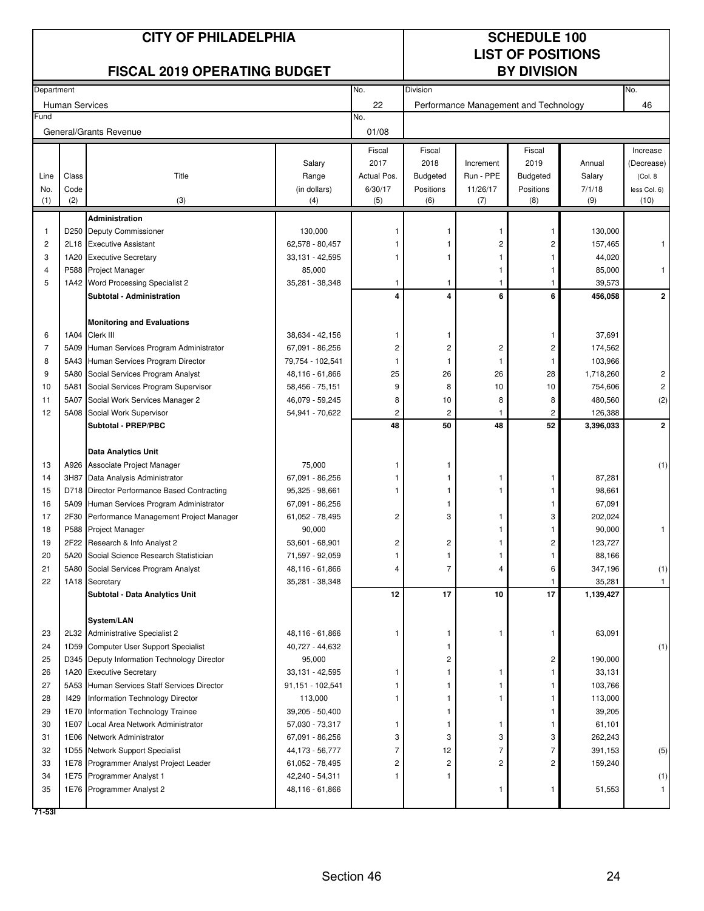## **CITY OF PHILADELPHIA** SCHEDULE 100

## **LIST OF POSITIONS**

## **FISCAL 2019 OPERATING BUDGET**

|          | Department            |                                                               |                                    | No.                     | Division        |                                       |                 |                    | No.                     |
|----------|-----------------------|---------------------------------------------------------------|------------------------------------|-------------------------|-----------------|---------------------------------------|-----------------|--------------------|-------------------------|
|          | <b>Human Services</b> |                                                               |                                    | 22                      |                 | Performance Management and Technology |                 |                    | 46                      |
| Fund     |                       |                                                               |                                    | No.                     |                 |                                       |                 |                    |                         |
|          |                       | General/Grants Revenue                                        |                                    | 01/08                   |                 |                                       |                 |                    |                         |
|          |                       |                                                               |                                    | Fiscal                  | Fiscal          |                                       | Fiscal          |                    | Increase                |
|          |                       |                                                               | Salary                             | 2017                    | 2018            | Increment                             | 2019            | Annual             | (Decrease)              |
| Line     | Class                 | Title                                                         | Range                              | Actual Pos.             | <b>Budgeted</b> | Run - PPE                             | <b>Budgeted</b> | Salary             | (Col. 8)                |
| No.      | Code                  |                                                               | (in dollars)                       | 6/30/17                 | Positions       | 11/26/17                              | Positions       | 7/1/18             | less Col. 6)            |
| (1)      | (2)                   | (3)                                                           | (4)                                | (5)                     | (6)             | (7)                                   | (8)             | (9)                | (10)                    |
|          |                       | <b>Administration</b>                                         |                                    |                         |                 |                                       |                 |                    |                         |
| 1        |                       | D250 Deputy Commissioner                                      | 130.000                            |                         |                 |                                       | 1               | 130,000            |                         |
| 2        |                       | 2L18 Executive Assistant                                      | 62,578 - 80,457                    |                         |                 | 2                                     | 2               | 157,465            |                         |
| 3        | 1A20                  | <b>Executive Secretary</b>                                    | 33,131 - 42,595                    |                         |                 |                                       |                 | 44,020             |                         |
| 4        | P588                  | Project Manager                                               | 85,000                             |                         |                 |                                       |                 | 85,000             |                         |
| 5        | 1A42                  | Word Processing Specialist 2                                  | 35,281 - 38,348                    | $\mathbf{1}$            | 1               |                                       |                 | 39,573             |                         |
|          |                       | Subtotal - Administration                                     |                                    | $\overline{4}$          | 4               | 6                                     | 6               | 456,058            | $\mathbf{2}$            |
|          |                       |                                                               |                                    |                         |                 |                                       |                 |                    |                         |
|          |                       | <b>Monitoring and Evaluations</b>                             |                                    |                         |                 |                                       |                 |                    |                         |
| 6        |                       | 1A04 Clerk III                                                | 38,634 - 42,156                    | -1                      |                 |                                       |                 | 37,691             |                         |
| 7        |                       | 5A09 Human Services Program Administrator                     | 67,091 - 86,256                    | $\overline{c}$          | 2               | $\overline{c}$                        | 2               | 174,562            |                         |
| 8        |                       | 5A43 Human Services Program Director                          | 79,754 - 102,541                   | -1                      | 1               |                                       |                 | 103,966            |                         |
| 9        |                       | 5A80 Social Services Program Analyst                          | 48,116 - 61,866                    | 25                      | 26              | 26                                    | 28              | 1,718,260          | 2                       |
| 10       | 5A81                  | Social Services Program Supervisor                            | 58,456 - 75,151                    | 9                       | 8               | 10                                    | 10              | 754,606            | $\overline{\mathbf{c}}$ |
| 11       | 5A07                  | Social Work Services Manager 2                                | 46,079 - 59,245                    | 8                       | 10              | 8                                     | 8               | 480,560            | (2)                     |
| 12       | 5A08                  | Social Work Supervisor                                        | 54,941 - 70,622                    | 2                       | 2               | 1                                     | 2               | 126,388            |                         |
|          |                       | Subtotal - PREP/PBC                                           |                                    | 48                      | 50              | 48                                    | 52              | 3,396,033          | $\overline{2}$          |
|          |                       |                                                               |                                    |                         |                 |                                       |                 |                    |                         |
|          |                       | <b>Data Analytics Unit</b>                                    |                                    |                         |                 |                                       |                 |                    |                         |
| 13       |                       | A926 Associate Project Manager                                | 75,000                             |                         |                 |                                       |                 |                    | (1)                     |
| 14       |                       | 3H87 Data Analysis Administrator                              | 67,091 - 86,256                    |                         |                 |                                       |                 | 87,281             |                         |
| 15       |                       | D718 Director Performance Based Contracting                   | 95,325 - 98,661                    | -1                      |                 |                                       |                 | 98,661             |                         |
| 16       | 5A09                  | Human Services Program Administrator                          | 67,091 - 86,256                    |                         |                 |                                       |                 | 67,091             |                         |
| 17       | 2F30                  | Performance Management Project Manager                        | 61,052 - 78,495                    | $\overline{c}$          | 3               |                                       | 3               | 202,024            |                         |
| 18       |                       | P588 Project Manager                                          | 90,000                             |                         |                 |                                       |                 | 90,000             |                         |
| 19       |                       | 2F22 Research & Info Analyst 2                                | 53,601 - 68,901                    | $\overline{\mathbf{c}}$ | $\overline{c}$  |                                       | 2               | 123,727            |                         |
| 20       |                       | 5A20 Social Science Research Statistician                     | 71,597 - 92,059                    |                         |                 |                                       |                 | 88,166             |                         |
| 21       |                       | 5A80 Social Services Program Analyst                          | 48,116 - 61,866                    | $\overline{4}$          | 7               | 4                                     | 6               | 347,196            | (1)                     |
| 22       |                       | 1A18 Secretary                                                | 35,281 - 38,348                    |                         |                 |                                       |                 | 35,281             | $\mathbf{1}$            |
|          |                       | Subtotal - Data Analytics Unit                                |                                    | 12                      | 17              | 10                                    | 17              | 1,139,427          |                         |
|          |                       |                                                               |                                    |                         |                 |                                       |                 |                    |                         |
|          |                       | System/LAN                                                    |                                    |                         |                 |                                       |                 |                    |                         |
| 23       |                       | 2L32 Administrative Specialist 2                              | 48,116 - 61,866                    | -1                      | -1              | $\mathbf{1}$                          | 1               | 63,091             |                         |
| 24       |                       | 1D59 Computer User Support Specialist                         | 40,727 - 44,632                    |                         | 1               |                                       |                 |                    | (1)                     |
| 25       |                       | D345 Deputy Information Technology Director                   | 95,000                             |                         | 2               |                                       | 2               | 190,000            |                         |
| 26       |                       | 1A20 Executive Secretary                                      | 33,131 - 42,595                    | 1                       |                 |                                       |                 | 33,131             |                         |
| 27       |                       | 5A53 Human Services Staff Services Director                   | 91,151 - 102,541                   |                         |                 |                                       |                 | 103,766            |                         |
| 28       | 1429                  | Information Technology Director                               | 113,000                            | 1                       | 1               | 1                                     |                 | 113,000            |                         |
| 29       |                       | 1E70 Information Technology Trainee                           | 39,205 - 50,400                    |                         | 1               |                                       | 1               | 39,205             |                         |
| 30       |                       | 1E07 Local Area Network Administrator                         | 57,030 - 73,317                    | -1                      | 1               | 1                                     |                 | 61,101             |                         |
| 31<br>32 |                       | 1E06 Network Administrator<br>1D55 Network Support Specialist | 67,091 - 86,256                    | 3<br>7                  | 3<br>12         | 3<br>7                                | 3<br>7          | 262,243            |                         |
| 33       |                       | 1E78 Programmer Analyst Project Leader                        | 44,173 - 56,777<br>61,052 - 78,495 | 2                       | $\overline{c}$  | 2                                     | 2               | 391,153<br>159,240 | (5)                     |
| 34       |                       | 1E75 Programmer Analyst 1                                     | 42,240 - 54,311                    | 1                       |                 |                                       |                 |                    | (1)                     |
| 35       |                       | 1E76 Programmer Analyst 2                                     | 48,116 - 61,866                    |                         |                 | 1                                     |                 | 51,553             | $\mathbf{1}$            |
|          |                       |                                                               |                                    |                         |                 |                                       |                 |                    |                         |
| 71-531   |                       |                                                               |                                    |                         |                 |                                       |                 |                    |                         |
|          |                       |                                                               |                                    |                         |                 |                                       |                 |                    |                         |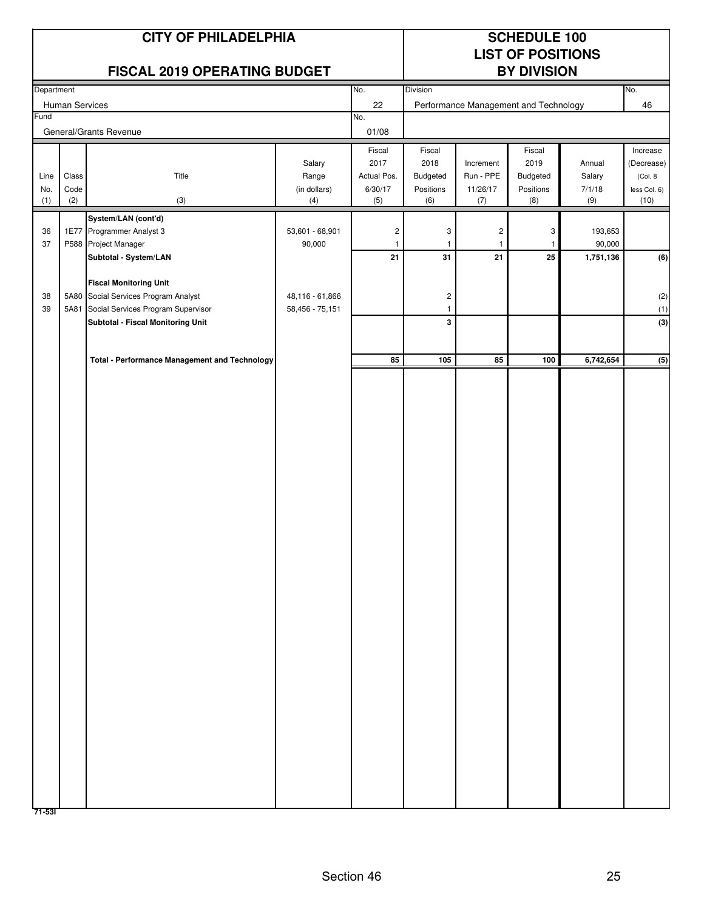|             |                | <b>CITY OF PHILADELPHIA</b>                                                |                                    |                         | <b>SCHEDULE 100</b>   |                       |                                       |                     |                          |
|-------------|----------------|----------------------------------------------------------------------------|------------------------------------|-------------------------|-----------------------|-----------------------|---------------------------------------|---------------------|--------------------------|
|             |                |                                                                            |                                    |                         |                       |                       | <b>LIST OF POSITIONS</b>              |                     |                          |
|             |                | <b>FISCAL 2019 OPERATING BUDGET</b>                                        |                                    |                         |                       |                       | <b>BY DIVISION</b>                    |                     |                          |
| Department  | Human Services |                                                                            |                                    | No.<br>22               | Division              |                       | Performance Management and Technology |                     | No.<br>46                |
| Fund        |                |                                                                            |                                    | No.                     |                       |                       |                                       |                     |                          |
|             |                | General/Grants Revenue                                                     |                                    | 01/08                   |                       |                       |                                       |                     |                          |
|             |                |                                                                            |                                    | Fiscal                  | Fiscal                |                       | Fiscal                                |                     | Increase                 |
|             |                | Title                                                                      | Salary                             | 2017<br>Actual Pos.     | 2018                  | Increment             | 2019                                  | Annual              | (Decrease)               |
| Line<br>No. | Class<br>Code  |                                                                            | Range<br>(in dollars)              | 6/30/17                 | Budgeted<br>Positions | Run - PPE<br>11/26/17 | Budgeted<br>Positions                 | Salary<br>7/1/18    | (Col. 8)<br>less Col. 6) |
| (1)         | (2)            | (3)                                                                        | (4)                                | (5)                     | (6)                   | (7)                   | (8)                                   | (9)                 | (10)                     |
|             |                | System/LAN (cont'd)                                                        |                                    |                         |                       |                       |                                       |                     |                          |
| 36          |                | 1E77 Programmer Analyst 3                                                  | 53,601 - 68,901                    | $\overline{\mathbf{c}}$ | 3                     | $\overline{c}$        | 3                                     | 193,653             |                          |
| 37          |                | P588 Project Manager<br>Subtotal - System/LAN                              | 90,000                             | $\mathbf{1}$<br>21      | 31                    | -1<br>21              | 1<br>25                               | 90,000<br>1,751,136 | (6)                      |
|             |                |                                                                            |                                    |                         |                       |                       |                                       |                     |                          |
|             |                | <b>Fiscal Monitoring Unit</b>                                              |                                    |                         |                       |                       |                                       |                     |                          |
| 38<br>39    |                | 5A80 Social Services Program Analyst<br>Social Services Program Supervisor | 48,116 - 61,866<br>58,456 - 75,151 |                         | $\sqrt{2}$            |                       |                                       |                     | (2)                      |
|             | 5A81           | Subtotal - Fiscal Monitoring Unit                                          |                                    |                         | $\mathbf{1}$<br>3     |                       |                                       |                     | (1)<br>(3)               |
|             |                |                                                                            |                                    |                         |                       |                       |                                       |                     |                          |
|             |                | <b>Total - Performance Management and Technology</b>                       |                                    | 85                      | 105                   | 85                    | 100                                   | 6,742,654           |                          |
|             |                |                                                                            |                                    |                         |                       |                       |                                       |                     | (5)                      |
|             |                |                                                                            |                                    |                         |                       |                       |                                       |                     |                          |
|             |                |                                                                            |                                    |                         |                       |                       |                                       |                     |                          |
|             |                |                                                                            |                                    |                         |                       |                       |                                       |                     |                          |
|             |                |                                                                            |                                    |                         |                       |                       |                                       |                     |                          |
|             |                |                                                                            |                                    |                         |                       |                       |                                       |                     |                          |
|             |                |                                                                            |                                    |                         |                       |                       |                                       |                     |                          |
|             |                |                                                                            |                                    |                         |                       |                       |                                       |                     |                          |
|             |                |                                                                            |                                    |                         |                       |                       |                                       |                     |                          |
|             |                |                                                                            |                                    |                         |                       |                       |                                       |                     |                          |
|             |                |                                                                            |                                    |                         |                       |                       |                                       |                     |                          |
|             |                |                                                                            |                                    |                         |                       |                       |                                       |                     |                          |
|             |                |                                                                            |                                    |                         |                       |                       |                                       |                     |                          |
|             |                |                                                                            |                                    |                         |                       |                       |                                       |                     |                          |
|             |                |                                                                            |                                    |                         |                       |                       |                                       |                     |                          |
|             |                |                                                                            |                                    |                         |                       |                       |                                       |                     |                          |
|             |                |                                                                            |                                    |                         |                       |                       |                                       |                     |                          |
|             |                |                                                                            |                                    |                         |                       |                       |                                       |                     |                          |
|             |                |                                                                            |                                    |                         |                       |                       |                                       |                     |                          |
|             |                |                                                                            |                                    |                         |                       |                       |                                       |                     |                          |
|             |                |                                                                            |                                    |                         |                       |                       |                                       |                     |                          |
|             |                |                                                                            |                                    |                         |                       |                       |                                       |                     |                          |
|             |                |                                                                            |                                    |                         |                       |                       |                                       |                     |                          |
|             |                |                                                                            |                                    |                         |                       |                       |                                       |                     |                          |
|             |                |                                                                            |                                    |                         |                       |                       |                                       |                     |                          |
|             |                |                                                                            |                                    |                         |                       |                       |                                       |                     |                          |
|             |                |                                                                            |                                    |                         |                       |                       |                                       |                     |                          |
| 71-531      |                |                                                                            |                                    |                         |                       |                       |                                       |                     |                          |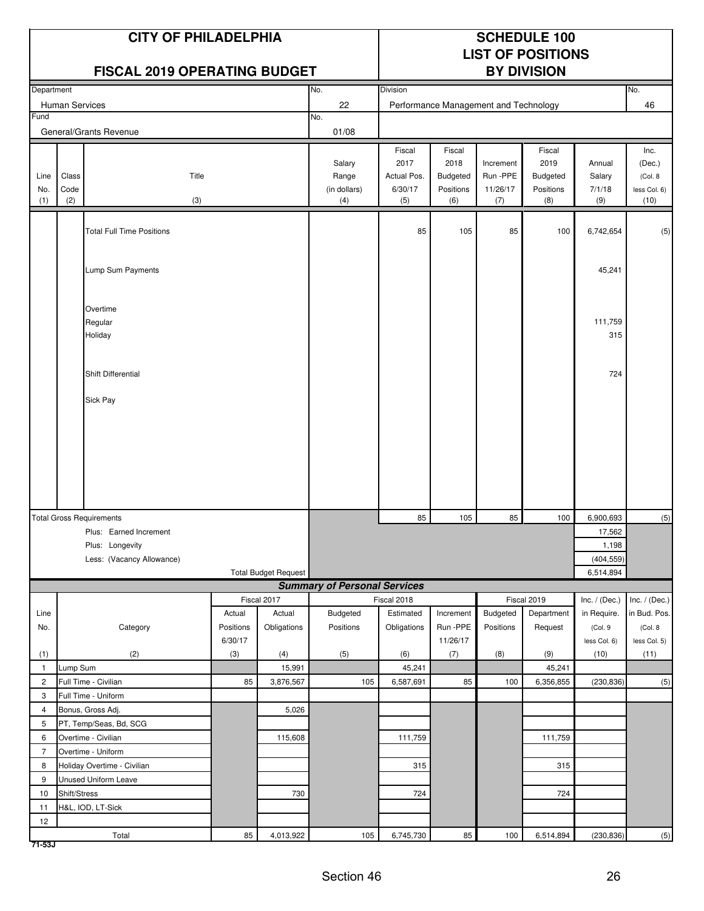|                    |                      | <b>CITY OF PHILADELPHIA</b><br><b>FISCAL 2019 OPERATING BUDGET</b> |                |                             |                                        | <b>SCHEDULE 100</b><br><b>LIST OF POSITIONS</b><br><b>BY DIVISION</b> |                                                |                                           |                                                       |                                   |                                                    |
|--------------------|----------------------|--------------------------------------------------------------------|----------------|-----------------------------|----------------------------------------|-----------------------------------------------------------------------|------------------------------------------------|-------------------------------------------|-------------------------------------------------------|-----------------------------------|----------------------------------------------------|
| Department         |                      |                                                                    |                |                             | No.                                    | <b>Division</b>                                                       |                                                |                                           |                                                       |                                   | No.                                                |
|                    | Human Services       |                                                                    |                |                             | 22                                     |                                                                       | Performance Management and Technology          |                                           |                                                       |                                   | 46                                                 |
| Fund               |                      | General/Grants Revenue                                             |                |                             | No.<br>01/08                           |                                                                       |                                                |                                           |                                                       |                                   |                                                    |
| Line<br>No.<br>(1) | Class<br>Code<br>(2) | Title<br>(3)                                                       |                |                             | Salary<br>Range<br>(in dollars)<br>(4) | Fiscal<br>2017<br>Actual Pos.<br>6/30/17<br>(5)                       | Fiscal<br>2018<br>Budgeted<br>Positions<br>(6) | Increment<br>Run - PPE<br>11/26/17<br>(7) | Fiscal<br>2019<br><b>Budgeted</b><br>Positions<br>(8) | Annual<br>Salary<br>7/1/18<br>(9) | Inc.<br>(Dec.)<br>(Col. 8)<br>less Col. 6)<br>(10) |
|                    |                      | <b>Total Full Time Positions</b>                                   |                |                             |                                        | 85                                                                    | 105                                            | 85                                        | 100                                                   | 6,742,654                         | (5)                                                |
|                    |                      | Lump Sum Payments                                                  |                |                             |                                        |                                                                       |                                                |                                           |                                                       | 45,241                            |                                                    |
|                    |                      | Overtime<br>Regular<br>Holiday                                     |                |                             |                                        |                                                                       |                                                |                                           |                                                       | 111,759<br>315                    |                                                    |
|                    |                      | Shift Differential                                                 |                |                             |                                        |                                                                       |                                                |                                           |                                                       | 724                               |                                                    |
|                    |                      |                                                                    |                |                             |                                        |                                                                       |                                                |                                           |                                                       |                                   |                                                    |
|                    |                      | <b>Total Gross Requirements</b>                                    |                |                             |                                        | 85                                                                    | 105                                            | 85                                        | 100                                                   | 6,900,693                         | (5)                                                |
|                    |                      | Plus: Earned Increment                                             |                |                             |                                        |                                                                       |                                                |                                           |                                                       | 17,562                            |                                                    |
|                    |                      | Plus: Longevity                                                    |                |                             |                                        |                                                                       |                                                |                                           |                                                       | 1,198                             |                                                    |
|                    |                      | Less: (Vacancy Allowance)                                          |                | <b>Total Budget Request</b> |                                        |                                                                       |                                                |                                           |                                                       | (404, 559)<br>6,514,894           |                                                    |
|                    |                      |                                                                    |                |                             | <b>Summary of Personal Services</b>    |                                                                       |                                                |                                           |                                                       |                                   |                                                    |
|                    |                      |                                                                    |                | Fiscal 2017                 |                                        | Fiscal 2018                                                           |                                                |                                           | Fiscal 2019                                           | Inc. $/$ (Dec.)                   | Inc. $/$ (Dec.)                                    |
| Line               |                      |                                                                    | Actual         | Actual                      | Budgeted                               | Estimated                                                             | Increment                                      | <b>Budgeted</b>                           | Department                                            | in Require.                       | in Bud. Pos.                                       |
| No.                |                      | Category                                                           | Positions      | Obligations                 | Positions                              | Obligations                                                           | Run -PPE                                       | Positions                                 | Request                                               | (Col. 9                           | (Col. 8                                            |
| (1)                |                      | (2)                                                                | 6/30/17<br>(3) | (4)                         | (5)                                    | (6)                                                                   | 11/26/17<br>(7)                                | (8)                                       | (9)                                                   | less Col. 6)<br>(10)              | less Col. 5)<br>(11)                               |
| $\mathbf{1}$       | Lump Sum             |                                                                    |                | 15,991                      |                                        | 45,241                                                                |                                                |                                           | 45,241                                                |                                   |                                                    |
| $\overline{2}$     |                      | Full Time - Civilian                                               | 85             | 3,876,567                   | 105                                    | 6,587,691                                                             | 85                                             | 100                                       | 6,356,855                                             | (230, 836)                        | (5)                                                |
| 3                  |                      | Full Time - Uniform                                                |                |                             |                                        |                                                                       |                                                |                                           |                                                       |                                   |                                                    |
| 4                  |                      | Bonus, Gross Adj.                                                  |                | 5,026                       |                                        |                                                                       |                                                |                                           |                                                       |                                   |                                                    |
| 5                  |                      | PT, Temp/Seas, Bd, SCG                                             |                |                             |                                        |                                                                       |                                                |                                           |                                                       |                                   |                                                    |
| 6                  |                      | Overtime - Civilian                                                |                | 115,608                     |                                        | 111,759                                                               |                                                |                                           | 111,759                                               |                                   |                                                    |
| $\overline{7}$     |                      | Overtime - Uniform                                                 |                |                             |                                        |                                                                       |                                                |                                           |                                                       |                                   |                                                    |
| 8                  |                      | Holiday Overtime - Civilian                                        |                |                             |                                        | 315                                                                   |                                                |                                           | 315                                                   |                                   |                                                    |
| 9<br>10            | Shift/Stress         | Unused Uniform Leave                                               |                | 730                         |                                        | 724                                                                   |                                                |                                           | 724                                                   |                                   |                                                    |
| 11                 |                      | H&L, IOD, LT-Sick                                                  |                |                             |                                        |                                                                       |                                                |                                           |                                                       |                                   |                                                    |
| $12\,$             |                      |                                                                    |                |                             |                                        |                                                                       |                                                |                                           |                                                       |                                   |                                                    |
| $71 - 53J$         |                      | Total                                                              | 85             | 4,013,922                   | 105                                    | 6,745,730                                                             | 85                                             | 100                                       | 6,514,894                                             | (230, 836)                        | (5)                                                |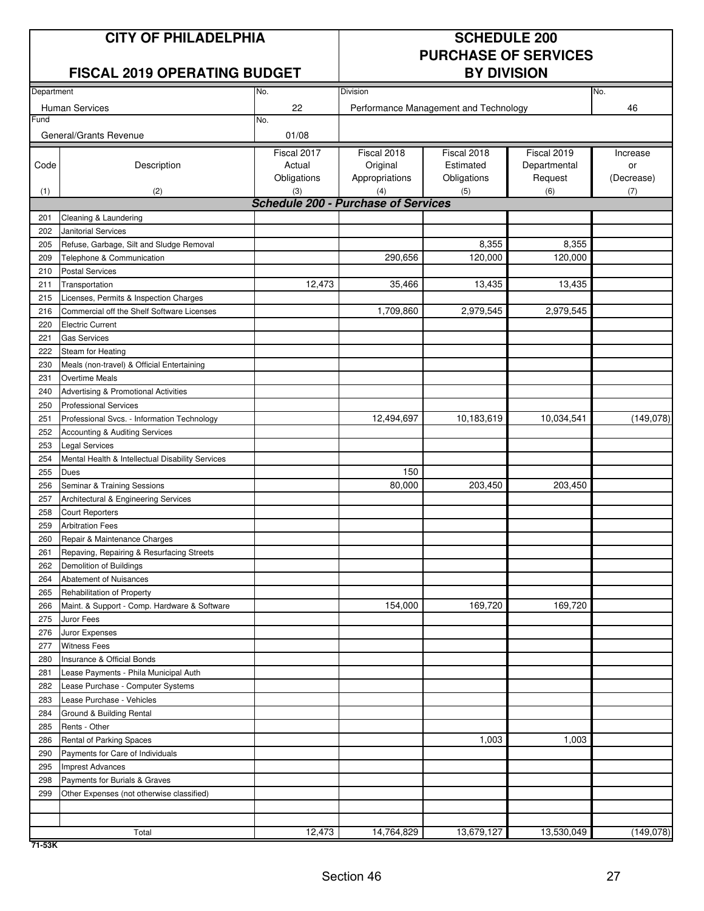## **CITY OF PHILADELPHIA** SCHEDULE 200

## **FISCAL 2019 OPERATING BUDGET BY DIVISION**

## **PURCHASE OF SERVICES**

| Department |                                                  | No.                                        | Division       |                                       |              | No.        |
|------------|--------------------------------------------------|--------------------------------------------|----------------|---------------------------------------|--------------|------------|
|            | <b>Human Services</b>                            | 22                                         |                | Performance Management and Technology |              | 46         |
| Fund       |                                                  | No.                                        |                |                                       |              |            |
|            | General/Grants Revenue                           | 01/08                                      |                |                                       |              |            |
|            |                                                  | Fiscal 2017                                | Fiscal 2018    | Fiscal 2018                           | Fiscal 2019  | Increase   |
| Code       | Description                                      | Actual                                     | Original       | Estimated                             | Departmental | or         |
|            |                                                  | Obligations                                | Appropriations | Obligations                           | Request      | (Decrease) |
| (1)        | (2)                                              | (3)                                        | (4)            | (5)                                   | (6)          | (7)        |
|            |                                                  | <b>Schedule 200 - Purchase of Services</b> |                |                                       |              |            |
| 201        | Cleaning & Laundering                            |                                            |                |                                       |              |            |
| 202        | Janitorial Services                              |                                            |                |                                       |              |            |
| 205        | Refuse, Garbage, Silt and Sludge Removal         |                                            |                | 8,355                                 | 8,355        |            |
| 209        | Telephone & Communication                        |                                            | 290,656        | 120,000                               | 120,000      |            |
| 210        | <b>Postal Services</b>                           |                                            |                |                                       |              |            |
| 211        | Transportation                                   | 12,473                                     | 35,466         | 13,435                                | 13,435       |            |
| 215        | Licenses, Permits & Inspection Charges           |                                            |                |                                       |              |            |
| 216        | Commercial off the Shelf Software Licenses       |                                            | 1,709,860      | 2,979,545                             | 2,979,545    |            |
| 220        | <b>Electric Current</b>                          |                                            |                |                                       |              |            |
| 221        | <b>Gas Services</b>                              |                                            |                |                                       |              |            |
| 222        | Steam for Heating                                |                                            |                |                                       |              |            |
| 230        | Meals (non-travel) & Official Entertaining       |                                            |                |                                       |              |            |
| 231        | <b>Overtime Meals</b>                            |                                            |                |                                       |              |            |
| 240        | Advertising & Promotional Activities             |                                            |                |                                       |              |            |
| 250        | <b>Professional Services</b>                     |                                            |                |                                       |              |            |
| 251        | Professional Svcs. - Information Technology      |                                            | 12,494,697     | 10,183,619                            | 10,034,541   | (149, 078) |
| 252        | Accounting & Auditing Services                   |                                            |                |                                       |              |            |
| 253        | Legal Services                                   |                                            |                |                                       |              |            |
| 254        | Mental Health & Intellectual Disability Services |                                            |                |                                       |              |            |
| 255        | <b>Dues</b>                                      |                                            | 150            |                                       |              |            |
| 256        | Seminar & Training Sessions                      |                                            | 80,000         | 203,450                               | 203,450      |            |
| 257        | Architectural & Engineering Services             |                                            |                |                                       |              |            |
| 258        | <b>Court Reporters</b>                           |                                            |                |                                       |              |            |
| 259        | <b>Arbitration Fees</b>                          |                                            |                |                                       |              |            |
| 260        | Repair & Maintenance Charges                     |                                            |                |                                       |              |            |
| 261        | Repaving, Repairing & Resurfacing Streets        |                                            |                |                                       |              |            |
| 262        | Demolition of Buildings                          |                                            |                |                                       |              |            |
| 264        | <b>Abatement of Nuisances</b>                    |                                            |                |                                       |              |            |
| 265        | Rehabilitation of Property                       |                                            |                |                                       |              |            |
| 266        | Maint. & Support - Comp. Hardware & Software     |                                            | 154,000        | 169,720                               | 169,720      |            |
| 275        | Juror Fees                                       |                                            |                |                                       |              |            |
| 276        | Juror Expenses                                   |                                            |                |                                       |              |            |
| 277        | <b>Witness Fees</b>                              |                                            |                |                                       |              |            |
| 280        | Insurance & Official Bonds                       |                                            |                |                                       |              |            |
| 281        | Lease Payments - Phila Municipal Auth            |                                            |                |                                       |              |            |
| 282        | Lease Purchase - Computer Systems                |                                            |                |                                       |              |            |
| 283        | Lease Purchase - Vehicles                        |                                            |                |                                       |              |            |
| 284        | Ground & Building Rental                         |                                            |                |                                       |              |            |
| 285        | Rents - Other                                    |                                            |                |                                       |              |            |
| 286        | <b>Rental of Parking Spaces</b>                  |                                            |                | 1,003                                 | 1,003        |            |
| 290        | Payments for Care of Individuals                 |                                            |                |                                       |              |            |
| 295        | <b>Imprest Advances</b>                          |                                            |                |                                       |              |            |
| 298        | Payments for Burials & Graves                    |                                            |                |                                       |              |            |
| 299        | Other Expenses (not otherwise classified)        |                                            |                |                                       |              |            |
|            |                                                  |                                            |                |                                       |              |            |
|            |                                                  |                                            |                |                                       |              |            |
|            | Total                                            | 12,473                                     | 14,764,829     | 13,679,127                            | 13,530,049   | (149,078)  |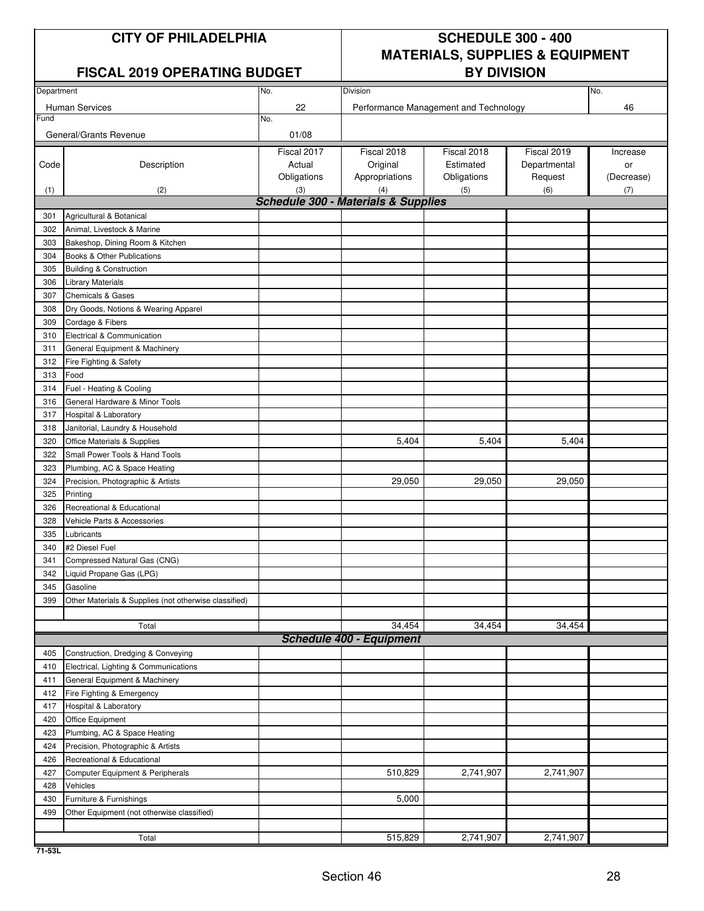#### **FISCAL 2019 OPERATING BUDGET BY DIVISION**

## **CITY OF PHILADELPHIA SCHEDULE 300 - 400 MATERIALS, SUPPLIES & EQUIPMENT**

| Department<br>No. |                                                       |             | Division                                              |                                       | No.          |            |
|-------------------|-------------------------------------------------------|-------------|-------------------------------------------------------|---------------------------------------|--------------|------------|
|                   |                                                       |             |                                                       |                                       |              |            |
| Fund              | <b>Human Services</b>                                 | 22<br>No.   |                                                       | Performance Management and Technology |              | 46         |
|                   |                                                       |             |                                                       |                                       |              |            |
|                   | General/Grants Revenue                                | 01/08       |                                                       |                                       |              |            |
|                   |                                                       | Fiscal 2017 | Fiscal 2018                                           | Fiscal 2018                           | Fiscal 2019  | Increase   |
| Code              | Description                                           | Actual      | Original                                              | Estimated                             | Departmental | or         |
|                   |                                                       | Obligations | Appropriations                                        | Obligations                           | Request      | (Decrease) |
| (1)               | (2)                                                   | (3)         | (4)<br><b>Schedule 300 - Materials &amp; Supplies</b> | (5)                                   | (6)          | (7)        |
|                   |                                                       |             |                                                       |                                       |              |            |
| 301               | Agricultural & Botanical                              |             |                                                       |                                       |              |            |
| 302               | Animal, Livestock & Marine                            |             |                                                       |                                       |              |            |
| 303               | Bakeshop, Dining Room & Kitchen                       |             |                                                       |                                       |              |            |
| 304               | Books & Other Publications                            |             |                                                       |                                       |              |            |
| 305               | <b>Building &amp; Construction</b>                    |             |                                                       |                                       |              |            |
| 306               | <b>Library Materials</b>                              |             |                                                       |                                       |              |            |
| 307               | <b>Chemicals &amp; Gases</b>                          |             |                                                       |                                       |              |            |
| 308               | Dry Goods, Notions & Wearing Apparel                  |             |                                                       |                                       |              |            |
| 309               | Cordage & Fibers                                      |             |                                                       |                                       |              |            |
| 310               | Electrical & Communication                            |             |                                                       |                                       |              |            |
| 311               | General Equipment & Machinery                         |             |                                                       |                                       |              |            |
| 312               | Fire Fighting & Safety                                |             |                                                       |                                       |              |            |
| 313               | Food                                                  |             |                                                       |                                       |              |            |
| 314               | Fuel - Heating & Cooling                              |             |                                                       |                                       |              |            |
| 316               | General Hardware & Minor Tools                        |             |                                                       |                                       |              |            |
| 317               | Hospital & Laboratory                                 |             |                                                       |                                       |              |            |
| 318               | Janitorial, Laundry & Household                       |             |                                                       |                                       |              |            |
| 320               | Office Materials & Supplies                           |             | 5,404                                                 | 5,404                                 | 5,404        |            |
| 322               | Small Power Tools & Hand Tools                        |             |                                                       |                                       |              |            |
| 323               | Plumbing, AC & Space Heating                          |             |                                                       |                                       |              |            |
| 324               | Precision, Photographic & Artists                     |             | 29,050                                                | 29,050                                | 29,050       |            |
| 325               | Printing                                              |             |                                                       |                                       |              |            |
| 326               | Recreational & Educational                            |             |                                                       |                                       |              |            |
| 328               | Vehicle Parts & Accessories                           |             |                                                       |                                       |              |            |
| 335               | Lubricants                                            |             |                                                       |                                       |              |            |
| 340               | #2 Diesel Fuel                                        |             |                                                       |                                       |              |            |
| 341               | Compressed Natural Gas (CNG)                          |             |                                                       |                                       |              |            |
| 342               | Liquid Propane Gas (LPG)                              |             |                                                       |                                       |              |            |
| 345               | Gasoline                                              |             |                                                       |                                       |              |            |
| 399               | Other Materials & Supplies (not otherwise classified) |             |                                                       |                                       |              |            |
|                   |                                                       |             |                                                       |                                       |              |            |
|                   | Total                                                 |             | 34,454                                                | 34,454                                | 34,454       |            |
|                   |                                                       |             | <b>Schedule 400 - Equipment</b>                       |                                       |              |            |
| 405               | Construction, Dredging & Conveying                    |             |                                                       |                                       |              |            |
| 410               | Electrical, Lighting & Communications                 |             |                                                       |                                       |              |            |
| 411               | General Equipment & Machinery                         |             |                                                       |                                       |              |            |
| 412               | Fire Fighting & Emergency                             |             |                                                       |                                       |              |            |
| 417               | Hospital & Laboratory                                 |             |                                                       |                                       |              |            |
| 420               | Office Equipment                                      |             |                                                       |                                       |              |            |
| 423               | Plumbing, AC & Space Heating                          |             |                                                       |                                       |              |            |
| 424               | Precision, Photographic & Artists                     |             |                                                       |                                       |              |            |
| 426               | Recreational & Educational                            |             |                                                       |                                       |              |            |
| 427               | Computer Equipment & Peripherals                      |             | 510,829                                               | 2,741,907                             | 2,741,907    |            |
| 428               | Vehicles                                              |             |                                                       |                                       |              |            |
| 430               | Furniture & Furnishings                               |             | 5,000                                                 |                                       |              |            |
| 499               | Other Equipment (not otherwise classified)            |             |                                                       |                                       |              |            |
|                   |                                                       |             |                                                       |                                       |              |            |
|                   | Total                                                 |             | 515,829                                               | 2,741,907                             | 2,741,907    |            |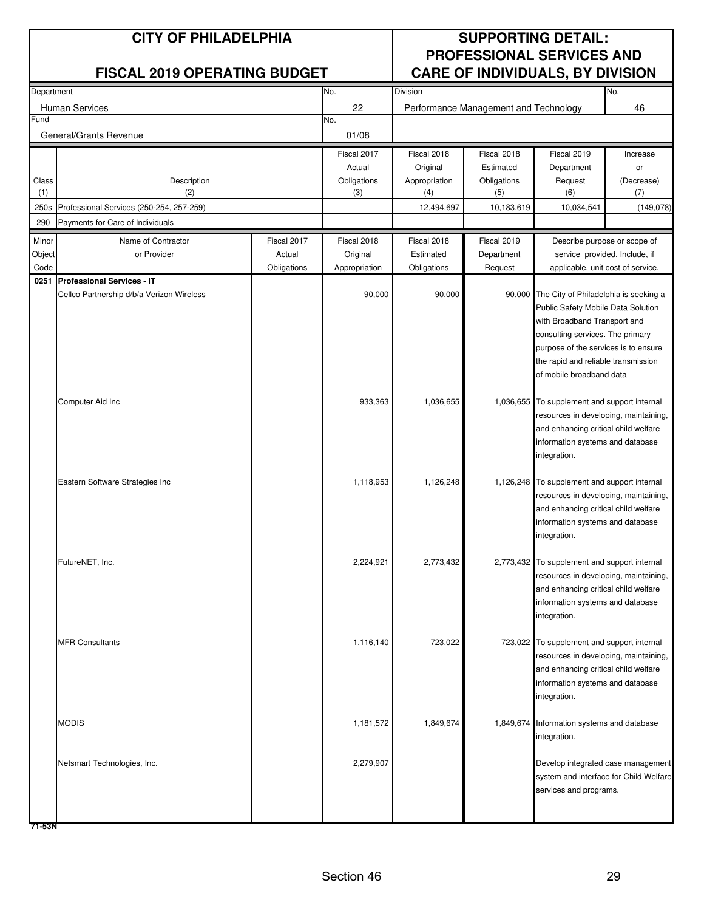| Department |                                           |             | No.           | Division      | No.                                   |                                                                               |            |
|------------|-------------------------------------------|-------------|---------------|---------------|---------------------------------------|-------------------------------------------------------------------------------|------------|
|            | Human Services                            |             | 22            |               | Performance Management and Technology |                                                                               | 46         |
| Fund       |                                           |             | No.           |               |                                       |                                                                               |            |
|            | General/Grants Revenue                    |             | 01/08         |               |                                       |                                                                               |            |
|            |                                           |             | Fiscal 2017   | Fiscal 2018   | Fiscal 2018                           | Fiscal 2019                                                                   | Increase   |
|            |                                           |             | Actual        | Original      | Estimated                             | Department                                                                    | or         |
| Class      | Description                               |             | Obligations   | Appropriation | Obligations                           | Request                                                                       | (Decrease) |
| (1)        | (2)                                       |             | (3)           | (4)           | (5)                                   | (6)                                                                           | (7)        |
| 250s       | Professional Services (250-254, 257-259)  |             |               | 12,494,697    | 10,183,619                            | 10,034,541                                                                    | (149, 078) |
| 290        | Payments for Care of Individuals          |             |               |               |                                       |                                                                               |            |
| Minor      | Name of Contractor                        | Fiscal 2017 | Fiscal 2018   | Fiscal 2018   | Fiscal 2019                           | Describe purpose or scope of                                                  |            |
| Object     | or Provider                               | Actual      | Original      | Estimated     | Department                            | service provided. Include, if                                                 |            |
| Code       |                                           | Obligations | Appropriation | Obligations   | Request                               | applicable, unit cost of service.                                             |            |
| 0251       | <b>Professional Services - IT</b>         |             |               |               |                                       |                                                                               |            |
|            | Cellco Partnership d/b/a Verizon Wireless |             | 90,000        | 90,000        |                                       | 90,000 The City of Philadelphia is seeking a                                  |            |
|            |                                           |             |               |               |                                       | Public Safety Mobile Data Solution<br>with Broadband Transport and            |            |
|            |                                           |             |               |               |                                       | consulting services. The primary                                              |            |
|            |                                           |             |               |               |                                       | purpose of the services is to ensure                                          |            |
|            |                                           |             |               |               |                                       | the rapid and reliable transmission                                           |            |
|            |                                           |             |               |               |                                       | of mobile broadband data                                                      |            |
|            |                                           |             |               |               |                                       |                                                                               |            |
|            | Computer Aid Inc                          |             | 933,363       | 1,036,655     | 1,036,655                             | To supplement and support internal                                            |            |
|            |                                           |             |               |               |                                       | resources in developing, maintaining,                                         |            |
|            |                                           |             |               |               |                                       | and enhancing critical child welfare                                          |            |
|            |                                           |             |               |               |                                       | information systems and database                                              |            |
|            |                                           |             |               |               |                                       | integration.                                                                  |            |
|            | Eastern Software Strategies Inc           |             | 1,118,953     | 1,126,248     |                                       | 1,126,248 To supplement and support internal                                  |            |
|            |                                           |             |               |               |                                       | resources in developing, maintaining,                                         |            |
|            |                                           |             |               |               |                                       | and enhancing critical child welfare                                          |            |
|            |                                           |             |               |               |                                       | information systems and database                                              |            |
|            |                                           |             |               |               |                                       | integration.                                                                  |            |
|            |                                           |             |               |               |                                       |                                                                               |            |
|            | FutureNET, Inc.                           |             | 2,224,921     | 2,773,432     |                                       | 2,773,432 To supplement and support internal                                  |            |
|            |                                           |             |               |               |                                       | resources in developing, maintaining,<br>and enhancing critical child welfare |            |
|            |                                           |             |               |               |                                       | information systems and database                                              |            |
|            |                                           |             |               |               |                                       | integration.                                                                  |            |
|            |                                           |             |               |               |                                       |                                                                               |            |
|            | <b>MFR Consultants</b>                    |             | 1,116,140     | 723,022       |                                       | 723,022 To supplement and support internal                                    |            |
|            |                                           |             |               |               |                                       | resources in developing, maintaining,                                         |            |
|            |                                           |             |               |               |                                       | and enhancing critical child welfare                                          |            |
|            |                                           |             |               |               |                                       | information systems and database                                              |            |
|            |                                           |             |               |               |                                       | integration.                                                                  |            |
|            | <b>MODIS</b>                              |             | 1,181,572     | 1,849,674     |                                       | 1,849,674 Information systems and database                                    |            |
|            |                                           |             |               |               |                                       | integration.                                                                  |            |
|            |                                           |             |               |               |                                       |                                                                               |            |
|            | Netsmart Technologies, Inc.               |             | 2,279,907     |               |                                       | Develop integrated case management                                            |            |
|            |                                           |             |               |               |                                       | system and interface for Child Welfare                                        |            |
|            |                                           |             |               |               |                                       | services and programs.                                                        |            |
|            |                                           |             |               |               |                                       |                                                                               |            |
|            |                                           |             |               |               |                                       |                                                                               |            |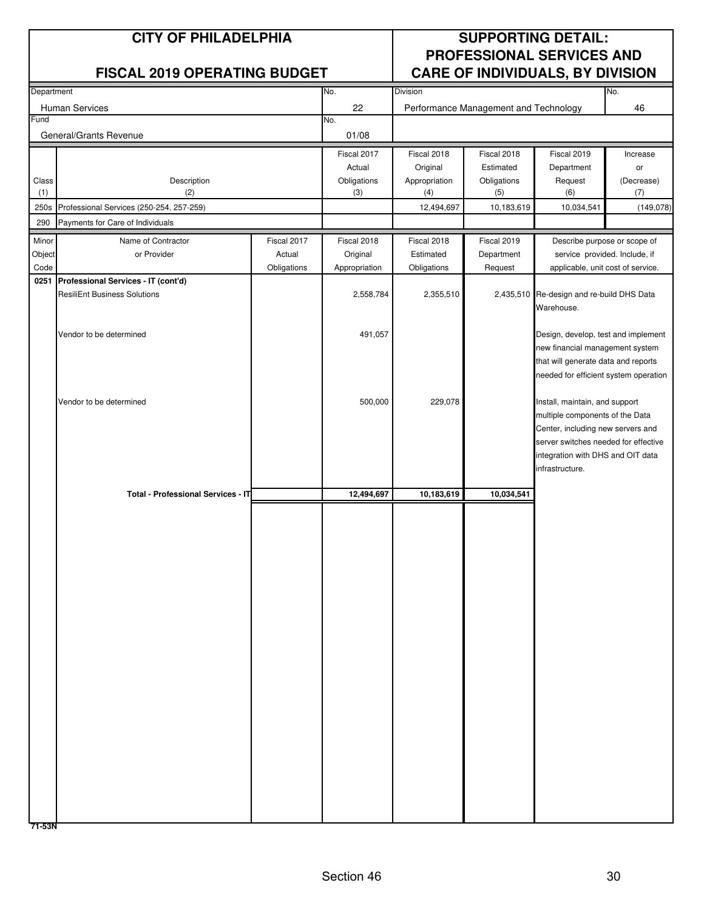| Department |                                          |             | No.           | Division      |                                       |                                                                        | No.        |
|------------|------------------------------------------|-------------|---------------|---------------|---------------------------------------|------------------------------------------------------------------------|------------|
|            | Human Services                           |             | 22            |               | Performance Management and Technology |                                                                        | 46         |
| Fund       |                                          |             | No.           |               |                                       |                                                                        |            |
|            | General/Grants Revenue                   |             | 01/08         |               |                                       |                                                                        |            |
|            |                                          |             | Fiscal 2017   | Fiscal 2018   | Fiscal 2018                           | Fiscal 2019                                                            | Increase   |
|            |                                          |             | Actual        | Original      | Estimated                             | Department                                                             | or         |
| Class      | Description                              |             | Obligations   | Appropriation | Obligations                           | Request                                                                | (Decrease) |
| (1)        | (2)                                      |             | (3)           | (4)           | (5)                                   | (6)                                                                    | (7)        |
| 250s       | Professional Services (250-254, 257-259) |             |               | 12,494,697    | 10,183,619                            | 10,034,541                                                             | (149, 078) |
| 290        | Payments for Care of Individuals         |             |               |               |                                       |                                                                        |            |
| Minor      | Name of Contractor                       | Fiscal 2017 | Fiscal 2018   | Fiscal 2018   | Fiscal 2019                           | Describe purpose or scope of                                           |            |
| Object     | or Provider                              | Actual      | Original      | Estimated     | Department                            | service provided. Include, if                                          |            |
| Code       |                                          | Obligations | Appropriation | Obligations   | Request                               | applicable, unit cost of service.                                      |            |
| 0251       | Professional Services - IT (cont'd)      |             |               |               |                                       |                                                                        |            |
|            | <b>ResiliEnt Business Solutions</b>      |             | 2,558,784     | 2,355,510     |                                       | 2,435,510 Re-design and re-build DHS Data                              |            |
|            |                                          |             |               |               |                                       | Warehouse.                                                             |            |
|            |                                          |             |               |               |                                       |                                                                        |            |
|            | Vendor to be determined                  |             | 491,057       |               |                                       | Design, develop, test and implement<br>new financial management system |            |
|            |                                          |             |               |               |                                       | that will generate data and reports                                    |            |
|            |                                          |             |               |               |                                       | needed for efficient system operation                                  |            |
|            |                                          |             |               |               |                                       |                                                                        |            |
|            | Vendor to be determined                  |             | 500,000       | 229,078       |                                       | Install, maintain, and support                                         |            |
|            |                                          |             |               |               |                                       | multiple components of the Data                                        |            |
|            |                                          |             |               |               |                                       | Center, including new servers and                                      |            |
|            |                                          |             |               |               |                                       | server switches needed for effective                                   |            |
|            |                                          |             |               |               |                                       | integration with DHS and OIT data                                      |            |
|            |                                          |             |               |               |                                       | infrastructure.                                                        |            |
|            | Total - Professional Services - IT       |             | 12,494,697    | 10,183,619    | 10,034,541                            |                                                                        |            |
|            |                                          |             |               |               |                                       |                                                                        |            |
|            |                                          |             |               |               |                                       |                                                                        |            |
|            |                                          |             |               |               |                                       |                                                                        |            |
|            |                                          |             |               |               |                                       |                                                                        |            |
|            |                                          |             |               |               |                                       |                                                                        |            |
|            |                                          |             |               |               |                                       |                                                                        |            |
|            |                                          |             |               |               |                                       |                                                                        |            |
|            |                                          |             |               |               |                                       |                                                                        |            |
|            |                                          |             |               |               |                                       |                                                                        |            |
|            |                                          |             |               |               |                                       |                                                                        |            |
|            |                                          |             |               |               |                                       |                                                                        |            |
|            |                                          |             |               |               |                                       |                                                                        |            |
|            |                                          |             |               |               |                                       |                                                                        |            |
|            |                                          |             |               |               |                                       |                                                                        |            |
|            |                                          |             |               |               |                                       |                                                                        |            |
|            |                                          |             |               |               |                                       |                                                                        |            |
|            |                                          |             |               |               |                                       |                                                                        |            |
|            |                                          |             |               |               |                                       |                                                                        |            |
|            |                                          |             |               |               |                                       |                                                                        |            |
|            |                                          |             |               |               |                                       |                                                                        |            |
|            |                                          |             |               |               |                                       |                                                                        |            |
|            |                                          |             |               |               |                                       |                                                                        |            |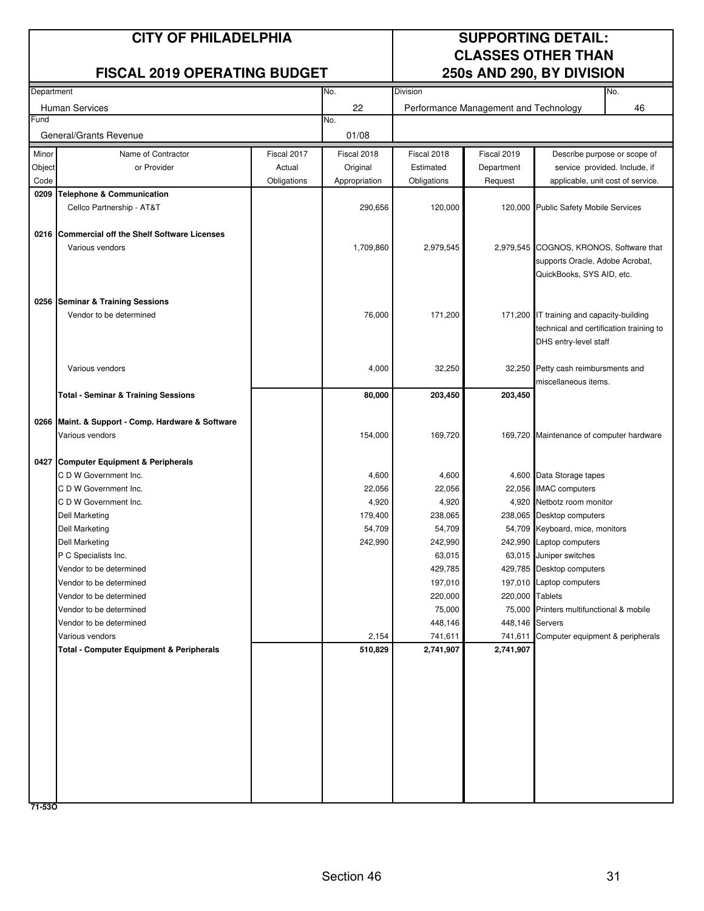## **CITY OF PHILADELPHIA SUPPORTING DETAIL:**

#### **FISCAL 2019 OPERATING BUDGET**

# **CLASSES OTHER THAN<br>250s AND 290, BY DIVISION**

| Department |                                                     |             | No.           | <b>Division</b>    |                                       |                                           | No.                               |
|------------|-----------------------------------------------------|-------------|---------------|--------------------|---------------------------------------|-------------------------------------------|-----------------------------------|
|            | <b>Human Services</b>                               |             | 22            |                    | Performance Management and Technology |                                           | 46                                |
| Fund       |                                                     |             | No.           |                    |                                       |                                           |                                   |
|            | General/Grants Revenue                              |             | 01/08         |                    |                                       |                                           |                                   |
| Minor      | Name of Contractor                                  | Fiscal 2017 | Fiscal 2018   | Fiscal 2018        | Fiscal 2019                           |                                           | Describe purpose or scope of      |
| Object     | or Provider                                         | Actual      | Original      | Estimated          | Department                            |                                           | service provided. Include, if     |
| Code       |                                                     | Obligations | Appropriation | Obligations        | Request                               |                                           | applicable, unit cost of service. |
| 0209       | <b>Telephone &amp; Communication</b>                |             |               |                    |                                       |                                           |                                   |
|            | Cellco Partnership - AT&T                           |             | 290,656       | 120,000            |                                       | 120,000 Public Safety Mobile Services     |                                   |
|            |                                                     |             |               |                    |                                       |                                           |                                   |
|            | 0216 Commercial off the Shelf Software Licenses     |             |               |                    |                                       |                                           |                                   |
|            | Various vendors                                     |             | 1,709,860     | 2,979,545          |                                       | 2,979,545 COGNOS, KRONOS, Software that   |                                   |
|            |                                                     |             |               |                    |                                       | supports Oracle, Adobe Acrobat,           |                                   |
|            |                                                     |             |               |                    |                                       | QuickBooks, SYS AID, etc.                 |                                   |
|            |                                                     |             |               |                    |                                       |                                           |                                   |
|            | 0256 Seminar & Training Sessions                    |             |               |                    |                                       |                                           |                                   |
|            | Vendor to be determined                             |             | 76,000        | 171,200            |                                       | 171,200 IT training and capacity-building |                                   |
|            |                                                     |             |               |                    |                                       | technical and certification training to   |                                   |
|            |                                                     |             |               |                    |                                       | DHS entry-level staff                     |                                   |
|            | Various vendors                                     |             | 4,000         | 32,250             |                                       | 32,250 Petty cash reimbursments and       |                                   |
|            |                                                     |             |               |                    |                                       | miscellaneous items.                      |                                   |
|            | Total - Seminar & Training Sessions                 |             | 80,000        | 203,450            | 203,450                               |                                           |                                   |
|            |                                                     |             |               |                    |                                       |                                           |                                   |
| 0266       | Maint. & Support - Comp. Hardware & Software        |             |               |                    |                                       |                                           |                                   |
|            | Various vendors                                     |             | 154,000       | 169,720            |                                       | 169,720 Maintenance of computer hardware  |                                   |
|            |                                                     |             |               |                    |                                       |                                           |                                   |
|            | 0427 Computer Equipment & Peripherals               |             |               |                    |                                       |                                           |                                   |
|            | C D W Government Inc.                               |             | 4,600         | 4,600              |                                       | 4,600 Data Storage tapes                  |                                   |
|            | C D W Government Inc.                               |             | 22,056        | 22,056             |                                       | 22,056 IMAC computers                     |                                   |
|            | C D W Government Inc.                               |             | 4,920         | 4,920              |                                       | 4,920 Netbotz room monitor                |                                   |
|            | <b>Dell Marketing</b>                               |             | 179,400       | 238,065            |                                       | 238,065 Desktop computers                 |                                   |
|            | <b>Dell Marketing</b>                               |             | 54,709        | 54,709             |                                       | 54,709 Keyboard, mice, monitors           |                                   |
|            | <b>Dell Marketing</b>                               |             | 242,990       | 242,990            |                                       | 242,990 Laptop computers                  |                                   |
|            | P C Specialists Inc.                                |             |               | 63,015             |                                       | 63,015 Juniper switches                   |                                   |
|            | Vendor to be determined<br>Vendor to be determined  |             |               | 429,785<br>197,010 |                                       | 429,785 Desktop computers                 |                                   |
|            | Vendor to be determined                             |             |               | 220,000            | 220,000 Tablets                       | 197,010 Laptop computers                  |                                   |
|            | Vendor to be determined                             |             |               | 75,000             |                                       | 75,000 Printers multifunctional & mobile  |                                   |
|            | Vendor to be determined                             |             |               | 448,146            | 448,146 Servers                       |                                           |                                   |
|            | Various vendors                                     |             | 2,154         | 741,611            | 741,611                               | Computer equipment & peripherals          |                                   |
|            | <b>Total - Computer Equipment &amp; Peripherals</b> |             | 510,829       | 2,741,907          | 2,741,907                             |                                           |                                   |
|            |                                                     |             |               |                    |                                       |                                           |                                   |
|            |                                                     |             |               |                    |                                       |                                           |                                   |
|            |                                                     |             |               |                    |                                       |                                           |                                   |
|            |                                                     |             |               |                    |                                       |                                           |                                   |
|            |                                                     |             |               |                    |                                       |                                           |                                   |
|            |                                                     |             |               |                    |                                       |                                           |                                   |
|            |                                                     |             |               |                    |                                       |                                           |                                   |
|            |                                                     |             |               |                    |                                       |                                           |                                   |
|            |                                                     |             |               |                    |                                       |                                           |                                   |
|            |                                                     |             |               |                    |                                       |                                           |                                   |
| 71-530     |                                                     |             |               |                    |                                       |                                           |                                   |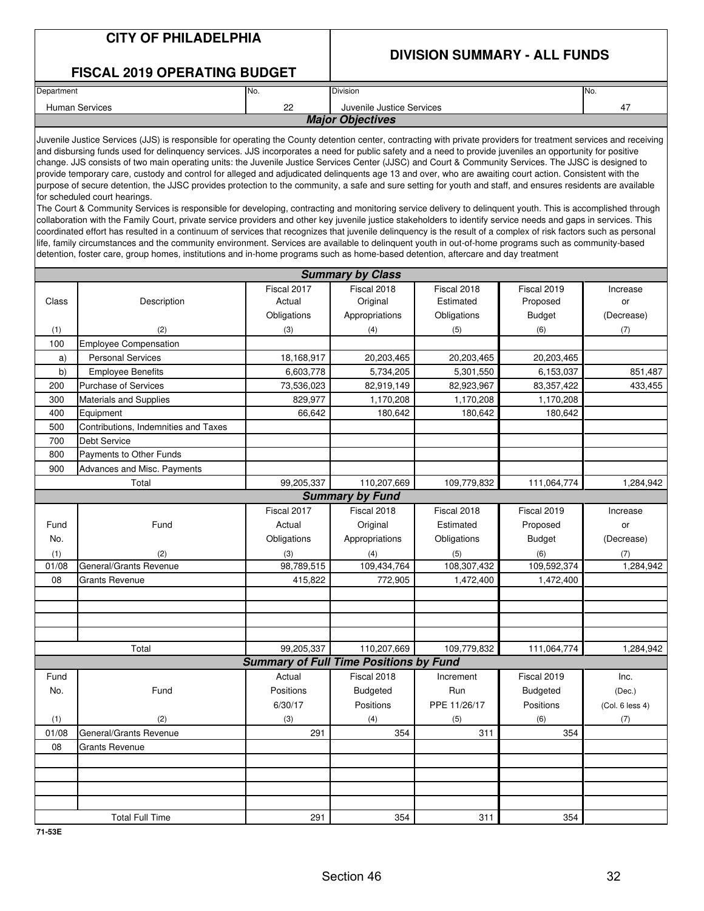#### **CITY OF PHILADELPHIA**

## **DIVISION SUMMARY - ALL FUNDS**

#### **FISCAL 2019 OPERATING BUDGET**

| No.<br>Department       |                                       | <b>Division</b> | No. |  |  |  |  |
|-------------------------|---------------------------------------|-----------------|-----|--|--|--|--|
| Human Services          | nn<br>Juvenile Justice Services<br>-- |                 | 4   |  |  |  |  |
| <b>Major Objectives</b> |                                       |                 |     |  |  |  |  |

Juvenile Justice Services (JJS) is responsible for operating the County detention center, contracting with private providers for treatment services and receiving and disbursing funds used for delinquency services. JJS incorporates a need for public safety and a need to provide juveniles an opportunity for positive change. JJS consists of two main operating units: the Juvenile Justice Services Center (JJSC) and Court & Community Services. The JJSC is designed to provide temporary care, custody and control for alleged and adjudicated delinquents age 13 and over, who are awaiting court action. Consistent with the purpose of secure detention, the JJSC provides protection to the community, a safe and sure setting for youth and staff, and ensures residents are available for scheduled court hearings.

The Court & Community Services is responsible for developing, contracting and monitoring service delivery to delinquent youth. This is accomplished through collaboration with the Family Court, private service providers and other key juvenile justice stakeholders to identify service needs and gaps in services. This coordinated effort has resulted in a continuum of services that recognizes that juvenile delinquency is the result of a complex of risk factors such as personal life, family circumstances and the community environment. Services are available to delinquent youth in out-of-home programs such as community-based detention, foster care, group homes, institutions and in-home programs such as home-based detention, aftercare and day treatment

|       | <b>Summary by Class</b>              |                                               |                        |              |                 |                 |  |  |  |  |
|-------|--------------------------------------|-----------------------------------------------|------------------------|--------------|-----------------|-----------------|--|--|--|--|
|       |                                      | Fiscal 2017                                   | Fiscal 2018            | Fiscal 2018  | Fiscal 2019     | Increase        |  |  |  |  |
| Class | Description                          | Actual                                        | Original               | Estimated    | Proposed        | or              |  |  |  |  |
|       |                                      | Obligations                                   | Appropriations         | Obligations  | <b>Budget</b>   | (Decrease)      |  |  |  |  |
| (1)   | (2)                                  | (3)                                           | (4)                    | (5)          | (6)             | (7)             |  |  |  |  |
| 100   | <b>Employee Compensation</b>         |                                               |                        |              |                 |                 |  |  |  |  |
| a)    | <b>Personal Services</b>             | 18,168,917                                    | 20,203,465             | 20,203,465   | 20,203,465      |                 |  |  |  |  |
| b)    | <b>Employee Benefits</b>             | 6,603,778                                     | 5,734,205              | 5,301,550    | 6,153,037       | 851,487         |  |  |  |  |
| 200   | <b>Purchase of Services</b>          | 73,536,023                                    | 82,919,149             | 82,923,967   | 83,357,422      | 433,455         |  |  |  |  |
| 300   | Materials and Supplies               | 829,977                                       | 1,170,208              | 1,170,208    | 1,170,208       |                 |  |  |  |  |
| 400   | Equipment                            | 66,642                                        | 180,642                | 180,642      | 180,642         |                 |  |  |  |  |
| 500   | Contributions, Indemnities and Taxes |                                               |                        |              |                 |                 |  |  |  |  |
| 700   | Debt Service                         |                                               |                        |              |                 |                 |  |  |  |  |
| 800   | Payments to Other Funds              |                                               |                        |              |                 |                 |  |  |  |  |
| 900   | Advances and Misc. Payments          |                                               |                        |              |                 |                 |  |  |  |  |
|       | Total                                | 99,205,337                                    | 110.207.669            | 109,779,832  | 111,064,774     | 1,284,942       |  |  |  |  |
|       |                                      |                                               | <b>Summary by Fund</b> |              |                 |                 |  |  |  |  |
|       |                                      | Fiscal 2017                                   | Fiscal 2018            | Fiscal 2018  | Fiscal 2019     | Increase        |  |  |  |  |
| Fund  | Fund                                 | Actual                                        | Original               | Estimated    | Proposed        | or              |  |  |  |  |
| No.   |                                      | Obligations                                   | Appropriations         | Obligations  | <b>Budget</b>   | (Decrease)      |  |  |  |  |
| (1)   | (2)                                  | (3)                                           | (4)                    | (5)          | (6)             | (7)             |  |  |  |  |
| 01/08 | General/Grants Revenue               | 98,789,515                                    | 109,434,764            | 108,307,432  | 109,592,374     | 1,284,942       |  |  |  |  |
| 08    | <b>Grants Revenue</b>                | 415,822                                       | 772,905                | 1,472,400    | 1,472,400       |                 |  |  |  |  |
|       |                                      |                                               |                        |              |                 |                 |  |  |  |  |
|       |                                      |                                               |                        |              |                 |                 |  |  |  |  |
|       |                                      |                                               |                        |              |                 |                 |  |  |  |  |
|       |                                      |                                               |                        |              |                 |                 |  |  |  |  |
|       | Total                                | 99,205,337                                    | 110,207,669            | 109,779,832  | 111,064,774     | 1,284,942       |  |  |  |  |
|       |                                      | <b>Summary of Full Time Positions by Fund</b> |                        |              |                 |                 |  |  |  |  |
| Fund  |                                      | Actual                                        | Fiscal 2018            | Increment    | Fiscal 2019     | Inc.            |  |  |  |  |
| No.   | Fund                                 | Positions                                     | <b>Budgeted</b>        | Run          | <b>Budgeted</b> | (Dec.)          |  |  |  |  |
|       |                                      | 6/30/17                                       | Positions              | PPE 11/26/17 | Positions       | (Col. 6 less 4) |  |  |  |  |
| (1)   | (2)                                  | (3)                                           | (4)                    | (5)          | (6)             | (7)             |  |  |  |  |
| 01/08 | General/Grants Revenue               | 291                                           | 354                    | 311          | 354             |                 |  |  |  |  |
| 08    | <b>Grants Revenue</b>                |                                               |                        |              |                 |                 |  |  |  |  |
|       |                                      |                                               |                        |              |                 |                 |  |  |  |  |
|       |                                      |                                               |                        |              |                 |                 |  |  |  |  |
|       |                                      |                                               |                        |              |                 |                 |  |  |  |  |
|       |                                      |                                               |                        |              |                 |                 |  |  |  |  |
|       | <b>Total Full Time</b>               | 291                                           | 354                    | 311          | 354             |                 |  |  |  |  |

**71-53E**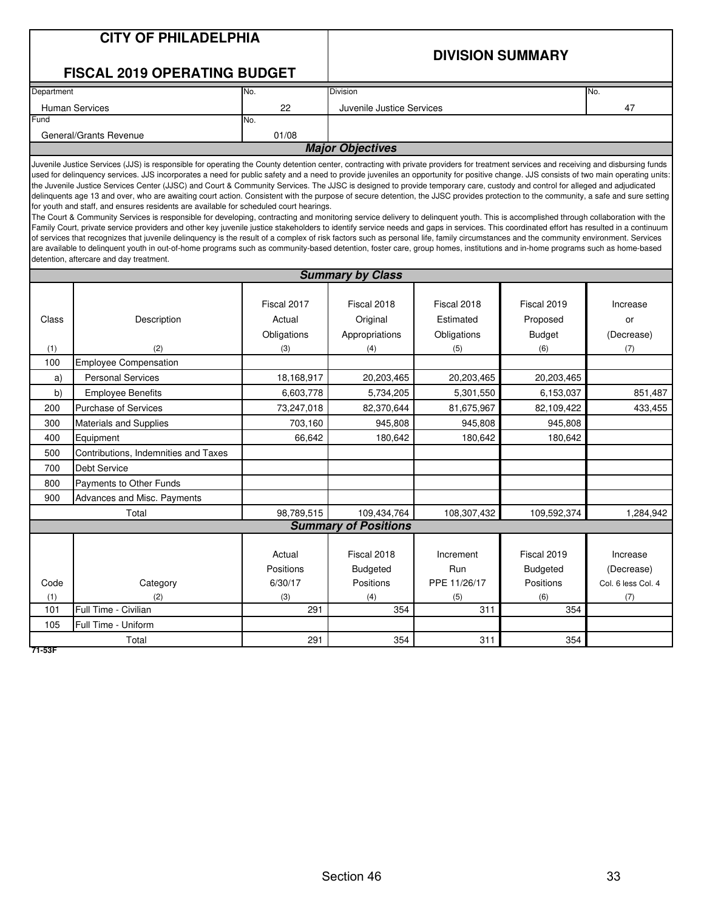### **CITY OF PHILADELPHIA**

#### **DIVISION SUMMARY**

#### **FISCAL 2019 OPERATING BUDGET**

| Department                      | No.  | <b>Division</b>           | INo. |  |  |  |  |
|---------------------------------|------|---------------------------|------|--|--|--|--|
| <b>Human Services</b>           | 22   | Juvenile Justice Services | 47   |  |  |  |  |
| Fund                            | INo. |                           |      |  |  |  |  |
| 01/08<br>General/Grants Revenue |      |                           |      |  |  |  |  |
| <b>Major Objectives</b>         |      |                           |      |  |  |  |  |

Juvenile Justice Services (JJS) is responsible for operating the County detention center, contracting with private providers for treatment services and receiving and disbursing funds used for delinquency services. JJS incorporates a need for public safety and a need to provide juveniles an opportunity for positive change. JJS consists of two main operating units: the Juvenile Justice Services Center (JJSC) and Court & Community Services. The JJSC is designed to provide temporary care, custody and control for alleged and adjudicated delinquents age 13 and over, who are awaiting court action. Consistent with the purpose of secure detention, the JJSC provides protection to the community, a safe and sure setting for youth and staff, and ensures residents are available for scheduled court hearings.

The Court & Community Services is responsible for developing, contracting and monitoring service delivery to delinquent youth. This is accomplished through collaboration with the Family Court, private service providers and other key juvenile justice stakeholders to identify service needs and gaps in services. This coordinated effort has resulted in a continuum of services that recognizes that juvenile delinquency is the result of a complex of risk factors such as personal life, family circumstances and the community environment. Services are available to delinquent youth in out-of-home programs such as community-based detention, foster care, group homes, institutions and in-home programs such as home-based detention, aftercare and day treatment.

|       |                                      | <b>Summary by Class</b><br>Fiscal 2017<br>Fiscal 2018<br>Fiscal 2018<br>Fiscal 2019<br>Increase<br>Original<br>Actual<br>Estimated<br>Proposed<br>or<br>Obligations<br>Appropriations<br>Obligations<br><b>Budget</b><br>(Decrease)<br>(7)<br>(3)<br>(4)<br>(5)<br>(6) |                             |              |                 |                    |  |  |  |  |  |
|-------|--------------------------------------|------------------------------------------------------------------------------------------------------------------------------------------------------------------------------------------------------------------------------------------------------------------------|-----------------------------|--------------|-----------------|--------------------|--|--|--|--|--|
|       |                                      |                                                                                                                                                                                                                                                                        |                             |              |                 |                    |  |  |  |  |  |
|       |                                      |                                                                                                                                                                                                                                                                        |                             |              |                 |                    |  |  |  |  |  |
| Class | Description                          |                                                                                                                                                                                                                                                                        |                             |              |                 |                    |  |  |  |  |  |
|       |                                      |                                                                                                                                                                                                                                                                        |                             |              |                 |                    |  |  |  |  |  |
| (1)   | (2)                                  |                                                                                                                                                                                                                                                                        |                             |              |                 |                    |  |  |  |  |  |
| 100   | <b>Employee Compensation</b>         |                                                                                                                                                                                                                                                                        |                             |              |                 |                    |  |  |  |  |  |
| a)    | <b>Personal Services</b>             | 18,168,917                                                                                                                                                                                                                                                             | 20,203,465                  | 20,203,465   | 20,203,465      |                    |  |  |  |  |  |
| b)    | <b>Employee Benefits</b>             | 6,603,778                                                                                                                                                                                                                                                              | 5,734,205                   | 5,301,550    | 6,153,037       | 851,487            |  |  |  |  |  |
| 200   | <b>Purchase of Services</b>          | 73,247,018                                                                                                                                                                                                                                                             | 82,370,644                  | 81,675,967   | 82,109,422      | 433,455            |  |  |  |  |  |
| 300   | Materials and Supplies               | 703,160                                                                                                                                                                                                                                                                | 945,808                     | 945,808      | 945,808         |                    |  |  |  |  |  |
| 400   | Equipment                            | 66,642                                                                                                                                                                                                                                                                 | 180,642                     | 180,642      | 180,642         |                    |  |  |  |  |  |
| 500   | Contributions, Indemnities and Taxes |                                                                                                                                                                                                                                                                        |                             |              |                 |                    |  |  |  |  |  |
| 700   | <b>Debt Service</b>                  |                                                                                                                                                                                                                                                                        |                             |              |                 |                    |  |  |  |  |  |
| 800   | Payments to Other Funds              |                                                                                                                                                                                                                                                                        |                             |              |                 |                    |  |  |  |  |  |
| 900   | Advances and Misc. Payments          |                                                                                                                                                                                                                                                                        |                             |              |                 |                    |  |  |  |  |  |
| Total |                                      | 98,789,515                                                                                                                                                                                                                                                             | 109,434,764                 | 108,307,432  | 109,592,374     | 1,284,942          |  |  |  |  |  |
|       |                                      |                                                                                                                                                                                                                                                                        | <b>Summary of Positions</b> |              |                 |                    |  |  |  |  |  |
|       |                                      |                                                                                                                                                                                                                                                                        |                             |              |                 |                    |  |  |  |  |  |
|       |                                      | Actual                                                                                                                                                                                                                                                                 | Fiscal 2018                 | Increment    | Fiscal 2019     | Increase           |  |  |  |  |  |
|       |                                      | Positions                                                                                                                                                                                                                                                              | <b>Budgeted</b>             | Run          | <b>Budgeted</b> | (Decrease)         |  |  |  |  |  |
| Code  | Category                             | 6/30/17                                                                                                                                                                                                                                                                | Positions                   | PPE 11/26/17 | Positions       | Col. 6 less Col. 4 |  |  |  |  |  |
| (1)   | (2)                                  | (3)                                                                                                                                                                                                                                                                    | (4)                         | (5)          | (6)             | (7)                |  |  |  |  |  |
| 101   | Full Time - Civilian                 | 291                                                                                                                                                                                                                                                                    | 354                         | 311          | 354             |                    |  |  |  |  |  |
| 105   | Full Time - Uniform                  |                                                                                                                                                                                                                                                                        |                             |              |                 |                    |  |  |  |  |  |
|       | Total                                | 291                                                                                                                                                                                                                                                                    | 354                         | 311          | 354             |                    |  |  |  |  |  |

**71-53F**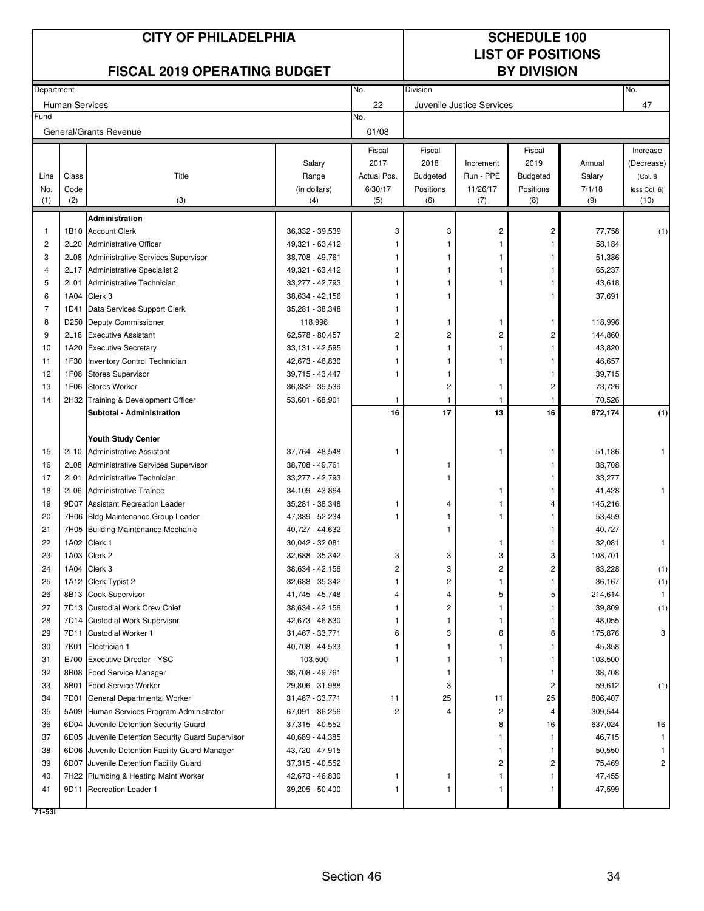#### No. No. Human Services **All and Services All and Services All and Services All and Services All and Services All and Services All and Services All and Services All and Services All and Services All and Services** No. 01/08 Fiscal Fiscal Fiscal Increase Salary 2017 2018 Increment 2019 Annual (Decrease) Line | Class | Title Title | Range | Actual Pos. | Budgeted | Run - PPE | Budgeted | Salary | (Col. 8 No. Code (in dollars) 6/30/17 Positions 11/26/17 Positions 7/1/18 less Col. 6) (1) (2) (3) (4) (5) (6) (7) (8) (9) (10) **Administration** 1 | 1B10 |Account Clerk | 36,332 - 39,539 | 3 | 3 | 2 | 2 | 77,758 | (1) 2 2L20 Administrative Officer 49,321 - 63,412 1111 58,184 3 2L08 Administrative Services Supervisor 38,708 - 49,761 1 1 1 1 1 1 1 51,386 4 2L17 Administrative Specialist 2 49,321 - 63,412 1 1 1 1 1 1 65.237 5 2L01 Administrative Technician 1 33,277 - 42,793 1 1 1 1 1 1 1 43,618 6 | 1A04 |Clerk 3 | 38,634 - 42,156 | 1 | 1 | 37,691 7 | 1D41 Data Services Support Clerk | 35,281 - 38,348 | 1 8 D250 Deputy Commissioner 118,996 118,996 1111 11 118,996 1111 1118,996 1111 11 9 2L18 Executive Assistant 62,578 - 80,457 2222 144,860 10 | 1A20 Executive Secretary 1 | 33,131 - 42,595 | 1 | 1 | 1 | 1 | 43,820 11 | 1F30 | Inventory Control Technician | 2,673 - 46,830 | 1 | 1 | 1 | 1 | 46,657 12 1F08 Stores Supervisor 39,715 - 43,447 1 1 1 39,715 13 1F06 Stores Worker 36,332 - 39,539 2 1 2 73,726 14 2H32 Training & Development Officer 1 53,601 - 68,901 1 1 1 1 1 1 70,526 **Subtotal - Administration 16 17 13 16 872,174 (1) Youth Study Center** 15 2L10 Administrative Assistant 1 37,764 - 48,548 1 1 1 1 1 1 1 51,186 1 16 2L08 Administrative Services Supervisor 188,708 - 49,761 1 1 1 1 1 1 1 1 38,708 17 2L01 Administrative Technician 1990 10 33.277 - 42.793 1 1 1 1 1 1 1 1 1 33.277 18 2L06 Administrative Trainee 34.109 - 43,864 1 1 41,428 1 19 9D07 Assistant Recreation Leader 1 35,281 - 38,348 1 1 4 4 145,216 20 7H06 Bldg Maintenance Group Leader 1 47,389 - 52,234 1 1 1 1 1 1 1 53,459 21 7H05 Building Maintenance Mechanic 1 40,727 - 44,632 1 1 1 1 1 1 1 40,727 22 1A02 Clerk 1 30,042 - 32,081 1 1 32,081 1 23 1A03 Clerk 2 32,688 - 35,342 3333 108,701 24 | 1A04 | Clerk 3 | 38,634 - 42,156 | 2 | 2 | 2 | 83,228 | (1) 25 1A12 Clerk Typist 2 32,688 - 35,342 1211 36,167 (1) 26 | 8B13 |Cook Supervisor | 41,745 - 45,748 | 4 | 4 | 5 | 5 | 214,614 | 1 27 7D13 Custodial Work Crew Chief 38,634 - 42,156 1211 39,809 (1) 28 **7D14 Custodial Work Supervisor** 42,673 - 46,830 **111 11** 1 11 11 11 48,055 29 | 7D11 |Custodial Worker 1 | 31,467 - 33,771 | 6 | 3 | 6 | 6 | 175,876 | 3 30 7K01 Electrician 1 40,708 - 44,533 1111 45,358 31 E700 Executive Director - YSC 103,500 1 1 1 1 1 1 1 103,500 32 8B08 Food Service Manager 38,708 - 49,761 1 1 38,708 33 8B01 Food Service Worker 29,806 - 31,988 33 33 34 359,612 59,612 (1) 34 7D01 General Departmental Worker 806,407 31,467 - 33,771 11 25 11 25 806,407 35 5A09 Human Services Program Administrator (67,091 - 86,256 22 4 4 309,544 36 6D04 Juvenile Detention Security Guard 16 37,315 - 40,552 16 16 8 16 16 637,024 16 37 6D05 Juvenile Detention Security Guard Supervisor (40,689 - 44,385 1 1 1 1 1 1 46,715 1 1 46,715 1 1 46,715 38 6D06 Juvenile Detention Facility Guard Manager 43,720 - 47,915 1 1 1 1 50,550 1 1 39 6D07 Juvenile Detention Facility Guard 2 37,315 - 40,552 2 2 2 2 75,469 2 40 7H22 Plumbing & Heating Maint Worker 42,673 - 46,830 1 1 1 1 1 1 1 1 47,455 41 9D11 Recreation Leader 1 1 39,205 - 50,400 1 1 1 1 1 1 1 47,599 Department Division Communication of the Communication of the Communication of the Division Fund General/Grants Revenue **CITY OF PHILADELPHIA CITY OF PHILADELPHIA LIST OF POSITIONS FISCAL 2019 OPERATING BUDGET BY DIVISION**

**71-53I**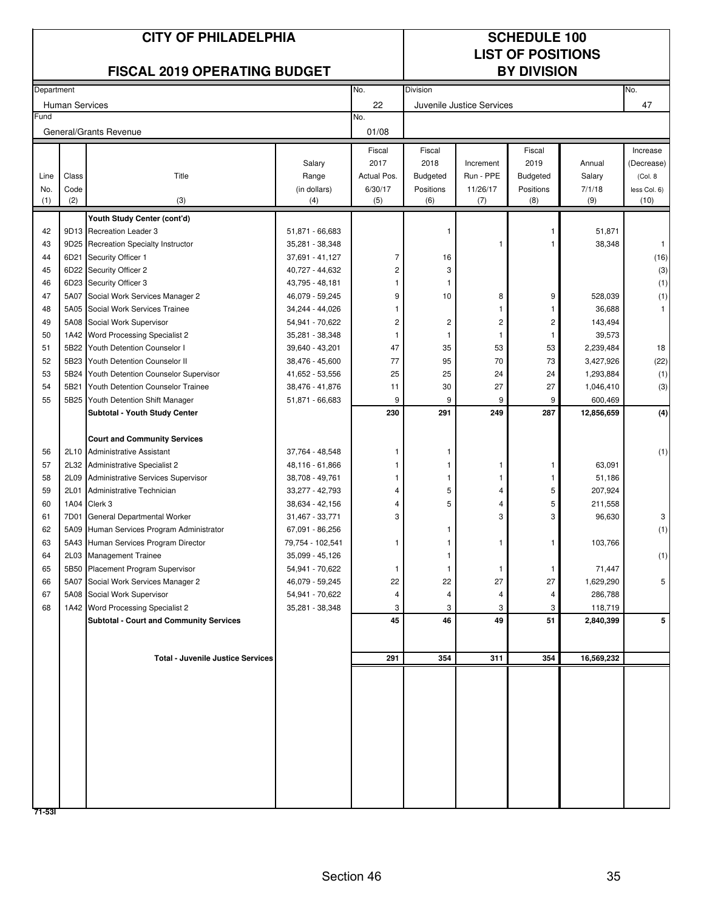| <b>CITY OF PHILADELPHIA</b>         |             |                                                         |                     |                | <b>SCHEDULE 100</b>      |                           |                  |               |                      |  |
|-------------------------------------|-------------|---------------------------------------------------------|---------------------|----------------|--------------------------|---------------------------|------------------|---------------|----------------------|--|
|                                     |             |                                                         |                     |                | <b>LIST OF POSITIONS</b> |                           |                  |               |                      |  |
| <b>FISCAL 2019 OPERATING BUDGET</b> |             |                                                         |                     |                | <b>BY DIVISION</b>       |                           |                  |               |                      |  |
| Department                          |             |                                                         |                     | No.            | <b>Division</b>          |                           |                  |               | No.                  |  |
| <b>Human Services</b>               |             |                                                         |                     | 22             |                          | Juvenile Justice Services |                  |               | 47                   |  |
| Fund                                |             |                                                         | No.                 |                |                          |                           |                  |               |                      |  |
|                                     |             | General/Grants Revenue                                  |                     | 01/08          |                          |                           |                  |               |                      |  |
|                                     |             |                                                         |                     | Fiscal         | Fiscal                   |                           | Fiscal           |               | Increase             |  |
|                                     |             |                                                         | Salary              | 2017           | 2018                     | Increment                 | 2019             | Annual        | (Decrease)           |  |
| Line                                | Class       | Title                                                   | Range               | Actual Pos.    | <b>Budgeted</b>          | Run - PPE                 | <b>Budgeted</b>  | Salary        | (Col. 8              |  |
| No.<br>(1)                          | Code<br>(2) | (3)                                                     | (in dollars)<br>(4) | 6/30/17<br>(5) | Positions<br>(6)         | 11/26/17<br>(7)           | Positions<br>(8) | 7/1/18<br>(9) | less Col. 6)<br>(10) |  |
|                                     |             |                                                         |                     |                |                          |                           |                  |               |                      |  |
| 42                                  |             | Youth Study Center (cont'd)<br>9D13 Recreation Leader 3 | 51,871 - 66,683     |                | 1                        |                           |                  | 51,871        |                      |  |
| 43                                  |             | 9D25 Recreation Specialty Instructor                    | 35,281 - 38,348     |                |                          | 1                         |                  | 38,348        | $\mathbf{1}$         |  |
| 44                                  | 6D21        | Security Officer 1                                      | 37,691 - 41,127     | 7              | 16                       |                           |                  |               | (16)                 |  |
| 45                                  | 6D22        | Security Officer 2                                      | 40,727 - 44,632     | 2              | 3                        |                           |                  |               | (3)                  |  |
| 46                                  | 6D23        | Security Officer 3                                      | 43,795 - 48,181     |                | 1                        |                           |                  |               | (1)                  |  |
| 47                                  | 5A07        | Social Work Services Manager 2                          | 46,079 - 59,245     | 9              | 10                       | 8                         | 9                | 528,039       | (1)                  |  |
| 48                                  | 5A05        | Social Work Services Trainee                            | 34,244 - 44,026     |                |                          |                           |                  | 36,688        |                      |  |
| 49                                  | 5A08        | Social Work Supervisor                                  | 54,941 - 70,622     | $\overline{c}$ | 2                        | 2                         | 2                | 143,494       |                      |  |
| 50                                  | 1A42        | Word Processing Specialist 2                            | 35,281 - 38,348     | 1              | 1                        |                           |                  | 39,573        |                      |  |
| 51                                  | 5B22        | Youth Detention Counselor I                             | 39,640 - 43,201     | 47             | 35                       | 53                        | 53               | 2,239,484     | 18                   |  |
| 52                                  | 5B23        | Youth Detention Counselor II                            | 38,476 - 45,600     | 77             | 95                       | 70                        | 73               | 3,427,926     | (22)                 |  |
| 53                                  | 5B24        | Youth Detention Counselor Supervisor                    | 41,652 - 53,556     | 25             | 25                       | 24                        | 24               | 1,293,884     | (1)                  |  |
| 54                                  | 5B21        | Youth Detention Counselor Trainee                       | 38,476 - 41,876     | 11             | 30                       | 27                        | 27               | 1,046,410     | (3)                  |  |
| 55                                  | 5B25        | Youth Detention Shift Manager                           | 51,871 - 66,683     | 9              | 9                        | 9                         | 9                | 600,469       |                      |  |
|                                     |             | Subtotal - Youth Study Center                           |                     | 230            | 291                      | 249                       | 287              | 12,856,659    | (4)                  |  |
|                                     |             |                                                         |                     |                |                          |                           |                  |               |                      |  |
|                                     |             | <b>Court and Community Services</b>                     |                     |                |                          |                           |                  |               |                      |  |
| 56                                  | 2L10        | <b>Administrative Assistant</b>                         | 37,764 - 48,548     | 1              |                          |                           |                  |               | (1)                  |  |
| 57                                  |             | 2L32 Administrative Specialist 2                        | 48,116 - 61,866     |                | 1                        |                           | 1                | 63,091        |                      |  |
| 58                                  | 2L09        | <b>Administrative Services Supervisor</b>               | 38,708 - 49,761     |                |                          |                           | 1                | 51,186        |                      |  |
| 59                                  | 2L01        | Administrative Technician                               | 33,277 - 42,793     | 4              | 5                        |                           | 5                | 207,924       |                      |  |
| 60                                  | 1A04        | Clerk 3                                                 | 38,634 - 42,156     | 4              | 5                        |                           | 5                | 211,558       |                      |  |
| 61                                  | 7D01        | General Departmental Worker                             | 31,467 - 33,771     | 3              |                          | 3                         | 3                | 96,630        | 3                    |  |
| 62                                  | 5A09        | Human Services Program Administrator                    | 67,091 - 86,256     |                |                          |                           |                  |               | (1)                  |  |
| 63                                  |             | 5A43 Human Services Program Director                    | 79,754 - 102,541    | 1              |                          |                           | 1                | 103,766       |                      |  |
| 64                                  | 2L03        | <b>Management Trainee</b>                               | 35,099 - 45,126     |                | 1                        |                           |                  |               | (1)                  |  |
| 65                                  | 5B50        | Placement Program Supervisor                            | 54,941 - 70,622     | 1              | 1                        | -1                        | 1                | 71,447        |                      |  |
| 66                                  | 5A07        | Social Work Services Manager 2                          | 46,079 - 59,245     | 22             | 22                       | 27                        | 27               | 1,629,290     | 5                    |  |
| 67                                  | 5A08        | Social Work Supervisor                                  | 54,941 - 70,622     | 4              | 4                        | 4                         | 4                | 286,788       |                      |  |
| 68                                  |             | 1A42 Word Processing Specialist 2                       | 35,281 - 38,348     | 3              | 3                        | 3                         | 3                | 118,719       |                      |  |
|                                     |             | <b>Subtotal - Court and Community Services</b>          |                     | 45             | 46                       | 49                        | 51               | 2,840,399     | 5                    |  |
|                                     |             |                                                         |                     |                |                          |                           |                  |               |                      |  |
|                                     |             |                                                         |                     |                |                          |                           |                  |               |                      |  |
|                                     |             | <b>Total - Juvenile Justice Services</b>                |                     | 291            | 354                      | 311                       | 354              | 16,569,232    |                      |  |
|                                     |             |                                                         |                     |                |                          |                           |                  |               |                      |  |
|                                     |             |                                                         |                     |                |                          |                           |                  |               |                      |  |
|                                     |             |                                                         |                     |                |                          |                           |                  |               |                      |  |
|                                     |             |                                                         |                     |                |                          |                           |                  |               |                      |  |
|                                     |             |                                                         |                     |                |                          |                           |                  |               |                      |  |
|                                     |             |                                                         |                     |                |                          |                           |                  |               |                      |  |
|                                     |             |                                                         |                     |                |                          |                           |                  |               |                      |  |
|                                     |             |                                                         |                     |                |                          |                           |                  |               |                      |  |
|                                     |             |                                                         |                     |                |                          |                           |                  |               |                      |  |
|                                     |             |                                                         |                     |                |                          |                           |                  |               |                      |  |
| 71-531                              |             |                                                         |                     |                |                          |                           |                  |               |                      |  |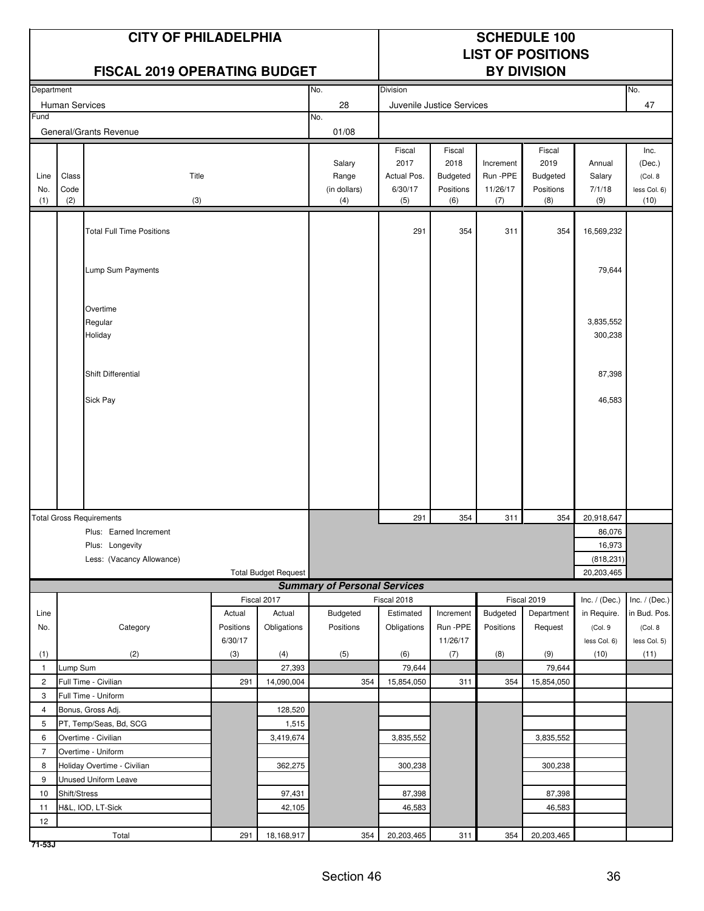|                                |              | <b>CITY OF PHILADELPHIA</b><br><b>FISCAL 2019 OPERATING BUDGET</b> |                      |                             |                                     |                |                      |                       | <b>SCHEDULE 100</b><br><b>LIST OF POSITIONS</b><br><b>BY DIVISION</b> |                         |                         |
|--------------------------------|--------------|--------------------------------------------------------------------|----------------------|-----------------------------|-------------------------------------|----------------|----------------------|-----------------------|-----------------------------------------------------------------------|-------------------------|-------------------------|
| Department                     |              |                                                                    |                      | No.                         | Division                            |                |                      |                       |                                                                       | No.                     |                         |
| <b>Human Services</b>          |              |                                                                    | 28                   |                             | Juvenile Justice Services           |                |                      |                       | 47                                                                    |                         |                         |
| Fund<br>General/Grants Revenue |              |                                                                    | No.<br>01/08         |                             |                                     |                |                      |                       |                                                                       |                         |                         |
|                                |              |                                                                    |                      |                             |                                     | Fiscal         | Fiscal               |                       | Fiscal                                                                |                         | Inc.                    |
|                                |              |                                                                    |                      |                             | Salary                              | 2017           | 2018                 | Increment             | 2019                                                                  | Annual                  | (Dec.)                  |
| Line                           | Class        | Title                                                              |                      |                             | Range                               | Actual Pos.    | Budgeted             | Run -PPE              | Budgeted                                                              | Salary                  | (Col. 8)                |
| No.<br>(1)                     | Code<br>(2)  | (3)                                                                |                      |                             | (in dollars)<br>(4)                 | 6/30/17<br>(5) | Positions<br>(6)     | 11/26/17<br>(7)       | Positions<br>(8)                                                      | 7/1/18<br>(9)           | less Col. 6)<br>(10)    |
|                                |              |                                                                    |                      |                             |                                     |                |                      |                       |                                                                       |                         |                         |
|                                |              | <b>Total Full Time Positions</b>                                   |                      |                             |                                     | 291            | 354                  | 311                   | 354                                                                   | 16,569,232              |                         |
|                                |              |                                                                    |                      |                             |                                     |                |                      |                       |                                                                       |                         |                         |
|                                |              | Lump Sum Payments                                                  |                      |                             |                                     |                |                      |                       |                                                                       | 79,644                  |                         |
|                                |              |                                                                    |                      |                             |                                     |                |                      |                       |                                                                       |                         |                         |
|                                |              | Overtime                                                           |                      |                             |                                     |                |                      |                       |                                                                       |                         |                         |
|                                |              | Regular                                                            |                      |                             |                                     |                |                      |                       |                                                                       | 3,835,552               |                         |
|                                |              | Holiday                                                            |                      |                             |                                     |                |                      |                       |                                                                       | 300,238                 |                         |
|                                |              | Shift Differential                                                 |                      |                             |                                     |                |                      |                       |                                                                       | 87,398                  |                         |
|                                |              |                                                                    |                      |                             |                                     |                |                      |                       |                                                                       |                         |                         |
|                                |              | Sick Pay                                                           |                      |                             |                                     |                |                      |                       |                                                                       | 46,583                  |                         |
|                                |              |                                                                    |                      |                             |                                     |                |                      |                       |                                                                       |                         |                         |
|                                |              |                                                                    |                      |                             |                                     |                |                      |                       |                                                                       |                         |                         |
|                                |              |                                                                    |                      |                             |                                     |                |                      |                       |                                                                       |                         |                         |
|                                |              |                                                                    |                      |                             |                                     |                |                      |                       |                                                                       |                         |                         |
|                                |              |                                                                    |                      |                             |                                     |                |                      |                       |                                                                       |                         |                         |
|                                |              |                                                                    |                      |                             |                                     |                |                      |                       |                                                                       |                         |                         |
|                                |              | <b>Total Gross Requirements</b><br>Plus: Earned Increment          |                      |                             |                                     | 291            | 354                  | 311                   | 354                                                                   | 20,918,647<br>86,076    |                         |
|                                |              | Plus: Longevity                                                    |                      |                             |                                     |                |                      |                       |                                                                       | 16,973                  |                         |
|                                |              | Less: (Vacancy Allowance)                                          |                      |                             |                                     |                |                      |                       |                                                                       | (818, 231)              |                         |
|                                |              |                                                                    |                      | <b>Total Budget Request</b> |                                     | 20,203,465     |                      |                       |                                                                       |                         |                         |
|                                |              |                                                                    |                      |                             | <b>Summary of Personal Services</b> |                |                      |                       |                                                                       |                         |                         |
|                                |              |                                                                    |                      | Fiscal 2017                 |                                     | Fiscal 2018    |                      |                       | Fiscal 2019                                                           | Inc. $/$ (Dec.)         | Inc. $/$ (Dec.)         |
| Line                           |              |                                                                    | Actual               | Actual                      | Budgeted<br>Positions               | Estimated      | Increment            | Budgeted<br>Positions | Department                                                            | in Require.             | in Bud. Pos.            |
| No.                            |              | Category                                                           | Positions<br>6/30/17 | Obligations                 |                                     | Obligations    | Run -PPE<br>11/26/17 |                       | Request                                                               | (Col. 9<br>less Col. 6) | (Col. 8<br>less Col. 5) |
| (1)                            |              | (2)                                                                | (3)                  | (4)                         | (5)                                 | (6)            | (7)                  | (8)                   | (9)                                                                   | (10)                    | (11)                    |
| $\mathbf{1}$                   | Lump Sum     |                                                                    |                      | 27,393                      |                                     | 79,644         |                      |                       | 79,644                                                                |                         |                         |
| 2                              |              | Full Time - Civilian                                               | 291                  | 14,090,004                  | 354                                 | 15,854,050     | 311                  | 354                   | 15,854,050                                                            |                         |                         |
| 3                              |              | Full Time - Uniform                                                |                      |                             |                                     |                |                      |                       |                                                                       |                         |                         |
| 4                              |              | Bonus, Gross Adj.                                                  |                      | 128,520                     |                                     |                |                      |                       |                                                                       |                         |                         |
| 5                              |              | PT, Temp/Seas, Bd, SCG                                             |                      | 1,515                       |                                     |                |                      |                       |                                                                       |                         |                         |
| 6                              |              | Overtime - Civilian                                                |                      | 3,419,674                   |                                     | 3,835,552      |                      |                       | 3,835,552                                                             |                         |                         |
| $\overline{7}$                 |              | Overtime - Uniform                                                 |                      |                             |                                     |                |                      |                       |                                                                       |                         |                         |
| 8                              |              | Holiday Overtime - Civilian                                        |                      | 362,275                     |                                     | 300,238        |                      |                       | 300,238                                                               |                         |                         |
| 9<br>10                        | Shift/Stress | Unused Uniform Leave                                               |                      | 97,431                      |                                     | 87,398         |                      |                       | 87,398                                                                |                         |                         |
| 11                             |              | H&L, IOD, LT-Sick                                                  |                      | 42,105                      |                                     | 46,583         |                      |                       | 46,583                                                                |                         |                         |
| 12                             |              |                                                                    |                      |                             |                                     |                |                      |                       |                                                                       |                         |                         |
|                                |              | Total                                                              | 291                  | 18,168,917                  | 354                                 | 20,203,465     | 311                  | 354                   | 20,203,465                                                            |                         |                         |

**71-53J**

Г

٦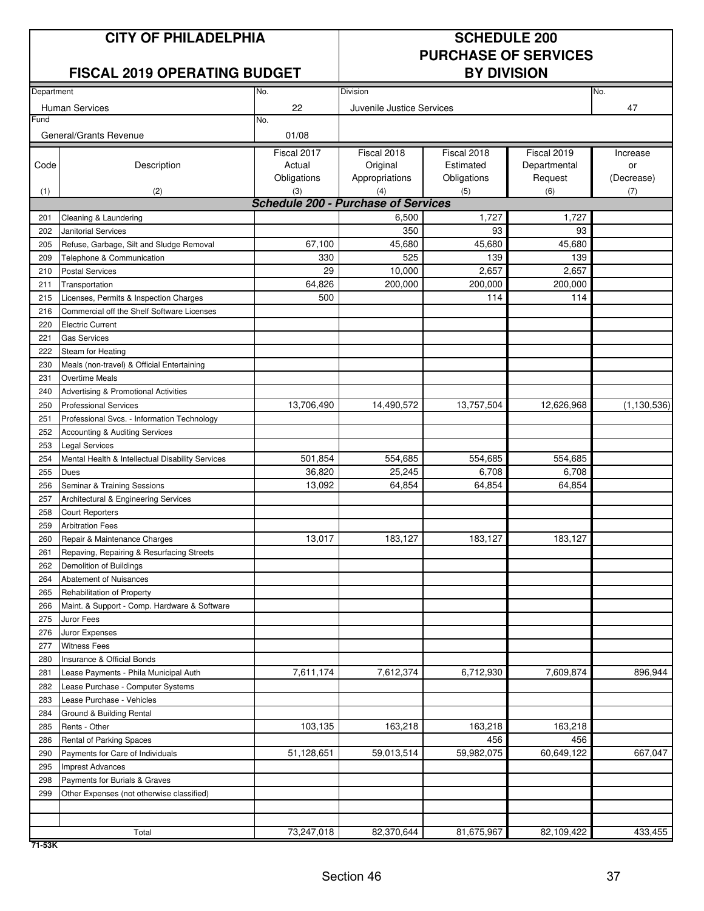### **CITY OF PHILADELPHIA** SCHEDULE 200

### **FISCAL 2019 OPERATING BUDGET**

# **PURCHASE OF SERVICES**

| Department |                                                  | No.                                               | No.<br>Division           |             |              |               |  |
|------------|--------------------------------------------------|---------------------------------------------------|---------------------------|-------------|--------------|---------------|--|
|            | Human Services                                   | 22                                                | Juvenile Justice Services |             |              | 47            |  |
| Fund       |                                                  | No.                                               |                           |             |              |               |  |
|            |                                                  |                                                   |                           |             |              |               |  |
|            | General/Grants Revenue                           | 01/08                                             |                           |             |              |               |  |
|            |                                                  | Fiscal 2017                                       | Fiscal 2018               | Fiscal 2018 | Fiscal 2019  | Increase      |  |
| Code       | Description                                      | Actual                                            | Original                  | Estimated   | Departmental | or            |  |
|            |                                                  | Obligations                                       | Appropriations            | Obligations | Request      | (Decrease)    |  |
| (1)        | (2)                                              | (3)<br><b>Schedule 200 - Purchase of Services</b> | (4)                       | (5)         | (6)          | (7)           |  |
|            |                                                  |                                                   |                           |             |              |               |  |
| 201        | Cleaning & Laundering                            |                                                   | 6,500                     | 1,727       | 1,727        |               |  |
| 202        | <b>Janitorial Services</b>                       |                                                   | 350                       | 93          | 93           |               |  |
| 205        | Refuse, Garbage, Silt and Sludge Removal         | 67,100                                            | 45,680                    | 45,680      | 45,680       |               |  |
| 209        | Telephone & Communication                        | 330                                               | 525                       | 139         | 139          |               |  |
| 210        | <b>Postal Services</b>                           | 29                                                | 10,000                    | 2,657       | 2,657        |               |  |
| 211        | Transportation                                   | 64,826                                            | 200,000                   | 200,000     | 200,000      |               |  |
| 215        | Licenses, Permits & Inspection Charges           | 500                                               |                           | 114         | 114          |               |  |
| 216        | Commercial off the Shelf Software Licenses       |                                                   |                           |             |              |               |  |
| 220        | <b>Electric Current</b>                          |                                                   |                           |             |              |               |  |
| 221        | <b>Gas Services</b>                              |                                                   |                           |             |              |               |  |
| 222        | Steam for Heating                                |                                                   |                           |             |              |               |  |
| 230        | Meals (non-travel) & Official Entertaining       |                                                   |                           |             |              |               |  |
| 231        | Overtime Meals                                   |                                                   |                           |             |              |               |  |
| 240        | Advertising & Promotional Activities             |                                                   |                           |             |              |               |  |
| 250        | <b>Professional Services</b>                     | 13,706,490                                        | 14,490,572                | 13,757,504  | 12,626,968   | (1, 130, 536) |  |
| 251        | Professional Svcs. - Information Technology      |                                                   |                           |             |              |               |  |
| 252        | <b>Accounting &amp; Auditing Services</b>        |                                                   |                           |             |              |               |  |
| 253        | <b>Legal Services</b>                            |                                                   |                           |             |              |               |  |
| 254        | Mental Health & Intellectual Disability Services | 501,854                                           | 554,685                   | 554,685     | 554,685      |               |  |
| 255        | Dues                                             | 36,820                                            | 25,245                    | 6,708       | 6,708        |               |  |
| 256        | Seminar & Training Sessions                      | 13,092                                            | 64,854                    | 64,854      | 64,854       |               |  |
| 257        | Architectural & Engineering Services             |                                                   |                           |             |              |               |  |
| 258        | <b>Court Reporters</b>                           |                                                   |                           |             |              |               |  |
| 259        | <b>Arbitration Fees</b>                          |                                                   |                           |             |              |               |  |
| 260        | Repair & Maintenance Charges                     | 13,017                                            | 183,127                   | 183,127     | 183,127      |               |  |
| 261        | Repaving, Repairing & Resurfacing Streets        |                                                   |                           |             |              |               |  |
| 262        | Demolition of Buildings                          |                                                   |                           |             |              |               |  |
| 264        | Abatement of Nuisances                           |                                                   |                           |             |              |               |  |
| 265        | Rehabilitation of Property                       |                                                   |                           |             |              |               |  |
| 266        | Maint. & Support - Comp. Hardware & Software     |                                                   |                           |             |              |               |  |
| 275        | Juror Fees                                       |                                                   |                           |             |              |               |  |
| 276        | Juror Expenses                                   |                                                   |                           |             |              |               |  |
| 277        | <b>Witness Fees</b>                              |                                                   |                           |             |              |               |  |
| 280        | Insurance & Official Bonds                       |                                                   |                           |             |              |               |  |
| 281        | Lease Payments - Phila Municipal Auth            | 7,611,174                                         | 7,612,374                 | 6,712,930   | 7,609,874    | 896,944       |  |
| 282        | Lease Purchase - Computer Systems                |                                                   |                           |             |              |               |  |
| 283        | Lease Purchase - Vehicles                        |                                                   |                           |             |              |               |  |
| 284        | Ground & Building Rental                         |                                                   |                           |             |              |               |  |
| 285        | Rents - Other                                    | 103,135                                           | 163,218                   | 163,218     | 163,218      |               |  |
| 286        | Rental of Parking Spaces                         |                                                   |                           | 456         | 456          |               |  |
| 290        | Payments for Care of Individuals                 | 51,128,651                                        | 59,013,514                | 59,982,075  | 60,649,122   | 667,047       |  |
| 295        | Imprest Advances                                 |                                                   |                           |             |              |               |  |
| 298        | Payments for Burials & Graves                    |                                                   |                           |             |              |               |  |
| 299        | Other Expenses (not otherwise classified)        |                                                   |                           |             |              |               |  |
|            |                                                  |                                                   |                           |             |              |               |  |
|            |                                                  |                                                   |                           |             |              |               |  |
|            | Total                                            | 73,247,018                                        | 82,370,644                | 81,675,967  | 82,109,422   | 433,455       |  |

**71-53K**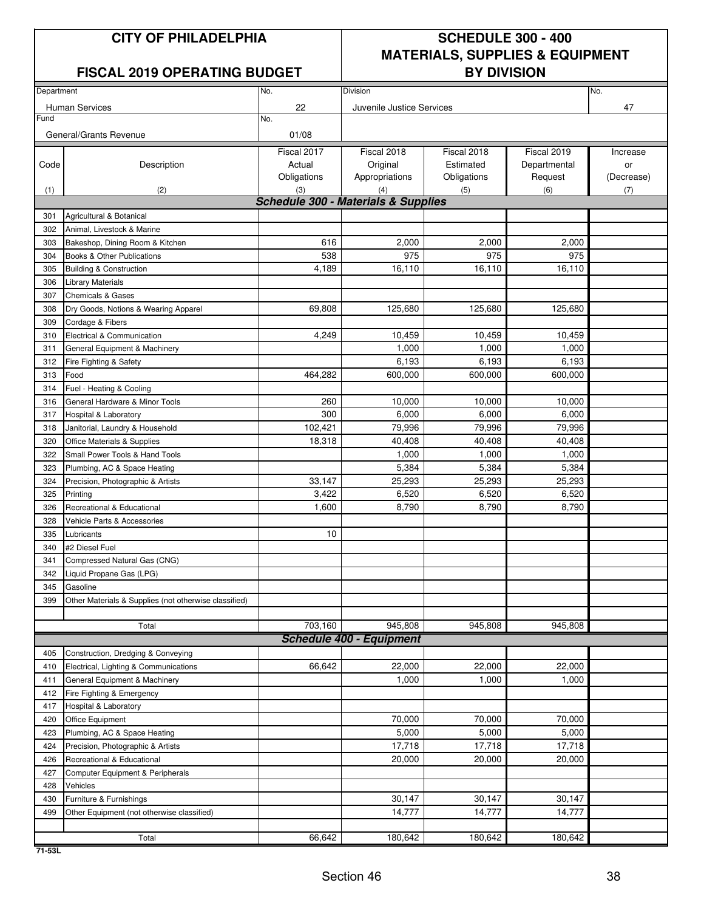### **FISCAL 2019 OPERATING BUDGET**

## **CITY OF PHILADELPHIA SCHEDULE 300 - 400 MATERIALS, SUPPLIES & EQUIPMENT**

| Department |                                                       | No.                                            | Division                        |             | No.          |            |
|------------|-------------------------------------------------------|------------------------------------------------|---------------------------------|-------------|--------------|------------|
|            |                                                       |                                                |                                 |             |              |            |
| Fund       | Human Services                                        | 22<br>No.                                      | Juvenile Justice Services       |             |              | 47         |
|            |                                                       |                                                |                                 |             |              |            |
|            | General/Grants Revenue                                | 01/08                                          |                                 |             |              |            |
|            |                                                       | Fiscal 2017                                    | Fiscal 2018                     | Fiscal 2018 | Fiscal 2019  | Increase   |
| Code       | Description                                           | Actual                                         | Original                        | Estimated   | Departmental | or         |
|            |                                                       | Obligations                                    | Appropriations                  | Obligations | Request      | (Decrease) |
| (1)        | (2)                                                   | (3)                                            | (4)                             | (5)         | (6)          | (7)        |
|            |                                                       | <b>Schedule 300 - Materials &amp; Supplies</b> |                                 |             |              |            |
| 301        | Agricultural & Botanical                              |                                                |                                 |             |              |            |
| 302        | Animal, Livestock & Marine                            |                                                |                                 |             |              |            |
| 303        | Bakeshop, Dining Room & Kitchen                       | 616                                            | 2,000                           | 2,000       | 2,000        |            |
| 304        | Books & Other Publications                            | 538                                            | 975                             | 975         | 975          |            |
| 305        | <b>Building &amp; Construction</b>                    | 4,189                                          | 16,110                          | 16,110      | 16,110       |            |
| 306        | <b>Library Materials</b>                              |                                                |                                 |             |              |            |
| 307        | <b>Chemicals &amp; Gases</b>                          |                                                |                                 |             |              |            |
| 308        | Dry Goods, Notions & Wearing Apparel                  | 69.808                                         | 125,680                         | 125,680     | 125,680      |            |
| 309        | Cordage & Fibers                                      |                                                |                                 |             |              |            |
| 310        | Electrical & Communication                            | 4,249                                          | 10,459                          | 10,459      | 10,459       |            |
| 311        | General Equipment & Machinery                         |                                                | 1,000                           | 1,000       | 1,000        |            |
| 312        | Fire Fighting & Safety                                |                                                | 6,193                           | 6,193       | 6,193        |            |
| 313        | Food                                                  | 464,282                                        | 600,000                         | 600,000     | 600,000      |            |
| 314        | Fuel - Heating & Cooling                              |                                                |                                 |             |              |            |
| 316        | General Hardware & Minor Tools                        | 260                                            | 10,000                          | 10.000      | 10,000       |            |
| 317        | Hospital & Laboratory                                 | 300                                            | 6,000                           | 6,000       | 6,000        |            |
| 318        | Janitorial, Laundry & Household                       | 102,421                                        | 79,996                          | 79,996      | 79,996       |            |
| 320        | Office Materials & Supplies                           | 18,318                                         | 40,408                          | 40,408      | 40,408       |            |
| 322        | Small Power Tools & Hand Tools                        |                                                | 1,000                           | 1,000       | 1,000        |            |
| 323        | Plumbing, AC & Space Heating                          |                                                | 5,384                           | 5,384       | 5,384        |            |
| 324        | Precision, Photographic & Artists                     | 33,147                                         | 25,293                          | 25,293      | 25,293       |            |
| 325        | Printing                                              | 3,422                                          | 6,520                           | 6,520       | 6,520        |            |
| 326        | Recreational & Educational                            | 1,600                                          | 8,790                           | 8,790       | 8,790        |            |
| 328        | Vehicle Parts & Accessories                           |                                                |                                 |             |              |            |
| 335        | Lubricants                                            | 10                                             |                                 |             |              |            |
| 340        | #2 Diesel Fuel                                        |                                                |                                 |             |              |            |
| 341        | Compressed Natural Gas (CNG)                          |                                                |                                 |             |              |            |
| 342        | Liquid Propane Gas (LPG)                              |                                                |                                 |             |              |            |
| 345        | Gasoline                                              |                                                |                                 |             |              |            |
| 399        | Other Materials & Supplies (not otherwise classified) |                                                |                                 |             |              |            |
|            |                                                       |                                                |                                 |             |              |            |
|            | Total                                                 | 703,160                                        | 945,808                         | 945,808     | 945,808      |            |
|            |                                                       |                                                | <b>Schedule 400 - Equipment</b> |             |              |            |
| 405        | Construction, Dredging & Conveying                    |                                                |                                 |             |              |            |
| 410        | Electrical, Lighting & Communications                 | 66,642                                         | 22,000                          | 22,000      | 22,000       |            |
| 411        | General Equipment & Machinery                         |                                                | 1,000                           | 1,000       | 1,000        |            |
| 412        | Fire Fighting & Emergency                             |                                                |                                 |             |              |            |
| 417        | Hospital & Laboratory                                 |                                                |                                 |             |              |            |
| 420        | Office Equipment                                      |                                                | 70.000                          | 70,000      | 70,000       |            |
| 423        | Plumbing, AC & Space Heating                          |                                                | 5,000                           | 5,000       | 5,000        |            |
| 424        | Precision, Photographic & Artists                     |                                                | 17,718                          | 17,718      | 17,718       |            |
| 426        | Recreational & Educational                            |                                                | 20,000                          | 20,000      | 20,000       |            |
| 427        | Computer Equipment & Peripherals                      |                                                |                                 |             |              |            |
| 428        | Vehicles                                              |                                                |                                 |             |              |            |
| 430        | Furniture & Furnishings                               |                                                | 30,147                          | 30,147      | 30,147       |            |
| 499        | Other Equipment (not otherwise classified)            |                                                | 14,777                          | 14,777      | 14,777       |            |
|            |                                                       |                                                |                                 |             |              |            |
|            | Total                                                 | 66,642                                         | 180,642                         | 180,642     | 180,642      |            |
|            |                                                       |                                                |                                 |             |              |            |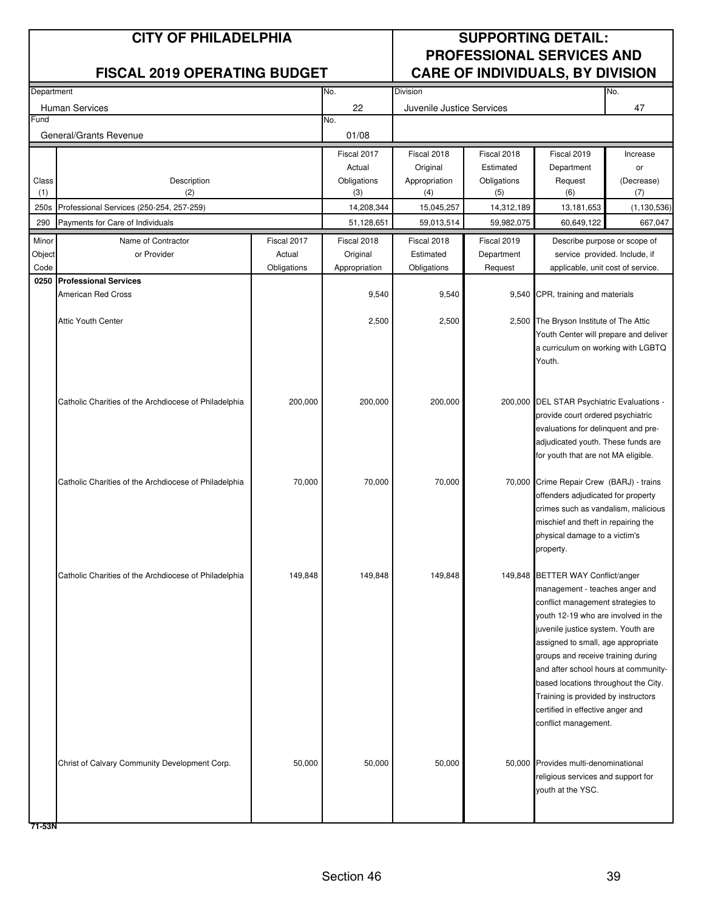| Department |                                                       |             | No.           | Division                  |             |                                                                             | No.           |
|------------|-------------------------------------------------------|-------------|---------------|---------------------------|-------------|-----------------------------------------------------------------------------|---------------|
|            | <b>Human Services</b>                                 |             | 22            | Juvenile Justice Services |             |                                                                             | 47            |
| Fund       |                                                       |             | No.           |                           |             |                                                                             |               |
|            | General/Grants Revenue                                |             | 01/08         |                           |             |                                                                             |               |
|            |                                                       |             | Fiscal 2017   | Fiscal 2018               | Fiscal 2018 | Fiscal 2019                                                                 | Increase      |
|            |                                                       |             | Actual        | Original                  | Estimated   | Department                                                                  | or            |
| Class      | Description                                           |             | Obligations   | Appropriation             | Obligations | Request                                                                     | (Decrease)    |
| (1)        | (2)                                                   |             | (3)           | (4)                       | (5)         | (6)                                                                         | (7)           |
| 250s       | Professional Services (250-254, 257-259)              |             | 14,208,344    | 15,045,257                | 14,312,189  | 13,181,653                                                                  | (1, 130, 536) |
| 290        | Payments for Care of Individuals                      |             | 51,128,651    | 59,013,514                | 59,982,075  | 60,649,122                                                                  | 667,047       |
| Minor      | Name of Contractor                                    | Fiscal 2017 | Fiscal 2018   | Fiscal 2018               | Fiscal 2019 | Describe purpose or scope of                                                |               |
| Object     | or Provider                                           | Actual      | Original      | Estimated                 | Department  | service provided. Include, if                                               |               |
| Code       |                                                       | Obligations | Appropriation | Obligations               | Request     | applicable, unit cost of service.                                           |               |
| 0250       | <b>Professional Services</b>                          |             |               |                           |             |                                                                             |               |
|            | <b>American Red Cross</b>                             |             | 9,540         | 9,540                     |             | 9,540 CPR, training and materials                                           |               |
|            |                                                       |             |               |                           |             |                                                                             |               |
|            | <b>Attic Youth Center</b>                             |             | 2,500         | 2,500                     |             | 2,500 The Bryson Institute of The Attic                                     |               |
|            |                                                       |             |               |                           |             | Youth Center will prepare and deliver<br>a curriculum on working with LGBTQ |               |
|            |                                                       |             |               |                           |             | Youth.                                                                      |               |
|            |                                                       |             |               |                           |             |                                                                             |               |
|            |                                                       |             |               |                           |             |                                                                             |               |
|            | Catholic Charities of the Archdiocese of Philadelphia | 200,000     | 200,000       | 200,000                   |             | 200,000 DEL STAR Psychiatric Evaluations -                                  |               |
|            |                                                       |             |               |                           |             | provide court ordered psychiatric                                           |               |
|            |                                                       |             |               |                           |             | evaluations for delinquent and pre-                                         |               |
|            |                                                       |             |               |                           |             | adjudicated youth. These funds are                                          |               |
|            |                                                       |             |               |                           |             | for youth that are not MA eligible.                                         |               |
|            |                                                       |             |               |                           |             |                                                                             |               |
|            | Catholic Charities of the Archdiocese of Philadelphia | 70,000      | 70,000        | 70,000                    |             | 70,000 Crime Repair Crew (BARJ) - trains                                    |               |
|            |                                                       |             |               |                           |             | offenders adjudicated for property<br>crimes such as vandalism, malicious   |               |
|            |                                                       |             |               |                           |             | mischief and theft in repairing the                                         |               |
|            |                                                       |             |               |                           |             | physical damage to a victim's                                               |               |
|            |                                                       |             |               |                           |             | property.                                                                   |               |
|            |                                                       |             |               |                           |             |                                                                             |               |
|            | Catholic Charities of the Archdiocese of Philadelphia | 149,848     | 149,848       | 149,848                   |             | 149,848 BETTER WAY Conflict/anger                                           |               |
|            |                                                       |             |               |                           |             | management - teaches anger and                                              |               |
|            |                                                       |             |               |                           |             | conflict management strategies to                                           |               |
|            |                                                       |             |               |                           |             | youth 12-19 who are involved in the                                         |               |
|            |                                                       |             |               |                           |             | juvenile justice system. Youth are                                          |               |
|            |                                                       |             |               |                           |             | assigned to small, age appropriate                                          |               |
|            |                                                       |             |               |                           |             | groups and receive training during<br>and after school hours at community-  |               |
|            |                                                       |             |               |                           |             | based locations throughout the City.                                        |               |
|            |                                                       |             |               |                           |             | Training is provided by instructors                                         |               |
|            |                                                       |             |               |                           |             | certified in effective anger and                                            |               |
|            |                                                       |             |               |                           |             | conflict management.                                                        |               |
|            |                                                       |             |               |                           |             |                                                                             |               |
|            |                                                       |             |               |                           |             |                                                                             |               |
|            | Christ of Calvary Community Development Corp.         | 50,000      | 50,000        | 50,000                    |             | 50,000 Provides multi-denominational                                        |               |
|            |                                                       |             |               |                           |             | religious services and support for                                          |               |
|            |                                                       |             |               |                           |             | youth at the YSC.                                                           |               |
|            |                                                       |             |               |                           |             |                                                                             |               |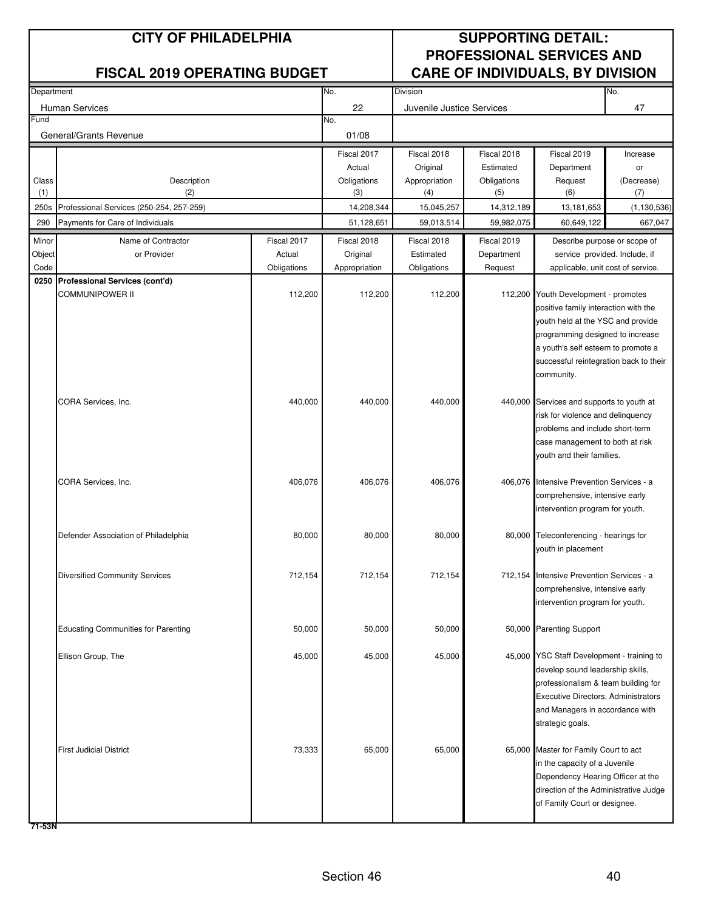| Department |                                            |             | No.           | Division                  |             |                                                                           | No.           |
|------------|--------------------------------------------|-------------|---------------|---------------------------|-------------|---------------------------------------------------------------------------|---------------|
|            | <b>Human Services</b>                      |             | 22            | Juvenile Justice Services |             |                                                                           | 47            |
| Fund       |                                            |             | No.           |                           |             |                                                                           |               |
|            | General/Grants Revenue                     |             | 01/08         |                           |             |                                                                           |               |
|            |                                            |             | Fiscal 2017   | Fiscal 2018               | Fiscal 2018 | Fiscal 2019                                                               | Increase      |
|            |                                            |             | Actual        | Original                  | Estimated   | Department                                                                | or            |
| Class      | Description                                |             | Obligations   | Appropriation             | Obligations | Request                                                                   | (Decrease)    |
| (1)        | (2)                                        |             | (3)           | (4)                       | (5)         | (6)                                                                       | (7)           |
| 250s       | Professional Services (250-254, 257-259)   |             | 14,208,344    | 15,045,257                | 14,312,189  | 13,181,653                                                                | (1, 130, 536) |
| 290        | Payments for Care of Individuals           |             | 51,128,651    | 59,013,514                | 59,982,075  | 60,649,122                                                                | 667,047       |
| Minor      | Name of Contractor                         | Fiscal 2017 | Fiscal 2018   | Fiscal 2018               | Fiscal 2019 | Describe purpose or scope of                                              |               |
| Object     | or Provider                                | Actual      | Original      | Estimated                 | Department  | service provided. Include, if                                             |               |
| Code       |                                            | Obligations | Appropriation | Obligations               | Request     | applicable, unit cost of service.                                         |               |
|            | 0250 Professional Services (cont'd)        |             |               |                           |             |                                                                           |               |
|            | COMMUNIPOWER II                            | 112,200     | 112,200       | 112,200                   |             | 112,200 Youth Development - promotes                                      |               |
|            |                                            |             |               |                           |             | positive family interaction with the<br>youth held at the YSC and provide |               |
|            |                                            |             |               |                           |             | programming designed to increase                                          |               |
|            |                                            |             |               |                           |             | a youth's self esteem to promote a                                        |               |
|            |                                            |             |               |                           |             | successful reintegration back to their                                    |               |
|            |                                            |             |               |                           |             | community.                                                                |               |
|            |                                            |             |               |                           |             |                                                                           |               |
|            | CORA Services, Inc.                        | 440,000     | 440,000       | 440,000                   |             | 440,000 Services and supports to youth at                                 |               |
|            |                                            |             |               |                           |             | risk for violence and delinquency                                         |               |
|            |                                            |             |               |                           |             | problems and include short-term                                           |               |
|            |                                            |             |               |                           |             | case management to both at risk<br>youth and their families.              |               |
|            |                                            |             |               |                           |             |                                                                           |               |
|            | CORA Services, Inc.                        | 406,076     | 406,076       | 406,076                   |             | 406,076 Intensive Prevention Services - a                                 |               |
|            |                                            |             |               |                           |             | comprehensive, intensive early                                            |               |
|            |                                            |             |               |                           |             | intervention program for youth.                                           |               |
|            |                                            |             |               |                           |             |                                                                           |               |
|            | Defender Association of Philadelphia       | 80,000      | 80,000        | 80,000                    |             | 80,000 Teleconferencing - hearings for                                    |               |
|            |                                            |             |               |                           |             | youth in placement                                                        |               |
|            |                                            |             | 712,154       | 712,154                   |             | Intensive Prevention Services - a                                         |               |
|            | <b>Diversified Community Services</b>      | 712,154     |               |                           | 712,154     | comprehensive, intensive early                                            |               |
|            |                                            |             |               |                           |             | intervention program for youth.                                           |               |
|            |                                            |             |               |                           |             |                                                                           |               |
|            | <b>Educating Communities for Parenting</b> | 50,000      | 50,000        | 50,000                    |             | 50,000 Parenting Support                                                  |               |
|            |                                            |             |               |                           |             |                                                                           |               |
|            | Ellison Group, The                         | 45,000      | 45,000        | 45,000                    |             | 45,000 YSC Staff Development - training to                                |               |
|            |                                            |             |               |                           |             | develop sound leadership skills,                                          |               |
|            |                                            |             |               |                           |             | professionalism & team building for                                       |               |
|            |                                            |             |               |                           |             | Executive Directors, Administrators                                       |               |
|            |                                            |             |               |                           |             | and Managers in accordance with<br>strategic goals.                       |               |
|            |                                            |             |               |                           |             |                                                                           |               |
|            | <b>First Judicial District</b>             | 73,333      | 65,000        | 65,000                    |             | 65,000 Master for Family Court to act                                     |               |
|            |                                            |             |               |                           |             | in the capacity of a Juvenile                                             |               |
|            |                                            |             |               |                           |             | Dependency Hearing Officer at the                                         |               |
|            |                                            |             |               |                           |             | direction of the Administrative Judge                                     |               |
|            |                                            |             |               |                           |             | of Family Court or designee.                                              |               |
|            |                                            |             |               |                           |             |                                                                           |               |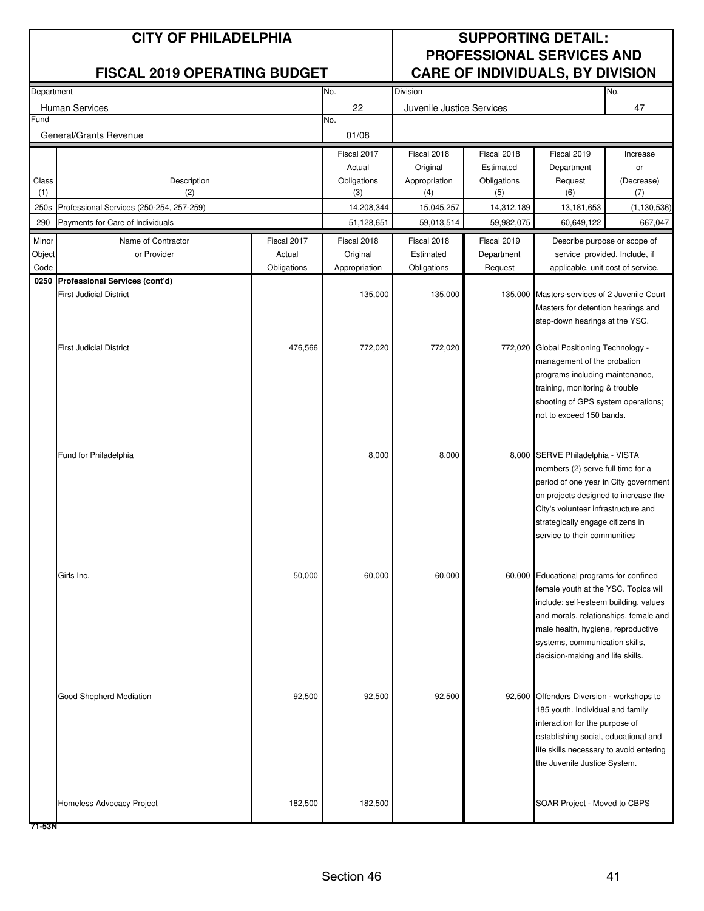| Department |                                          |             | No.<br><b>Division</b> |                           |             |                                                                                | No.           |
|------------|------------------------------------------|-------------|------------------------|---------------------------|-------------|--------------------------------------------------------------------------------|---------------|
|            | <b>Human Services</b>                    |             | 22                     | Juvenile Justice Services |             |                                                                                | 47            |
| Fund       |                                          |             | No.                    |                           |             |                                                                                |               |
|            | General/Grants Revenue                   |             | 01/08                  |                           |             |                                                                                |               |
|            |                                          |             | Fiscal 2017            | Fiscal 2018               | Fiscal 2018 | Fiscal 2019                                                                    | Increase      |
|            |                                          |             | Actual                 | Original                  | Estimated   | Department                                                                     | or            |
| Class      | Description                              |             | Obligations            | Appropriation             | Obligations | Request                                                                        | (Decrease)    |
| (1)        | (2)                                      |             | (3)                    | (4)                       | (5)         | (6)                                                                            | (7)           |
| 250s       | Professional Services (250-254, 257-259) |             | 14,208,344             | 15,045,257                | 14,312,189  | 13,181,653                                                                     | (1, 130, 536) |
| 290        | Payments for Care of Individuals         |             | 51,128,651             | 59,013,514                | 59,982,075  | 60,649,122                                                                     | 667,047       |
| Minor      | Name of Contractor                       | Fiscal 2017 | Fiscal 2018            | Fiscal 2018               | Fiscal 2019 | Describe purpose or scope of                                                   |               |
| Object     | or Provider                              | Actual      | Original               | Estimated                 | Department  | service provided. Include, if                                                  |               |
| Code       |                                          | Obligations | Appropriation          | Obligations               | Request     | applicable, unit cost of service.                                              |               |
|            | 0250 Professional Services (cont'd)      |             |                        |                           |             |                                                                                |               |
|            | <b>First Judicial District</b>           |             | 135,000                | 135,000                   | 135,000     | Masters-services of 2 Juvenile Court                                           |               |
|            |                                          |             |                        |                           |             | Masters for detention hearings and                                             |               |
|            |                                          |             |                        |                           |             | step-down hearings at the YSC.                                                 |               |
|            | <b>First Judicial District</b>           | 476,566     | 772,020                | 772,020                   |             | 772,020 Global Positioning Technology -                                        |               |
|            |                                          |             |                        |                           |             | management of the probation                                                    |               |
|            |                                          |             |                        |                           |             | programs including maintenance,                                                |               |
|            |                                          |             |                        |                           |             | training, monitoring & trouble                                                 |               |
|            |                                          |             |                        |                           |             | shooting of GPS system operations;                                             |               |
|            |                                          |             |                        |                           |             | not to exceed 150 bands.                                                       |               |
|            |                                          |             |                        |                           |             |                                                                                |               |
|            |                                          |             |                        |                           |             |                                                                                |               |
|            | Fund for Philadelphia                    |             | 8,000                  | 8,000                     |             | 8,000 SERVE Philadelphia - VISTA<br>members (2) serve full time for a          |               |
|            |                                          |             |                        |                           |             | period of one year in City government                                          |               |
|            |                                          |             |                        |                           |             | on projects designed to increase the                                           |               |
|            |                                          |             |                        |                           |             | City's volunteer infrastructure and                                            |               |
|            |                                          |             |                        |                           |             | strategically engage citizens in                                               |               |
|            |                                          |             |                        |                           |             | service to their communities                                                   |               |
|            |                                          |             |                        |                           |             |                                                                                |               |
|            |                                          |             |                        |                           |             |                                                                                |               |
|            | Girls Inc.                               | 50,000      | 60,000                 | 60,000                    |             | 60,000 Educational programs for confined                                       |               |
|            |                                          |             |                        |                           |             | female youth at the YSC. Topics will                                           |               |
|            |                                          |             |                        |                           |             | include: self-esteem building, values<br>and morals, relationships, female and |               |
|            |                                          |             |                        |                           |             | male health, hygiene, reproductive                                             |               |
|            |                                          |             |                        |                           |             | systems, communication skills,                                                 |               |
|            |                                          |             |                        |                           |             | decision-making and life skills.                                               |               |
|            |                                          |             |                        |                           |             |                                                                                |               |
|            |                                          |             |                        |                           |             |                                                                                |               |
|            | Good Shepherd Mediation                  | 92,500      | 92,500                 | 92,500                    |             | 92,500 Offenders Diversion - workshops to                                      |               |
|            |                                          |             |                        |                           |             | 185 youth. Individual and family                                               |               |
|            |                                          |             |                        |                           |             | interaction for the purpose of                                                 |               |
|            |                                          |             |                        |                           |             | establishing social, educational and                                           |               |
|            |                                          |             |                        |                           |             | life skills necessary to avoid entering                                        |               |
|            |                                          |             |                        |                           |             | the Juvenile Justice System.                                                   |               |
|            |                                          |             |                        |                           |             |                                                                                |               |
|            | Homeless Advocacy Project                | 182,500     | 182,500                |                           |             | SOAR Project - Moved to CBPS                                                   |               |
|            |                                          |             |                        |                           |             |                                                                                |               |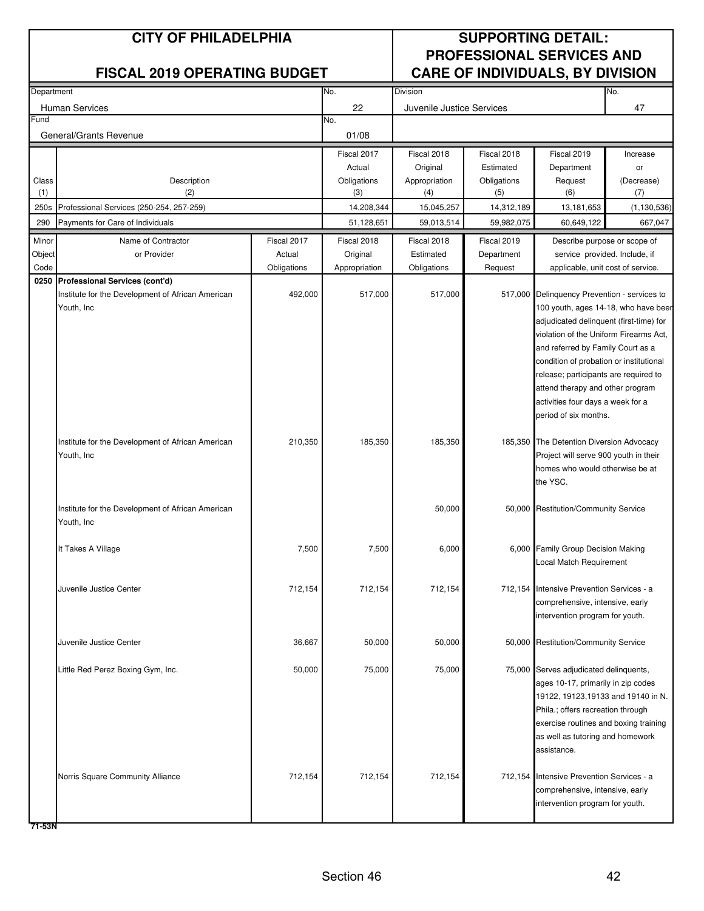|        | Department                                                      |             | No.           | Division                  |             |                                              | No.                                  |
|--------|-----------------------------------------------------------------|-------------|---------------|---------------------------|-------------|----------------------------------------------|--------------------------------------|
|        | <b>Human Services</b>                                           |             | 22            | Juvenile Justice Services |             |                                              | 47                                   |
| Fund   |                                                                 |             | No.           |                           |             |                                              |                                      |
|        | General/Grants Revenue                                          |             | 01/08         |                           |             |                                              |                                      |
|        |                                                                 |             | Fiscal 2017   | Fiscal 2018               | Fiscal 2018 | Fiscal 2019                                  | Increase                             |
|        |                                                                 |             | Actual        | Original                  | Estimated   | Department                                   | or                                   |
| Class  | Description                                                     |             | Obligations   | Appropriation             | Obligations | Request                                      | (Decrease)                           |
| (1)    | (2)                                                             |             | (3)           | (4)                       | (5)         | (6)                                          | (7)                                  |
| 250s   | Professional Services (250-254, 257-259)                        |             | 14,208,344    | 15,045,257                | 14,312,189  | 13,181,653                                   | (1, 130, 536)                        |
| 290    | Payments for Care of Individuals                                |             | 51,128,651    | 59,013,514                | 59,982,075  | 60,649,122                                   | 667,047                              |
| Minor  | Name of Contractor                                              | Fiscal 2017 | Fiscal 2018   | Fiscal 2018               | Fiscal 2019 | Describe purpose or scope of                 |                                      |
| Object | or Provider                                                     | Actual      | Original      | Estimated                 | Department  | service provided. Include, if                |                                      |
| Code   |                                                                 | Obligations | Appropriation | Obligations               | Request     | applicable, unit cost of service.            |                                      |
|        | 0250 Professional Services (cont'd)                             | 492,000     | 517,000       | 517,000                   |             | 517,000 Delinquency Prevention - services to |                                      |
|        | Institute for the Development of African American<br>Youth, Inc |             |               |                           |             |                                              | 100 youth, ages 14-18, who have beer |
|        |                                                                 |             |               |                           |             | adjudicated delinquent (first-time) for      |                                      |
|        |                                                                 |             |               |                           |             | violation of the Uniform Firearms Act,       |                                      |
|        |                                                                 |             |               |                           |             | and referred by Family Court as a            |                                      |
|        |                                                                 |             |               |                           |             | condition of probation or institutional      |                                      |
|        |                                                                 |             |               |                           |             | release; participants are required to        |                                      |
|        |                                                                 |             |               |                           |             | attend therapy and other program             |                                      |
|        |                                                                 |             |               |                           |             | activities four days a week for a            |                                      |
|        |                                                                 |             |               |                           |             | period of six months.                        |                                      |
|        |                                                                 |             |               |                           |             |                                              |                                      |
|        | Institute for the Development of African American               | 210,350     | 185,350       | 185,350                   |             | 185,350 The Detention Diversion Advocacy     |                                      |
|        | Youth, Inc                                                      |             |               |                           |             | Project will serve 900 youth in their        |                                      |
|        |                                                                 |             |               |                           |             | homes who would otherwise be at<br>the YSC.  |                                      |
|        |                                                                 |             |               |                           |             |                                              |                                      |
|        | Institute for the Development of African American               |             |               | 50,000                    |             | 50,000 Restitution/Community Service         |                                      |
|        | Youth, Inc                                                      |             |               |                           |             |                                              |                                      |
|        |                                                                 |             |               |                           |             |                                              |                                      |
|        | It Takes A Village                                              | 7,500       | 7,500         | 6,000                     |             | 6,000 Family Group Decision Making           |                                      |
|        |                                                                 |             |               |                           |             | Local Match Requirement                      |                                      |
|        | Juvenile Justice Center                                         | 712,154     | 712,154       | 712,154                   |             | 712,154 Intensive Prevention Services - a    |                                      |
|        |                                                                 |             |               |                           |             | comprehensive, intensive, early              |                                      |
|        |                                                                 |             |               |                           |             | intervention program for youth.              |                                      |
|        |                                                                 |             |               |                           |             |                                              |                                      |
|        | Juvenile Justice Center                                         | 36,667      | 50,000        | 50,000                    |             | 50,000 Restitution/Community Service         |                                      |
|        |                                                                 |             |               |                           |             |                                              |                                      |
|        | Little Red Perez Boxing Gym, Inc.                               | 50,000      | 75,000        | 75,000                    |             | 75,000 Serves adjudicated delinquents,       |                                      |
|        |                                                                 |             |               |                           |             | ages 10-17, primarily in zip codes           |                                      |
|        |                                                                 |             |               |                           |             | 19122, 19123,19133 and 19140 in N.           |                                      |
|        |                                                                 |             |               |                           |             | Phila.; offers recreation through            |                                      |
|        |                                                                 |             |               |                           |             | exercise routines and boxing training        |                                      |
|        |                                                                 |             |               |                           |             | as well as tutoring and homework             |                                      |
|        |                                                                 |             |               |                           |             | assistance.                                  |                                      |
|        | Norris Square Community Alliance                                | 712,154     | 712,154       | 712,154                   |             | 712,154 Intensive Prevention Services - a    |                                      |
|        |                                                                 |             |               |                           |             | comprehensive, intensive, early              |                                      |
|        |                                                                 |             |               |                           |             | intervention program for youth.              |                                      |
|        |                                                                 |             |               |                           |             |                                              |                                      |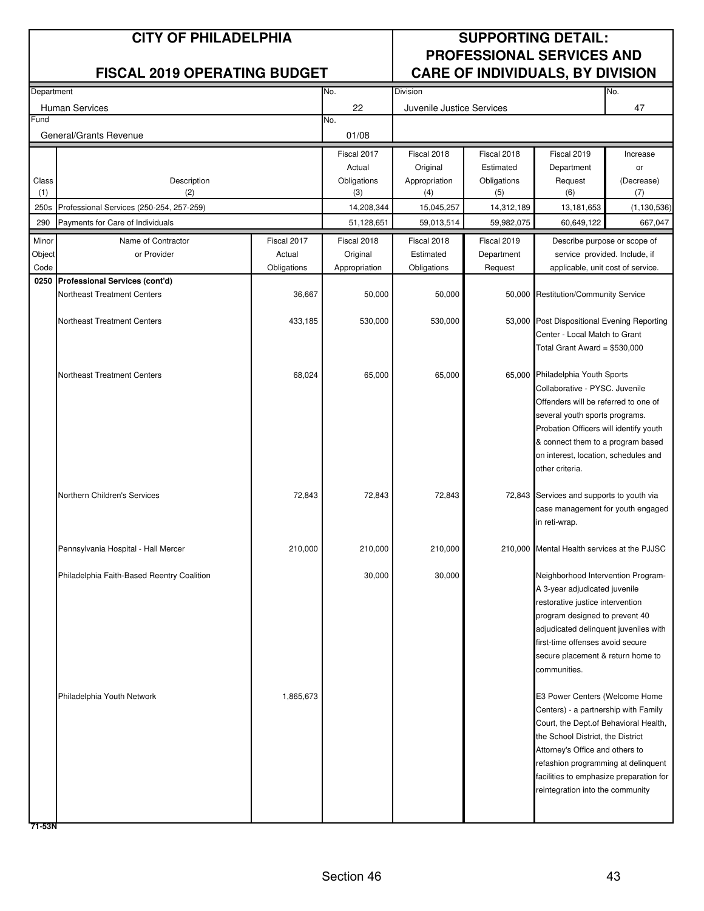| Department |                                            |             | No.<br>Division |                           |             |                                                                                | No.           |
|------------|--------------------------------------------|-------------|-----------------|---------------------------|-------------|--------------------------------------------------------------------------------|---------------|
|            | <b>Human Services</b>                      |             | 22              | Juvenile Justice Services |             |                                                                                | 47            |
| Fund       |                                            |             | No.             |                           |             |                                                                                |               |
|            | General/Grants Revenue                     |             | 01/08           |                           |             |                                                                                |               |
|            |                                            |             | Fiscal 2017     | Fiscal 2018               | Fiscal 2018 | Fiscal 2019                                                                    | Increase      |
|            |                                            |             | Actual          | Original                  | Estimated   | Department                                                                     | or            |
| Class      | Description                                |             | Obligations     | Appropriation             | Obligations | Request                                                                        | (Decrease)    |
| (1)        | (2)                                        |             | (3)             | (4)                       | (5)         | (6)                                                                            | (7)           |
| 250s       | Professional Services (250-254, 257-259)   |             | 14,208,344      | 15,045,257                | 14,312,189  | 13,181,653                                                                     | (1, 130, 536) |
| 290        | Payments for Care of Individuals           |             | 51,128,651      | 59,013,514                | 59,982,075  | 60,649,122                                                                     | 667,047       |
| Minor      | Name of Contractor                         | Fiscal 2017 | Fiscal 2018     | Fiscal 2018               | Fiscal 2019 | Describe purpose or scope of                                                   |               |
| Object     | or Provider                                | Actual      | Original        | Estimated                 | Department  | service provided. Include, if                                                  |               |
| Code       |                                            | Obligations | Appropriation   | Obligations               | Request     | applicable, unit cost of service.                                              |               |
| 0250       | Professional Services (cont'd)             |             |                 |                           |             |                                                                                |               |
|            | Northeast Treatment Centers                | 36,667      | 50,000          | 50,000                    |             | 50,000 Restitution/Community Service                                           |               |
|            | <b>Northeast Treatment Centers</b>         | 433,185     | 530,000         | 530,000                   |             | 53,000 Post Dispositional Evening Reporting                                    |               |
|            |                                            |             |                 |                           |             | Center - Local Match to Grant                                                  |               |
|            |                                            |             |                 |                           |             | Total Grant Award = \$530,000                                                  |               |
|            |                                            |             |                 |                           |             |                                                                                |               |
|            | Northeast Treatment Centers                | 68,024      | 65,000          | 65,000                    |             | 65,000 Philadelphia Youth Sports                                               |               |
|            |                                            |             |                 |                           |             | Collaborative - PYSC, Juvenile                                                 |               |
|            |                                            |             |                 |                           |             | Offenders will be referred to one of                                           |               |
|            |                                            |             |                 |                           |             | several youth sports programs.                                                 |               |
|            |                                            |             |                 |                           |             | Probation Officers will identify youth                                         |               |
|            |                                            |             |                 |                           |             | & connect them to a program based<br>on interest, location, schedules and      |               |
|            |                                            |             |                 |                           |             | other criteria.                                                                |               |
|            |                                            |             |                 |                           |             |                                                                                |               |
|            | Northern Children's Services               | 72,843      | 72,843          | 72,843                    |             | 72,843 Services and supports to youth via                                      |               |
|            |                                            |             |                 |                           |             | case management for youth engaged                                              |               |
|            |                                            |             |                 |                           |             | in reti-wrap.                                                                  |               |
|            |                                            |             |                 |                           |             |                                                                                |               |
|            | Pennsylvania Hospital - Hall Mercer        | 210,000     | 210,000         | 210,000                   |             | 210,000 Mental Health services at the PJJSC                                    |               |
|            | Philadelphia Faith-Based Reentry Coalition |             | 30,000          | 30,000                    |             | Neighborhood Intervention Program-                                             |               |
|            |                                            |             |                 |                           |             | A 3-year adjudicated juvenile                                                  |               |
|            |                                            |             |                 |                           |             | restorative justice intervention                                               |               |
|            |                                            |             |                 |                           |             | program designed to prevent 40                                                 |               |
|            |                                            |             |                 |                           |             | adjudicated delinquent juveniles with                                          |               |
|            |                                            |             |                 |                           |             | first-time offenses avoid secure<br>secure placement & return home to          |               |
|            |                                            |             |                 |                           |             | communities.                                                                   |               |
|            |                                            |             |                 |                           |             |                                                                                |               |
|            | Philadelphia Youth Network                 | 1,865,673   |                 |                           |             | E3 Power Centers (Welcome Home                                                 |               |
|            |                                            |             |                 |                           |             | Centers) - a partnership with Family                                           |               |
|            |                                            |             |                 |                           |             | Court, the Dept.of Behavioral Health,                                          |               |
|            |                                            |             |                 |                           |             | the School District, the District                                              |               |
|            |                                            |             |                 |                           |             | Attorney's Office and others to                                                |               |
|            |                                            |             |                 |                           |             | refashion programming at delinquent<br>facilities to emphasize preparation for |               |
|            |                                            |             |                 |                           |             | reintegration into the community                                               |               |
|            |                                            |             |                 |                           |             |                                                                                |               |
|            |                                            |             |                 |                           |             |                                                                                |               |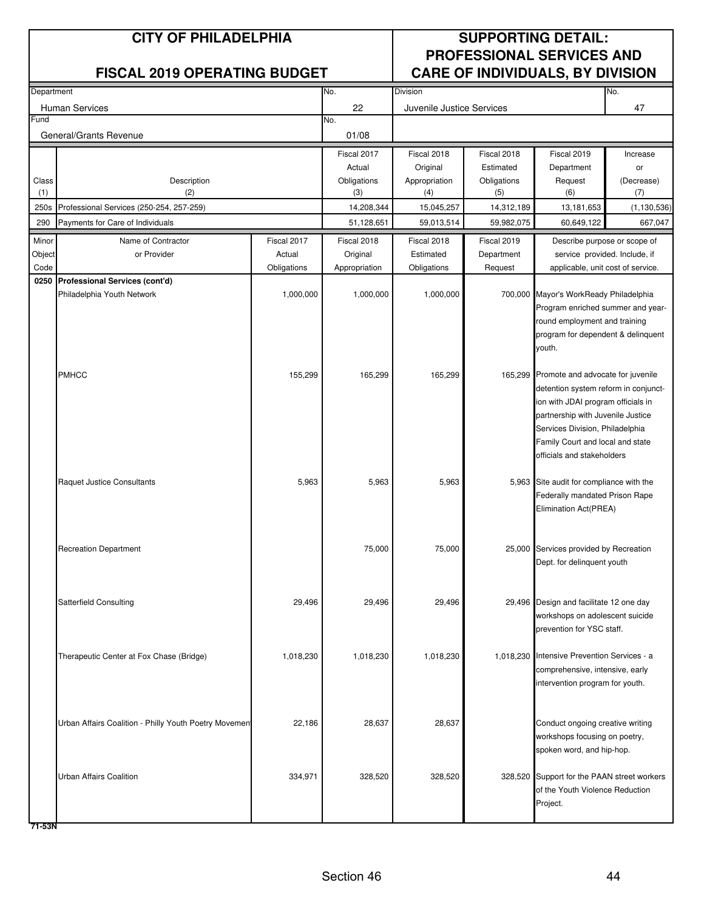| Department     |                                                                              |                       | No.                      | Division                  |                           |                                                                                | No.                      |
|----------------|------------------------------------------------------------------------------|-----------------------|--------------------------|---------------------------|---------------------------|--------------------------------------------------------------------------------|--------------------------|
|                | <b>Human Services</b>                                                        |                       | 22                       | Juvenile Justice Services |                           |                                                                                | 47                       |
| Fund           |                                                                              |                       | No.                      |                           |                           |                                                                                |                          |
|                | General/Grants Revenue                                                       |                       | 01/08                    |                           |                           |                                                                                |                          |
|                |                                                                              |                       | Fiscal 2017              | Fiscal 2018               | Fiscal 2018               | Fiscal 2019                                                                    | Increase                 |
|                |                                                                              |                       | Actual                   | Original                  | Estimated                 | Department                                                                     | or                       |
| Class          | Description                                                                  |                       | Obligations              | Appropriation             | Obligations               | Request                                                                        | (Decrease)               |
| (1)            | (2)                                                                          |                       | (3)                      | (4)                       | (5)                       | (6)                                                                            | (7)                      |
| 250s<br>290    | Professional Services (250-254, 257-259)<br>Payments for Care of Individuals |                       | 14,208,344<br>51,128,651 | 15,045,257<br>59,013,514  | 14,312,189<br>59,982,075  | 13,181,653<br>60,649,122                                                       | (1, 130, 536)<br>667,047 |
|                |                                                                              |                       |                          |                           |                           |                                                                                |                          |
| Minor          | Name of Contractor<br>or Provider                                            | Fiscal 2017<br>Actual | Fiscal 2018<br>Original  | Fiscal 2018<br>Estimated  | Fiscal 2019<br>Department | Describe purpose or scope of<br>service provided. Include, if                  |                          |
| Object<br>Code |                                                                              | Obligations           | Appropriation            | Obligations               | Request                   | applicable, unit cost of service.                                              |                          |
| 0250           | Professional Services (cont'd)                                               |                       |                          |                           |                           |                                                                                |                          |
|                | Philadelphia Youth Network                                                   | 1,000,000             | 1,000,000                | 1,000,000                 |                           | 700,000 Mayor's WorkReady Philadelphia                                         |                          |
|                |                                                                              |                       |                          |                           |                           | Program enriched summer and year-                                              |                          |
|                |                                                                              |                       |                          |                           |                           | round employment and training                                                  |                          |
|                |                                                                              |                       |                          |                           |                           | program for dependent & delinquent                                             |                          |
|                |                                                                              |                       |                          |                           |                           | youth.                                                                         |                          |
|                | <b>PMHCC</b>                                                                 | 155,299               | 165,299                  | 165,299                   |                           | 165,299 Promote and advocate for juvenile                                      |                          |
|                |                                                                              |                       |                          |                           |                           | detention system reform in conjunct-                                           |                          |
|                |                                                                              |                       |                          |                           |                           | ion with JDAI program officials in                                             |                          |
|                |                                                                              |                       |                          |                           |                           | partnership with Juvenile Justice                                              |                          |
|                |                                                                              |                       |                          |                           |                           | Services Division, Philadelphia                                                |                          |
|                |                                                                              |                       |                          |                           |                           | Family Court and local and state                                               |                          |
|                |                                                                              |                       |                          |                           |                           | officials and stakeholders                                                     |                          |
|                | Raquet Justice Consultants                                                   | 5,963                 | 5,963                    | 5,963                     |                           | 5,963 Site audit for compliance with the                                       |                          |
|                |                                                                              |                       |                          |                           |                           | Federally mandated Prison Rape                                                 |                          |
|                |                                                                              |                       |                          |                           |                           | Elimination Act(PREA)                                                          |                          |
|                |                                                                              |                       |                          |                           |                           |                                                                                |                          |
|                |                                                                              |                       |                          |                           |                           |                                                                                |                          |
|                | <b>Recreation Department</b>                                                 |                       | 75,000                   | 75,000                    |                           | 25,000 Services provided by Recreation                                         |                          |
|                |                                                                              |                       |                          |                           |                           | Dept. for delinquent youth                                                     |                          |
|                |                                                                              |                       |                          |                           |                           |                                                                                |                          |
|                | <b>Satterfield Consulting</b>                                                | 29,496                | 29,496                   | 29,496                    |                           | 29,496 Design and facilitate 12 one day                                        |                          |
|                |                                                                              |                       |                          |                           |                           | workshops on adolescent suicide                                                |                          |
|                |                                                                              |                       |                          |                           |                           | prevention for YSC staff.                                                      |                          |
|                |                                                                              |                       |                          |                           |                           |                                                                                |                          |
|                | Therapeutic Center at Fox Chase (Bridge)                                     | 1,018,230             | 1,018,230                | 1,018,230                 |                           | 1,018,230 Intensive Prevention Services - a                                    |                          |
|                |                                                                              |                       |                          |                           |                           | comprehensive, intensive, early                                                |                          |
|                |                                                                              |                       |                          |                           |                           | intervention program for youth.                                                |                          |
|                |                                                                              |                       |                          |                           |                           |                                                                                |                          |
|                | Urban Affairs Coalition - Philly Youth Poetry Movement                       | 22,186                | 28,637                   | 28,637                    |                           | Conduct ongoing creative writing                                               |                          |
|                |                                                                              |                       |                          |                           |                           | workshops focusing on poetry,                                                  |                          |
|                |                                                                              |                       |                          |                           |                           | spoken word, and hip-hop.                                                      |                          |
|                |                                                                              |                       |                          |                           |                           |                                                                                |                          |
|                | Urban Affairs Coalition                                                      | 334,971               | 328,520                  | 328,520                   |                           | 328,520 Support for the PAAN street workers<br>of the Youth Violence Reduction |                          |
|                |                                                                              |                       |                          |                           |                           | Project.                                                                       |                          |
|                |                                                                              |                       |                          |                           |                           |                                                                                |                          |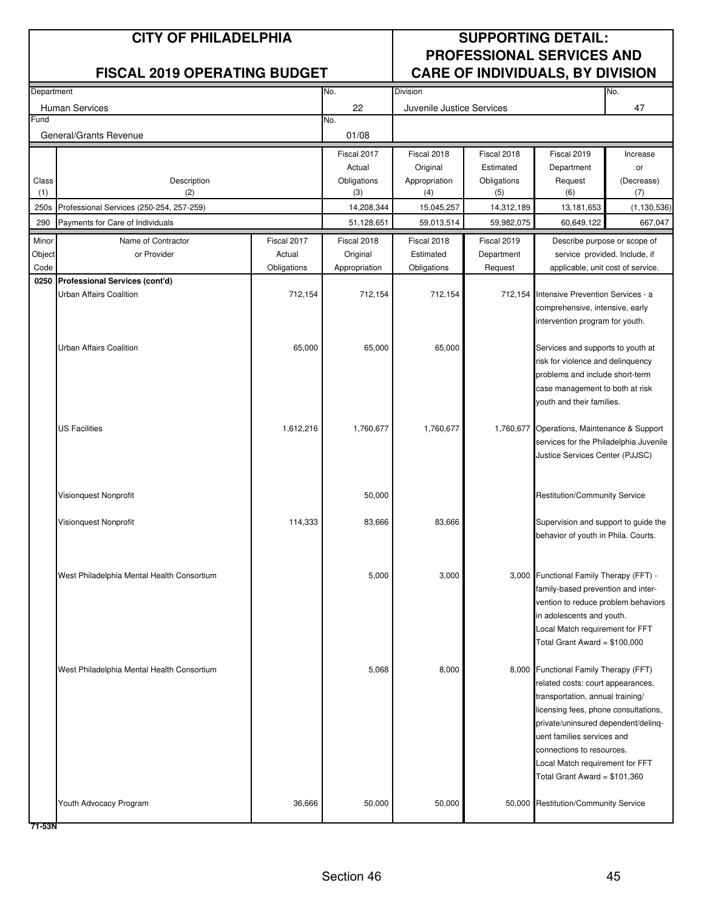| Department |                                                                       |             | No.           | Division                  |             |                                                                              | No.           |
|------------|-----------------------------------------------------------------------|-------------|---------------|---------------------------|-------------|------------------------------------------------------------------------------|---------------|
|            | <b>Human Services</b>                                                 |             | 22            | Juvenile Justice Services |             |                                                                              | 47            |
| Fund       |                                                                       |             | No.           |                           |             |                                                                              |               |
|            | General/Grants Revenue                                                |             | 01/08         |                           |             |                                                                              |               |
|            |                                                                       |             | Fiscal 2017   | Fiscal 2018               | Fiscal 2018 | Fiscal 2019                                                                  | Increase      |
|            |                                                                       |             | Actual        | Original                  | Estimated   | Department                                                                   | or            |
| Class      | Description                                                           |             | Obligations   | Appropriation             | Obligations | Request                                                                      | (Decrease)    |
| (1)        | (2)                                                                   |             | (3)           | (4)                       | (5)         | (6)                                                                          | (7)           |
| 250s       | Professional Services (250-254, 257-259)                              |             | 14,208,344    | 15,045,257                | 14,312,189  | 13,181,653                                                                   | (1, 130, 536) |
| 290        | Payments for Care of Individuals                                      |             | 51,128,651    | 59,013,514                | 59,982,075  | 60,649,122                                                                   | 667,047       |
| Minor      | Name of Contractor                                                    | Fiscal 2017 | Fiscal 2018   | Fiscal 2018               | Fiscal 2019 | Describe purpose or scope of                                                 |               |
| Object     | or Provider                                                           | Actual      | Original      | Estimated                 | Department  | service provided. Include, if                                                |               |
| Code       |                                                                       | Obligations | Appropriation | Obligations               | Request     | applicable, unit cost of service.                                            |               |
|            | 0250 Professional Services (cont'd)<br><b>Urban Affairs Coalition</b> |             |               |                           |             |                                                                              |               |
|            |                                                                       | 712,154     | 712,154       | 712,154                   |             | 712,154 Intensive Prevention Services - a<br>comprehensive, intensive, early |               |
|            |                                                                       |             |               |                           |             | intervention program for youth.                                              |               |
|            |                                                                       |             |               |                           |             |                                                                              |               |
|            | <b>Urban Affairs Coalition</b>                                        | 65,000      | 65,000        | 65,000                    |             | Services and supports to youth at                                            |               |
|            |                                                                       |             |               |                           |             | risk for violence and delinquency                                            |               |
|            |                                                                       |             |               |                           |             | problems and include short-term                                              |               |
|            |                                                                       |             |               |                           |             | case management to both at risk                                              |               |
|            |                                                                       |             |               |                           |             | youth and their families.                                                    |               |
|            | <b>US Facilities</b>                                                  | 1,612,216   | 1,760,677     | 1,760,677                 |             | 1,760,677 Operations, Maintenance & Support                                  |               |
|            |                                                                       |             |               |                           |             | services for the Philadelphia Juvenile                                       |               |
|            |                                                                       |             |               |                           |             | Justice Services Center (PJJSC)                                              |               |
|            |                                                                       |             |               |                           |             |                                                                              |               |
|            |                                                                       |             |               |                           |             |                                                                              |               |
|            | Visionquest Nonprofit                                                 |             | 50,000        |                           |             | <b>Restitution/Community Service</b>                                         |               |
|            |                                                                       |             |               |                           |             |                                                                              |               |
|            | Visionquest Nonprofit                                                 | 114,333     | 83,666        | 83,666                    |             | Supervision and support to guide the                                         |               |
|            |                                                                       |             |               |                           |             | behavior of youth in Phila. Courts.                                          |               |
|            |                                                                       |             |               |                           |             |                                                                              |               |
|            | West Philadelphia Mental Health Consortium                            |             | 5,000         | 3,000                     |             | 3,000 Functional Family Therapy (FFT) -                                      |               |
|            |                                                                       |             |               |                           |             | family-based prevention and inter-                                           |               |
|            |                                                                       |             |               |                           |             | vention to reduce problem behaviors                                          |               |
|            |                                                                       |             |               |                           |             | in adolescents and youth.                                                    |               |
|            |                                                                       |             |               |                           |             | Local Match requirement for FFT                                              |               |
|            |                                                                       |             |               |                           |             | Total Grant Award = \$100,000                                                |               |
|            |                                                                       |             |               |                           |             |                                                                              |               |
|            | West Philadelphia Mental Health Consortium                            |             | 5,068         | 8,000                     |             | 8,000 Functional Family Therapy (FFT)<br>related costs: court appearances,   |               |
|            |                                                                       |             |               |                           |             | transportation, annual training/                                             |               |
|            |                                                                       |             |               |                           |             | licensing fees, phone consultations,                                         |               |
|            |                                                                       |             |               |                           |             | private/uninsured dependent/deling-                                          |               |
|            |                                                                       |             |               |                           |             | uent families services and                                                   |               |
|            |                                                                       |             |               |                           |             | connections to resources.                                                    |               |
|            |                                                                       |             |               |                           |             | Local Match requirement for FFT                                              |               |
|            |                                                                       |             |               |                           |             | Total Grant Award = $$101,360$                                               |               |
|            |                                                                       |             |               |                           |             |                                                                              |               |
|            | Youth Advocacy Program                                                | 36,666      | 50,000        | 50,000                    |             | 50,000 Restitution/Community Service                                         |               |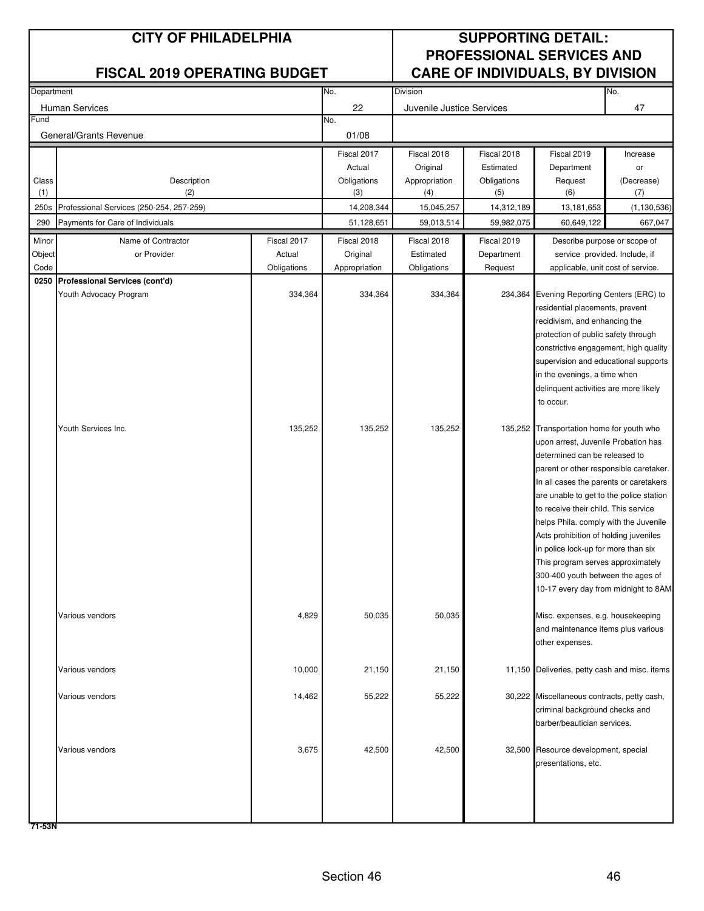| Department |                                          |             | No.<br>Division |                           |             |                                                                                  | No.           |
|------------|------------------------------------------|-------------|-----------------|---------------------------|-------------|----------------------------------------------------------------------------------|---------------|
|            | Human Services                           |             | 22              | Juvenile Justice Services |             |                                                                                  | 47            |
| Fund       |                                          |             | No.             |                           |             |                                                                                  |               |
|            | General/Grants Revenue                   |             | 01/08           |                           |             |                                                                                  |               |
|            |                                          |             | Fiscal 2017     | Fiscal 2018               | Fiscal 2018 | Fiscal 2019                                                                      | Increase      |
|            |                                          |             | Actual          | Original                  | Estimated   | Department                                                                       | or            |
| Class      | Description                              |             | Obligations     | Appropriation             | Obligations | Request                                                                          | (Decrease)    |
| (1)        | (2)                                      |             | (3)             | (4)                       | (5)         | (6)                                                                              | (7)           |
| 250s       | Professional Services (250-254, 257-259) |             | 14,208,344      | 15,045,257                | 14,312,189  | 13,181,653                                                                       | (1, 130, 536) |
| 290        | Payments for Care of Individuals         |             | 51,128,651      | 59,013,514                | 59,982,075  | 60,649,122                                                                       | 667,047       |
| Minor      | Name of Contractor                       | Fiscal 2017 | Fiscal 2018     | Fiscal 2018               | Fiscal 2019 | Describe purpose or scope of                                                     |               |
| Object     | or Provider                              | Actual      | Original        | Estimated                 | Department  | service provided. Include, if                                                    |               |
| Code       |                                          | Obligations | Appropriation   | Obligations               | Request     | applicable, unit cost of service.                                                |               |
| 0250       | Professional Services (cont'd)           |             |                 |                           |             |                                                                                  |               |
|            | Youth Advocacy Program                   | 334,364     | 334,364         | 334,364                   |             | 234,364 Evening Reporting Centers (ERC) to<br>residential placements, prevent    |               |
|            |                                          |             |                 |                           |             | recidivism, and enhancing the                                                    |               |
|            |                                          |             |                 |                           |             | protection of public safety through                                              |               |
|            |                                          |             |                 |                           |             | constrictive engagement, high quality                                            |               |
|            |                                          |             |                 |                           |             | supervision and educational supports                                             |               |
|            |                                          |             |                 |                           |             | in the evenings, a time when                                                     |               |
|            |                                          |             |                 |                           |             | delinquent activities are more likely                                            |               |
|            |                                          |             |                 |                           |             | to occur.                                                                        |               |
|            |                                          |             |                 |                           |             |                                                                                  |               |
|            | Youth Services Inc.                      | 135,252     | 135,252         | 135,252                   |             | 135,252 Transportation home for youth who<br>upon arrest, Juvenile Probation has |               |
|            |                                          |             |                 |                           |             | determined can be released to                                                    |               |
|            |                                          |             |                 |                           |             | parent or other responsible caretaker.                                           |               |
|            |                                          |             |                 |                           |             | In all cases the parents or caretakers                                           |               |
|            |                                          |             |                 |                           |             | are unable to get to the police station                                          |               |
|            |                                          |             |                 |                           |             | to receive their child. This service                                             |               |
|            |                                          |             |                 |                           |             | helps Phila. comply with the Juvenile                                            |               |
|            |                                          |             |                 |                           |             | Acts prohibition of holding juveniles                                            |               |
|            |                                          |             |                 |                           |             | in police lock-up for more than six                                              |               |
|            |                                          |             |                 |                           |             | This program serves approximately                                                |               |
|            |                                          |             |                 |                           |             | 300-400 youth between the ages of<br>10-17 every day from midnight to 8AM.       |               |
|            |                                          |             |                 |                           |             |                                                                                  |               |
|            | Various vendors                          | 4,829       | 50.035          | 50,035                    |             | Misc. expenses, e.g. housekeeping                                                |               |
|            |                                          |             |                 |                           |             | and maintenance items plus various                                               |               |
|            |                                          |             |                 |                           |             | other expenses.                                                                  |               |
|            |                                          |             |                 |                           |             |                                                                                  |               |
|            | Various vendors                          | 10,000      | 21,150          | 21,150                    |             | 11,150 Deliveries, petty cash and misc. items                                    |               |
|            |                                          |             |                 |                           |             |                                                                                  |               |
|            | Various vendors                          | 14,462      | 55,222          | 55,222                    |             | 30,222 Miscellaneous contracts, petty cash,                                      |               |
|            |                                          |             |                 |                           |             | criminal background checks and                                                   |               |
|            |                                          |             |                 |                           |             | barber/beautician services.                                                      |               |
|            | Various vendors                          | 3,675       | 42,500          | 42,500                    |             | 32,500 Resource development, special                                             |               |
|            |                                          |             |                 |                           |             | presentations, etc.                                                              |               |
|            |                                          |             |                 |                           |             |                                                                                  |               |
|            |                                          |             |                 |                           |             |                                                                                  |               |
|            |                                          |             |                 |                           |             |                                                                                  |               |
|            |                                          |             |                 |                           |             |                                                                                  |               |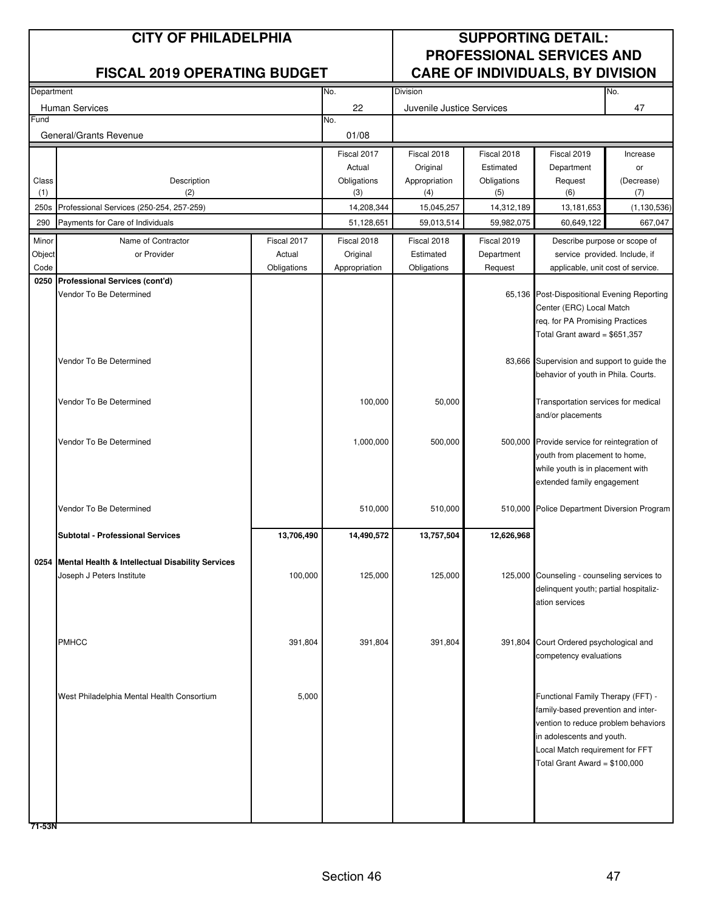| Department     |                                                       |                       | No.<br>Division |                           |             |                                                                         | No.           |
|----------------|-------------------------------------------------------|-----------------------|-----------------|---------------------------|-------------|-------------------------------------------------------------------------|---------------|
|                | <b>Human Services</b>                                 |                       | 22              | Juvenile Justice Services |             |                                                                         | 47            |
| Fund           |                                                       |                       | No.             |                           |             |                                                                         |               |
|                | General/Grants Revenue                                |                       | 01/08           |                           |             |                                                                         |               |
|                |                                                       |                       | Fiscal 2017     | Fiscal 2018               | Fiscal 2018 | Fiscal 2019                                                             | Increase      |
|                |                                                       |                       | Actual          | Original                  | Estimated   | Department                                                              | or            |
| Class          | Description                                           |                       | Obligations     | Appropriation             | Obligations | Request                                                                 | (Decrease)    |
| (1)            | (2)                                                   |                       | (3)             | (4)                       | (5)         | (6)                                                                     | (7)           |
| 250s           | Professional Services (250-254, 257-259)              |                       | 14,208,344      | 15,045,257                | 14,312,189  | 13,181,653                                                              | (1, 130, 536) |
| 290            | Payments for Care of Individuals                      |                       | 51,128,651      | 59,013,514                | 59,982,075  | 60,649,122                                                              | 667,047       |
| Minor          | Name of Contractor                                    | Fiscal 2017           | Fiscal 2018     | Fiscal 2018               | Fiscal 2019 | Describe purpose or scope of                                            |               |
| Object<br>Code | or Provider                                           | Actual<br>Obligations | Original        | Estimated<br>Obligations  | Department  | service provided. Include, if                                           |               |
| 0250           | Professional Services (cont'd)                        |                       | Appropriation   |                           | Request     | applicable, unit cost of service.                                       |               |
|                | Vendor To Be Determined                               |                       |                 |                           |             | 65,136 Post-Dispositional Evening Reporting                             |               |
|                |                                                       |                       |                 |                           |             | Center (ERC) Local Match                                                |               |
|                |                                                       |                       |                 |                           |             | reg. for PA Promising Practices                                         |               |
|                |                                                       |                       |                 |                           |             | Total Grant award = $$651,357$                                          |               |
|                |                                                       |                       |                 |                           |             |                                                                         |               |
|                | Vendor To Be Determined                               |                       |                 |                           |             | 83,666 Supervision and support to guide the                             |               |
|                |                                                       |                       |                 |                           |             | behavior of youth in Phila. Courts.                                     |               |
|                | Vendor To Be Determined                               |                       | 100,000         | 50,000                    |             | Transportation services for medical                                     |               |
|                |                                                       |                       |                 |                           |             | and/or placements                                                       |               |
|                |                                                       |                       |                 |                           |             |                                                                         |               |
|                | Vendor To Be Determined                               |                       | 1,000,000       | 500,000                   |             | 500,000 Provide service for reintegration of                            |               |
|                |                                                       |                       |                 |                           |             | youth from placement to home,                                           |               |
|                |                                                       |                       |                 |                           |             | while youth is in placement with                                        |               |
|                |                                                       |                       |                 |                           |             | extended family engagement                                              |               |
|                |                                                       |                       |                 |                           |             |                                                                         |               |
|                | Vendor To Be Determined                               |                       | 510,000         | 510,000                   |             | 510,000 Police Department Diversion Program                             |               |
|                | <b>Subtotal - Professional Services</b>               | 13,706,490            | 14,490,572      | 13,757,504                | 12,626,968  |                                                                         |               |
|                |                                                       |                       |                 |                           |             |                                                                         |               |
|                | 0254 Mental Health & Intellectual Disability Services |                       |                 |                           |             |                                                                         |               |
|                | Joseph J Peters Institute                             | 100,000               | 125,000         | 125,000                   |             | 125,000 Counseling - counseling services to                             |               |
|                |                                                       |                       |                 |                           |             | delinquent youth; partial hospitaliz-<br>ation services                 |               |
|                |                                                       |                       |                 |                           |             |                                                                         |               |
|                |                                                       |                       |                 |                           |             |                                                                         |               |
|                | <b>PMHCC</b>                                          | 391,804               | 391,804         | 391,804                   |             | 391,804 Court Ordered psychological and                                 |               |
|                |                                                       |                       |                 |                           |             | competency evaluations                                                  |               |
|                |                                                       |                       |                 |                           |             |                                                                         |               |
|                |                                                       |                       |                 |                           |             |                                                                         |               |
|                | West Philadelphia Mental Health Consortium            | 5,000                 |                 |                           |             | Functional Family Therapy (FFT) -<br>family-based prevention and inter- |               |
|                |                                                       |                       |                 |                           |             | vention to reduce problem behaviors                                     |               |
|                |                                                       |                       |                 |                           |             | in adolescents and youth.                                               |               |
|                |                                                       |                       |                 |                           |             | Local Match requirement for FFT                                         |               |
|                |                                                       |                       |                 |                           |             | Total Grant Award = \$100,000                                           |               |
|                |                                                       |                       |                 |                           |             |                                                                         |               |
|                |                                                       |                       |                 |                           |             |                                                                         |               |
|                |                                                       |                       |                 |                           |             |                                                                         |               |
|                |                                                       |                       |                 |                           |             |                                                                         |               |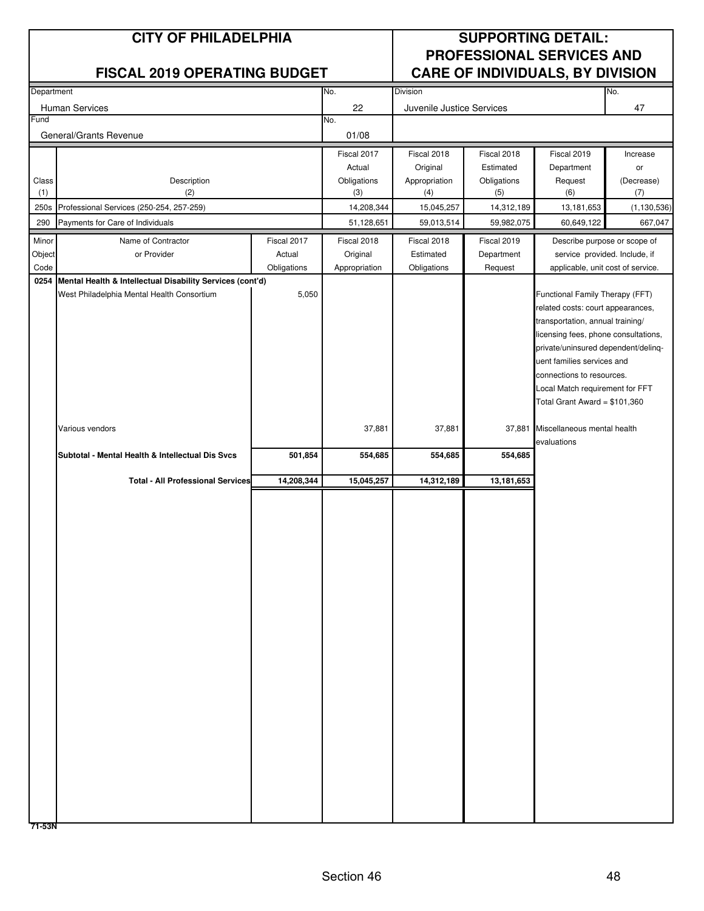| Department |                                                                |             | No.           | Division                  |             |                                                                       | No.           |
|------------|----------------------------------------------------------------|-------------|---------------|---------------------------|-------------|-----------------------------------------------------------------------|---------------|
|            | Human Services                                                 |             | 22            | Juvenile Justice Services |             |                                                                       | 47            |
| Fund       |                                                                |             | No.           |                           |             |                                                                       |               |
|            | General/Grants Revenue                                         |             | 01/08         |                           |             |                                                                       |               |
|            |                                                                |             | Fiscal 2017   | Fiscal 2018               | Fiscal 2018 | Fiscal 2019                                                           | Increase      |
|            |                                                                |             | Actual        | Original                  | Estimated   | Department                                                            | or            |
| Class      | Description                                                    |             | Obligations   | Appropriation             | Obligations | Request                                                               | (Decrease)    |
| (1)        | (2)                                                            |             | (3)           | (4)                       | (5)         | (6)                                                                   | (7)           |
| 250s       | Professional Services (250-254, 257-259)                       |             | 14,208,344    | 15,045,257                | 14,312,189  | 13,181,653                                                            | (1, 130, 536) |
| 290        | Payments for Care of Individuals                               |             | 51,128,651    | 59,013,514                | 59,982,075  | 60,649,122                                                            | 667,047       |
| Minor      | Name of Contractor                                             | Fiscal 2017 | Fiscal 2018   | Fiscal 2018               | Fiscal 2019 | Describe purpose or scope of                                          |               |
| Object     | or Provider                                                    | Actual      | Original      | Estimated                 | Department  | service provided. Include, if                                         |               |
| Code       |                                                                | Obligations | Appropriation | Obligations               | Request     | applicable, unit cost of service.                                     |               |
|            | 0254 Mental Health & Intellectual Disability Services (cont'd) |             |               |                           |             |                                                                       |               |
|            | West Philadelphia Mental Health Consortium                     | 5,050       |               |                           |             | Functional Family Therapy (FFT)                                       |               |
|            |                                                                |             |               |                           |             | related costs: court appearances,<br>transportation, annual training/ |               |
|            |                                                                |             |               |                           |             | licensing fees, phone consultations,                                  |               |
|            |                                                                |             |               |                           |             | private/uninsured dependent/delinq-                                   |               |
|            |                                                                |             |               |                           |             | uent families services and                                            |               |
|            |                                                                |             |               |                           |             | connections to resources.                                             |               |
|            |                                                                |             |               |                           |             | Local Match requirement for FFT                                       |               |
|            |                                                                |             |               |                           |             | Total Grant Award = $$101,360$                                        |               |
|            |                                                                |             |               |                           |             |                                                                       |               |
|            | Various vendors                                                |             | 37,881        | 37,881                    | 37,881      | Miscellaneous mental health                                           |               |
|            | Subtotal - Mental Health & Intellectual Dis Svcs               |             |               | 554,685                   | 554,685     | evaluations                                                           |               |
|            |                                                                | 501,854     | 554,685       |                           |             |                                                                       |               |
|            | <b>Total - All Professional Services</b>                       | 14,208,344  | 15,045,257    | 14,312,189                | 13,181,653  |                                                                       |               |
|            |                                                                |             |               |                           |             |                                                                       |               |
|            |                                                                |             |               |                           |             |                                                                       |               |
|            |                                                                |             |               |                           |             |                                                                       |               |
|            |                                                                |             |               |                           |             |                                                                       |               |
|            |                                                                |             |               |                           |             |                                                                       |               |
|            |                                                                |             |               |                           |             |                                                                       |               |
|            |                                                                |             |               |                           |             |                                                                       |               |
|            |                                                                |             |               |                           |             |                                                                       |               |
|            |                                                                |             |               |                           |             |                                                                       |               |
|            |                                                                |             |               |                           |             |                                                                       |               |
|            |                                                                |             |               |                           |             |                                                                       |               |
|            |                                                                |             |               |                           |             |                                                                       |               |
|            |                                                                |             |               |                           |             |                                                                       |               |
|            |                                                                |             |               |                           |             |                                                                       |               |
|            |                                                                |             |               |                           |             |                                                                       |               |
|            |                                                                |             |               |                           |             |                                                                       |               |
|            |                                                                |             |               |                           |             |                                                                       |               |
|            |                                                                |             |               |                           |             |                                                                       |               |
|            |                                                                |             |               |                           |             |                                                                       |               |
|            |                                                                |             |               |                           |             |                                                                       |               |
|            |                                                                |             |               |                           |             |                                                                       |               |
|            |                                                                |             |               |                           |             |                                                                       |               |
|            |                                                                |             |               |                           |             |                                                                       |               |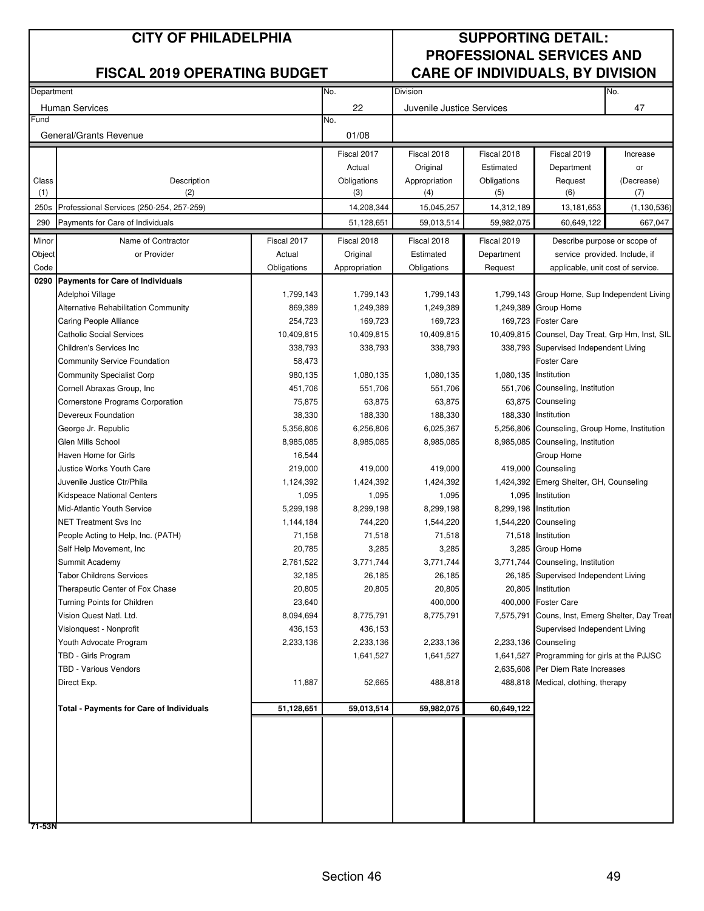| Department |                                                     | No.         | Division      |                           |                       | No.                                              |               |
|------------|-----------------------------------------------------|-------------|---------------|---------------------------|-----------------------|--------------------------------------------------|---------------|
|            | <b>Human Services</b>                               |             | 22            | Juvenile Justice Services |                       |                                                  | 47            |
| Fund       |                                                     |             | No.           |                           |                       |                                                  |               |
|            | General/Grants Revenue                              |             | 01/08         |                           |                       |                                                  |               |
|            |                                                     |             |               |                           |                       |                                                  |               |
|            |                                                     |             | Fiscal 2017   | Fiscal 2018               | Fiscal 2018           | Fiscal 2019                                      | Increase      |
|            |                                                     |             | Actual        | Original                  | Estimated             | Department                                       | or            |
| Class      | Description                                         |             | Obligations   | Appropriation             | Obligations           | Request                                          | (Decrease)    |
| (1)        | (2)                                                 |             | (3)           | (4)                       | (5)                   | (6)                                              | (7)           |
| 250s       | Professional Services (250-254, 257-259)            |             | 14,208,344    | 15,045,257                | 14,312,189            | 13,181,653                                       | (1, 130, 536) |
| 290        | Payments for Care of Individuals                    |             | 51,128,651    | 59,013,514                | 59,982,075            | 60,649,122                                       | 667,047       |
| Minor      | Name of Contractor                                  | Fiscal 2017 | Fiscal 2018   | Fiscal 2018               | Fiscal 2019           | Describe purpose or scope of                     |               |
| Object     | or Provider                                         | Actual      | Original      | Estimated                 | Department            | service provided. Include, if                    |               |
| Code       |                                                     | Obligations | Appropriation | Obligations               | Request               | applicable, unit cost of service.                |               |
|            | 0290 Payments for Care of Individuals               |             |               |                           |                       |                                                  |               |
|            | Adelphoi Village                                    | 1,799,143   | 1,799,143     | 1,799,143                 |                       | 1,799,143 Group Home, Sup Independent Living     |               |
|            | Alternative Rehabilitation Community                | 869,389     | 1,249,389     | 1,249,389                 |                       | 1,249,389 Group Home                             |               |
|            | Caring People Alliance                              | 254,723     | 169,723       | 169,723                   |                       | 169,723 Foster Care                              |               |
|            | <b>Catholic Social Services</b>                     | 10,409,815  | 10,409,815    | 10,409,815                |                       | 10,409,815 Counsel, Day Treat, Grp Hm, Inst, SIL |               |
|            | Children's Services Inc.                            | 338,793     | 338,793       | 338,793                   |                       | 338,793 Supervised Independent Living            |               |
|            | <b>Community Service Foundation</b>                 | 58,473      |               |                           |                       | <b>Foster Care</b>                               |               |
|            | <b>Community Specialist Corp</b>                    | 980,135     | 1,080,135     | 1,080,135                 | 1,080,135 Institution |                                                  |               |
|            | Cornell Abraxas Group, Inc.                         | 451,706     | 551,706       | 551,706                   |                       | 551,706 Counseling, Institution                  |               |
|            | Cornerstone Programs Corporation                    | 75,875      | 63,875        | 63,875                    |                       | 63,875 Counseling                                |               |
|            | Devereux Foundation                                 | 38,330      | 188,330       | 188,330                   |                       | 188,330 Institution                              |               |
|            | George Jr. Republic                                 | 5,356,806   | 6,256,806     | 6,025,367                 |                       | 5,256,806 Counseling, Group Home, Institution    |               |
|            | Glen Mills School                                   | 8,985,085   | 8,985,085     | 8,985,085                 |                       | 8,985,085 Counseling, Institution                |               |
|            | Haven Home for Girls                                | 16,544      |               |                           |                       | Group Home                                       |               |
|            | Justice Works Youth Care                            | 219,000     | 419,000       | 419,000                   |                       | 419,000 Counseling                               |               |
|            | Juvenile Justice Ctr/Phila                          | 1,124,392   | 1,424,392     | 1,424,392                 |                       | 1,424,392 Emerg Shelter, GH, Counseling          |               |
|            | <b>Kidspeace National Centers</b>                   | 1,095       | 1,095         | 1,095                     |                       | 1,095 Institution                                |               |
|            | Mid-Atlantic Youth Service                          | 5,299,198   | 8,299,198     | 8,299,198                 | 8,299,198 Institution |                                                  |               |
|            | <b>NET Treatment Svs Inc</b>                        | 1,144,184   | 744,220       | 1,544,220                 |                       | 1,544,220 Counseling                             |               |
|            | People Acting to Help, Inc. (PATH)                  | 71,158      | 71,518        | 71,518                    |                       | 71,518 Institution                               |               |
|            | Self Help Movement, Inc.                            | 20,785      | 3,285         | 3,285                     |                       | 3,285 Group Home                                 |               |
|            | Summit Academy                                      | 2,761,522   | 3,771,744     | 3,771,744                 |                       | 3,771,744 Counseling, Institution                |               |
|            | <b>Tabor Childrens Services</b>                     | 32,185      | 26,185        | 26,185                    |                       | 26,185 Supervised Independent Living             |               |
|            | Therapeutic Center of Fox Chase                     | 20,805      | 20,805        | 20,805                    |                       | 20,805 Institution                               |               |
|            | Turning Points for Children                         | 23,640      |               | 400,000                   |                       | 400,000 Foster Care                              |               |
|            | Vision Quest Natl. Ltd.                             | 8,094,694   | 8,775,791     | 8,775,791                 |                       | 7,575,791 Couns, Inst, Emerg Shelter, Day Treat  |               |
|            | Visionquest - Nonprofit                             | 436,153     | 436,153       |                           |                       | Supervised Independent Living                    |               |
|            | Youth Advocate Program                              | 2,233,136   | 2,233,136     | 2,233,136                 |                       | 2,233,136 Counseling                             |               |
|            | TBD - Girls Program<br><b>TBD - Various Vendors</b> |             | 1,641,527     | 1,641,527                 |                       | 1,641,527 Programming for girls at the PJJSC     |               |
|            |                                                     |             |               |                           |                       | 2,635,608 Per Diem Rate Increases                |               |
|            | Direct Exp.                                         | 11,887      | 52,665        | 488,818                   |                       | 488,818 Medical, clothing, therapy               |               |
|            | <b>Total - Payments for Care of Individuals</b>     | 51,128,651  | 59,013,514    | 59,982,075                | 60,649,122            |                                                  |               |
|            |                                                     |             |               |                           |                       |                                                  |               |
|            |                                                     |             |               |                           |                       |                                                  |               |
|            |                                                     |             |               |                           |                       |                                                  |               |
|            |                                                     |             |               |                           |                       |                                                  |               |
|            |                                                     |             |               |                           |                       |                                                  |               |
|            |                                                     |             |               |                           |                       |                                                  |               |
|            |                                                     |             |               |                           |                       |                                                  |               |
|            |                                                     |             |               |                           |                       |                                                  |               |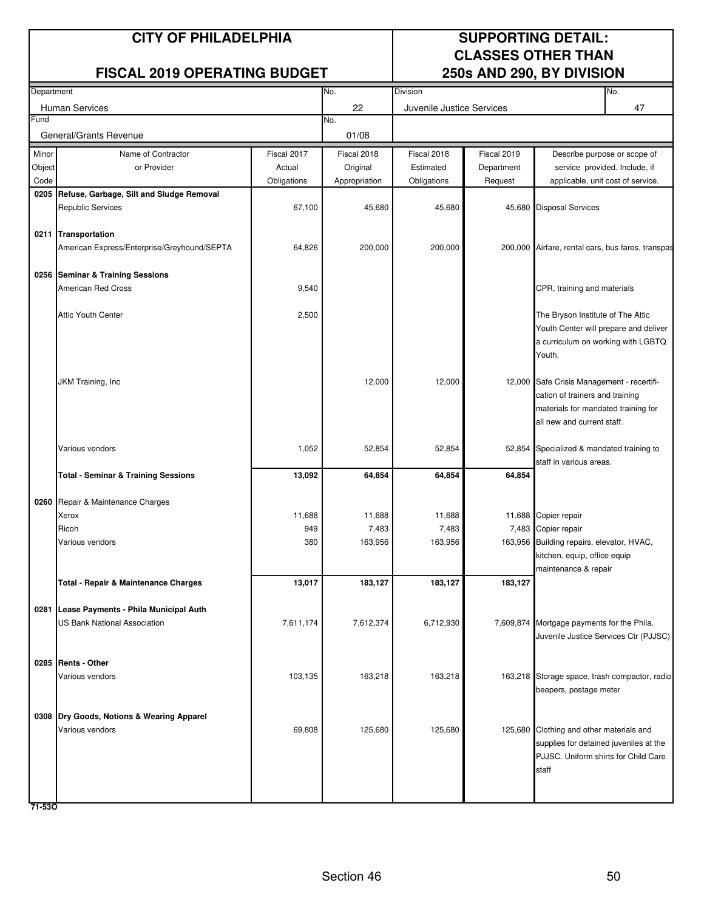### **CITY OF PHILADELPHIA SUPPORTING DETAIL:**

### **FISCAL 2019 OPERATING BUDGET**

# **CLASSES OTHER THAN<br>250s AND 290, BY DIVISION**

|        | Department                                     |               |                 | Division                  |             | No.                                                               |
|--------|------------------------------------------------|---------------|-----------------|---------------------------|-------------|-------------------------------------------------------------------|
|        | <b>Human Services</b>                          |               | 22              | Juvenile Justice Services |             | 47                                                                |
| Fund   |                                                |               | No.             |                           |             |                                                                   |
|        | General/Grants Revenue                         |               | 01/08           |                           |             |                                                                   |
| Minor  | Name of Contractor                             | Fiscal 2017   | Fiscal 2018     | Fiscal 2018               | Fiscal 2019 | Describe purpose or scope of                                      |
| Object | or Provider                                    | Actual        | Original        | Estimated                 | Department  | service provided. Include, if                                     |
| Code   |                                                | Obligations   | Appropriation   | Obligations               | Request     | applicable, unit cost of service.                                 |
| 0205   | Refuse, Garbage, Silt and Sludge Removal       |               |                 |                           |             |                                                                   |
|        | <b>Republic Services</b>                       | 67,100        | 45,680          | 45,680                    |             | 45,680 Disposal Services                                          |
|        |                                                |               |                 |                           |             |                                                                   |
|        | 0211 Transportation                            |               |                 |                           |             |                                                                   |
|        | American Express/Enterprise/Greyhound/SEPTA    | 64,826        | 200,000         | 200,000                   |             | 200,000 Airfare, rental cars, bus fares, transpas                 |
|        | 0256 Seminar & Training Sessions               |               |                 |                           |             |                                                                   |
|        | American Red Cross                             | 9,540         |                 |                           |             | CPR, training and materials                                       |
|        |                                                |               |                 |                           |             |                                                                   |
|        | <b>Attic Youth Center</b>                      | 2,500         |                 |                           |             | The Bryson Institute of The Attic                                 |
|        |                                                |               |                 |                           |             | Youth Center will prepare and deliver                             |
|        |                                                |               |                 |                           |             | a curriculum on working with LGBTQ                                |
|        |                                                |               |                 |                           |             | Youth.                                                            |
|        |                                                |               |                 |                           |             |                                                                   |
|        | JKM Training, Inc                              |               | 12,000          | 12,000                    |             | 12,000 Safe Crisis Management - recertifi-                        |
|        |                                                |               |                 |                           |             | cation of trainers and training                                   |
|        |                                                |               |                 |                           |             | materials for mandated training for<br>all new and current staff. |
|        |                                                |               |                 |                           |             |                                                                   |
|        | Various vendors                                | 1,052         | 52,854          | 52,854                    |             | 52,854 Specialized & mandated training to                         |
|        |                                                |               |                 |                           |             | staff in various areas.                                           |
|        | <b>Total - Seminar &amp; Training Sessions</b> | 13,092        | 64,854          | 64,854                    | 64,854      |                                                                   |
|        |                                                |               |                 |                           |             |                                                                   |
|        | 0260 Repair & Maintenance Charges              |               |                 |                           |             |                                                                   |
|        | Xerox<br>Ricoh                                 | 11,688<br>949 | 11,688<br>7,483 | 11,688<br>7,483           |             | 11,688 Copier repair<br>7,483 Copier repair                       |
|        | Various vendors                                | 380           | 163,956         | 163,956                   |             | 163,956 Building repairs, elevator, HVAC,                         |
|        |                                                |               |                 |                           |             | kitchen, equip, office equip                                      |
|        |                                                |               |                 |                           |             | maintenance & repair                                              |
|        | Total - Repair & Maintenance Charges           | 13,017        | 183,127         | 183,127                   | 183,127     |                                                                   |
|        |                                                |               |                 |                           |             |                                                                   |
|        | 0281 Lease Payments - Phila Municipal Auth     |               |                 |                           |             |                                                                   |
|        | US Bank National Association                   | 7,611,174     | 7,612,374       | 6,712,930                 |             | 7,609,874 Mortgage payments for the Phila.                        |
|        |                                                |               |                 |                           |             | Juvenile Justice Services Ctr (PJJSC)                             |
|        | 0285 Rents - Other                             |               |                 |                           |             |                                                                   |
|        | Various vendors                                | 103,135       | 163,218         | 163,218                   |             | 163,218 Storage space, trash compactor, radio                     |
|        |                                                |               |                 |                           |             | beepers, postage meter                                            |
|        |                                                |               |                 |                           |             |                                                                   |
|        | 0308 Dry Goods, Notions & Wearing Apparel      |               |                 |                           |             |                                                                   |
|        | Various vendors                                | 69,808        | 125,680         | 125,680                   |             | 125,680 Clothing and other materials and                          |
|        |                                                |               |                 |                           |             | supplies for detained juveniles at the                            |
|        |                                                |               |                 |                           |             | PJJSC. Uniform shirts for Child Care                              |
|        |                                                |               |                 |                           |             | staff                                                             |
|        |                                                |               |                 |                           |             |                                                                   |

**71-53O**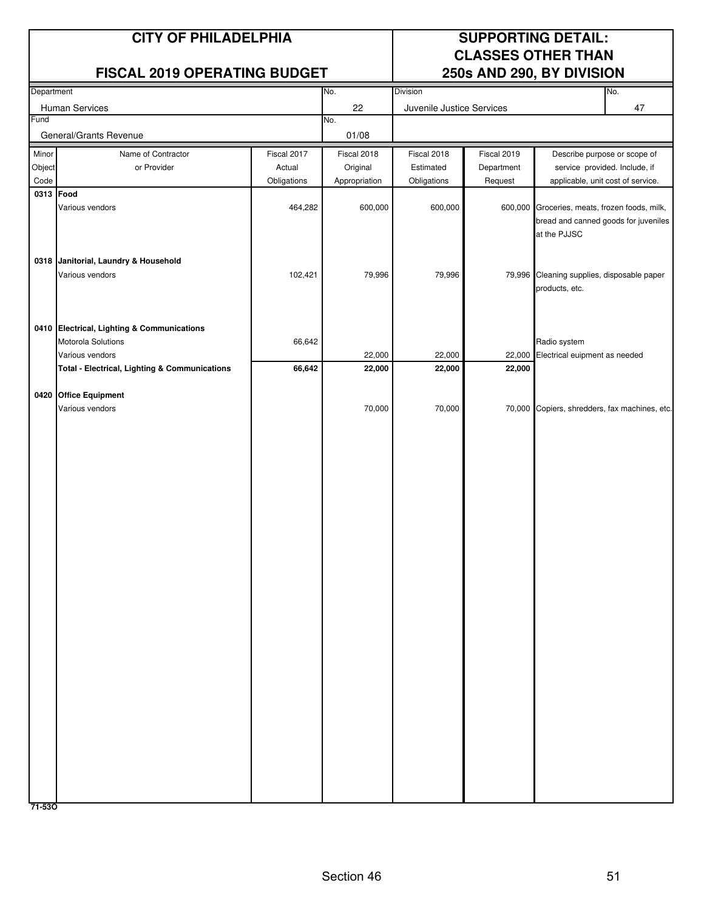### **CITY OF PHILADELPHIA SUPPORTING DETAIL:**

### **FISCAL 2019 OPERATING BUDGET**

# **CLASSES OTHER THAN<br>250s AND 290, BY DIVISION**

| Department |                                                          | No.         | <b>Division</b> |                           |             | No.                                           |                                   |
|------------|----------------------------------------------------------|-------------|-----------------|---------------------------|-------------|-----------------------------------------------|-----------------------------------|
|            | Human Services                                           |             | 22              | Juvenile Justice Services |             |                                               | 47                                |
| Fund       |                                                          |             | No.             |                           |             |                                               |                                   |
|            | General/Grants Revenue                                   |             | 01/08           |                           |             |                                               |                                   |
| Minor      | Name of Contractor                                       | Fiscal 2017 | Fiscal 2018     | Fiscal 2018               | Fiscal 2019 |                                               | Describe purpose or scope of      |
| Object     | or Provider                                              | Actual      | Original        | Estimated                 | Department  |                                               | service provided. Include, if     |
| Code       |                                                          | Obligations | Appropriation   | Obligations               | Request     |                                               | applicable, unit cost of service. |
| 0313 Food  |                                                          |             |                 |                           |             |                                               |                                   |
|            | Various vendors                                          | 464,282     | 600,000         | 600,000                   |             | 600,000 Groceries, meats, frozen foods, milk, |                                   |
|            |                                                          |             |                 |                           |             | bread and canned goods for juveniles          |                                   |
|            |                                                          |             |                 |                           |             | at the PJJSC                                  |                                   |
|            |                                                          |             |                 |                           |             |                                               |                                   |
|            | 0318 Janitorial, Laundry & Household                     |             |                 |                           |             |                                               |                                   |
|            | Various vendors                                          | 102,421     | 79,996          | 79,996                    |             | 79,996 Cleaning supplies, disposable paper    |                                   |
|            |                                                          |             |                 |                           |             | products, etc.                                |                                   |
|            |                                                          |             |                 |                           |             |                                               |                                   |
|            | 0410 Electrical, Lighting & Communications               |             |                 |                           |             |                                               |                                   |
|            | Motorola Solutions                                       | 66,642      |                 |                           |             | Radio system                                  |                                   |
|            | Various vendors                                          |             | 22,000          | 22,000                    | 22,000      | Electrical euipment as needed                 |                                   |
|            | <b>Total - Electrical, Lighting &amp; Communications</b> | 66,642      | 22,000          | 22,000                    | 22,000      |                                               |                                   |
|            |                                                          |             |                 |                           |             |                                               |                                   |
|            | 0420 Office Equipment                                    |             |                 |                           |             |                                               |                                   |
|            | Various vendors                                          |             | 70,000          | 70,000                    |             | 70,000 Copiers, shredders, fax machines, etc. |                                   |
|            |                                                          |             |                 |                           |             |                                               |                                   |
|            |                                                          |             |                 |                           |             |                                               |                                   |
|            |                                                          |             |                 |                           |             |                                               |                                   |
|            |                                                          |             |                 |                           |             |                                               |                                   |
|            |                                                          |             |                 |                           |             |                                               |                                   |
|            |                                                          |             |                 |                           |             |                                               |                                   |
|            |                                                          |             |                 |                           |             |                                               |                                   |
|            |                                                          |             |                 |                           |             |                                               |                                   |
|            |                                                          |             |                 |                           |             |                                               |                                   |
|            |                                                          |             |                 |                           |             |                                               |                                   |
|            |                                                          |             |                 |                           |             |                                               |                                   |
|            |                                                          |             |                 |                           |             |                                               |                                   |
|            |                                                          |             |                 |                           |             |                                               |                                   |
|            |                                                          |             |                 |                           |             |                                               |                                   |
|            |                                                          |             |                 |                           |             |                                               |                                   |
|            |                                                          |             |                 |                           |             |                                               |                                   |
|            |                                                          |             |                 |                           |             |                                               |                                   |
|            |                                                          |             |                 |                           |             |                                               |                                   |
|            |                                                          |             |                 |                           |             |                                               |                                   |
|            |                                                          |             |                 |                           |             |                                               |                                   |
|            |                                                          |             |                 |                           |             |                                               |                                   |
|            |                                                          |             |                 |                           |             |                                               |                                   |
|            |                                                          |             |                 |                           |             |                                               |                                   |
|            |                                                          |             |                 |                           |             |                                               |                                   |
|            |                                                          |             |                 |                           |             |                                               |                                   |
|            |                                                          |             |                 |                           |             |                                               |                                   |
|            |                                                          |             |                 |                           |             |                                               |                                   |
| 71-530     |                                                          |             |                 |                           |             |                                               |                                   |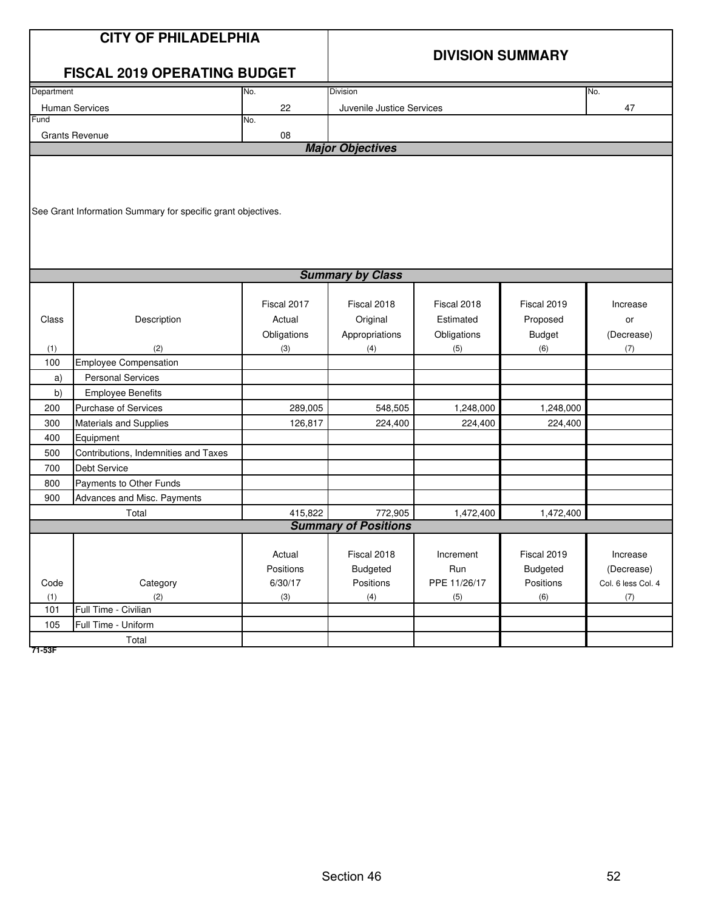|            | <b>CITY OF PHILADELPHIA</b>                                  |             |                                        |              |                 |                    |  |  |  |
|------------|--------------------------------------------------------------|-------------|----------------------------------------|--------------|-----------------|--------------------|--|--|--|
|            |                                                              |             | <b>DIVISION SUMMARY</b>                |              |                 |                    |  |  |  |
|            | <b>FISCAL 2019 OPERATING BUDGET</b>                          |             |                                        |              |                 |                    |  |  |  |
| Department |                                                              | No.         | Division                               |              |                 | No.                |  |  |  |
|            | Human Services                                               | 22          | Juvenile Justice Services              |              |                 | 47                 |  |  |  |
| Fund       |                                                              | No.         |                                        |              |                 |                    |  |  |  |
|            | <b>Grants Revenue</b>                                        | 08          | <b>Major Objectives</b>                |              |                 |                    |  |  |  |
|            |                                                              |             |                                        |              |                 |                    |  |  |  |
|            |                                                              |             |                                        |              |                 |                    |  |  |  |
|            |                                                              |             |                                        |              |                 |                    |  |  |  |
|            | See Grant Information Summary for specific grant objectives. |             |                                        |              |                 |                    |  |  |  |
|            |                                                              |             |                                        |              |                 |                    |  |  |  |
|            |                                                              |             |                                        |              |                 |                    |  |  |  |
|            |                                                              |             |                                        |              |                 |                    |  |  |  |
|            | <b>Summary by Class</b>                                      |             |                                        |              |                 |                    |  |  |  |
|            |                                                              |             |                                        |              |                 |                    |  |  |  |
|            |                                                              | Fiscal 2017 | Fiscal 2018                            | Fiscal 2018  | Fiscal 2019     | Increase           |  |  |  |
| Class      | Description                                                  | Actual      | Original                               | Estimated    | Proposed        | or                 |  |  |  |
|            |                                                              | Obligations | Appropriations                         | Obligations  | <b>Budget</b>   | (Decrease)         |  |  |  |
| (1)        | (2)                                                          | (3)         | (4)                                    | (5)          | (6)             | (7)                |  |  |  |
| 100        | <b>Employee Compensation</b>                                 |             |                                        |              |                 |                    |  |  |  |
| a)         | <b>Personal Services</b>                                     |             |                                        |              |                 |                    |  |  |  |
| b)         | <b>Employee Benefits</b>                                     |             |                                        |              |                 |                    |  |  |  |
| 200        | Purchase of Services                                         | 289,005     | 548,505                                | 1,248,000    | 1,248,000       |                    |  |  |  |
| 300        | Materials and Supplies                                       | 126,817     | 224,400                                | 224,400      | 224,400         |                    |  |  |  |
| 400        | Equipment                                                    |             |                                        |              |                 |                    |  |  |  |
| 500        | Contributions, Indemnities and Taxes                         |             |                                        |              |                 |                    |  |  |  |
| 700        | Debt Service                                                 |             |                                        |              |                 |                    |  |  |  |
| 800        | Payments to Other Funds                                      |             |                                        |              |                 |                    |  |  |  |
| 900        | Advances and Misc. Payments                                  |             |                                        |              |                 |                    |  |  |  |
|            | Total                                                        | 415,822     | 772,905<br><b>Summary of Positions</b> | 1,472,400    | 1,472,400       |                    |  |  |  |
|            |                                                              |             |                                        |              |                 |                    |  |  |  |
|            |                                                              | Actual      | Fiscal 2018                            | Increment    | Fiscal 2019     | Increase           |  |  |  |
|            |                                                              | Positions   | <b>Budgeted</b>                        | Run          | <b>Budgeted</b> | (Decrease)         |  |  |  |
| Code       | Category                                                     | 6/30/17     | Positions                              | PPE 11/26/17 | Positions       | Col. 6 less Col. 4 |  |  |  |
| (1)        | (2)                                                          | (3)         | (4)                                    | (5)          | (6)             | (7)                |  |  |  |
| 101        | Full Time - Civilian                                         |             |                                        |              |                 |                    |  |  |  |
| 105        | Full Time - Uniform                                          |             |                                        |              |                 |                    |  |  |  |
|            | Total                                                        |             |                                        |              |                 |                    |  |  |  |

**71-53F**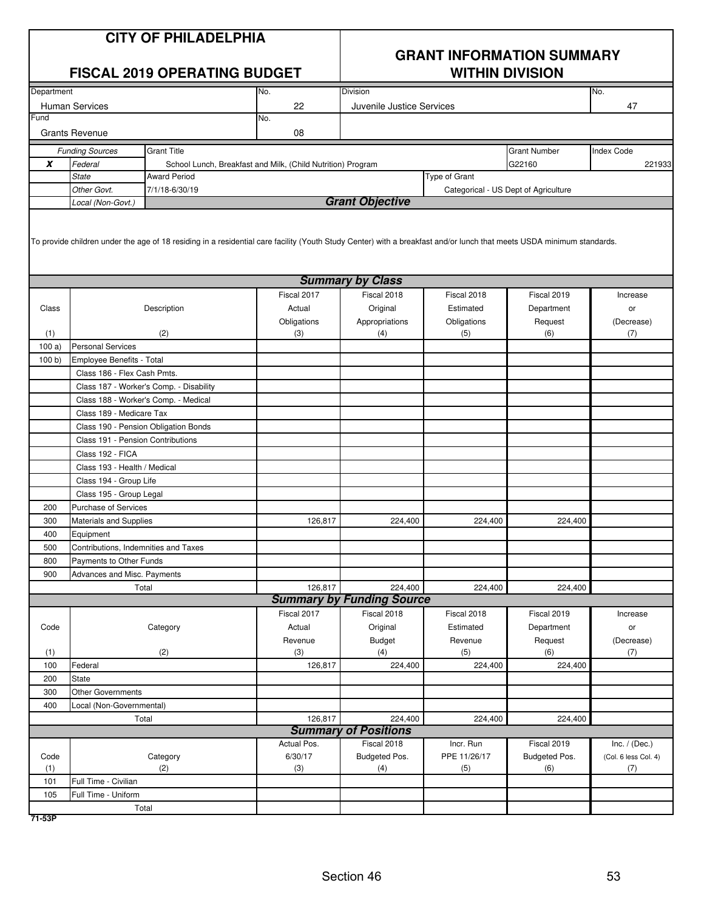|            | <b>CITY OF PHILADELPHIA</b><br><b>FISCAL 2019 OPERATING BUDGET</b>                                                                                                                               |                                                             |                        | <b>GRANT INFORMATION SUMMARY</b><br><b>WITHIN DIVISION</b> |                           |                                      |                                         |  |
|------------|--------------------------------------------------------------------------------------------------------------------------------------------------------------------------------------------------|-------------------------------------------------------------|------------------------|------------------------------------------------------------|---------------------------|--------------------------------------|-----------------------------------------|--|
| Department |                                                                                                                                                                                                  |                                                             | No.                    | <b>Division</b>                                            |                           |                                      | No.                                     |  |
| Fund       | <b>Human Services</b>                                                                                                                                                                            |                                                             | 22<br>No.              | Juvenile Justice Services                                  |                           |                                      | 47                                      |  |
|            | <b>Grants Revenue</b>                                                                                                                                                                            |                                                             | 08                     |                                                            |                           |                                      |                                         |  |
|            | <b>Funding Sources</b>                                                                                                                                                                           | <b>Grant Title</b>                                          |                        |                                                            |                           | <b>Grant Number</b>                  | <b>Index Code</b>                       |  |
| X          | Federal                                                                                                                                                                                          | School Lunch, Breakfast and Milk, (Child Nutrition) Program |                        |                                                            |                           | G22160                               | 221933                                  |  |
|            | <b>State</b>                                                                                                                                                                                     | <b>Award Period</b>                                         |                        |                                                            | <b>Type of Grant</b>      |                                      |                                         |  |
|            | Other Govt.                                                                                                                                                                                      | 7/1/18-6/30/19                                              |                        |                                                            |                           | Categorical - US Dept of Agriculture |                                         |  |
|            | Local (Non-Govt.)                                                                                                                                                                                |                                                             |                        | <b>Grant Objective</b>                                     |                           |                                      |                                         |  |
|            | To provide children under the age of 18 residing in a residential care facility (Youth Study Center) with a breakfast and/or lunch that meets USDA minimum standards.<br><b>Summary by Class</b> |                                                             |                        |                                                            |                           |                                      |                                         |  |
|            |                                                                                                                                                                                                  |                                                             | Fiscal 2017            | Fiscal 2018                                                |                           | Fiscal 2019                          |                                         |  |
| Class      |                                                                                                                                                                                                  | Description                                                 | Actual                 | Original                                                   | Fiscal 2018<br>Estimated  | Department                           | Increase                                |  |
|            |                                                                                                                                                                                                  |                                                             | Obligations            | Appropriations                                             | Obligations               | Request                              | or<br>(Decrease)                        |  |
| (1)        |                                                                                                                                                                                                  | (2)                                                         | (3)                    | (4)                                                        | (5)                       | (6)                                  | (7)                                     |  |
| 100a       | <b>Personal Services</b>                                                                                                                                                                         |                                                             |                        |                                                            |                           |                                      |                                         |  |
| 100 b      | Employee Benefits - Total                                                                                                                                                                        |                                                             |                        |                                                            |                           |                                      |                                         |  |
|            | Class 186 - Flex Cash Pmts.                                                                                                                                                                      |                                                             |                        |                                                            |                           |                                      |                                         |  |
|            |                                                                                                                                                                                                  | Class 187 - Worker's Comp. - Disability                     |                        |                                                            |                           |                                      |                                         |  |
|            |                                                                                                                                                                                                  | Class 188 - Worker's Comp. - Medical                        |                        |                                                            |                           |                                      |                                         |  |
|            | Class 189 - Medicare Tax                                                                                                                                                                         |                                                             |                        |                                                            |                           |                                      |                                         |  |
|            |                                                                                                                                                                                                  | Class 190 - Pension Obligation Bonds                        |                        |                                                            |                           |                                      |                                         |  |
|            | Class 191 - Pension Contributions                                                                                                                                                                |                                                             |                        |                                                            |                           |                                      |                                         |  |
|            | Class 192 - FICA                                                                                                                                                                                 |                                                             |                        |                                                            |                           |                                      |                                         |  |
|            | Class 193 - Health / Medical                                                                                                                                                                     |                                                             |                        |                                                            |                           |                                      |                                         |  |
|            | Class 194 - Group Life                                                                                                                                                                           |                                                             |                        |                                                            |                           |                                      |                                         |  |
|            | Class 195 - Group Legal                                                                                                                                                                          |                                                             |                        |                                                            |                           |                                      |                                         |  |
| 200        | <b>Purchase of Services</b>                                                                                                                                                                      |                                                             |                        |                                                            |                           |                                      |                                         |  |
| 300        | <b>Materials and Supplies</b>                                                                                                                                                                    |                                                             | 126,817                | 224,400                                                    | 224,400                   | 224,400                              |                                         |  |
| 400        | Equipment                                                                                                                                                                                        |                                                             |                        |                                                            |                           |                                      |                                         |  |
| 500        | Contributions, Indemnities and Taxes                                                                                                                                                             |                                                             |                        |                                                            |                           |                                      |                                         |  |
| 800<br>900 | Payments to Other Funds                                                                                                                                                                          |                                                             |                        |                                                            |                           |                                      |                                         |  |
|            | Advances and Misc. Payments                                                                                                                                                                      | Total                                                       | 126,817                | 224,400                                                    | 224,400                   | 224,400                              |                                         |  |
|            |                                                                                                                                                                                                  |                                                             |                        | <b>Summary by Funding Source</b>                           |                           |                                      |                                         |  |
|            |                                                                                                                                                                                                  |                                                             | Fiscal 2017            | Fiscal 2018                                                | Fiscal 2018               | Fiscal 2019                          | Increase                                |  |
| Code       |                                                                                                                                                                                                  | Category                                                    | Actual                 | Original                                                   | Estimated                 | Department                           | or                                      |  |
|            |                                                                                                                                                                                                  |                                                             | Revenue                | <b>Budget</b>                                              | Revenue                   | Request                              | (Decrease)                              |  |
| (1)        |                                                                                                                                                                                                  | (2)                                                         | (3)                    | (4)                                                        | (5)                       | (6)                                  | (7)                                     |  |
| 100        | Federal                                                                                                                                                                                          |                                                             | 126,817                | 224,400                                                    | 224,400                   | 224,400                              |                                         |  |
| 200        | State                                                                                                                                                                                            |                                                             |                        |                                                            |                           |                                      |                                         |  |
| 300        | <b>Other Governments</b>                                                                                                                                                                         |                                                             |                        |                                                            |                           |                                      |                                         |  |
| 400        | Local (Non-Governmental)                                                                                                                                                                         |                                                             |                        |                                                            |                           |                                      |                                         |  |
|            |                                                                                                                                                                                                  | Total                                                       | 126,817                | 224,400                                                    | 224,400                   | 224,400                              |                                         |  |
|            |                                                                                                                                                                                                  |                                                             |                        | <b>Summary of Positions</b>                                |                           |                                      |                                         |  |
| Code       |                                                                                                                                                                                                  | Category                                                    | Actual Pos.<br>6/30/17 | Fiscal 2018<br>Budgeted Pos.                               | Incr. Run<br>PPE 11/26/17 | Fiscal 2019<br>Budgeted Pos.         | Inc. $/$ (Dec.)<br>(Col. 6 less Col. 4) |  |
| (1)        |                                                                                                                                                                                                  | (2)                                                         | (3)                    | (4)                                                        | (5)                       | (6)                                  | (7)                                     |  |
| 101        | Full Time - Civilian                                                                                                                                                                             |                                                             |                        |                                                            |                           |                                      |                                         |  |
| 105        | Full Time - Uniform                                                                                                                                                                              |                                                             |                        |                                                            |                           |                                      |                                         |  |
|            |                                                                                                                                                                                                  | Total                                                       |                        |                                                            |                           |                                      |                                         |  |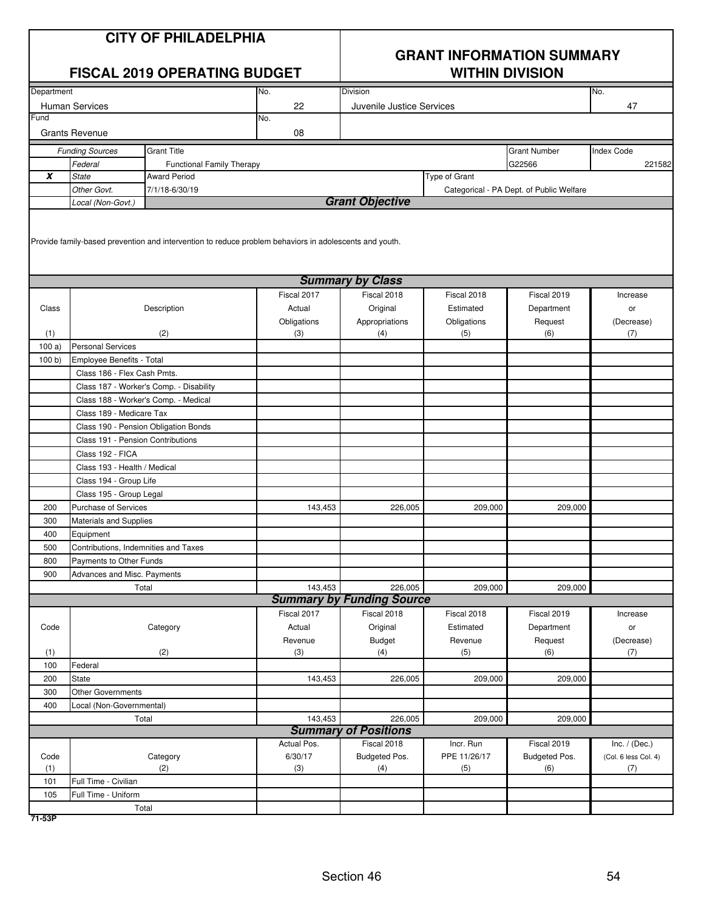|            | <b>CITY OF PHILADELPHIA</b><br><b>FISCAL 2019 OPERATING BUDGET</b>     |                                                                                                        |             | <b>GRANT INFORMATION SUMMARY</b><br><b>WITHIN DIVISION</b> |               |                                          |                      |  |
|------------|------------------------------------------------------------------------|--------------------------------------------------------------------------------------------------------|-------------|------------------------------------------------------------|---------------|------------------------------------------|----------------------|--|
| Department |                                                                        |                                                                                                        | No.         | Division                                                   |               |                                          | No.                  |  |
|            | <b>Human Services</b>                                                  |                                                                                                        | 22          | Juvenile Justice Services                                  |               |                                          | 47                   |  |
| Fund       |                                                                        |                                                                                                        | No.         |                                                            |               |                                          |                      |  |
|            | <b>Grants Revenue</b>                                                  |                                                                                                        | 08          |                                                            |               |                                          |                      |  |
|            | <b>Funding Sources</b>                                                 | <b>Grant Title</b>                                                                                     |             |                                                            |               | <b>Grant Number</b>                      | <b>Index Code</b>    |  |
|            | Federal                                                                | <b>Functional Family Therapy</b>                                                                       |             |                                                            |               | G22566                                   | 221582               |  |
| X          | <b>State</b>                                                           | Award Period                                                                                           |             |                                                            | Type of Grant |                                          |                      |  |
|            | Other Govt.                                                            | 7/1/18-6/30/19                                                                                         |             |                                                            |               | Categorical - PA Dept. of Public Welfare |                      |  |
|            | Local (Non-Govt.)                                                      |                                                                                                        |             | <b>Grant Objective</b>                                     |               |                                          |                      |  |
|            |                                                                        | Provide family-based prevention and intervention to reduce problem behaviors in adolescents and youth. |             |                                                            |               |                                          |                      |  |
|            |                                                                        |                                                                                                        |             | <b>Summary by Class</b>                                    |               |                                          |                      |  |
|            |                                                                        |                                                                                                        | Fiscal 2017 | Fiscal 2018                                                | Fiscal 2018   | Fiscal 2019                              | Increase             |  |
| Class      |                                                                        | Description                                                                                            | Actual      | Original                                                   | Estimated     | Department                               | or                   |  |
|            |                                                                        |                                                                                                        | Obligations | Appropriations                                             | Obligations   | Request                                  | (Decrease)           |  |
| (1)        | <b>Personal Services</b>                                               | (2)                                                                                                    | (3)         | (4)                                                        | (5)           | (6)                                      | (7)                  |  |
| 100a)      |                                                                        |                                                                                                        |             |                                                            |               |                                          |                      |  |
| 100 b)     | Employee Benefits - Total                                              |                                                                                                        |             |                                                            |               |                                          |                      |  |
|            | Class 186 - Flex Cash Pmts.<br>Class 187 - Worker's Comp. - Disability |                                                                                                        |             |                                                            |               |                                          |                      |  |
|            |                                                                        |                                                                                                        |             |                                                            |               |                                          |                      |  |
|            | Class 188 - Worker's Comp. - Medical<br>Class 189 - Medicare Tax       |                                                                                                        |             |                                                            |               |                                          |                      |  |
|            |                                                                        |                                                                                                        |             |                                                            |               |                                          |                      |  |
|            | Class 190 - Pension Obligation Bonds                                   |                                                                                                        |             |                                                            |               |                                          |                      |  |
|            | Class 191 - Pension Contributions                                      |                                                                                                        |             |                                                            |               |                                          |                      |  |
|            | Class 192 - FICA                                                       |                                                                                                        |             |                                                            |               |                                          |                      |  |
|            | Class 193 - Health / Medical                                           |                                                                                                        |             |                                                            |               |                                          |                      |  |
|            | Class 194 - Group Life                                                 |                                                                                                        |             |                                                            |               |                                          |                      |  |
|            | Class 195 - Group Legal                                                |                                                                                                        |             |                                                            |               |                                          |                      |  |
| 200        | Purchase of Services                                                   |                                                                                                        | 143,453     | 226,005                                                    | 209,000       | 209,000                                  |                      |  |
| 300        | <b>Materials and Supplies</b>                                          |                                                                                                        |             |                                                            |               |                                          |                      |  |
| 400        | Equipment                                                              |                                                                                                        |             |                                                            |               |                                          |                      |  |
| 500        | Contributions, Indemnities and Taxes                                   |                                                                                                        |             |                                                            |               |                                          |                      |  |
| 800        | Payments to Other Funds                                                |                                                                                                        |             |                                                            |               |                                          |                      |  |
| 900        | Advances and Misc. Payments                                            |                                                                                                        | 143.453     | 226,005                                                    |               |                                          |                      |  |
|            |                                                                        | Total                                                                                                  |             | <b>Summary by Funding Source</b>                           | 209,000       | 209,000                                  |                      |  |
|            |                                                                        |                                                                                                        | Fiscal 2017 | Fiscal 2018                                                | Fiscal 2018   | Fiscal 2019                              | Increase             |  |
| Code       |                                                                        | Category                                                                                               | Actual      | Original                                                   | Estimated     | Department                               |                      |  |
|            |                                                                        |                                                                                                        | Revenue     |                                                            | Revenue       |                                          | or                   |  |
| (1)        |                                                                        | (2)                                                                                                    | (3)         | Budget<br>(4)                                              | (5)           | Request<br>(6)                           | (Decrease)<br>(7)    |  |
| 100        | Federal                                                                |                                                                                                        |             |                                                            |               |                                          |                      |  |
| 200        | <b>State</b>                                                           |                                                                                                        | 143,453     | 226,005                                                    | 209,000       | 209,000                                  |                      |  |
| 300        | <b>Other Governments</b>                                               |                                                                                                        |             |                                                            |               |                                          |                      |  |
| 400        | Local (Non-Governmental)                                               |                                                                                                        |             |                                                            |               |                                          |                      |  |
|            |                                                                        | Total                                                                                                  | 143,453     | 226,005                                                    | 209,000       | 209,000                                  |                      |  |
|            |                                                                        |                                                                                                        |             | <b>Summary of Positions</b>                                |               |                                          |                      |  |
|            |                                                                        |                                                                                                        | Actual Pos. | Fiscal 2018                                                | Incr. Run     | Fiscal 2019                              | Inc. $/$ (Dec.)      |  |
| Code       |                                                                        | Category                                                                                               | 6/30/17     | Budgeted Pos.                                              | PPE 11/26/17  | Budgeted Pos.                            | (Col. 6 less Col. 4) |  |
| (1)        |                                                                        | (2)                                                                                                    | (3)         | (4)                                                        | (5)           | (6)                                      | (7)                  |  |
| 101        | Full Time - Civilian                                                   |                                                                                                        |             |                                                            |               |                                          |                      |  |
| 105        | Full Time - Uniform                                                    |                                                                                                        |             |                                                            |               |                                          |                      |  |
|            |                                                                        | Total                                                                                                  |             |                                                            |               |                                          |                      |  |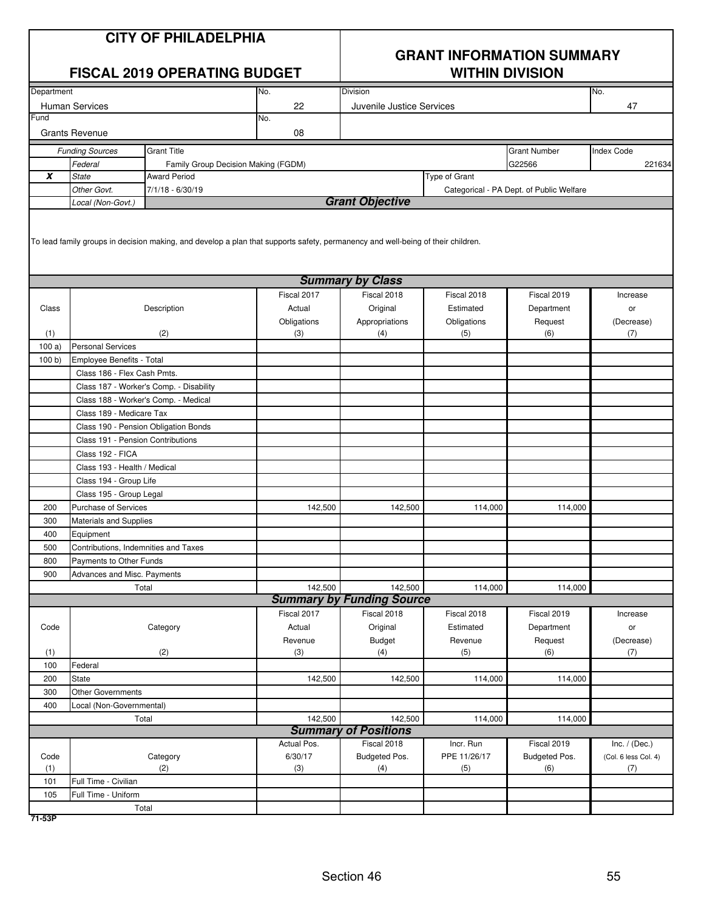| <b>CITY OF PHILADELPHIA</b><br><b>FISCAL 2019 OPERATING BUDGET</b> |                                         |                                      |                                                                                                                                 | <b>GRANT INFORMATION SUMMARY</b><br><b>WITHIN DIVISION</b> |                    |                                          |                      |
|--------------------------------------------------------------------|-----------------------------------------|--------------------------------------|---------------------------------------------------------------------------------------------------------------------------------|------------------------------------------------------------|--------------------|------------------------------------------|----------------------|
| Department                                                         |                                         |                                      | No.                                                                                                                             | Division<br>No.                                            |                    |                                          |                      |
|                                                                    | <b>Human Services</b>                   |                                      | 22                                                                                                                              | Juvenile Justice Services                                  |                    |                                          | 47                   |
| Fund                                                               |                                         |                                      | No.                                                                                                                             |                                                            |                    |                                          |                      |
|                                                                    | <b>Grants Revenue</b>                   |                                      | 08                                                                                                                              |                                                            |                    |                                          |                      |
|                                                                    | <b>Funding Sources</b>                  | <b>Grant Title</b>                   |                                                                                                                                 |                                                            |                    | <b>Grant Number</b>                      | <b>Index Code</b>    |
|                                                                    | Federal                                 | Family Group Decision Making (FGDM)  |                                                                                                                                 |                                                            |                    | G22566                                   | 221634               |
| X                                                                  | <b>State</b>                            | <b>Award Period</b>                  |                                                                                                                                 |                                                            | Type of Grant      |                                          |                      |
|                                                                    | Other Govt.                             | 7/1/18 - 6/30/19                     |                                                                                                                                 |                                                            |                    | Categorical - PA Dept. of Public Welfare |                      |
|                                                                    | Local (Non-Govt.)                       |                                      |                                                                                                                                 | <b>Grant Objective</b>                                     |                    |                                          |                      |
|                                                                    |                                         |                                      | To lead family groups in decision making, and develop a plan that supports safety, permanency and well-being of their children. |                                                            |                    |                                          |                      |
|                                                                    |                                         |                                      |                                                                                                                                 | <b>Summary by Class</b>                                    |                    |                                          |                      |
|                                                                    |                                         |                                      | Fiscal 2017                                                                                                                     | Fiscal 2018                                                | Fiscal 2018        | Fiscal 2019                              | Increase             |
| Class                                                              |                                         | Description                          | Actual                                                                                                                          | Original                                                   | Estimated          | Department                               | or                   |
| (1)                                                                |                                         | (2)                                  | Obligations<br>(3)                                                                                                              | Appropriations<br>(4)                                      | Obligations<br>(5) | Request<br>(6)                           | (Decrease)<br>(7)    |
| 100a)                                                              | <b>Personal Services</b>                |                                      |                                                                                                                                 |                                                            |                    |                                          |                      |
| 100 b)                                                             | Employee Benefits - Total               |                                      |                                                                                                                                 |                                                            |                    |                                          |                      |
|                                                                    | Class 186 - Flex Cash Pmts.             |                                      |                                                                                                                                 |                                                            |                    |                                          |                      |
|                                                                    | Class 187 - Worker's Comp. - Disability |                                      |                                                                                                                                 |                                                            |                    |                                          |                      |
|                                                                    |                                         | Class 188 - Worker's Comp. - Medical |                                                                                                                                 |                                                            |                    |                                          |                      |
|                                                                    | Class 189 - Medicare Tax                |                                      |                                                                                                                                 |                                                            |                    |                                          |                      |
|                                                                    |                                         | Class 190 - Pension Obligation Bonds |                                                                                                                                 |                                                            |                    |                                          |                      |
|                                                                    | Class 191 - Pension Contributions       |                                      |                                                                                                                                 |                                                            |                    |                                          |                      |
|                                                                    | Class 192 - FICA                        |                                      |                                                                                                                                 |                                                            |                    |                                          |                      |
| Class 193 - Health / Medical                                       |                                         |                                      |                                                                                                                                 |                                                            |                    |                                          |                      |
|                                                                    | Class 194 - Group Life                  |                                      |                                                                                                                                 |                                                            |                    |                                          |                      |
|                                                                    | Class 195 - Group Legal                 |                                      |                                                                                                                                 |                                                            |                    |                                          |                      |
| 200                                                                | Purchase of Services                    |                                      | 142,500                                                                                                                         | 142,500                                                    | 114,000            | 114,000                                  |                      |
| 300                                                                | <b>Materials and Supplies</b>           |                                      |                                                                                                                                 |                                                            |                    |                                          |                      |
| 400                                                                | Equipment                               |                                      |                                                                                                                                 |                                                            |                    |                                          |                      |
| 500                                                                | Contributions, Indemnities and Taxes    |                                      |                                                                                                                                 |                                                            |                    |                                          |                      |
| 800                                                                | Payments to Other Funds                 |                                      |                                                                                                                                 |                                                            |                    |                                          |                      |
| 900                                                                | Advances and Misc. Payments             |                                      |                                                                                                                                 |                                                            |                    |                                          |                      |
|                                                                    |                                         | Total                                | 142,500                                                                                                                         | 142,500                                                    | 114,000            | 114,000                                  |                      |
|                                                                    |                                         |                                      |                                                                                                                                 | <b>Summary by Funding Source</b>                           |                    |                                          |                      |
|                                                                    |                                         |                                      | Fiscal 2017                                                                                                                     | Fiscal 2018                                                | Fiscal 2018        | Fiscal 2019                              | Increase             |
| Code                                                               |                                         | Category                             | Actual                                                                                                                          | Original                                                   | Estimated          | Department                               | or                   |
| (1)                                                                |                                         | (2)                                  | Revenue<br>(3)                                                                                                                  | Budget<br>(4)                                              | Revenue<br>(5)     | Request<br>(6)                           | (Decrease)           |
| 100                                                                | Federal                                 |                                      |                                                                                                                                 |                                                            |                    |                                          | (7)                  |
| 200                                                                | State                                   |                                      | 142,500                                                                                                                         | 142,500                                                    | 114,000            | 114,000                                  |                      |
| 300                                                                | <b>Other Governments</b>                |                                      |                                                                                                                                 |                                                            |                    |                                          |                      |
| 400                                                                | Local (Non-Governmental)                |                                      |                                                                                                                                 |                                                            |                    |                                          |                      |
|                                                                    |                                         | Total                                | 142,500                                                                                                                         | 142,500                                                    | 114,000            | 114,000                                  |                      |
|                                                                    |                                         |                                      |                                                                                                                                 | <b>Summary of Positions</b>                                |                    |                                          |                      |
|                                                                    |                                         |                                      | Actual Pos.                                                                                                                     | Fiscal 2018                                                | Incr. Run          | Fiscal 2019                              | Inc. $/$ (Dec.)      |
| Code                                                               |                                         | Category                             | 6/30/17                                                                                                                         | Budgeted Pos.                                              | PPE 11/26/17       | Budgeted Pos.                            | (Col. 6 less Col. 4) |
| (1)                                                                |                                         | (2)                                  | (3)                                                                                                                             | (4)                                                        | (5)                | (6)                                      | (7)                  |
| 101                                                                | Full Time - Civilian                    |                                      |                                                                                                                                 |                                                            |                    |                                          |                      |
| 105                                                                | Full Time - Uniform                     |                                      |                                                                                                                                 |                                                            |                    |                                          |                      |
|                                                                    |                                         | Total                                |                                                                                                                                 |                                                            |                    |                                          |                      |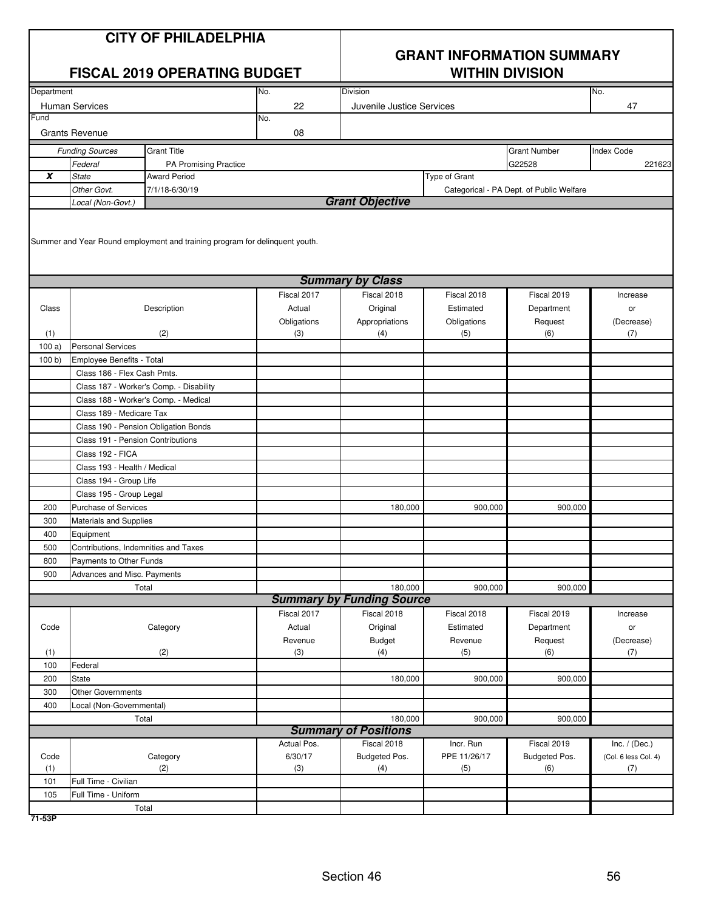|                  | <b>CITY OF PHILADELPHIA</b><br><b>FISCAL 2019 OPERATING BUDGET</b> |                                                                             |             | <b>GRANT INFORMATION SUMMARY</b> |                      |                                          |                      |  |
|------------------|--------------------------------------------------------------------|-----------------------------------------------------------------------------|-------------|----------------------------------|----------------------|------------------------------------------|----------------------|--|
|                  |                                                                    |                                                                             |             | <b>WITHIN DIVISION</b>           |                      |                                          |                      |  |
| Department       |                                                                    |                                                                             | No.         | Division                         |                      |                                          | No.                  |  |
|                  | <b>Human Services</b>                                              |                                                                             | 22          | Juvenile Justice Services        |                      |                                          | 47                   |  |
| Fund             |                                                                    |                                                                             | No.         |                                  |                      |                                          |                      |  |
|                  | <b>Grants Revenue</b>                                              |                                                                             | 08          |                                  |                      |                                          |                      |  |
|                  | <b>Funding Sources</b>                                             | <b>Grant Title</b>                                                          |             |                                  |                      | <b>Grant Number</b>                      | <b>Index Code</b>    |  |
|                  | Federal                                                            | PA Promising Practice                                                       |             |                                  |                      | G22528                                   | 221623               |  |
| $\boldsymbol{x}$ | <b>State</b>                                                       | <b>Award Period</b>                                                         |             |                                  | <b>Type of Grant</b> |                                          |                      |  |
|                  | Other Govt.<br>Local (Non-Govt.)                                   | 7/1/18-6/30/19                                                              |             | <b>Grant Objective</b>           |                      | Categorical - PA Dept. of Public Welfare |                      |  |
|                  |                                                                    | Summer and Year Round employment and training program for delinquent youth. |             |                                  |                      |                                          |                      |  |
|                  |                                                                    |                                                                             |             | <b>Summary by Class</b>          |                      |                                          |                      |  |
|                  |                                                                    |                                                                             | Fiscal 2017 | Fiscal 2018                      | Fiscal 2018          | Fiscal 2019                              | Increase             |  |
| Class            |                                                                    | Description                                                                 | Actual      | Original                         | Estimated            | Department                               | or                   |  |
|                  |                                                                    |                                                                             | Obligations | Appropriations                   | Obligations          | Request                                  | (Decrease)           |  |
| (1)              |                                                                    | (2)                                                                         | (3)         | (4)                              | (5)                  | (6)                                      | (7)                  |  |
| 100a             | <b>Personal Services</b>                                           |                                                                             |             |                                  |                      |                                          |                      |  |
| 100 b)           | Employee Benefits - Total                                          |                                                                             |             |                                  |                      |                                          |                      |  |
|                  | Class 186 - Flex Cash Pmts.                                        |                                                                             |             |                                  |                      |                                          |                      |  |
|                  |                                                                    | Class 187 - Worker's Comp. - Disability                                     |             |                                  |                      |                                          |                      |  |
|                  |                                                                    | Class 188 - Worker's Comp. - Medical                                        |             |                                  |                      |                                          |                      |  |
|                  | Class 189 - Medicare Tax                                           |                                                                             |             |                                  |                      |                                          |                      |  |
|                  |                                                                    | Class 190 - Pension Obligation Bonds                                        |             |                                  |                      |                                          |                      |  |
|                  | Class 191 - Pension Contributions<br>Class 192 - FICA              |                                                                             |             |                                  |                      |                                          |                      |  |
|                  | Class 193 - Health / Medical                                       |                                                                             |             |                                  |                      |                                          |                      |  |
|                  | Class 194 - Group Life                                             |                                                                             |             |                                  |                      |                                          |                      |  |
|                  | Class 195 - Group Legal                                            |                                                                             |             |                                  |                      |                                          |                      |  |
| 200              | <b>Purchase of Services</b>                                        |                                                                             |             | 180,000                          | 900,000              | 900,000                                  |                      |  |
| 300              | Materials and Supplies                                             |                                                                             |             |                                  |                      |                                          |                      |  |
| 400              | Equipment                                                          |                                                                             |             |                                  |                      |                                          |                      |  |
| 500              | Contributions, Indemnities and Taxes                               |                                                                             |             |                                  |                      |                                          |                      |  |
| 800              | Payments to Other Funds                                            |                                                                             |             |                                  |                      |                                          |                      |  |
| 900              | Advances and Misc. Payments                                        |                                                                             |             |                                  |                      |                                          |                      |  |
|                  |                                                                    | Total                                                                       |             | 180,000                          | 900,000              | 900,000                                  |                      |  |
|                  |                                                                    |                                                                             |             | <b>Summary by Funding Source</b> |                      |                                          |                      |  |
|                  |                                                                    |                                                                             | Fiscal 2017 | Fiscal 2018                      | Fiscal 2018          | Fiscal 2019                              | Increase             |  |
| Code             |                                                                    | Category                                                                    | Actual      | Original                         | Estimated            | Department                               | or                   |  |
|                  |                                                                    |                                                                             | Revenue     | <b>Budget</b>                    | Revenue              | Request                                  | (Decrease)           |  |
| (1)              |                                                                    | (2)                                                                         | (3)         | (4)                              | (5)                  | (6)                                      | (7)                  |  |
| 100              | Federal                                                            |                                                                             |             |                                  |                      |                                          |                      |  |
| 200              | <b>State</b>                                                       |                                                                             |             | 180,000                          | 900,000              | 900,000                                  |                      |  |
| 300              | <b>Other Governments</b>                                           |                                                                             |             |                                  |                      |                                          |                      |  |
| 400              | Local (Non-Governmental)                                           |                                                                             |             | 180,000                          | 900,000              | 900,000                                  |                      |  |
|                  |                                                                    | Total                                                                       |             | <b>Summary of Positions</b>      |                      |                                          |                      |  |
|                  |                                                                    |                                                                             | Actual Pos. | Fiscal 2018                      | Incr. Run            | Fiscal 2019                              | Inc. $/$ (Dec.)      |  |
| Code             |                                                                    | Category                                                                    | 6/30/17     | Budgeted Pos.                    | PPE 11/26/17         | Budgeted Pos.                            | (Col. 6 less Col. 4) |  |
| (1)              |                                                                    | (2)                                                                         | (3)         | (4)                              | (5)                  | (6)                                      | (7)                  |  |
| 101              | Full Time - Civilian                                               |                                                                             |             |                                  |                      |                                          |                      |  |
| 105              | Full Time - Uniform                                                |                                                                             |             |                                  |                      |                                          |                      |  |
|                  |                                                                    | Total                                                                       |             |                                  |                      |                                          |                      |  |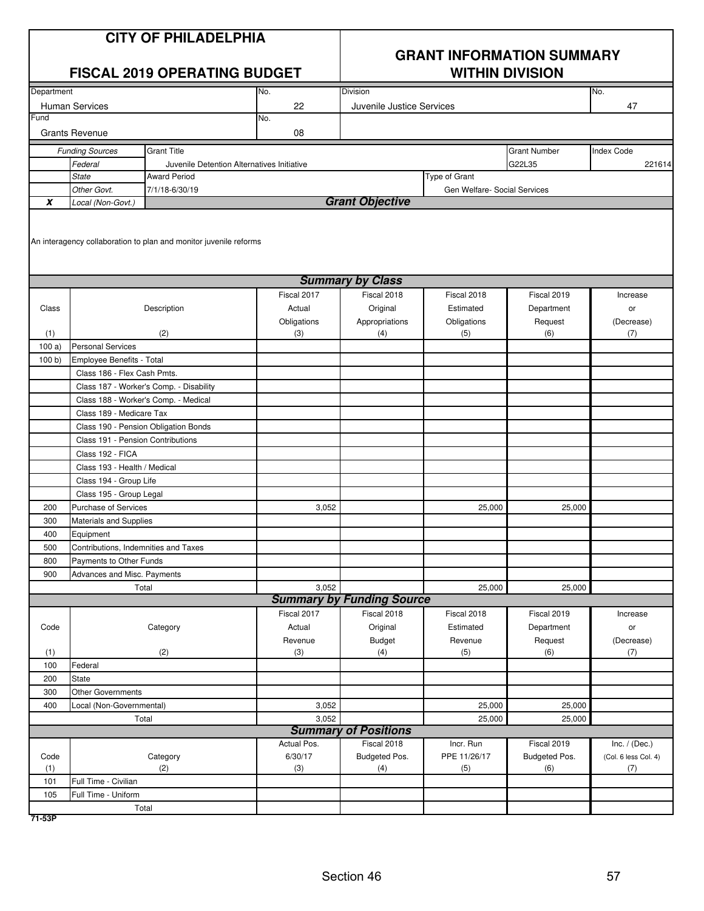|                | <b>CITY OF PHILADELPHIA</b><br><b>FISCAL 2019 OPERATING BUDGET</b> |                                                                   |             | <b>GRANT INFORMATION SUMMARY</b><br><b>WITHIN DIVISION</b> |                              |                     |                      |
|----------------|--------------------------------------------------------------------|-------------------------------------------------------------------|-------------|------------------------------------------------------------|------------------------------|---------------------|----------------------|
| Department     |                                                                    |                                                                   | No.         | Division                                                   |                              |                     | No.                  |
| Fund           | <b>Human Services</b>                                              |                                                                   | 22          | Juvenile Justice Services                                  |                              |                     | 47                   |
|                | <b>Grants Revenue</b>                                              |                                                                   | No.<br>08   |                                                            |                              |                     |                      |
|                | <b>Funding Sources</b>                                             | <b>Grant Title</b>                                                |             |                                                            |                              | <b>Grant Number</b> | <b>Index Code</b>    |
|                | Federal                                                            | Juvenile Detention Alternatives Initiative                        |             |                                                            |                              | G22L35              | 221614               |
|                | <b>State</b>                                                       | <b>Award Period</b>                                               |             |                                                            | Type of Grant                |                     |                      |
|                | Other Govt.                                                        | 7/1/18-6/30/19                                                    |             |                                                            | Gen Welfare- Social Services |                     |                      |
| X              | Local (Non-Govt.)                                                  |                                                                   |             | <b>Grant Objective</b>                                     |                              |                     |                      |
|                |                                                                    | An interagency collaboration to plan and monitor juvenile reforms |             |                                                            |                              |                     |                      |
|                |                                                                    |                                                                   |             | <b>Summary by Class</b>                                    |                              |                     |                      |
|                |                                                                    |                                                                   | Fiscal 2017 | Fiscal 2018                                                | Fiscal 2018                  | Fiscal 2019         | Increase             |
| Class          |                                                                    | Description                                                       | Actual      | Original                                                   | Estimated                    | Department          | or                   |
|                |                                                                    |                                                                   | Obligations | Appropriations                                             | Obligations                  | Request             | (Decrease)           |
| (1)            | <b>Personal Services</b>                                           | (2)                                                               | (3)         | (4)                                                        | (5)                          | (6)                 | (7)                  |
| 100a)<br>100 b | Employee Benefits - Total                                          |                                                                   |             |                                                            |                              |                     |                      |
|                | Class 186 - Flex Cash Pmts.                                        |                                                                   |             |                                                            |                              |                     |                      |
|                |                                                                    | Class 187 - Worker's Comp. - Disability                           |             |                                                            |                              |                     |                      |
|                | Class 188 - Worker's Comp. - Medical                               |                                                                   |             |                                                            |                              |                     |                      |
|                | Class 189 - Medicare Tax                                           |                                                                   |             |                                                            |                              |                     |                      |
|                |                                                                    | Class 190 - Pension Obligation Bonds                              |             |                                                            |                              |                     |                      |
|                | Class 191 - Pension Contributions                                  |                                                                   |             |                                                            |                              |                     |                      |
|                | Class 192 - FICA                                                   |                                                                   |             |                                                            |                              |                     |                      |
|                | Class 193 - Health / Medical                                       |                                                                   |             |                                                            |                              |                     |                      |
|                | Class 194 - Group Life                                             |                                                                   |             |                                                            |                              |                     |                      |
|                | Class 195 - Group Legal                                            |                                                                   |             |                                                            |                              |                     |                      |
| 200            | <b>Purchase of Services</b>                                        |                                                                   | 3,052       |                                                            | 25,000                       | 25,000              |                      |
| 300            | Materials and Supplies                                             |                                                                   |             |                                                            |                              |                     |                      |
| 400            | Equipment                                                          |                                                                   |             |                                                            |                              |                     |                      |
| 500            | Contributions, Indemnities and Taxes                               |                                                                   |             |                                                            |                              |                     |                      |
| 800            | Payments to Other Funds                                            |                                                                   |             |                                                            |                              |                     |                      |
| 900            | Advances and Misc. Payments                                        |                                                                   |             |                                                            |                              |                     |                      |
|                |                                                                    | Total                                                             | 3,052       |                                                            | 25,000                       | 25,000              |                      |
|                |                                                                    |                                                                   |             | <b>Summary by Funding Source</b>                           |                              |                     |                      |
|                |                                                                    |                                                                   | Fiscal 2017 | Fiscal 2018                                                | Fiscal 2018                  | Fiscal 2019         | Increase             |
| Code           |                                                                    | Category                                                          | Actual      | Original                                                   | Estimated                    | Department          | or                   |
|                |                                                                    |                                                                   | Revenue     | <b>Budget</b>                                              | Revenue                      | Request             | (Decrease)           |
| (1)            | Federal                                                            | (2)                                                               | (3)         | (4)                                                        | (5)                          | (6)                 | (7)                  |
| 100<br>200     | State                                                              |                                                                   |             |                                                            |                              |                     |                      |
| 300            | <b>Other Governments</b>                                           |                                                                   |             |                                                            |                              |                     |                      |
| 400            |                                                                    |                                                                   | 3,052       |                                                            | 25,000                       | 25,000              |                      |
|                | Local (Non-Governmental)<br>3,052<br>Total                         |                                                                   |             |                                                            | 25,000                       | 25,000              |                      |
|                |                                                                    |                                                                   |             | <b>Summary of Positions</b>                                |                              |                     |                      |
|                |                                                                    |                                                                   | Actual Pos. | Fiscal 2018                                                | Incr. Run                    | Fiscal 2019         | Inc. $/$ (Dec.)      |
| Code           |                                                                    | Category                                                          | 6/30/17     | Budgeted Pos.                                              | PPE 11/26/17                 | Budgeted Pos.       | (Col. 6 less Col. 4) |
| (1)            |                                                                    | (2)                                                               | (3)         | (4)                                                        | (5)                          | (6)                 | (7)                  |
| 101            | Full Time - Civilian                                               |                                                                   |             |                                                            |                              |                     |                      |
| 105            | Full Time - Uniform                                                |                                                                   |             |                                                            |                              |                     |                      |
|                |                                                                    | Total                                                             |             |                                                            |                              |                     |                      |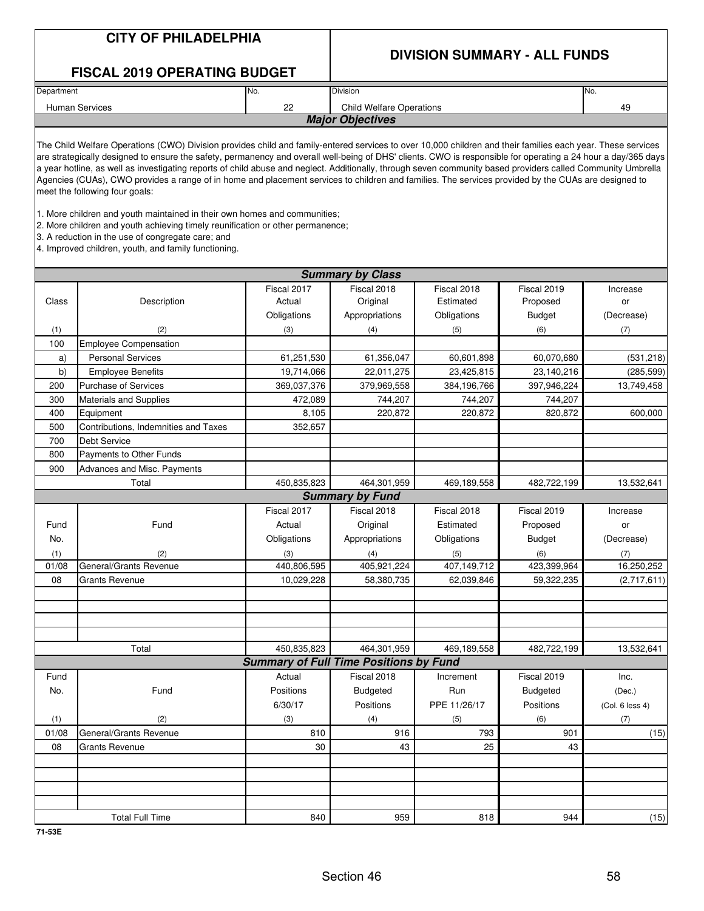### **DIVISION SUMMARY - ALL FUNDS**

|            | <b>FISCAL 2019 OPERATING BUDGET</b>                                                                                                                                                                                                                                                                                                                                                                                                                                                                                                                                                                                                                                                                                                                                                                                                                                                                                                                               |                                               |                                 |              |                 |                 |  |  |  |  |
|------------|-------------------------------------------------------------------------------------------------------------------------------------------------------------------------------------------------------------------------------------------------------------------------------------------------------------------------------------------------------------------------------------------------------------------------------------------------------------------------------------------------------------------------------------------------------------------------------------------------------------------------------------------------------------------------------------------------------------------------------------------------------------------------------------------------------------------------------------------------------------------------------------------------------------------------------------------------------------------|-----------------------------------------------|---------------------------------|--------------|-----------------|-----------------|--|--|--|--|
| Department |                                                                                                                                                                                                                                                                                                                                                                                                                                                                                                                                                                                                                                                                                                                                                                                                                                                                                                                                                                   | No.                                           | Division                        | No.          |                 |                 |  |  |  |  |
|            | <b>Human Services</b>                                                                                                                                                                                                                                                                                                                                                                                                                                                                                                                                                                                                                                                                                                                                                                                                                                                                                                                                             | 22                                            | <b>Child Welfare Operations</b> |              |                 | 49              |  |  |  |  |
|            |                                                                                                                                                                                                                                                                                                                                                                                                                                                                                                                                                                                                                                                                                                                                                                                                                                                                                                                                                                   |                                               | <b>Major Objectives</b>         |              |                 |                 |  |  |  |  |
|            | The Child Welfare Operations (CWO) Division provides child and family-entered services to over 10,000 children and their families each year. These services<br>are strategically designed to ensure the safety, permanency and overall well-being of DHS' clients. CWO is responsible for operating a 24 hour a day/365 days<br>a year hotline, as well as investigating reports of child abuse and neglect. Additionally, through seven community based providers called Community Umbrella<br>Agencies (CUAs), CWO provides a range of in home and placement services to children and families. The services provided by the CUAs are designed to<br>meet the following four goals:<br>1. More children and youth maintained in their own homes and communities;<br>2. More children and youth achieving timely reunification or other permanence;<br>3. A reduction in the use of congregate care; and<br>4. Improved children, youth, and family functioning. |                                               |                                 |              |                 |                 |  |  |  |  |
|            | <b>Summary by Class</b>                                                                                                                                                                                                                                                                                                                                                                                                                                                                                                                                                                                                                                                                                                                                                                                                                                                                                                                                           |                                               |                                 |              |                 |                 |  |  |  |  |
|            |                                                                                                                                                                                                                                                                                                                                                                                                                                                                                                                                                                                                                                                                                                                                                                                                                                                                                                                                                                   | Fiscal 2017                                   | Fiscal 2018                     | Fiscal 2018  | Fiscal 2019     | Increase        |  |  |  |  |
| Class      | Description                                                                                                                                                                                                                                                                                                                                                                                                                                                                                                                                                                                                                                                                                                                                                                                                                                                                                                                                                       | Actual                                        | Original                        | Estimated    | Proposed        | or              |  |  |  |  |
|            |                                                                                                                                                                                                                                                                                                                                                                                                                                                                                                                                                                                                                                                                                                                                                                                                                                                                                                                                                                   | Obligations                                   | Appropriations                  | Obligations  | <b>Budget</b>   | (Decrease)      |  |  |  |  |
| (1)        | (2)                                                                                                                                                                                                                                                                                                                                                                                                                                                                                                                                                                                                                                                                                                                                                                                                                                                                                                                                                               | (3)                                           | (4)                             | (5)          | (6)             | (7)             |  |  |  |  |
| 100        | <b>Employee Compensation</b>                                                                                                                                                                                                                                                                                                                                                                                                                                                                                                                                                                                                                                                                                                                                                                                                                                                                                                                                      |                                               |                                 |              |                 |                 |  |  |  |  |
| a)         | <b>Personal Services</b>                                                                                                                                                                                                                                                                                                                                                                                                                                                                                                                                                                                                                                                                                                                                                                                                                                                                                                                                          | 61,251,530                                    | 61,356,047                      | 60,601,898   | 60,070,680      | (531, 218)      |  |  |  |  |
| b)         | <b>Employee Benefits</b>                                                                                                                                                                                                                                                                                                                                                                                                                                                                                                                                                                                                                                                                                                                                                                                                                                                                                                                                          | 19,714,066                                    | 22,011,275                      | 23,425,815   | 23,140,216      | (285, 599)      |  |  |  |  |
| 200        | <b>Purchase of Services</b>                                                                                                                                                                                                                                                                                                                                                                                                                                                                                                                                                                                                                                                                                                                                                                                                                                                                                                                                       | 369,037,376                                   | 379,969,558                     | 384,196,766  | 397,946,224     | 13,749,458      |  |  |  |  |
| 300        | <b>Materials and Supplies</b>                                                                                                                                                                                                                                                                                                                                                                                                                                                                                                                                                                                                                                                                                                                                                                                                                                                                                                                                     | 472,089                                       | 744,207                         | 744,207      | 744,207         |                 |  |  |  |  |
| 400        | Equipment                                                                                                                                                                                                                                                                                                                                                                                                                                                                                                                                                                                                                                                                                                                                                                                                                                                                                                                                                         | 8,105                                         | 220,872                         | 220,872      | 820,872         | 600,000         |  |  |  |  |
| 500        | Contributions, Indemnities and Taxes                                                                                                                                                                                                                                                                                                                                                                                                                                                                                                                                                                                                                                                                                                                                                                                                                                                                                                                              | 352,657                                       |                                 |              |                 |                 |  |  |  |  |
| 700        | <b>Debt Service</b>                                                                                                                                                                                                                                                                                                                                                                                                                                                                                                                                                                                                                                                                                                                                                                                                                                                                                                                                               |                                               |                                 |              |                 |                 |  |  |  |  |
| 800        | Payments to Other Funds                                                                                                                                                                                                                                                                                                                                                                                                                                                                                                                                                                                                                                                                                                                                                                                                                                                                                                                                           |                                               |                                 |              |                 |                 |  |  |  |  |
| 900        | Advances and Misc. Payments                                                                                                                                                                                                                                                                                                                                                                                                                                                                                                                                                                                                                                                                                                                                                                                                                                                                                                                                       |                                               |                                 |              |                 |                 |  |  |  |  |
|            | Total                                                                                                                                                                                                                                                                                                                                                                                                                                                                                                                                                                                                                                                                                                                                                                                                                                                                                                                                                             | 450,835,823                                   | 464,301,959                     | 469,189,558  | 482,722,199     | 13,532,641      |  |  |  |  |
|            |                                                                                                                                                                                                                                                                                                                                                                                                                                                                                                                                                                                                                                                                                                                                                                                                                                                                                                                                                                   |                                               | <b>Summary by Fund</b>          |              |                 |                 |  |  |  |  |
|            |                                                                                                                                                                                                                                                                                                                                                                                                                                                                                                                                                                                                                                                                                                                                                                                                                                                                                                                                                                   | Fiscal 2017                                   | Fiscal 2018                     | Fiscal 2018  | Fiscal 2019     | Increase        |  |  |  |  |
| Fund       | Fund                                                                                                                                                                                                                                                                                                                                                                                                                                                                                                                                                                                                                                                                                                                                                                                                                                                                                                                                                              | Actual                                        | Original                        | Estimated    | Proposed        | or              |  |  |  |  |
| No.        |                                                                                                                                                                                                                                                                                                                                                                                                                                                                                                                                                                                                                                                                                                                                                                                                                                                                                                                                                                   | Obligations                                   | Appropriations                  | Obligations  | <b>Budget</b>   | (Decrease)      |  |  |  |  |
| (1)        | (2)                                                                                                                                                                                                                                                                                                                                                                                                                                                                                                                                                                                                                                                                                                                                                                                                                                                                                                                                                               | (3)                                           | (4)                             | (5)          | (6)             | (7)             |  |  |  |  |
| 01/08      | General/Grants Revenue                                                                                                                                                                                                                                                                                                                                                                                                                                                                                                                                                                                                                                                                                                                                                                                                                                                                                                                                            | 440,806,595                                   | 405,921,224                     | 407,149,712  | 423,399,964     | 16,250,252      |  |  |  |  |
| 08         | <b>Grants Revenue</b>                                                                                                                                                                                                                                                                                                                                                                                                                                                                                                                                                                                                                                                                                                                                                                                                                                                                                                                                             | 10,029,228                                    | 58,380,735                      | 62,039,846   | 59,322,235      | (2,717,611)     |  |  |  |  |
|            |                                                                                                                                                                                                                                                                                                                                                                                                                                                                                                                                                                                                                                                                                                                                                                                                                                                                                                                                                                   |                                               |                                 |              |                 |                 |  |  |  |  |
|            |                                                                                                                                                                                                                                                                                                                                                                                                                                                                                                                                                                                                                                                                                                                                                                                                                                                                                                                                                                   |                                               |                                 |              |                 |                 |  |  |  |  |
|            |                                                                                                                                                                                                                                                                                                                                                                                                                                                                                                                                                                                                                                                                                                                                                                                                                                                                                                                                                                   |                                               |                                 |              |                 |                 |  |  |  |  |
|            |                                                                                                                                                                                                                                                                                                                                                                                                                                                                                                                                                                                                                                                                                                                                                                                                                                                                                                                                                                   |                                               |                                 |              |                 |                 |  |  |  |  |
|            | Total                                                                                                                                                                                                                                                                                                                                                                                                                                                                                                                                                                                                                                                                                                                                                                                                                                                                                                                                                             | 450,835,823                                   | 464,301,959                     | 469,189,558  | 482,722,199     | 13,532,641      |  |  |  |  |
|            |                                                                                                                                                                                                                                                                                                                                                                                                                                                                                                                                                                                                                                                                                                                                                                                                                                                                                                                                                                   | <b>Summary of Full Time Positions by Fund</b> |                                 |              |                 |                 |  |  |  |  |
| Fund       |                                                                                                                                                                                                                                                                                                                                                                                                                                                                                                                                                                                                                                                                                                                                                                                                                                                                                                                                                                   | Actual                                        | Fiscal 2018                     | Increment    | Fiscal 2019     | Inc.            |  |  |  |  |
| No.        | Fund                                                                                                                                                                                                                                                                                                                                                                                                                                                                                                                                                                                                                                                                                                                                                                                                                                                                                                                                                              | Positions                                     | <b>Budgeted</b>                 | Run          | <b>Budgeted</b> | (Dec.)          |  |  |  |  |
|            |                                                                                                                                                                                                                                                                                                                                                                                                                                                                                                                                                                                                                                                                                                                                                                                                                                                                                                                                                                   | 6/30/17                                       | Positions                       | PPE 11/26/17 | Positions       | (Col. 6 less 4) |  |  |  |  |
| (1)        | (2)                                                                                                                                                                                                                                                                                                                                                                                                                                                                                                                                                                                                                                                                                                                                                                                                                                                                                                                                                               | (3)                                           | (4)                             | (5)          | (6)             | (7)             |  |  |  |  |
| 01/08      | General/Grants Revenue                                                                                                                                                                                                                                                                                                                                                                                                                                                                                                                                                                                                                                                                                                                                                                                                                                                                                                                                            | 810                                           | 916                             | 793          | 901             | (15)            |  |  |  |  |
| 08         | <b>Grants Revenue</b>                                                                                                                                                                                                                                                                                                                                                                                                                                                                                                                                                                                                                                                                                                                                                                                                                                                                                                                                             | 30                                            | 43                              | 25           | 43              |                 |  |  |  |  |
|            |                                                                                                                                                                                                                                                                                                                                                                                                                                                                                                                                                                                                                                                                                                                                                                                                                                                                                                                                                                   |                                               |                                 |              |                 |                 |  |  |  |  |
|            |                                                                                                                                                                                                                                                                                                                                                                                                                                                                                                                                                                                                                                                                                                                                                                                                                                                                                                                                                                   |                                               |                                 |              |                 |                 |  |  |  |  |
|            |                                                                                                                                                                                                                                                                                                                                                                                                                                                                                                                                                                                                                                                                                                                                                                                                                                                                                                                                                                   |                                               |                                 |              |                 |                 |  |  |  |  |
|            |                                                                                                                                                                                                                                                                                                                                                                                                                                                                                                                                                                                                                                                                                                                                                                                                                                                                                                                                                                   |                                               |                                 |              |                 |                 |  |  |  |  |
|            | <b>Total Full Time</b>                                                                                                                                                                                                                                                                                                                                                                                                                                                                                                                                                                                                                                                                                                                                                                                                                                                                                                                                            | 840                                           | 959                             | 818          | 944             | (15)            |  |  |  |  |

**71-53E**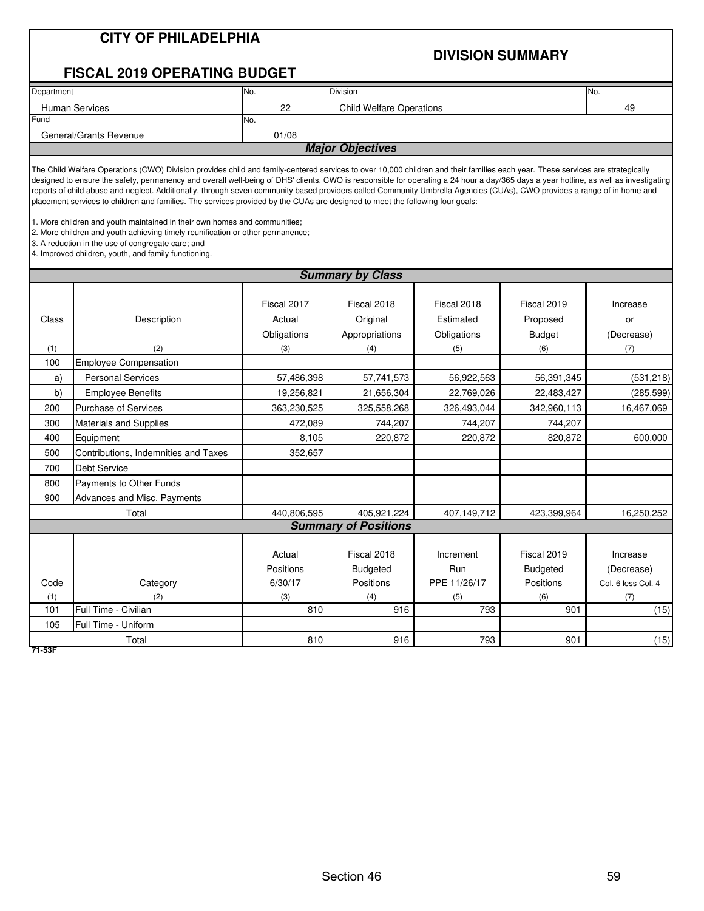|                                                                                  | <b>CITY OF PHILADELPHIA</b><br><b>FISCAL 2019 OPERATING BUDGET</b>                                                                                                                                                                                                                                                                                                                                                                                                                                                                                                                                                                                                                                                                                                                                                                                                                                                                                              |                                                                                                                       | <b>DIVISION SUMMARY</b>                                                                                           |                                                                                                                 |                                                                                                                  |                                                                                          |  |  |
|----------------------------------------------------------------------------------|-----------------------------------------------------------------------------------------------------------------------------------------------------------------------------------------------------------------------------------------------------------------------------------------------------------------------------------------------------------------------------------------------------------------------------------------------------------------------------------------------------------------------------------------------------------------------------------------------------------------------------------------------------------------------------------------------------------------------------------------------------------------------------------------------------------------------------------------------------------------------------------------------------------------------------------------------------------------|-----------------------------------------------------------------------------------------------------------------------|-------------------------------------------------------------------------------------------------------------------|-----------------------------------------------------------------------------------------------------------------|------------------------------------------------------------------------------------------------------------------|------------------------------------------------------------------------------------------|--|--|
| Department                                                                       |                                                                                                                                                                                                                                                                                                                                                                                                                                                                                                                                                                                                                                                                                                                                                                                                                                                                                                                                                                 | No.                                                                                                                   | <b>Division</b>                                                                                                   |                                                                                                                 |                                                                                                                  | No.                                                                                      |  |  |
|                                                                                  | <b>Human Services</b>                                                                                                                                                                                                                                                                                                                                                                                                                                                                                                                                                                                                                                                                                                                                                                                                                                                                                                                                           | 22                                                                                                                    | <b>Child Welfare Operations</b>                                                                                   |                                                                                                                 |                                                                                                                  | 49                                                                                       |  |  |
| Fund                                                                             |                                                                                                                                                                                                                                                                                                                                                                                                                                                                                                                                                                                                                                                                                                                                                                                                                                                                                                                                                                 | No.                                                                                                                   |                                                                                                                   |                                                                                                                 |                                                                                                                  |                                                                                          |  |  |
|                                                                                  | General/Grants Revenue                                                                                                                                                                                                                                                                                                                                                                                                                                                                                                                                                                                                                                                                                                                                                                                                                                                                                                                                          | 01/08                                                                                                                 |                                                                                                                   |                                                                                                                 |                                                                                                                  |                                                                                          |  |  |
|                                                                                  |                                                                                                                                                                                                                                                                                                                                                                                                                                                                                                                                                                                                                                                                                                                                                                                                                                                                                                                                                                 |                                                                                                                       | <b>Major Objectives</b>                                                                                           |                                                                                                                 |                                                                                                                  |                                                                                          |  |  |
|                                                                                  | The Child Welfare Operations (CWO) Division provides child and family-centered services to over 10,000 children and their families each year. These services are strategically<br>designed to ensure the safety, permanency and overall well-being of DHS' clients. CWO is responsible for operating a 24 hour a day/365 days a year hotline, as well as investigating<br>reports of child abuse and neglect. Additionally, through seven community based providers called Community Umbrella Agencies (CUAs), CWO provides a range of in home and<br>placement services to children and families. The services provided by the CUAs are designed to meet the following four goals:<br>1. More children and youth maintained in their own homes and communities;<br>2. More children and youth achieving timely reunification or other permanence;<br>3. A reduction in the use of congregate care; and<br>4. Improved children, youth, and family functioning. |                                                                                                                       |                                                                                                                   |                                                                                                                 |                                                                                                                  |                                                                                          |  |  |
|                                                                                  | <b>Summary by Class</b>                                                                                                                                                                                                                                                                                                                                                                                                                                                                                                                                                                                                                                                                                                                                                                                                                                                                                                                                         |                                                                                                                       |                                                                                                                   |                                                                                                                 |                                                                                                                  |                                                                                          |  |  |
| Class<br>(1)<br>100<br>a)<br>b)<br>200<br>300<br>400<br>500<br>700<br>800<br>900 | Description<br>(2)<br><b>Employee Compensation</b><br><b>Personal Services</b><br><b>Employee Benefits</b><br><b>Purchase of Services</b><br><b>Materials and Supplies</b><br>Equipment<br>Contributions, Indemnities and Taxes<br>Debt Service<br>Payments to Other Funds<br>Advances and Misc. Payments                                                                                                                                                                                                                                                                                                                                                                                                                                                                                                                                                                                                                                                       | Fiscal 2017<br>Actual<br>Obligations<br>(3)<br>57,486,398<br>19,256,821<br>363,230,525<br>472,089<br>8,105<br>352,657 | Fiscal 2018<br>Original<br>Appropriations<br>(4)<br>57,741,573<br>21,656,304<br>325,558,268<br>744,207<br>220,872 | Fiscal 2018<br>Estimated<br>Obligations<br>(5)<br>56,922,563<br>22,769,026<br>326,493,044<br>744,207<br>220,872 | Fiscal 2019<br>Proposed<br><b>Budget</b><br>(6)<br>56,391,345<br>22,483,427<br>342,960,113<br>744,207<br>820,872 | Increase<br>or<br>(Decrease)<br>(7)<br>(531, 218)<br>(285, 599)<br>16,467,069<br>600,000 |  |  |
|                                                                                  | Total                                                                                                                                                                                                                                                                                                                                                                                                                                                                                                                                                                                                                                                                                                                                                                                                                                                                                                                                                           | 440,806,595                                                                                                           | 405,921,224                                                                                                       | 407,149,712                                                                                                     | 423,399,964                                                                                                      | 16,250,252                                                                               |  |  |
|                                                                                  |                                                                                                                                                                                                                                                                                                                                                                                                                                                                                                                                                                                                                                                                                                                                                                                                                                                                                                                                                                 |                                                                                                                       | <b>Summary of Positions</b>                                                                                       |                                                                                                                 |                                                                                                                  |                                                                                          |  |  |
| Code<br>(1)<br>101                                                               | Category<br>(2)<br>Full Time - Civilian                                                                                                                                                                                                                                                                                                                                                                                                                                                                                                                                                                                                                                                                                                                                                                                                                                                                                                                         | Actual<br>Positions<br>6/30/17<br>(3)<br>810                                                                          | Fiscal 2018<br><b>Budgeted</b><br>Positions<br>(4)<br>916                                                         | Increment<br>Run<br>PPE 11/26/17<br>(5)<br>793                                                                  | Fiscal 2019<br>Budgeted<br>Positions<br>(6)<br>901                                                               | Increase<br>(Decrease)<br>Col. 6 less Col. 4<br>(7)<br>(15)                              |  |  |
| 105                                                                              | Full Time - Uniform                                                                                                                                                                                                                                                                                                                                                                                                                                                                                                                                                                                                                                                                                                                                                                                                                                                                                                                                             |                                                                                                                       |                                                                                                                   |                                                                                                                 |                                                                                                                  |                                                                                          |  |  |
| 71-53F                                                                           | Total                                                                                                                                                                                                                                                                                                                                                                                                                                                                                                                                                                                                                                                                                                                                                                                                                                                                                                                                                           | 810                                                                                                                   | 916                                                                                                               | 793                                                                                                             | 901                                                                                                              | (15)                                                                                     |  |  |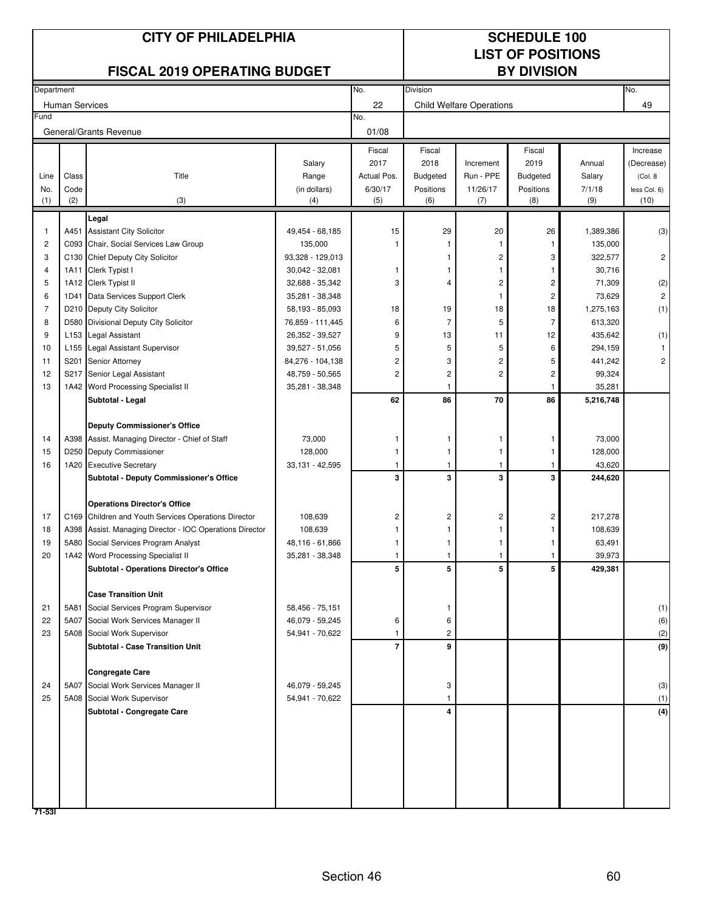|            |                       | <b>CITY OF PHILADELPHIA</b>                              |                  | <b>SCHEDULE 100</b> |                          |                                 |                    |           |                   |  |
|------------|-----------------------|----------------------------------------------------------|------------------|---------------------|--------------------------|---------------------------------|--------------------|-----------|-------------------|--|
|            |                       |                                                          |                  |                     | <b>LIST OF POSITIONS</b> |                                 |                    |           |                   |  |
|            |                       | <b>FISCAL 2019 OPERATING BUDGET</b>                      |                  |                     |                          |                                 | <b>BY DIVISION</b> |           |                   |  |
| Department |                       |                                                          |                  | No.                 | Division                 |                                 |                    |           | No.               |  |
|            | <b>Human Services</b> |                                                          |                  | 22                  |                          | <b>Child Welfare Operations</b> |                    |           | 49                |  |
| Fund       |                       | General/Grants Revenue                                   |                  | No.<br>01/08        |                          |                                 |                    |           |                   |  |
|            |                       |                                                          |                  | Fiscal              | Fiscal                   |                                 | Fiscal             |           | Increase          |  |
|            |                       |                                                          | Salary           | 2017                | 2018                     | Increment                       | 2019               | Annual    | (Decrease)        |  |
| Line       | Class                 | Title                                                    | Range            | Actual Pos.         | <b>Budgeted</b>          | Run - PPE                       | <b>Budgeted</b>    | Salary    | (Col. 8)          |  |
| No.        | Code                  |                                                          | (in dollars)     | 6/30/17             | Positions                | 11/26/17                        | Positions          | 7/1/18    | less Col. 6)      |  |
| (1)        | (2)                   | (3)                                                      | (4)              | (5)                 | (6)                      | (7)                             | (8)                | (9)       | (10)              |  |
|            |                       | Legal                                                    |                  |                     |                          |                                 |                    |           |                   |  |
| 1          |                       | A451 Assistant City Solicitor                            | 49,454 - 68,185  | 15                  | 29                       | 20                              | 26                 | 1,389,386 | (3)               |  |
| 2          |                       | C093 Chair, Social Services Law Group                    | 135,000          |                     |                          |                                 |                    | 135,000   |                   |  |
| 3          |                       | C130 Chief Deputy City Solicitor                         | 93,328 - 129,013 |                     |                          | 2                               | 3                  | 322,577   | 2                 |  |
| 4          |                       | 1A11 Clerk Typist I                                      | 30,042 - 32,081  | 1                   |                          | 1                               |                    | 30,716    |                   |  |
| 5          |                       | 1A12 Clerk Typist II                                     | 32,688 - 35,342  | 3                   | 4                        | 2                               | 2                  | 71,309    | $\left( 2\right)$ |  |
| 6          |                       | 1D41 Data Services Support Clerk                         | 35,281 - 38,348  |                     |                          | 1                               | 2                  | 73,629    | $\overline{c}$    |  |
| 7          |                       | D210 Deputy City Solicitor                               | 58,193 - 85,093  | 18                  | 19                       | 18                              | 18                 | 1,275,163 | (1)               |  |
| 8          | D580                  | Divisional Deputy City Solicitor                         | 76,859 - 111,445 | 6                   | $\overline{7}$           | 5                               | $\overline{7}$     | 613,320   |                   |  |
| 9          | L <sub>153</sub>      | Legal Assistant                                          | 26,352 - 39,527  | 9                   | 13                       | 11                              | 12                 | 435,642   | (1)               |  |
| 10         | L <sub>155</sub>      | <b>Legal Assistant Supervisor</b>                        | 39,527 - 51,056  | 5                   | 5                        | 5                               | 6                  | 294,159   |                   |  |
| 11         | S201                  | Senior Attorney                                          | 84,276 - 104,138 | $\overline{c}$      | 3                        | 2                               | 5                  | 441,242   | $\overline{c}$    |  |
| 12         |                       | S217 Senior Legal Assistant                              | 48,759 - 50,565  | $\overline{c}$      | $\overline{c}$           | $\overline{c}$                  | 2                  | 99,324    |                   |  |
| 13         |                       | 1A42 Word Processing Specialist II                       | 35,281 - 38,348  |                     |                          |                                 |                    | 35,281    |                   |  |
|            |                       | Subtotal - Legal                                         |                  | 62                  | 86                       | 70                              | 86                 | 5,216,748 |                   |  |
|            |                       |                                                          |                  |                     |                          |                                 |                    |           |                   |  |
|            |                       | <b>Deputy Commissioner's Office</b>                      |                  |                     |                          |                                 |                    |           |                   |  |
| 14         |                       | A398 Assist. Managing Director - Chief of Staff          | 73,000           |                     | 1                        |                                 |                    | 73,000    |                   |  |
| 15         |                       | D250 Deputy Commissioner                                 | 128,000          | -1                  | -1                       | 1                               |                    | 128,000   |                   |  |
| 16         |                       | 1A20 Executive Secretary                                 | 33,131 - 42,595  | 1                   | -1                       | 1                               |                    | 43,620    |                   |  |
|            |                       | Subtotal - Deputy Commissioner's Office                  |                  | 3                   | 3                        | 3                               | 3                  | 244,620   |                   |  |
|            |                       | <b>Operations Director's Office</b>                      |                  |                     |                          |                                 |                    |           |                   |  |
| 17         |                       | C169 Children and Youth Services Operations Director     | 108,639          | $\overline{c}$      | $\overline{c}$           | 2                               | 2                  | 217,278   |                   |  |
| 18         |                       | A398 Assist. Managing Director - IOC Operations Director | 108,639          |                     |                          | 1                               |                    | 108,639   |                   |  |
| 19         |                       | 5A80 Social Services Program Analyst                     | 48,116 - 61,866  |                     |                          |                                 |                    | 63,491    |                   |  |
| 20         |                       | 1A42 Word Processing Specialist II                       | 35,281 - 38,348  | $\mathbf{1}$        | $\mathbf{1}$             | $\mathbf{1}$                    |                    | 39,973    |                   |  |
|            |                       | <b>Subtotal - Operations Director's Office</b>           |                  | 5                   | 5                        | 5                               | 5                  | 429,381   |                   |  |
|            |                       |                                                          |                  |                     |                          |                                 |                    |           |                   |  |
|            |                       | <b>Case Transition Unit</b>                              |                  |                     |                          |                                 |                    |           |                   |  |
| 21         |                       | 5A81 Social Services Program Supervisor                  | 58,456 - 75,151  |                     | -1                       |                                 |                    |           | (1)               |  |
| 22         |                       | 5A07 Social Work Services Manager II                     | 46,079 - 59,245  | 6                   | 6                        |                                 |                    |           | (6)               |  |
| 23         |                       | 5A08 Social Work Supervisor                              | 54,941 - 70,622  | $\mathbf{1}$        | $\overline{\mathbf{c}}$  |                                 |                    |           | (2)               |  |
|            |                       | <b>Subtotal - Case Transition Unit</b>                   |                  | $\overline{7}$      | 9                        |                                 |                    |           | (9)               |  |
|            |                       |                                                          |                  |                     |                          |                                 |                    |           |                   |  |
|            |                       | <b>Congregate Care</b>                                   |                  |                     |                          |                                 |                    |           |                   |  |
| 24         | 5A07                  | Social Work Services Manager II                          | 46,079 - 59,245  |                     | 3                        |                                 |                    |           | (3)               |  |
| 25         |                       | 5A08 Social Work Supervisor                              | 54,941 - 70,622  |                     | -1                       |                                 |                    |           | (1)               |  |
|            |                       | Subtotal - Congregate Care                               |                  |                     | 4                        |                                 |                    |           | (4)               |  |
|            |                       |                                                          |                  |                     |                          |                                 |                    |           |                   |  |
|            |                       |                                                          |                  |                     |                          |                                 |                    |           |                   |  |
|            |                       |                                                          |                  |                     |                          |                                 |                    |           |                   |  |
|            |                       |                                                          |                  |                     |                          |                                 |                    |           |                   |  |
|            |                       |                                                          |                  |                     |                          |                                 |                    |           |                   |  |
|            |                       |                                                          |                  |                     |                          |                                 |                    |           |                   |  |
|            |                       |                                                          |                  |                     |                          |                                 |                    |           |                   |  |
| $71 - 531$ |                       |                                                          |                  |                     |                          |                                 |                    |           |                   |  |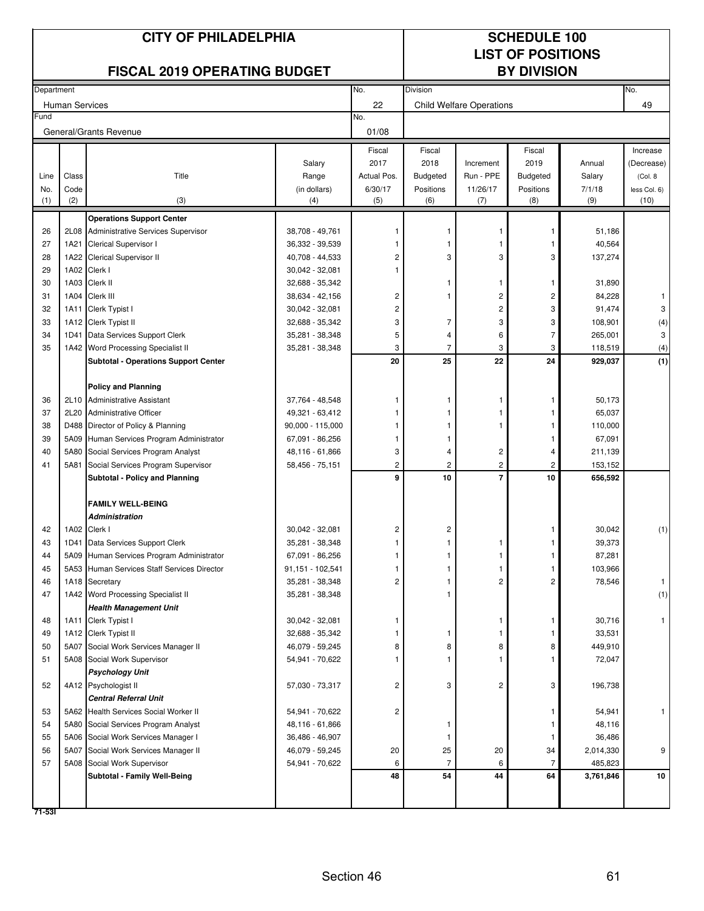|            |                       | <b>CITY OF PHILADELPHIA</b>                                                 |                                    | <b>SCHEDULE 100</b><br><b>LIST OF POSITIONS</b><br><b>BY DIVISION</b> |                 |                                 |                         |                  |              |
|------------|-----------------------|-----------------------------------------------------------------------------|------------------------------------|-----------------------------------------------------------------------|-----------------|---------------------------------|-------------------------|------------------|--------------|
|            |                       | <b>FISCAL 2019 OPERATING BUDGET</b>                                         |                                    |                                                                       |                 |                                 |                         |                  |              |
| Department |                       |                                                                             |                                    | No.                                                                   | Division        |                                 |                         |                  | No.          |
| Fund       | <b>Human Services</b> |                                                                             |                                    | 22<br>No.                                                             |                 | <b>Child Welfare Operations</b> |                         |                  | 49           |
|            |                       | General/Grants Revenue                                                      |                                    | 01/08                                                                 |                 |                                 |                         |                  |              |
|            |                       |                                                                             |                                    | Fiscal                                                                | Fiscal          |                                 | Fiscal                  |                  | Increase     |
|            |                       |                                                                             | Salary                             | 2017                                                                  | 2018            | Increment                       | 2019                    | Annual           | (Decrease)   |
| Line       | Class                 | Title                                                                       | Range                              | Actual Pos.                                                           | <b>Budgeted</b> | Run - PPE                       | <b>Budgeted</b>         | Salary           | (Col. 8)     |
| No.        | Code                  |                                                                             | (in dollars)                       | 6/30/17                                                               | Positions       | 11/26/17                        | Positions               | 7/1/18           | less Col. 6) |
| (1)        | (2)                   | (3)                                                                         | (4)                                | (5)                                                                   | (6)             | (7)                             | (8)                     | (9)              | (10)         |
|            |                       | <b>Operations Support Center</b>                                            |                                    |                                                                       |                 |                                 |                         |                  |              |
| 26         |                       | 2L08 Administrative Services Supervisor                                     | 38,708 - 49,761                    |                                                                       |                 |                                 |                         | 51,186           |              |
| 27         |                       | 1A21 Clerical Supervisor I                                                  | 36,332 - 39,539                    |                                                                       |                 |                                 | 1                       | 40,564           |              |
| 28         | 1A22                  | Clerical Supervisor II                                                      | 40,708 - 44,533                    | 2                                                                     | 3               | 3                               | 3                       | 137,274          |              |
| 29         |                       | 1A02 Clerk I                                                                | 30,042 - 32,081                    |                                                                       |                 |                                 |                         |                  |              |
| 30         |                       | 1A03 Clerk II                                                               | 32,688 - 35,342                    |                                                                       | 1               | 1                               | -1                      | 31,890           |              |
| 31         |                       | 1A04 Clerk III                                                              | 38,634 - 42,156                    | 2                                                                     |                 | $\overline{c}$                  | $\overline{\mathbf{c}}$ | 84,228           | 1            |
| 32         | 1A11                  | Clerk Typist I                                                              | 30,042 - 32,081                    | 2                                                                     |                 | 2                               | 3                       | 91,474           | 3            |
| 33         |                       | 1A12 Clerk Typist II                                                        | 32,688 - 35,342                    | 3                                                                     | 7               | 3                               | 3                       | 108,901          | (4)          |
| 34         |                       | 1D41 Data Services Support Clerk                                            | 35,281 - 38,348                    | 5                                                                     | 4               | 6                               | $\overline{7}$          | 265,001          | 3            |
| 35         |                       | 1A42 Word Processing Specialist II                                          | 35,281 - 38,348                    | 3                                                                     | 7               | 3                               | 3                       | 118,519          | (4)          |
|            |                       | <b>Subtotal - Operations Support Center</b>                                 |                                    | 20                                                                    | 25              | 22                              | 24                      | 929,037          | (1)          |
|            |                       | <b>Policy and Planning</b>                                                  |                                    |                                                                       |                 |                                 |                         |                  |              |
| 36         |                       | 2L10 Administrative Assistant                                               | 37,764 - 48,548                    | -1                                                                    | 1               |                                 | 1                       | 50,173           |              |
| 37         | 2L20                  | <b>Administrative Officer</b>                                               | 49,321 - 63,412                    |                                                                       |                 |                                 |                         | 65,037           |              |
| 38         |                       | D488 Director of Policy & Planning                                          | $90,000 - 115,000$                 |                                                                       |                 |                                 |                         | 110,000          |              |
| 39         |                       | 5A09 Human Services Program Administrator                                   | 67,091 - 86,256                    | -1                                                                    |                 |                                 |                         | 67,091           |              |
| 40         |                       | 5A80 Social Services Program Analyst                                        | 48,116 - 61,866                    | 3                                                                     | 4               | 2                               | 4                       | 211,139          |              |
| 41         |                       | 5A81 Social Services Program Supervisor                                     | 58,456 - 75,151                    | $\overline{\mathbf{c}}$                                               | 2               | $\overline{c}$                  | $\overline{2}$          | 153,152          |              |
|            |                       | <b>Subtotal - Policy and Planning</b>                                       |                                    | 9                                                                     | 10              | $\overline{7}$                  | 10                      | 656,592          |              |
|            |                       | <b>FAMILY WELL-BEING</b>                                                    |                                    |                                                                       |                 |                                 |                         |                  |              |
|            |                       | Administration                                                              |                                    |                                                                       |                 |                                 |                         |                  |              |
| 42         |                       | 1A02 Clerk I                                                                | 30,042 - 32,081                    | 2                                                                     | 2               |                                 |                         | 30,042           | (1)          |
| 43         |                       | 1D41 Data Services Support Clerk                                            | 35,281 - 38,348                    | 1                                                                     | 1               | 1                               | 1                       | 39,373           |              |
| 44         |                       | 5A09 Human Services Program Administrator                                   | 67,091 - 86,256                    |                                                                       |                 |                                 |                         | 87,281           |              |
| 45         |                       | 5A53 Human Services Staff Services Director                                 | 91,151 - 102,541                   |                                                                       |                 | 1                               | 1                       | 103,966          |              |
| 46         |                       | 1A18 Secretary                                                              | 35,281 - 38,348                    | 2                                                                     |                 | 2                               | $\overline{c}$          | 78,546           | $\mathbf{1}$ |
| 47         |                       | 1A42 Word Processing Specialist II                                          | 35,281 - 38,348                    |                                                                       |                 |                                 |                         |                  | (1)          |
|            |                       | <b>Health Management Unit</b>                                               |                                    |                                                                       |                 |                                 |                         |                  |              |
| 48         |                       | 1A11 Clerk Typist I                                                         | 30,042 - 32,081                    | 1                                                                     |                 |                                 | 1                       | 30,716           | $\mathbf{1}$ |
| 49         |                       | 1A12 Clerk Typist II                                                        | 32,688 - 35,342                    |                                                                       | 1               |                                 |                         | 33,531           |              |
| 50         |                       | 5A07 Social Work Services Manager II                                        | 46,079 - 59,245                    | 8                                                                     | 8               | 8                               | 8                       | 449,910          |              |
| 51         |                       | 5A08 Social Work Supervisor                                                 | 54,941 - 70,622                    |                                                                       | 1               |                                 |                         | 72,047           |              |
|            |                       | <b>Psychology Unit</b>                                                      |                                    |                                                                       |                 |                                 |                         |                  |              |
| 52         |                       | 4A12 Psychologist II                                                        | 57,030 - 73,317                    | $\overline{\mathbf{c}}$                                               | 3               | 2                               | 3                       | 196,738          |              |
|            |                       | <b>Central Referral Unit</b>                                                |                                    |                                                                       |                 |                                 |                         |                  |              |
| 53<br>54   |                       | 5A62 Health Services Social Worker II                                       | 54,941 - 70,622                    | $\overline{c}$                                                        | -1              |                                 |                         | 54,941<br>48,116 |              |
| 55         |                       | 5A80 Social Services Program Analyst<br>5A06 Social Work Services Manager I | 48,116 - 61,866<br>36,486 - 46,907 |                                                                       | -1              |                                 | 1                       | 36,486           |              |
| 56         |                       | 5A07 Social Work Services Manager II                                        | 46,079 - 59,245                    | 20                                                                    | 25              | 20                              | 34                      | 2,014,330        | 9            |
| 57         |                       | 5A08 Social Work Supervisor                                                 | 54,941 - 70,622                    | 6                                                                     | 7               | 6                               | 7                       | 485,823          |              |
|            |                       | Subtotal - Family Well-Being                                                |                                    | 48                                                                    | 54              | 44                              | 64                      | 3,761,846        | 10           |
|            |                       |                                                                             |                                    |                                                                       |                 |                                 |                         |                  |              |
|            |                       |                                                                             |                                    |                                                                       |                 |                                 |                         |                  |              |
| $71 - 53$  |                       |                                                                             |                                    |                                                                       |                 |                                 |                         |                  |              |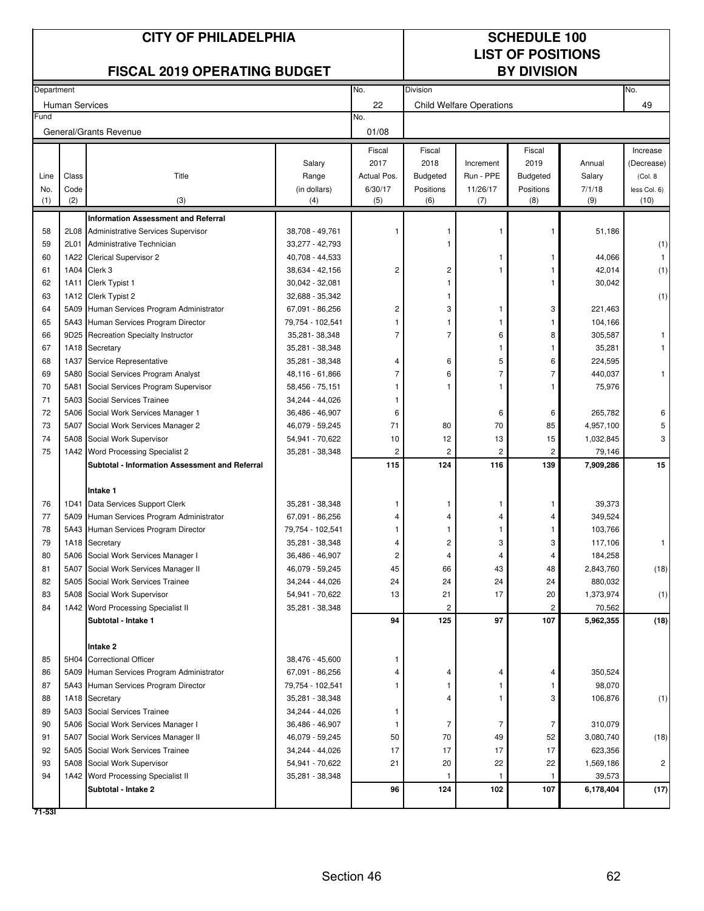|            |                       |                                                |                                    | <b>SCHEDULE 100</b> |                          |                                 |                    |                   |              |
|------------|-----------------------|------------------------------------------------|------------------------------------|---------------------|--------------------------|---------------------------------|--------------------|-------------------|--------------|
|            |                       |                                                |                                    |                     | <b>LIST OF POSITIONS</b> |                                 |                    |                   |              |
|            |                       | <b>FISCAL 2019 OPERATING BUDGET</b>            |                                    |                     |                          |                                 | <b>BY DIVISION</b> |                   |              |
| Department |                       |                                                |                                    | No.                 | Division                 |                                 |                    |                   | No.          |
| Fund       | <b>Human Services</b> |                                                |                                    | 22                  |                          | <b>Child Welfare Operations</b> |                    |                   | 49           |
|            |                       | General/Grants Revenue                         |                                    | No.<br>01/08        |                          |                                 |                    |                   |              |
|            |                       |                                                |                                    | Fiscal              | Fiscal                   |                                 | Fiscal             |                   | Increase     |
|            |                       |                                                | Salary                             | 2017                | 2018                     | Increment                       | 2019               | Annual            | (Decrease)   |
| Line       | Class                 | Title                                          | Range                              | Actual Pos.         | Budgeted                 | Run - PPE                       | <b>Budgeted</b>    | Salary            | (Col. 8)     |
| No.        | Code                  |                                                | (in dollars)                       | 6/30/17             | Positions                | 11/26/17                        | Positions          | 7/1/18            | less Col. 6) |
| (1)        | (2)                   | (3)                                            | (4)                                | (5)                 | (6)                      | (7)                             | (8)                | (9)               | (10)         |
|            |                       | <b>Information Assessment and Referral</b>     |                                    |                     |                          |                                 |                    |                   |              |
| 58         | 2L08                  | <b>Administrative Services Supervisor</b>      | 38,708 - 49,761                    |                     |                          |                                 |                    | 51,186            |              |
| 59         | 2L01                  | Administrative Technician                      | 33,277 - 42,793                    |                     |                          |                                 |                    |                   | (1)          |
| 60         | 1A22                  | Clerical Supervisor 2                          | 40,708 - 44,533                    |                     |                          |                                 |                    | 44,066            |              |
| 61         | 1A04                  | Clerk 3                                        | 38,634 - 42,156                    | $\overline{2}$      | 2                        |                                 |                    | 42,014            | (1)          |
| 62         | 1A11                  | Clerk Typist 1                                 | 30,042 - 32,081                    |                     |                          |                                 |                    | 30,042            |              |
| 63         |                       | 1A12 Clerk Typist 2                            | 32,688 - 35,342                    |                     |                          |                                 |                    |                   | (1)          |
| 64         | 5A09                  | Human Services Program Administrator           | 67,091 - 86,256                    | 2                   | 3                        |                                 | 3                  | 221,463           |              |
| 65<br>66   | 5A43<br>9D25          | Human Services Program Director                | 79,754 - 102,541                   | $\overline{7}$      | 7                        | 6                               | 8                  | 104,166           |              |
| 67         |                       | Recreation Specialty Instructor                | 35,281 - 38,348                    |                     |                          |                                 |                    | 305,587           |              |
| 68         | 1A18<br>1A37          | Secretary<br>Service Representative            | 35,281 - 38,348<br>35,281 - 38,348 | 4                   | 6                        | 5                               | 6                  | 35,281<br>224,595 |              |
| 69         | 5A80                  | Social Services Program Analyst                | 48,116 - 61,866                    | 7                   | 6                        |                                 | 7                  | 440,037           |              |
| 70         | 5A81                  | Social Services Program Supervisor             | 58,456 - 75,151                    |                     |                          |                                 |                    | 75,976            |              |
| 71         | 5A03                  | Social Services Trainee                        | 34,244 - 44,026                    |                     |                          |                                 |                    |                   |              |
| 72         | 5A06                  | Social Work Services Manager 1                 | 36,486 - 46,907                    | 6                   |                          | 6                               | 6                  | 265,782           | 6            |
| 73         | 5A07                  | Social Work Services Manager 2                 | 46,079 - 59,245                    | 71                  | 80                       | 70                              | 85                 | 4,957,100         | 5            |
| 74         | 5A08                  | Social Work Supervisor                         | 54,941 - 70,622                    | 10                  | 12                       | 13                              | 15                 | 1,032,845         | 3            |
| 75         | 1A42                  | Word Processing Specialist 2                   | 35,281 - 38,348                    | 2                   | 2                        | 2                               | 2                  | 79,146            |              |
|            |                       | Subtotal - Information Assessment and Referral |                                    | 115                 | 124                      | 116                             | 139                | 7,909,286         | 15           |
|            |                       |                                                |                                    |                     |                          |                                 |                    |                   |              |
|            |                       | Intake 1                                       |                                    |                     |                          |                                 |                    |                   |              |
| 76         |                       | 1D41 Data Services Support Clerk               | 35,281 - 38,348                    |                     |                          |                                 |                    | 39,373            |              |
| 77         |                       | 5A09 Human Services Program Administrator      | 67,091 - 86,256                    |                     |                          |                                 | 4                  | 349,524           |              |
| 78         |                       | 5A43 Human Services Program Director           | 79,754 - 102,541                   |                     |                          |                                 |                    | 103,766           |              |
| 79         |                       | 1A18 Secretary                                 | 35,281 - 38,348                    | 4                   | 2                        | 3                               | 3                  | 117,106           | $\mathbf{1}$ |
| 80         |                       | 5A06 Social Work Services Manager I            | 36,486 - 46,907                    | 2                   | 4                        | 4                               | 4                  | 184,258           |              |
| 81         | 5A07                  | Social Work Services Manager II                | 46,079 - 59,245                    | 45                  | 66                       | 43                              | 48                 | 2,843,760         | (18)         |
| 82         |                       | 5A05 Social Work Services Trainee              | 34,244 - 44,026                    | 24                  | 24                       | 24                              | 24                 | 880,032           |              |
| 83         |                       | 5A08 Social Work Supervisor                    | 54,941 - 70,622                    | 13                  | 21                       | 17                              | 20                 | 1,373,974         | (1)          |
| 84         |                       | 1A42 Word Processing Specialist II             | 35,281 - 38,348                    |                     | 2                        |                                 | 2                  | 70,562            |              |
|            |                       | Subtotal - Intake 1                            |                                    | 94                  | 125                      | 97                              | 107                | 5,962,355         | (18)         |
|            |                       |                                                |                                    |                     |                          |                                 |                    |                   |              |
| 85         |                       | Intake 2<br>5H04 Correctional Officer          | 38,476 - 45,600                    | 1                   |                          |                                 |                    |                   |              |
| 86         |                       | 5A09 Human Services Program Administrator      | 67,091 - 86,256                    | 4                   | 4                        |                                 | 4                  | 350,524           |              |
| 87         |                       | 5A43 Human Services Program Director           | 79,754 - 102,541                   |                     |                          |                                 |                    | 98,070            |              |
| 88         |                       | 1A18 Secretary                                 | 35,281 - 38,348                    |                     | 4                        |                                 | 3                  | 106,876           | (1)          |
| 89         | 5A03                  | Social Services Trainee                        | 34,244 - 44,026                    | 1                   |                          |                                 |                    |                   |              |
| 90         |                       | 5A06 Social Work Services Manager I            | 36,486 - 46,907                    | -1                  | 7                        | 7                               | 7                  | 310,079           |              |
| 91         | 5A07                  | Social Work Services Manager II                | 46,079 - 59,245                    | 50                  | 70                       | 49                              | 52                 | 3,080,740         | (18)         |
| 92         | 5A05                  | Social Work Services Trainee                   | 34,244 - 44,026                    | 17                  | 17                       | 17                              | 17                 | 623,356           |              |
| 93         | 5A08                  | Social Work Supervisor                         | 54,941 - 70,622                    | 21                  | 20                       | 22                              | 22                 | 1,569,186         | 2            |
| 94         |                       | 1A42 Word Processing Specialist II             | 35,281 - 38,348                    |                     |                          |                                 |                    | 39,573            |              |
|            |                       | Subtotal - Intake 2                            |                                    | 96                  | 124                      | 102                             | 107                | 6,178,404         | (17)         |
| 71-531     |                       |                                                |                                    |                     |                          |                                 |                    |                   |              |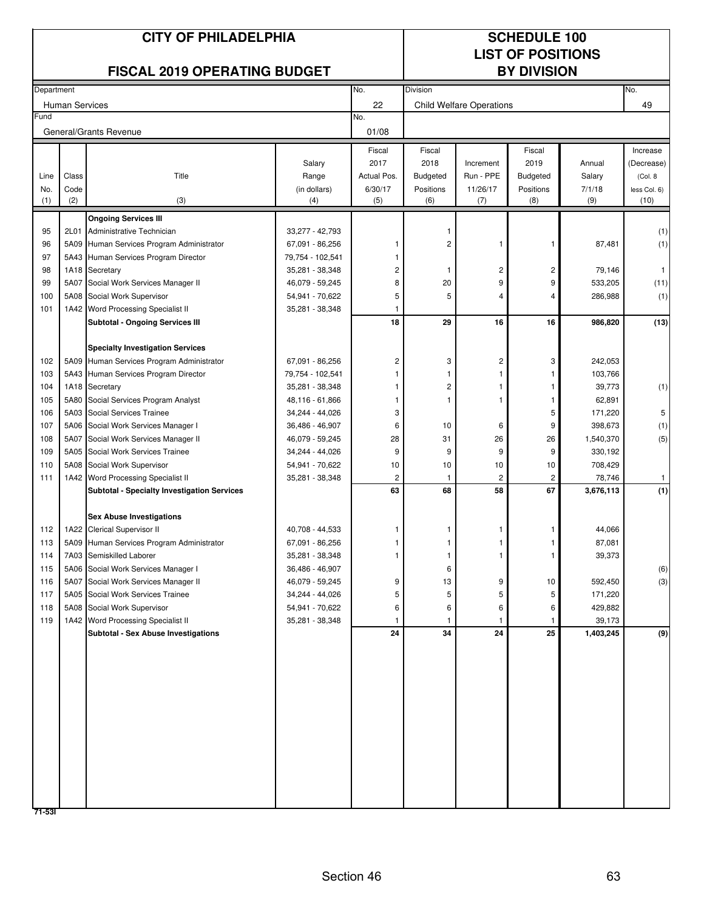|            |                       | <b>CITY OF PHILADELPHIA</b>                                                  |                                     | <b>SCHEDULE 100</b><br><b>LIST OF POSITIONS</b> |                 |                                 |                    |                      |              |
|------------|-----------------------|------------------------------------------------------------------------------|-------------------------------------|-------------------------------------------------|-----------------|---------------------------------|--------------------|----------------------|--------------|
|            |                       | <b>FISCAL 2019 OPERATING BUDGET</b>                                          |                                     |                                                 |                 |                                 | <b>BY DIVISION</b> |                      |              |
| Department |                       |                                                                              |                                     | No.                                             | Division        |                                 |                    |                      | No.          |
|            | <b>Human Services</b> |                                                                              |                                     | 22                                              |                 | <b>Child Welfare Operations</b> |                    |                      | 49           |
| Fund       |                       | General/Grants Revenue                                                       |                                     | No.<br>01/08                                    |                 |                                 |                    |                      |              |
|            |                       |                                                                              |                                     | Fiscal                                          | Fiscal          |                                 | Fiscal             |                      | Increase     |
|            |                       |                                                                              | Salary                              | 2017                                            | 2018            | Increment                       | 2019               | Annual               | (Decrease)   |
| Line       | Class                 | Title                                                                        | Range                               | Actual Pos.                                     | <b>Budgeted</b> | Run - PPE                       | <b>Budgeted</b>    | Salary               | (Col. 8)     |
| No.        | Code                  |                                                                              | (in dollars)                        | 6/30/17                                         | Positions       | 11/26/17                        | Positions          | 7/1/18               | less Col. 6) |
| (1)        | (2)                   | (3)                                                                          | (4)                                 | (5)                                             | (6)             | (7)                             | (8)                | (9)                  | (10)         |
|            |                       | <b>Ongoing Services III</b>                                                  |                                     |                                                 |                 |                                 |                    |                      |              |
| 95         | 2L01                  | Administrative Technician                                                    | 33,277 - 42,793                     |                                                 |                 |                                 |                    |                      | (1)          |
| 96<br>97   | 5A09                  | Human Services Program Administrator<br>5A43 Human Services Program Director | 67,091 - 86,256                     |                                                 | 2               |                                 | 1                  | 87,481               | (1)          |
| 98         |                       | 1A18 Secretary                                                               | 79,754 - 102,541<br>35,281 - 38,348 | 2                                               | -1              | 2                               | 2                  | 79,146               | -1           |
| 99         | 5A07                  | Social Work Services Manager II                                              | 46,079 - 59,245                     | 8                                               | 20              | 9                               | 9                  | 533,205              | (11)         |
| 100        |                       | 5A08 Social Work Supervisor                                                  | 54,941 - 70,622                     | 5                                               | 5               | 4                               | 4                  | 286,988              | (1)          |
| 101        |                       | 1A42 Word Processing Specialist II                                           | 35,281 - 38,348                     | -1                                              |                 |                                 |                    |                      |              |
|            |                       | <b>Subtotal - Ongoing Services III</b>                                       |                                     | 18                                              | 29              | 16                              | 16                 | 986,820              | (13)         |
|            |                       |                                                                              |                                     |                                                 |                 |                                 |                    |                      |              |
|            |                       | <b>Specialty Investigation Services</b>                                      |                                     |                                                 |                 |                                 |                    |                      |              |
| 102        |                       | 5A09 Human Services Program Administrator                                    | 67,091 - 86,256                     | 2                                               | 3               | 2                               | 3                  | 242,053              |              |
| 103        |                       | 5A43 Human Services Program Director                                         | 79,754 - 102,541                    |                                                 |                 |                                 |                    | 103,766              |              |
| 104        |                       | 1A18 Secretary                                                               | 35,281 - 38,348                     |                                                 | 2               |                                 | 1                  | 39,773               | (1)          |
| 105        | 5A80                  | Social Services Program Analyst                                              | 48,116 - 61,866                     |                                                 |                 |                                 |                    | 62,891               |              |
| 106        |                       | 5A03 Social Services Trainee                                                 | 34,244 - 44,026                     | 3                                               |                 |                                 | 5                  | 171,220              | 5            |
| 107<br>108 | 5A07                  | 5A06 Social Work Services Manager I<br>Social Work Services Manager II       | 36,486 - 46,907<br>46,079 - 59,245  | 6<br>28                                         | 10<br>31        | 6<br>26                         | 9<br>26            | 398,673<br>1,540,370 | (1)<br>(5)   |
| 109        | 5A05                  | Social Work Services Trainee                                                 | 34,244 - 44,026                     | 9                                               | 9               | 9                               | 9                  | 330,192              |              |
| 110        |                       | 5A08 Social Work Supervisor                                                  | 54,941 - 70,622                     | 10                                              | 10              | 10                              | 10                 | 708,429              |              |
| 111        |                       | 1A42 Word Processing Specialist II                                           | 35,281 - 38,348                     | 2                                               | -1              | 2                               | 2                  | 78,746               | $\mathbf{1}$ |
|            |                       | <b>Subtotal - Specialty Investigation Services</b>                           |                                     | 63                                              | 68              | 58                              | 67                 | 3,676,113            | (1)          |
|            |                       |                                                                              |                                     |                                                 |                 |                                 |                    |                      |              |
|            |                       | <b>Sex Abuse Investigations</b>                                              |                                     |                                                 |                 |                                 |                    |                      |              |
| 112        |                       | 1A22 Clerical Supervisor II                                                  | 40,708 - 44,533                     |                                                 |                 |                                 |                    | 44,066               |              |
| 113        |                       | 5A09 Human Services Program Administrator                                    | 67,091 - 86,256                     |                                                 |                 |                                 |                    | 87,081               |              |
| 114        |                       | 7A03 Semiskilled Laborer                                                     | 35,281 - 38,348                     | 1                                               |                 |                                 | 1                  | 39,373               |              |
| 115        |                       | 5A06 Social Work Services Manager I                                          | 36,486 - 46,907                     |                                                 | 6               |                                 |                    |                      | (6)          |
| 116<br>117 |                       | 5A07 Social Work Services Manager II<br>5A05 Social Work Services Trainee    | 46,079 - 59,245<br>34,244 - 44,026  | 9<br>5                                          | 13<br>5         | 9<br>5                          | 10<br>5            | 592,450<br>171,220   | (3)          |
| 118        |                       | 5A08 Social Work Supervisor                                                  | 54,941 - 70,622                     | 6                                               | 6               | 6                               | 6                  | 429,882              |              |
| 119        |                       | 1A42 Word Processing Specialist II                                           | 35,281 - 38,348                     | 1                                               | 1               | 1                               | 1                  | 39,173               |              |
|            |                       | <b>Subtotal - Sex Abuse Investigations</b>                                   |                                     | 24                                              | 34              | 24                              | 25                 | 1,403,245            | (9)          |
|            |                       |                                                                              |                                     |                                                 |                 |                                 |                    |                      |              |
|            |                       |                                                                              |                                     |                                                 |                 |                                 |                    |                      |              |
|            |                       |                                                                              |                                     |                                                 |                 |                                 |                    |                      |              |
|            |                       |                                                                              |                                     |                                                 |                 |                                 |                    |                      |              |
|            |                       |                                                                              |                                     |                                                 |                 |                                 |                    |                      |              |
|            |                       |                                                                              |                                     |                                                 |                 |                                 |                    |                      |              |
|            |                       |                                                                              |                                     |                                                 |                 |                                 |                    |                      |              |
|            |                       |                                                                              |                                     |                                                 |                 |                                 |                    |                      |              |
|            |                       |                                                                              |                                     |                                                 |                 |                                 |                    |                      |              |
|            |                       |                                                                              |                                     |                                                 |                 |                                 |                    |                      |              |
|            |                       |                                                                              |                                     |                                                 |                 |                                 |                    |                      |              |
|            |                       |                                                                              |                                     |                                                 |                 |                                 |                    |                      |              |
| 71-531     |                       |                                                                              |                                     |                                                 |                 |                                 |                    |                      |              |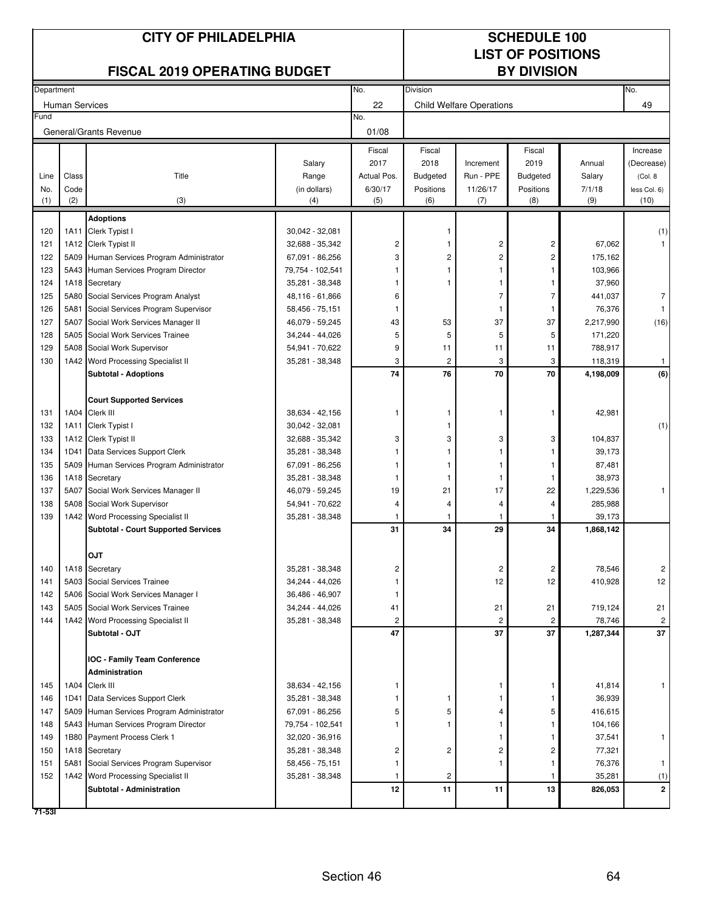|            |                       | <b>CITY OF PHILADELPHIA</b>                            |                                     | <b>SCHEDULE 100</b><br><b>LIST OF POSITIONS</b> |                 |                                 |                    |                   |                |
|------------|-----------------------|--------------------------------------------------------|-------------------------------------|-------------------------------------------------|-----------------|---------------------------------|--------------------|-------------------|----------------|
|            |                       | <b>FISCAL 2019 OPERATING BUDGET</b>                    |                                     |                                                 |                 |                                 | <b>BY DIVISION</b> |                   |                |
| Department |                       |                                                        |                                     | No.                                             | Division        |                                 |                    |                   | No.            |
|            | <b>Human Services</b> |                                                        |                                     | 22                                              |                 | <b>Child Welfare Operations</b> |                    |                   | 49             |
| Fund       |                       | General/Grants Revenue                                 |                                     | No.<br>01/08                                    |                 |                                 |                    |                   |                |
|            |                       |                                                        |                                     | Fiscal                                          | Fiscal          |                                 | Fiscal             |                   | Increase       |
|            |                       |                                                        | Salary                              | 2017                                            | 2018            | Increment                       | 2019               | Annual            | (Decrease)     |
| Line       | Class                 | Title                                                  | Range                               | Actual Pos.                                     | <b>Budgeted</b> | Run - PPE                       | <b>Budgeted</b>    | Salary            | (Col. 8)       |
| No.        | Code                  |                                                        | (in dollars)                        | 6/30/17                                         | Positions       | 11/26/17                        | Positions          | 7/1/18            | less Col. 6)   |
| (1)        | (2)                   | (3)                                                    | (4)                                 | (5)                                             | (6)             | (7)                             | (8)                | (9)               | (10)           |
|            |                       | <b>Adoptions</b>                                       |                                     |                                                 |                 |                                 |                    |                   |                |
| 120        |                       | 1A11 Clerk Typist I                                    | 30,042 - 32,081                     |                                                 |                 |                                 |                    |                   | (1)            |
| 121        |                       | 1A12 Clerk Typist II                                   | 32,688 - 35,342                     | $\overline{\mathbf{c}}$                         |                 | $\overline{\mathbf{c}}$         | $\mathsf{2}\,$     | 67,062            |                |
| 122        |                       | 5A09 Human Services Program Administrator              | 67,091 - 86,256                     | 3                                               | 2               | $\overline{c}$                  | $\overline{c}$     | 175,162           |                |
| 123<br>124 |                       | 5A43 Human Services Program Director<br>1A18 Secretary | 79,754 - 102,541<br>35,281 - 38,348 | 1                                               | 1               | -1                              | 1<br>1             | 103,966<br>37,960 |                |
| 125        | 5A80                  | Social Services Program Analyst                        | 48,116 - 61,866                     | 6                                               |                 | $\overline{7}$                  | $\overline{7}$     | 441,037           | 7              |
| 126        | 5A81                  | Social Services Program Supervisor                     | 58,456 - 75,151                     | 1                                               |                 |                                 | 1                  | 76,376            | $\mathbf{1}$   |
| 127        | 5A07                  | Social Work Services Manager II                        | 46,079 - 59,245                     | 43                                              | 53              | 37                              | 37                 | 2,217,990         | (16)           |
| 128        |                       | 5A05 Social Work Services Trainee                      | 34,244 - 44,026                     | 5                                               | 5               | 5                               | 5                  | 171,220           |                |
| 129        |                       | 5A08 Social Work Supervisor                            | 54,941 - 70,622                     | 9                                               | 11              | 11                              | 11                 | 788,917           |                |
| 130        |                       | 1A42 Word Processing Specialist II                     | 35,281 - 38,348                     | 3                                               | $\overline{2}$  | 3                               | 3                  | 118,319           | $\mathbf{1}$   |
|            |                       | <b>Subtotal - Adoptions</b>                            |                                     | 74                                              | 76              | 70                              | 70                 | 4,198,009         | (6)            |
|            |                       |                                                        |                                     |                                                 |                 |                                 |                    |                   |                |
|            |                       | <b>Court Supported Services</b>                        |                                     |                                                 |                 |                                 |                    |                   |                |
| 131        |                       | 1A04 Clerk III                                         | 38,634 - 42,156                     | 1                                               |                 |                                 | 1                  | 42,981            |                |
| 132        |                       | 1A11 Clerk Typist I                                    | 30,042 - 32,081                     |                                                 |                 |                                 |                    |                   | (1)            |
| 133        |                       | 1A12 Clerk Typist II                                   | 32,688 - 35,342                     | 3                                               | 3               | 3                               | 3                  | 104,837           |                |
| 134        |                       | 1D41 Data Services Support Clerk                       | 35,281 - 38,348                     |                                                 |                 |                                 |                    | 39,173            |                |
| 135        |                       | 5A09 Human Services Program Administrator              | 67,091 - 86,256                     |                                                 |                 |                                 | 1                  | 87,481            |                |
| 136        |                       | 1A18 Secretary                                         | 35,281 - 38,348                     | -1                                              | 1               |                                 | -1                 | 38,973            |                |
| 137        |                       | 5A07 Social Work Services Manager II                   | 46,079 - 59,245                     | 19                                              | 21              | 17                              | 22                 | 1,229,536         |                |
| 138        | 5A08                  | Social Work Supervisor                                 | 54,941 - 70,622                     | 4                                               | 4               | 4                               | 4                  | 285,988           |                |
| 139        | 1A42                  | <b>Word Processing Specialist II</b>                   | 35,281 - 38,348                     | 1                                               |                 |                                 |                    | 39,173            |                |
|            |                       | <b>Subtotal - Court Supported Services</b>             |                                     | 31                                              | 34              | 29                              | 34                 | 1,868,142         |                |
|            |                       | <b>OJT</b>                                             |                                     |                                                 |                 |                                 |                    |                   |                |
| 140        |                       | 1A18 Secretary                                         | 35,281 - 38,348                     | $\overline{\mathbf{c}}$                         |                 | 2                               | $\overline{c}$     | 78,546            | $\overline{2}$ |
| 141        |                       | 5A03 Social Services Trainee                           | 34,244 - 44,026                     |                                                 |                 | 12                              | 12                 | 410,928           | 12             |
| 142        |                       | 5A06 Social Work Services Manager I                    | 36,486 - 46,907                     | -1                                              |                 |                                 |                    |                   |                |
| 143        |                       | 5A05 Social Work Services Trainee                      | 34,244 - 44,026                     | 41                                              |                 | 21                              | 21                 | 719,124           | 21             |
| 144        |                       | 1A42 Word Processing Specialist II                     | 35,281 - 38,348                     | 2                                               |                 | 2                               | $\overline{c}$     | 78,746            | $\overline{c}$ |
|            |                       | Subtotal - OJT                                         |                                     | 47                                              |                 | 37                              | 37                 | 1,287,344         | 37             |
|            |                       | <b>IOC - Family Team Conference</b>                    |                                     |                                                 |                 |                                 |                    |                   |                |
|            |                       | <b>Administration</b>                                  |                                     |                                                 |                 |                                 |                    |                   |                |
| 145        |                       | 1A04 Clerk III                                         | 38,634 - 42,156                     | 1                                               |                 |                                 | 1                  | 41,814            |                |
| 146        |                       | 1D41 Data Services Support Clerk                       | 35,281 - 38,348                     |                                                 | 1               |                                 |                    | 36,939            |                |
| 147        |                       | 5A09 Human Services Program Administrator              | 67,091 - 86,256                     | 5                                               | 5               | 4                               | 5                  | 416,615           |                |
| 148        |                       | 5A43 Human Services Program Director                   | 79,754 - 102,541                    |                                                 | 1               |                                 |                    | 104,166           |                |
| 149        |                       | 1B80 Payment Process Clerk 1                           | 32,020 - 36,916                     |                                                 |                 |                                 |                    | 37,541            | 1              |
| 150        |                       | 1A18 Secretary                                         | 35,281 - 38,348                     | 2                                               | 2               | 2                               | 2                  | 77,321            |                |
| 151        |                       | 5A81 Social Services Program Supervisor                | 58,456 - 75,151                     | 1                                               |                 |                                 |                    | 76,376            | -1             |
| 152        |                       | 1A42 Word Processing Specialist II                     | 35,281 - 38,348                     | -1                                              | 2               |                                 |                    | 35,281            | (1)            |
|            |                       | Subtotal - Administration                              |                                     | 12                                              | 11              | 11                              | 13                 | 826,053           | $\mathbf{2}$   |
| 71-531     |                       |                                                        |                                     |                                                 |                 |                                 |                    |                   |                |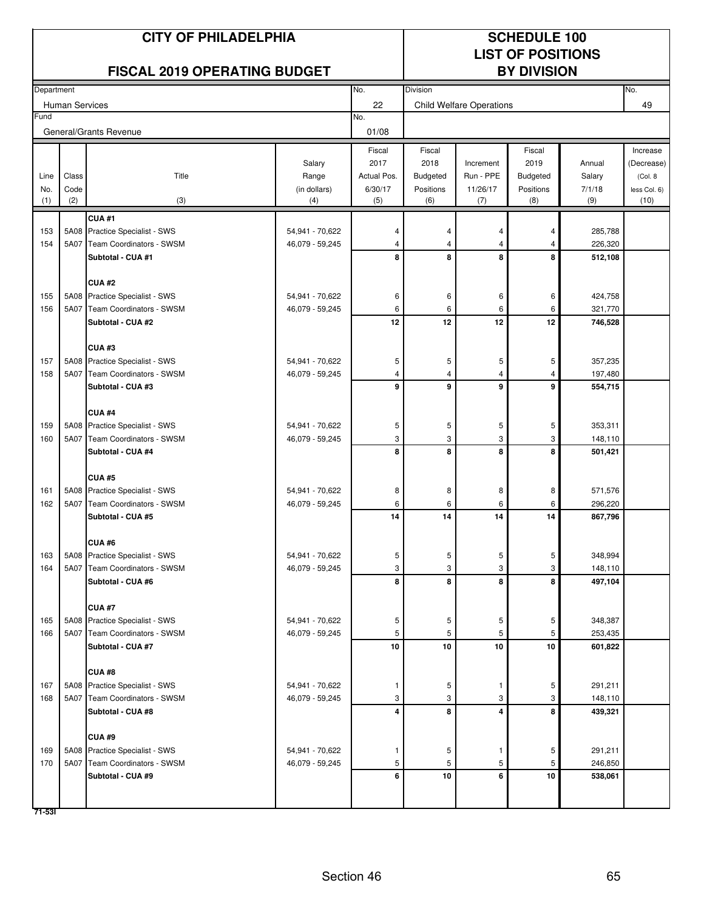|             | <b>CITY OF PHILADELPHIA</b> |                                                                 |                                    |                        |                              | <b>SCHEDULE 100</b><br><b>LIST OF POSITIONS</b> |                       |                    |                          |  |
|-------------|-----------------------------|-----------------------------------------------------------------|------------------------------------|------------------------|------------------------------|-------------------------------------------------|-----------------------|--------------------|--------------------------|--|
|             |                             | <b>FISCAL 2019 OPERATING BUDGET</b>                             |                                    |                        |                              |                                                 | <b>BY DIVISION</b>    |                    |                          |  |
| Department  |                             |                                                                 |                                    | No.                    | <b>Division</b>              |                                                 |                       |                    | No.                      |  |
| Fund        | <b>Human Services</b>       |                                                                 |                                    | 22<br>No.              |                              | <b>Child Welfare Operations</b>                 |                       |                    | 49                       |  |
|             |                             | General/Grants Revenue                                          |                                    | 01/08                  |                              |                                                 |                       |                    |                          |  |
|             |                             |                                                                 |                                    | Fiscal                 | Fiscal                       |                                                 | Fiscal                |                    | Increase                 |  |
|             |                             |                                                                 | Salary                             | 2017                   | 2018                         | Increment                                       | 2019                  | Annual             | (Decrease)               |  |
| Line<br>No. | Class<br>Code               | Title                                                           | Range<br>(in dollars)              | Actual Pos.<br>6/30/17 | <b>Budgeted</b><br>Positions | Run - PPE<br>11/26/17                           | Budgeted<br>Positions | Salary<br>7/1/18   | (Col. 8)<br>less Col. 6) |  |
| (1)         | (2)                         | (3)                                                             | (4)                                | (5)                    | (6)                          | (7)                                             | (8)                   | (9)                | (10)                     |  |
|             |                             | CUA#1                                                           |                                    |                        |                              |                                                 |                       |                    |                          |  |
| 153         | 5A08                        | Practice Specialist - SWS                                       | 54,941 - 70,622                    | 4                      | 4                            | 4                                               | 4                     | 285,788            |                          |  |
| 154         | 5A07                        | Team Coordinators - SWSM                                        | 46,079 - 59,245                    | 4                      | 4                            | 4                                               | 4                     | 226,320            |                          |  |
|             |                             | Subtotal - CUA #1                                               |                                    | 8                      | 8                            | 8                                               | 8                     | 512,108            |                          |  |
|             |                             | CUA#2                                                           |                                    |                        |                              |                                                 |                       |                    |                          |  |
| 155         |                             | 5A08 Practice Specialist - SWS                                  | 54,941 - 70,622                    | 6                      | 6                            | 6                                               | 6                     | 424,758            |                          |  |
| 156         | 5A07                        | <b>Team Coordinators - SWSM</b>                                 | 46,079 - 59,245                    | 6                      | 6                            | 6                                               | 6                     | 321,770            |                          |  |
|             |                             | Subtotal - CUA #2                                               |                                    | 12                     | 12                           | 12                                              | 12                    | 746,528            |                          |  |
|             |                             | CUA#3                                                           |                                    |                        |                              |                                                 |                       |                    |                          |  |
| 157         |                             | 5A08 Practice Specialist - SWS                                  | 54,941 - 70,622                    | 5                      | 5                            | 5                                               | 5                     | 357,235            |                          |  |
| 158         |                             | 5A07 Team Coordinators - SWSM                                   | 46,079 - 59,245                    | 4                      | 4                            | 4                                               | 4                     | 197,480            |                          |  |
|             |                             | Subtotal - CUA #3                                               |                                    | 9                      | 9                            | 9                                               | 9                     | 554,715            |                          |  |
|             |                             |                                                                 |                                    |                        |                              |                                                 |                       |                    |                          |  |
| 159         |                             | CUA#4<br>5A08 Practice Specialist - SWS                         | 54,941 - 70,622                    | 5                      | 5                            | 5                                               | 5                     | 353,311            |                          |  |
| 160         | 5A07                        | Team Coordinators - SWSM                                        | 46,079 - 59,245                    | 3                      | 3                            | 3                                               | 3                     | 148,110            |                          |  |
|             |                             | Subtotal - CUA #4                                               |                                    | 8                      | 8                            | 8                                               | 8                     | 501,421            |                          |  |
|             |                             |                                                                 |                                    |                        |                              |                                                 |                       |                    |                          |  |
|             |                             | <b>CUA#5</b>                                                    |                                    |                        |                              |                                                 |                       |                    |                          |  |
| 161<br>162  |                             | 5A08 Practice Specialist - SWS<br>5A07 Team Coordinators - SWSM | 54,941 - 70,622<br>46,079 - 59,245 | 8<br>6                 | 8<br>6                       | 8<br>6                                          | 8<br>6                | 571,576<br>296,220 |                          |  |
|             |                             | Subtotal - CUA #5                                               |                                    | 14                     | 14                           | 14                                              | 14                    | 867,796            |                          |  |
|             |                             |                                                                 |                                    |                        |                              |                                                 |                       |                    |                          |  |
|             |                             | CUA#6                                                           |                                    |                        |                              |                                                 |                       |                    |                          |  |
| 163         |                             | 5A08 Practice Specialist - SWS                                  | 54,941 - 70,622                    | 5                      | 5                            | 5                                               | 5                     | 348,994            |                          |  |
| 164         | 5A07                        | Team Coordinators - SWSM<br>Subtotal - CUA #6                   | 46,079 - 59,245                    | 3<br>8                 | 3<br>8                       | 3<br>8                                          | 3<br>8                | 148,110<br>497,104 |                          |  |
|             |                             |                                                                 |                                    |                        |                              |                                                 |                       |                    |                          |  |
|             |                             | <b>CUA #7</b>                                                   |                                    |                        |                              |                                                 |                       |                    |                          |  |
| 165         |                             | 5A08 Practice Specialist - SWS                                  | 54,941 - 70,622                    | 5                      | 5                            | 5                                               | 5                     | 348,387            |                          |  |
| 166         |                             | 5A07 Team Coordinators - SWSM                                   | 46,079 - 59,245                    | 5                      | 5                            | 5                                               | 5                     | 253,435            |                          |  |
|             |                             | Subtotal - CUA #7                                               |                                    | $10\,$                 | 10                           | 10                                              | 10                    | 601,822            |                          |  |
|             |                             | CUA#8                                                           |                                    |                        |                              |                                                 |                       |                    |                          |  |
| 167         |                             | 5A08 Practice Specialist - SWS                                  | 54,941 - 70,622                    | -1                     | 5                            | 1                                               | 5                     | 291,211            |                          |  |
| 168         |                             | 5A07 Team Coordinators - SWSM                                   | 46,079 - 59,245                    | 3                      | 3                            | 3                                               | 3                     | 148,110            |                          |  |
|             |                             | Subtotal - CUA #8                                               |                                    | 4                      | 8                            | 4                                               | 8                     | 439,321            |                          |  |
|             |                             | CUA#9                                                           |                                    |                        |                              |                                                 |                       |                    |                          |  |
| 169         |                             | 5A08 Practice Specialist - SWS                                  | 54,941 - 70,622                    | 1                      | 5                            | 1                                               | 5                     | 291,211            |                          |  |
| 170         | 5A07                        | Team Coordinators - SWSM                                        | 46,079 - 59,245                    | 5                      | 5                            | 5                                               | 5                     | 246,850            |                          |  |
|             |                             | Subtotal - CUA #9                                               |                                    | 6                      | 10                           | 6                                               | 10                    | 538,061            |                          |  |
|             |                             |                                                                 |                                    |                        |                              |                                                 |                       |                    |                          |  |
| 71-531      |                             |                                                                 |                                    |                        |                              |                                                 |                       |                    |                          |  |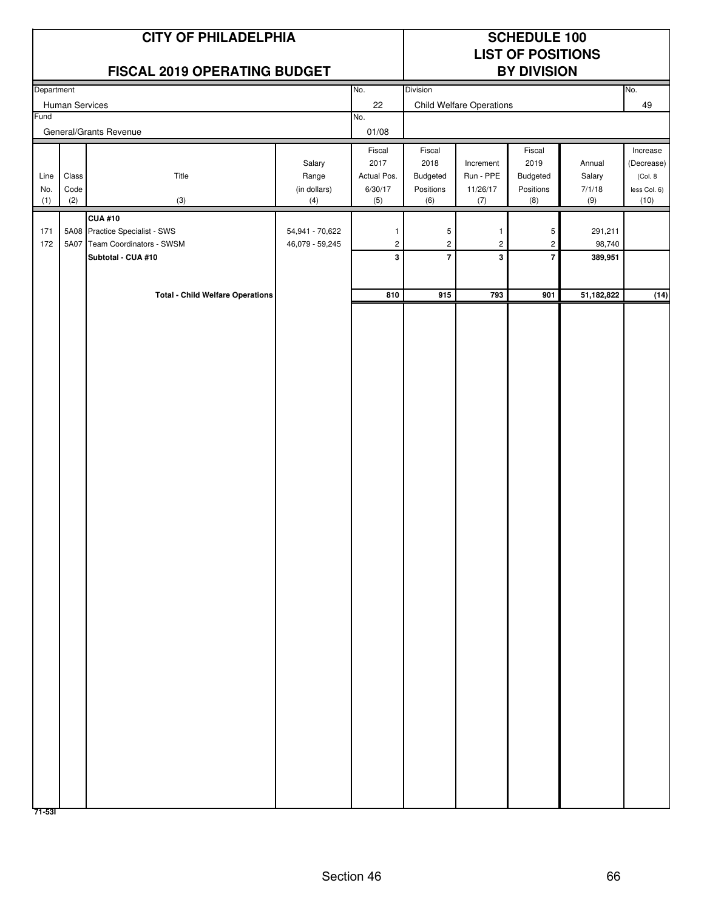|            | <b>CITY OF PHILADELPHIA</b> |                                                            |                                    |                                         |                  |                                 | <b>SCHEDULE 100</b><br><b>LIST OF POSITIONS</b> |                   |                       |
|------------|-----------------------------|------------------------------------------------------------|------------------------------------|-----------------------------------------|------------------|---------------------------------|-------------------------------------------------|-------------------|-----------------------|
|            |                             | FISCAL 2019 OPERATING BUDGET                               |                                    |                                         |                  |                                 | <b>BY DIVISION</b>                              |                   |                       |
| Department | Human Services              |                                                            |                                    | No.<br>22                               | Division         | <b>Child Welfare Operations</b> |                                                 |                   | No.<br>49             |
| Fund       |                             | General/Grants Revenue                                     |                                    | No.<br>01/08                            |                  |                                 |                                                 |                   |                       |
|            |                             |                                                            |                                    | Fiscal                                  | Fiscal           |                                 | Fiscal                                          |                   | Increase              |
| Line       | Class                       | Title                                                      | Salary<br>Range                    | 2017<br>Actual Pos.                     | 2018<br>Budgeted | Increment<br>Run - PPE          | 2019<br>Budgeted                                | Annual<br>Salary  | (Decrease)<br>(Col. 8 |
| No.        | Code<br>(2)                 | (3)                                                        | (in dollars)                       | 6/30/17                                 | Positions        | 11/26/17                        | Positions                                       | 7/1/18<br>(9)     | less Col. 6)          |
| (1)        |                             | <b>CUA #10</b>                                             | (4)                                | (5)                                     | (6)              | (7)                             | (8)                                             |                   | (10)                  |
| 171<br>172 | 5A07                        | 5A08 Practice Specialist - SWS<br>Team Coordinators - SWSM | 54,941 - 70,622<br>46,079 - 59,245 | $\mathbf{1}$<br>$\overline{\mathbf{c}}$ | 5<br>$\sqrt{2}$  | -1<br>$\overline{c}$            | 5<br>$\overline{c}$                             | 291,211<br>98,740 |                       |
|            |                             | Subtotal - CUA #10                                         |                                    | 3                                       | $\overline{7}$   | 3                               | $\overline{7}$                                  | 389,951           |                       |
|            |                             |                                                            |                                    |                                         |                  |                                 |                                                 |                   |                       |
|            |                             | <b>Total - Child Welfare Operations</b>                    |                                    | 810                                     | 915              | 793                             | 901                                             | 51,182,822        | (14)                  |
|            |                             |                                                            |                                    |                                         |                  |                                 |                                                 |                   |                       |
|            |                             |                                                            |                                    |                                         |                  |                                 |                                                 |                   |                       |
|            |                             |                                                            |                                    |                                         |                  |                                 |                                                 |                   |                       |
|            |                             |                                                            |                                    |                                         |                  |                                 |                                                 |                   |                       |
|            |                             |                                                            |                                    |                                         |                  |                                 |                                                 |                   |                       |
|            |                             |                                                            |                                    |                                         |                  |                                 |                                                 |                   |                       |
|            |                             |                                                            |                                    |                                         |                  |                                 |                                                 |                   |                       |
|            |                             |                                                            |                                    |                                         |                  |                                 |                                                 |                   |                       |
|            |                             |                                                            |                                    |                                         |                  |                                 |                                                 |                   |                       |
|            |                             |                                                            |                                    |                                         |                  |                                 |                                                 |                   |                       |
|            |                             |                                                            |                                    |                                         |                  |                                 |                                                 |                   |                       |
|            |                             |                                                            |                                    |                                         |                  |                                 |                                                 |                   |                       |
|            |                             |                                                            |                                    |                                         |                  |                                 |                                                 |                   |                       |
|            |                             |                                                            |                                    |                                         |                  |                                 |                                                 |                   |                       |
|            |                             |                                                            |                                    |                                         |                  |                                 |                                                 |                   |                       |
|            |                             |                                                            |                                    |                                         |                  |                                 |                                                 |                   |                       |
|            |                             |                                                            |                                    |                                         |                  |                                 |                                                 |                   |                       |
|            |                             |                                                            |                                    |                                         |                  |                                 |                                                 |                   |                       |
|            |                             |                                                            |                                    |                                         |                  |                                 |                                                 |                   |                       |
|            |                             |                                                            |                                    |                                         |                  |                                 |                                                 |                   |                       |
|            |                             |                                                            |                                    |                                         |                  |                                 |                                                 |                   |                       |
|            |                             |                                                            |                                    |                                         |                  |                                 |                                                 |                   |                       |
| 71-531     |                             |                                                            |                                    |                                         |                  |                                 |                                                 |                   |                       |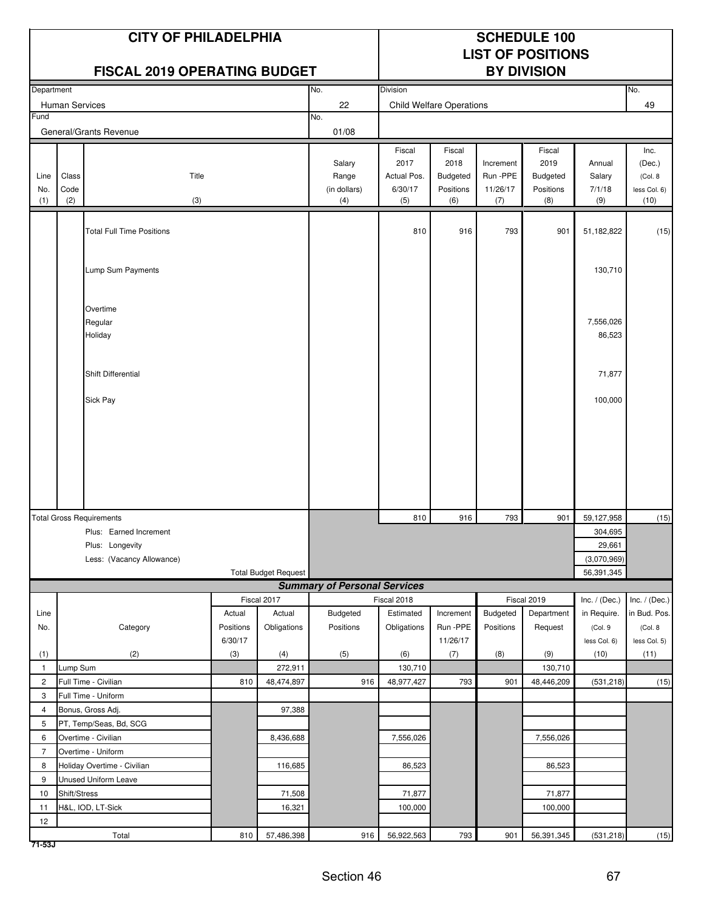|                    |                      | <b>CITY OF PHILADELPHIA</b><br><b>FISCAL 2019 OPERATING BUDGET</b>     |                      |                             | <b>SCHEDULE 100</b><br><b>LIST OF POSITIONS</b><br><b>BY DIVISION</b> |                                                 |                                                |                                          |                                                |                                                |                                                    |
|--------------------|----------------------|------------------------------------------------------------------------|----------------------|-----------------------------|-----------------------------------------------------------------------|-------------------------------------------------|------------------------------------------------|------------------------------------------|------------------------------------------------|------------------------------------------------|----------------------------------------------------|
| Department         |                      |                                                                        |                      |                             | No.                                                                   | Division                                        |                                                |                                          |                                                |                                                | No.                                                |
|                    | Human Services       |                                                                        |                      |                             | 22                                                                    |                                                 | <b>Child Welfare Operations</b>                |                                          |                                                |                                                | 49                                                 |
| Fund               |                      |                                                                        |                      |                             | No.                                                                   |                                                 |                                                |                                          |                                                |                                                |                                                    |
|                    |                      | General/Grants Revenue                                                 |                      |                             | 01/08                                                                 |                                                 |                                                |                                          |                                                |                                                |                                                    |
| Line<br>No.<br>(1) | Class<br>Code<br>(2) | Title<br>(3)                                                           |                      |                             | Salary<br>Range<br>(in dollars)<br>(4)                                | Fiscal<br>2017<br>Actual Pos.<br>6/30/17<br>(5) | Fiscal<br>2018<br>Budgeted<br>Positions<br>(6) | Increment<br>Run -PPE<br>11/26/17<br>(7) | Fiscal<br>2019<br>Budgeted<br>Positions<br>(8) | Annual<br>Salary<br>7/1/18<br>(9)              | Inc.<br>(Dec.)<br>(Col. 8)<br>less Col. 6)<br>(10) |
|                    |                      |                                                                        |                      |                             |                                                                       |                                                 |                                                |                                          |                                                |                                                |                                                    |
|                    |                      | <b>Total Full Time Positions</b>                                       |                      |                             |                                                                       | 810                                             | 916                                            | 793                                      | 901                                            | 51,182,822                                     | (15)                                               |
|                    |                      | Lump Sum Payments                                                      |                      |                             |                                                                       |                                                 |                                                |                                          |                                                | 130,710                                        |                                                    |
|                    |                      | Overtime<br>Regular<br>Holiday                                         |                      |                             |                                                                       |                                                 |                                                |                                          |                                                | 7,556,026<br>86,523                            |                                                    |
|                    |                      | Shift Differential                                                     |                      |                             |                                                                       |                                                 |                                                |                                          |                                                | 71,877                                         |                                                    |
|                    |                      | Sick Pay                                                               |                      |                             |                                                                       |                                                 |                                                |                                          |                                                | 100,000                                        |                                                    |
|                    |                      |                                                                        |                      |                             |                                                                       |                                                 |                                                |                                          |                                                |                                                |                                                    |
|                    |                      | <b>Total Gross Requirements</b>                                        |                      |                             |                                                                       | 810                                             | 916                                            | 793                                      | 901                                            | 59,127,958                                     | (15)                                               |
|                    |                      | Plus: Earned Increment<br>Plus: Longevity<br>Less: (Vacancy Allowance) |                      | <b>Total Budget Request</b> |                                                                       |                                                 |                                                |                                          |                                                | 304,695<br>29,661<br>(3,070,969)<br>56,391,345 |                                                    |
|                    |                      |                                                                        |                      |                             | <b>Summary of Personal Services</b>                                   |                                                 |                                                |                                          |                                                |                                                |                                                    |
|                    |                      |                                                                        |                      | Fiscal 2017                 |                                                                       | Fiscal 2018                                     |                                                |                                          | Fiscal 2019                                    | Inc. $/$ (Dec.)                                | Inc. $/$ (Dec.)                                    |
| Line               |                      |                                                                        | Actual               | Actual                      | <b>Budgeted</b>                                                       | Estimated                                       | Increment                                      | <b>Budgeted</b>                          | Department                                     | in Require.                                    | in Bud. Pos.                                       |
| No.                |                      | Category                                                               | Positions<br>6/30/17 | Obligations                 | Positions                                                             | Obligations                                     | Run -PPE<br>11/26/17                           | Positions                                | Request                                        | (Col. 9<br>less Col. 6)                        | (Col. 8<br>less Col. 5)                            |
| (1)                |                      | (2)                                                                    | (3)                  | (4)                         | (5)                                                                   | (6)                                             | (7)                                            | (8)                                      | (9)                                            | (10)                                           | (11)                                               |
| $\mathbf{1}$       | Lump Sum             |                                                                        |                      | 272,911                     |                                                                       | 130,710                                         |                                                |                                          | 130,710                                        |                                                |                                                    |
| $\overline{2}$     |                      | Full Time - Civilian                                                   | 810                  | 48,474,897                  | 916                                                                   | 48,977,427                                      | 793                                            | 901                                      | 48,446,209                                     | (531, 218)                                     | (15)                                               |
| 3                  |                      | Full Time - Uniform                                                    |                      |                             |                                                                       |                                                 |                                                |                                          |                                                |                                                |                                                    |
| 4                  |                      | Bonus, Gross Adj.                                                      |                      | 97,388                      |                                                                       |                                                 |                                                |                                          |                                                |                                                |                                                    |
| 5                  |                      | PT, Temp/Seas, Bd, SCG                                                 |                      |                             |                                                                       |                                                 |                                                |                                          |                                                |                                                |                                                    |
| 6                  |                      | Overtime - Civilian                                                    |                      | 8,436,688                   |                                                                       | 7,556,026                                       |                                                |                                          | 7,556,026                                      |                                                |                                                    |
| $\overline{7}$     |                      | Overtime - Uniform                                                     |                      |                             |                                                                       |                                                 |                                                |                                          |                                                |                                                |                                                    |
| 8                  |                      | Holiday Overtime - Civilian                                            |                      | 116,685                     |                                                                       | 86,523                                          |                                                |                                          | 86,523                                         |                                                |                                                    |
| 9                  |                      | Unused Uniform Leave                                                   |                      |                             |                                                                       |                                                 |                                                |                                          |                                                |                                                |                                                    |
| 10                 | Shift/Stress         |                                                                        |                      | 71,508                      |                                                                       | 71,877                                          |                                                |                                          | 71,877                                         |                                                |                                                    |
| 11                 |                      | H&L, IOD, LT-Sick                                                      |                      | 16,321                      |                                                                       | 100,000                                         |                                                |                                          | 100,000                                        |                                                |                                                    |
| 12                 |                      |                                                                        |                      |                             |                                                                       |                                                 |                                                |                                          |                                                |                                                |                                                    |
|                    |                      | Total                                                                  | 810                  | 57,486,398                  | 916                                                                   | 56,922,563                                      | 793                                            | 901                                      | 56,391,345                                     | (531, 218)                                     | (15)                                               |

**71-53J**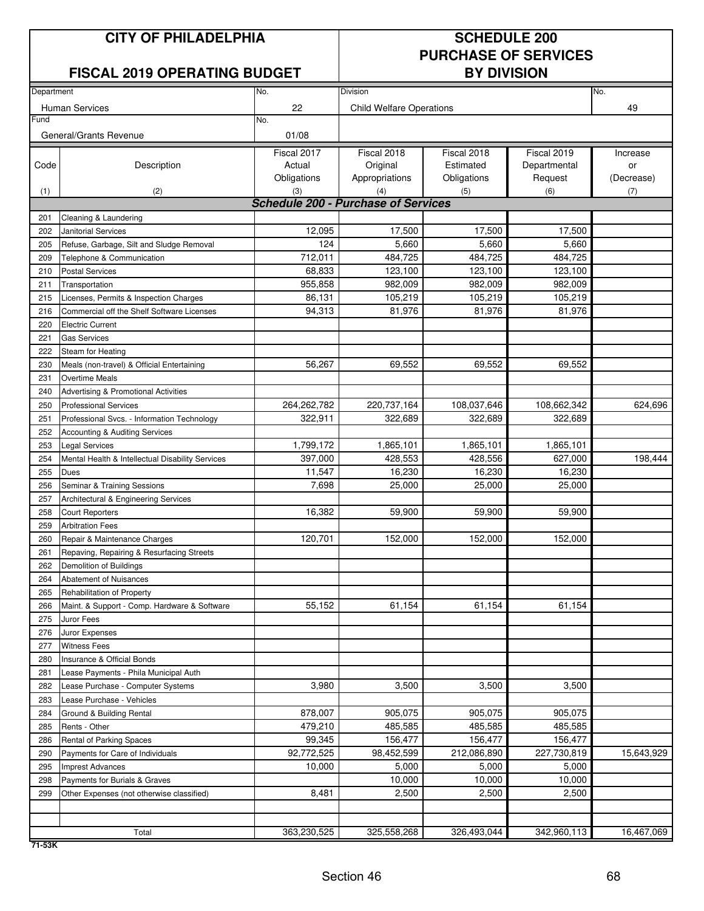### **CITY OF PHILADELPHIA** SCHEDULE 200

### **FISCAL 2019 OPERATING BUDGET**

## **PURCHASE OF SERVICES**

| Department |                                                  | Division                                   | No.                             |             |              |            |
|------------|--------------------------------------------------|--------------------------------------------|---------------------------------|-------------|--------------|------------|
|            |                                                  | No.                                        |                                 |             |              |            |
| Fund       | Human Services                                   | 22<br>No.                                  | <b>Child Welfare Operations</b> |             |              | 49         |
|            | General/Grants Revenue                           | 01/08                                      |                                 |             |              |            |
|            |                                                  | Fiscal 2017                                | Fiscal 2018                     | Fiscal 2018 | Fiscal 2019  | Increase   |
| Code       | Description                                      | Actual                                     | Original                        | Estimated   | Departmental | or         |
|            |                                                  | Obligations                                | Appropriations                  | Obligations | Request      | (Decrease) |
| (1)        | (2)                                              | (3)                                        | (4)                             | (5)         | (6)          | (7)        |
|            |                                                  | <b>Schedule 200 - Purchase of Services</b> |                                 |             |              |            |
| 201        | Cleaning & Laundering                            |                                            |                                 |             |              |            |
| 202        | <b>Janitorial Services</b>                       | 12,095                                     | 17,500                          | 17,500      | 17,500       |            |
| 205        | Refuse, Garbage, Silt and Sludge Removal         | 124                                        | 5,660                           | 5,660       | 5,660        |            |
| 209        | Telephone & Communication                        | 712,011                                    | 484,725                         | 484,725     | 484,725      |            |
| 210        | <b>Postal Services</b>                           | 68,833                                     | 123,100                         | 123,100     | 123,100      |            |
| 211        | Transportation                                   | 955,858                                    | 982,009                         | 982,009     | 982,009      |            |
| 215        | Licenses, Permits & Inspection Charges           | 86,131                                     | 105,219                         | 105,219     | 105,219      |            |
| 216        | Commercial off the Shelf Software Licenses       | 94,313                                     | 81,976                          | 81,976      | 81,976       |            |
| 220        | <b>Electric Current</b>                          |                                            |                                 |             |              |            |
| 221        | <b>Gas Services</b>                              |                                            |                                 |             |              |            |
| 222        | Steam for Heating                                |                                            |                                 |             |              |            |
| 230        | Meals (non-travel) & Official Entertaining       | 56,267                                     | 69,552                          | 69,552      | 69,552       |            |
| 231        | Overtime Meals                                   |                                            |                                 |             |              |            |
| 240        | Advertising & Promotional Activities             |                                            |                                 |             |              |            |
| 250        | <b>Professional Services</b>                     | 264,262,782                                | 220,737,164                     | 108,037,646 | 108,662,342  | 624,696    |
| 251        | Professional Svcs. - Information Technology      | 322,911                                    | 322,689                         | 322,689     | 322,689      |            |
| 252        | Accounting & Auditing Services                   |                                            |                                 |             |              |            |
| 253        | <b>Legal Services</b>                            | 1,799,172                                  | 1,865,101                       | 1,865,101   | 1,865,101    |            |
| 254        | Mental Health & Intellectual Disability Services | 397,000                                    | 428,553                         | 428,556     | 627,000      | 198,444    |
| 255        | <b>Dues</b>                                      | 11,547                                     | 16,230                          | 16,230      | 16,230       |            |
| 256        | Seminar & Training Sessions                      | 7,698                                      | 25,000                          | 25,000      | 25,000       |            |
| 257        | Architectural & Engineering Services             |                                            |                                 |             |              |            |
| 258        | <b>Court Reporters</b>                           | 16,382                                     | 59,900                          | 59,900      | 59,900       |            |
| 259        | <b>Arbitration Fees</b>                          |                                            |                                 |             |              |            |
| 260        | Repair & Maintenance Charges                     | 120,701                                    | 152,000                         | 152,000     | 152,000      |            |
| 261        | Repaving, Repairing & Resurfacing Streets        |                                            |                                 |             |              |            |
| 262        | Demolition of Buildings                          |                                            |                                 |             |              |            |
| 264        | <b>Abatement of Nuisances</b>                    |                                            |                                 |             |              |            |
| 265        | Rehabilitation of Property                       |                                            |                                 |             |              |            |
| 266        | Maint. & Support - Comp. Hardware & Software     | 55,152                                     | 61,154                          | 61,154      | 61,154       |            |
| 275        | Juror Fees                                       |                                            |                                 |             |              |            |
| 276        | Juror Expenses                                   |                                            |                                 |             |              |            |
| 277        | <b>Witness Fees</b>                              |                                            |                                 |             |              |            |
| 280        | Insurance & Official Bonds                       |                                            |                                 |             |              |            |
| 281        | Lease Payments - Phila Municipal Auth            |                                            |                                 |             |              |            |
| 282        | Lease Purchase - Computer Systems                | 3,980                                      | 3,500                           | 3,500       | 3,500        |            |
| 283        | Lease Purchase - Vehicles                        |                                            |                                 |             |              |            |
| 284        | Ground & Building Rental                         | 878,007                                    | 905,075                         | 905,075     | 905,075      |            |
| 285        | Rents - Other                                    | 479,210                                    | 485.585                         | 485,585     | 485,585      |            |
| 286        | <b>Rental of Parking Spaces</b>                  | 99,345                                     | 156,477                         | 156,477     | 156,477      |            |
| 290        | Payments for Care of Individuals                 | 92,772,525                                 | 98,452,599                      | 212,086,890 | 227,730,819  | 15,643,929 |
| 295        | <b>Imprest Advances</b>                          | 10,000                                     | 5,000                           | 5,000       | 5,000        |            |
| 298        | Payments for Burials & Graves                    |                                            | 10,000                          | 10,000      | 10,000       |            |
| 299        | Other Expenses (not otherwise classified)        | 8,481                                      | 2,500                           | 2,500       | 2,500        |            |
|            |                                                  |                                            |                                 |             |              |            |
|            |                                                  |                                            |                                 |             |              |            |
|            | Total                                            | 363,230,525                                | 325,558,268                     | 326,493,044 | 342,960,113  | 16,467,069 |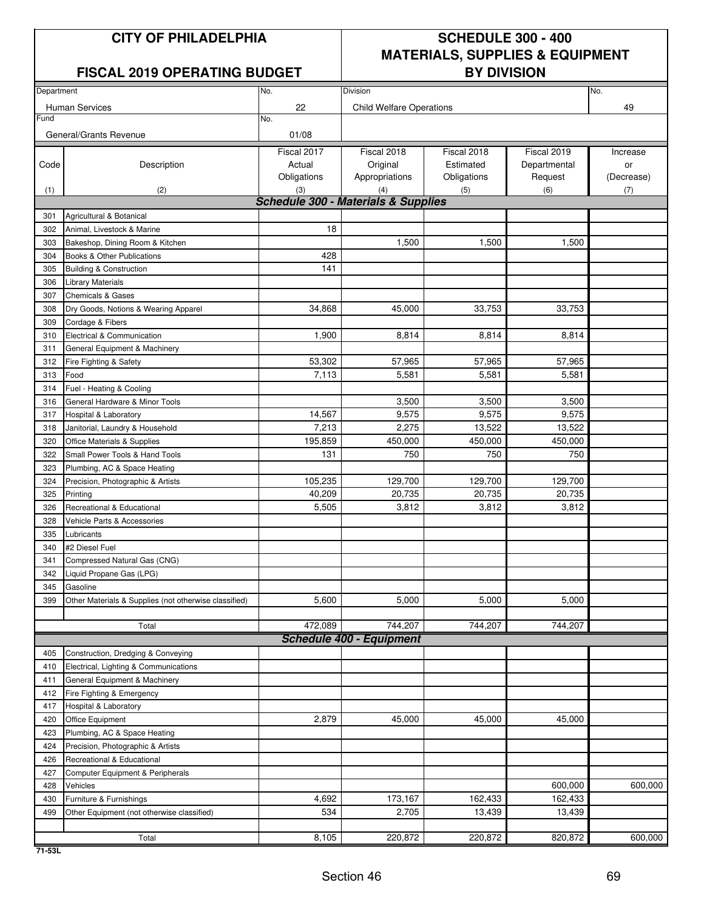### **FISCAL 2019 OPERATING BUDGET**

## **CITY OF PHILADELPHIA SCHEDULE 300 - 400 MATERIALS, SUPPLIES & EQUIPMENT**

| Department |                                                       | No.                                            | Division                        |             |              |            |  |  |  |
|------------|-------------------------------------------------------|------------------------------------------------|---------------------------------|-------------|--------------|------------|--|--|--|
|            |                                                       | 22                                             |                                 |             |              | No.<br>49  |  |  |  |
| Fund       | <b>Human Services</b>                                 | No.                                            | <b>Child Welfare Operations</b> |             |              |            |  |  |  |
|            |                                                       |                                                |                                 |             |              |            |  |  |  |
|            | General/Grants Revenue                                | 01/08                                          |                                 |             |              |            |  |  |  |
|            |                                                       | Fiscal 2017                                    | Fiscal 2018                     | Fiscal 2018 | Fiscal 2019  | Increase   |  |  |  |
| Code       | Description                                           | Actual                                         | Original                        | Estimated   | Departmental | or         |  |  |  |
|            |                                                       | Obligations                                    | Appropriations                  | Obligations | Request      | (Decrease) |  |  |  |
| (1)        | (2)                                                   | (3)                                            | (4)                             | (5)         | (6)          | (7)        |  |  |  |
|            |                                                       | <b>Schedule 300 - Materials &amp; Supplies</b> |                                 |             |              |            |  |  |  |
| 301        | Agricultural & Botanical                              |                                                |                                 |             |              |            |  |  |  |
| 302        | Animal, Livestock & Marine                            | 18                                             |                                 |             |              |            |  |  |  |
| 303        | Bakeshop, Dining Room & Kitchen                       |                                                | 1,500                           | 1,500       | 1,500        |            |  |  |  |
| 304        | Books & Other Publications                            | 428                                            |                                 |             |              |            |  |  |  |
| 305        | <b>Building &amp; Construction</b>                    | 141                                            |                                 |             |              |            |  |  |  |
| 306        | Library Materials                                     |                                                |                                 |             |              |            |  |  |  |
| 307        | <b>Chemicals &amp; Gases</b>                          |                                                |                                 |             |              |            |  |  |  |
| 308        | Dry Goods, Notions & Wearing Apparel                  | 34,868                                         | 45,000                          | 33,753      | 33,753       |            |  |  |  |
| 309        | Cordage & Fibers                                      |                                                |                                 |             |              |            |  |  |  |
| 310        | Electrical & Communication                            | 1,900                                          | 8,814                           | 8,814       | 8,814        |            |  |  |  |
| 311        | General Equipment & Machinery                         |                                                |                                 |             |              |            |  |  |  |
| 312        | Fire Fighting & Safety                                | 53,302                                         | 57,965                          | 57,965      | 57,965       |            |  |  |  |
| 313        | Food                                                  | 7,113                                          | 5,581                           | 5,581       | 5,581        |            |  |  |  |
| 314        | Fuel - Heating & Cooling                              |                                                |                                 |             |              |            |  |  |  |
| 316        | General Hardware & Minor Tools                        |                                                | 3,500                           | 3,500       | 3,500        |            |  |  |  |
| 317        | Hospital & Laboratory                                 | 14,567                                         | 9,575                           | 9,575       | 9,575        |            |  |  |  |
| 318        | Janitorial, Laundry & Household                       | 7,213                                          | 2,275                           | 13,522      | 13,522       |            |  |  |  |
| 320        | Office Materials & Supplies                           | 195,859                                        | 450,000                         | 450,000     | 450,000      |            |  |  |  |
| 322        | Small Power Tools & Hand Tools                        | 131                                            | 750                             | 750         | 750          |            |  |  |  |
| 323        | Plumbing, AC & Space Heating                          |                                                |                                 |             |              |            |  |  |  |
| 324        | Precision, Photographic & Artists                     | 105,235                                        | 129,700                         | 129,700     | 129,700      |            |  |  |  |
| 325        | Printing                                              | 40,209                                         | 20,735                          | 20,735      | 20,735       |            |  |  |  |
| 326        | Recreational & Educational                            | 5,505                                          | 3,812                           | 3,812       | 3,812        |            |  |  |  |
| 328        | <b>Vehicle Parts &amp; Accessories</b>                |                                                |                                 |             |              |            |  |  |  |
| 335        | Lubricants                                            |                                                |                                 |             |              |            |  |  |  |
| 340        | #2 Diesel Fuel                                        |                                                |                                 |             |              |            |  |  |  |
| 341        | Compressed Natural Gas (CNG)                          |                                                |                                 |             |              |            |  |  |  |
| 342        | Liquid Propane Gas (LPG)                              |                                                |                                 |             |              |            |  |  |  |
| 345        | Gasoline                                              |                                                |                                 |             |              |            |  |  |  |
| 399        | Other Materials & Supplies (not otherwise classified) | 5,600                                          | 5,000                           | 5,000       | 5,000        |            |  |  |  |
|            |                                                       |                                                |                                 |             |              |            |  |  |  |
|            | Total                                                 | 472,089                                        | 744,207                         | 744,207     | 744,207      |            |  |  |  |
|            |                                                       |                                                | <b>Schedule 400 - Equipment</b> |             |              |            |  |  |  |
| 405        | Construction, Dredging & Conveying                    |                                                |                                 |             |              |            |  |  |  |
| 410        | Electrical, Lighting & Communications                 |                                                |                                 |             |              |            |  |  |  |
| 411        | General Equipment & Machinery                         |                                                |                                 |             |              |            |  |  |  |
| 412        | Fire Fighting & Emergency                             |                                                |                                 |             |              |            |  |  |  |
| 417        | Hospital & Laboratory                                 |                                                |                                 |             |              |            |  |  |  |
| 420        | Office Equipment                                      | 2,879                                          | 45,000                          | 45,000      | 45,000       |            |  |  |  |
| 423        | Plumbing, AC & Space Heating                          |                                                |                                 |             |              |            |  |  |  |
| 424        | Precision, Photographic & Artists                     |                                                |                                 |             |              |            |  |  |  |
| 426        | Recreational & Educational                            |                                                |                                 |             |              |            |  |  |  |
| 427        | Computer Equipment & Peripherals                      |                                                |                                 |             |              |            |  |  |  |
| 428        | Vehicles                                              |                                                |                                 |             | 600,000      | 600,000    |  |  |  |
| 430        | Furniture & Furnishings                               | 4,692                                          | 173,167                         | 162,433     | 162,433      |            |  |  |  |
| 499        | Other Equipment (not otherwise classified)            | 534                                            | 2,705                           | 13,439      | 13,439       |            |  |  |  |
|            |                                                       |                                                |                                 |             |              |            |  |  |  |
|            | Total                                                 | 8,105                                          | 220,872                         | 220,872     | 820,872      | 600,000    |  |  |  |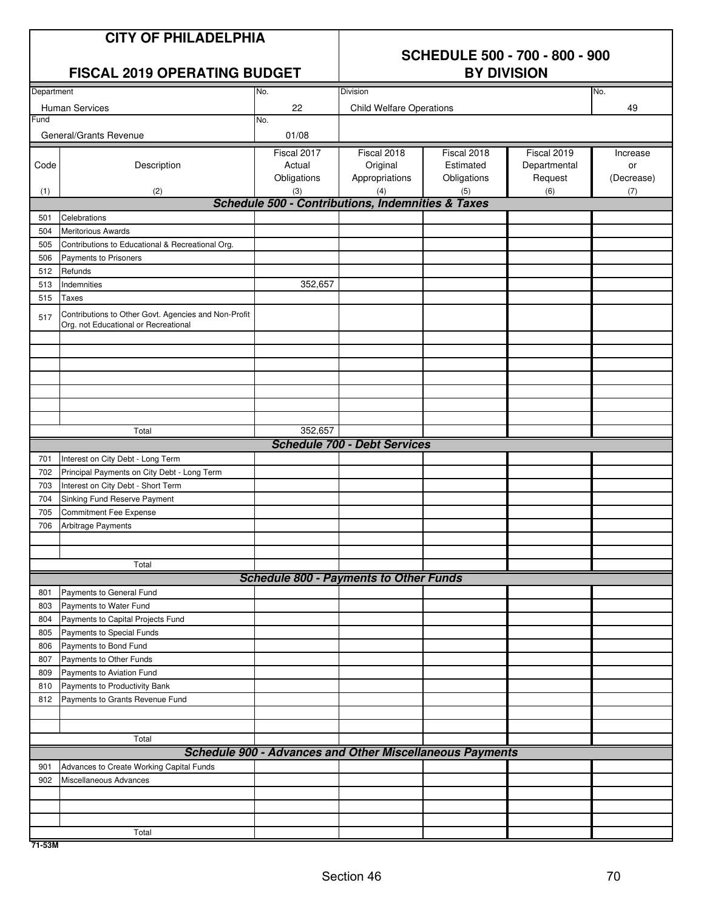### **CITY OF PHILADELPHIA**

## **SCHEDULE 500 - 700 - 800 - 900**

| <b>FISCAL 2019 OPERATING BUDGET</b> |                                                                           |             | <b>BY DIVISION</b>                                              |             |              |            |  |  |  |
|-------------------------------------|---------------------------------------------------------------------------|-------------|-----------------------------------------------------------------|-------------|--------------|------------|--|--|--|
| Department                          |                                                                           | No.         | Division                                                        |             |              | No.        |  |  |  |
|                                     | Human Services                                                            | 22          | <b>Child Welfare Operations</b>                                 |             |              | 49         |  |  |  |
| Fund                                |                                                                           | No.         |                                                                 |             |              |            |  |  |  |
|                                     | General/Grants Revenue                                                    | 01/08       |                                                                 |             |              |            |  |  |  |
|                                     |                                                                           | Fiscal 2017 | Fiscal 2018                                                     | Fiscal 2018 | Fiscal 2019  | Increase   |  |  |  |
| Code                                | Description                                                               | Actual      | Original                                                        | Estimated   | Departmental | or         |  |  |  |
|                                     |                                                                           | Obligations | Appropriations                                                  | Obligations | Request      | (Decrease) |  |  |  |
| (1)                                 | (2)                                                                       | (3)         | (4)                                                             | (5)         | (6)          | (7)        |  |  |  |
|                                     |                                                                           |             | <b>Schedule 500 - Contributions, Indemnities &amp; Taxes</b>    |             |              |            |  |  |  |
| 501                                 | Celebrations                                                              |             |                                                                 |             |              |            |  |  |  |
| 504                                 | <b>Meritorious Awards</b>                                                 |             |                                                                 |             |              |            |  |  |  |
| 505<br>506                          | Contributions to Educational & Recreational Org.<br>Payments to Prisoners |             |                                                                 |             |              |            |  |  |  |
| 512                                 | Refunds                                                                   |             |                                                                 |             |              |            |  |  |  |
| 513                                 | Indemnities                                                               | 352,657     |                                                                 |             |              |            |  |  |  |
| 515                                 | <b>Taxes</b>                                                              |             |                                                                 |             |              |            |  |  |  |
|                                     | Contributions to Other Govt. Agencies and Non-Profit                      |             |                                                                 |             |              |            |  |  |  |
| 517                                 | Org. not Educational or Recreational                                      |             |                                                                 |             |              |            |  |  |  |
|                                     |                                                                           |             |                                                                 |             |              |            |  |  |  |
|                                     |                                                                           |             |                                                                 |             |              |            |  |  |  |
|                                     |                                                                           |             |                                                                 |             |              |            |  |  |  |
|                                     |                                                                           |             |                                                                 |             |              |            |  |  |  |
|                                     |                                                                           |             |                                                                 |             |              |            |  |  |  |
|                                     |                                                                           |             |                                                                 |             |              |            |  |  |  |
|                                     |                                                                           | 352,657     |                                                                 |             |              |            |  |  |  |
|                                     | Total                                                                     |             | <b>Schedule 700 - Debt Services</b>                             |             |              |            |  |  |  |
| 701                                 | Interest on City Debt - Long Term                                         |             |                                                                 |             |              |            |  |  |  |
| 702                                 | Principal Payments on City Debt - Long Term                               |             |                                                                 |             |              |            |  |  |  |
| 703                                 | Interest on City Debt - Short Term                                        |             |                                                                 |             |              |            |  |  |  |
| 704                                 | Sinking Fund Reserve Payment                                              |             |                                                                 |             |              |            |  |  |  |
| 705                                 | <b>Commitment Fee Expense</b>                                             |             |                                                                 |             |              |            |  |  |  |
| 706                                 | Arbitrage Payments                                                        |             |                                                                 |             |              |            |  |  |  |
|                                     |                                                                           |             |                                                                 |             |              |            |  |  |  |
|                                     |                                                                           |             |                                                                 |             |              |            |  |  |  |
|                                     | Total                                                                     |             |                                                                 |             |              |            |  |  |  |
|                                     |                                                                           |             | <b>Schedule 800 - Payments to Other Funds</b>                   |             |              |            |  |  |  |
| 801                                 | Payments to General Fund                                                  |             |                                                                 |             |              |            |  |  |  |
| 803                                 | Payments to Water Fund                                                    |             |                                                                 |             |              |            |  |  |  |
| 804                                 | Payments to Capital Projects Fund                                         |             |                                                                 |             |              |            |  |  |  |
| 805<br>806                          | Payments to Special Funds<br>Payments to Bond Fund                        |             |                                                                 |             |              |            |  |  |  |
| 807                                 | Payments to Other Funds                                                   |             |                                                                 |             |              |            |  |  |  |
| 809                                 | Payments to Aviation Fund                                                 |             |                                                                 |             |              |            |  |  |  |
| 810                                 | Payments to Productivity Bank                                             |             |                                                                 |             |              |            |  |  |  |
| 812                                 | Payments to Grants Revenue Fund                                           |             |                                                                 |             |              |            |  |  |  |
|                                     |                                                                           |             |                                                                 |             |              |            |  |  |  |
|                                     |                                                                           |             |                                                                 |             |              |            |  |  |  |
|                                     | Total                                                                     |             |                                                                 |             |              |            |  |  |  |
|                                     |                                                                           |             | <b>Schedule 900 - Advances and Other Miscellaneous Payments</b> |             |              |            |  |  |  |
| 901                                 | Advances to Create Working Capital Funds                                  |             |                                                                 |             |              |            |  |  |  |
| 902                                 | Miscellaneous Advances                                                    |             |                                                                 |             |              |            |  |  |  |
|                                     |                                                                           |             |                                                                 |             |              |            |  |  |  |
|                                     |                                                                           |             |                                                                 |             |              |            |  |  |  |
|                                     | Total                                                                     |             |                                                                 |             |              |            |  |  |  |

**71-53M**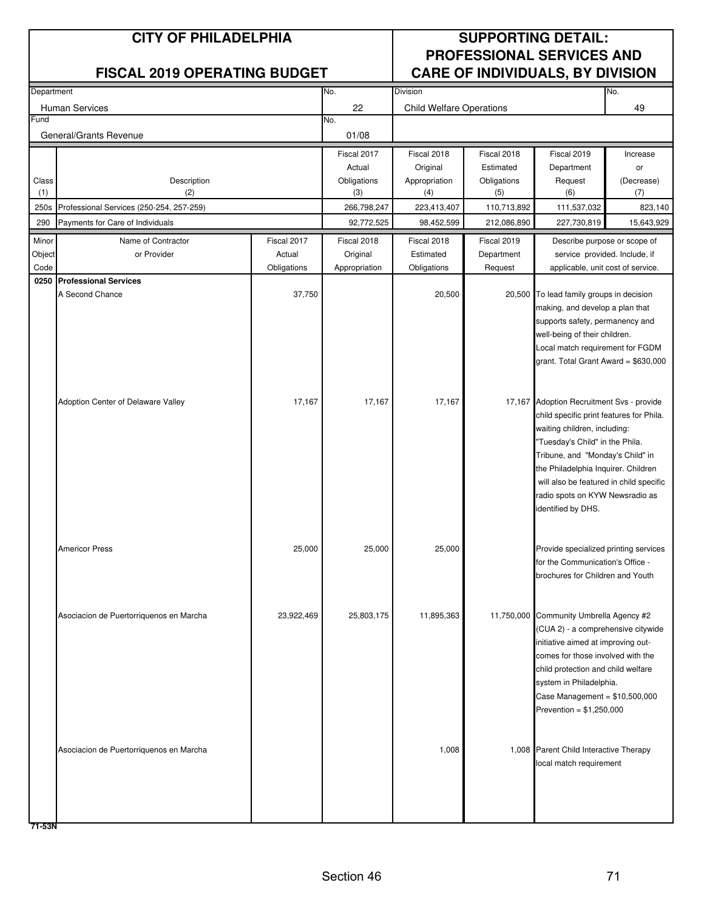| Department |                                              |             | No.           | Division                        |             |                                           | No.        |
|------------|----------------------------------------------|-------------|---------------|---------------------------------|-------------|-------------------------------------------|------------|
|            | <b>Human Services</b>                        |             | 22            | <b>Child Welfare Operations</b> |             |                                           | 49         |
| Fund       |                                              |             | No.           |                                 |             |                                           |            |
|            | General/Grants Revenue                       |             | 01/08         |                                 |             |                                           |            |
|            |                                              |             | Fiscal 2017   | Fiscal 2018                     | Fiscal 2018 | Fiscal 2019                               | Increase   |
|            |                                              |             | Actual        | Original                        | Estimated   | Department                                | or         |
| Class      | Description                                  |             | Obligations   | Appropriation                   | Obligations | Request                                   | (Decrease) |
| (1)        | (2)                                          |             | (3)           | (4)                             | (5)         | (6)                                       | (7)        |
| 250s       | Professional Services (250-254, 257-259)     |             | 266,798,247   | 223,413,407                     | 110,713,892 | 111,537,032                               | 823,140    |
| 290        | Payments for Care of Individuals             |             | 92,772,525    | 98,452,599                      | 212,086,890 | 227,730,819                               | 15,643,929 |
| Minor      | Name of Contractor                           | Fiscal 2017 | Fiscal 2018   | Fiscal 2018                     | Fiscal 2019 | Describe purpose or scope of              |            |
| Object     | or Provider                                  | Actual      | Original      | Estimated                       | Department  | service provided. Include, if             |            |
| Code       |                                              | Obligations | Appropriation | Obligations                     | Request     | applicable, unit cost of service.         |            |
|            | 0250 Professional Services                   |             |               |                                 |             |                                           |            |
|            | A Second Chance                              | 37,750      |               | 20,500                          |             | 20,500 To lead family groups in decision  |            |
|            |                                              |             |               |                                 |             | making, and develop a plan that           |            |
|            |                                              |             |               |                                 |             | supports safety, permanency and           |            |
|            |                                              |             |               |                                 |             | well-being of their children.             |            |
|            |                                              |             |               |                                 |             | Local match requirement for FGDM          |            |
|            |                                              |             |               |                                 |             | grant. Total Grant Award = \$630,000      |            |
|            |                                              |             |               |                                 |             |                                           |            |
|            | Adoption Center of Delaware Valley<br>17,167 |             | 17,167        | 17,167                          |             | 17,167 Adoption Recruitment Svs - provide |            |
|            |                                              |             |               |                                 |             | child specific print features for Phila.  |            |
|            |                                              |             |               |                                 |             | waiting children, including:              |            |
|            |                                              |             |               |                                 |             | "Tuesday's Child" in the Phila.           |            |
|            |                                              |             |               |                                 |             | Tribune, and "Monday's Child" in          |            |
|            |                                              |             |               |                                 |             | the Philadelphia Inquirer. Children       |            |
|            |                                              |             |               |                                 |             | will also be featured in child specific   |            |
|            |                                              |             |               |                                 |             | radio spots on KYW Newsradio as           |            |
|            |                                              |             |               |                                 |             | identified by DHS.                        |            |
|            |                                              |             |               |                                 |             |                                           |            |
|            | <b>Americor Press</b>                        | 25,000      | 25,000        | 25,000                          |             | Provide specialized printing services     |            |
|            |                                              |             |               |                                 |             | for the Communication's Office -          |            |
|            |                                              |             |               |                                 |             | brochures for Children and Youth          |            |
|            |                                              |             |               |                                 |             |                                           |            |
|            |                                              |             |               |                                 |             |                                           |            |
|            | Asociacion de Puertorriquenos en Marcha      | 23,922,469  | 25,803,175    | 11,895,363                      |             | 11,750,000 Community Umbrella Agency #2   |            |
|            |                                              |             |               |                                 |             | (CUA 2) - a comprehensive citywide        |            |
|            |                                              |             |               |                                 |             | initiative aimed at improving out-        |            |
|            |                                              |             |               |                                 |             | comes for those involved with the         |            |
|            |                                              |             |               |                                 |             | child protection and child welfare        |            |
|            |                                              |             |               |                                 |             | system in Philadelphia.                   |            |
|            |                                              |             |               |                                 |             | Case Management = $$10,500,000$           |            |
|            |                                              |             |               |                                 |             | Prevention = $$1,250,000$                 |            |
|            |                                              |             |               |                                 |             |                                           |            |
|            | Asociacion de Puertorriquenos en Marcha      |             |               | 1,008                           |             | 1,008 Parent Child Interactive Therapy    |            |
|            |                                              |             |               |                                 |             | local match requirement                   |            |
|            |                                              |             |               |                                 |             |                                           |            |
|            |                                              |             |               |                                 |             |                                           |            |
|            |                                              |             |               |                                 |             |                                           |            |
|            |                                              |             |               |                                 |             |                                           |            |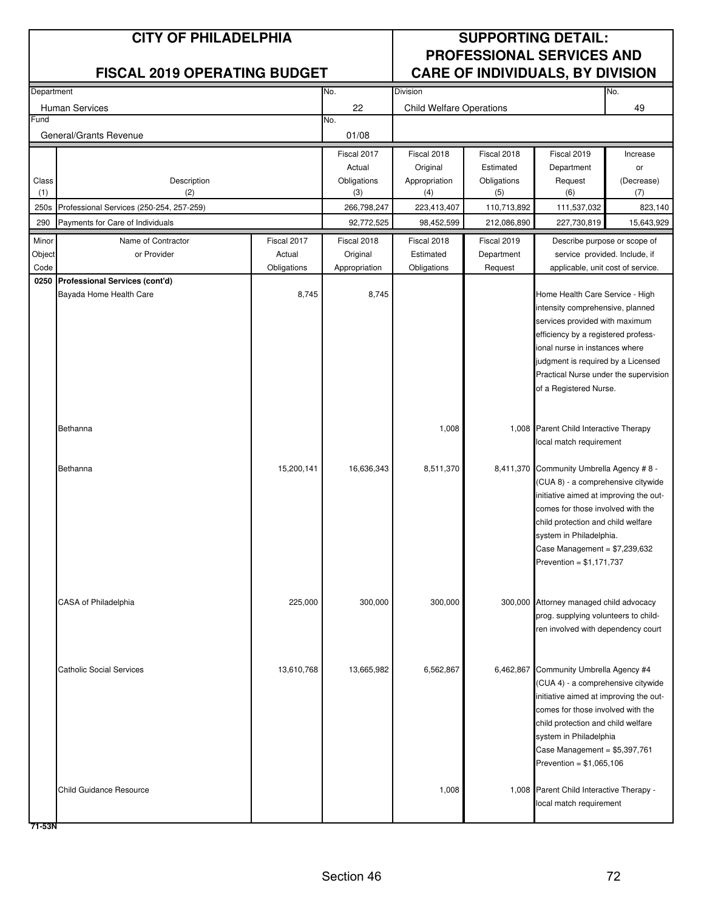| Department             |                                          | No.         | <b>Division</b> |                                 |             | No.                                                                          |            |
|------------------------|------------------------------------------|-------------|-----------------|---------------------------------|-------------|------------------------------------------------------------------------------|------------|
| <b>Human Services</b>  |                                          |             | 22              | <b>Child Welfare Operations</b> |             |                                                                              | 49         |
| Fund                   |                                          |             | No.             |                                 |             |                                                                              |            |
| General/Grants Revenue |                                          |             | 01/08           |                                 |             |                                                                              |            |
|                        |                                          |             | Fiscal 2017     | Fiscal 2018                     | Fiscal 2018 | Fiscal 2019                                                                  | Increase   |
|                        |                                          |             | Actual          | Original                        | Estimated   | Department                                                                   | or         |
| Class                  | Description                              |             | Obligations     | Appropriation                   | Obligations | Request                                                                      | (Decrease) |
| (1)                    | (2)                                      |             | (3)             | (4)                             | (5)         | (6)                                                                          | (7)        |
| 250s                   | Professional Services (250-254, 257-259) |             | 266,798,247     | 223,413,407                     | 110,713,892 | 111,537,032                                                                  | 823,140    |
| 290                    | Payments for Care of Individuals         |             | 92,772,525      | 98,452,599                      | 212,086,890 | 227,730,819                                                                  | 15,643,929 |
| Minor                  | Name of Contractor                       | Fiscal 2017 | Fiscal 2018     | Fiscal 2018                     | Fiscal 2019 | Describe purpose or scope of                                                 |            |
| Object                 | or Provider                              | Actual      | Original        | Estimated                       | Department  | service provided. Include, if                                                |            |
| Code                   |                                          | Obligations | Appropriation   | Obligations                     | Request     | applicable, unit cost of service.                                            |            |
|                        | 0250 Professional Services (cont'd)      |             |                 |                                 |             | Home Health Care Service - High                                              |            |
|                        | Bayada Home Health Care                  | 8,745       | 8,745           |                                 |             | intensity comprehensive, planned                                             |            |
|                        |                                          |             |                 |                                 |             |                                                                              |            |
|                        |                                          |             |                 |                                 |             | services provided with maximum<br>efficiency by a registered profess-        |            |
|                        |                                          |             |                 |                                 |             | ional nurse in instances where                                               |            |
|                        |                                          |             |                 |                                 |             | judgment is required by a Licensed                                           |            |
|                        |                                          |             |                 |                                 |             | Practical Nurse under the supervision                                        |            |
|                        |                                          |             |                 |                                 |             | of a Registered Nurse.                                                       |            |
|                        |                                          |             |                 |                                 |             |                                                                              |            |
|                        |                                          |             |                 |                                 |             |                                                                              |            |
|                        | Bethanna                                 |             |                 | 1,008                           |             | 1,008 Parent Child Interactive Therapy                                       |            |
|                        |                                          |             |                 |                                 |             | local match requirement                                                      |            |
|                        | Bethanna                                 | 15,200,141  | 16,636,343      | 8,511,370                       |             | 8,411,370 Community Umbrella Agency #8 -                                     |            |
|                        |                                          |             |                 |                                 |             | (CUA 8) - a comprehensive citywide                                           |            |
|                        |                                          |             |                 |                                 |             | initiative aimed at improving the out-                                       |            |
|                        |                                          |             |                 |                                 |             | comes for those involved with the                                            |            |
|                        |                                          |             |                 |                                 |             | child protection and child welfare                                           |            |
|                        |                                          |             |                 |                                 |             | system in Philadelphia.                                                      |            |
|                        |                                          |             |                 |                                 |             | Case Management = $$7,239,632$                                               |            |
|                        |                                          |             |                 |                                 |             | Prevention = $$1,171,737$                                                    |            |
|                        |                                          |             |                 |                                 |             |                                                                              |            |
|                        | <b>CASA of Philadelphia</b>              | 225,000     | 300,000         | 300,000                         |             | 300,000 Attorney managed child advocacy                                      |            |
|                        |                                          |             |                 |                                 |             | prog. supplying volunteers to child-                                         |            |
|                        |                                          |             |                 |                                 |             | ren involved with dependency court                                           |            |
|                        |                                          |             |                 |                                 |             |                                                                              |            |
|                        |                                          |             |                 |                                 |             |                                                                              |            |
|                        | <b>Catholic Social Services</b>          | 13,610,768  | 13,665,982      | 6,562,867                       |             | 6,462,867 Community Umbrella Agency #4                                       |            |
|                        |                                          |             |                 |                                 |             | (CUA 4) - a comprehensive citywide<br>initiative aimed at improving the out- |            |
|                        |                                          |             |                 |                                 |             | comes for those involved with the                                            |            |
|                        |                                          |             |                 |                                 |             | child protection and child welfare                                           |            |
|                        |                                          |             |                 |                                 |             | system in Philadelphia                                                       |            |
|                        |                                          |             |                 |                                 |             | Case Management = $$5,397,761$                                               |            |
|                        |                                          |             |                 |                                 |             | Prevention = $$1,065,106$                                                    |            |
|                        |                                          |             |                 |                                 |             |                                                                              |            |
|                        | <b>Child Guidance Resource</b>           |             |                 | 1,008                           |             | 1,008 Parent Child Interactive Therapy -                                     |            |
|                        |                                          |             |                 |                                 |             | local match requirement                                                      |            |
|                        |                                          |             |                 |                                 |             |                                                                              |            |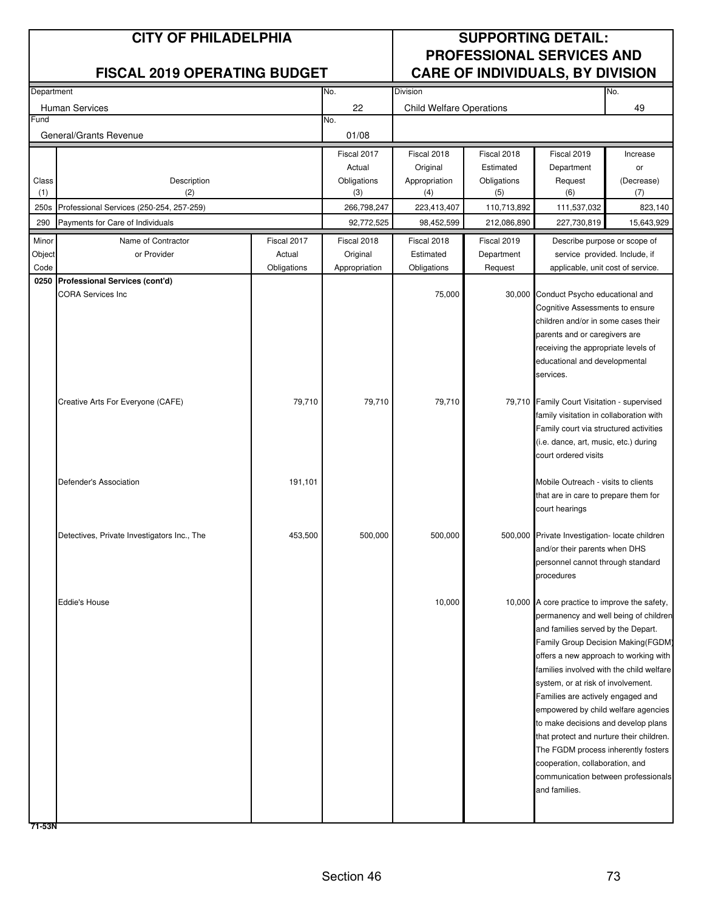| Department |                                             |             | No.           | <b>Division</b>                 |             |                                                                          | No.        |
|------------|---------------------------------------------|-------------|---------------|---------------------------------|-------------|--------------------------------------------------------------------------|------------|
|            | <b>Human Services</b>                       |             | 22            | <b>Child Welfare Operations</b> |             |                                                                          | 49         |
| Fund       |                                             |             | No.           |                                 |             |                                                                          |            |
|            | General/Grants Revenue                      |             | 01/08         |                                 |             |                                                                          |            |
|            |                                             |             | Fiscal 2017   | Fiscal 2018                     | Fiscal 2018 | Fiscal 2019                                                              | Increase   |
|            |                                             |             | Actual        | Original                        | Estimated   | Department                                                               | or         |
| Class      | Description                                 |             | Obligations   | Appropriation                   | Obligations | Request                                                                  | (Decrease) |
| (1)        | (2)                                         |             | (3)           | (4)                             | (5)         | (6)                                                                      | (7)        |
| 250s       | Professional Services (250-254, 257-259)    |             | 266,798,247   | 223,413,407                     | 110,713,892 | 111,537,032                                                              | 823,140    |
| 290        | Payments for Care of Individuals            |             | 92,772,525    | 98,452,599                      | 212,086,890 | 227,730,819                                                              | 15,643,929 |
| Minor      | Name of Contractor                          | Fiscal 2017 | Fiscal 2018   | Fiscal 2018                     | Fiscal 2019 | Describe purpose or scope of                                             |            |
| Object     | or Provider                                 | Actual      | Original      | Estimated                       | Department  | service provided. Include, if                                            |            |
| Code       |                                             | Obligations | Appropriation | Obligations                     | Request     | applicable, unit cost of service.                                        |            |
|            | 0250 Professional Services (cont'd)         |             |               |                                 |             |                                                                          |            |
|            | <b>CORA Services Inc</b>                    |             |               | 75,000                          |             | 30,000 Conduct Psycho educational and                                    |            |
|            |                                             |             |               |                                 |             | Cognitive Assessments to ensure                                          |            |
|            |                                             |             |               |                                 |             | children and/or in some cases their                                      |            |
|            |                                             |             |               |                                 |             | parents and or caregivers are                                            |            |
|            |                                             |             |               |                                 |             | receiving the appropriate levels of                                      |            |
|            |                                             |             |               |                                 |             | educational and developmental                                            |            |
|            |                                             |             |               |                                 |             | services.                                                                |            |
|            |                                             | 79,710      | 79,710        | 79,710                          |             | 79,710 Family Court Visitation - supervised                              |            |
|            | Creative Arts For Everyone (CAFE)           |             |               |                                 |             | family visitation in collaboration with                                  |            |
|            |                                             |             |               |                                 |             | Family court via structured activities                                   |            |
|            |                                             |             |               |                                 |             | (i.e. dance, art, music, etc.) during                                    |            |
|            |                                             |             |               |                                 |             | court ordered visits                                                     |            |
|            |                                             |             |               |                                 |             |                                                                          |            |
|            | Defender's Association                      | 191,101     |               |                                 |             | Mobile Outreach - visits to clients                                      |            |
|            |                                             |             |               |                                 |             | that are in care to prepare them for                                     |            |
|            |                                             |             |               |                                 |             | court hearings                                                           |            |
|            |                                             |             |               |                                 |             |                                                                          |            |
|            | Detectives, Private Investigators Inc., The | 453,500     | 500,000       | 500,000                         |             | 500,000 Private Investigation- locate children                           |            |
|            |                                             |             |               |                                 |             | and/or their parents when DHS                                            |            |
|            |                                             |             |               |                                 |             | personnel cannot through standard                                        |            |
|            |                                             |             |               |                                 |             | procedures                                                               |            |
|            |                                             |             |               |                                 |             |                                                                          |            |
|            | <b>Eddie's House</b>                        |             |               | 10,000                          |             | 10,000 A core practice to improve the safety,                            |            |
|            |                                             |             |               |                                 |             | permanency and well being of children                                    |            |
|            |                                             |             |               |                                 |             | and families served by the Depart.<br>Family Group Decision Making(FGDM) |            |
|            |                                             |             |               |                                 |             | offers a new approach to working with                                    |            |
|            |                                             |             |               |                                 |             | families involved with the child welfare                                 |            |
|            |                                             |             |               |                                 |             | system, or at risk of involvement.                                       |            |
|            |                                             |             |               |                                 |             | Families are actively engaged and                                        |            |
|            |                                             |             |               |                                 |             | empowered by child welfare agencies                                      |            |
|            |                                             |             |               |                                 |             | to make decisions and develop plans                                      |            |
|            |                                             |             |               |                                 |             | that protect and nurture their children.                                 |            |
|            |                                             |             |               |                                 |             | The FGDM process inherently fosters                                      |            |
|            |                                             |             |               |                                 |             | cooperation, collaboration, and                                          |            |
|            |                                             |             |               |                                 |             | communication between professionals                                      |            |
|            |                                             |             |               |                                 |             | and families.                                                            |            |
|            |                                             |             |               |                                 |             |                                                                          |            |
|            |                                             |             |               |                                 |             |                                                                          |            |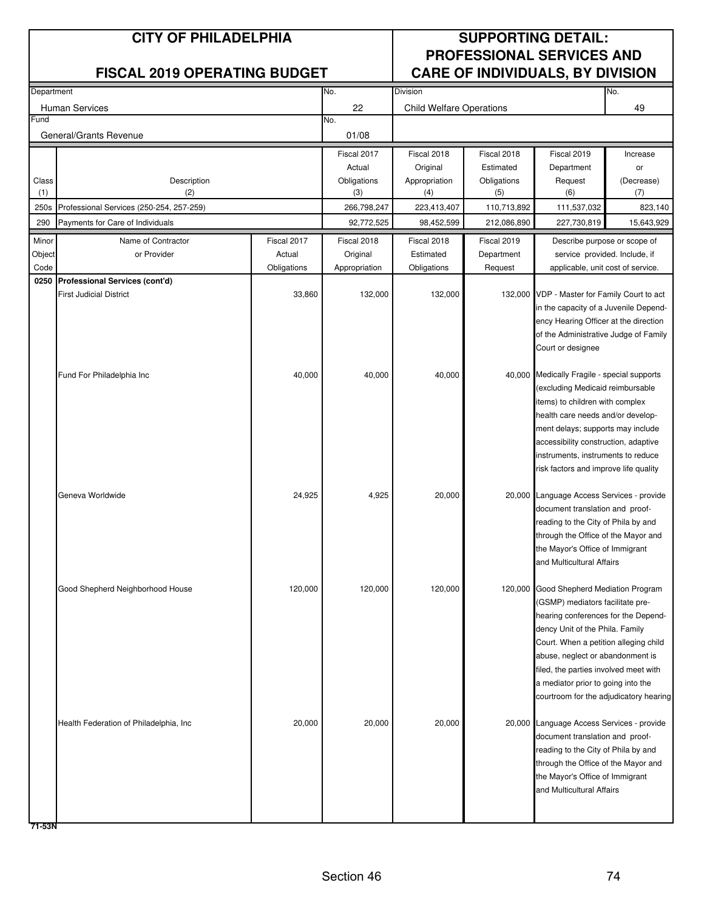| Department |                                                                       |             | No.           | Division                        |             |                                                                           | No.        |
|------------|-----------------------------------------------------------------------|-------------|---------------|---------------------------------|-------------|---------------------------------------------------------------------------|------------|
|            | <b>Human Services</b>                                                 |             | 22            | <b>Child Welfare Operations</b> |             |                                                                           | 49         |
| Fund       |                                                                       |             | No.           |                                 |             |                                                                           |            |
|            | General/Grants Revenue                                                |             | 01/08         |                                 |             |                                                                           |            |
|            |                                                                       |             | Fiscal 2017   | Fiscal 2018                     | Fiscal 2018 | Fiscal 2019                                                               | Increase   |
|            |                                                                       |             | Actual        | Original                        | Estimated   | Department                                                                | or         |
| Class      | Description                                                           |             | Obligations   | Appropriation                   | Obligations | Request                                                                   | (Decrease) |
| (1)        | (2)                                                                   |             | (3)           | (4)                             | (5)         | (6)                                                                       | (7)        |
| 250s       | Professional Services (250-254, 257-259)                              |             | 266,798,247   | 223,413,407                     | 110,713,892 | 111,537,032                                                               | 823,140    |
| 290        | Payments for Care of Individuals                                      |             | 92,772,525    | 98,452,599                      | 212,086,890 | 227,730,819                                                               | 15,643,929 |
| Minor      | Name of Contractor                                                    | Fiscal 2017 | Fiscal 2018   | Fiscal 2018                     | Fiscal 2019 | Describe purpose or scope of                                              |            |
| Object     | or Provider                                                           | Actual      | Original      | Estimated                       | Department  | service provided. Include, if                                             |            |
| Code       |                                                                       | Obligations | Appropriation | Obligations                     | Request     | applicable, unit cost of service.                                         |            |
|            | 0250 Professional Services (cont'd)<br><b>First Judicial District</b> | 33,860      | 132,000       | 132,000                         |             | 132,000 VDP - Master for Family Court to act                              |            |
|            |                                                                       |             |               |                                 |             | in the capacity of a Juvenile Depend-                                     |            |
|            |                                                                       |             |               |                                 |             | ency Hearing Officer at the direction                                     |            |
|            |                                                                       |             |               |                                 |             | of the Administrative Judge of Family                                     |            |
|            |                                                                       |             |               |                                 |             | Court or designee                                                         |            |
|            |                                                                       |             |               |                                 |             |                                                                           |            |
|            | Fund For Philadelphia Inc                                             | 40,000      | 40,000        | 40,000                          |             | 40,000 Medically Fragile - special supports                               |            |
|            |                                                                       |             |               |                                 |             | (excluding Medicaid reimbursable                                          |            |
|            |                                                                       |             |               |                                 |             | items) to children with complex                                           |            |
|            |                                                                       |             |               |                                 |             | health care needs and/or develop-                                         |            |
|            |                                                                       |             |               |                                 |             | ment delays; supports may include<br>accessibility construction, adaptive |            |
|            |                                                                       |             |               |                                 |             | instruments, instruments to reduce                                        |            |
|            |                                                                       |             |               |                                 |             | risk factors and improve life quality                                     |            |
|            |                                                                       |             |               |                                 |             |                                                                           |            |
|            | Geneva Worldwide                                                      | 24,925      | 4,925         | 20,000                          |             | 20,000 Language Access Services - provide                                 |            |
|            |                                                                       |             |               |                                 |             | document translation and proof-                                           |            |
|            |                                                                       |             |               |                                 |             | reading to the City of Phila by and                                       |            |
|            |                                                                       |             |               |                                 |             | through the Office of the Mayor and                                       |            |
|            |                                                                       |             |               |                                 |             | the Mayor's Office of Immigrant                                           |            |
|            |                                                                       |             |               |                                 |             | and Multicultural Affairs                                                 |            |
|            | Good Shepherd Neighborhood House                                      | 120,000     | 120,000       | 120,000                         |             | 120,000 Good Shepherd Mediation Program                                   |            |
|            |                                                                       |             |               |                                 |             | (GSMP) mediators facilitate pre-                                          |            |
|            |                                                                       |             |               |                                 |             | hearing conferences for the Depend-                                       |            |
|            |                                                                       |             |               |                                 |             | dency Unit of the Phila. Family                                           |            |
|            |                                                                       |             |               |                                 |             | Court. When a petition alleging child                                     |            |
|            |                                                                       |             |               |                                 |             | abuse, neglect or abandonment is                                          |            |
|            |                                                                       |             |               |                                 |             | filed, the parties involved meet with                                     |            |
|            |                                                                       |             |               |                                 |             | a mediator prior to going into the                                        |            |
|            |                                                                       |             |               |                                 |             | courtroom for the adjudicatory hearing                                    |            |
|            | Health Federation of Philadelphia, Inc.                               | 20,000      | 20,000        | 20,000                          |             | 20,000 Language Access Services - provide                                 |            |
|            |                                                                       |             |               |                                 |             | document translation and proof-                                           |            |
|            |                                                                       |             |               |                                 |             | reading to the City of Phila by and                                       |            |
|            |                                                                       |             |               |                                 |             | through the Office of the Mayor and                                       |            |
|            |                                                                       |             |               |                                 |             | the Mayor's Office of Immigrant                                           |            |
|            |                                                                       |             |               |                                 |             | and Multicultural Affairs                                                 |            |
|            |                                                                       |             |               |                                 |             |                                                                           |            |
|            |                                                                       |             |               |                                 |             |                                                                           |            |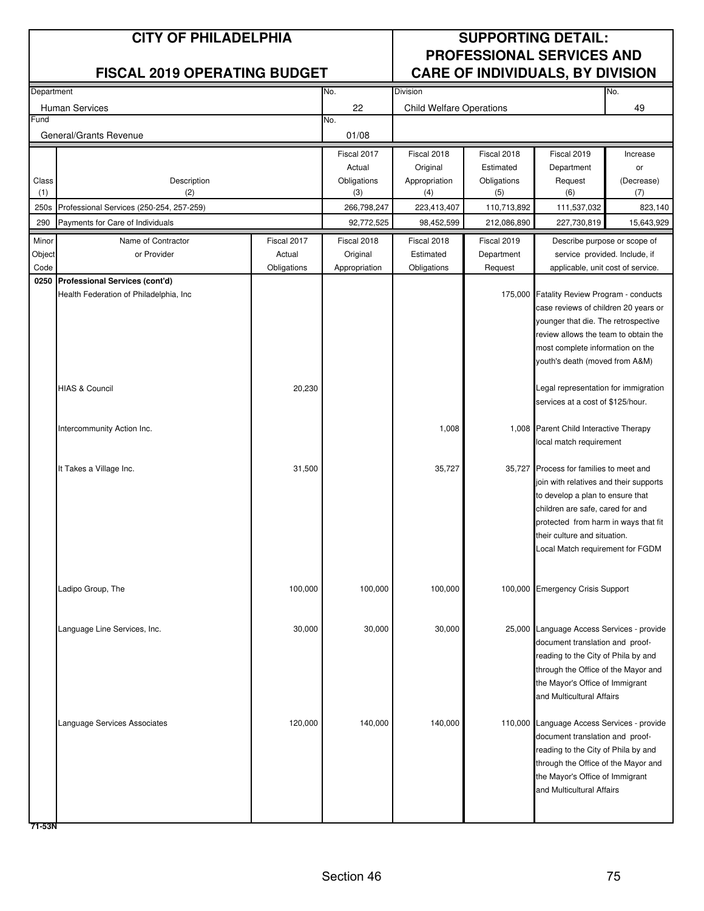| Department |                                          |             | No.           | Division                        |             |                                                                            | No.        |
|------------|------------------------------------------|-------------|---------------|---------------------------------|-------------|----------------------------------------------------------------------------|------------|
|            | Human Services                           |             | 22            | <b>Child Welfare Operations</b> |             |                                                                            | 49         |
| Fund       |                                          |             | No.           |                                 |             |                                                                            |            |
|            | General/Grants Revenue                   |             | 01/08         |                                 |             |                                                                            |            |
|            |                                          |             | Fiscal 2017   | Fiscal 2018                     | Fiscal 2018 | Fiscal 2019                                                                | Increase   |
|            |                                          |             | Actual        | Original                        | Estimated   | Department                                                                 | or         |
| Class      | Description                              |             | Obligations   | Appropriation                   | Obligations | Request                                                                    | (Decrease) |
| (1)        | (2)                                      |             | (3)           | (4)                             | (5)         | (6)                                                                        | (7)        |
| 250s       | Professional Services (250-254, 257-259) |             | 266,798,247   | 223,413,407                     | 110,713,892 | 111,537,032                                                                | 823,140    |
| 290        | Payments for Care of Individuals         |             | 92,772,525    | 98,452,599                      | 212,086,890 | 227,730,819                                                                | 15,643,929 |
| Minor      | Name of Contractor                       | Fiscal 2017 | Fiscal 2018   | Fiscal 2018                     | Fiscal 2019 | Describe purpose or scope of                                               |            |
| Object     | or Provider                              | Actual      | Original      | Estimated                       | Department  | service provided. Include, if                                              |            |
| Code       |                                          | Obligations | Appropriation | Obligations                     | Request     | applicable, unit cost of service.                                          |            |
| 0250       | Professional Services (cont'd)           |             |               |                                 |             |                                                                            |            |
|            | Health Federation of Philadelphia, Inc.  |             |               |                                 |             | 175,000 Fatality Review Program - conducts                                 |            |
|            |                                          |             |               |                                 |             | case reviews of children 20 years or                                       |            |
|            |                                          |             |               |                                 |             | younger that die. The retrospective                                        |            |
|            |                                          |             |               |                                 |             | review allows the team to obtain the                                       |            |
|            |                                          |             |               |                                 |             | most complete information on the                                           |            |
|            |                                          |             |               |                                 |             | youth's death (moved from A&M)                                             |            |
|            |                                          |             |               |                                 |             |                                                                            |            |
|            | <b>HIAS &amp; Council</b>                | 20,230      |               |                                 |             | Legal representation for immigration                                       |            |
|            |                                          |             |               |                                 |             | services at a cost of \$125/hour.                                          |            |
|            |                                          |             |               |                                 |             |                                                                            |            |
|            | Intercommunity Action Inc.               |             |               | 1,008                           |             | 1,008 Parent Child Interactive Therapy                                     |            |
|            |                                          |             |               |                                 |             | local match requirement                                                    |            |
|            |                                          |             |               |                                 |             |                                                                            |            |
|            | It Takes a Village Inc.                  | 31,500      |               | 35,727                          |             | 35,727 Process for families to meet and                                    |            |
|            |                                          |             |               |                                 |             | join with relatives and their supports<br>to develop a plan to ensure that |            |
|            |                                          |             |               |                                 |             | children are safe, cared for and                                           |            |
|            |                                          |             |               |                                 |             | protected from harm in ways that fit                                       |            |
|            |                                          |             |               |                                 |             | their culture and situation.                                               |            |
|            |                                          |             |               |                                 |             | -ocal Match requirement for FGDM                                           |            |
|            |                                          |             |               |                                 |             |                                                                            |            |
|            |                                          |             |               |                                 |             |                                                                            |            |
|            | Ladipo Group, The                        | 100,000     | 100,000       | 100,000                         |             | 100,000 Emergency Crisis Support                                           |            |
|            |                                          |             |               |                                 |             |                                                                            |            |
|            |                                          |             |               |                                 |             |                                                                            |            |
|            | Language Line Services, Inc.             | 30,000      | 30,000        | 30,000                          |             | 25,000 Language Access Services - provide                                  |            |
|            |                                          |             |               |                                 |             | document translation and proof-                                            |            |
|            |                                          |             |               |                                 |             | reading to the City of Phila by and                                        |            |
|            |                                          |             |               |                                 |             | through the Office of the Mayor and                                        |            |
|            |                                          |             |               |                                 |             | the Mayor's Office of Immigrant                                            |            |
|            |                                          |             |               |                                 |             | and Multicultural Affairs                                                  |            |
|            |                                          |             |               |                                 |             |                                                                            |            |
|            | Language Services Associates             | 120,000     | 140,000       | 140,000                         |             | 110,000 Language Access Services - provide                                 |            |
|            |                                          |             |               |                                 |             | document translation and proof-                                            |            |
|            |                                          |             |               |                                 |             | reading to the City of Phila by and                                        |            |
|            |                                          |             |               |                                 |             | through the Office of the Mayor and                                        |            |
|            |                                          |             |               |                                 |             | the Mayor's Office of Immigrant                                            |            |
|            |                                          |             |               |                                 |             | and Multicultural Affairs                                                  |            |
|            |                                          |             |               |                                 |             |                                                                            |            |
|            |                                          |             |               |                                 |             |                                                                            |            |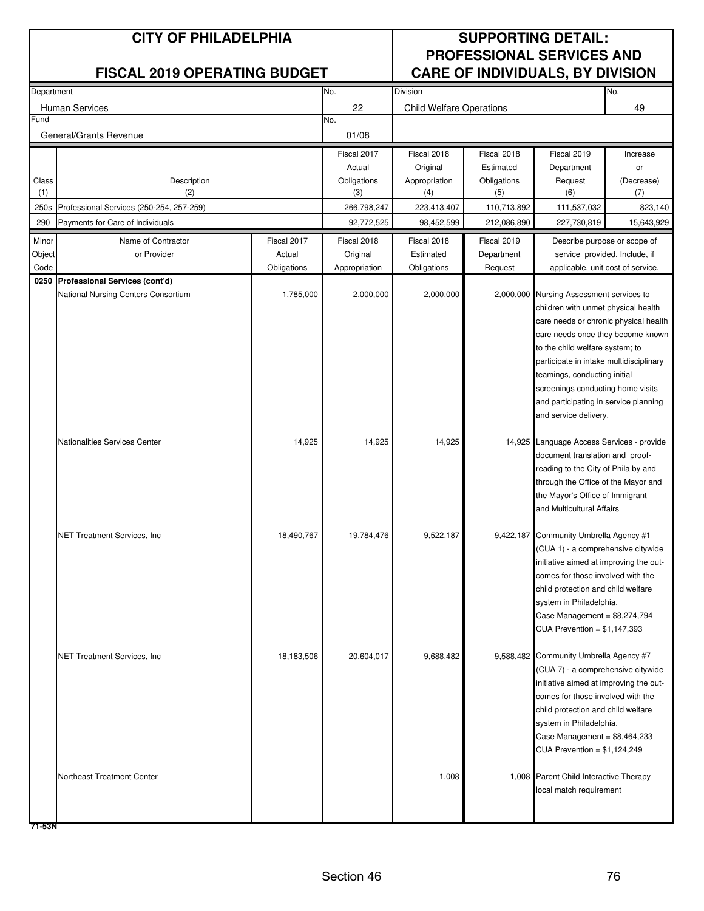| Department |                                          |             | No.           | Division                        |             |                                                                            | No.        |
|------------|------------------------------------------|-------------|---------------|---------------------------------|-------------|----------------------------------------------------------------------------|------------|
|            | <b>Human Services</b>                    |             | 22            | <b>Child Welfare Operations</b> |             |                                                                            | 49         |
| Fund       |                                          |             | No.           |                                 |             |                                                                            |            |
|            | General/Grants Revenue                   |             | 01/08         |                                 |             |                                                                            |            |
|            |                                          |             | Fiscal 2017   | Fiscal 2018                     | Fiscal 2018 | Fiscal 2019                                                                | Increase   |
|            |                                          |             | Actual        | Original                        | Estimated   | Department                                                                 | or         |
| Class      | Description                              |             | Obligations   | Appropriation                   | Obligations | Request                                                                    | (Decrease) |
| (1)        | (2)                                      |             | (3)           | (4)                             | (5)         | (6)                                                                        | (7)        |
| 250s       | Professional Services (250-254, 257-259) |             | 266,798,247   | 223,413,407                     | 110,713,892 | 111,537,032                                                                | 823,140    |
| 290        | Payments for Care of Individuals         |             | 92,772,525    | 98,452,599                      | 212,086,890 | 227,730,819                                                                | 15,643,929 |
| Minor      | Name of Contractor                       | Fiscal 2017 | Fiscal 2018   | Fiscal 2018                     | Fiscal 2019 | Describe purpose or scope of                                               |            |
| Object     | or Provider                              | Actual      | Original      | Estimated                       | Department  | service provided. Include, if                                              |            |
| Code       |                                          | Obligations | Appropriation | Obligations                     | Request     | applicable, unit cost of service.                                          |            |
|            | 0250 Professional Services (cont'd)      |             |               |                                 |             |                                                                            |            |
|            | National Nursing Centers Consortium      | 1,785,000   | 2,000,000     | 2,000,000                       |             | 2,000,000 Nursing Assessment services to                                   |            |
|            |                                          |             |               |                                 |             | children with unmet physical health                                        |            |
|            |                                          |             |               |                                 |             | care needs or chronic physical health<br>care needs once they become known |            |
|            |                                          |             |               |                                 |             | to the child welfare system; to                                            |            |
|            |                                          |             |               |                                 |             | participate in intake multidisciplinary                                    |            |
|            |                                          |             |               |                                 |             | teamings, conducting initial                                               |            |
|            |                                          |             |               |                                 |             | screenings conducting home visits                                          |            |
|            |                                          |             |               |                                 |             | and participating in service planning                                      |            |
|            |                                          |             |               |                                 |             | and service delivery.                                                      |            |
|            |                                          |             |               |                                 |             |                                                                            |            |
|            | Nationalities Services Center            | 14,925      | 14,925        | 14,925                          | 14,925      | Language Access Services - provide                                         |            |
|            |                                          |             |               |                                 |             | document translation and proof-<br>reading to the City of Phila by and     |            |
|            |                                          |             |               |                                 |             | through the Office of the Mayor and                                        |            |
|            |                                          |             |               |                                 |             | the Mayor's Office of Immigrant                                            |            |
|            |                                          |             |               |                                 |             | and Multicultural Affairs                                                  |            |
|            |                                          |             |               |                                 |             |                                                                            |            |
|            | <b>NET Treatment Services, Inc.</b>      | 18,490,767  | 19,784,476    | 9,522,187                       |             | 9,422,187 Community Umbrella Agency #1                                     |            |
|            |                                          |             |               |                                 |             | (CUA 1) - a comprehensive citywide                                         |            |
|            |                                          |             |               |                                 |             | initiative aimed at improving the out-                                     |            |
|            |                                          |             |               |                                 |             | comes for those involved with the                                          |            |
|            |                                          |             |               |                                 |             | child protection and child welfare<br>system in Philadelphia.              |            |
|            |                                          |             |               |                                 |             | Case Management = $$8,274,794$                                             |            |
|            |                                          |             |               |                                 |             | CUA Prevention = $$1,147,393$                                              |            |
|            |                                          |             |               |                                 |             |                                                                            |            |
|            | NET Treatment Services, Inc.             | 18,183,506  | 20,604,017    | 9,688,482                       |             | 9,588,482 Community Umbrella Agency #7                                     |            |
|            |                                          |             |               |                                 |             | (CUA 7) - a comprehensive citywide                                         |            |
|            |                                          |             |               |                                 |             | initiative aimed at improving the out-                                     |            |
|            |                                          |             |               |                                 |             | comes for those involved with the                                          |            |
|            |                                          |             |               |                                 |             | child protection and child welfare                                         |            |
|            |                                          |             |               |                                 |             | system in Philadelphia.                                                    |            |
|            |                                          |             |               |                                 |             | Case Management = $$8,464,233$<br>CUA Prevention = \$1,124,249             |            |
|            |                                          |             |               |                                 |             |                                                                            |            |
|            | Northeast Treatment Center               |             |               | 1,008                           |             | 1,008 Parent Child Interactive Therapy                                     |            |
|            |                                          |             |               |                                 |             | local match requirement                                                    |            |
|            |                                          |             |               |                                 |             |                                                                            |            |
|            |                                          |             |               |                                 |             |                                                                            |            |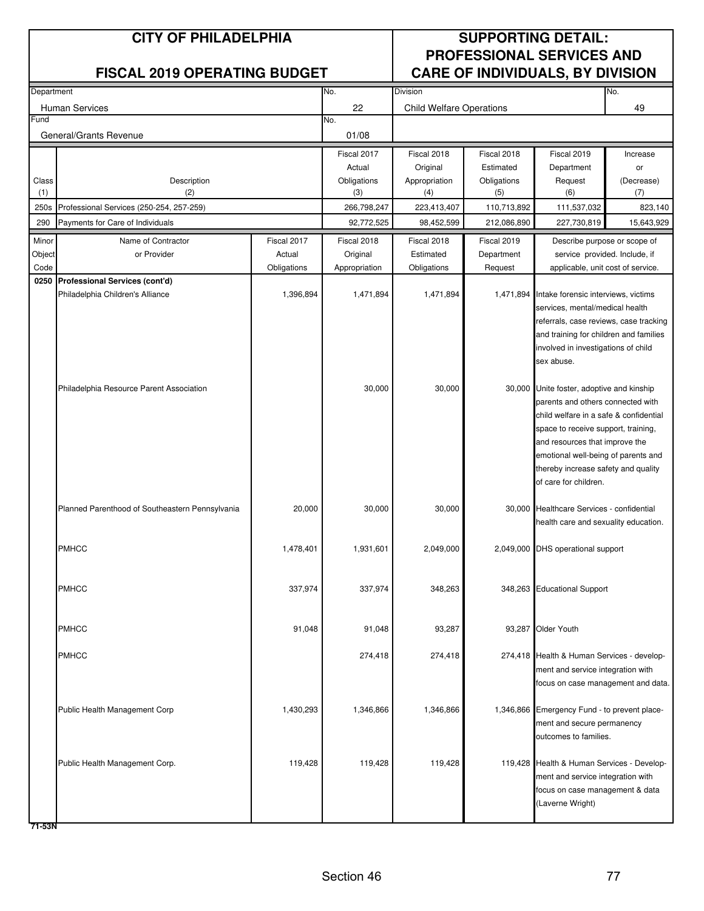| Department |                                                 |             | No.<br>Division |                                 |             |                                                                            | No.        |
|------------|-------------------------------------------------|-------------|-----------------|---------------------------------|-------------|----------------------------------------------------------------------------|------------|
|            | <b>Human Services</b>                           |             | 22              | <b>Child Welfare Operations</b> |             |                                                                            | 49         |
| Fund       |                                                 |             | No.             |                                 |             |                                                                            |            |
|            | General/Grants Revenue                          |             | 01/08           |                                 |             |                                                                            |            |
|            |                                                 |             | Fiscal 2017     | Fiscal 2018                     | Fiscal 2018 | Fiscal 2019                                                                | Increase   |
|            |                                                 |             | Actual          | Original                        | Estimated   | Department                                                                 | or         |
| Class      | Description                                     |             | Obligations     | Appropriation                   | Obligations | Request                                                                    | (Decrease) |
| (1)        | (2)                                             |             | (3)             | (4)                             | (5)         | (6)                                                                        | (7)        |
| 250s       | Professional Services (250-254, 257-259)        |             | 266,798,247     | 223,413,407                     | 110,713,892 | 111,537,032                                                                | 823,140    |
| 290        | Payments for Care of Individuals                |             | 92,772,525      | 98,452,599                      | 212,086,890 | 227,730,819                                                                | 15,643,929 |
| Minor      | Name of Contractor                              | Fiscal 2017 | Fiscal 2018     | Fiscal 2018                     | Fiscal 2019 | Describe purpose or scope of                                               |            |
| Object     | or Provider                                     | Actual      | Original        | Estimated                       | Department  | service provided. Include, if                                              |            |
| Code       |                                                 | Obligations | Appropriation   | Obligations                     | Request     | applicable, unit cost of service.                                          |            |
|            | 0250 Professional Services (cont'd)             |             |                 |                                 |             |                                                                            |            |
|            | Philadelphia Children's Alliance                | 1,396,894   | 1,471,894       | 1,471,894                       |             | 1,471,894 Intake forensic interviews, victims                              |            |
|            |                                                 |             |                 |                                 |             | services, mental/medical health<br>referrals, case reviews, case tracking  |            |
|            |                                                 |             |                 |                                 |             | and training for children and families                                     |            |
|            |                                                 |             |                 |                                 |             | involved in investigations of child                                        |            |
|            |                                                 |             |                 |                                 |             | sex abuse.                                                                 |            |
|            |                                                 |             |                 |                                 |             |                                                                            |            |
|            | Philadelphia Resource Parent Association        |             | 30,000          | 30,000                          |             | 30,000 Unite foster, adoptive and kinship                                  |            |
|            |                                                 |             |                 |                                 |             | parents and others connected with                                          |            |
|            |                                                 |             |                 |                                 |             | child welfare in a safe & confidential                                     |            |
|            |                                                 |             |                 |                                 |             | space to receive support, training,                                        |            |
|            |                                                 |             |                 |                                 |             | and resources that improve the                                             |            |
|            |                                                 |             |                 |                                 |             | emotional well-being of parents and<br>thereby increase safety and quality |            |
|            |                                                 |             |                 |                                 |             | of care for children.                                                      |            |
|            |                                                 |             |                 |                                 |             |                                                                            |            |
|            | Planned Parenthood of Southeastern Pennsylvania | 20,000      | 30,000          | 30,000                          |             | 30,000 Healthcare Services - confidential                                  |            |
|            |                                                 |             |                 |                                 |             | health care and sexuality education.                                       |            |
|            |                                                 |             |                 |                                 |             |                                                                            |            |
|            | <b>PMHCC</b>                                    | 1,478,401   | 1,931,601       | 2,049,000                       |             | 2,049,000 DHS operational support                                          |            |
|            |                                                 |             |                 |                                 |             |                                                                            |            |
|            | <b>PMHCC</b>                                    |             |                 |                                 |             |                                                                            |            |
|            |                                                 | 337,974     | 337,974         | 348,263                         |             | 348,263 Educational Support                                                |            |
|            |                                                 |             |                 |                                 |             |                                                                            |            |
|            | <b>PMHCC</b>                                    | 91,048      | 91,048          | 93,287                          |             | 93,287 Older Youth                                                         |            |
|            |                                                 |             |                 |                                 |             |                                                                            |            |
|            | <b>PMHCC</b>                                    |             | 274,418         | 274,418                         |             | 274,418 Health & Human Services - develop-                                 |            |
|            |                                                 |             |                 |                                 |             | ment and service integration with                                          |            |
|            |                                                 |             |                 |                                 |             | focus on case management and data.                                         |            |
|            |                                                 |             |                 |                                 |             |                                                                            |            |
|            | Public Health Management Corp                   | 1,430,293   | 1,346,866       | 1,346,866                       |             | 1,346,866 Emergency Fund - to prevent place-                               |            |
|            |                                                 |             |                 |                                 |             | ment and secure permanency<br>outcomes to families.                        |            |
|            |                                                 |             |                 |                                 |             |                                                                            |            |
|            | Public Health Management Corp.                  | 119,428     | 119,428         | 119,428                         |             | 119,428 Health & Human Services - Develop-                                 |            |
|            |                                                 |             |                 |                                 |             | ment and service integration with                                          |            |
|            |                                                 |             |                 |                                 |             | focus on case management & data                                            |            |
|            |                                                 |             |                 |                                 |             | (Laverne Wright)                                                           |            |
|            |                                                 |             |                 |                                 |             |                                                                            |            |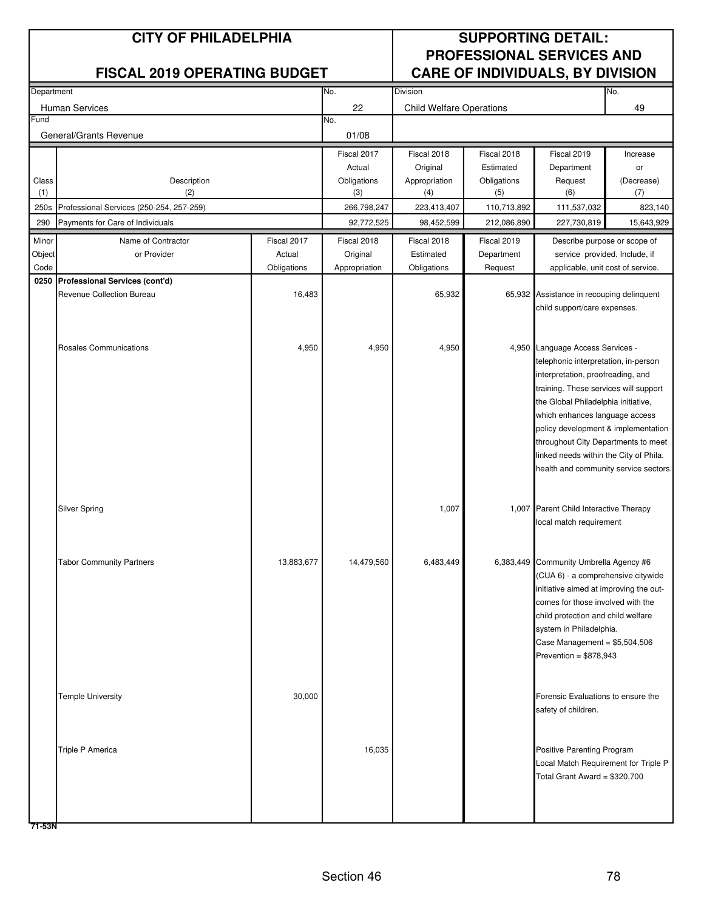| Department |                                          |             | No.           | Division                        |             |                                                                              | No.        |
|------------|------------------------------------------|-------------|---------------|---------------------------------|-------------|------------------------------------------------------------------------------|------------|
|            | <b>Human Services</b>                    |             | 22            | <b>Child Welfare Operations</b> |             |                                                                              | 49         |
| Fund       |                                          |             | No.           |                                 |             |                                                                              |            |
|            | General/Grants Revenue                   |             | 01/08         |                                 |             |                                                                              |            |
|            |                                          |             | Fiscal 2017   | Fiscal 2018                     | Fiscal 2018 | Fiscal 2019                                                                  | Increase   |
|            |                                          |             | Actual        | Original                        | Estimated   | Department                                                                   | or         |
| Class      | Description                              |             | Obligations   | Appropriation                   | Obligations | Request                                                                      | (Decrease) |
| (1)        | (2)                                      |             | (3)           | (4)                             | (5)         | (6)                                                                          | (7)        |
| 250s       | Professional Services (250-254, 257-259) |             | 266,798,247   | 223,413,407                     | 110,713,892 | 111,537,032                                                                  | 823,140    |
| 290        | Payments for Care of Individuals         |             | 92,772,525    | 98,452,599                      | 212,086,890 | 227,730,819                                                                  | 15,643,929 |
| Minor      | Name of Contractor                       | Fiscal 2017 | Fiscal 2018   | Fiscal 2018                     | Fiscal 2019 | Describe purpose or scope of                                                 |            |
| Object     | or Provider                              | Actual      | Original      | Estimated                       | Department  | service provided. Include, if                                                |            |
| Code       |                                          | Obligations | Appropriation | Obligations                     | Request     | applicable, unit cost of service.                                            |            |
| 0250       | Professional Services (cont'd)           |             |               |                                 |             |                                                                              |            |
|            | Revenue Collection Bureau                | 16,483      |               | 65,932                          |             | 65,932 Assistance in recouping delinquent                                    |            |
|            |                                          |             |               |                                 |             | child support/care expenses.                                                 |            |
|            |                                          |             |               |                                 |             |                                                                              |            |
|            |                                          |             |               |                                 |             |                                                                              |            |
|            | Rosales Communications                   | 4,950       | 4,950         | 4,950                           |             | 4,950 Language Access Services -                                             |            |
|            |                                          |             |               |                                 |             | telephonic interpretation, in-person<br>interpretation, proofreading, and    |            |
|            |                                          |             |               |                                 |             | training. These services will support                                        |            |
|            |                                          |             |               |                                 |             | the Global Philadelphia initiative,                                          |            |
|            |                                          |             |               |                                 |             | which enhances language access                                               |            |
|            |                                          |             |               |                                 |             | policy development & implementation                                          |            |
|            |                                          |             |               |                                 |             | throughout City Departments to meet                                          |            |
|            |                                          |             |               |                                 |             | linked needs within the City of Phila.                                       |            |
|            |                                          |             |               |                                 |             | health and community service sectors.                                        |            |
|            |                                          |             |               |                                 |             |                                                                              |            |
|            |                                          |             |               |                                 |             |                                                                              |            |
|            | Silver Spring                            |             |               | 1,007                           |             | 1,007 Parent Child Interactive Therapy                                       |            |
|            |                                          |             |               |                                 |             | local match requirement                                                      |            |
|            |                                          |             |               |                                 |             |                                                                              |            |
|            |                                          |             |               |                                 |             |                                                                              |            |
|            | <b>Tabor Community Partners</b>          | 13,883,677  | 14,479,560    | 6,483,449                       |             | 6,383,449 Community Umbrella Agency #6                                       |            |
|            |                                          |             |               |                                 |             | (CUA 6) - a comprehensive citywide<br>initiative aimed at improving the out- |            |
|            |                                          |             |               |                                 |             | comes for those involved with the                                            |            |
|            |                                          |             |               |                                 |             | child protection and child welfare                                           |            |
|            |                                          |             |               |                                 |             | system in Philadelphia.                                                      |            |
|            |                                          |             |               |                                 |             | Case Management = $$5,504,506$                                               |            |
|            |                                          |             |               |                                 |             | Prevention = $$878,943$                                                      |            |
|            |                                          |             |               |                                 |             |                                                                              |            |
|            |                                          |             |               |                                 |             |                                                                              |            |
|            | <b>Temple University</b>                 | 30,000      |               |                                 |             | Forensic Evaluations to ensure the                                           |            |
|            |                                          |             |               |                                 |             | safety of children.                                                          |            |
|            |                                          |             |               |                                 |             |                                                                              |            |
|            |                                          |             |               |                                 |             |                                                                              |            |
|            | Triple P America                         |             | 16,035        |                                 |             | Positive Parenting Program                                                   |            |
|            |                                          |             |               |                                 |             | Local Match Requirement for Triple P                                         |            |
|            |                                          |             |               |                                 |             | Total Grant Award = \$320,700                                                |            |
|            |                                          |             |               |                                 |             |                                                                              |            |
|            |                                          |             |               |                                 |             |                                                                              |            |
|            |                                          |             |               |                                 |             |                                                                              |            |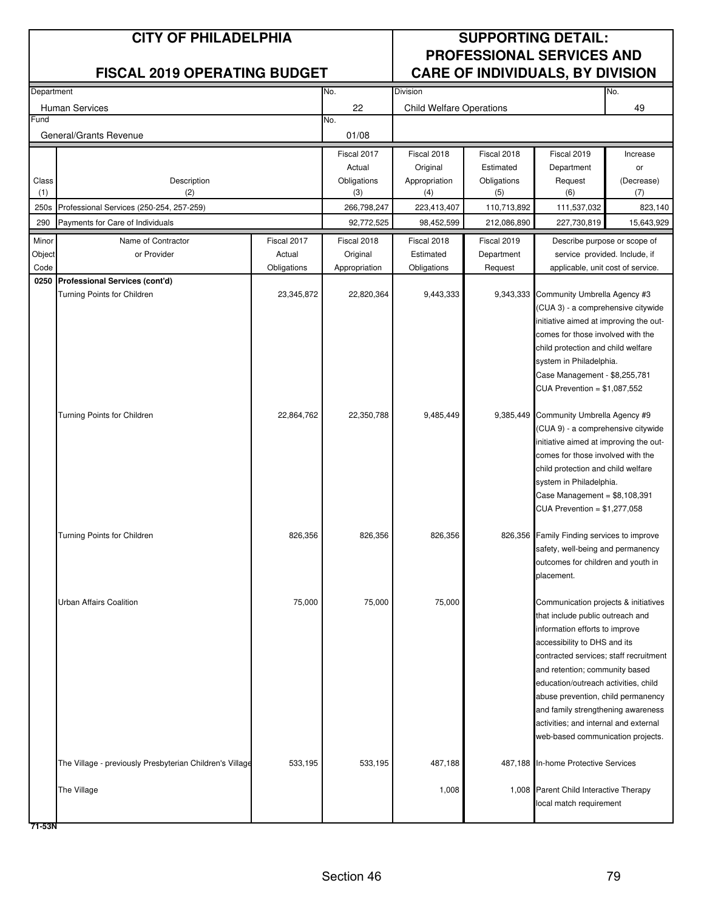| Department |                                                          |             | No.<br>Division |                                 |             |                                                                             | No.        |
|------------|----------------------------------------------------------|-------------|-----------------|---------------------------------|-------------|-----------------------------------------------------------------------------|------------|
|            | <b>Human Services</b>                                    |             | 22              | <b>Child Welfare Operations</b> |             |                                                                             | 49         |
| Fund       |                                                          |             | No.             |                                 |             |                                                                             |            |
|            | General/Grants Revenue                                   |             | 01/08           |                                 |             |                                                                             |            |
|            |                                                          |             | Fiscal 2017     | Fiscal 2018                     | Fiscal 2018 | Fiscal 2019                                                                 | Increase   |
|            |                                                          |             | Actual          | Original                        | Estimated   | Department                                                                  | or         |
| Class      | Description                                              |             | Obligations     | Appropriation                   | Obligations | Request                                                                     | (Decrease) |
| (1)        | (2)                                                      |             | (3)             | (4)                             | (5)         | (6)                                                                         | (7)        |
| 250s       | Professional Services (250-254, 257-259)                 |             | 266,798,247     | 223,413,407                     | 110,713,892 | 111,537,032                                                                 | 823,140    |
| 290        | Payments for Care of Individuals                         |             | 92,772,525      | 98,452,599                      | 212,086,890 | 227,730,819                                                                 | 15,643,929 |
| Minor      | Name of Contractor                                       | Fiscal 2017 | Fiscal 2018     | Fiscal 2018                     | Fiscal 2019 | Describe purpose or scope of                                                |            |
| Object     | or Provider                                              | Actual      | Original        | Estimated                       | Department  | service provided. Include, if                                               |            |
| Code       |                                                          | Obligations | Appropriation   | Obligations                     | Request     | applicable, unit cost of service.                                           |            |
| 0250       | Professional Services (cont'd)                           |             |                 |                                 |             |                                                                             |            |
|            | Turning Points for Children                              | 23,345,872  | 22,820,364      | 9,443,333                       |             | 9,343,333 Community Umbrella Agency #3                                      |            |
|            |                                                          |             |                 |                                 |             | (CUA 3) - a comprehensive citywide                                          |            |
|            |                                                          |             |                 |                                 |             | initiative aimed at improving the out-<br>comes for those involved with the |            |
|            |                                                          |             |                 |                                 |             | child protection and child welfare                                          |            |
|            |                                                          |             |                 |                                 |             | system in Philadelphia.                                                     |            |
|            |                                                          |             |                 |                                 |             | Case Management - \$8,255,781                                               |            |
|            |                                                          |             |                 |                                 |             | CUA Prevention = $$1,087,552$                                               |            |
|            |                                                          |             |                 |                                 |             |                                                                             |            |
|            | Turning Points for Children                              | 22,864,762  | 22,350,788      | 9,485,449                       |             | 9,385,449 Community Umbrella Agency #9                                      |            |
|            |                                                          |             |                 |                                 |             | (CUA 9) - a comprehensive citywide                                          |            |
|            |                                                          |             |                 |                                 |             | initiative aimed at improving the out-                                      |            |
|            |                                                          |             |                 |                                 |             | comes for those involved with the                                           |            |
|            |                                                          |             |                 |                                 |             | child protection and child welfare                                          |            |
|            |                                                          |             |                 |                                 |             | system in Philadelphia.                                                     |            |
|            |                                                          |             |                 |                                 |             | Case Management = $$8,108,391$                                              |            |
|            |                                                          |             |                 |                                 |             | CUA Prevention = $$1,277,058$                                               |            |
|            | Turning Points for Children                              | 826,356     | 826,356         | 826,356                         |             | 826,356 Family Finding services to improve                                  |            |
|            |                                                          |             |                 |                                 |             | safety, well-being and permanency                                           |            |
|            |                                                          |             |                 |                                 |             | outcomes for children and youth in                                          |            |
|            |                                                          |             |                 |                                 |             | placement.                                                                  |            |
|            |                                                          |             | 75,000          |                                 |             |                                                                             |            |
|            | Urban Affairs Coalition                                  | 75,000      |                 | 75,000                          |             | Communication projects & initiatives<br>that include public outreach and    |            |
|            |                                                          |             |                 |                                 |             | information efforts to improve                                              |            |
|            |                                                          |             |                 |                                 |             | accessibility to DHS and its                                                |            |
|            |                                                          |             |                 |                                 |             | contracted services; staff recruitment                                      |            |
|            |                                                          |             |                 |                                 |             | and retention; community based                                              |            |
|            |                                                          |             |                 |                                 |             | education/outreach activities, child                                        |            |
|            |                                                          |             |                 |                                 |             | abuse prevention, child permanency                                          |            |
|            |                                                          |             |                 |                                 |             | and family strengthening awareness                                          |            |
|            |                                                          |             |                 |                                 |             | activities; and internal and external                                       |            |
|            |                                                          |             |                 |                                 |             | web-based communication projects.                                           |            |
|            | The Village - previously Presbyterian Children's Village | 533,195     | 533,195         | 487,188                         | 487,188     | In-home Protective Services                                                 |            |
|            | The Village                                              |             |                 | 1,008                           |             | 1,008 Parent Child Interactive Therapy                                      |            |
|            |                                                          |             |                 |                                 |             | local match requirement                                                     |            |
|            |                                                          |             |                 |                                 |             |                                                                             |            |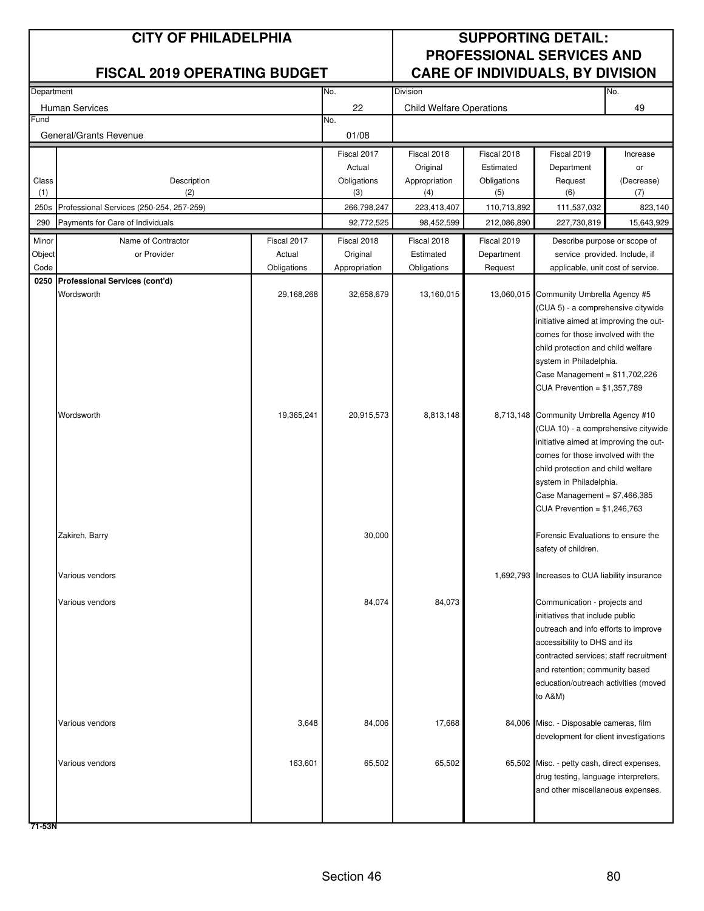| Department     |                                          |                       | Division<br>No.           |                                 |                            |                                                                    | No.        |
|----------------|------------------------------------------|-----------------------|---------------------------|---------------------------------|----------------------------|--------------------------------------------------------------------|------------|
|                | Human Services                           |                       | 22                        | <b>Child Welfare Operations</b> |                            |                                                                    | 49         |
| Fund           |                                          |                       | No.                       |                                 |                            |                                                                    |            |
|                | General/Grants Revenue                   |                       | 01/08                     |                                 |                            |                                                                    |            |
|                |                                          |                       | Fiscal 2017               | Fiscal 2018                     | Fiscal 2018                | Fiscal 2019                                                        | Increase   |
|                |                                          |                       | Actual                    | Original                        | Estimated                  | Department                                                         | or         |
| Class          | Description                              |                       | Obligations               | Appropriation                   | Obligations                | Request                                                            | (Decrease) |
| (1)            | (2)                                      |                       | (3)                       | (4)                             | (5)                        | (6)                                                                | (7)        |
| 250s           | Professional Services (250-254, 257-259) |                       | 266,798,247               | 223,413,407                     | 110,713,892<br>212,086,890 | 111,537,032<br>227,730,819                                         | 823,140    |
| 290            | Payments for Care of Individuals         |                       | 92,772,525                | 98,452,599                      |                            |                                                                    | 15,643,929 |
| Minor          | Name of Contractor                       | Fiscal 2017           | Fiscal 2018               | Fiscal 2018                     | Fiscal 2019                | Describe purpose or scope of                                       |            |
| Object<br>Code | or Provider                              | Actual<br>Obligations | Original<br>Appropriation | Estimated<br>Obligations        | Department<br>Request      | service provided. Include, if<br>applicable, unit cost of service. |            |
| 0250           | Professional Services (cont'd)           |                       |                           |                                 |                            |                                                                    |            |
|                | Wordsworth                               | 29,168,268            | 32,658,679                | 13,160,015                      |                            | 13,060,015 Community Umbrella Agency #5                            |            |
|                |                                          |                       |                           |                                 |                            | (CUA 5) - a comprehensive citywide                                 |            |
|                |                                          |                       |                           |                                 |                            | initiative aimed at improving the out-                             |            |
|                |                                          |                       |                           |                                 |                            | comes for those involved with the                                  |            |
|                |                                          |                       |                           |                                 |                            | child protection and child welfare                                 |            |
|                |                                          |                       |                           |                                 |                            | system in Philadelphia.                                            |            |
|                |                                          |                       |                           |                                 |                            | Case Management = $$11,702,226$<br>CUA Prevention = \$1,357,789    |            |
|                |                                          |                       |                           |                                 |                            |                                                                    |            |
|                | Wordsworth                               | 19,365,241            | 20,915,573                | 8,813,148                       |                            | 8,713,148 Community Umbrella Agency #10                            |            |
|                |                                          |                       |                           |                                 |                            | (CUA 10) - a comprehensive citywide                                |            |
|                |                                          |                       |                           |                                 |                            | initiative aimed at improving the out-                             |            |
|                |                                          |                       |                           |                                 |                            | comes for those involved with the                                  |            |
|                |                                          |                       |                           |                                 |                            | child protection and child welfare                                 |            |
|                |                                          |                       |                           |                                 |                            | system in Philadelphia.<br>Case Management = $$7,466,385$          |            |
|                |                                          |                       |                           |                                 |                            | CUA Prevention = \$1,246,763                                       |            |
|                |                                          |                       |                           |                                 |                            |                                                                    |            |
|                | Zakireh, Barry                           |                       | 30,000                    |                                 |                            | Forensic Evaluations to ensure the                                 |            |
|                |                                          |                       |                           |                                 |                            | safety of children.                                                |            |
|                |                                          |                       |                           |                                 |                            |                                                                    |            |
|                | Various vendors                          |                       |                           |                                 |                            | 1,692,793 Increases to CUA liability insurance                     |            |
|                | Various vendors                          |                       | 84,074                    | 84,073                          |                            | Communication - projects and                                       |            |
|                |                                          |                       |                           |                                 |                            | initiatives that include public                                    |            |
|                |                                          |                       |                           |                                 |                            | outreach and info efforts to improve                               |            |
|                |                                          |                       |                           |                                 |                            | accessibility to DHS and its                                       |            |
|                |                                          |                       |                           |                                 |                            | contracted services; staff recruitment                             |            |
|                |                                          |                       |                           |                                 |                            | and retention; community based                                     |            |
|                |                                          |                       |                           |                                 |                            | education/outreach activities (moved                               |            |
|                |                                          |                       |                           |                                 |                            | to A&M)                                                            |            |
|                | Various vendors                          | 3,648                 | 84,006                    | 17,668                          |                            | 84,006 Misc. - Disposable cameras, film                            |            |
|                |                                          |                       |                           |                                 |                            | development for client investigations                              |            |
|                |                                          |                       |                           |                                 |                            |                                                                    |            |
|                | Various vendors                          | 163,601               | 65,502                    | 65,502                          |                            | 65,502 Misc. - petty cash, direct expenses,                        |            |
|                |                                          |                       |                           |                                 |                            | drug testing, language interpreters,                               |            |
|                |                                          |                       |                           |                                 |                            | and other miscellaneous expenses.                                  |            |
|                |                                          |                       |                           |                                 |                            |                                                                    |            |
|                |                                          |                       |                           |                                 |                            |                                                                    |            |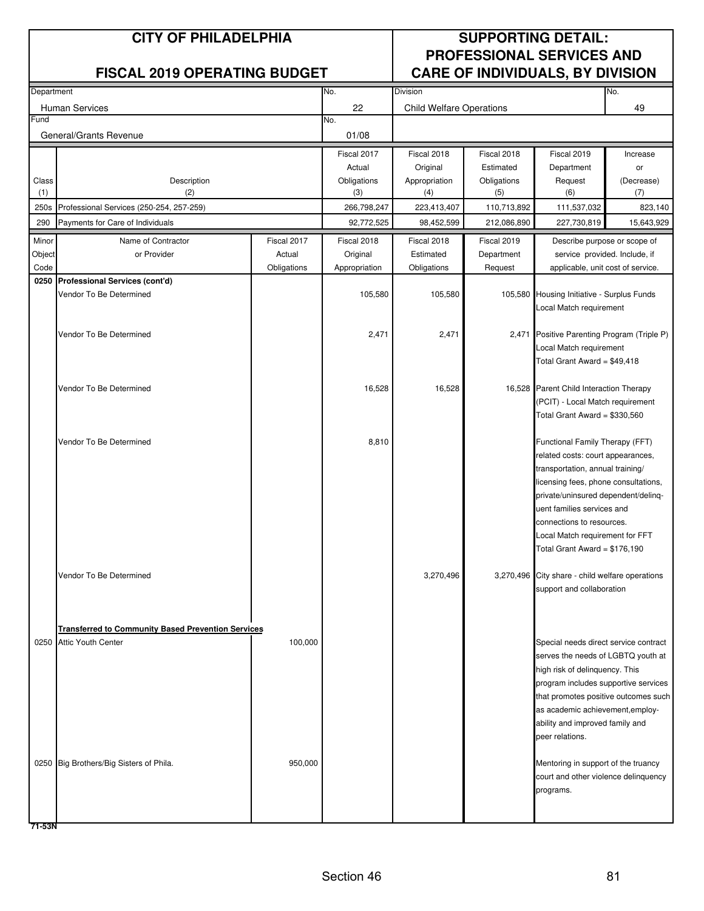| Department |                                                           |             | No.           | Division                        |             |                                                                             | No.                           |
|------------|-----------------------------------------------------------|-------------|---------------|---------------------------------|-------------|-----------------------------------------------------------------------------|-------------------------------|
|            | <b>Human Services</b>                                     |             | 22            | <b>Child Welfare Operations</b> |             |                                                                             | 49                            |
| Fund       |                                                           |             | No.           |                                 |             |                                                                             |                               |
|            | General/Grants Revenue                                    |             | 01/08         |                                 |             |                                                                             |                               |
|            |                                                           |             | Fiscal 2017   | Fiscal 2018                     | Fiscal 2018 | Fiscal 2019                                                                 | Increase                      |
|            |                                                           |             | Actual        | Original                        | Estimated   | Department                                                                  | or                            |
| Class      | Description                                               |             | Obligations   | Appropriation                   | Obligations | Request                                                                     | (Decrease)                    |
| (1)        | (2)                                                       |             | (3)           | (4)                             | (5)         | (6)                                                                         | (7)                           |
| 250s       | Professional Services (250-254, 257-259)                  |             | 266,798,247   | 223,413,407                     | 110,713,892 | 111,537,032                                                                 | 823,140                       |
| 290        | Payments for Care of Individuals                          |             | 92,772,525    | 98,452,599                      | 212,086,890 | 227,730,819                                                                 | 15,643,929                    |
| Minor      | Name of Contractor                                        | Fiscal 2017 | Fiscal 2018   | Fiscal 2018                     | Fiscal 2019 | Describe purpose or scope of                                                |                               |
| Object     | or Provider                                               | Actual      | Original      | Estimated                       | Department  |                                                                             | service provided. Include, if |
| Code       |                                                           | Obligations | Appropriation | Obligations                     | Request     | applicable, unit cost of service.                                           |                               |
| 0250       | Professional Services (cont'd)                            |             |               |                                 |             |                                                                             |                               |
|            | Vendor To Be Determined                                   |             | 105,580       | 105,580                         |             | 105,580 Housing Initiative - Surplus Funds                                  |                               |
|            |                                                           |             |               |                                 |             | Local Match requirement                                                     |                               |
|            | Vendor To Be Determined                                   |             | 2,471         | 2,471                           |             | 2,471 Positive Parenting Program (Triple P)                                 |                               |
|            |                                                           |             |               |                                 |             | Local Match requirement                                                     |                               |
|            |                                                           |             |               |                                 |             | Total Grant Award = $$49,418$                                               |                               |
|            |                                                           |             |               |                                 |             |                                                                             |                               |
|            | Vendor To Be Determined                                   |             | 16,528        | 16,528                          |             | 16,528 Parent Child Interaction Therapy                                     |                               |
|            |                                                           |             |               |                                 |             | (PCIT) - Local Match requirement                                            |                               |
|            |                                                           |             |               |                                 |             | Total Grant Award = \$330,560                                               |                               |
|            |                                                           |             |               |                                 |             |                                                                             |                               |
|            | Vendor To Be Determined                                   |             | 8,810         |                                 |             | Functional Family Therapy (FFT)                                             |                               |
|            |                                                           |             |               |                                 |             | related costs: court appearances,<br>transportation, annual training/       |                               |
|            |                                                           |             |               |                                 |             | licensing fees, phone consultations,                                        |                               |
|            |                                                           |             |               |                                 |             | private/uninsured dependent/delinq-                                         |                               |
|            |                                                           |             |               |                                 |             | uent families services and                                                  |                               |
|            |                                                           |             |               |                                 |             | connections to resources.                                                   |                               |
|            |                                                           |             |               |                                 |             | Local Match requirement for FFT                                             |                               |
|            |                                                           |             |               |                                 |             | Total Grant Award = \$176,190                                               |                               |
|            |                                                           |             |               |                                 |             |                                                                             |                               |
|            | Vendor To Be Determined                                   |             |               | 3,270,496                       |             | 3,270,496 City share - child welfare operations                             |                               |
|            |                                                           |             |               |                                 |             | support and collaboration                                                   |                               |
|            |                                                           |             |               |                                 |             |                                                                             |                               |
|            | <b>Transferred to Community Based Prevention Services</b> |             |               |                                 |             |                                                                             |                               |
|            | 0250 Attic Youth Center                                   | 100,000     |               |                                 |             | Special needs direct service contract                                       |                               |
|            |                                                           |             |               |                                 |             | serves the needs of LGBTQ youth at                                          |                               |
|            |                                                           |             |               |                                 |             | high risk of delinquency. This                                              |                               |
|            |                                                           |             |               |                                 |             | program includes supportive services                                        |                               |
|            |                                                           |             |               |                                 |             | that promotes positive outcomes such                                        |                               |
|            |                                                           |             |               |                                 |             | as academic achievement, employ-                                            |                               |
|            |                                                           |             |               |                                 |             | ability and improved family and                                             |                               |
|            |                                                           |             |               |                                 |             | peer relations.                                                             |                               |
|            |                                                           |             |               |                                 |             |                                                                             |                               |
|            | 0250 Big Brothers/Big Sisters of Phila.                   | 950,000     |               |                                 |             | Mentoring in support of the truancy<br>court and other violence delinquency |                               |
|            |                                                           |             |               |                                 |             | programs.                                                                   |                               |
|            |                                                           |             |               |                                 |             |                                                                             |                               |
|            |                                                           |             |               |                                 |             |                                                                             |                               |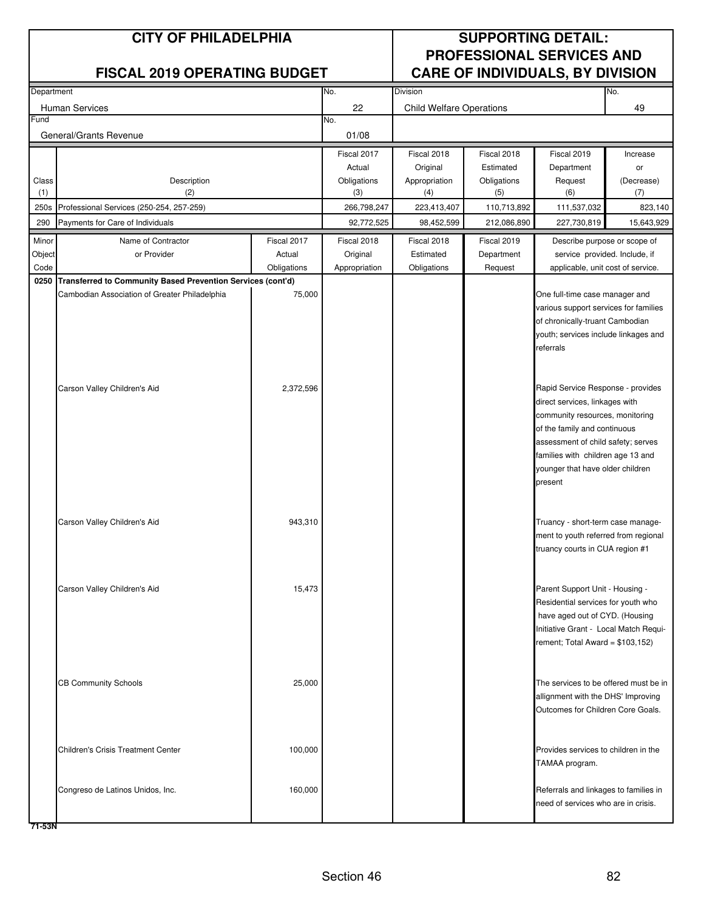| Department   |                                                                  |             | No.                | Division                        |                    |                                                                      | No.               |
|--------------|------------------------------------------------------------------|-------------|--------------------|---------------------------------|--------------------|----------------------------------------------------------------------|-------------------|
|              |                                                                  |             |                    |                                 |                    |                                                                      |                   |
| Fund         | Human Services                                                   |             | 22                 | <b>Child Welfare Operations</b> |                    |                                                                      | 49                |
|              | General/Grants Revenue                                           |             | No.<br>01/08       |                                 |                    |                                                                      |                   |
|              |                                                                  |             |                    |                                 |                    |                                                                      |                   |
|              |                                                                  |             | Fiscal 2017        | Fiscal 2018                     | Fiscal 2018        | Fiscal 2019                                                          | Increase          |
|              |                                                                  |             | Actual             | Original                        | Estimated          | Department                                                           | or                |
| Class<br>(1) | Description<br>(2)                                               |             | Obligations<br>(3) | Appropriation<br>(4)            | Obligations<br>(5) | Request<br>(6)                                                       | (Decrease)<br>(7) |
| 250s         | Professional Services (250-254, 257-259)                         |             | 266,798,247        | 223,413,407                     | 110,713,892        | 111,537,032                                                          | 823,140           |
|              |                                                                  |             | 92,772,525         |                                 |                    |                                                                      |                   |
| 290          | Payments for Care of Individuals                                 |             |                    | 98,452,599                      | 212,086,890        | 227,730,819                                                          | 15,643,929        |
| Minor        | Name of Contractor                                               | Fiscal 2017 | Fiscal 2018        | Fiscal 2018                     | Fiscal 2019        | Describe purpose or scope of                                         |                   |
| Object       | or Provider                                                      | Actual      | Original           | Estimated                       | Department         | service provided. Include, if                                        |                   |
| Code         |                                                                  | Obligations | Appropriation      | Obligations                     | Request            | applicable, unit cost of service.                                    |                   |
|              | 0250 Transferred to Community Based Prevention Services (cont'd) |             |                    |                                 |                    |                                                                      |                   |
|              | Cambodian Association of Greater Philadelphia                    | 75,000      |                    |                                 |                    | One full-time case manager and                                       |                   |
|              |                                                                  |             |                    |                                 |                    | various support services for families                                |                   |
|              |                                                                  |             |                    |                                 |                    | of chronically-truant Cambodian                                      |                   |
|              |                                                                  |             |                    |                                 |                    | youth; services include linkages and<br>referrals                    |                   |
|              |                                                                  |             |                    |                                 |                    |                                                                      |                   |
|              |                                                                  |             |                    |                                 |                    |                                                                      |                   |
|              | Carson Valley Children's Aid                                     | 2,372,596   |                    |                                 |                    | Rapid Service Response - provides                                    |                   |
|              |                                                                  |             |                    |                                 |                    | direct services, linkages with                                       |                   |
|              |                                                                  |             |                    |                                 |                    | community resources, monitoring                                      |                   |
|              |                                                                  |             |                    |                                 |                    | of the family and continuous                                         |                   |
|              |                                                                  |             |                    |                                 |                    | assessment of child safety; serves                                   |                   |
|              |                                                                  |             |                    |                                 |                    | families with children age 13 and                                    |                   |
|              |                                                                  |             |                    |                                 |                    | younger that have older children                                     |                   |
|              |                                                                  |             |                    |                                 |                    | present                                                              |                   |
|              |                                                                  |             |                    |                                 |                    |                                                                      |                   |
|              |                                                                  |             |                    |                                 |                    |                                                                      |                   |
|              | Carson Valley Children's Aid                                     | 943,310     |                    |                                 |                    | Truancy - short-term case manage-                                    |                   |
|              |                                                                  |             |                    |                                 |                    | ment to youth referred from regional                                 |                   |
|              |                                                                  |             |                    |                                 |                    | truancy courts in CUA region #1                                      |                   |
|              |                                                                  |             |                    |                                 |                    |                                                                      |                   |
|              |                                                                  |             |                    |                                 |                    |                                                                      |                   |
|              | Carson Valley Children's Aid                                     | 15,473      |                    |                                 |                    | Parent Support Unit - Housing -                                      |                   |
|              |                                                                  |             |                    |                                 |                    | Residential services for youth who<br>have aged out of CYD. (Housing |                   |
|              |                                                                  |             |                    |                                 |                    | Initiative Grant - Local Match Requi-                                |                   |
|              |                                                                  |             |                    |                                 |                    | rement; Total Award = $$103,152)$                                    |                   |
|              |                                                                  |             |                    |                                 |                    |                                                                      |                   |
|              |                                                                  |             |                    |                                 |                    |                                                                      |                   |
|              | <b>CB Community Schools</b>                                      | 25,000      |                    |                                 |                    | The services to be offered must be in                                |                   |
|              |                                                                  |             |                    |                                 |                    | allignment with the DHS' Improving                                   |                   |
|              |                                                                  |             |                    |                                 |                    | Outcomes for Children Core Goals.                                    |                   |
|              |                                                                  |             |                    |                                 |                    |                                                                      |                   |
|              |                                                                  |             |                    |                                 |                    |                                                                      |                   |
|              | <b>Children's Crisis Treatment Center</b>                        | 100,000     |                    |                                 |                    | Provides services to children in the                                 |                   |
|              |                                                                  |             |                    |                                 |                    | TAMAA program.                                                       |                   |
|              |                                                                  |             |                    |                                 |                    |                                                                      |                   |
|              | Congreso de Latinos Unidos, Inc.                                 | 160,000     |                    |                                 |                    | Referrals and linkages to families in                                |                   |
|              |                                                                  |             |                    |                                 |                    | need of services who are in crisis.                                  |                   |
|              |                                                                  |             |                    |                                 |                    |                                                                      |                   |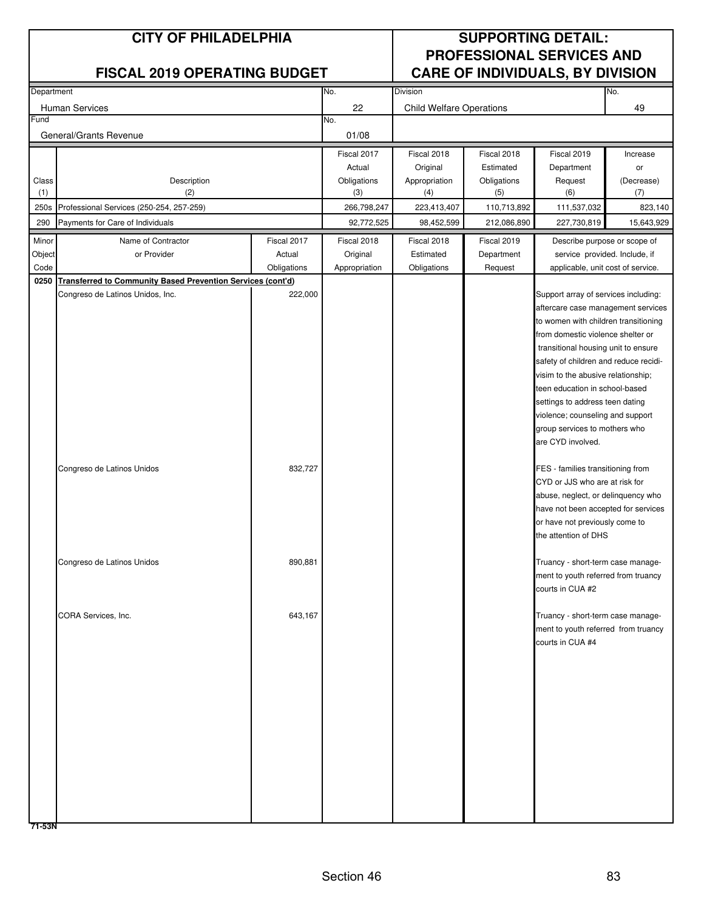| Department   |                                                             |             | No.           | Division                        |             |                                                                     | No.                           |
|--------------|-------------------------------------------------------------|-------------|---------------|---------------------------------|-------------|---------------------------------------------------------------------|-------------------------------|
|              | Human Services                                              |             | 22            | <b>Child Welfare Operations</b> |             |                                                                     | 49                            |
| Fund         |                                                             |             | No.           |                                 |             |                                                                     |                               |
|              | General/Grants Revenue                                      |             | 01/08         |                                 |             |                                                                     |                               |
|              |                                                             |             | Fiscal 2017   | Fiscal 2018                     | Fiscal 2018 | Fiscal 2019                                                         | Increase                      |
|              |                                                             |             | Actual        | Original                        | Estimated   | Department                                                          | or                            |
| Class        | Description                                                 |             | Obligations   | Appropriation                   | Obligations | Request                                                             | (Decrease)                    |
| (1)          | (2)                                                         |             | (3)           | (4)                             | (5)         | (6)                                                                 | (7)                           |
| 250s         | Professional Services (250-254, 257-259)                    |             | 266,798,247   | 223,413,407                     | 110,713,892 | 111,537,032                                                         | 823,140                       |
| 290          | Payments for Care of Individuals                            |             | 92,772,525    | 98,452,599                      | 212,086,890 | 227,730,819                                                         | 15,643,929                    |
| Minor        | Name of Contractor                                          | Fiscal 2017 | Fiscal 2018   | Fiscal 2018                     | Fiscal 2019 | Describe purpose or scope of                                        |                               |
| Object       | or Provider                                                 | Actual      | Original      | Estimated                       | Department  |                                                                     | service provided. Include, if |
| Code<br>0250 | Transferred to Community Based Prevention Services (cont'd) | Obligations | Appropriation | Obligations                     | Request     | applicable, unit cost of service.                                   |                               |
|              | Congreso de Latinos Unidos, Inc.                            | 222,000     |               |                                 |             | Support array of services including:                                |                               |
|              |                                                             |             |               |                                 |             | aftercare case management services                                  |                               |
|              |                                                             |             |               |                                 |             | to women with children transitioning                                |                               |
|              |                                                             |             |               |                                 |             | from domestic violence shelter or                                   |                               |
|              |                                                             |             |               |                                 |             | transitional housing unit to ensure                                 |                               |
|              |                                                             |             |               |                                 |             | safety of children and reduce recidi-                               |                               |
|              |                                                             |             |               |                                 |             | visim to the abusive relationship;                                  |                               |
|              |                                                             |             |               |                                 |             | teen education in school-based                                      |                               |
|              |                                                             |             |               |                                 |             | settings to address teen dating<br>violence; counseling and support |                               |
|              |                                                             |             |               |                                 |             | group services to mothers who                                       |                               |
|              |                                                             |             |               |                                 |             | are CYD involved.                                                   |                               |
|              |                                                             |             |               |                                 |             |                                                                     |                               |
|              | Congreso de Latinos Unidos                                  | 832,727     |               |                                 |             | FES - families transitioning from                                   |                               |
|              |                                                             |             |               |                                 |             | CYD or JJS who are at risk for                                      |                               |
|              |                                                             |             |               |                                 |             | abuse, neglect, or delinquency who                                  |                               |
|              |                                                             |             |               |                                 |             | have not been accepted for services                                 |                               |
|              |                                                             |             |               |                                 |             | or have not previously come to                                      |                               |
|              |                                                             |             |               |                                 |             | the attention of DHS                                                |                               |
|              | Congreso de Latinos Unidos                                  | 890,881     |               |                                 |             | Truancy - short-term case manage-                                   |                               |
|              |                                                             |             |               |                                 |             | ment to youth referred from truancy                                 |                               |
|              |                                                             |             |               |                                 |             | courts in CUA #2                                                    |                               |
|              |                                                             |             |               |                                 |             |                                                                     |                               |
|              | CORA Services, Inc.                                         | 643,167     |               |                                 |             | Truancy - short-term case manage-                                   |                               |
|              |                                                             |             |               |                                 |             | ment to youth referred from truancy                                 |                               |
|              |                                                             |             |               |                                 |             | courts in CUA #4                                                    |                               |
|              |                                                             |             |               |                                 |             |                                                                     |                               |
|              |                                                             |             |               |                                 |             |                                                                     |                               |
|              |                                                             |             |               |                                 |             |                                                                     |                               |
|              |                                                             |             |               |                                 |             |                                                                     |                               |
|              |                                                             |             |               |                                 |             |                                                                     |                               |
|              |                                                             |             |               |                                 |             |                                                                     |                               |
|              |                                                             |             |               |                                 |             |                                                                     |                               |
|              |                                                             |             |               |                                 |             |                                                                     |                               |
|              |                                                             |             |               |                                 |             |                                                                     |                               |
|              |                                                             |             |               |                                 |             |                                                                     |                               |
|              |                                                             |             |               |                                 |             |                                                                     |                               |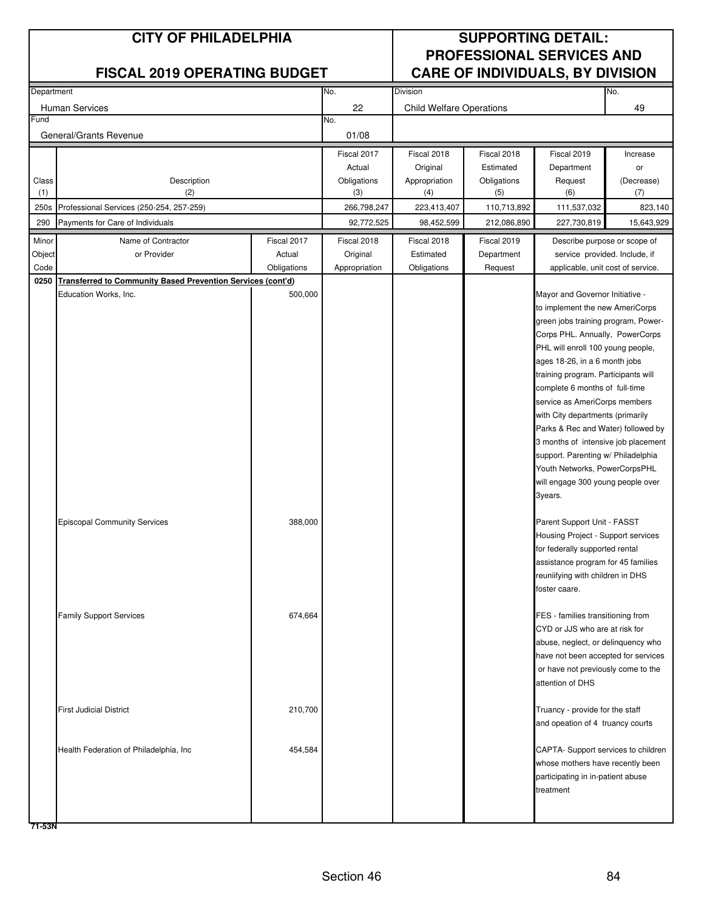| Department |                                                                    |             | No.           | Division                        |             |                                                                        | No.                           |
|------------|--------------------------------------------------------------------|-------------|---------------|---------------------------------|-------------|------------------------------------------------------------------------|-------------------------------|
|            | Human Services                                                     |             | 22            | <b>Child Welfare Operations</b> |             |                                                                        | 49                            |
| Fund       |                                                                    |             | No.           |                                 |             |                                                                        |                               |
|            | General/Grants Revenue                                             |             | 01/08         |                                 |             |                                                                        |                               |
|            |                                                                    |             | Fiscal 2017   | Fiscal 2018                     | Fiscal 2018 | Fiscal 2019                                                            | Increase                      |
|            |                                                                    |             | Actual        | Original                        | Estimated   | Department                                                             | or                            |
| Class      | Description                                                        |             | Obligations   | Appropriation                   | Obligations | Request                                                                | (Decrease)                    |
| (1)        | (2)                                                                |             | (3)           | (4)                             | (5)         | (6)                                                                    | (7)                           |
| 250s       | Professional Services (250-254, 257-259)                           |             | 266,798,247   | 223,413,407                     | 110,713,892 | 111,537,032                                                            | 823,140                       |
| 290        | Payments for Care of Individuals                                   |             | 92,772,525    | 98,452,599                      | 212,086,890 | 227,730,819                                                            | 15,643,929                    |
| Minor      | Name of Contractor                                                 | Fiscal 2017 | Fiscal 2018   | Fiscal 2018                     | Fiscal 2019 | Describe purpose or scope of                                           |                               |
| Object     | or Provider                                                        | Actual      | Original      | Estimated                       | Department  |                                                                        | service provided. Include, if |
| Code       |                                                                    | Obligations | Appropriation | Obligations                     | Request     | applicable, unit cost of service.                                      |                               |
| 0250       | <b>Transferred to Community Based Prevention Services (cont'd)</b> |             |               |                                 |             |                                                                        |                               |
|            | Education Works, Inc.                                              | 500,000     |               |                                 |             | Mayor and Governor Initiative -                                        |                               |
|            |                                                                    |             |               |                                 |             | to implement the new AmeriCorps                                        |                               |
|            |                                                                    |             |               |                                 |             | green jobs training program, Power-<br>Corps PHL. Annually, PowerCorps |                               |
|            |                                                                    |             |               |                                 |             | PHL will enroll 100 young people,                                      |                               |
|            |                                                                    |             |               |                                 |             | ages 18-26, in a 6 month jobs                                          |                               |
|            |                                                                    |             |               |                                 |             | training program. Participants will                                    |                               |
|            |                                                                    |             |               |                                 |             | complete 6 months of full-time                                         |                               |
|            |                                                                    |             |               |                                 |             | service as AmeriCorps members                                          |                               |
|            |                                                                    |             |               |                                 |             | with City departments (primarily                                       |                               |
|            |                                                                    |             |               |                                 |             | Parks & Rec and Water) followed by                                     |                               |
|            |                                                                    |             |               |                                 |             | 3 months of intensive job placement                                    |                               |
|            |                                                                    |             |               |                                 |             | support. Parenting w/ Philadelphia                                     |                               |
|            |                                                                    |             |               |                                 |             | Youth Networks, PowerCorpsPHL                                          |                               |
|            |                                                                    |             |               |                                 |             | will engage 300 young people over                                      |                               |
|            |                                                                    |             |               |                                 |             | 3years.                                                                |                               |
|            | <b>Episcopal Community Services</b>                                | 388,000     |               |                                 |             | Parent Support Unit - FASST                                            |                               |
|            |                                                                    |             |               |                                 |             | Housing Project - Support services                                     |                               |
|            |                                                                    |             |               |                                 |             | for federally supported rental                                         |                               |
|            |                                                                    |             |               |                                 |             | assistance program for 45 families                                     |                               |
|            |                                                                    |             |               |                                 |             | reuniifying with children in DHS                                       |                               |
|            |                                                                    |             |               |                                 |             | foster caare.                                                          |                               |
|            | <b>Family Support Services</b>                                     | 674,664     |               |                                 |             | FES - families transitioning from                                      |                               |
|            |                                                                    |             |               |                                 |             | CYD or JJS who are at risk for                                         |                               |
|            |                                                                    |             |               |                                 |             | abuse, neglect, or delinquency who                                     |                               |
|            |                                                                    |             |               |                                 |             | have not been accepted for services                                    |                               |
|            |                                                                    |             |               |                                 |             | or have not previously come to the                                     |                               |
|            |                                                                    |             |               |                                 |             | attention of DHS                                                       |                               |
|            | <b>First Judicial District</b>                                     | 210,700     |               |                                 |             | Truancy - provide for the staff                                        |                               |
|            |                                                                    |             |               |                                 |             | and opeation of 4 truancy courts                                       |                               |
|            |                                                                    |             |               |                                 |             |                                                                        |                               |
|            | Health Federation of Philadelphia, Inc.                            | 454,584     |               |                                 |             | CAPTA- Support services to children                                    |                               |
|            |                                                                    |             |               |                                 |             | whose mothers have recently been                                       |                               |
|            |                                                                    |             |               |                                 |             | participating in in-patient abuse                                      |                               |
|            |                                                                    |             |               |                                 |             | treatment                                                              |                               |
|            |                                                                    |             |               |                                 |             |                                                                        |                               |
|            |                                                                    |             |               |                                 |             |                                                                        |                               |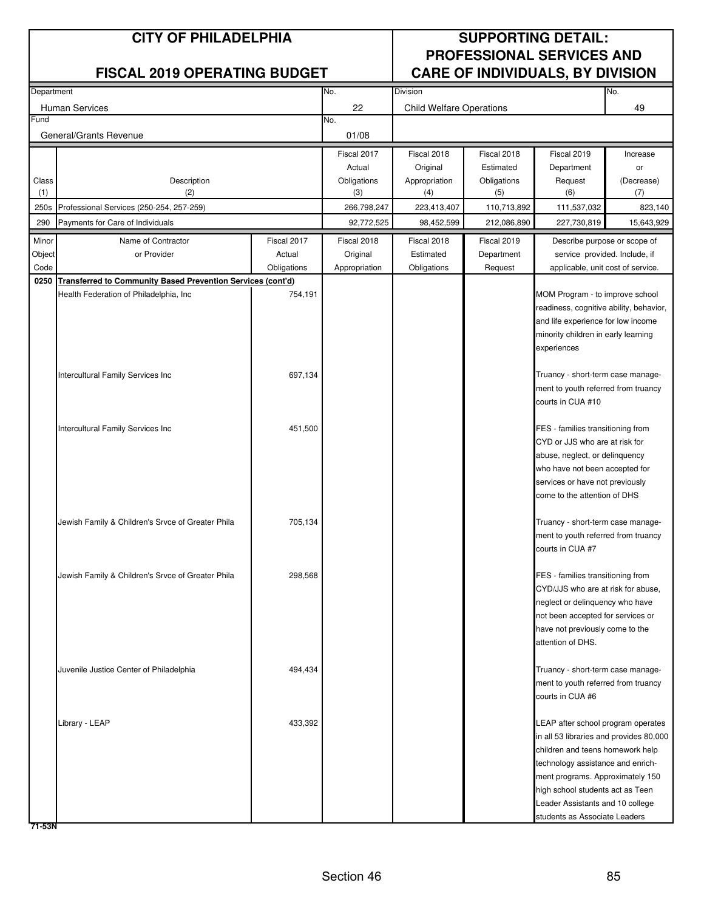| Department |                                                                    |             | No.           | Division                        |             |                                                                          | No.        |
|------------|--------------------------------------------------------------------|-------------|---------------|---------------------------------|-------------|--------------------------------------------------------------------------|------------|
|            | <b>Human Services</b>                                              |             | 22            | <b>Child Welfare Operations</b> |             |                                                                          | 49         |
| Fund       |                                                                    |             | No.           |                                 |             |                                                                          |            |
|            | General/Grants Revenue                                             |             | 01/08         |                                 |             |                                                                          |            |
|            |                                                                    |             | Fiscal 2017   | Fiscal 2018                     | Fiscal 2018 | Fiscal 2019                                                              | Increase   |
|            |                                                                    |             | Actual        | Original                        | Estimated   | Department                                                               | or         |
| Class      | Description                                                        |             | Obligations   | Appropriation                   | Obligations | Request                                                                  | (Decrease) |
| (1)        | (2)                                                                |             | (3)           | (4)                             | (5)         | (6)                                                                      | (7)        |
| 250s       | Professional Services (250-254, 257-259)                           |             | 266,798,247   | 223,413,407                     | 110,713,892 | 111,537,032                                                              | 823,140    |
| 290        | Payments for Care of Individuals                                   |             | 92,772,525    | 98,452,599                      | 212,086,890 | 227,730,819                                                              | 15,643,929 |
| Minor      | Name of Contractor                                                 | Fiscal 2017 | Fiscal 2018   | Fiscal 2018                     | Fiscal 2019 | Describe purpose or scope of                                             |            |
| Object     | or Provider                                                        | Actual      | Original      | Estimated                       | Department  | service provided. Include, if                                            |            |
| Code       |                                                                    | Obligations | Appropriation | Obligations                     | Request     | applicable, unit cost of service.                                        |            |
| 0250       | <b>Transferred to Community Based Prevention Services (cont'd)</b> |             |               |                                 |             |                                                                          |            |
|            | Health Federation of Philadelphia, Inc                             | 754,191     |               |                                 |             | MOM Program - to improve school                                          |            |
|            |                                                                    |             |               |                                 |             | readiness, cognitive ability, behavior,                                  |            |
|            |                                                                    |             |               |                                 |             | and life experience for low income                                       |            |
|            |                                                                    |             |               |                                 |             | minority children in early learning                                      |            |
|            |                                                                    |             |               |                                 |             | experiences                                                              |            |
|            | Intercultural Family Services Inc                                  |             |               |                                 |             |                                                                          |            |
|            |                                                                    | 697,134     |               |                                 |             | Truancy - short-term case manage-<br>ment to youth referred from truancy |            |
|            |                                                                    |             |               |                                 |             | courts in CUA #10                                                        |            |
|            |                                                                    |             |               |                                 |             |                                                                          |            |
|            | Intercultural Family Services Inc                                  | 451,500     |               |                                 |             | FES - families transitioning from                                        |            |
|            |                                                                    |             |               |                                 |             | CYD or JJS who are at risk for                                           |            |
|            |                                                                    |             |               |                                 |             | abuse, neglect, or delinquency                                           |            |
|            |                                                                    |             |               |                                 |             | who have not been accepted for                                           |            |
|            |                                                                    |             |               |                                 |             | services or have not previously                                          |            |
|            |                                                                    |             |               |                                 |             | come to the attention of DHS                                             |            |
|            | Jewish Family & Children's Srvce of Greater Phila                  | 705,134     |               |                                 |             | Truancy - short-term case manage-                                        |            |
|            |                                                                    |             |               |                                 |             | ment to youth referred from truancy                                      |            |
|            |                                                                    |             |               |                                 |             | courts in CUA #7                                                         |            |
|            |                                                                    |             |               |                                 |             |                                                                          |            |
|            | Jewish Family & Children's Srvce of Greater Phila                  | 298,568     |               |                                 |             | FES - families transitioning from                                        |            |
|            |                                                                    |             |               |                                 |             | CYD/JJS who are at risk for abuse,                                       |            |
|            |                                                                    |             |               |                                 |             | neglect or delinquency who have                                          |            |
|            |                                                                    |             |               |                                 |             | not been accepted for services or                                        |            |
|            |                                                                    |             |               |                                 |             | have not previously come to the                                          |            |
|            |                                                                    |             |               |                                 |             | attention of DHS.                                                        |            |
|            |                                                                    |             |               |                                 |             |                                                                          |            |
|            | Juvenile Justice Center of Philadelphia                            | 494,434     |               |                                 |             | Truancy - short-term case manage-                                        |            |
|            |                                                                    |             |               |                                 |             | ment to youth referred from truancy<br>courts in CUA #6                  |            |
|            |                                                                    |             |               |                                 |             |                                                                          |            |
|            | Library - LEAP                                                     | 433,392     |               |                                 |             | LEAP after school program operates                                       |            |
|            |                                                                    |             |               |                                 |             | in all 53 libraries and provides 80,000                                  |            |
|            |                                                                    |             |               |                                 |             | children and teens homework help                                         |            |
|            |                                                                    |             |               |                                 |             | technology assistance and enrich-                                        |            |
|            |                                                                    |             |               |                                 |             | ment programs. Approximately 150                                         |            |
|            |                                                                    |             |               |                                 |             | high school students act as Teen                                         |            |
|            |                                                                    |             |               |                                 |             | Leader Assistants and 10 college                                         |            |
|            |                                                                    |             |               |                                 |             | students as Associate Leaders                                            |            |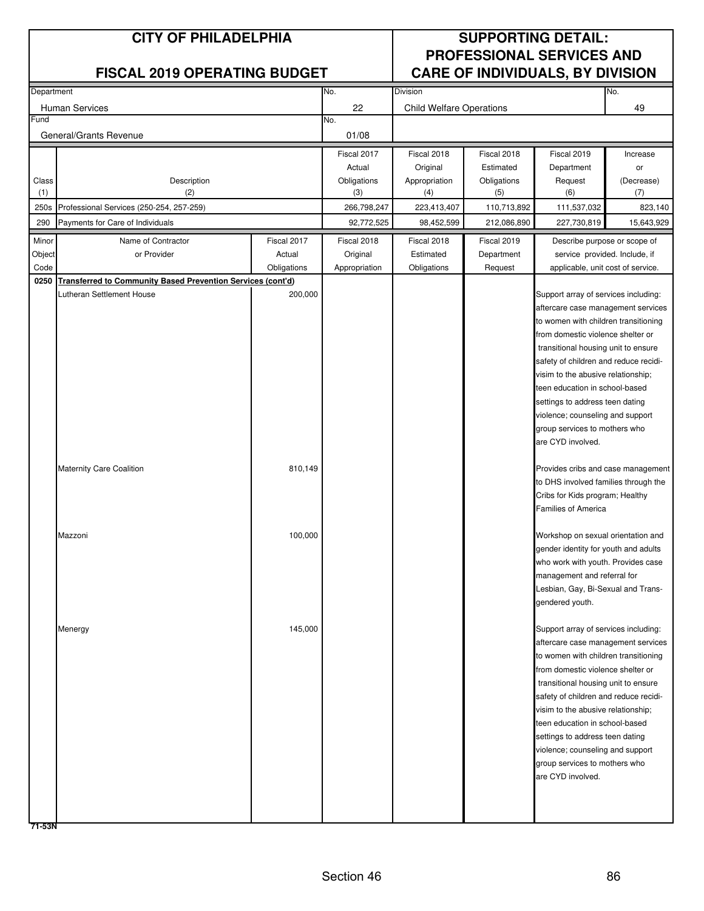| Department |                                                                    |             | No.           | Division                        |             |                                       | No.        |
|------------|--------------------------------------------------------------------|-------------|---------------|---------------------------------|-------------|---------------------------------------|------------|
|            |                                                                    |             |               |                                 |             |                                       |            |
|            | Human Services                                                     |             | 22            | <b>Child Welfare Operations</b> |             |                                       | 49         |
| Fund       |                                                                    |             | No.           |                                 |             |                                       |            |
|            | General/Grants Revenue                                             |             | 01/08         |                                 |             |                                       |            |
|            |                                                                    |             | Fiscal 2017   | Fiscal 2018                     | Fiscal 2018 | Fiscal 2019                           | Increase   |
|            |                                                                    |             | Actual        | Original                        | Estimated   | Department                            | or         |
| Class      | Description                                                        |             | Obligations   | Appropriation                   | Obligations | Request                               | (Decrease) |
| (1)        | (2)                                                                |             | (3)           | (4)                             | (5)         | (6)                                   | (7)        |
| 250s       | Professional Services (250-254, 257-259)                           |             | 266,798,247   | 223,413,407                     | 110,713,892 | 111,537,032                           | 823,140    |
| 290        | Payments for Care of Individuals                                   |             | 92,772,525    | 98,452,599                      | 212,086,890 | 227,730,819                           | 15,643,929 |
|            |                                                                    |             |               |                                 |             |                                       |            |
| Minor      | Name of Contractor                                                 | Fiscal 2017 | Fiscal 2018   | Fiscal 2018                     | Fiscal 2019 | Describe purpose or scope of          |            |
| Object     | or Provider                                                        | Actual      | Original      | Estimated                       | Department  | service provided. Include, if         |            |
| Code       |                                                                    | Obligations | Appropriation | Obligations                     | Request     | applicable, unit cost of service.     |            |
| 0250       | <b>Transferred to Community Based Prevention Services (cont'd)</b> |             |               |                                 |             |                                       |            |
|            | Lutheran Settlement House                                          | 200,000     |               |                                 |             | Support array of services including:  |            |
|            |                                                                    |             |               |                                 |             | aftercare case management services    |            |
|            |                                                                    |             |               |                                 |             | to women with children transitioning  |            |
|            |                                                                    |             |               |                                 |             | from domestic violence shelter or     |            |
|            |                                                                    |             |               |                                 |             | transitional housing unit to ensure   |            |
|            |                                                                    |             |               |                                 |             | safety of children and reduce recidi- |            |
|            |                                                                    |             |               |                                 |             | visim to the abusive relationship;    |            |
|            |                                                                    |             |               |                                 |             | teen education in school-based        |            |
|            |                                                                    |             |               |                                 |             | settings to address teen dating       |            |
|            |                                                                    |             |               |                                 |             | violence; counseling and support      |            |
|            |                                                                    |             |               |                                 |             | group services to mothers who         |            |
|            |                                                                    |             |               |                                 |             | are CYD involved.                     |            |
|            |                                                                    |             |               |                                 |             |                                       |            |
|            | <b>Maternity Care Coalition</b>                                    | 810,149     |               |                                 |             | Provides cribs and case management    |            |
|            |                                                                    |             |               |                                 |             | to DHS involved families through the  |            |
|            |                                                                    |             |               |                                 |             | Cribs for Kids program; Healthy       |            |
|            |                                                                    |             |               |                                 |             | Families of America                   |            |
|            |                                                                    |             |               |                                 |             |                                       |            |
|            | Mazzoni                                                            | 100,000     |               |                                 |             | Workshop on sexual orientation and    |            |
|            |                                                                    |             |               |                                 |             | gender identity for youth and adults  |            |
|            |                                                                    |             |               |                                 |             | who work with youth. Provides case    |            |
|            |                                                                    |             |               |                                 |             | management and referral for           |            |
|            |                                                                    |             |               |                                 |             | Lesbian, Gay, Bi-Sexual and Trans-    |            |
|            |                                                                    |             |               |                                 |             | gendered youth.                       |            |
|            |                                                                    |             |               |                                 |             |                                       |            |
|            | Menergy                                                            | 145,000     |               |                                 |             | Support array of services including:  |            |
|            |                                                                    |             |               |                                 |             | aftercare case management services    |            |
|            |                                                                    |             |               |                                 |             | to women with children transitioning  |            |
|            |                                                                    |             |               |                                 |             | from domestic violence shelter or     |            |
|            |                                                                    |             |               |                                 |             | transitional housing unit to ensure   |            |
|            |                                                                    |             |               |                                 |             | safety of children and reduce recidi- |            |
|            |                                                                    |             |               |                                 |             | visim to the abusive relationship;    |            |
|            |                                                                    |             |               |                                 |             | teen education in school-based        |            |
|            |                                                                    |             |               |                                 |             | settings to address teen dating       |            |
|            |                                                                    |             |               |                                 |             | violence; counseling and support      |            |
|            |                                                                    |             |               |                                 |             | group services to mothers who         |            |
|            |                                                                    |             |               |                                 |             | are CYD involved.                     |            |
|            |                                                                    |             |               |                                 |             |                                       |            |
|            |                                                                    |             |               |                                 |             |                                       |            |
|            |                                                                    |             |               |                                 |             |                                       |            |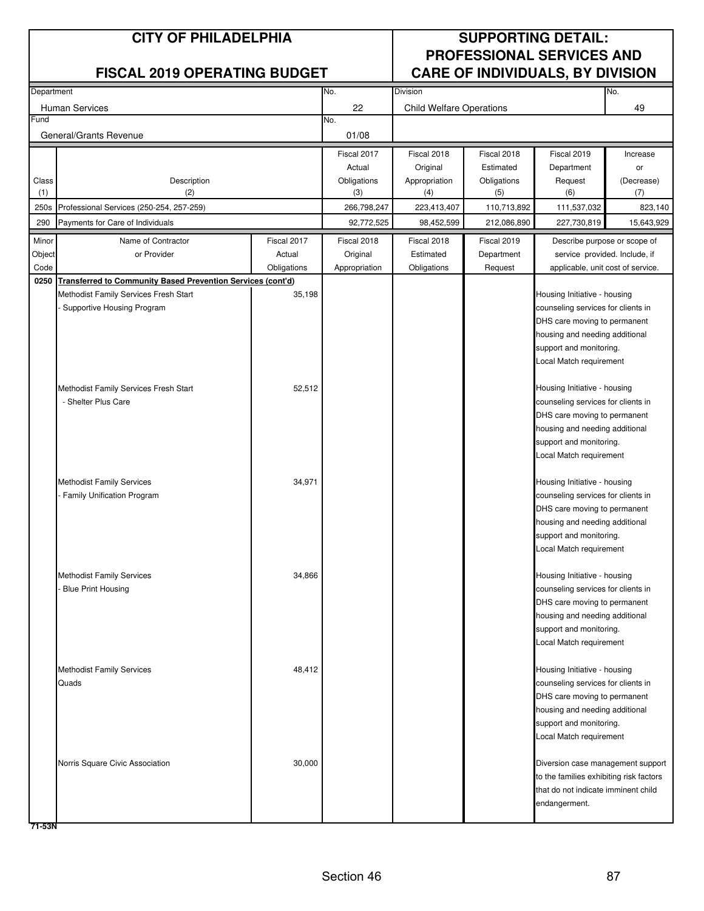| Department |                                                                  |             | No.           | Division                        |             |                                                           | No.        |
|------------|------------------------------------------------------------------|-------------|---------------|---------------------------------|-------------|-----------------------------------------------------------|------------|
|            |                                                                  |             |               |                                 |             |                                                           |            |
| Fund       | Human Services                                                   |             | 22<br>No.     | <b>Child Welfare Operations</b> |             |                                                           | 49         |
|            |                                                                  |             |               |                                 |             |                                                           |            |
|            | General/Grants Revenue                                           |             | 01/08         |                                 |             |                                                           |            |
|            |                                                                  |             | Fiscal 2017   | Fiscal 2018                     | Fiscal 2018 | Fiscal 2019                                               | Increase   |
|            |                                                                  |             | Actual        | Original                        | Estimated   | Department                                                | or         |
| Class      | Description                                                      |             | Obligations   | Appropriation                   | Obligations | Request                                                   | (Decrease) |
| (1)        | (2)                                                              |             | (3)           | (4)                             | (5)         | (6)                                                       | (7)        |
| 250s       | Professional Services (250-254, 257-259)                         |             | 266,798,247   | 223,413,407                     | 110,713,892 | 111,537,032                                               | 823,140    |
| 290        | Payments for Care of Individuals                                 |             | 92,772,525    | 98,452,599                      | 212,086,890 | 227,730,819                                               | 15,643,929 |
| Minor      | Name of Contractor                                               | Fiscal 2017 | Fiscal 2018   | Fiscal 2018                     | Fiscal 2019 | Describe purpose or scope of                              |            |
| Object     | or Provider                                                      | Actual      | Original      | Estimated                       | Department  | service provided. Include, if                             |            |
| Code       |                                                                  | Obligations | Appropriation | Obligations                     | Request     | applicable, unit cost of service.                         |            |
|            | 0250 Transferred to Community Based Prevention Services (cont'd) |             |               |                                 |             |                                                           |            |
|            | Methodist Family Services Fresh Start                            | 35,198      |               |                                 |             | Housing Initiative - housing                              |            |
|            | Supportive Housing Program                                       |             |               |                                 |             | counseling services for clients in                        |            |
|            |                                                                  |             |               |                                 |             | DHS care moving to permanent                              |            |
|            |                                                                  |             |               |                                 |             | housing and needing additional                            |            |
|            |                                                                  |             |               |                                 |             | support and monitoring.                                   |            |
|            |                                                                  |             |               |                                 |             | Local Match requirement                                   |            |
|            |                                                                  |             |               |                                 |             |                                                           |            |
|            | Methodist Family Services Fresh Start                            | 52,512      |               |                                 |             | Housing Initiative - housing                              |            |
|            | - Shelter Plus Care                                              |             |               |                                 |             | counseling services for clients in                        |            |
|            |                                                                  |             |               |                                 |             | DHS care moving to permanent                              |            |
|            |                                                                  |             |               |                                 |             | housing and needing additional                            |            |
|            |                                                                  |             |               |                                 |             | support and monitoring.                                   |            |
|            |                                                                  |             |               |                                 |             | Local Match requirement                                   |            |
|            |                                                                  |             |               |                                 |             |                                                           |            |
|            | <b>Methodist Family Services</b>                                 | 34,971      |               |                                 |             | Housing Initiative - housing                              |            |
|            | Family Unification Program                                       |             |               |                                 |             | counseling services for clients in                        |            |
|            |                                                                  |             |               |                                 |             | DHS care moving to permanent                              |            |
|            |                                                                  |             |               |                                 |             | housing and needing additional<br>support and monitoring. |            |
|            |                                                                  |             |               |                                 |             | Local Match requirement                                   |            |
|            |                                                                  |             |               |                                 |             |                                                           |            |
|            | <b>Methodist Family Services</b>                                 | 34,866      |               |                                 |             | Housing Initiative - housing                              |            |
|            | <b>Blue Print Housing</b>                                        |             |               |                                 |             | counseling services for clients in                        |            |
|            |                                                                  |             |               |                                 |             | DHS care moving to permanent                              |            |
|            |                                                                  |             |               |                                 |             | housing and needing additional                            |            |
|            |                                                                  |             |               |                                 |             | support and monitoring.                                   |            |
|            |                                                                  |             |               |                                 |             | Local Match requirement                                   |            |
|            |                                                                  |             |               |                                 |             |                                                           |            |
|            | <b>Methodist Family Services</b>                                 | 48,412      |               |                                 |             | Housing Initiative - housing                              |            |
|            | Quads                                                            |             |               |                                 |             | counseling services for clients in                        |            |
|            |                                                                  |             |               |                                 |             | DHS care moving to permanent                              |            |
|            |                                                                  |             |               |                                 |             | housing and needing additional                            |            |
|            |                                                                  |             |               |                                 |             | support and monitoring.                                   |            |
|            |                                                                  |             |               |                                 |             | Local Match requirement                                   |            |
|            |                                                                  |             |               |                                 |             |                                                           |            |
|            | Norris Square Civic Association                                  | 30,000      |               |                                 |             | Diversion case management support                         |            |
|            |                                                                  |             |               |                                 |             | to the families exhibiting risk factors                   |            |
|            |                                                                  |             |               |                                 |             | that do not indicate imminent child                       |            |
|            |                                                                  |             |               |                                 |             | endangerment.                                             |            |
|            |                                                                  |             |               |                                 |             |                                                           |            |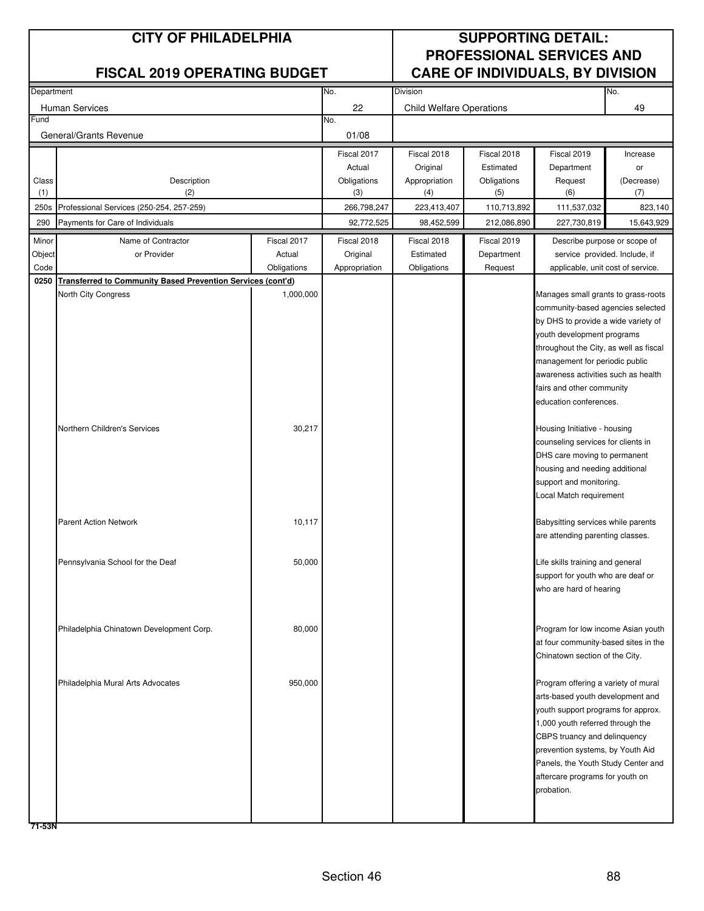| Department |                                                                    |             | No.           | <b>Division</b>                 |             |                                                                          | No.        |
|------------|--------------------------------------------------------------------|-------------|---------------|---------------------------------|-------------|--------------------------------------------------------------------------|------------|
|            | <b>Human Services</b>                                              |             | 22            | <b>Child Welfare Operations</b> |             |                                                                          | 49         |
| Fund       |                                                                    |             | No.           |                                 |             |                                                                          |            |
|            | General/Grants Revenue                                             |             | 01/08         |                                 |             |                                                                          |            |
|            |                                                                    |             | Fiscal 2017   | Fiscal 2018                     | Fiscal 2018 | Fiscal 2019                                                              | Increase   |
|            |                                                                    |             | Actual        | Original                        | Estimated   | Department                                                               | or         |
| Class      | Description                                                        |             | Obligations   | Appropriation                   | Obligations | Request                                                                  | (Decrease) |
| (1)        | (2)                                                                |             | (3)           | (4)                             | (5)         | (6)                                                                      | (7)        |
| 250s       | Professional Services (250-254, 257-259)                           |             | 266,798,247   | 223,413,407                     | 110,713,892 | 111,537,032                                                              | 823,140    |
| 290        | Payments for Care of Individuals                                   |             | 92,772,525    | 98,452,599                      | 212,086,890 | 227,730,819                                                              | 15,643,929 |
| Minor      | Name of Contractor                                                 | Fiscal 2017 | Fiscal 2018   | Fiscal 2018                     | Fiscal 2019 | Describe purpose or scope of                                             |            |
| Object     | or Provider                                                        | Actual      | Original      | Estimated                       | Department  | service provided. Include, if                                            |            |
| Code       |                                                                    | Obligations | Appropriation | Obligations                     | Request     | applicable, unit cost of service.                                        |            |
| 0250       | <b>Transferred to Community Based Prevention Services (cont'd)</b> |             |               |                                 |             |                                                                          |            |
|            | North City Congress                                                | 1,000,000   |               |                                 |             | Manages small grants to grass-roots<br>community-based agencies selected |            |
|            |                                                                    |             |               |                                 |             | by DHS to provide a wide variety of                                      |            |
|            |                                                                    |             |               |                                 |             | youth development programs                                               |            |
|            |                                                                    |             |               |                                 |             | throughout the City, as well as fiscal                                   |            |
|            |                                                                    |             |               |                                 |             | management for periodic public                                           |            |
|            |                                                                    |             |               |                                 |             | awareness activities such as health                                      |            |
|            |                                                                    |             |               |                                 |             | fairs and other community                                                |            |
|            |                                                                    |             |               |                                 |             | education conferences.                                                   |            |
|            |                                                                    |             |               |                                 |             |                                                                          |            |
|            | Northern Children's Services                                       | 30,217      |               |                                 |             | Housing Initiative - housing                                             |            |
|            |                                                                    |             |               |                                 |             | counseling services for clients in<br>DHS care moving to permanent       |            |
|            |                                                                    |             |               |                                 |             | housing and needing additional                                           |            |
|            |                                                                    |             |               |                                 |             | support and monitoring.                                                  |            |
|            |                                                                    |             |               |                                 |             | Local Match requirement                                                  |            |
|            |                                                                    |             |               |                                 |             |                                                                          |            |
|            | <b>Parent Action Network</b>                                       | 10,117      |               |                                 |             | Babysitting services while parents<br>are attending parenting classes.   |            |
|            |                                                                    |             |               |                                 |             |                                                                          |            |
|            | Pennsylvania School for the Deaf                                   | 50,000      |               |                                 |             | Life skills training and general                                         |            |
|            |                                                                    |             |               |                                 |             | support for youth who are deaf or                                        |            |
|            |                                                                    |             |               |                                 |             | who are hard of hearing                                                  |            |
|            |                                                                    |             |               |                                 |             |                                                                          |            |
|            |                                                                    |             |               |                                 |             |                                                                          |            |
|            | Philadelphia Chinatown Development Corp.                           | 80,000      |               |                                 |             | Program for low income Asian youth                                       |            |
|            |                                                                    |             |               |                                 |             | at four community-based sites in the                                     |            |
|            |                                                                    |             |               |                                 |             | Chinatown section of the City.                                           |            |
|            | Philadelphia Mural Arts Advocates                                  | 950,000     |               |                                 |             | Program offering a variety of mural                                      |            |
|            |                                                                    |             |               |                                 |             | arts-based youth development and                                         |            |
|            |                                                                    |             |               |                                 |             | youth support programs for approx.                                       |            |
|            |                                                                    |             |               |                                 |             | 1,000 youth referred through the                                         |            |
|            |                                                                    |             |               |                                 |             | CBPS truancy and delinquency                                             |            |
|            |                                                                    |             |               |                                 |             | prevention systems, by Youth Aid                                         |            |
|            |                                                                    |             |               |                                 |             | Panels, the Youth Study Center and                                       |            |
|            |                                                                    |             |               |                                 |             | aftercare programs for youth on                                          |            |
|            |                                                                    |             |               |                                 |             | probation.                                                               |            |
|            |                                                                    |             |               |                                 |             |                                                                          |            |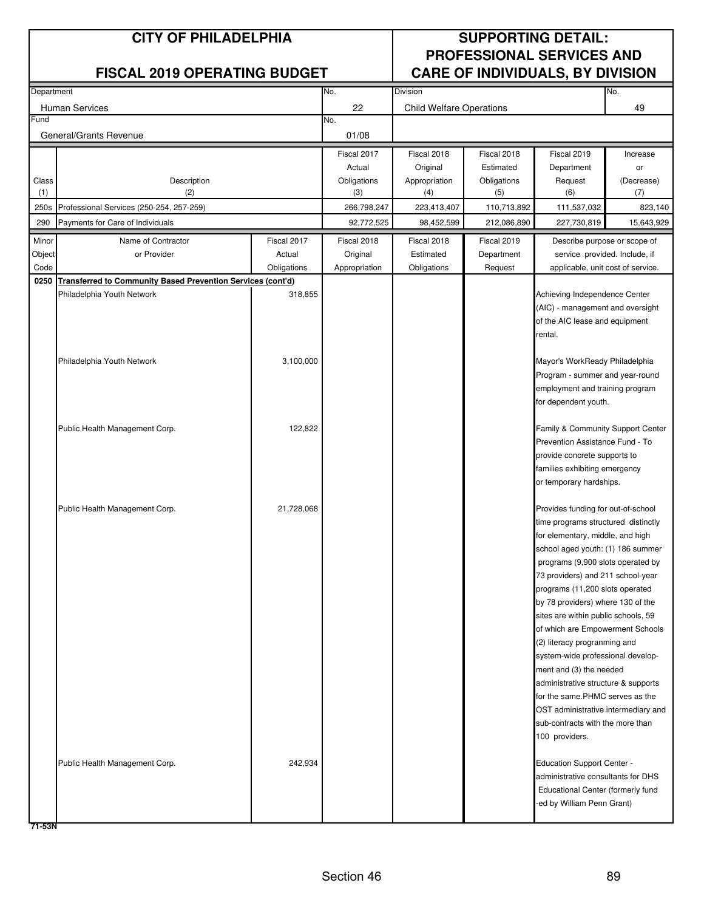| Department |                                                                    |             | No.           | Division                        |             |                                                                         | No.        |
|------------|--------------------------------------------------------------------|-------------|---------------|---------------------------------|-------------|-------------------------------------------------------------------------|------------|
|            | <b>Human Services</b>                                              |             | 22            | <b>Child Welfare Operations</b> |             |                                                                         | 49         |
| Fund       |                                                                    |             | No.           |                                 |             |                                                                         |            |
|            | General/Grants Revenue                                             |             | 01/08         |                                 |             |                                                                         |            |
|            |                                                                    |             | Fiscal 2017   | Fiscal 2018                     | Fiscal 2018 | Fiscal 2019                                                             | Increase   |
|            |                                                                    |             | Actual        | Original                        | Estimated   | Department                                                              | or         |
| Class      | Description                                                        |             | Obligations   | Appropriation                   | Obligations | Request                                                                 | (Decrease) |
| (1)        | (2)                                                                |             | (3)           | (4)                             | (5)         | (6)                                                                     | (7)        |
| 250s       | Professional Services (250-254, 257-259)                           |             | 266,798,247   | 223,413,407                     | 110,713,892 | 111,537,032                                                             | 823,140    |
| 290        | Payments for Care of Individuals                                   |             | 92,772,525    | 98,452,599                      | 212,086,890 | 227,730,819                                                             | 15,643,929 |
| Minor      | Name of Contractor                                                 | Fiscal 2017 | Fiscal 2018   | Fiscal 2018                     | Fiscal 2019 | Describe purpose or scope of                                            |            |
| Object     | or Provider                                                        | Actual      | Original      | Estimated                       | Department  | service provided. Include, if                                           |            |
| Code       |                                                                    | Obligations | Appropriation | Obligations                     | Request     | applicable, unit cost of service.                                       |            |
| 0250       | <b>Transferred to Community Based Prevention Services (cont'd)</b> |             |               |                                 |             |                                                                         |            |
|            | Philadelphia Youth Network                                         | 318,855     |               |                                 |             | Achieving Independence Center                                           |            |
|            |                                                                    |             |               |                                 |             | (AIC) - management and oversight                                        |            |
|            |                                                                    |             |               |                                 |             | of the AIC lease and equipment                                          |            |
|            |                                                                    |             |               |                                 |             | rental.                                                                 |            |
|            |                                                                    |             |               |                                 |             |                                                                         |            |
|            | Philadelphia Youth Network                                         | 3,100,000   |               |                                 |             | Mayor's WorkReady Philadelphia                                          |            |
|            |                                                                    |             |               |                                 |             | Program - summer and year-round                                         |            |
|            |                                                                    |             |               |                                 |             | employment and training program                                         |            |
|            |                                                                    |             |               |                                 |             | for dependent youth.                                                    |            |
|            |                                                                    |             |               |                                 |             |                                                                         |            |
|            | Public Health Management Corp.                                     | 122,822     |               |                                 |             | Family & Community Support Center                                       |            |
|            |                                                                    |             |               |                                 |             | Prevention Assistance Fund - To                                         |            |
|            |                                                                    |             |               |                                 |             | provide concrete supports to<br>families exhibiting emergency           |            |
|            |                                                                    |             |               |                                 |             | or temporary hardships.                                                 |            |
|            |                                                                    |             |               |                                 |             |                                                                         |            |
|            | Public Health Management Corp.                                     | 21,728,068  |               |                                 |             | Provides funding for out-of-school                                      |            |
|            |                                                                    |             |               |                                 |             | time programs structured distinctly                                     |            |
|            |                                                                    |             |               |                                 |             | for elementary, middle, and high                                        |            |
|            |                                                                    |             |               |                                 |             | school aged youth: (1) 186 summer                                       |            |
|            |                                                                    |             |               |                                 |             | programs (9,900 slots operated by                                       |            |
|            |                                                                    |             |               |                                 |             | 73 providers) and 211 school-year                                       |            |
|            |                                                                    |             |               |                                 |             | programs (11,200 slots operated                                         |            |
|            |                                                                    |             |               |                                 |             | by 78 providers) where 130 of the                                       |            |
|            |                                                                    |             |               |                                 |             | sites are within public schools, 59                                     |            |
|            |                                                                    |             |               |                                 |             | of which are Empowerment Schools                                        |            |
|            |                                                                    |             |               |                                 |             | (2) literacy progranming and                                            |            |
|            |                                                                    |             |               |                                 |             | system-wide professional develop-                                       |            |
|            |                                                                    |             |               |                                 |             | ment and (3) the needed                                                 |            |
|            |                                                                    |             |               |                                 |             | administrative structure & supports                                     |            |
|            |                                                                    |             |               |                                 |             | for the same.PHMC serves as the                                         |            |
|            |                                                                    |             |               |                                 |             | OST administrative intermediary and<br>sub-contracts with the more than |            |
|            |                                                                    |             |               |                                 |             | 100 providers.                                                          |            |
|            |                                                                    |             |               |                                 |             |                                                                         |            |
|            | Public Health Management Corp.                                     | 242,934     |               |                                 |             | <b>Education Support Center -</b>                                       |            |
|            |                                                                    |             |               |                                 |             | administrative consultants for DHS                                      |            |
|            |                                                                    |             |               |                                 |             | Educational Center (formerly fund                                       |            |
|            |                                                                    |             |               |                                 |             | ed by William Penn Grant)                                               |            |
|            |                                                                    |             |               |                                 |             |                                                                         |            |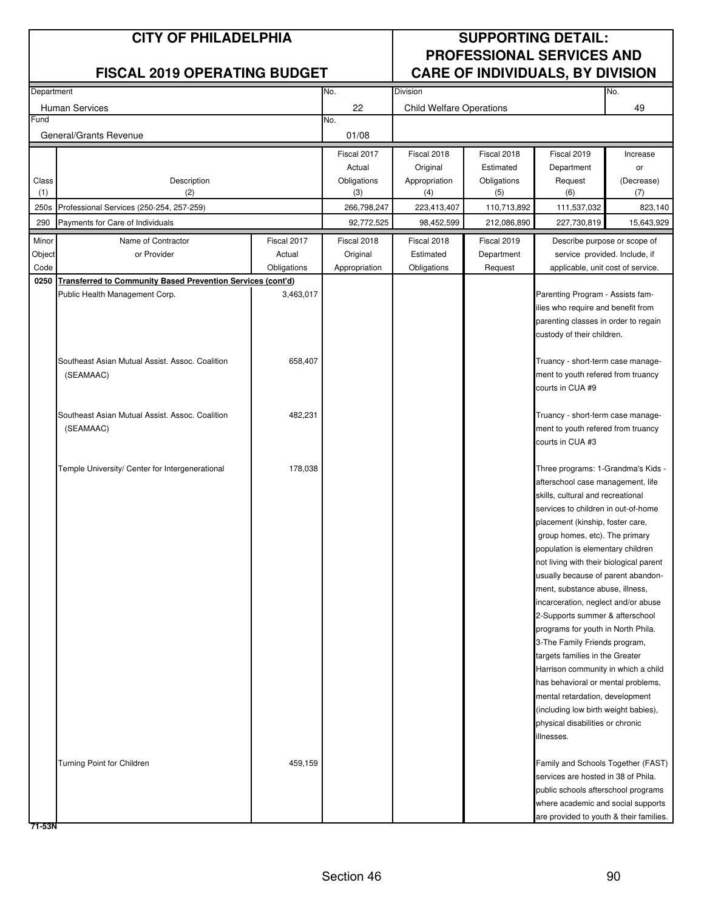| Department |                                                                    |             | No.           | Division                        |             |                                         | No.        |
|------------|--------------------------------------------------------------------|-------------|---------------|---------------------------------|-------------|-----------------------------------------|------------|
|            |                                                                    |             |               |                                 |             |                                         |            |
|            | <b>Human Services</b>                                              |             | 22            | <b>Child Welfare Operations</b> |             |                                         | 49         |
| Fund       |                                                                    |             | No.           |                                 |             |                                         |            |
|            | General/Grants Revenue                                             |             | 01/08         |                                 |             |                                         |            |
|            |                                                                    |             | Fiscal 2017   | Fiscal 2018                     | Fiscal 2018 | Fiscal 2019                             | Increase   |
|            |                                                                    |             | Actual        | Original                        | Estimated   | Department                              | or         |
| Class      | Description                                                        |             | Obligations   | Appropriation                   | Obligations | Request                                 | (Decrease) |
| (1)        | (2)                                                                |             | (3)           | (4)                             | (5)         | (6)                                     | (7)        |
| 250s       | Professional Services (250-254, 257-259)                           |             | 266,798,247   | 223,413,407                     | 110,713,892 | 111,537,032                             | 823,140    |
| 290        | Payments for Care of Individuals                                   |             | 92,772,525    | 98,452,599                      | 212,086,890 | 227,730,819                             | 15,643,929 |
|            |                                                                    |             |               |                                 |             |                                         |            |
| Minor      | Name of Contractor                                                 | Fiscal 2017 | Fiscal 2018   | Fiscal 2018                     | Fiscal 2019 | Describe purpose or scope of            |            |
| Object     | or Provider                                                        | Actual      | Original      | Estimated                       | Department  | service provided. Include, if           |            |
| Code       |                                                                    | Obligations | Appropriation | Obligations                     | Request     | applicable, unit cost of service.       |            |
| 0250       | <b>Transferred to Community Based Prevention Services (cont'd)</b> |             |               |                                 |             |                                         |            |
|            | Public Health Management Corp.                                     | 3,463,017   |               |                                 |             | Parenting Program - Assists fam-        |            |
|            |                                                                    |             |               |                                 |             | ilies who require and benefit from      |            |
|            |                                                                    |             |               |                                 |             | parenting classes in order to regain    |            |
|            |                                                                    |             |               |                                 |             | custody of their children.              |            |
|            |                                                                    |             |               |                                 |             |                                         |            |
|            | Southeast Asian Mutual Assist. Assoc. Coalition                    | 658,407     |               |                                 |             | Truancy - short-term case manage-       |            |
|            | (SEAMAAC)                                                          |             |               |                                 |             | ment to youth refered from truancy      |            |
|            |                                                                    |             |               |                                 |             | courts in CUA #9                        |            |
|            |                                                                    |             |               |                                 |             |                                         |            |
|            | Southeast Asian Mutual Assist. Assoc. Coalition                    | 482,231     |               |                                 |             | Truancy - short-term case manage-       |            |
|            | (SEAMAAC)                                                          |             |               |                                 |             | ment to youth refered from truancy      |            |
|            |                                                                    |             |               |                                 |             | courts in CUA #3                        |            |
|            |                                                                    |             |               |                                 |             |                                         |            |
|            | Temple University/ Center for Intergenerational                    | 178,038     |               |                                 |             | Three programs: 1-Grandma's Kids -      |            |
|            |                                                                    |             |               |                                 |             | afterschool case management, life       |            |
|            |                                                                    |             |               |                                 |             | skills, cultural and recreational       |            |
|            |                                                                    |             |               |                                 |             | services to children in out-of-home     |            |
|            |                                                                    |             |               |                                 |             | placement (kinship, foster care,        |            |
|            |                                                                    |             |               |                                 |             | group homes, etc). The primary          |            |
|            |                                                                    |             |               |                                 |             | population is elementary children       |            |
|            |                                                                    |             |               |                                 |             | not living with their biological parent |            |
|            |                                                                    |             |               |                                 |             | usually because of parent abandon-      |            |
|            |                                                                    |             |               |                                 |             | ment, substance abuse, illness,         |            |
|            |                                                                    |             |               |                                 |             | incarceration, neglect and/or abuse     |            |
|            |                                                                    |             |               |                                 |             | 2-Supports summer & afterschool         |            |
|            |                                                                    |             |               |                                 |             | programs for youth in North Phila.      |            |
|            |                                                                    |             |               |                                 |             | 3-The Family Friends program,           |            |
|            |                                                                    |             |               |                                 |             | targets families in the Greater         |            |
|            |                                                                    |             |               |                                 |             | Harrison community in which a child     |            |
|            |                                                                    |             |               |                                 |             | has behavioral or mental problems,      |            |
|            |                                                                    |             |               |                                 |             | mental retardation, development         |            |
|            |                                                                    |             |               |                                 |             | (including low birth weight babies),    |            |
|            |                                                                    |             |               |                                 |             | physical disabilities or chronic        |            |
|            |                                                                    |             |               |                                 |             | illnesses.                              |            |
|            |                                                                    |             |               |                                 |             |                                         |            |
|            | Turning Point for Children                                         | 459,159     |               |                                 |             | Family and Schools Together (FAST)      |            |
|            |                                                                    |             |               |                                 |             | services are hosted in 38 of Phila.     |            |
|            |                                                                    |             |               |                                 |             | public schools afterschool programs     |            |
|            |                                                                    |             |               |                                 |             | where academic and social supports      |            |
|            |                                                                    |             |               |                                 |             | are provided to youth & their families. |            |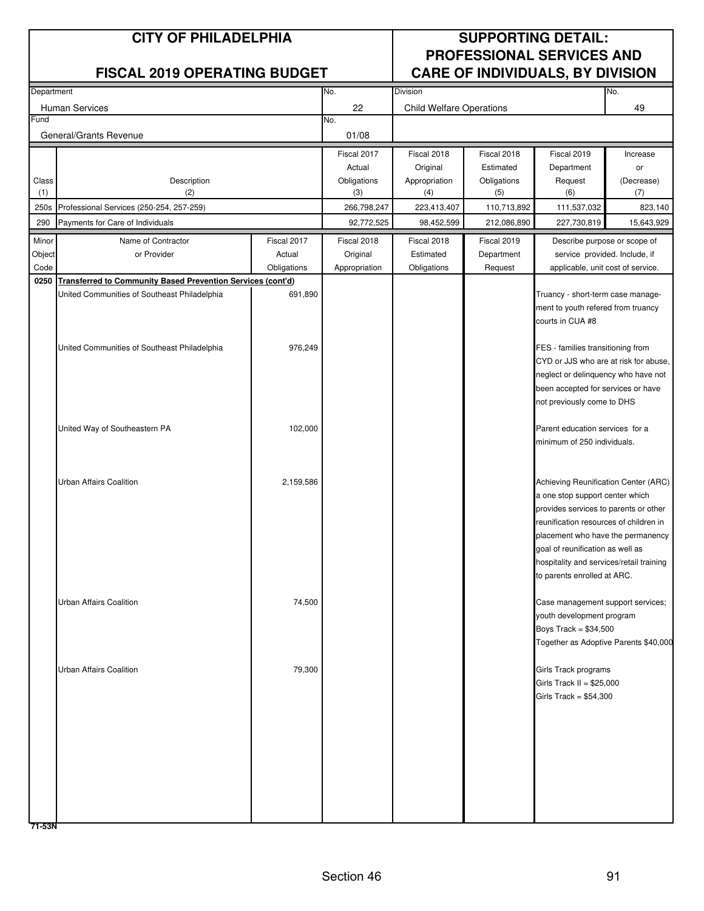| Department   |                                                             |             | No.                | Division                        |                    |                                                                             | No.               |
|--------------|-------------------------------------------------------------|-------------|--------------------|---------------------------------|--------------------|-----------------------------------------------------------------------------|-------------------|
|              |                                                             |             |                    |                                 |                    |                                                                             |                   |
| Fund         | Human Services                                              |             | 22<br>No.          | <b>Child Welfare Operations</b> |                    |                                                                             | 49                |
|              | General/Grants Revenue                                      |             | 01/08              |                                 |                    |                                                                             |                   |
|              |                                                             |             |                    |                                 |                    |                                                                             |                   |
|              |                                                             |             | Fiscal 2017        | Fiscal 2018                     | Fiscal 2018        | Fiscal 2019                                                                 | Increase          |
|              |                                                             |             | Actual             | Original                        | Estimated          | Department                                                                  | or                |
| Class<br>(1) | Description<br>(2)                                          |             | Obligations<br>(3) | Appropriation<br>(4)            | Obligations<br>(5) | Request<br>(6)                                                              | (Decrease)<br>(7) |
| 250s         | Professional Services (250-254, 257-259)                    |             | 266,798,247        | 223,413,407                     | 110,713,892        | 111,537,032                                                                 | 823,140           |
|              |                                                             |             | 92,772,525         |                                 |                    |                                                                             |                   |
| 290          | Payments for Care of Individuals                            |             |                    | 98,452,599                      | 212,086,890        | 227,730,819                                                                 | 15,643,929        |
| Minor        | Name of Contractor                                          | Fiscal 2017 | Fiscal 2018        | Fiscal 2018                     | Fiscal 2019        | Describe purpose or scope of                                                |                   |
| Object       | or Provider                                                 | Actual      | Original           | Estimated                       | Department         | service provided. Include, if                                               |                   |
| Code         |                                                             | Obligations | Appropriation      | Obligations                     | Request            | applicable, unit cost of service.                                           |                   |
| 0250         | Transferred to Community Based Prevention Services (cont'd) |             |                    |                                 |                    |                                                                             |                   |
|              | United Communities of Southeast Philadelphia                | 691,890     |                    |                                 |                    | Truancy - short-term case manage-                                           |                   |
|              |                                                             |             |                    |                                 |                    | ment to youth refered from truancy<br>courts in CUA #8                      |                   |
|              |                                                             |             |                    |                                 |                    |                                                                             |                   |
|              | United Communities of Southeast Philadelphia                | 976,249     |                    |                                 |                    | FES - families transitioning from                                           |                   |
|              |                                                             |             |                    |                                 |                    | CYD or JJS who are at risk for abuse,                                       |                   |
|              |                                                             |             |                    |                                 |                    | neglect or delinquency who have not                                         |                   |
|              |                                                             |             |                    |                                 |                    | been accepted for services or have                                          |                   |
|              |                                                             |             |                    |                                 |                    | not previously come to DHS                                                  |                   |
|              |                                                             |             |                    |                                 |                    |                                                                             |                   |
|              | United Way of Southeastern PA                               | 102,000     |                    |                                 |                    | Parent education services for a                                             |                   |
|              |                                                             |             |                    |                                 |                    | minimum of 250 individuals.                                                 |                   |
|              |                                                             |             |                    |                                 |                    |                                                                             |                   |
|              |                                                             |             |                    |                                 |                    |                                                                             |                   |
|              | Urban Affairs Coalition                                     | 2,159,586   |                    |                                 |                    | Achieving Reunification Center (ARC)                                        |                   |
|              |                                                             |             |                    |                                 |                    | a one stop support center which                                             |                   |
|              |                                                             |             |                    |                                 |                    | provides services to parents or other                                       |                   |
|              |                                                             |             |                    |                                 |                    | reunification resources of children in<br>placement who have the permanency |                   |
|              |                                                             |             |                    |                                 |                    | goal of reunification as well as                                            |                   |
|              |                                                             |             |                    |                                 |                    | hospitality and services/retail training                                    |                   |
|              |                                                             |             |                    |                                 |                    | to parents enrolled at ARC.                                                 |                   |
|              |                                                             |             |                    |                                 |                    |                                                                             |                   |
|              | <b>Urban Affairs Coalition</b>                              | 74,500      |                    |                                 |                    | Case management support services;                                           |                   |
|              |                                                             |             |                    |                                 |                    | youth development program                                                   |                   |
|              |                                                             |             |                    |                                 |                    | Boys Track = $$34,500$                                                      |                   |
|              |                                                             |             |                    |                                 |                    | Together as Adoptive Parents \$40,000                                       |                   |
|              |                                                             |             |                    |                                 |                    |                                                                             |                   |
|              | <b>Urban Affairs Coalition</b>                              | 79,300      |                    |                                 |                    | Girls Track programs                                                        |                   |
|              |                                                             |             |                    |                                 |                    | Girls Track II = $$25,000$                                                  |                   |
|              |                                                             |             |                    |                                 |                    | Girls Track = \$54,300                                                      |                   |
|              |                                                             |             |                    |                                 |                    |                                                                             |                   |
|              |                                                             |             |                    |                                 |                    |                                                                             |                   |
|              |                                                             |             |                    |                                 |                    |                                                                             |                   |
|              |                                                             |             |                    |                                 |                    |                                                                             |                   |
|              |                                                             |             |                    |                                 |                    |                                                                             |                   |
|              |                                                             |             |                    |                                 |                    |                                                                             |                   |
|              |                                                             |             |                    |                                 |                    |                                                                             |                   |
|              |                                                             |             |                    |                                 |                    |                                                                             |                   |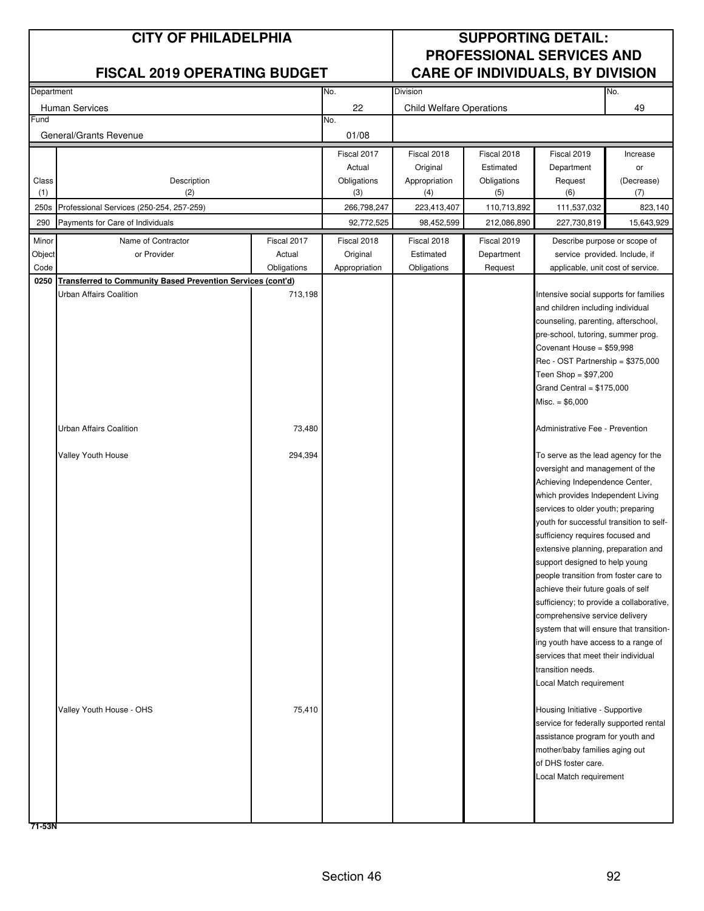### **FISCAL 2019 OPERATING BUDGET**

## **CITY OF PHILADELPHIA SUPPORTING DETAIL: PROFESSIONAL SERVICES AND**

| Department |                                                                    |             | No.           | Division                        |             |                                          | No.        |
|------------|--------------------------------------------------------------------|-------------|---------------|---------------------------------|-------------|------------------------------------------|------------|
|            | <b>Human Services</b>                                              |             | 22            | <b>Child Welfare Operations</b> |             |                                          | 49         |
| Fund       |                                                                    |             | No.           |                                 |             |                                          |            |
|            | General/Grants Revenue                                             |             | 01/08         |                                 |             |                                          |            |
|            |                                                                    |             | Fiscal 2017   | Fiscal 2018                     | Fiscal 2018 | Fiscal 2019                              | Increase   |
|            |                                                                    |             | Actual        | Original                        | Estimated   | Department                               | or         |
| Class      | Description                                                        |             | Obligations   | Appropriation                   | Obligations | Request                                  | (Decrease) |
| (1)        | (2)                                                                |             | (3)           | (4)                             | (5)         | (6)                                      | (7)        |
| 250s       | Professional Services (250-254, 257-259)                           |             | 266,798,247   | 223,413,407                     | 110,713,892 | 111,537,032                              | 823,140    |
| 290        | Payments for Care of Individuals                                   |             | 92,772,525    | 98,452,599                      | 212,086,890 | 227,730,819                              | 15,643,929 |
| Minor      | Name of Contractor                                                 | Fiscal 2017 | Fiscal 2018   | Fiscal 2018                     | Fiscal 2019 | Describe purpose or scope of             |            |
| Object     | or Provider                                                        | Actual      | Original      | Estimated                       | Department  | service provided. Include, if            |            |
| Code       |                                                                    | Obligations | Appropriation | Obligations                     | Request     |                                          |            |
| 0250       | <b>Transferred to Community Based Prevention Services (cont'd)</b> |             |               |                                 |             | applicable, unit cost of service.        |            |
|            | Urban Affairs Coalition                                            |             |               |                                 |             | Intensive social supports for families   |            |
|            |                                                                    | 713,198     |               |                                 |             |                                          |            |
|            |                                                                    |             |               |                                 |             | and children including individual        |            |
|            |                                                                    |             |               |                                 |             | counseling, parenting, afterschool,      |            |
|            |                                                                    |             |               |                                 |             | pre-school, tutoring, summer prog.       |            |
|            |                                                                    |             |               |                                 |             | Covenant House = \$59,998                |            |
|            |                                                                    |             |               |                                 |             | Rec - OST Partnership = \$375,000        |            |
|            |                                                                    |             |               |                                 |             | Teen Shop = $$97,200$                    |            |
|            |                                                                    |             |               |                                 |             | Grand Central = $$175,000$               |            |
|            |                                                                    |             |               |                                 |             | $Misc. = $6,000$                         |            |
|            |                                                                    |             |               |                                 |             |                                          |            |
|            | Urban Affairs Coalition                                            | 73,480      |               |                                 |             | Administrative Fee - Prevention          |            |
|            |                                                                    |             |               |                                 |             |                                          |            |
|            | Valley Youth House                                                 | 294,394     |               |                                 |             | To serve as the lead agency for the      |            |
|            |                                                                    |             |               |                                 |             | oversight and management of the          |            |
|            |                                                                    |             |               |                                 |             | Achieving Independence Center,           |            |
|            |                                                                    |             |               |                                 |             | which provides Independent Living        |            |
|            |                                                                    |             |               |                                 |             | services to older youth; preparing       |            |
|            |                                                                    |             |               |                                 |             | youth for successful transition to self- |            |
|            |                                                                    |             |               |                                 |             | sufficiency requires focused and         |            |
|            |                                                                    |             |               |                                 |             | extensive planning, preparation and      |            |
|            |                                                                    |             |               |                                 |             | support designed to help young           |            |
|            |                                                                    |             |               |                                 |             | people transition from foster care to    |            |
|            |                                                                    |             |               |                                 |             | achieve their future goals of self       |            |
|            |                                                                    |             |               |                                 |             | sufficiency; to provide a collaborative, |            |
|            |                                                                    |             |               |                                 |             | comprehensive service delivery           |            |
|            |                                                                    |             |               |                                 |             | system that will ensure that transition- |            |
|            |                                                                    |             |               |                                 |             | ing youth have access to a range of      |            |
|            |                                                                    |             |               |                                 |             | services that meet their individual      |            |
|            |                                                                    |             |               |                                 |             | transition needs.                        |            |
|            |                                                                    |             |               |                                 |             | Local Match requirement                  |            |
|            |                                                                    |             |               |                                 |             |                                          |            |
|            | Valley Youth House - OHS                                           | 75,410      |               |                                 |             | Housing Initiative - Supportive          |            |
|            |                                                                    |             |               |                                 |             | service for federally supported rental   |            |
|            |                                                                    |             |               |                                 |             | assistance program for youth and         |            |
|            |                                                                    |             |               |                                 |             | mother/baby families aging out           |            |
|            |                                                                    |             |               |                                 |             | of DHS foster care.                      |            |
|            |                                                                    |             |               |                                 |             | Local Match requirement                  |            |
|            |                                                                    |             |               |                                 |             |                                          |            |
|            |                                                                    |             |               |                                 |             |                                          |            |
|            |                                                                    |             |               |                                 |             |                                          |            |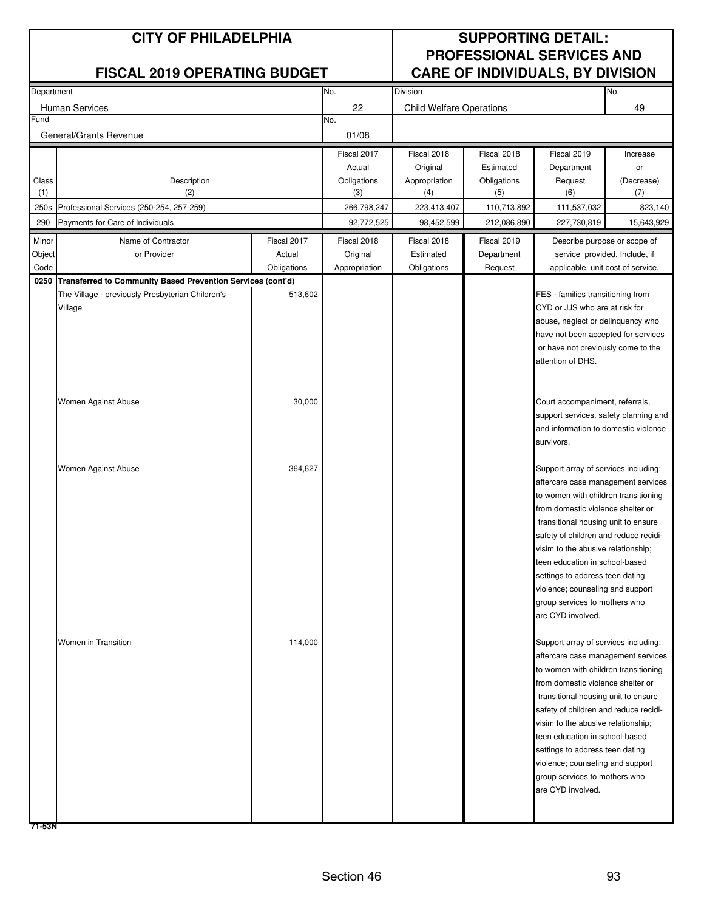| Department |                                                             |             | No.           | <b>Division</b>                 |             |                                       | No.                          |
|------------|-------------------------------------------------------------|-------------|---------------|---------------------------------|-------------|---------------------------------------|------------------------------|
|            | <b>Human Services</b>                                       |             | 22            | <b>Child Welfare Operations</b> |             |                                       | 49                           |
| Fund       |                                                             |             | No.           |                                 |             |                                       |                              |
|            | General/Grants Revenue                                      |             | 01/08         |                                 |             |                                       |                              |
|            |                                                             |             | Fiscal 2017   | Fiscal 2018                     | Fiscal 2018 | Fiscal 2019                           | Increase                     |
|            |                                                             |             | Actual        | Original                        | Estimated   | Department                            | or                           |
| Class      | Description                                                 |             | Obligations   | Appropriation                   | Obligations | Request                               | (Decrease)                   |
| (1)        | (2)                                                         |             | (3)           | (4)                             | (5)         | (6)                                   | (7)                          |
| 250s       | Professional Services (250-254, 257-259)                    |             | 266,798,247   | 223,413,407                     | 110,713,892 | 111,537,032                           | 823,140                      |
| 290        | Payments for Care of Individuals                            |             | 92,772,525    | 98,452,599                      | 212,086,890 | 227,730,819                           | 15,643,929                   |
| Minor      | Name of Contractor                                          | Fiscal 2017 | Fiscal 2018   | Fiscal 2018                     | Fiscal 2019 |                                       | Describe purpose or scope of |
| Object     | or Provider                                                 | Actual      | Original      | Estimated                       | Department  | service provided. Include, if         |                              |
| Code       |                                                             | Obligations | Appropriation | Obligations                     | Request     | applicable, unit cost of service.     |                              |
| 0250       | Transferred to Community Based Prevention Services (cont'd) |             |               |                                 |             |                                       |                              |
|            | The Village - previously Presbyterian Children's            | 513,602     |               |                                 |             | FES - families transitioning from     |                              |
|            | Village                                                     |             |               |                                 |             | CYD or JJS who are at risk for        |                              |
|            |                                                             |             |               |                                 |             | abuse, neglect or delinquency who     |                              |
|            |                                                             |             |               |                                 |             | have not been accepted for services   |                              |
|            |                                                             |             |               |                                 |             | or have not previously come to the    |                              |
|            |                                                             |             |               |                                 |             | attention of DHS.                     |                              |
|            |                                                             |             |               |                                 |             |                                       |                              |
|            | Women Against Abuse                                         | 30,000      |               |                                 |             | Court accompaniment, referrals,       |                              |
|            |                                                             |             |               |                                 |             | support services, safety planning and |                              |
|            |                                                             |             |               |                                 |             | and information to domestic violence  |                              |
|            |                                                             |             |               |                                 |             | survivors.                            |                              |
|            |                                                             |             |               |                                 |             |                                       |                              |
|            | Women Against Abuse                                         | 364,627     |               |                                 |             | Support array of services including:  |                              |
|            |                                                             |             |               |                                 |             | aftercare case management services    |                              |
|            |                                                             |             |               |                                 |             | to women with children transitioning  |                              |
|            |                                                             |             |               |                                 |             | from domestic violence shelter or     |                              |
|            |                                                             |             |               |                                 |             | transitional housing unit to ensure   |                              |
|            |                                                             |             |               |                                 |             | safety of children and reduce recidi- |                              |
|            |                                                             |             |               |                                 |             | visim to the abusive relationship;    |                              |
|            |                                                             |             |               |                                 |             | teen education in school-based        |                              |
|            |                                                             |             |               |                                 |             | settings to address teen dating       |                              |
|            |                                                             |             |               |                                 |             | violence; counseling and support      |                              |
|            |                                                             |             |               |                                 |             | group services to mothers who         |                              |
|            |                                                             |             |               |                                 |             | are CYD involved.                     |                              |
|            | Women in Transition                                         | 114,000     |               |                                 |             | Support array of services including:  |                              |
|            |                                                             |             |               |                                 |             | aftercare case management services    |                              |
|            |                                                             |             |               |                                 |             | to women with children transitioning  |                              |
|            |                                                             |             |               |                                 |             | from domestic violence shelter or     |                              |
|            |                                                             |             |               |                                 |             | transitional housing unit to ensure   |                              |
|            |                                                             |             |               |                                 |             | safety of children and reduce recidi- |                              |
|            |                                                             |             |               |                                 |             | visim to the abusive relationship;    |                              |
|            |                                                             |             |               |                                 |             | teen education in school-based        |                              |
|            |                                                             |             |               |                                 |             | settings to address teen dating       |                              |
|            |                                                             |             |               |                                 |             | violence; counseling and support      |                              |
|            |                                                             |             |               |                                 |             | group services to mothers who         |                              |
|            |                                                             |             |               |                                 |             | are CYD involved.                     |                              |
|            |                                                             |             |               |                                 |             |                                       |                              |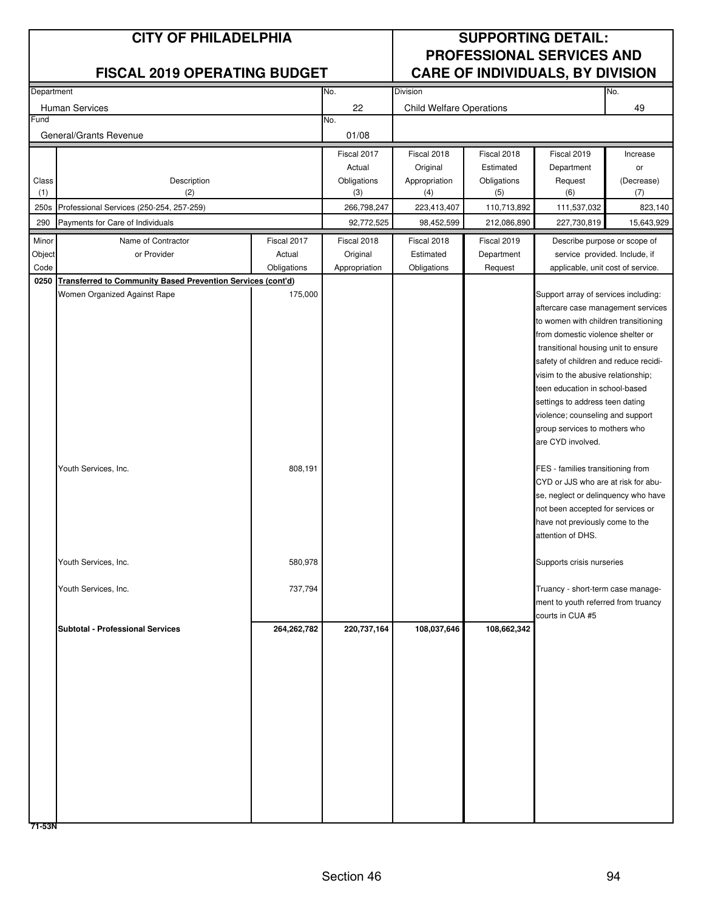| Department |                                                                    |             | No.           | Division                        |             |                                                         | No.                           |
|------------|--------------------------------------------------------------------|-------------|---------------|---------------------------------|-------------|---------------------------------------------------------|-------------------------------|
|            |                                                                    |             |               |                                 |             |                                                         |                               |
| Fund       | Human Services                                                     |             | 22<br>No.     | <b>Child Welfare Operations</b> |             |                                                         | 49                            |
|            |                                                                    |             |               |                                 |             |                                                         |                               |
|            | General/Grants Revenue                                             |             | 01/08         |                                 |             |                                                         |                               |
|            |                                                                    |             | Fiscal 2017   | Fiscal 2018                     | Fiscal 2018 | Fiscal 2019                                             | Increase                      |
|            |                                                                    |             | Actual        | Original                        | Estimated   | Department                                              | or                            |
| Class      | Description                                                        |             | Obligations   | Appropriation                   | Obligations | Request                                                 | (Decrease)                    |
| (1)        | (2)                                                                |             | (3)           | (4)                             | (5)         | (6)                                                     | (7)                           |
| 250s       | Professional Services (250-254, 257-259)                           |             | 266,798,247   | 223,413,407                     | 110,713,892 | 111,537,032                                             | 823,140                       |
| 290        | Payments for Care of Individuals                                   |             | 92,772,525    | 98,452,599                      | 212,086,890 | 227,730,819                                             | 15,643,929                    |
| Minor      | Name of Contractor                                                 | Fiscal 2017 | Fiscal 2018   | Fiscal 2018                     | Fiscal 2019 |                                                         | Describe purpose or scope of  |
| Object     | or Provider                                                        | Actual      | Original      | Estimated                       | Department  |                                                         | service provided. Include, if |
| Code       |                                                                    | Obligations | Appropriation | Obligations                     | Request     | applicable, unit cost of service.                       |                               |
| 0250       | <b>Transferred to Community Based Prevention Services (cont'd)</b> |             |               |                                 |             |                                                         |                               |
|            | Women Organized Against Rape                                       | 175,000     |               |                                 |             | Support array of services including:                    |                               |
|            |                                                                    |             |               |                                 |             | aftercare case management services                      |                               |
|            |                                                                    |             |               |                                 |             | to women with children transitioning                    |                               |
|            |                                                                    |             |               |                                 |             | from domestic violence shelter or                       |                               |
|            |                                                                    |             |               |                                 |             | transitional housing unit to ensure                     |                               |
|            |                                                                    |             |               |                                 |             | safety of children and reduce recidi-                   |                               |
|            |                                                                    |             |               |                                 |             | visim to the abusive relationship;                      |                               |
|            |                                                                    |             |               |                                 |             | teen education in school-based                          |                               |
|            |                                                                    |             |               |                                 |             | settings to address teen dating                         |                               |
|            |                                                                    |             |               |                                 |             | violence; counseling and support                        |                               |
|            |                                                                    |             |               |                                 |             | group services to mothers who                           |                               |
|            |                                                                    |             |               |                                 |             | are CYD involved.                                       |                               |
|            |                                                                    |             |               |                                 |             |                                                         |                               |
|            | Youth Services, Inc.                                               | 808,191     |               |                                 |             | FES - families transitioning from                       |                               |
|            |                                                                    |             |               |                                 |             | CYD or JJS who are at risk for abu-                     |                               |
|            |                                                                    |             |               |                                 |             | se, neglect or delinquency who have                     |                               |
|            |                                                                    |             |               |                                 |             | not been accepted for services or                       |                               |
|            |                                                                    |             |               |                                 |             | have not previously come to the                         |                               |
|            |                                                                    |             |               |                                 |             | attention of DHS.                                       |                               |
|            |                                                                    |             |               |                                 |             |                                                         |                               |
|            | Youth Services, Inc.                                               | 580,978     |               |                                 |             | Supports crisis nurseries                               |                               |
|            |                                                                    |             |               |                                 |             |                                                         |                               |
|            | Youth Services, Inc.                                               | 737,794     |               |                                 |             | Truancy - short-term case manage-                       |                               |
|            |                                                                    |             |               |                                 |             | ment to youth referred from truancy<br>courts in CUA #5 |                               |
|            | <b>Subtotal - Professional Services</b>                            | 264,262,782 | 220,737,164   | 108,037,646                     | 108,662,342 |                                                         |                               |
|            |                                                                    |             |               |                                 |             |                                                         |                               |
|            |                                                                    |             |               |                                 |             |                                                         |                               |
|            |                                                                    |             |               |                                 |             |                                                         |                               |
|            |                                                                    |             |               |                                 |             |                                                         |                               |
|            |                                                                    |             |               |                                 |             |                                                         |                               |
|            |                                                                    |             |               |                                 |             |                                                         |                               |
|            |                                                                    |             |               |                                 |             |                                                         |                               |
|            |                                                                    |             |               |                                 |             |                                                         |                               |
|            |                                                                    |             |               |                                 |             |                                                         |                               |
|            |                                                                    |             |               |                                 |             |                                                         |                               |
|            |                                                                    |             |               |                                 |             |                                                         |                               |
|            |                                                                    |             |               |                                 |             |                                                         |                               |
|            |                                                                    |             |               |                                 |             |                                                         |                               |
|            |                                                                    |             |               |                                 |             |                                                         |                               |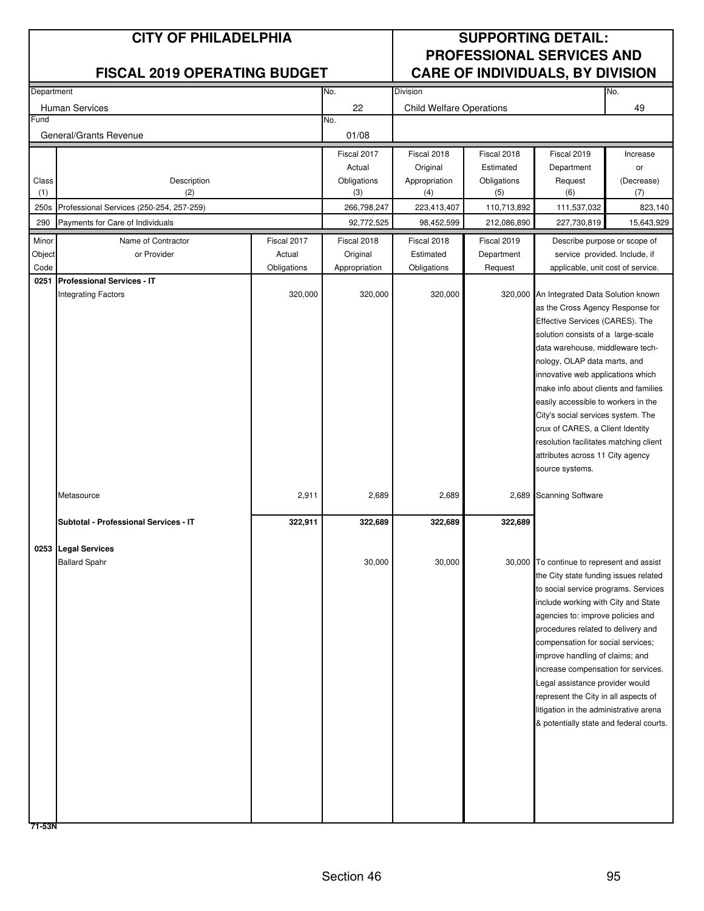| Department     |                                          |                       | No.<br><b>Division</b>    |                                 |                       |                                                                                     | No.        |
|----------------|------------------------------------------|-----------------------|---------------------------|---------------------------------|-----------------------|-------------------------------------------------------------------------------------|------------|
|                | <b>Human Services</b>                    |                       | 22                        | <b>Child Welfare Operations</b> |                       |                                                                                     | 49         |
| Fund           |                                          |                       | No.                       |                                 |                       |                                                                                     |            |
|                | General/Grants Revenue                   |                       | 01/08                     |                                 |                       |                                                                                     |            |
|                |                                          |                       | Fiscal 2017               | Fiscal 2018                     | Fiscal 2018           | Fiscal 2019                                                                         | Increase   |
|                |                                          |                       | Actual                    | Original                        | Estimated             | Department                                                                          | or         |
| Class          | Description                              |                       | Obligations               | Appropriation                   | Obligations           | Request                                                                             | (Decrease) |
| (1)            | (2)                                      |                       | (3)                       | (4)                             | (5)                   | (6)                                                                                 | (7)        |
| 250s           | Professional Services (250-254, 257-259) |                       | 266,798,247               | 223,413,407                     | 110,713,892           | 111,537,032                                                                         | 823,140    |
| 290            | Payments for Care of Individuals         |                       | 92,772,525                | 98,452,599                      | 212,086,890           | 227,730,819                                                                         | 15,643,929 |
| Minor          | Name of Contractor                       | Fiscal 2017           | Fiscal 2018               | Fiscal 2018                     | Fiscal 2019           | Describe purpose or scope of                                                        |            |
| Object<br>Code | or Provider                              | Actual<br>Obligations | Original<br>Appropriation | Estimated<br>Obligations        | Department<br>Request | service provided. Include, if                                                       |            |
| 0251           | <b>Professional Services - IT</b>        |                       |                           |                                 |                       | applicable, unit cost of service.                                                   |            |
|                | <b>Integrating Factors</b>               | 320,000               | 320,000                   | 320,000                         |                       | 320,000 An Integrated Data Solution known                                           |            |
|                |                                          |                       |                           |                                 |                       | as the Cross Agency Response for                                                    |            |
|                |                                          |                       |                           |                                 |                       | Effective Services (CARES). The                                                     |            |
|                |                                          |                       |                           |                                 |                       | solution consists of a large-scale                                                  |            |
|                |                                          |                       |                           |                                 |                       | data warehouse, middleware tech-                                                    |            |
|                |                                          |                       |                           |                                 |                       | nology, OLAP data marts, and                                                        |            |
|                |                                          |                       |                           |                                 |                       | innovative web applications which<br>make info about clients and families           |            |
|                |                                          |                       |                           |                                 |                       | easily accessible to workers in the                                                 |            |
|                |                                          |                       |                           |                                 |                       | City's social services system. The                                                  |            |
|                |                                          |                       |                           |                                 |                       | crux of CARES, a Client Identity                                                    |            |
|                |                                          |                       |                           |                                 |                       | resolution facilitates matching client                                              |            |
|                |                                          |                       |                           |                                 |                       | attributes across 11 City agency                                                    |            |
|                |                                          |                       |                           |                                 |                       | source systems.                                                                     |            |
|                | Metasource                               | 2,911                 | 2,689                     | 2,689                           |                       | 2,689 Scanning Software                                                             |            |
|                | Subtotal - Professional Services - IT    | 322,911               | 322,689                   | 322,689                         | 322,689               |                                                                                     |            |
|                |                                          |                       |                           |                                 |                       |                                                                                     |            |
|                | 0253 Legal Services                      |                       |                           |                                 |                       |                                                                                     |            |
|                | <b>Ballard Spahr</b>                     |                       | 30,000                    | 30,000                          |                       | 30,000 To continue to represent and assist<br>the City state funding issues related |            |
|                |                                          |                       |                           |                                 |                       | to social service programs. Services                                                |            |
|                |                                          |                       |                           |                                 |                       | include working with City and State                                                 |            |
|                |                                          |                       |                           |                                 |                       | agencies to: improve policies and                                                   |            |
|                |                                          |                       |                           |                                 |                       | procedures related to delivery and                                                  |            |
|                |                                          |                       |                           |                                 |                       | compensation for social services;                                                   |            |
|                |                                          |                       |                           |                                 |                       | improve handling of claims; and                                                     |            |
|                |                                          |                       |                           |                                 |                       | increase compensation for services.                                                 |            |
|                |                                          |                       |                           |                                 |                       | Legal assistance provider would                                                     |            |
|                |                                          |                       |                           |                                 |                       | represent the City in all aspects of                                                |            |
|                |                                          |                       |                           |                                 |                       | litigation in the administrative arena<br>& potentially state and federal courts.   |            |
|                |                                          |                       |                           |                                 |                       |                                                                                     |            |
|                |                                          |                       |                           |                                 |                       |                                                                                     |            |
|                |                                          |                       |                           |                                 |                       |                                                                                     |            |
|                |                                          |                       |                           |                                 |                       |                                                                                     |            |
|                |                                          |                       |                           |                                 |                       |                                                                                     |            |
|                |                                          |                       |                           |                                 |                       |                                                                                     |            |
|                |                                          |                       |                           |                                 |                       |                                                                                     |            |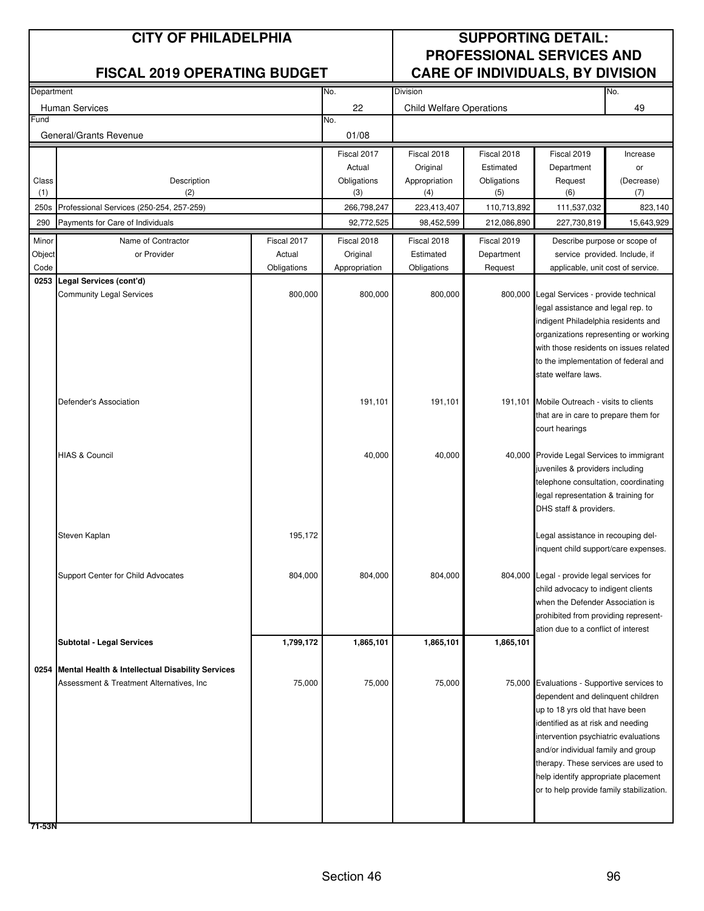| Department |                                                            |             | No.           | <b>Division</b>                 |             |                                                                           | No.        |
|------------|------------------------------------------------------------|-------------|---------------|---------------------------------|-------------|---------------------------------------------------------------------------|------------|
|            | Human Services                                             |             | 22            | <b>Child Welfare Operations</b> |             |                                                                           | 49         |
| Fund       |                                                            |             | No.           |                                 |             |                                                                           |            |
|            | General/Grants Revenue                                     |             | 01/08         |                                 |             |                                                                           |            |
|            |                                                            |             | Fiscal 2017   | Fiscal 2018                     | Fiscal 2018 | Fiscal 2019                                                               | Increase   |
|            |                                                            |             | Actual        | Original                        | Estimated   | Department                                                                | or         |
| Class      | Description                                                |             | Obligations   | Appropriation                   | Obligations | Request                                                                   | (Decrease) |
| (1)        | (2)                                                        |             | (3)           | (4)                             | (5)         | (6)                                                                       | (7)        |
| 250s       | Professional Services (250-254, 257-259)                   |             | 266,798,247   | 223,413,407                     | 110,713,892 | 111,537,032                                                               | 823,140    |
| 290        | Payments for Care of Individuals                           |             | 92,772,525    | 98,452,599                      | 212,086,890 | 227,730,819                                                               | 15,643,929 |
| Minor      | Name of Contractor                                         | Fiscal 2017 | Fiscal 2018   | Fiscal 2018                     | Fiscal 2019 | Describe purpose or scope of                                              |            |
| Object     | or Provider                                                | Actual      | Original      | Estimated                       | Department  | service provided. Include, if                                             |            |
| Code       |                                                            | Obligations | Appropriation | Obligations                     | Request     | applicable, unit cost of service.                                         |            |
| 0253       | Legal Services (cont'd)<br><b>Community Legal Services</b> | 800,000     | 800,000       | 800,000                         |             | 800,000 Legal Services - provide technical                                |            |
|            |                                                            |             |               |                                 |             | legal assistance and legal rep. to                                        |            |
|            |                                                            |             |               |                                 |             | indigent Philadelphia residents and                                       |            |
|            |                                                            |             |               |                                 |             | organizations representing or working                                     |            |
|            |                                                            |             |               |                                 |             | with those residents on issues related                                    |            |
|            |                                                            |             |               |                                 |             | to the implementation of federal and                                      |            |
|            |                                                            |             |               |                                 |             | state welfare laws.                                                       |            |
|            |                                                            |             |               |                                 |             |                                                                           |            |
|            | Defender's Association                                     |             | 191,101       | 191,101                         | 191,101     | Mobile Outreach - visits to clients                                       |            |
|            |                                                            |             |               |                                 |             | that are in care to prepare them for                                      |            |
|            |                                                            |             |               |                                 |             | court hearings                                                            |            |
|            | <b>HIAS &amp; Council</b>                                  |             | 40,000        | 40,000                          |             | 40,000 Provide Legal Services to immigrant                                |            |
|            |                                                            |             |               |                                 |             | juveniles & providers including                                           |            |
|            |                                                            |             |               |                                 |             | telephone consultation, coordinating                                      |            |
|            |                                                            |             |               |                                 |             | legal representation & training for                                       |            |
|            |                                                            |             |               |                                 |             | DHS staff & providers.                                                    |            |
|            |                                                            |             |               |                                 |             |                                                                           |            |
|            | Steven Kaplan                                              | 195,172     |               |                                 |             | egal assistance in recouping del-                                         |            |
|            |                                                            |             |               |                                 |             | inquent child support/care expenses.                                      |            |
|            |                                                            |             |               |                                 |             |                                                                           |            |
|            | Support Center for Child Advocates                         | 804,000     | 804,000       | 804,000                         |             | 804,000 Legal - provide legal services for                                |            |
|            |                                                            |             |               |                                 |             | child advocacy to indigent clients<br>when the Defender Association is    |            |
|            |                                                            |             |               |                                 |             | prohibited from providing represent-                                      |            |
|            |                                                            |             |               |                                 |             | ation due to a conflict of interest                                       |            |
|            | <b>Subtotal - Legal Services</b>                           | 1,799,172   | 1,865,101     | 1,865,101                       | 1,865,101   |                                                                           |            |
|            |                                                            |             |               |                                 |             |                                                                           |            |
|            | 0254 Mental Health & Intellectual Disability Services      |             |               |                                 |             |                                                                           |            |
|            | Assessment & Treatment Alternatives, Inc.                  | 75,000      | 75,000        | 75,000                          |             | 75,000 Evaluations - Supportive services to                               |            |
|            |                                                            |             |               |                                 |             | dependent and delinquent children                                         |            |
|            |                                                            |             |               |                                 |             | up to 18 yrs old that have been                                           |            |
|            |                                                            |             |               |                                 |             | identified as at risk and needing                                         |            |
|            |                                                            |             |               |                                 |             | intervention psychiatric evaluations                                      |            |
|            |                                                            |             |               |                                 |             | and/or individual family and group<br>therapy. These services are used to |            |
|            |                                                            |             |               |                                 |             | help identify appropriate placement                                       |            |
|            |                                                            |             |               |                                 |             | or to help provide family stabilization.                                  |            |
|            |                                                            |             |               |                                 |             |                                                                           |            |
|            |                                                            |             |               |                                 |             |                                                                           |            |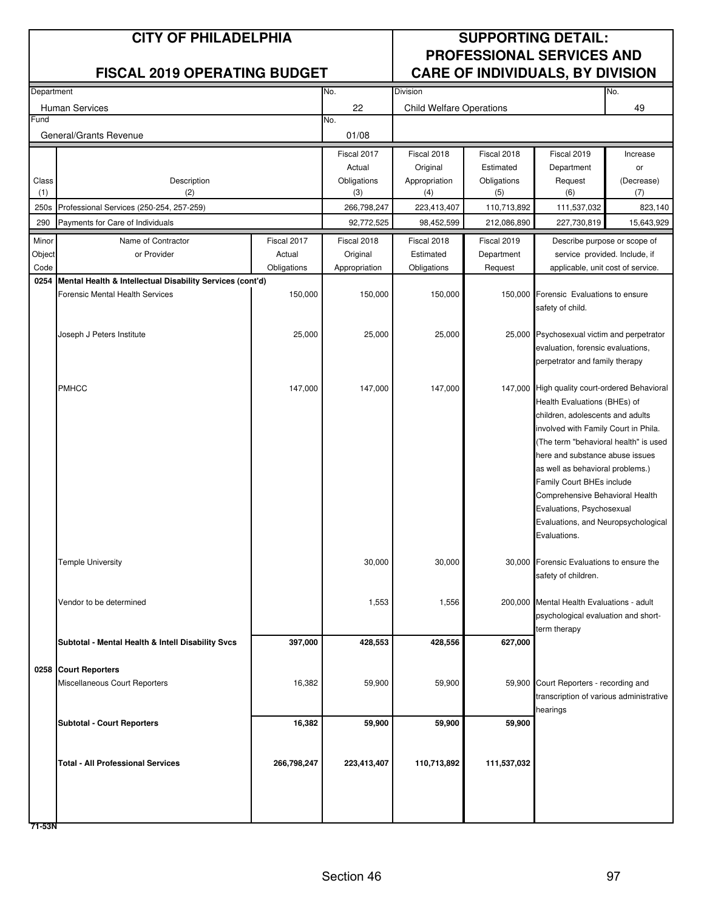| Department |                                                           |             | No.           | Division                        |             |                                                                          | No.        |
|------------|-----------------------------------------------------------|-------------|---------------|---------------------------------|-------------|--------------------------------------------------------------------------|------------|
|            | <b>Human Services</b>                                     |             | 22            | <b>Child Welfare Operations</b> |             |                                                                          | 49         |
| Fund       |                                                           |             | No.           |                                 |             |                                                                          |            |
|            | General/Grants Revenue                                    |             | 01/08         |                                 |             |                                                                          |            |
|            |                                                           |             | Fiscal 2017   | Fiscal 2018                     | Fiscal 2018 | Fiscal 2019                                                              | Increase   |
|            |                                                           |             | Actual        | Original                        | Estimated   | Department                                                               | or         |
| Class      | Description                                               |             | Obligations   | Appropriation                   | Obligations | Request                                                                  | (Decrease) |
| (1)        | (2)                                                       |             | (3)           | (4)                             | (5)         | (6)                                                                      | (7)        |
| 250s       | Professional Services (250-254, 257-259)                  |             | 266,798,247   | 223,413,407                     | 110,713,892 | 111,537,032                                                              | 823,140    |
| 290        | Payments for Care of Individuals                          |             | 92,772,525    | 98,452,599                      | 212,086,890 | 227,730,819                                                              | 15,643,929 |
| Minor      | Name of Contractor                                        | Fiscal 2017 | Fiscal 2018   | Fiscal 2018                     | Fiscal 2019 | Describe purpose or scope of                                             |            |
| Object     | or Provider                                               | Actual      | Original      | Estimated                       | Department  | service provided. Include, if                                            |            |
| Code       |                                                           | Obligations | Appropriation | Obligations                     | Request     | applicable, unit cost of service.                                        |            |
| 0254       | Mental Health & Intellectual Disability Services (cont'd) |             |               |                                 |             |                                                                          |            |
|            | <b>Forensic Mental Health Services</b>                    | 150,000     | 150,000       | 150,000                         |             | 150,000 Forensic Evaluations to ensure                                   |            |
|            |                                                           |             |               |                                 |             | safety of child.                                                         |            |
|            | Joseph J Peters Institute                                 | 25,000      | 25,000        | 25,000                          |             | 25,000 Psychosexual victim and perpetrator                               |            |
|            |                                                           |             |               |                                 |             | evaluation, forensic evaluations,                                        |            |
|            |                                                           |             |               |                                 |             | perpetrator and family therapy                                           |            |
|            |                                                           |             |               |                                 |             |                                                                          |            |
|            | <b>PMHCC</b>                                              | 147,000     | 147,000       | 147,000                         |             | 147,000 High quality court-ordered Behavioral                            |            |
|            |                                                           |             |               |                                 |             | Health Evaluations (BHEs) of                                             |            |
|            |                                                           |             |               |                                 |             | children, adolescents and adults                                         |            |
|            |                                                           |             |               |                                 |             | involved with Family Court in Phila.                                     |            |
|            |                                                           |             |               |                                 |             | (The term "behavioral health" is used<br>here and substance abuse issues |            |
|            |                                                           |             |               |                                 |             | as well as behavioral problems.)                                         |            |
|            |                                                           |             |               |                                 |             | Family Court BHEs include                                                |            |
|            |                                                           |             |               |                                 |             | Comprehensive Behavioral Health                                          |            |
|            |                                                           |             |               |                                 |             | Evaluations, Psychosexual                                                |            |
|            |                                                           |             |               |                                 |             | Evaluations, and Neuropsychological                                      |            |
|            |                                                           |             |               |                                 |             | Evaluations.                                                             |            |
|            | <b>Temple University</b>                                  |             | 30,000        | 30,000                          |             | 30,000 Forensic Evaluations to ensure the                                |            |
|            |                                                           |             |               |                                 |             | safety of children.                                                      |            |
|            |                                                           |             |               |                                 |             |                                                                          |            |
|            | Vendor to be determined                                   |             | 1,553         | 1,556                           |             | 200,000 Mental Health Evaluations - adult                                |            |
|            |                                                           |             |               |                                 |             | psychological evaluation and short-                                      |            |
|            | Subtotal - Mental Health & Intell Disability Svcs         | 397,000     | 428,553       | 428,556                         | 627,000     | term therapy                                                             |            |
|            |                                                           |             |               |                                 |             |                                                                          |            |
|            | 0258 Court Reporters                                      |             |               |                                 |             |                                                                          |            |
|            | Miscellaneous Court Reporters                             | 16,382      | 59,900        | 59,900                          |             | 59,900 Court Reporters - recording and                                   |            |
|            |                                                           |             |               |                                 |             | transcription of various administrative                                  |            |
|            |                                                           |             |               |                                 |             | hearings                                                                 |            |
|            | <b>Subtotal - Court Reporters</b>                         | 16,382      | 59,900        | 59,900                          | 59,900      |                                                                          |            |
|            |                                                           |             |               |                                 |             |                                                                          |            |
|            | <b>Total - All Professional Services</b>                  | 266,798,247 | 223,413,407   | 110,713,892                     | 111,537,032 |                                                                          |            |
|            |                                                           |             |               |                                 |             |                                                                          |            |
|            |                                                           |             |               |                                 |             |                                                                          |            |
|            |                                                           |             |               |                                 |             |                                                                          |            |
|            |                                                           |             |               |                                 |             |                                                                          |            |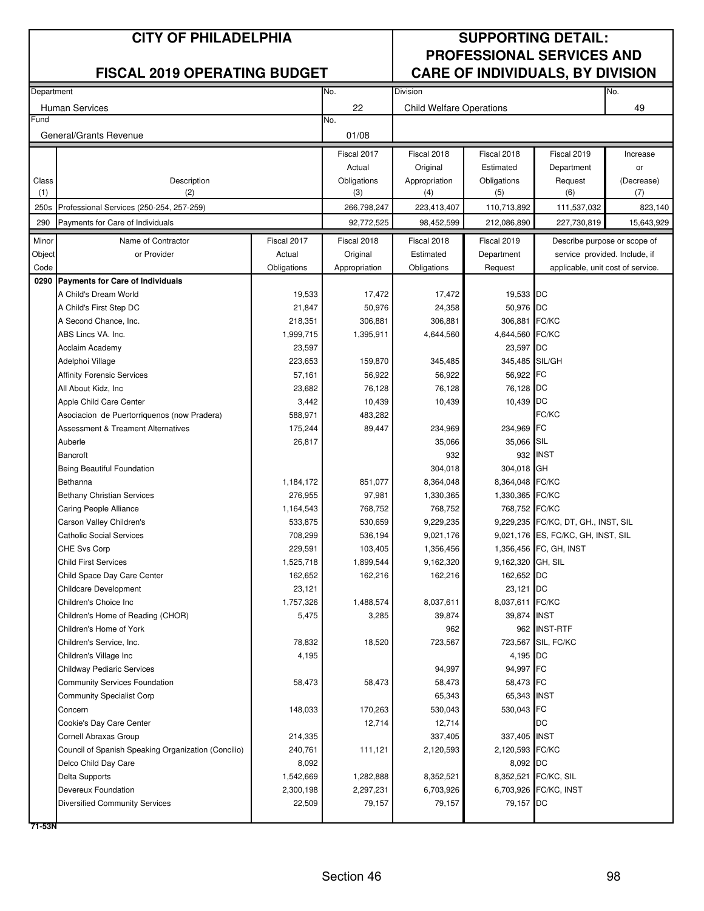| Department |                                                     |             | No.           | Division                        |                   |                                     | No.        |
|------------|-----------------------------------------------------|-------------|---------------|---------------------------------|-------------------|-------------------------------------|------------|
|            |                                                     |             | 22            |                                 |                   |                                     | 49         |
| Fund       | <b>Human Services</b>                               |             | No.           | <b>Child Welfare Operations</b> |                   |                                     |            |
|            | General/Grants Revenue                              |             | 01/08         |                                 |                   |                                     |            |
|            |                                                     |             | Fiscal 2017   | Fiscal 2018                     | Fiscal 2018       | Fiscal 2019                         | Increase   |
|            |                                                     |             | Actual        | Original                        | Estimated         | Department                          | or         |
| Class      | Description                                         |             | Obligations   | Appropriation                   | Obligations       | Request                             | (Decrease) |
| (1)        | (2)                                                 |             | (3)           | (4)                             | (5)               | (6)                                 | (7)        |
| 250s       | Professional Services (250-254, 257-259)            |             | 266,798,247   | 223,413,407                     | 110,713,892       | 111,537,032                         | 823,140    |
| 290        | Payments for Care of Individuals                    |             | 92,772,525    | 98,452,599                      | 212,086,890       | 227,730,819                         | 15,643,929 |
| Minor      | Name of Contractor                                  | Fiscal 2017 | Fiscal 2018   | Fiscal 2018                     | Fiscal 2019       | Describe purpose or scope of        |            |
| Object     | or Provider                                         | Actual      | Original      | Estimated                       | Department        | service provided. Include, if       |            |
| Code       |                                                     | Obligations | Appropriation | Obligations                     | Request           | applicable, unit cost of service.   |            |
| 0290       | <b>Payments for Care of Individuals</b>             |             |               |                                 |                   |                                     |            |
|            | A Child's Dream World                               | 19,533      | 17,472        | 17,472                          | 19,533 DC         |                                     |            |
|            | A Child's First Step DC                             | 21,847      | 50,976        | 24,358                          | 50,976 DC         |                                     |            |
|            | A Second Chance, Inc.                               | 218,351     | 306,881       | 306,881                         | 306,881 FC/KC     |                                     |            |
|            | ABS Lincs VA. Inc.                                  | 1,999,715   | 1,395,911     | 4,644,560                       | 4,644,560 FC/KC   |                                     |            |
|            | Acclaim Academy                                     | 23,597      |               |                                 | 23,597            | DC                                  |            |
|            | Adelphoi Village                                    | 223,653     | 159,870       | 345,485                         | 345,485 SIL/GH    |                                     |            |
|            | <b>Affinity Forensic Services</b>                   | 57,161      | 56,922        | 56,922                          | 56,922            | FC                                  |            |
|            | All About Kidz, Inc                                 | 23,682      | 76,128        | 76,128                          | 76,128            | DC                                  |            |
|            | Apple Child Care Center                             | 3,442       | 10,439        | 10,439                          | 10,439            | DC                                  |            |
|            | Asociacion de Puertorriquenos (now Pradera)         | 588,971     | 483,282       |                                 |                   | FC/KC                               |            |
|            | <b>Assessment &amp; Treament Alternatives</b>       | 175,244     | 89,447        | 234,969                         | 234,969           | FC                                  |            |
|            | Auberle                                             | 26,817      |               | 35,066                          | 35,066            | SIL                                 |            |
|            | <b>Bancroft</b>                                     |             |               | 932                             | 932               | <b>INST</b>                         |            |
|            | Being Beautiful Foundation                          |             |               | 304,018                         | 304,018 GH        |                                     |            |
|            | Bethanna                                            | 1,184,172   | 851,077       | 8,364,048                       | 8,364,048 FC/KC   |                                     |            |
|            | <b>Bethany Christian Services</b>                   | 276,955     | 97,981        | 1,330,365                       | 1,330,365 FC/KC   |                                     |            |
|            | Caring People Alliance                              | 1,164,543   | 768,752       | 768,752                         | 768,752 FC/KC     |                                     |            |
|            | Carson Valley Children's                            | 533,875     | 530,659       | 9,229,235                       |                   | 9,229,235 FC/KC, DT, GH., INST, SIL |            |
|            | <b>Catholic Social Services</b>                     | 708,299     | 536,194       | 9,021,176                       |                   | 9,021,176 ES, FC/KC, GH, INST, SIL  |            |
|            | CHE Svs Corp                                        | 229,591     | 103,405       | 1,356,456                       |                   | 1,356,456 FC, GH, INST              |            |
|            | <b>Child First Services</b>                         | 1,525,718   | 1,899,544     | 9,162,320                       | 9,162,320 GH, SIL |                                     |            |
|            | Child Space Day Care Center                         | 162,652     | 162,216       | 162,216                         | 162,652           | DC                                  |            |
|            | <b>Childcare Development</b>                        | 23,121      |               |                                 | 23,121 DC         |                                     |            |
|            | Children's Choice Inc                               | 1,757,326   | 1,488,574     | 8,037,611                       | 8,037,611 FC/KC   |                                     |            |
|            | Children's Home of Reading (CHOR)                   | 5,475       | 3,285         | 39,874                          | 39,874            | <b>INST</b>                         |            |
|            | Children's Home of York                             |             |               | 962                             |                   | 962 INST-RTF                        |            |
|            | Children's Service, Inc.                            | 78,832      | 18,520        | 723,567                         |                   | 723,567 SIL, FC/KC                  |            |
|            | Children's Village Inc                              | 4,195       |               |                                 | 4,195 DC          |                                     |            |
|            | <b>Childway Pediaric Services</b>                   |             |               | 94,997                          | 94,997 FC         |                                     |            |
|            | Community Services Foundation                       | 58,473      | 58,473        | 58,473                          | 58,473 FC         |                                     |            |
|            | <b>Community Specialist Corp</b>                    |             |               | 65,343                          | 65,343 INST       |                                     |            |
|            | Concern                                             | 148,033     | 170,263       | 530,043                         | 530,043 FC        |                                     |            |
|            | Cookie's Day Care Center                            |             | 12,714        | 12,714                          |                   | DC                                  |            |
|            | Cornell Abraxas Group                               | 214,335     |               | 337,405                         | 337,405 INST      |                                     |            |
|            | Council of Spanish Speaking Organization (Concilio) | 240,761     | 111,121       | 2,120,593                       | 2,120,593 FC/KC   |                                     |            |
|            | Delco Child Day Care                                | 8,092       |               |                                 | 8,092 DC          |                                     |            |
|            | Delta Supports                                      | 1,542,669   | 1,282,888     | 8,352,521                       |                   | 8,352,521 FC/KC, SIL                |            |
|            | Devereux Foundation                                 | 2,300,198   | 2,297,231     | 6,703,926                       |                   | 6,703,926 FC/KC, INST               |            |
|            | <b>Diversified Community Services</b>               | 22,509      | 79,157        | 79,157                          | 79,157            | DC                                  |            |
|            |                                                     |             |               |                                 |                   |                                     |            |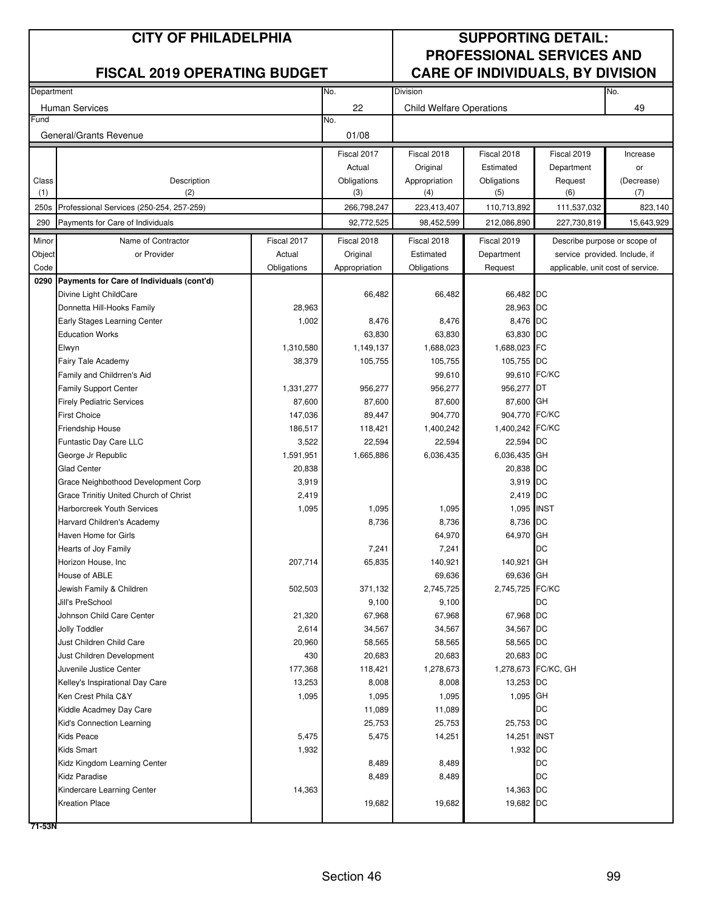| Department |                                           |             | No.           | Division                        |                 |                                   | No.        |
|------------|-------------------------------------------|-------------|---------------|---------------------------------|-----------------|-----------------------------------|------------|
|            | <b>Human Services</b>                     |             | 22            | <b>Child Welfare Operations</b> |                 |                                   | 49         |
| Fund       |                                           |             | No.           |                                 |                 |                                   |            |
|            | General/Grants Revenue                    |             | 01/08         |                                 |                 |                                   |            |
|            |                                           |             | Fiscal 2017   | Fiscal 2018                     | Fiscal 2018     | Fiscal 2019                       | Increase   |
|            |                                           |             | Actual        | Original                        | Estimated       | Department                        | or         |
| Class      | Description                               |             | Obligations   | Appropriation                   | Obligations     | Request                           | (Decrease) |
| (1)        | (2)                                       |             | (3)           | (4)                             | (5)             | (6)                               | (7)        |
| 250s       | Professional Services (250-254, 257-259)  |             | 266,798,247   | 223,413,407                     | 110,713,892     | 111,537,032                       | 823,140    |
| 290        | Payments for Care of Individuals          |             | 92,772,525    | 98,452,599                      | 212,086,890     | 227,730,819                       | 15,643,929 |
| Minor      | Name of Contractor                        | Fiscal 2017 | Fiscal 2018   | Fiscal 2018                     | Fiscal 2019     | Describe purpose or scope of      |            |
| Object     | or Provider                               | Actual      | Original      | Estimated                       | Department      | service provided. Include, if     |            |
| Code       |                                           | Obligations | Appropriation | Obligations                     | Request         | applicable, unit cost of service. |            |
| 0290       | Payments for Care of Individuals (cont'd) |             |               |                                 |                 |                                   |            |
|            | Divine Light ChildCare                    |             | 66,482        | 66,482                          | 66,482 DC       |                                   |            |
|            | Donnetta Hill-Hooks Family                | 28,963      |               |                                 | 28,963 DC       |                                   |            |
|            | Early Stages Learning Center              | 1,002       | 8,476         | 8,476                           | 8,476 DC        |                                   |            |
|            | <b>Education Works</b>                    |             | 63,830        | 63,830                          | 63,830 DC       |                                   |            |
|            | Elwyn                                     | 1,310,580   | 1,149,137     | 1,688,023                       | 1,688,023 FC    |                                   |            |
|            | Fairy Tale Academy                        | 38,379      | 105,755       | 105,755                         | 105,755 DC      |                                   |            |
|            | Family and Childrren's Aid                |             |               | 99,610                          | 99,610 FC/KC    |                                   |            |
|            | <b>Family Support Center</b>              | 1,331,277   | 956,277       | 956,277                         | 956,277 DT      |                                   |            |
|            | <b>Firely Pediatric Services</b>          | 87,600      | 87,600        | 87,600                          | 87,600 GH       |                                   |            |
|            | <b>First Choice</b>                       | 147,036     | 89,447        | 904,770                         | 904,770 FC/KC   |                                   |            |
|            | Friendship House                          | 186,517     | 118,421       | 1,400,242                       | 1,400,242 FC/KC |                                   |            |
|            | Funtastic Day Care LLC                    | 3,522       | 22,594        | 22,594                          | 22,594 DC       |                                   |            |
|            | George Jr Republic                        | 1,591,951   | 1,665,886     | 6,036,435                       | 6,036,435 GH    |                                   |            |
|            | <b>Glad Center</b>                        | 20,838      |               |                                 | 20,838 DC       |                                   |            |
|            | Grace Neighbothood Development Corp       | 3,919       |               |                                 | 3,919 DC        |                                   |            |
|            | Grace Trinitiy United Church of Christ    | 2,419       |               |                                 | 2,419 DC        |                                   |            |
|            | Harborcreek Youth Services                | 1,095       | 1,095         | 1,095                           | 1,095 INST      |                                   |            |
|            | Harvard Children's Academy                |             | 8,736         | 8,736                           | 8,736 DC        |                                   |            |
|            | Haven Home for Girls                      |             |               | 64,970                          | 64,970 GH       |                                   |            |
|            | Hearts of Joy Family                      |             | 7,241         | 7,241                           |                 | DC                                |            |
|            | Horizon House, Inc                        | 207,714     | 65,835        | 140,921                         | 140,921 GH      |                                   |            |
|            | House of ABLE                             |             |               | 69,636                          | 69,636 GH       |                                   |            |
|            | Jewish Family & Children                  | 502,503     | 371,132       | 2,745,725                       | 2,745,725 FC/KC |                                   |            |
|            | Jill's PreSchool                          |             | 9,100         | 9,100                           |                 | DC                                |            |
|            | Johnson Child Care Center                 | 21,320      | 67,968        | 67,968                          | 67,968 DC       |                                   |            |
|            | Jolly Toddler                             | 2,614       | 34,567        | 34,567                          | 34,567 DC       |                                   |            |
|            | Just Children Child Care                  | 20,960      | 58,565        | 58,565                          | 58,565 DC       |                                   |            |
|            | Just Children Development                 | 430         | 20,683        | 20,683                          | 20,683 DC       |                                   |            |
|            | Juvenile Justice Center                   | 177,368     | 118,421       | 1,278,673                       |                 | 1,278,673 FC/KC, GH               |            |
|            | Kelley's Inspirational Day Care           | 13,253      | 8,008         | 8,008                           | 13,253 DC       |                                   |            |
|            | Ken Crest Phila C&Y                       | 1,095       | 1,095         | 1,095                           | 1,095 GH        |                                   |            |
|            | Kiddle Acadmey Day Care                   |             | 11,089        | 11,089                          |                 | DC                                |            |
|            | Kid's Connection Learning                 |             | 25,753        | 25,753                          | 25,753 DC       |                                   |            |
|            | Kids Peace                                | 5,475       | 5,475         | 14,251                          | 14,251 INST     |                                   |            |
|            | Kids Smart                                | 1,932       |               |                                 | 1,932 DC        |                                   |            |
|            | Kidz Kingdom Learning Center              |             | 8,489         | 8,489                           |                 | DC                                |            |
|            | Kidz Paradise                             |             | 8,489         | 8,489                           |                 | <b>DC</b>                         |            |
|            | Kindercare Learning Center                | 14,363      |               |                                 | 14,363 DC       |                                   |            |
|            | <b>Kreation Place</b>                     |             | 19,682        | 19,682                          | 19,682 DC       |                                   |            |
|            |                                           |             |               |                                 |                 |                                   |            |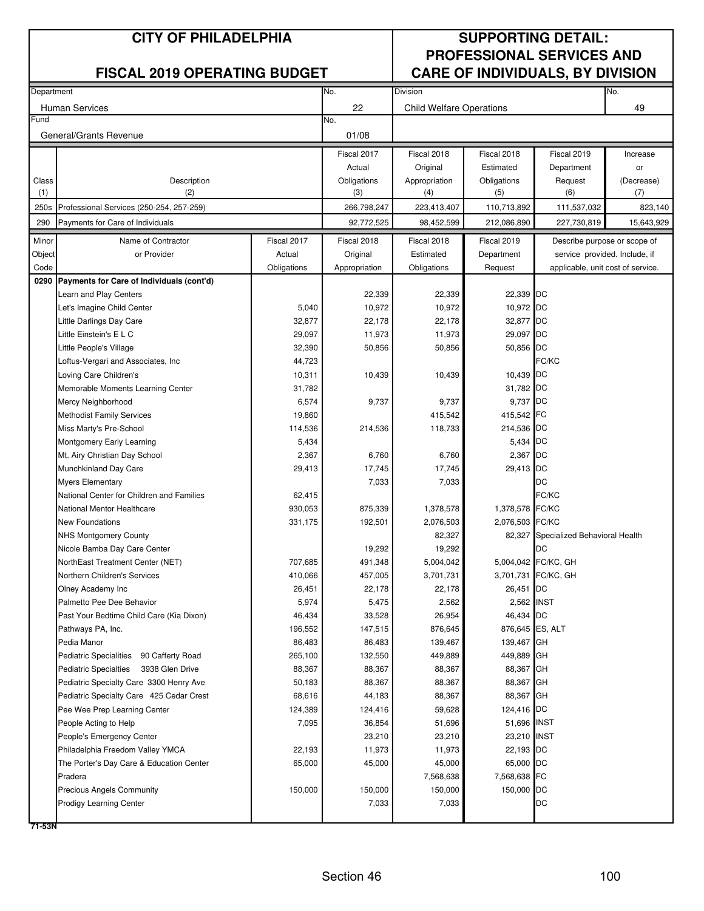| Department |                                                                    |             | No.<br>Division |                                 |                            |                                      | No.        |
|------------|--------------------------------------------------------------------|-------------|-----------------|---------------------------------|----------------------------|--------------------------------------|------------|
|            | <b>Human Services</b>                                              |             | 22              | <b>Child Welfare Operations</b> |                            |                                      | 49         |
| Fund       |                                                                    |             | No.             |                                 |                            |                                      |            |
|            | General/Grants Revenue                                             |             | 01/08           |                                 |                            |                                      |            |
|            |                                                                    |             | Fiscal 2017     | Fiscal 2018                     | Fiscal 2018                | Fiscal 2019                          | Increase   |
|            |                                                                    |             | Actual          | Original                        | Estimated                  | Department                           | or         |
| Class      | Description                                                        |             | Obligations     | Appropriation                   | Obligations                | Request                              | (Decrease) |
| (1)        | (2)                                                                |             | (3)             | (4)                             | (5)                        | (6)                                  | (7)        |
| 250s       | Professional Services (250-254, 257-259)                           |             | 266,798,247     | 223,413,407                     | 110,713,892                | 111,537,032                          | 823,140    |
| 290        | Payments for Care of Individuals                                   |             | 92,772,525      | 98,452,599                      | 212,086,890                | 227,730,819                          | 15,643,929 |
| Minor      | Name of Contractor                                                 | Fiscal 2017 | Fiscal 2018     | Fiscal 2018                     | Fiscal 2019                | Describe purpose or scope of         |            |
| Object     | or Provider                                                        | Actual      | Original        | Estimated                       | Department                 | service provided. Include, if        |            |
| Code       |                                                                    | Obligations | Appropriation   | Obligations                     | Request                    | applicable, unit cost of service.    |            |
|            | 0290 Payments for Care of Individuals (cont'd)                     |             |                 |                                 |                            |                                      |            |
|            | Learn and Play Centers                                             |             | 22,339          | 22,339                          | 22,339 DC                  |                                      |            |
|            | Let's Imagine Child Center                                         | 5,040       | 10,972          | 10,972                          | 10,972 DC                  |                                      |            |
|            | Little Darlings Day Care                                           | 32,877      | 22,178          | 22,178                          | 32,877 DC                  |                                      |            |
|            | Little Einstein's E L C                                            | 29,097      | 11,973          | 11,973                          | 29,097 DC                  |                                      |            |
|            | Little People's Village                                            | 32,390      | 50,856          | 50,856                          | 50,856 DC                  |                                      |            |
|            | Loftus-Vergari and Associates, Inc.                                | 44,723      |                 |                                 |                            | FC/KC                                |            |
|            | Loving Care Children's                                             | 10,311      | 10,439          | 10,439                          | 10,439 DC                  |                                      |            |
|            | Memorable Moments Learning Center                                  | 31,782      |                 |                                 | 31,782 DC                  |                                      |            |
|            | Mercy Neighborhood                                                 | 6,574       | 9,737           | 9,737                           | 9,737 DC                   |                                      |            |
|            | <b>Methodist Family Services</b>                                   | 19,860      |                 | 415,542                         | 415,542 FC                 |                                      |            |
|            | Miss Marty's Pre-School                                            | 114,536     | 214,536         | 118,733                         | 214,536 DC                 |                                      |            |
|            | Montgomery Early Learning                                          | 5,434       |                 |                                 | 5,434 DC                   |                                      |            |
|            | Mt. Airy Christian Day School                                      | 2,367       | 6,760           | 6,760                           | 2,367 DC                   |                                      |            |
|            | Munchkinland Day Care                                              | 29,413      | 17,745          | 17,745                          | 29,413 DC                  |                                      |            |
|            | <b>Myers Elementary</b>                                            |             | 7,033           | 7,033                           |                            | DC                                   |            |
|            | National Center for Children and Families                          | 62,415      |                 |                                 |                            | FC/KC                                |            |
|            | National Mentor Healthcare                                         | 930,053     | 875,339         | 1,378,578                       | 1,378,578 FC/KC            |                                      |            |
|            | <b>New Foundations</b>                                             | 331,175     | 192,501         | 2,076,503                       | 2,076,503 FC/KC            |                                      |            |
|            | <b>NHS Montgomery County</b>                                       |             |                 | 82,327                          |                            | 82,327 Specialized Behavioral Health |            |
|            | Nicole Bamba Day Care Center                                       |             | 19,292          | 19,292                          |                            | DC                                   |            |
|            | NorthEast Treatment Center (NET)                                   | 707,685     | 491,348         | 5,004,042                       |                            | 5,004,042 FC/KC, GH                  |            |
|            | Northern Children's Services                                       | 410,066     | 457,005         | 3,701,731                       |                            | 3,701,731 FC/KC, GH                  |            |
|            | Olney Academy Inc                                                  | 26,451      | 22,178          | 22,178                          | 26,451 DC                  |                                      |            |
|            | Palmetto Pee Dee Behavior                                          | 5,974       | 5,475           | 2,562                           | 2,562 INST                 |                                      |            |
|            | Past Your Bedtime Child Care (Kia Dixon)                           | 46,434      | 33,528          | 26,954                          | 46,434 DC                  |                                      |            |
|            | Pathways PA, Inc.                                                  | 196,552     | 147,515         | 876,645                         | 876,645 ES, ALT            |                                      |            |
|            | Pedia Manor                                                        | 86,483      | 86,483          | 139,467                         | 139,467 GH                 |                                      |            |
|            | <b>Pediatric Specialities</b><br>90 Cafferty Road                  | 265,100     | 132,550         | 449,889                         | 449,889 GH                 |                                      |            |
|            | <b>Pediatric Specialties</b><br>3938 Glen Drive                    | 88,367      | 88,367          | 88,367                          | 88,367 GH                  |                                      |            |
|            | Pediatric Specialty Care 3300 Henry Ave                            | 50,183      | 88,367          | 88,367                          | 88,367 GH                  |                                      |            |
|            | Pediatric Specialty Care 425 Cedar Crest                           | 68,616      | 44,183          | 88,367                          | 88,367 GH                  |                                      |            |
|            | Pee Wee Prep Learning Center                                       | 124,389     | 124,416         | 59,628                          | 124,416 DC                 |                                      |            |
|            | People Acting to Help                                              | 7,095       | 36,854          | 51,696                          | 51,696 INST                |                                      |            |
|            | People's Emergency Center                                          |             | 23,210          | 23,210                          | 23,210 INST                |                                      |            |
|            | Philadelphia Freedom Valley YMCA                                   | 22,193      | 11,973          | 11,973                          | 22,193 DC                  |                                      |            |
|            | The Porter's Day Care & Education Center                           | 65,000      | 45,000          | 45,000                          | 65,000 DC                  |                                      |            |
|            | Pradera                                                            | 150,000     | 150,000         | 7,568,638<br>150,000            | 7,568,638 FC<br>150,000 DC |                                      |            |
|            | <b>Precious Angels Community</b><br><b>Prodigy Learning Center</b> |             | 7,033           | 7,033                           |                            | DC                                   |            |
|            |                                                                    |             |                 |                                 |                            |                                      |            |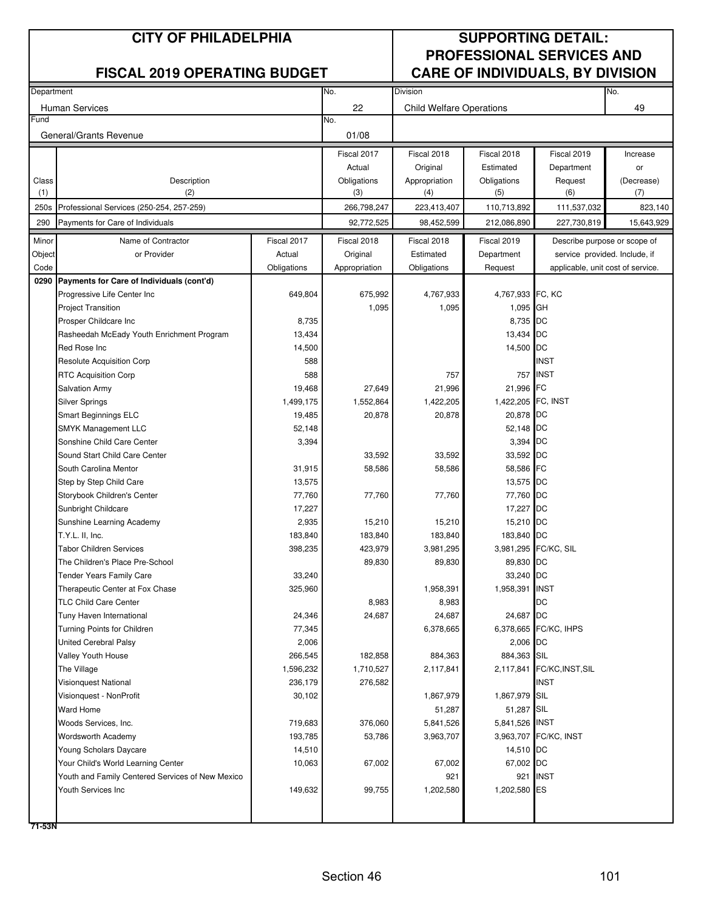| Department |                                                  |             | No.           | <b>Division</b>                 |                    |                                   |            |
|------------|--------------------------------------------------|-------------|---------------|---------------------------------|--------------------|-----------------------------------|------------|
|            |                                                  |             |               |                                 |                    |                                   | No.        |
| Fund       | <b>Human Services</b>                            |             | 22<br>No.     | <b>Child Welfare Operations</b> |                    |                                   | 49         |
|            |                                                  |             |               |                                 |                    |                                   |            |
|            | General/Grants Revenue                           |             | 01/08         |                                 |                    |                                   |            |
|            |                                                  |             | Fiscal 2017   | Fiscal 2018                     | Fiscal 2018        | Fiscal 2019                       | Increase   |
|            |                                                  |             | Actual        | Original                        | Estimated          | Department                        | or         |
| Class      | Description                                      |             | Obligations   | Appropriation                   | Obligations        | Request                           | (Decrease) |
| (1)        | (2)                                              |             | (3)           | (4)                             | (5)                | (6)                               | (7)        |
| 250s       | Professional Services (250-254, 257-259)         |             | 266,798,247   | 223,413,407                     | 110,713,892        | 111,537,032                       | 823,140    |
| 290        | Payments for Care of Individuals                 |             | 92,772,525    | 98,452,599                      | 212,086,890        | 227,730,819                       | 15,643,929 |
| Minor      | Name of Contractor                               | Fiscal 2017 | Fiscal 2018   | Fiscal 2018                     | Fiscal 2019        | Describe purpose or scope of      |            |
| Object     | or Provider                                      | Actual      | Original      | Estimated                       | Department         | service provided. Include, if     |            |
| Code       |                                                  | Obligations | Appropriation | Obligations                     | Request            | applicable, unit cost of service. |            |
|            | 0290 Payments for Care of Individuals (cont'd)   |             |               |                                 |                    |                                   |            |
|            | Progressive Life Center Inc                      | 649,804     | 675,992       | 4,767,933                       | 4,767,933 FC, KC   |                                   |            |
|            | <b>Project Transition</b>                        |             | 1,095         | 1,095                           | 1,095 GH           |                                   |            |
|            | Prosper Childcare Inc                            | 8,735       |               |                                 | 8,735 DC           |                                   |            |
|            | Rasheedah McEady Youth Enrichment Program        | 13,434      |               |                                 | 13,434 DC          |                                   |            |
|            | Red Rose Inc                                     | 14,500      |               |                                 | 14,500 DC          |                                   |            |
|            | <b>Resolute Acquisition Corp</b>                 | 588         |               |                                 |                    | <b>INST</b>                       |            |
|            | <b>RTC Acquisition Corp</b>                      | 588         |               | 757                             |                    | 757 INST                          |            |
|            | <b>Salvation Army</b>                            | 19,468      | 27,649        | 21,996                          | 21,996 FC          |                                   |            |
|            | <b>Silver Springs</b>                            | 1,499,175   | 1,552,864     | 1,422,205                       | 1,422,205 FC, INST |                                   |            |
|            | <b>Smart Beginnings ELC</b>                      | 19,485      | 20,878        | 20,878                          | 20,878 DC          |                                   |            |
|            | <b>SMYK Management LLC</b>                       | 52,148      |               |                                 | 52,148 DC          |                                   |            |
|            | Sonshine Child Care Center                       | 3,394       |               |                                 | 3,394 DC           |                                   |            |
|            | Sound Start Child Care Center                    |             | 33,592        | 33,592                          | 33,592 DC          |                                   |            |
|            | South Carolina Mentor                            | 31,915      | 58,586        | 58,586                          | 58,586 FC          |                                   |            |
|            | Step by Step Child Care                          | 13,575      |               |                                 | 13,575 DC          |                                   |            |
|            | Storybook Children's Center                      | 77,760      | 77,760        | 77,760                          | 77,760 DC          |                                   |            |
|            | Sunbright Childcare                              | 17,227      |               |                                 | 17,227 DC          |                                   |            |
|            | Sunshine Learning Academy                        | 2,935       | 15,210        | 15,210                          | 15,210 DC          |                                   |            |
|            | T.Y.L. II, Inc.                                  | 183,840     | 183,840       | 183,840                         | 183,840 DC         |                                   |            |
|            | <b>Tabor Children Services</b>                   | 398,235     | 423,979       | 3,981,295                       |                    | 3,981,295 FC/KC, SIL              |            |
|            | The Children's Place Pre-School                  |             | 89,830        | 89,830                          | 89,830 DC          |                                   |            |
|            | <b>Tender Years Family Care</b>                  | 33,240      |               |                                 | 33,240 DC          |                                   |            |
|            | Therapeutic Center at Fox Chase                  | 325,960     |               | 1,958,391                       | 1,958,391 INST     |                                   |            |
|            | <b>TLC Child Care Center</b>                     |             | 8,983         | 8,983                           |                    | DC                                |            |
|            | Tuny Haven International                         | 24,346      | 24,687        | 24,687                          | 24,687 DC          |                                   |            |
|            | Turning Points for Children                      | 77,345      |               | 6,378,665                       |                    | 6,378,665 FC/KC, IHPS             |            |
|            | <b>United Cerebral Palsy</b>                     | 2,006       |               |                                 | 2,006 DC           |                                   |            |
|            | Valley Youth House                               | 266,545     | 182,858       | 884,363                         | 884,363 SIL        |                                   |            |
|            | The Village                                      | 1,596,232   | 1,710,527     | 2,117,841                       |                    | 2,117,841 FC/KC, INST, SIL        |            |
|            | <b>Visionquest National</b>                      | 236,179     | 276,582       |                                 |                    | <b>INST</b>                       |            |
|            | Visionquest - NonProfit                          | 30,102      |               | 1,867,979                       | 1,867,979 SIL      |                                   |            |
|            | <b>Ward Home</b>                                 |             |               | 51,287                          | 51,287 SIL         |                                   |            |
|            | Woods Services, Inc.                             | 719,683     | 376,060       | 5,841,526                       | 5,841,526 INST     |                                   |            |
|            | <b>Wordsworth Academy</b>                        | 193,785     | 53,786        | 3,963,707                       |                    | 3,963,707 FC/KC, INST             |            |
|            | Young Scholars Daycare                           | 14,510      |               |                                 | 14,510 DC          |                                   |            |
|            | Your Child's World Learning Center               | 10,063      | 67,002        | 67,002                          | 67,002 DC          |                                   |            |
|            | Youth and Family Centered Services of New Mexico |             |               | 921                             |                    | 921 INST                          |            |
|            | Youth Services Inc                               | 149,632     | 99,755        | 1,202,580                       | 1,202,580 ES       |                                   |            |
|            |                                                  |             |               |                                 |                    |                                   |            |
|            |                                                  |             |               |                                 |                    |                                   |            |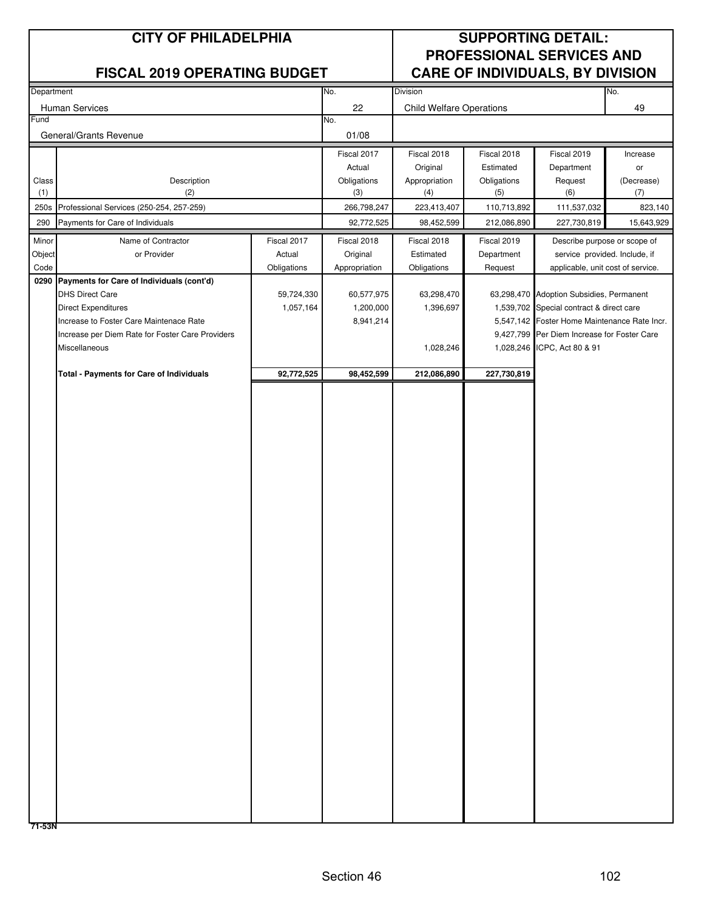| Department |                                                                       |             | No.                    | <b>Division</b>                 |             |                                                                                             | No.        |
|------------|-----------------------------------------------------------------------|-------------|------------------------|---------------------------------|-------------|---------------------------------------------------------------------------------------------|------------|
|            | Human Services                                                        |             | 22                     | <b>Child Welfare Operations</b> |             |                                                                                             | 49         |
| Fund       |                                                                       |             | No.                    |                                 |             |                                                                                             |            |
|            | General/Grants Revenue                                                |             | 01/08                  |                                 |             |                                                                                             |            |
|            |                                                                       |             | Fiscal 2017            | Fiscal 2018                     | Fiscal 2018 | Fiscal 2019                                                                                 | Increase   |
|            |                                                                       |             | Actual                 | Original                        | Estimated   | Department                                                                                  | or         |
| Class      | Description                                                           |             | Obligations            | Appropriation                   | Obligations | Request                                                                                     | (Decrease) |
| (1)        | (2)                                                                   |             | (3)                    | (4)                             | (5)         | (6)                                                                                         | (7)        |
| 250s       | Professional Services (250-254, 257-259)                              |             | 266,798,247            | 223,413,407                     | 110,713,892 | 111,537,032                                                                                 | 823,140    |
| 290        | Payments for Care of Individuals                                      |             | 92,772,525             | 98,452,599                      | 212,086,890 | 227,730,819                                                                                 | 15,643,929 |
| Minor      | Name of Contractor                                                    | Fiscal 2017 | Fiscal 2018            | Fiscal 2018                     | Fiscal 2019 | Describe purpose or scope of                                                                |            |
| Object     | or Provider                                                           | Actual      | Original               | Estimated                       | Department  | service provided. Include, if                                                               |            |
| Code       |                                                                       | Obligations | Appropriation          | Obligations                     | Request     | applicable, unit cost of service.                                                           |            |
| 0290       | Payments for Care of Individuals (cont'd)                             |             |                        |                                 |             |                                                                                             |            |
|            | <b>DHS Direct Care</b>                                                | 59,724,330  | 60,577,975             | 63,298,470                      |             | 63,298,470 Adoption Subsidies, Permanent                                                    |            |
|            | <b>Direct Expenditures</b><br>Increase to Foster Care Maintenace Rate | 1,057,164   | 1,200,000<br>8,941,214 | 1,396,697                       |             | 1,539,702 Special contract & direct care                                                    |            |
|            | Increase per Diem Rate for Foster Care Providers                      |             |                        |                                 |             | 5,547,142 Foster Home Maintenance Rate Incr.<br>9,427,799 Per Diem Increase for Foster Care |            |
|            | Miscellaneous                                                         |             |                        | 1,028,246                       |             | 1,028,246 ICPC, Act 80 & 91                                                                 |            |
|            |                                                                       |             |                        |                                 |             |                                                                                             |            |
|            | <b>Total - Payments for Care of Individuals</b>                       | 92,772,525  | 98,452,599             | 212,086,890                     | 227,730,819 |                                                                                             |            |
|            |                                                                       |             |                        |                                 |             |                                                                                             |            |
|            |                                                                       |             |                        |                                 |             |                                                                                             |            |
|            |                                                                       |             |                        |                                 |             |                                                                                             |            |
|            |                                                                       |             |                        |                                 |             |                                                                                             |            |
|            |                                                                       |             |                        |                                 |             |                                                                                             |            |
|            |                                                                       |             |                        |                                 |             |                                                                                             |            |
|            |                                                                       |             |                        |                                 |             |                                                                                             |            |
|            |                                                                       |             |                        |                                 |             |                                                                                             |            |
|            |                                                                       |             |                        |                                 |             |                                                                                             |            |
|            |                                                                       |             |                        |                                 |             |                                                                                             |            |
|            |                                                                       |             |                        |                                 |             |                                                                                             |            |
|            |                                                                       |             |                        |                                 |             |                                                                                             |            |
|            |                                                                       |             |                        |                                 |             |                                                                                             |            |
|            |                                                                       |             |                        |                                 |             |                                                                                             |            |
|            |                                                                       |             |                        |                                 |             |                                                                                             |            |
|            |                                                                       |             |                        |                                 |             |                                                                                             |            |
|            |                                                                       |             |                        |                                 |             |                                                                                             |            |
|            |                                                                       |             |                        |                                 |             |                                                                                             |            |
|            |                                                                       |             |                        |                                 |             |                                                                                             |            |
|            |                                                                       |             |                        |                                 |             |                                                                                             |            |
|            |                                                                       |             |                        |                                 |             |                                                                                             |            |
|            |                                                                       |             |                        |                                 |             |                                                                                             |            |
|            |                                                                       |             |                        |                                 |             |                                                                                             |            |
|            |                                                                       |             |                        |                                 |             |                                                                                             |            |
|            |                                                                       |             |                        |                                 |             |                                                                                             |            |
|            |                                                                       |             |                        |                                 |             |                                                                                             |            |
|            |                                                                       |             |                        |                                 |             |                                                                                             |            |
|            |                                                                       |             |                        |                                 |             |                                                                                             |            |
|            |                                                                       |             |                        |                                 |             |                                                                                             |            |
|            |                                                                       |             |                        |                                 |             |                                                                                             |            |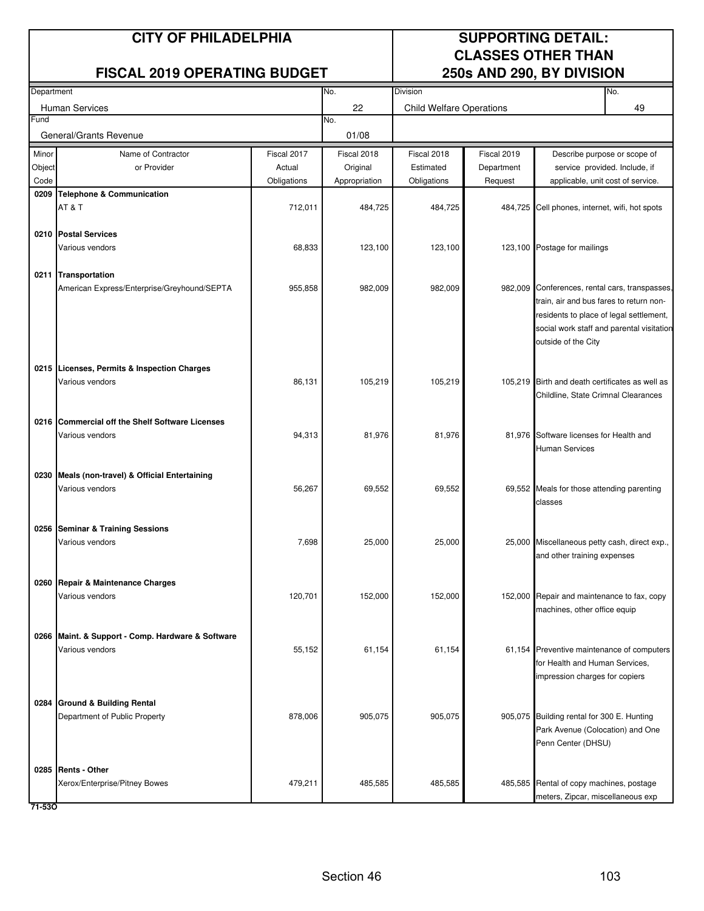### **CITY OF PHILADELPHIA SUPPORTING DETAIL:**

### **FISCAL 2019 OPERATING BUDGET**

# **CLASSES OTHER THAN<br>250s AND 290, BY DIVISION**

| Department |                                                                    |             | No.           | Division                        |             |                                                                                      | No. |
|------------|--------------------------------------------------------------------|-------------|---------------|---------------------------------|-------------|--------------------------------------------------------------------------------------|-----|
|            | <b>Human Services</b>                                              |             | 22            | <b>Child Welfare Operations</b> |             |                                                                                      | 49  |
| Fund       |                                                                    |             | No.           |                                 |             |                                                                                      |     |
|            | General/Grants Revenue                                             |             | 01/08         |                                 |             |                                                                                      |     |
| Minor      | Name of Contractor                                                 | Fiscal 2017 | Fiscal 2018   | Fiscal 2018                     | Fiscal 2019 | Describe purpose or scope of                                                         |     |
| Object     | or Provider                                                        | Actual      | Original      | Estimated                       | Department  | service provided. Include, if                                                        |     |
| Code       |                                                                    | Obligations | Appropriation | Obligations                     | Request     | applicable, unit cost of service.                                                    |     |
| 0209       | <b>Telephone &amp; Communication</b>                               |             |               |                                 |             |                                                                                      |     |
|            | AT&T                                                               | 712,011     | 484,725       | 484,725                         |             | 484,725 Cell phones, internet, wifi, hot spots                                       |     |
|            | 0210 Postal Services                                               |             |               |                                 |             |                                                                                      |     |
|            | Various vendors                                                    | 68,833      | 123,100       | 123,100                         |             | 123,100 Postage for mailings                                                         |     |
|            |                                                                    |             |               |                                 |             |                                                                                      |     |
|            | 0211 Transportation                                                |             |               |                                 |             |                                                                                      |     |
|            | American Express/Enterprise/Greyhound/SEPTA                        | 955,858     | 982,009       | 982,009                         |             | 982,009 Conferences, rental cars, transpasses,                                       |     |
|            |                                                                    |             |               |                                 |             | train, air and bus fares to return non-                                              |     |
|            |                                                                    |             |               |                                 |             | residents to place of legal settlement,<br>social work staff and parental visitation |     |
|            |                                                                    |             |               |                                 |             | outside of the City                                                                  |     |
|            |                                                                    |             |               |                                 |             |                                                                                      |     |
|            | 0215 Licenses, Permits & Inspection Charges                        |             |               |                                 |             |                                                                                      |     |
|            | Various vendors                                                    | 86,131      | 105,219       | 105,219                         |             | 105,219 Birth and death certificates as well as                                      |     |
|            |                                                                    |             |               |                                 |             | Childline, State Crimnal Clearances                                                  |     |
|            |                                                                    |             |               |                                 |             |                                                                                      |     |
|            | 0216 Commercial off the Shelf Software Licenses<br>Various vendors | 94,313      | 81,976        | 81,976                          |             | 81,976 Software licenses for Health and                                              |     |
|            |                                                                    |             |               |                                 |             | <b>Human Services</b>                                                                |     |
|            |                                                                    |             |               |                                 |             |                                                                                      |     |
|            | 0230 Meals (non-travel) & Official Entertaining                    |             |               |                                 |             |                                                                                      |     |
|            | Various vendors                                                    | 56,267      | 69,552        | 69,552                          |             | 69,552 Meals for those attending parenting                                           |     |
|            |                                                                    |             |               |                                 |             | classes                                                                              |     |
|            | 0256 Seminar & Training Sessions                                   |             |               |                                 |             |                                                                                      |     |
|            | Various vendors                                                    | 7,698       | 25,000        | 25,000                          |             | 25,000 Miscellaneous petty cash, direct exp.,                                        |     |
|            |                                                                    |             |               |                                 |             | and other training expenses                                                          |     |
|            |                                                                    |             |               |                                 |             |                                                                                      |     |
|            | 0260 Repair & Maintenance Charges                                  |             |               |                                 |             |                                                                                      |     |
|            | Various vendors                                                    | 120,701     | 152,000       | 152,000                         |             | 152,000 Repair and maintenance to fax, copy                                          |     |
|            |                                                                    |             |               |                                 |             | machines, other office equip                                                         |     |
|            | 0266 Maint. & Support - Comp. Hardware & Software                  |             |               |                                 |             |                                                                                      |     |
|            | Various vendors                                                    | 55,152      | 61,154        | 61,154                          |             | 61,154 Preventive maintenance of computers                                           |     |
|            |                                                                    |             |               |                                 |             | for Health and Human Services,                                                       |     |
|            |                                                                    |             |               |                                 |             | impression charges for copiers                                                       |     |
|            |                                                                    |             |               |                                 |             |                                                                                      |     |
|            | 0284 Ground & Building Rental                                      |             |               |                                 |             |                                                                                      |     |
|            | Department of Public Property                                      | 878,006     | 905,075       | 905,075                         |             | 905,075 Building rental for 300 E. Hunting<br>Park Avenue (Colocation) and One       |     |
|            |                                                                    |             |               |                                 |             | Penn Center (DHSU)                                                                   |     |
|            |                                                                    |             |               |                                 |             |                                                                                      |     |
|            | 0285 Rents - Other                                                 |             |               |                                 |             |                                                                                      |     |
|            | Xerox/Enterprise/Pitney Bowes                                      | 479,211     | 485,585       | 485,585                         |             | 485,585 Rental of copy machines, postage                                             |     |
|            |                                                                    |             |               |                                 |             | meters, Zipcar, miscellaneous exp                                                    |     |

**71-53O**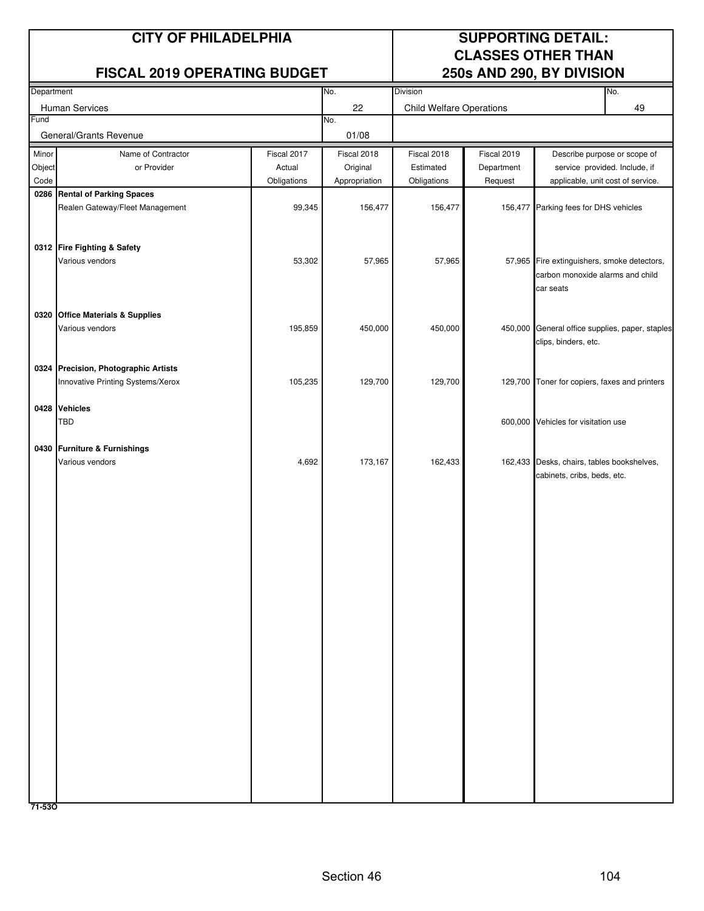### **CITY OF PHILADELPHIA SUPPORTING DETAIL:**

### **FISCAL 2019 OPERATING BUDGET**

# **CLASSES OTHER THAN<br>250s AND 290, BY DIVISION**

| Department |                                                |             | No.           | Division                        |             |                                                 | No. |
|------------|------------------------------------------------|-------------|---------------|---------------------------------|-------------|-------------------------------------------------|-----|
|            | Human Services                                 |             | 22            | <b>Child Welfare Operations</b> |             |                                                 | 49  |
| Fund       |                                                |             | No.           |                                 |             |                                                 |     |
|            | General/Grants Revenue                         |             | 01/08         |                                 |             |                                                 |     |
| Minor      | Name of Contractor                             | Fiscal 2017 | Fiscal 2018   | Fiscal 2018                     | Fiscal 2019 | Describe purpose or scope of                    |     |
| Object     | or Provider                                    | Actual      | Original      | Estimated                       | Department  | service provided. Include, if                   |     |
| Code       |                                                | Obligations | Appropriation | Obligations                     | Request     | applicable, unit cost of service.               |     |
|            | 0286 Rental of Parking Spaces                  |             |               |                                 |             |                                                 |     |
|            | Realen Gateway/Fleet Management                | 99,345      | 156,477       | 156,477                         | 156,477     | Parking fees for DHS vehicles                   |     |
|            |                                                |             |               |                                 |             |                                                 |     |
|            |                                                |             |               |                                 |             |                                                 |     |
|            | 0312 Fire Fighting & Safety<br>Various vendors | 53,302      | 57,965        | 57,965                          |             | 57,965 Fire extinguishers, smoke detectors,     |     |
|            |                                                |             |               |                                 |             | carbon monoxide alarms and child                |     |
|            |                                                |             |               |                                 |             | car seats                                       |     |
|            |                                                |             |               |                                 |             |                                                 |     |
|            | 0320 Office Materials & Supplies               |             |               |                                 |             |                                                 |     |
|            | Various vendors                                | 195,859     | 450,000       | 450,000                         |             | 450,000 General office supplies, paper, staples |     |
|            |                                                |             |               |                                 |             | clips, binders, etc.                            |     |
|            |                                                |             |               |                                 |             |                                                 |     |
|            | 0324 Precision, Photographic Artists           |             |               |                                 |             |                                                 |     |
|            | Innovative Printing Systems/Xerox              | 105,235     | 129,700       | 129,700                         |             | 129,700 Toner for copiers, faxes and printers   |     |
|            |                                                |             |               |                                 |             |                                                 |     |
|            | 0428 Vehicles<br><b>TBD</b>                    |             |               |                                 |             | 600,000 Vehicles for visitation use             |     |
|            |                                                |             |               |                                 |             |                                                 |     |
|            | 0430 Furniture & Furnishings                   |             |               |                                 |             |                                                 |     |
|            | Various vendors                                | 4,692       | 173,167       | 162,433                         |             | 162,433 Desks, chairs, tables bookshelves,      |     |
|            |                                                |             |               |                                 |             | cabinets, cribs, beds, etc.                     |     |
|            |                                                |             |               |                                 |             |                                                 |     |
|            |                                                |             |               |                                 |             |                                                 |     |
|            |                                                |             |               |                                 |             |                                                 |     |
|            |                                                |             |               |                                 |             |                                                 |     |
|            |                                                |             |               |                                 |             |                                                 |     |
|            |                                                |             |               |                                 |             |                                                 |     |
|            |                                                |             |               |                                 |             |                                                 |     |
|            |                                                |             |               |                                 |             |                                                 |     |
|            |                                                |             |               |                                 |             |                                                 |     |
|            |                                                |             |               |                                 |             |                                                 |     |
|            |                                                |             |               |                                 |             |                                                 |     |
|            |                                                |             |               |                                 |             |                                                 |     |
|            |                                                |             |               |                                 |             |                                                 |     |
|            |                                                |             |               |                                 |             |                                                 |     |
|            |                                                |             |               |                                 |             |                                                 |     |
|            |                                                |             |               |                                 |             |                                                 |     |
|            |                                                |             |               |                                 |             |                                                 |     |
|            |                                                |             |               |                                 |             |                                                 |     |
|            |                                                |             |               |                                 |             |                                                 |     |
|            |                                                |             |               |                                 |             |                                                 |     |
|            |                                                |             |               |                                 |             |                                                 |     |
|            |                                                |             |               |                                 |             |                                                 |     |
| 71-530     |                                                |             |               |                                 |             |                                                 |     |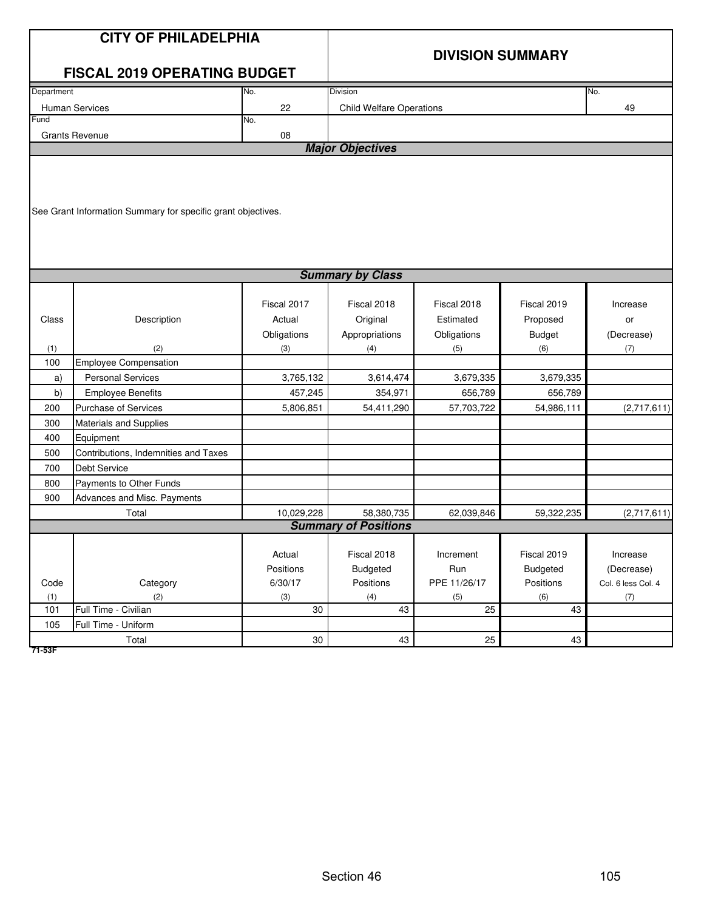|                                                                           | <b>CITY OF PHILADELPHIA</b><br><b>FISCAL 2019 OPERATING BUDGET</b>                                                                                                                                                                                                  |                                                                                  | <b>DIVISION SUMMARY</b>                                                                |                                                                                      |                                                                                       |                                                    |  |  |
|---------------------------------------------------------------------------|---------------------------------------------------------------------------------------------------------------------------------------------------------------------------------------------------------------------------------------------------------------------|----------------------------------------------------------------------------------|----------------------------------------------------------------------------------------|--------------------------------------------------------------------------------------|---------------------------------------------------------------------------------------|----------------------------------------------------|--|--|
| Department                                                                |                                                                                                                                                                                                                                                                     | No.                                                                              | Division                                                                               |                                                                                      |                                                                                       | No.                                                |  |  |
|                                                                           | Human Services                                                                                                                                                                                                                                                      | 22                                                                               | <b>Child Welfare Operations</b>                                                        |                                                                                      |                                                                                       | 49                                                 |  |  |
| Fund                                                                      |                                                                                                                                                                                                                                                                     | No.                                                                              |                                                                                        |                                                                                      |                                                                                       |                                                    |  |  |
|                                                                           | <b>Grants Revenue</b>                                                                                                                                                                                                                                               | 08                                                                               | <b>Major Objectives</b>                                                                |                                                                                      |                                                                                       |                                                    |  |  |
|                                                                           |                                                                                                                                                                                                                                                                     |                                                                                  |                                                                                        |                                                                                      |                                                                                       |                                                    |  |  |
|                                                                           | See Grant Information Summary for specific grant objectives.                                                                                                                                                                                                        |                                                                                  |                                                                                        |                                                                                      |                                                                                       |                                                    |  |  |
|                                                                           |                                                                                                                                                                                                                                                                     |                                                                                  | <b>Summary by Class</b>                                                                |                                                                                      |                                                                                       |                                                    |  |  |
| Class<br>(1)<br>100<br>a)<br>b)<br>200<br>300<br>400<br>500<br>700<br>800 | Description<br>(2)<br><b>Employee Compensation</b><br><b>Personal Services</b><br><b>Employee Benefits</b><br><b>Purchase of Services</b><br>Materials and Supplies<br>Equipment<br>Contributions, Indemnities and Taxes<br>Debt Service<br>Payments to Other Funds | Fiscal 2017<br>Actual<br>Obligations<br>(3)<br>3,765,132<br>457,245<br>5,806,851 | Fiscal 2018<br>Original<br>Appropriations<br>(4)<br>3,614,474<br>354,971<br>54,411,290 | Fiscal 2018<br>Estimated<br>Obligations<br>(5)<br>3,679,335<br>656,789<br>57,703,722 | Fiscal 2019<br>Proposed<br><b>Budget</b><br>(6)<br>3,679,335<br>656,789<br>54,986,111 | Increase<br>or<br>(Decrease)<br>(7)<br>(2,717,611) |  |  |
| 900                                                                       | Advances and Misc. Payments                                                                                                                                                                                                                                         |                                                                                  |                                                                                        |                                                                                      |                                                                                       |                                                    |  |  |
|                                                                           | Total                                                                                                                                                                                                                                                               | 10,029,228                                                                       | 58,380,735<br><b>Summary of Positions</b>                                              | 62,039,846                                                                           | 59,322,235                                                                            | (2,717,611)                                        |  |  |
|                                                                           |                                                                                                                                                                                                                                                                     |                                                                                  |                                                                                        |                                                                                      |                                                                                       |                                                    |  |  |
|                                                                           |                                                                                                                                                                                                                                                                     | Actual<br>Positions                                                              | Fiscal 2018<br>Budgeted                                                                | Increment<br>Run                                                                     | Fiscal 2019<br><b>Budgeted</b>                                                        | Increase<br>(Decrease)                             |  |  |
| Code                                                                      | Category                                                                                                                                                                                                                                                            | 6/30/17                                                                          | Positions                                                                              | PPE 11/26/17                                                                         | Positions                                                                             | Col. 6 less Col. 4                                 |  |  |
| (1)<br>101                                                                | (2)<br>Full Time - Civilian                                                                                                                                                                                                                                         | (3)<br>30                                                                        | (4)<br>43                                                                              | (5)<br>25                                                                            | (6)<br>43                                                                             | (7)                                                |  |  |
| 105                                                                       | Full Time - Uniform                                                                                                                                                                                                                                                 |                                                                                  |                                                                                        |                                                                                      |                                                                                       |                                                    |  |  |
|                                                                           | Total                                                                                                                                                                                                                                                               | $30\,$                                                                           | 43                                                                                     | 25                                                                                   | 43                                                                                    |                                                    |  |  |
|                                                                           |                                                                                                                                                                                                                                                                     |                                                                                  |                                                                                        |                                                                                      |                                                                                       |                                                    |  |  |

**71-53F**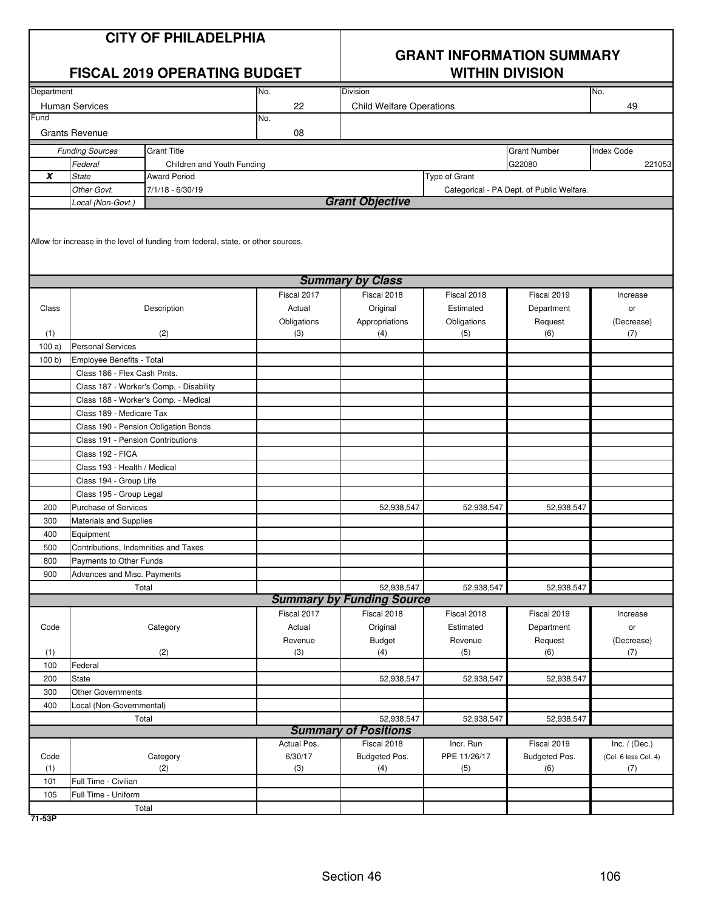|            |                                             | <b>CITY OF PHILADELPHIA</b><br><b>FISCAL 2019 OPERATING BUDGET</b>                |             | <b>GRANT INFORMATION SUMMARY</b><br><b>WITHIN DIVISION</b> |               |                                           |                      |  |
|------------|---------------------------------------------|-----------------------------------------------------------------------------------|-------------|------------------------------------------------------------|---------------|-------------------------------------------|----------------------|--|
| Department |                                             |                                                                                   | No.         | <b>Division</b>                                            |               |                                           | No.                  |  |
|            | <b>Human Services</b>                       |                                                                                   | 22          | <b>Child Welfare Operations</b>                            |               |                                           | 49                   |  |
| Fund       | <b>Grants Revenue</b>                       |                                                                                   | No.<br>08   |                                                            |               |                                           |                      |  |
|            |                                             | <b>Grant Title</b>                                                                |             |                                                            |               | <b>Grant Number</b>                       | <b>Index Code</b>    |  |
|            | <b>Funding Sources</b><br>Federal           | Children and Youth Funding                                                        |             |                                                            |               | G22080                                    | 221053               |  |
| X          | <b>State</b>                                | <b>Award Period</b>                                                               |             |                                                            | Type of Grant |                                           |                      |  |
|            | Other Govt.                                 | $7/1/18 - 6/30/19$                                                                |             |                                                            |               | Categorical - PA Dept. of Public Welfare. |                      |  |
|            | Local (Non-Govt.)                           |                                                                                   |             | <b>Grant Objective</b>                                     |               |                                           |                      |  |
|            |                                             | Allow for increase in the level of funding from federal, state, or other sources. |             | <b>Summary by Class</b>                                    |               |                                           |                      |  |
|            |                                             |                                                                                   | Fiscal 2017 | Fiscal 2018                                                | Fiscal 2018   | Fiscal 2019                               | Increase             |  |
| Class      |                                             | Description                                                                       | Actual      | Original                                                   | Estimated     | Department                                | or                   |  |
|            |                                             |                                                                                   | Obligations | Appropriations                                             | Obligations   | Request                                   | (Decrease)           |  |
| (1)        |                                             | (2)                                                                               | (3)         | (4)                                                        | (5)           | (6)                                       | (7)                  |  |
| 100a       | <b>Personal Services</b>                    |                                                                                   |             |                                                            |               |                                           |                      |  |
| 100 b      | Employee Benefits - Total                   |                                                                                   |             |                                                            |               |                                           |                      |  |
|            | Class 186 - Flex Cash Pmts.                 |                                                                                   |             |                                                            |               |                                           |                      |  |
|            |                                             | Class 187 - Worker's Comp. - Disability                                           |             |                                                            |               |                                           |                      |  |
|            |                                             | Class 188 - Worker's Comp. - Medical                                              |             |                                                            |               |                                           |                      |  |
|            | Class 189 - Medicare Tax                    |                                                                                   |             |                                                            |               |                                           |                      |  |
|            |                                             | Class 190 - Pension Obligation Bonds                                              |             |                                                            |               |                                           |                      |  |
|            | Class 191 - Pension Contributions           |                                                                                   |             |                                                            |               |                                           |                      |  |
|            | Class 192 - FICA                            |                                                                                   |             |                                                            |               |                                           |                      |  |
|            | Class 193 - Health / Medical                |                                                                                   |             |                                                            |               |                                           |                      |  |
|            | Class 194 - Group Life                      |                                                                                   |             |                                                            |               |                                           |                      |  |
|            | Class 195 - Group Legal                     |                                                                                   |             |                                                            |               |                                           |                      |  |
| 200        | <b>Purchase of Services</b>                 |                                                                                   |             | 52,938,547                                                 | 52,938,547    | 52,938,547                                |                      |  |
| 300        | Materials and Supplies                      |                                                                                   |             |                                                            |               |                                           |                      |  |
| 400        | Equipment                                   |                                                                                   |             |                                                            |               |                                           |                      |  |
| 500        | Contributions, Indemnities and Taxes        |                                                                                   |             |                                                            |               |                                           |                      |  |
| 800        | Payments to Other Funds                     |                                                                                   |             |                                                            |               |                                           |                      |  |
| 900        | Advances and Misc. Payments                 |                                                                                   |             | 52,938,547                                                 | 52,938,547    | 52,938,547                                |                      |  |
|            |                                             | Total                                                                             |             | <b>Summary by Funding Source</b>                           |               |                                           |                      |  |
|            |                                             |                                                                                   | Fiscal 2017 | Fiscal 2018                                                | Fiscal 2018   | Fiscal 2019                               | Increase             |  |
| Code       |                                             | Category                                                                          | Actual      | Original                                                   | Estimated     | Department                                | or                   |  |
|            |                                             |                                                                                   | Revenue     | <b>Budget</b>                                              | Revenue       | Request                                   | (Decrease)           |  |
| (1)        |                                             | (2)                                                                               | (3)         | (4)                                                        | (5)           | (6)                                       | (7)                  |  |
| 100        | Federal                                     |                                                                                   |             |                                                            |               |                                           |                      |  |
| 200        | State                                       |                                                                                   |             | 52,938,547                                                 | 52,938,547    | 52,938,547                                |                      |  |
| 300        | Other Governments                           |                                                                                   |             |                                                            |               |                                           |                      |  |
| 400        | Local (Non-Governmental)                    |                                                                                   |             |                                                            |               |                                           |                      |  |
|            |                                             | Total                                                                             |             | 52,938,547                                                 | 52,938,547    | 52,938,547                                |                      |  |
|            |                                             |                                                                                   |             | <b>Summary of Positions</b>                                |               |                                           |                      |  |
|            |                                             |                                                                                   | Actual Pos. | Fiscal 2018                                                | Incr. Run     | Fiscal 2019                               | Inc. $/$ (Dec.)      |  |
| Code       |                                             | Category                                                                          | 6/30/17     | Budgeted Pos.                                              | PPE 11/26/17  | Budgeted Pos.                             | (Col. 6 less Col. 4) |  |
| (1)        |                                             | (2)                                                                               | (3)         | (4)                                                        | (5)           | (6)                                       | (7)                  |  |
| 101<br>105 | Full Time - Civilian<br>Full Time - Uniform |                                                                                   |             |                                                            |               |                                           |                      |  |
|            |                                             | Total                                                                             |             |                                                            |               |                                           |                      |  |
|            |                                             |                                                                                   |             |                                                            |               |                                           |                      |  |

**71-53P**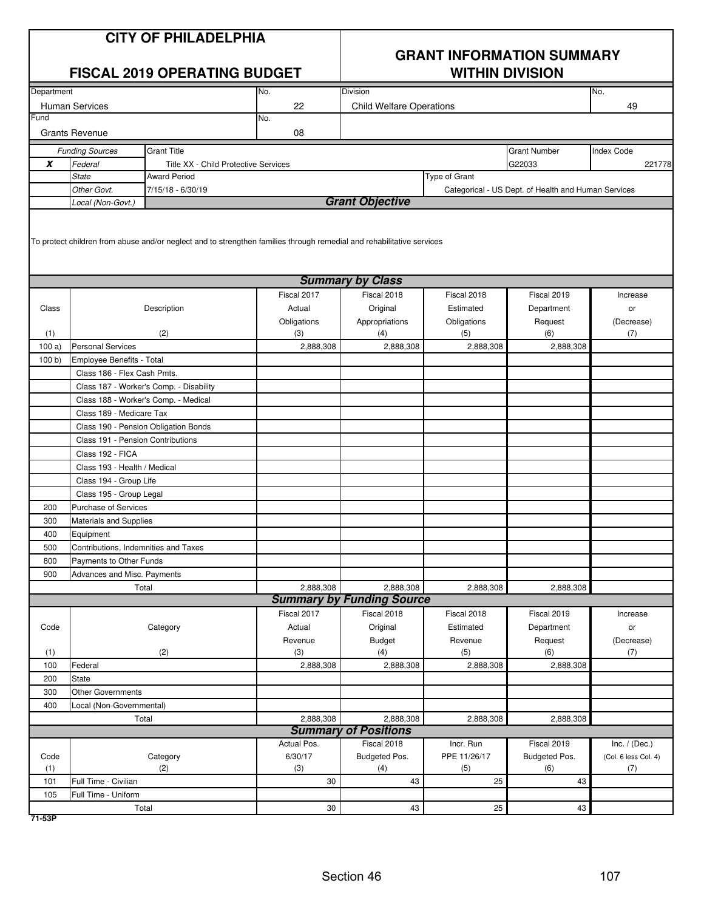|            |                                      | <b>CITY OF PHILADELPHIA</b><br><b>FISCAL 2019 OPERATING BUDGET</b>                                                    |                | <b>GRANT INFORMATION SUMMARY</b><br><b>WITHIN DIVISION</b> |                |                                                     |                      |  |  |  |
|------------|--------------------------------------|-----------------------------------------------------------------------------------------------------------------------|----------------|------------------------------------------------------------|----------------|-----------------------------------------------------|----------------------|--|--|--|
| Department |                                      |                                                                                                                       | No.            | Division                                                   |                |                                                     | No.                  |  |  |  |
|            | <b>Human Services</b>                |                                                                                                                       | 22             | <b>Child Welfare Operations</b>                            |                |                                                     | 49                   |  |  |  |
| Fund       |                                      |                                                                                                                       | No.            |                                                            |                |                                                     |                      |  |  |  |
|            | <b>Grants Revenue</b>                |                                                                                                                       | 08             |                                                            |                |                                                     |                      |  |  |  |
|            | <b>Funding Sources</b>               | <b>Grant Title</b>                                                                                                    |                |                                                            |                | <b>Grant Number</b>                                 | <b>Index Code</b>    |  |  |  |
| X          | Federal                              | Title XX - Child Protective Services                                                                                  |                |                                                            |                | G22033                                              | 221778               |  |  |  |
|            | <b>State</b>                         | <b>Award Period</b>                                                                                                   |                |                                                            | Type of Grant  |                                                     |                      |  |  |  |
|            | Other Govt.                          | 7/15/18 - 6/30/19                                                                                                     |                |                                                            |                | Categorical - US Dept. of Health and Human Services |                      |  |  |  |
|            | Local (Non-Govt.)                    |                                                                                                                       |                | <b>Grant Objective</b>                                     |                |                                                     |                      |  |  |  |
|            |                                      | To protect children from abuse and/or neglect and to strengthen families through remedial and rehabilitative services |                |                                                            |                |                                                     |                      |  |  |  |
|            |                                      |                                                                                                                       |                | <b>Summary by Class</b>                                    |                |                                                     |                      |  |  |  |
|            |                                      |                                                                                                                       | Fiscal 2017    | Fiscal 2018                                                | Fiscal 2018    | Fiscal 2019                                         | Increase             |  |  |  |
| Class      |                                      | Description                                                                                                           | Actual         | Original                                                   | Estimated      | Department                                          | or                   |  |  |  |
|            |                                      |                                                                                                                       | Obligations    | Appropriations                                             | Obligations    | Request                                             | (Decrease)           |  |  |  |
| (1)        |                                      | (2)                                                                                                                   | (3)            | (4)                                                        | (5)            | (6)                                                 | (7)                  |  |  |  |
| 100a)      | <b>Personal Services</b>             |                                                                                                                       | 2,888,308      | 2,888,308                                                  | 2,888,308      | 2.888.308                                           |                      |  |  |  |
| 100 b)     | Employee Benefits - Total            |                                                                                                                       |                |                                                            |                |                                                     |                      |  |  |  |
|            | Class 186 - Flex Cash Pmts.          |                                                                                                                       |                |                                                            |                |                                                     |                      |  |  |  |
|            |                                      | Class 187 - Worker's Comp. - Disability                                                                               |                |                                                            |                |                                                     |                      |  |  |  |
|            |                                      | Class 188 - Worker's Comp. - Medical                                                                                  |                |                                                            |                |                                                     |                      |  |  |  |
|            | Class 189 - Medicare Tax             |                                                                                                                       |                |                                                            |                |                                                     |                      |  |  |  |
|            |                                      | Class 190 - Pension Obligation Bonds                                                                                  |                |                                                            |                |                                                     |                      |  |  |  |
|            | Class 191 - Pension Contributions    |                                                                                                                       |                |                                                            |                |                                                     |                      |  |  |  |
|            | Class 192 - FICA                     |                                                                                                                       |                |                                                            |                |                                                     |                      |  |  |  |
|            | Class 193 - Health / Medical         |                                                                                                                       |                |                                                            |                |                                                     |                      |  |  |  |
|            | Class 194 - Group Life               |                                                                                                                       |                |                                                            |                |                                                     |                      |  |  |  |
|            | Class 195 - Group Legal              |                                                                                                                       |                |                                                            |                |                                                     |                      |  |  |  |
| 200        | <b>Purchase of Services</b>          |                                                                                                                       |                |                                                            |                |                                                     |                      |  |  |  |
| 300        | <b>Materials and Supplies</b>        |                                                                                                                       |                |                                                            |                |                                                     |                      |  |  |  |
| 400        | Equipment                            |                                                                                                                       |                |                                                            |                |                                                     |                      |  |  |  |
| 500        | Contributions, Indemnities and Taxes |                                                                                                                       |                |                                                            |                |                                                     |                      |  |  |  |
| 800        | Payments to Other Funds              |                                                                                                                       |                |                                                            |                |                                                     |                      |  |  |  |
| 900        | Advances and Misc. Payments          |                                                                                                                       |                |                                                            |                |                                                     |                      |  |  |  |
|            |                                      | Total                                                                                                                 | 2,888,308      | 2,888,308<br><b>Summary by Funding Source</b>              | 2,888,308      | 2,888,308                                           |                      |  |  |  |
|            |                                      |                                                                                                                       | Fiscal 2017    | Fiscal 2018                                                | Fiscal 2018    | Fiscal 2019                                         |                      |  |  |  |
|            |                                      |                                                                                                                       |                |                                                            | Estimated      |                                                     | Increase             |  |  |  |
| Code       |                                      | Category                                                                                                              | Actual         | Original                                                   |                | Department                                          | or                   |  |  |  |
| (1)        |                                      | (2)                                                                                                                   | Revenue<br>(3) | <b>Budget</b><br>(4)                                       | Revenue<br>(5) | Request<br>(6)                                      | (Decrease)           |  |  |  |
| 100        | Federal                              |                                                                                                                       | 2,888,308      | 2,888,308                                                  | 2,888,308      | 2,888,308                                           | (7)                  |  |  |  |
| 200        | <b>State</b>                         |                                                                                                                       |                |                                                            |                |                                                     |                      |  |  |  |
| 300        | Other Governments                    |                                                                                                                       |                |                                                            |                |                                                     |                      |  |  |  |
| 400        | Local (Non-Governmental)             |                                                                                                                       |                |                                                            |                |                                                     |                      |  |  |  |
|            |                                      | Total                                                                                                                 | 2,888,308      | 2,888,308                                                  | 2,888,308      | 2,888,308                                           |                      |  |  |  |
|            |                                      |                                                                                                                       |                | <b>Summary of Positions</b>                                |                |                                                     |                      |  |  |  |
|            |                                      |                                                                                                                       | Actual Pos.    | Fiscal 2018                                                | Incr. Run      | Fiscal 2019                                         | Inc. $/$ (Dec.)      |  |  |  |
| Code       |                                      | Category                                                                                                              | 6/30/17        | Budgeted Pos.                                              | PPE 11/26/17   | Budgeted Pos.                                       | (Col. 6 less Col. 4) |  |  |  |
| (1)        |                                      | (2)                                                                                                                   | (3)            | (4)                                                        | (5)            | (6)                                                 | (7)                  |  |  |  |
| 101        | Full Time - Civilian                 |                                                                                                                       | 30             | 43                                                         | 25             | 43                                                  |                      |  |  |  |
| 105        | Full Time - Uniform                  |                                                                                                                       |                |                                                            |                |                                                     |                      |  |  |  |
|            |                                      | Total                                                                                                                 | $30\,$         | 43                                                         | 25             | 43                                                  |                      |  |  |  |

**71-53P**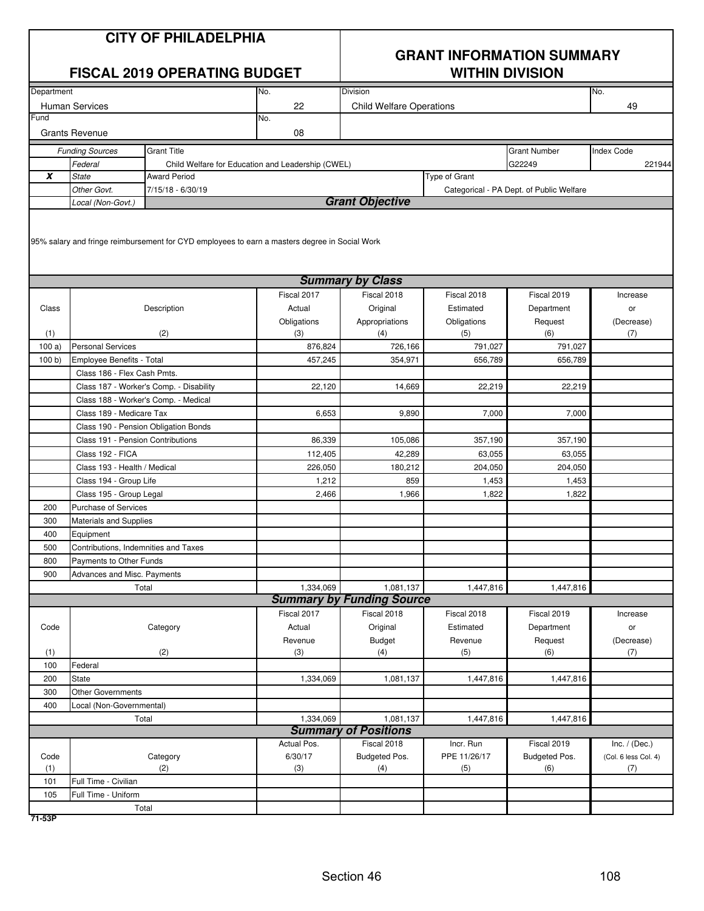|            |                                             | <b>CITY OF PHILADELPHIA</b><br><b>FISCAL 2019 OPERATING BUDGET</b>                            |                                                   | <b>GRANT INFORMATION SUMMARY</b><br><b>WITHIN DIVISION</b> |               |                                          |                      |  |
|------------|---------------------------------------------|-----------------------------------------------------------------------------------------------|---------------------------------------------------|------------------------------------------------------------|---------------|------------------------------------------|----------------------|--|
| Department |                                             |                                                                                               | No.                                               | Division                                                   |               |                                          | No.                  |  |
| Fund       | <b>Human Services</b>                       |                                                                                               | 22                                                | <b>Child Welfare Operations</b>                            |               |                                          | 49                   |  |
|            | <b>Grants Revenue</b>                       |                                                                                               | No.<br>08                                         |                                                            |               |                                          |                      |  |
|            | <b>Funding Sources</b>                      | <b>Grant Title</b>                                                                            |                                                   |                                                            |               | <b>Grant Number</b>                      | <b>Index Code</b>    |  |
|            | Federal                                     |                                                                                               | Child Welfare for Education and Leadership (CWEL) |                                                            |               | G22249                                   | 221944               |  |
| x          | <b>State</b>                                | <b>Award Period</b>                                                                           |                                                   |                                                            | Type of Grant |                                          |                      |  |
|            | Other Govt.                                 | 7/15/18 - 6/30/19                                                                             |                                                   |                                                            |               | Categorical - PA Dept. of Public Welfare |                      |  |
|            | Local (Non-Govt.)                           | 95% salary and fringe reimbursement for CYD employees to earn a masters degree in Social Work |                                                   | <b>Grant Objective</b>                                     |               |                                          |                      |  |
|            |                                             |                                                                                               |                                                   | <b>Summary by Class</b>                                    |               |                                          |                      |  |
|            |                                             |                                                                                               |                                                   |                                                            | Fiscal 2018   |                                          |                      |  |
| Class      |                                             | Description                                                                                   | Fiscal 2017<br>Actual                             | Fiscal 2018<br>Original                                    | Estimated     | Fiscal 2019<br>Department                | Increase<br>or       |  |
|            |                                             |                                                                                               | Obligations                                       | Appropriations                                             | Obligations   | Request                                  | (Decrease)           |  |
| (1)        |                                             | (2)                                                                                           | (3)                                               | (4)                                                        | (5)           | (6)                                      | (7)                  |  |
| 100a)      | <b>Personal Services</b>                    |                                                                                               | 876,824                                           | 726,166                                                    | 791,027       | 791,027                                  |                      |  |
| 100 b)     | Employee Benefits - Total                   |                                                                                               | 457,245                                           | 354,971                                                    | 656,789       | 656,789                                  |                      |  |
|            | Class 186 - Flex Cash Pmts.                 |                                                                                               |                                                   |                                                            |               |                                          |                      |  |
|            |                                             | Class 187 - Worker's Comp. - Disability                                                       | 22,120                                            | 14,669                                                     | 22,219        | 22,219                                   |                      |  |
|            |                                             | Class 188 - Worker's Comp. - Medical                                                          |                                                   |                                                            |               |                                          |                      |  |
|            | Class 189 - Medicare Tax                    |                                                                                               | 6,653                                             | 9,890                                                      | 7,000         | 7,000                                    |                      |  |
|            |                                             | Class 190 - Pension Obligation Bonds                                                          |                                                   |                                                            |               |                                          |                      |  |
|            | Class 191 - Pension Contributions           |                                                                                               | 86,339                                            | 105,086                                                    | 357,190       | 357,190                                  |                      |  |
|            | Class 192 - FICA                            |                                                                                               | 112,405                                           | 42,289                                                     | 63,055        | 63,055                                   |                      |  |
|            | Class 193 - Health / Medical                |                                                                                               | 226,050                                           | 180,212                                                    | 204,050       | 204,050                                  |                      |  |
|            | Class 194 - Group Life                      |                                                                                               | 1,212                                             | 859                                                        | 1,453         | 1,453                                    |                      |  |
|            | Class 195 - Group Legal                     |                                                                                               | 2,466                                             | 1,966                                                      | 1,822         | 1,822                                    |                      |  |
| 200        | <b>Purchase of Services</b>                 |                                                                                               |                                                   |                                                            |               |                                          |                      |  |
| 300        | <b>Materials and Supplies</b>               |                                                                                               |                                                   |                                                            |               |                                          |                      |  |
| 400        | Equipment                                   |                                                                                               |                                                   |                                                            |               |                                          |                      |  |
| 500        | Contributions, Indemnities and Taxes        |                                                                                               |                                                   |                                                            |               |                                          |                      |  |
| 800        | Payments to Other Funds                     |                                                                                               |                                                   |                                                            |               |                                          |                      |  |
| 900        | Advances and Misc. Payments                 |                                                                                               |                                                   |                                                            |               |                                          |                      |  |
|            |                                             | Total                                                                                         | 1,334,069                                         | 1,081,137<br><b>Summary by Funding Source</b>              | 1,447,816     | 1,447,816                                |                      |  |
|            |                                             |                                                                                               | Fiscal 2017                                       | Fiscal 2018                                                | Fiscal 2018   | Fiscal 2019                              | Increase             |  |
| Code       |                                             | Category                                                                                      | Actual                                            | Original                                                   | Estimated     | Department                               | or                   |  |
|            |                                             |                                                                                               | Revenue                                           | <b>Budget</b>                                              | Revenue       | Request                                  | (Decrease)           |  |
| (1)        |                                             | (2)                                                                                           | (3)                                               | (4)                                                        | (5)           | (6)                                      | (7)                  |  |
| 100        | Federal                                     |                                                                                               |                                                   |                                                            |               |                                          |                      |  |
| 200        | State                                       |                                                                                               | 1,334,069                                         | 1,081,137                                                  | 1,447,816     | 1,447,816                                |                      |  |
| 300        | Other Governments                           |                                                                                               |                                                   |                                                            |               |                                          |                      |  |
| 400        | Local (Non-Governmental)                    |                                                                                               |                                                   |                                                            |               |                                          |                      |  |
|            |                                             | Total                                                                                         | 1,334,069                                         | 1,081,137                                                  | 1,447,816     | 1,447,816                                |                      |  |
|            |                                             |                                                                                               |                                                   | <b>Summary of Positions</b>                                |               |                                          |                      |  |
|            |                                             |                                                                                               | Actual Pos.                                       | Fiscal 2018                                                | Incr. Run     | Fiscal 2019                              | Inc. $/$ (Dec.)      |  |
| Code       |                                             | Category                                                                                      | 6/30/17                                           | Budgeted Pos.                                              | PPE 11/26/17  | Budgeted Pos.                            | (Col. 6 less Col. 4) |  |
| (1)        |                                             | (2)                                                                                           | (3)                                               | (4)                                                        | (5)           | (6)                                      | (7)                  |  |
| 101<br>105 | Full Time - Civilian<br>Full Time - Uniform |                                                                                               |                                                   |                                                            |               |                                          |                      |  |
|            |                                             | Total                                                                                         |                                                   |                                                            |               |                                          |                      |  |
|            |                                             |                                                                                               |                                                   |                                                            |               |                                          |                      |  |

**71-53P**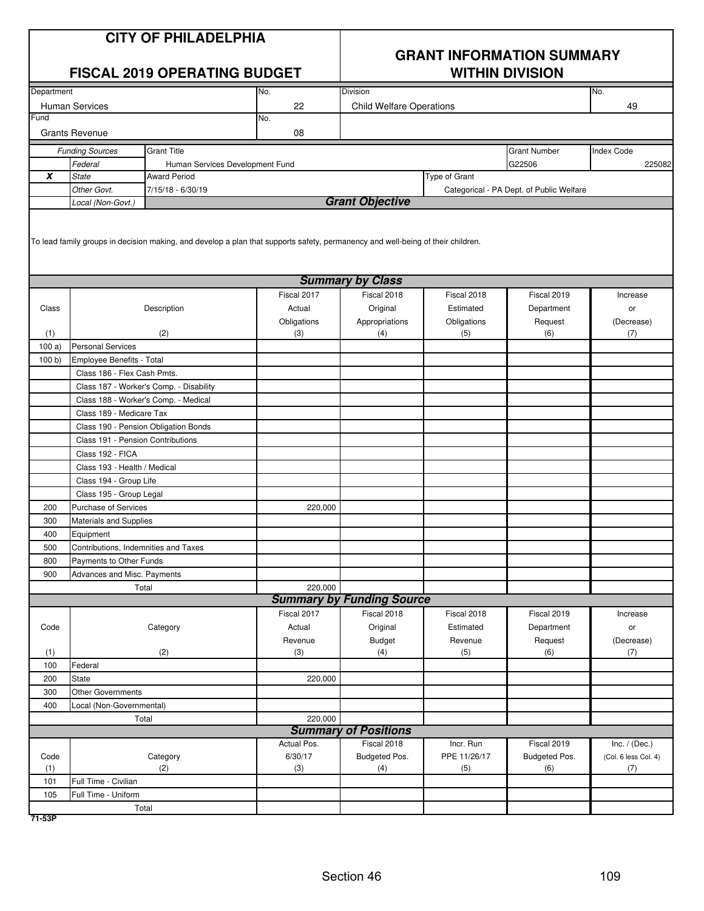|            |                                      | <b>CITY OF PHILADELPHIA</b><br><b>FISCAL 2019 OPERATING BUDGET</b>                                                              | <b>GRANT INFORMATION SUMMARY</b><br><b>WITHIN DIVISION</b> |                                                 |                |                                          |                      |
|------------|--------------------------------------|---------------------------------------------------------------------------------------------------------------------------------|------------------------------------------------------------|-------------------------------------------------|----------------|------------------------------------------|----------------------|
| Department |                                      |                                                                                                                                 | No.                                                        | Division                                        |                |                                          | No.                  |
|            | <b>Human Services</b>                |                                                                                                                                 | 22                                                         | <b>Child Welfare Operations</b>                 |                |                                          | 49                   |
| Fund       |                                      |                                                                                                                                 | No.                                                        |                                                 |                |                                          |                      |
|            | <b>Grants Revenue</b>                |                                                                                                                                 | 08                                                         |                                                 |                |                                          |                      |
|            | <b>Funding Sources</b>               | <b>Grant Title</b>                                                                                                              |                                                            |                                                 |                | <b>Grant Number</b>                      | <b>Index Code</b>    |
|            | Federal                              | Human Services Development Fund                                                                                                 |                                                            |                                                 |                | G22506                                   | 225082               |
| X          | <b>State</b>                         | <b>Award Period</b>                                                                                                             |                                                            |                                                 | Type of Grant  |                                          |                      |
|            | Other Govt.                          | 7/15/18 - 6/30/19                                                                                                               |                                                            |                                                 |                | Categorical - PA Dept. of Public Welfare |                      |
|            | Local (Non-Govt.)                    |                                                                                                                                 |                                                            | <b>Grant Objective</b>                          |                |                                          |                      |
|            |                                      | To lead family groups in decision making, and develop a plan that supports safety, permanency and well-being of their children. |                                                            | <b>Summary by Class</b>                         |                |                                          |                      |
|            |                                      |                                                                                                                                 | Fiscal 2017                                                | Fiscal 2018                                     | Fiscal 2018    | Fiscal 2019                              | Increase             |
| Class      |                                      | Description                                                                                                                     | Actual                                                     | Original                                        | Estimated      | Department                               | or                   |
|            |                                      |                                                                                                                                 | Obligations                                                | Appropriations                                  | Obligations    | Request                                  | (Decrease)           |
| (1)        |                                      | (2)                                                                                                                             | (3)                                                        | (4)                                             | (5)            | (6)                                      | (7)                  |
| 100a)      | <b>Personal Services</b>             |                                                                                                                                 |                                                            |                                                 |                |                                          |                      |
| 100 b)     | <b>Employee Benefits - Total</b>     |                                                                                                                                 |                                                            |                                                 |                |                                          |                      |
|            | Class 186 - Flex Cash Pmts.          |                                                                                                                                 |                                                            |                                                 |                |                                          |                      |
|            |                                      | Class 187 - Worker's Comp. - Disability                                                                                         |                                                            |                                                 |                |                                          |                      |
|            |                                      | Class 188 - Worker's Comp. - Medical                                                                                            |                                                            |                                                 |                |                                          |                      |
|            | Class 189 - Medicare Tax             |                                                                                                                                 |                                                            |                                                 |                |                                          |                      |
|            |                                      | Class 190 - Pension Obligation Bonds                                                                                            |                                                            |                                                 |                |                                          |                      |
|            | Class 191 - Pension Contributions    |                                                                                                                                 |                                                            |                                                 |                |                                          |                      |
|            | Class 192 - FICA                     |                                                                                                                                 |                                                            |                                                 |                |                                          |                      |
|            | Class 193 - Health / Medical         |                                                                                                                                 |                                                            |                                                 |                |                                          |                      |
|            | Class 194 - Group Life               |                                                                                                                                 |                                                            |                                                 |                |                                          |                      |
|            | Class 195 - Group Legal              |                                                                                                                                 |                                                            |                                                 |                |                                          |                      |
| 200        | Purchase of Services                 |                                                                                                                                 | 220,000                                                    |                                                 |                |                                          |                      |
| 300        | <b>Materials and Supplies</b>        |                                                                                                                                 |                                                            |                                                 |                |                                          |                      |
| 400        | Equipment                            |                                                                                                                                 |                                                            |                                                 |                |                                          |                      |
| 500        | Contributions, Indemnities and Taxes |                                                                                                                                 |                                                            |                                                 |                |                                          |                      |
| 800        | Payments to Other Funds              |                                                                                                                                 |                                                            |                                                 |                |                                          |                      |
| 900        | Advances and Misc. Payments          |                                                                                                                                 |                                                            |                                                 |                |                                          |                      |
|            |                                      | Total                                                                                                                           | 220,000                                                    |                                                 |                |                                          |                      |
|            |                                      |                                                                                                                                 |                                                            | <b>Summary by Funding Source</b><br>Fiscal 2018 |                |                                          |                      |
|            |                                      |                                                                                                                                 | Fiscal 2017                                                |                                                 | Fiscal 2018    | Fiscal 2019                              | Increase             |
| Code       |                                      | Category                                                                                                                        | Actual                                                     | Original                                        | Estimated      | Department                               | or                   |
| (1)        |                                      | (2)                                                                                                                             | Revenue<br>(3)                                             | Budget<br>(4)                                   | Revenue<br>(5) | Request<br>(6)                           | (Decrease)<br>(7)    |
| 100        | Federal                              |                                                                                                                                 |                                                            |                                                 |                |                                          |                      |
| 200        | State                                |                                                                                                                                 | 220,000                                                    |                                                 |                |                                          |                      |
| 300        | <b>Other Governments</b>             |                                                                                                                                 |                                                            |                                                 |                |                                          |                      |
| 400        | Local (Non-Governmental)             |                                                                                                                                 |                                                            |                                                 |                |                                          |                      |
|            |                                      | Total                                                                                                                           | 220,000                                                    |                                                 |                |                                          |                      |
|            |                                      |                                                                                                                                 |                                                            | <b>Summary of Positions</b>                     |                |                                          |                      |
|            |                                      |                                                                                                                                 | Actual Pos.                                                | Fiscal 2018                                     | Incr. Run      | Fiscal 2019                              | Inc. $/$ (Dec.)      |
| Code       |                                      | Category                                                                                                                        | 6/30/17                                                    | Budgeted Pos.                                   | PPE 11/26/17   | Budgeted Pos.                            | (Col. 6 less Col. 4) |
| (1)        |                                      | (2)                                                                                                                             | (3)                                                        | (4)                                             | (5)            | (6)                                      | (7)                  |
| 101        | Full Time - Civilian                 |                                                                                                                                 |                                                            |                                                 |                |                                          |                      |
| 105        | Full Time - Uniform                  |                                                                                                                                 |                                                            |                                                 |                |                                          |                      |
|            |                                      | Total                                                                                                                           |                                                            |                                                 |                |                                          |                      |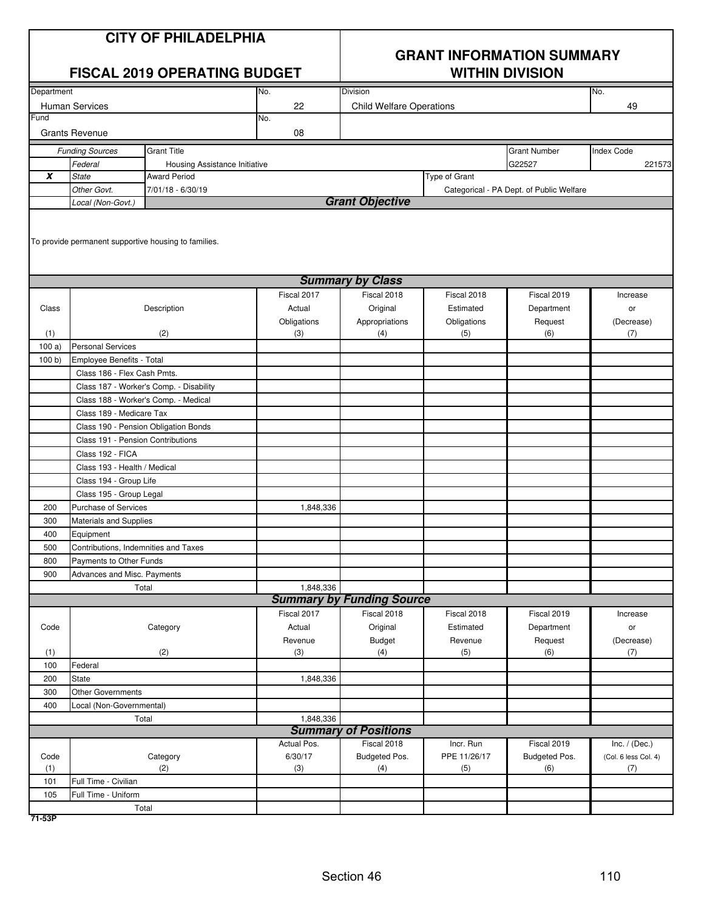| <b>CITY OF PHILADELPHIA</b><br><b>FISCAL 2019 OPERATING BUDGET</b> |                                      |                                                      | <b>GRANT INFORMATION SUMMARY</b><br><b>WITHIN DIVISION</b> |                                  |                          |                                          |                      |
|--------------------------------------------------------------------|--------------------------------------|------------------------------------------------------|------------------------------------------------------------|----------------------------------|--------------------------|------------------------------------------|----------------------|
| Department                                                         |                                      |                                                      | No.                                                        | <b>Division</b>                  |                          |                                          | No.                  |
|                                                                    | <b>Human Services</b>                |                                                      | 22                                                         | <b>Child Welfare Operations</b>  |                          |                                          | 49                   |
| Fund                                                               |                                      |                                                      | No.                                                        |                                  |                          |                                          |                      |
|                                                                    | <b>Grants Revenue</b>                |                                                      | 08                                                         |                                  |                          |                                          |                      |
|                                                                    | <b>Funding Sources</b>               | <b>Grant Title</b>                                   |                                                            |                                  |                          | <b>Grant Number</b>                      | Index Code           |
|                                                                    | Federal                              | Housing Assistance Initiative                        |                                                            |                                  |                          | G22527                                   | 221573               |
| $\pmb{X}$                                                          | <b>State</b>                         | <b>Award Period</b>                                  |                                                            |                                  | Type of Grant            |                                          |                      |
|                                                                    | Other Govt.                          | 7/01/18 - 6/30/19                                    |                                                            |                                  |                          | Categorical - PA Dept. of Public Welfare |                      |
|                                                                    | Local (Non-Govt.)                    |                                                      |                                                            | <b>Grant Objective</b>           |                          |                                          |                      |
|                                                                    |                                      | To provide permanent supportive housing to families. |                                                            | <b>Summary by Class</b>          |                          |                                          |                      |
|                                                                    |                                      |                                                      |                                                            |                                  |                          |                                          |                      |
| Class                                                              |                                      | Description                                          | Fiscal 2017<br>Actual                                      | Fiscal 2018<br>Original          | Fiscal 2018<br>Estimated | Fiscal 2019<br>Department                | Increase<br>or       |
|                                                                    |                                      |                                                      | Obligations                                                | Appropriations                   | Obligations              | Request                                  | (Decrease)           |
| (1)                                                                |                                      | (2)                                                  | (3)                                                        | (4)                              | (5)                      | (6)                                      | (7)                  |
| 100a)                                                              | <b>Personal Services</b>             |                                                      |                                                            |                                  |                          |                                          |                      |
| 100 b                                                              | Employee Benefits - Total            |                                                      |                                                            |                                  |                          |                                          |                      |
|                                                                    | Class 186 - Flex Cash Pmts.          |                                                      |                                                            |                                  |                          |                                          |                      |
|                                                                    |                                      | Class 187 - Worker's Comp. - Disability              |                                                            |                                  |                          |                                          |                      |
|                                                                    |                                      | Class 188 - Worker's Comp. - Medical                 |                                                            |                                  |                          |                                          |                      |
|                                                                    | Class 189 - Medicare Tax             |                                                      |                                                            |                                  |                          |                                          |                      |
|                                                                    |                                      | Class 190 - Pension Obligation Bonds                 |                                                            |                                  |                          |                                          |                      |
|                                                                    | Class 191 - Pension Contributions    |                                                      |                                                            |                                  |                          |                                          |                      |
|                                                                    | Class 192 - FICA                     |                                                      |                                                            |                                  |                          |                                          |                      |
|                                                                    | Class 193 - Health / Medical         |                                                      |                                                            |                                  |                          |                                          |                      |
|                                                                    | Class 194 - Group Life               |                                                      |                                                            |                                  |                          |                                          |                      |
|                                                                    | Class 195 - Group Legal              |                                                      |                                                            |                                  |                          |                                          |                      |
| 200                                                                | Purchase of Services                 |                                                      | 1,848,336                                                  |                                  |                          |                                          |                      |
| 300                                                                | Materials and Supplies               |                                                      |                                                            |                                  |                          |                                          |                      |
| 400                                                                | Equipment                            |                                                      |                                                            |                                  |                          |                                          |                      |
| 500                                                                | Contributions, Indemnities and Taxes |                                                      |                                                            |                                  |                          |                                          |                      |
| 800                                                                | Payments to Other Funds              |                                                      |                                                            |                                  |                          |                                          |                      |
| 900                                                                | Advances and Misc. Payments          |                                                      |                                                            |                                  |                          |                                          |                      |
|                                                                    |                                      | Total                                                | 1,848,336                                                  |                                  |                          |                                          |                      |
|                                                                    |                                      |                                                      |                                                            | <b>Summary by Funding Source</b> |                          |                                          |                      |
|                                                                    |                                      |                                                      | Fiscal 2017                                                | Fiscal 2018                      | Fiscal 2018              | Fiscal 2019                              | Increase             |
| Code                                                               |                                      | Category                                             | Actual                                                     | Original                         | Estimated                | Department                               | or                   |
| (1)                                                                |                                      | (2)                                                  | Revenue<br>(3)                                             | <b>Budget</b><br>(4)             | Revenue<br>(5)           | Request<br>(6)                           | (Decrease)           |
| 100                                                                | Federal                              |                                                      |                                                            |                                  |                          |                                          | (7)                  |
| 200                                                                | <b>State</b>                         |                                                      | 1,848,336                                                  |                                  |                          |                                          |                      |
| 300                                                                | <b>Other Governments</b>             |                                                      |                                                            |                                  |                          |                                          |                      |
| 400                                                                | Local (Non-Governmental)             |                                                      |                                                            |                                  |                          |                                          |                      |
|                                                                    |                                      | Total                                                | 1,848,336                                                  |                                  |                          |                                          |                      |
|                                                                    |                                      |                                                      |                                                            | <b>Summary of Positions</b>      |                          |                                          |                      |
|                                                                    |                                      |                                                      | Actual Pos.                                                | Fiscal 2018                      | Incr. Run                | Fiscal 2019                              | Inc. $/$ (Dec.)      |
| Code                                                               |                                      | Category                                             | 6/30/17                                                    | Budgeted Pos.                    | PPE 11/26/17             | Budgeted Pos.                            | (Col. 6 less Col. 4) |
| (1)                                                                |                                      | (2)                                                  | (3)                                                        | (4)                              | (5)                      | (6)                                      | (7)                  |
| 101                                                                | Full Time - Civilian                 |                                                      |                                                            |                                  |                          |                                          |                      |
| 105                                                                | Full Time - Uniform                  |                                                      |                                                            |                                  |                          |                                          |                      |
|                                                                    |                                      | Total                                                |                                                            |                                  |                          |                                          |                      |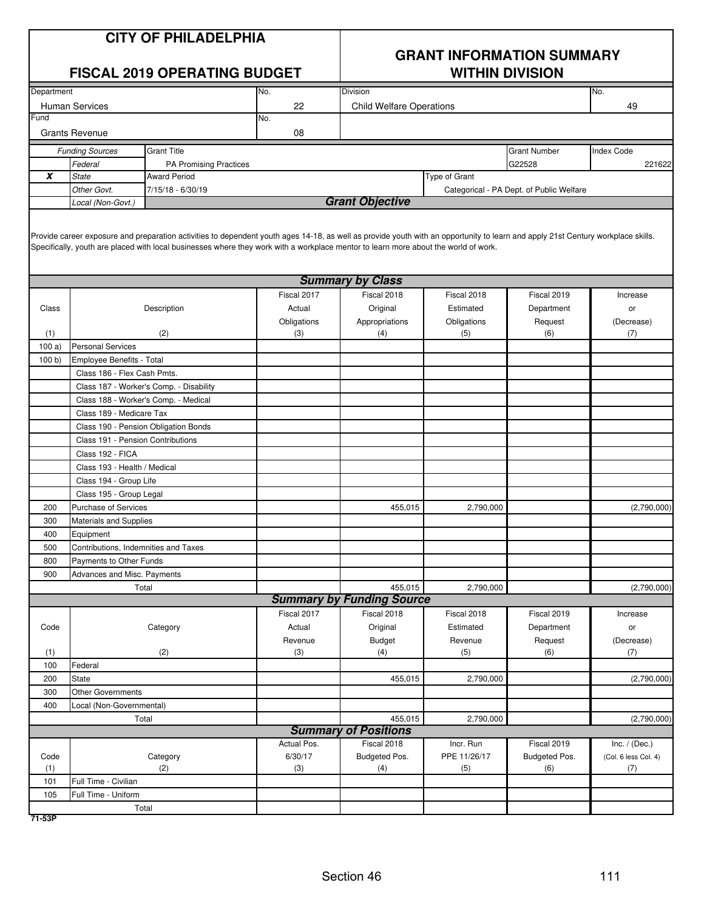| <b>CITY OF PHILADELPHIA</b> |  |  |
|-----------------------------|--|--|
|-----------------------------|--|--|

### **FISCAL 2019 OPERATING BUDGET**

## **GRANT INFORMATION SUMMARY**

| Department  |                                      |                                         | No.                                                                                                                                                                                                                                                                                                                     | Division                         |                     |                                          | No.                         |
|-------------|--------------------------------------|-----------------------------------------|-------------------------------------------------------------------------------------------------------------------------------------------------------------------------------------------------------------------------------------------------------------------------------------------------------------------------|----------------------------------|---------------------|------------------------------------------|-----------------------------|
|             | Human Services                       |                                         | 22                                                                                                                                                                                                                                                                                                                      | <b>Child Welfare Operations</b>  |                     |                                          | 49                          |
| Fund        |                                      |                                         | No.                                                                                                                                                                                                                                                                                                                     |                                  |                     |                                          |                             |
|             | <b>Grants Revenue</b>                |                                         | 08                                                                                                                                                                                                                                                                                                                      |                                  |                     |                                          |                             |
|             | <b>Funding Sources</b>               | <b>Grant Title</b>                      |                                                                                                                                                                                                                                                                                                                         |                                  |                     | <b>Grant Number</b>                      | <b>Index Code</b>           |
|             | Federal                              | PA Promising Practices                  |                                                                                                                                                                                                                                                                                                                         |                                  |                     | G22528                                   | 221622                      |
| X           | <b>State</b>                         | Award Period                            |                                                                                                                                                                                                                                                                                                                         |                                  | Type of Grant       |                                          |                             |
|             | Other Govt.                          | 7/15/18 - 6/30/19                       |                                                                                                                                                                                                                                                                                                                         |                                  |                     | Categorical - PA Dept. of Public Welfare |                             |
|             | Local (Non-Govt.)                    |                                         |                                                                                                                                                                                                                                                                                                                         | <b>Grant Objective</b>           |                     |                                          |                             |
|             |                                      |                                         |                                                                                                                                                                                                                                                                                                                         |                                  |                     |                                          |                             |
|             |                                      |                                         | Provide career exposure and preparation activities to dependent youth ages 14-18, as well as provide youth with an opportunity to learn and apply 21st Century workplace skills.<br>Specifically, youth are placed with local businesses where they work with a workplace mentor to learn more about the world of work. |                                  |                     |                                          |                             |
|             |                                      |                                         |                                                                                                                                                                                                                                                                                                                         | <b>Summary by Class</b>          |                     |                                          |                             |
|             |                                      |                                         | Fiscal 2017                                                                                                                                                                                                                                                                                                             | Fiscal 2018                      | Fiscal 2018         | Fiscal 2019                              | Increase                    |
| Class       |                                      | Description                             | Actual                                                                                                                                                                                                                                                                                                                  | Original                         | Estimated           | Department                               | or                          |
|             |                                      |                                         | Obligations                                                                                                                                                                                                                                                                                                             | Appropriations                   | Obligations         | Request                                  | (Decrease)                  |
| (1)         |                                      | (2)                                     | (3)                                                                                                                                                                                                                                                                                                                     | (4)                              | (5)                 | (6)                                      | (7)                         |
| 100a)       | <b>Personal Services</b>             |                                         |                                                                                                                                                                                                                                                                                                                         |                                  |                     |                                          |                             |
| 100 b       | Employee Benefits - Total            |                                         |                                                                                                                                                                                                                                                                                                                         |                                  |                     |                                          |                             |
|             | Class 186 - Flex Cash Pmts.          |                                         |                                                                                                                                                                                                                                                                                                                         |                                  |                     |                                          |                             |
|             |                                      | Class 187 - Worker's Comp. - Disability |                                                                                                                                                                                                                                                                                                                         |                                  |                     |                                          |                             |
|             |                                      | Class 188 - Worker's Comp. - Medical    |                                                                                                                                                                                                                                                                                                                         |                                  |                     |                                          |                             |
|             | Class 189 - Medicare Tax             |                                         |                                                                                                                                                                                                                                                                                                                         |                                  |                     |                                          |                             |
|             |                                      | Class 190 - Pension Obligation Bonds    |                                                                                                                                                                                                                                                                                                                         |                                  |                     |                                          |                             |
|             | Class 191 - Pension Contributions    |                                         |                                                                                                                                                                                                                                                                                                                         |                                  |                     |                                          |                             |
|             | Class 192 - FICA                     |                                         |                                                                                                                                                                                                                                                                                                                         |                                  |                     |                                          |                             |
|             | Class 193 - Health / Medical         |                                         |                                                                                                                                                                                                                                                                                                                         |                                  |                     |                                          |                             |
|             | Class 194 - Group Life               |                                         |                                                                                                                                                                                                                                                                                                                         |                                  |                     |                                          |                             |
|             | Class 195 - Group Legal              |                                         |                                                                                                                                                                                                                                                                                                                         |                                  |                     |                                          |                             |
| 200         | Purchase of Services                 |                                         |                                                                                                                                                                                                                                                                                                                         | 455,015                          | 2,790,000           |                                          | (2,790,000)                 |
| 300         | <b>Materials and Supplies</b>        |                                         |                                                                                                                                                                                                                                                                                                                         |                                  |                     |                                          |                             |
| 400         | Equipment                            |                                         |                                                                                                                                                                                                                                                                                                                         |                                  |                     |                                          |                             |
| 500         | Contributions, Indemnities and Taxes |                                         |                                                                                                                                                                                                                                                                                                                         |                                  |                     |                                          |                             |
| 800         | Payments to Other Funds              |                                         |                                                                                                                                                                                                                                                                                                                         |                                  |                     |                                          |                             |
| 900         | Advances and Misc. Payments          |                                         |                                                                                                                                                                                                                                                                                                                         |                                  |                     |                                          |                             |
|             |                                      | Total                                   |                                                                                                                                                                                                                                                                                                                         | 455,015                          | 2,790,000           |                                          | (2,790,000)                 |
|             |                                      |                                         |                                                                                                                                                                                                                                                                                                                         | <b>Summary by Funding Source</b> |                     |                                          |                             |
|             |                                      |                                         | Fiscal 2017                                                                                                                                                                                                                                                                                                             | Fiscal 2018                      | Fiscal 2018         | Fiscal 2019                              | Increase                    |
| Code        |                                      | Category                                | Actual                                                                                                                                                                                                                                                                                                                  | Original                         | Estimated           | Department                               | or                          |
|             |                                      |                                         | Revenue                                                                                                                                                                                                                                                                                                                 | Budget                           | Revenue             | Request                                  | (Decrease)                  |
| (1)         |                                      | (2)                                     | (3)                                                                                                                                                                                                                                                                                                                     | (4)                              | (5)                 | (6)                                      | (7)                         |
| 100         | Federal                              |                                         |                                                                                                                                                                                                                                                                                                                         |                                  |                     |                                          |                             |
| 200         | <b>State</b>                         |                                         |                                                                                                                                                                                                                                                                                                                         | 455,015                          | 2,790,000           |                                          | (2,790,000)                 |
| 300         | <b>Other Governments</b>             |                                         |                                                                                                                                                                                                                                                                                                                         |                                  |                     |                                          |                             |
| 400         | Local (Non-Governmental)             |                                         |                                                                                                                                                                                                                                                                                                                         |                                  |                     |                                          |                             |
|             |                                      | Total                                   |                                                                                                                                                                                                                                                                                                                         | 455,015                          | 2,790,000           |                                          | (2,790,000)                 |
|             |                                      |                                         |                                                                                                                                                                                                                                                                                                                         | <b>Summary of Positions</b>      |                     |                                          |                             |
|             |                                      |                                         | Actual Pos.                                                                                                                                                                                                                                                                                                             | Fiscal 2018                      | Incr. Run           | Fiscal 2019                              | Inc. $/$ (Dec.)             |
| Code<br>(1) |                                      | Category<br>(2)                         | 6/30/17<br>(3)                                                                                                                                                                                                                                                                                                          | Budgeted Pos.<br>(4)             | PPE 11/26/17<br>(5) | Budgeted Pos.<br>(6)                     | (Col. 6 less Col. 4)<br>(7) |
| 101         | Full Time - Civilian                 |                                         |                                                                                                                                                                                                                                                                                                                         |                                  |                     |                                          |                             |
| 105         | Full Time - Uniform                  |                                         |                                                                                                                                                                                                                                                                                                                         |                                  |                     |                                          |                             |
|             |                                      | Total                                   |                                                                                                                                                                                                                                                                                                                         |                                  |                     |                                          |                             |
|             |                                      |                                         |                                                                                                                                                                                                                                                                                                                         |                                  |                     |                                          |                             |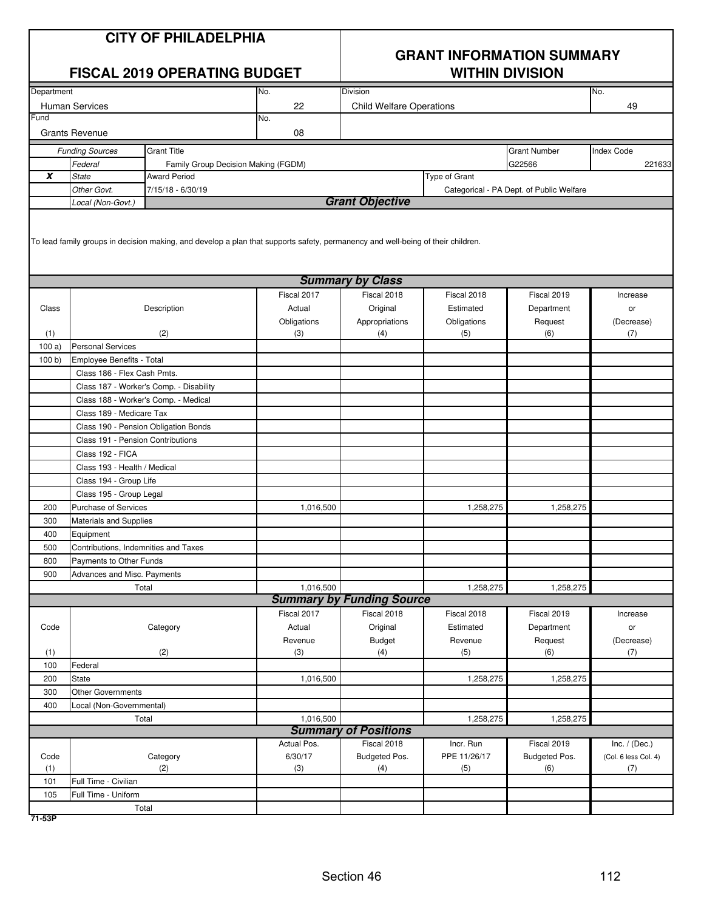| <b>CITY OF PHILADELPHIA</b><br><b>FISCAL 2019 OPERATING BUDGET</b> |                                      |                                         |                                                                                                                                 | <b>GRANT INFORMATION SUMMARY</b><br><b>WITHIN DIVISION</b> |                    |                                          |                      |  |
|--------------------------------------------------------------------|--------------------------------------|-----------------------------------------|---------------------------------------------------------------------------------------------------------------------------------|------------------------------------------------------------|--------------------|------------------------------------------|----------------------|--|
| Department                                                         |                                      |                                         | No.                                                                                                                             | Division                                                   |                    |                                          | No.                  |  |
|                                                                    | <b>Human Services</b>                |                                         | 22                                                                                                                              | <b>Child Welfare Operations</b>                            |                    |                                          | 49                   |  |
| Fund                                                               |                                      |                                         | No.                                                                                                                             |                                                            |                    |                                          |                      |  |
|                                                                    | <b>Grants Revenue</b>                |                                         | 08                                                                                                                              |                                                            |                    |                                          |                      |  |
|                                                                    | <b>Funding Sources</b>               | <b>Grant Title</b>                      |                                                                                                                                 |                                                            |                    | <b>Grant Number</b>                      | <b>Index Code</b>    |  |
|                                                                    | Federal                              | Family Group Decision Making (FGDM)     |                                                                                                                                 |                                                            |                    | G22566                                   | 221633               |  |
| X                                                                  | <b>State</b>                         | <b>Award Period</b>                     |                                                                                                                                 |                                                            | Type of Grant      |                                          |                      |  |
|                                                                    | Other Govt.                          | 7/15/18 - 6/30/19                       |                                                                                                                                 |                                                            |                    | Categorical - PA Dept. of Public Welfare |                      |  |
|                                                                    | Local (Non-Govt.)                    |                                         |                                                                                                                                 | <b>Grant Objective</b>                                     |                    |                                          |                      |  |
|                                                                    |                                      |                                         | To lead family groups in decision making, and develop a plan that supports safety, permanency and well-being of their children. |                                                            |                    |                                          |                      |  |
|                                                                    |                                      |                                         |                                                                                                                                 | <b>Summary by Class</b>                                    |                    |                                          |                      |  |
|                                                                    |                                      |                                         | Fiscal 2017                                                                                                                     | Fiscal 2018                                                | Fiscal 2018        | Fiscal 2019                              | Increase             |  |
| Class                                                              |                                      | Description                             | Actual                                                                                                                          | Original                                                   | Estimated          | Department                               | or                   |  |
| (1)                                                                |                                      | (2)                                     | Obligations<br>(3)                                                                                                              | Appropriations<br>(4)                                      | Obligations<br>(5) | Request<br>(6)                           | (Decrease)<br>(7)    |  |
| 100a)                                                              | <b>Personal Services</b>             |                                         |                                                                                                                                 |                                                            |                    |                                          |                      |  |
| 100 b)                                                             | Employee Benefits - Total            |                                         |                                                                                                                                 |                                                            |                    |                                          |                      |  |
|                                                                    | Class 186 - Flex Cash Pmts.          |                                         |                                                                                                                                 |                                                            |                    |                                          |                      |  |
|                                                                    |                                      | Class 187 - Worker's Comp. - Disability |                                                                                                                                 |                                                            |                    |                                          |                      |  |
|                                                                    |                                      | Class 188 - Worker's Comp. - Medical    |                                                                                                                                 |                                                            |                    |                                          |                      |  |
|                                                                    | Class 189 - Medicare Tax             |                                         |                                                                                                                                 |                                                            |                    |                                          |                      |  |
|                                                                    |                                      | Class 190 - Pension Obligation Bonds    |                                                                                                                                 |                                                            |                    |                                          |                      |  |
|                                                                    | Class 191 - Pension Contributions    |                                         |                                                                                                                                 |                                                            |                    |                                          |                      |  |
|                                                                    | Class 192 - FICA                     |                                         |                                                                                                                                 |                                                            |                    |                                          |                      |  |
|                                                                    | Class 193 - Health / Medical         |                                         |                                                                                                                                 |                                                            |                    |                                          |                      |  |
|                                                                    | Class 194 - Group Life               |                                         |                                                                                                                                 |                                                            |                    |                                          |                      |  |
|                                                                    | Class 195 - Group Legal              |                                         |                                                                                                                                 |                                                            |                    |                                          |                      |  |
| 200                                                                | Purchase of Services                 |                                         | 1,016,500                                                                                                                       |                                                            | 1,258,275          | 1,258,275                                |                      |  |
| 300                                                                | <b>Materials and Supplies</b>        |                                         |                                                                                                                                 |                                                            |                    |                                          |                      |  |
| 400                                                                | Equipment                            |                                         |                                                                                                                                 |                                                            |                    |                                          |                      |  |
| 500                                                                | Contributions, Indemnities and Taxes |                                         |                                                                                                                                 |                                                            |                    |                                          |                      |  |
| 800                                                                | Payments to Other Funds              |                                         |                                                                                                                                 |                                                            |                    |                                          |                      |  |
| 900                                                                | Advances and Misc. Payments          |                                         |                                                                                                                                 |                                                            |                    |                                          |                      |  |
|                                                                    |                                      | Total                                   | 1,016,500                                                                                                                       |                                                            | 1,258,275          | 1,258,275                                |                      |  |
|                                                                    |                                      |                                         |                                                                                                                                 | <b>Summary by Funding Source</b>                           |                    |                                          |                      |  |
|                                                                    |                                      |                                         | Fiscal 2017                                                                                                                     | Fiscal 2018                                                | Fiscal 2018        | Fiscal 2019                              | Increase             |  |
| Code                                                               |                                      | Category                                | Actual                                                                                                                          | Original                                                   | Estimated          | Department                               | or                   |  |
|                                                                    |                                      |                                         | Revenue                                                                                                                         | Budget                                                     | Revenue            | Request                                  | (Decrease)           |  |
| (1)                                                                |                                      | (2)                                     | (3)                                                                                                                             | (4)                                                        | (5)                | (6)                                      | (7)                  |  |
| 100                                                                | Federal                              |                                         |                                                                                                                                 |                                                            |                    |                                          |                      |  |
| 200                                                                | State                                |                                         | 1,016,500                                                                                                                       |                                                            | 1,258,275          | 1,258,275                                |                      |  |
| 300<br>400                                                         | <b>Other Governments</b>             |                                         |                                                                                                                                 |                                                            |                    |                                          |                      |  |
|                                                                    | Local (Non-Governmental)             | Total                                   | 1,016,500                                                                                                                       |                                                            | 1,258,275          | 1,258,275                                |                      |  |
|                                                                    |                                      |                                         |                                                                                                                                 | <b>Summary of Positions</b>                                |                    |                                          |                      |  |
|                                                                    |                                      |                                         | Actual Pos.                                                                                                                     | Fiscal 2018                                                | Incr. Run          | Fiscal 2019                              | Inc. $/$ (Dec.)      |  |
| Code                                                               |                                      | Category                                | 6/30/17                                                                                                                         | Budgeted Pos.                                              | PPE 11/26/17       | Budgeted Pos.                            | (Col. 6 less Col. 4) |  |
| (1)                                                                |                                      | (2)                                     | (3)                                                                                                                             | (4)                                                        | (5)                | (6)                                      | (7)                  |  |
| 101                                                                | Full Time - Civilian                 |                                         |                                                                                                                                 |                                                            |                    |                                          |                      |  |
| 105                                                                | Full Time - Uniform                  |                                         |                                                                                                                                 |                                                            |                    |                                          |                      |  |
|                                                                    |                                      | Total                                   |                                                                                                                                 |                                                            |                    |                                          |                      |  |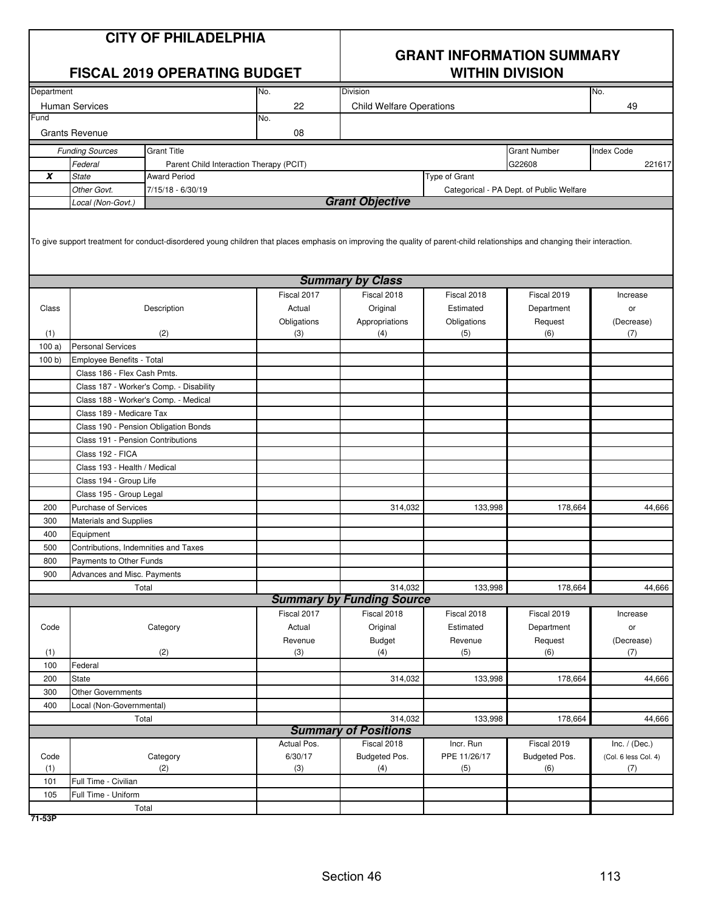|            | <b>CITY OF PHILADELPHIA</b><br><b>FISCAL 2019 OPERATING BUDGET</b> |                                                                                                                                                                             |                       | <b>GRANT INFORMATION SUMMARY</b><br><b>WITHIN DIVISION</b> |                          |                                          |                      |  |
|------------|--------------------------------------------------------------------|-----------------------------------------------------------------------------------------------------------------------------------------------------------------------------|-----------------------|------------------------------------------------------------|--------------------------|------------------------------------------|----------------------|--|
| Department |                                                                    |                                                                                                                                                                             | No.                   | Division                                                   |                          |                                          | No.                  |  |
| Fund       | <b>Human Services</b>                                              |                                                                                                                                                                             | 22<br>No.             | <b>Child Welfare Operations</b>                            |                          |                                          | 49                   |  |
|            | <b>Grants Revenue</b>                                              |                                                                                                                                                                             | 08                    |                                                            |                          |                                          |                      |  |
|            | <b>Funding Sources</b>                                             | <b>Grant Title</b>                                                                                                                                                          |                       |                                                            |                          | <b>Grant Number</b>                      | <b>Index Code</b>    |  |
|            | Federal                                                            | Parent Child Interaction Therapy (PCIT)                                                                                                                                     |                       |                                                            |                          | G22608                                   | 221617               |  |
| X          | <b>State</b>                                                       | <b>Award Period</b>                                                                                                                                                         |                       |                                                            | Type of Grant            |                                          |                      |  |
|            | Other Govt.                                                        | 7/15/18 - 6/30/19                                                                                                                                                           |                       |                                                            |                          | Categorical - PA Dept. of Public Welfare |                      |  |
|            | Local (Non-Govt.)                                                  |                                                                                                                                                                             |                       | <b>Grant Objective</b>                                     |                          |                                          |                      |  |
|            |                                                                    | To give support treatment for conduct-disordered young children that places emphasis on improving the quality of parent-child relationships and changing their interaction. |                       | <b>Summary by Class</b>                                    |                          |                                          |                      |  |
|            |                                                                    |                                                                                                                                                                             |                       |                                                            |                          |                                          |                      |  |
| Class      |                                                                    | Description                                                                                                                                                                 | Fiscal 2017<br>Actual | Fiscal 2018                                                | Fiscal 2018<br>Estimated | Fiscal 2019<br>Department                | Increase             |  |
|            |                                                                    |                                                                                                                                                                             |                       | Original<br>Appropriations                                 |                          | Request                                  | or                   |  |
| (1)        |                                                                    | (2)                                                                                                                                                                         | Obligations<br>(3)    | (4)                                                        | Obligations<br>(5)       | (6)                                      | (Decrease)<br>(7)    |  |
| 100a       | <b>Personal Services</b>                                           |                                                                                                                                                                             |                       |                                                            |                          |                                          |                      |  |
| 100 b)     | Employee Benefits - Total                                          |                                                                                                                                                                             |                       |                                                            |                          |                                          |                      |  |
|            | Class 186 - Flex Cash Pmts.                                        |                                                                                                                                                                             |                       |                                                            |                          |                                          |                      |  |
|            |                                                                    | Class 187 - Worker's Comp. - Disability                                                                                                                                     |                       |                                                            |                          |                                          |                      |  |
|            |                                                                    | Class 188 - Worker's Comp. - Medical                                                                                                                                        |                       |                                                            |                          |                                          |                      |  |
|            | Class 189 - Medicare Tax                                           |                                                                                                                                                                             |                       |                                                            |                          |                                          |                      |  |
|            |                                                                    | Class 190 - Pension Obligation Bonds                                                                                                                                        |                       |                                                            |                          |                                          |                      |  |
|            | Class 191 - Pension Contributions                                  |                                                                                                                                                                             |                       |                                                            |                          |                                          |                      |  |
|            | Class 192 - FICA                                                   |                                                                                                                                                                             |                       |                                                            |                          |                                          |                      |  |
|            | Class 193 - Health / Medical                                       |                                                                                                                                                                             |                       |                                                            |                          |                                          |                      |  |
|            | Class 194 - Group Life                                             |                                                                                                                                                                             |                       |                                                            |                          |                                          |                      |  |
|            | Class 195 - Group Legal                                            |                                                                                                                                                                             |                       |                                                            |                          |                                          |                      |  |
| 200        | Purchase of Services                                               |                                                                                                                                                                             |                       | 314,032                                                    | 133,998                  | 178.664                                  | 44,666               |  |
| 300        | <b>Materials and Supplies</b>                                      |                                                                                                                                                                             |                       |                                                            |                          |                                          |                      |  |
| 400        | Equipment                                                          |                                                                                                                                                                             |                       |                                                            |                          |                                          |                      |  |
| 500        | Contributions, Indemnities and Taxes                               |                                                                                                                                                                             |                       |                                                            |                          |                                          |                      |  |
| 800        | Payments to Other Funds                                            |                                                                                                                                                                             |                       |                                                            |                          |                                          |                      |  |
| 900        | Advances and Misc. Payments                                        |                                                                                                                                                                             |                       |                                                            |                          |                                          |                      |  |
|            |                                                                    | Total                                                                                                                                                                       |                       | 314,032<br><b>Summary by Funding Source</b>                | 133,998                  | 178,664                                  | 44,666               |  |
|            |                                                                    |                                                                                                                                                                             | Fiscal 2017           | Fiscal 2018                                                | Fiscal 2018              | Fiscal 2019                              |                      |  |
| Code       |                                                                    |                                                                                                                                                                             | Actual                |                                                            | Estimated                |                                          | Increase             |  |
|            |                                                                    | Category                                                                                                                                                                    | Revenue               | Original                                                   | Revenue                  | Department<br>Request                    | or<br>(Decrease)     |  |
| (1)        |                                                                    | (2)                                                                                                                                                                         | (3)                   | Budget<br>(4)                                              | (5)                      | (6)                                      | (7)                  |  |
| 100        | Federal                                                            |                                                                                                                                                                             |                       |                                                            |                          |                                          |                      |  |
| 200        | <b>State</b>                                                       |                                                                                                                                                                             |                       | 314,032                                                    | 133,998                  | 178,664                                  | 44,666               |  |
| 300        | <b>Other Governments</b>                                           |                                                                                                                                                                             |                       |                                                            |                          |                                          |                      |  |
| 400        | Local (Non-Governmental)                                           |                                                                                                                                                                             |                       |                                                            |                          |                                          |                      |  |
|            |                                                                    | Total                                                                                                                                                                       |                       | 314,032                                                    | 133,998                  | 178,664                                  | 44,666               |  |
|            |                                                                    |                                                                                                                                                                             |                       | <b>Summary of Positions</b>                                |                          |                                          |                      |  |
|            |                                                                    |                                                                                                                                                                             | Actual Pos.           | Fiscal 2018                                                | Incr. Run                | Fiscal 2019                              | Inc. $/$ (Dec.)      |  |
| Code       |                                                                    | Category                                                                                                                                                                    | 6/30/17               | Budgeted Pos.                                              | PPE 11/26/17             | Budgeted Pos.                            | (Col. 6 less Col. 4) |  |
| (1)        |                                                                    | (2)                                                                                                                                                                         | (3)                   | (4)                                                        | (5)                      | (6)                                      | (7)                  |  |
| 101        | Full Time - Civilian                                               |                                                                                                                                                                             |                       |                                                            |                          |                                          |                      |  |
| 105        | Full Time - Uniform                                                |                                                                                                                                                                             |                       |                                                            |                          |                                          |                      |  |
|            |                                                                    | Total                                                                                                                                                                       |                       |                                                            |                          |                                          |                      |  |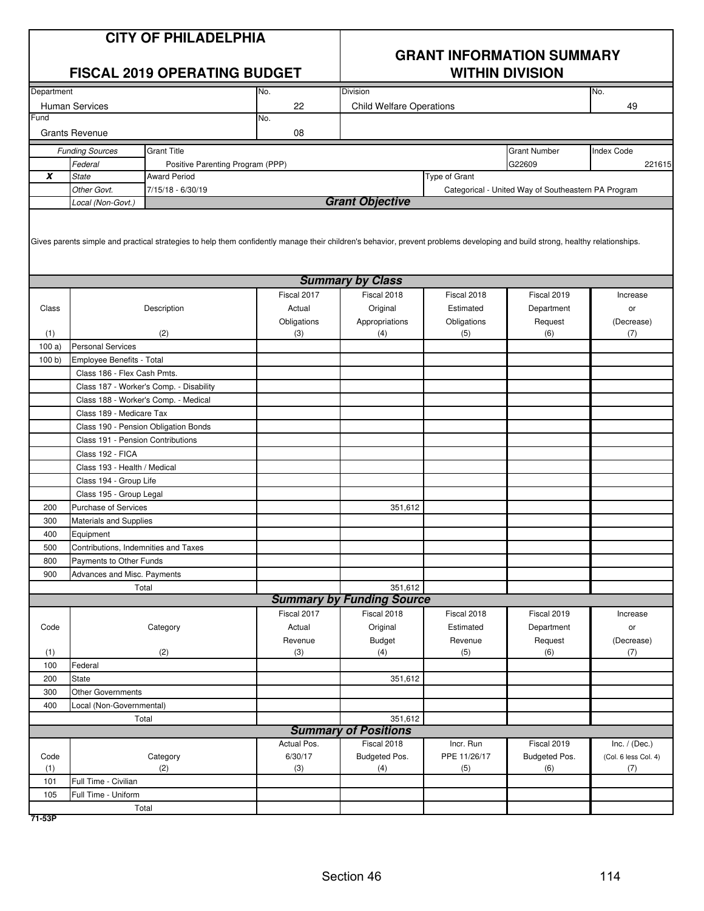| No.<br>Department<br>Division<br>No.<br>22<br><b>Human Services</b><br><b>Child Welfare Operations</b><br>49<br>Fund<br>No.<br><b>Grants Revenue</b><br>08<br><b>Grant Title</b><br><b>Grant Number</b><br><b>Index Code</b><br><b>Funding Sources</b><br>Federal<br>G22609<br>Positive Parenting Program (PPP)<br>221615<br>X<br><b>State</b><br>Type of Grant<br><b>Award Period</b><br>Other Govt.<br>7/15/18 - 6/30/19<br>Categorical - United Way of Southeastern PA Program<br><b>Grant Objective</b><br>Local (Non-Govt.)<br>Gives parents simple and practical strategies to help them confidently manage their children's behavior, prevent problems developing and build strong, healthy relationships.<br><b>Summary by Class</b><br>Fiscal 2017<br>Fiscal 2018<br>Fiscal 2018<br>Fiscal 2019<br>Increase<br>Description<br>Original<br>Estimated<br>Class<br>Actual<br>Department<br>or<br>Obligations<br>Appropriations<br>Obligations<br>Request<br>(Decrease)<br>(3)<br>(1)<br>(4)<br>(5)<br>(6)<br>(2)<br>(7)<br><b>Personal Services</b><br>100a<br>100 b)<br>Employee Benefits - Total<br>Class 186 - Flex Cash Pmts.<br>Class 187 - Worker's Comp. - Disability<br>Class 188 - Worker's Comp. - Medical<br>Class 189 - Medicare Tax<br>Class 190 - Pension Obligation Bonds<br>Class 191 - Pension Contributions<br>Class 192 - FICA<br>Class 193 - Health / Medical<br>Class 194 - Group Life<br>Class 195 - Group Legal<br>200<br><b>Purchase of Services</b><br>351,612<br>300<br>Materials and Supplies<br>400<br>Equipment<br>500<br>Contributions, Indemnities and Taxes<br>800<br>Payments to Other Funds<br>900<br>Advances and Misc. Payments<br>351,612<br>Total<br><b>Summary by Funding Source</b><br>Fiscal 2017<br>Fiscal 2018<br>Fiscal 2018<br>Fiscal 2019<br>Increase<br>Actual<br>Code<br>Category<br>Original<br>Estimated<br>Department<br>or<br>Revenue<br><b>Budget</b><br>Revenue<br>Request<br>(Decrease)<br>(1)<br>(2)<br>(3)<br>(7)<br>(4)<br>(5)<br>(6)<br>100<br>Federal<br>200<br>351,612<br><b>State</b><br>300<br>Other Governments<br>400<br>Local (Non-Governmental)<br>351,612<br>Total<br><b>Summary of Positions</b><br>Actual Pos.<br>Fiscal 2018<br>Incr. Run<br>Fiscal 2019<br>Inc. $/$ (Dec.)<br>6/30/17<br>PPE 11/26/17<br>Category<br>Budgeted Pos.<br>Budgeted Pos.<br>(Col. 6 less Col. 4)<br>Code<br>(1)<br>(2)<br>(3)<br>(4)<br>(5)<br>(6)<br>(7)<br>Full Time - Civilian<br>101<br>Full Time - Uniform<br>105<br>Total |  | <b>CITY OF PHILADELPHIA</b><br><b>FISCAL 2019 OPERATING BUDGET</b> | <b>GRANT INFORMATION SUMMARY</b><br><b>WITHIN DIVISION</b> |  |  |  |  |
|------------------------------------------------------------------------------------------------------------------------------------------------------------------------------------------------------------------------------------------------------------------------------------------------------------------------------------------------------------------------------------------------------------------------------------------------------------------------------------------------------------------------------------------------------------------------------------------------------------------------------------------------------------------------------------------------------------------------------------------------------------------------------------------------------------------------------------------------------------------------------------------------------------------------------------------------------------------------------------------------------------------------------------------------------------------------------------------------------------------------------------------------------------------------------------------------------------------------------------------------------------------------------------------------------------------------------------------------------------------------------------------------------------------------------------------------------------------------------------------------------------------------------------------------------------------------------------------------------------------------------------------------------------------------------------------------------------------------------------------------------------------------------------------------------------------------------------------------------------------------------------------------------------------------------------------------------------------------------------------------------------------------------------------------------------------------------------------------------------------------------------------------------------------------------------------------------------------------------------------------------------------------------------------------------------------------------------------------------------------------------------------------------------------------------------------------------------------------------------------|--|--------------------------------------------------------------------|------------------------------------------------------------|--|--|--|--|
|                                                                                                                                                                                                                                                                                                                                                                                                                                                                                                                                                                                                                                                                                                                                                                                                                                                                                                                                                                                                                                                                                                                                                                                                                                                                                                                                                                                                                                                                                                                                                                                                                                                                                                                                                                                                                                                                                                                                                                                                                                                                                                                                                                                                                                                                                                                                                                                                                                                                                          |  |                                                                    |                                                            |  |  |  |  |
|                                                                                                                                                                                                                                                                                                                                                                                                                                                                                                                                                                                                                                                                                                                                                                                                                                                                                                                                                                                                                                                                                                                                                                                                                                                                                                                                                                                                                                                                                                                                                                                                                                                                                                                                                                                                                                                                                                                                                                                                                                                                                                                                                                                                                                                                                                                                                                                                                                                                                          |  |                                                                    |                                                            |  |  |  |  |
|                                                                                                                                                                                                                                                                                                                                                                                                                                                                                                                                                                                                                                                                                                                                                                                                                                                                                                                                                                                                                                                                                                                                                                                                                                                                                                                                                                                                                                                                                                                                                                                                                                                                                                                                                                                                                                                                                                                                                                                                                                                                                                                                                                                                                                                                                                                                                                                                                                                                                          |  |                                                                    |                                                            |  |  |  |  |
|                                                                                                                                                                                                                                                                                                                                                                                                                                                                                                                                                                                                                                                                                                                                                                                                                                                                                                                                                                                                                                                                                                                                                                                                                                                                                                                                                                                                                                                                                                                                                                                                                                                                                                                                                                                                                                                                                                                                                                                                                                                                                                                                                                                                                                                                                                                                                                                                                                                                                          |  |                                                                    |                                                            |  |  |  |  |
|                                                                                                                                                                                                                                                                                                                                                                                                                                                                                                                                                                                                                                                                                                                                                                                                                                                                                                                                                                                                                                                                                                                                                                                                                                                                                                                                                                                                                                                                                                                                                                                                                                                                                                                                                                                                                                                                                                                                                                                                                                                                                                                                                                                                                                                                                                                                                                                                                                                                                          |  |                                                                    |                                                            |  |  |  |  |
|                                                                                                                                                                                                                                                                                                                                                                                                                                                                                                                                                                                                                                                                                                                                                                                                                                                                                                                                                                                                                                                                                                                                                                                                                                                                                                                                                                                                                                                                                                                                                                                                                                                                                                                                                                                                                                                                                                                                                                                                                                                                                                                                                                                                                                                                                                                                                                                                                                                                                          |  |                                                                    |                                                            |  |  |  |  |
|                                                                                                                                                                                                                                                                                                                                                                                                                                                                                                                                                                                                                                                                                                                                                                                                                                                                                                                                                                                                                                                                                                                                                                                                                                                                                                                                                                                                                                                                                                                                                                                                                                                                                                                                                                                                                                                                                                                                                                                                                                                                                                                                                                                                                                                                                                                                                                                                                                                                                          |  |                                                                    |                                                            |  |  |  |  |
|                                                                                                                                                                                                                                                                                                                                                                                                                                                                                                                                                                                                                                                                                                                                                                                                                                                                                                                                                                                                                                                                                                                                                                                                                                                                                                                                                                                                                                                                                                                                                                                                                                                                                                                                                                                                                                                                                                                                                                                                                                                                                                                                                                                                                                                                                                                                                                                                                                                                                          |  |                                                                    |                                                            |  |  |  |  |
|                                                                                                                                                                                                                                                                                                                                                                                                                                                                                                                                                                                                                                                                                                                                                                                                                                                                                                                                                                                                                                                                                                                                                                                                                                                                                                                                                                                                                                                                                                                                                                                                                                                                                                                                                                                                                                                                                                                                                                                                                                                                                                                                                                                                                                                                                                                                                                                                                                                                                          |  |                                                                    |                                                            |  |  |  |  |
|                                                                                                                                                                                                                                                                                                                                                                                                                                                                                                                                                                                                                                                                                                                                                                                                                                                                                                                                                                                                                                                                                                                                                                                                                                                                                                                                                                                                                                                                                                                                                                                                                                                                                                                                                                                                                                                                                                                                                                                                                                                                                                                                                                                                                                                                                                                                                                                                                                                                                          |  |                                                                    |                                                            |  |  |  |  |
|                                                                                                                                                                                                                                                                                                                                                                                                                                                                                                                                                                                                                                                                                                                                                                                                                                                                                                                                                                                                                                                                                                                                                                                                                                                                                                                                                                                                                                                                                                                                                                                                                                                                                                                                                                                                                                                                                                                                                                                                                                                                                                                                                                                                                                                                                                                                                                                                                                                                                          |  |                                                                    |                                                            |  |  |  |  |
|                                                                                                                                                                                                                                                                                                                                                                                                                                                                                                                                                                                                                                                                                                                                                                                                                                                                                                                                                                                                                                                                                                                                                                                                                                                                                                                                                                                                                                                                                                                                                                                                                                                                                                                                                                                                                                                                                                                                                                                                                                                                                                                                                                                                                                                                                                                                                                                                                                                                                          |  |                                                                    |                                                            |  |  |  |  |
|                                                                                                                                                                                                                                                                                                                                                                                                                                                                                                                                                                                                                                                                                                                                                                                                                                                                                                                                                                                                                                                                                                                                                                                                                                                                                                                                                                                                                                                                                                                                                                                                                                                                                                                                                                                                                                                                                                                                                                                                                                                                                                                                                                                                                                                                                                                                                                                                                                                                                          |  |                                                                    |                                                            |  |  |  |  |
|                                                                                                                                                                                                                                                                                                                                                                                                                                                                                                                                                                                                                                                                                                                                                                                                                                                                                                                                                                                                                                                                                                                                                                                                                                                                                                                                                                                                                                                                                                                                                                                                                                                                                                                                                                                                                                                                                                                                                                                                                                                                                                                                                                                                                                                                                                                                                                                                                                                                                          |  |                                                                    |                                                            |  |  |  |  |
|                                                                                                                                                                                                                                                                                                                                                                                                                                                                                                                                                                                                                                                                                                                                                                                                                                                                                                                                                                                                                                                                                                                                                                                                                                                                                                                                                                                                                                                                                                                                                                                                                                                                                                                                                                                                                                                                                                                                                                                                                                                                                                                                                                                                                                                                                                                                                                                                                                                                                          |  |                                                                    |                                                            |  |  |  |  |
|                                                                                                                                                                                                                                                                                                                                                                                                                                                                                                                                                                                                                                                                                                                                                                                                                                                                                                                                                                                                                                                                                                                                                                                                                                                                                                                                                                                                                                                                                                                                                                                                                                                                                                                                                                                                                                                                                                                                                                                                                                                                                                                                                                                                                                                                                                                                                                                                                                                                                          |  |                                                                    |                                                            |  |  |  |  |
|                                                                                                                                                                                                                                                                                                                                                                                                                                                                                                                                                                                                                                                                                                                                                                                                                                                                                                                                                                                                                                                                                                                                                                                                                                                                                                                                                                                                                                                                                                                                                                                                                                                                                                                                                                                                                                                                                                                                                                                                                                                                                                                                                                                                                                                                                                                                                                                                                                                                                          |  |                                                                    |                                                            |  |  |  |  |
|                                                                                                                                                                                                                                                                                                                                                                                                                                                                                                                                                                                                                                                                                                                                                                                                                                                                                                                                                                                                                                                                                                                                                                                                                                                                                                                                                                                                                                                                                                                                                                                                                                                                                                                                                                                                                                                                                                                                                                                                                                                                                                                                                                                                                                                                                                                                                                                                                                                                                          |  |                                                                    |                                                            |  |  |  |  |
|                                                                                                                                                                                                                                                                                                                                                                                                                                                                                                                                                                                                                                                                                                                                                                                                                                                                                                                                                                                                                                                                                                                                                                                                                                                                                                                                                                                                                                                                                                                                                                                                                                                                                                                                                                                                                                                                                                                                                                                                                                                                                                                                                                                                                                                                                                                                                                                                                                                                                          |  |                                                                    |                                                            |  |  |  |  |
|                                                                                                                                                                                                                                                                                                                                                                                                                                                                                                                                                                                                                                                                                                                                                                                                                                                                                                                                                                                                                                                                                                                                                                                                                                                                                                                                                                                                                                                                                                                                                                                                                                                                                                                                                                                                                                                                                                                                                                                                                                                                                                                                                                                                                                                                                                                                                                                                                                                                                          |  |                                                                    |                                                            |  |  |  |  |
|                                                                                                                                                                                                                                                                                                                                                                                                                                                                                                                                                                                                                                                                                                                                                                                                                                                                                                                                                                                                                                                                                                                                                                                                                                                                                                                                                                                                                                                                                                                                                                                                                                                                                                                                                                                                                                                                                                                                                                                                                                                                                                                                                                                                                                                                                                                                                                                                                                                                                          |  |                                                                    |                                                            |  |  |  |  |
|                                                                                                                                                                                                                                                                                                                                                                                                                                                                                                                                                                                                                                                                                                                                                                                                                                                                                                                                                                                                                                                                                                                                                                                                                                                                                                                                                                                                                                                                                                                                                                                                                                                                                                                                                                                                                                                                                                                                                                                                                                                                                                                                                                                                                                                                                                                                                                                                                                                                                          |  |                                                                    |                                                            |  |  |  |  |
|                                                                                                                                                                                                                                                                                                                                                                                                                                                                                                                                                                                                                                                                                                                                                                                                                                                                                                                                                                                                                                                                                                                                                                                                                                                                                                                                                                                                                                                                                                                                                                                                                                                                                                                                                                                                                                                                                                                                                                                                                                                                                                                                                                                                                                                                                                                                                                                                                                                                                          |  |                                                                    |                                                            |  |  |  |  |
|                                                                                                                                                                                                                                                                                                                                                                                                                                                                                                                                                                                                                                                                                                                                                                                                                                                                                                                                                                                                                                                                                                                                                                                                                                                                                                                                                                                                                                                                                                                                                                                                                                                                                                                                                                                                                                                                                                                                                                                                                                                                                                                                                                                                                                                                                                                                                                                                                                                                                          |  |                                                                    |                                                            |  |  |  |  |
|                                                                                                                                                                                                                                                                                                                                                                                                                                                                                                                                                                                                                                                                                                                                                                                                                                                                                                                                                                                                                                                                                                                                                                                                                                                                                                                                                                                                                                                                                                                                                                                                                                                                                                                                                                                                                                                                                                                                                                                                                                                                                                                                                                                                                                                                                                                                                                                                                                                                                          |  |                                                                    |                                                            |  |  |  |  |
|                                                                                                                                                                                                                                                                                                                                                                                                                                                                                                                                                                                                                                                                                                                                                                                                                                                                                                                                                                                                                                                                                                                                                                                                                                                                                                                                                                                                                                                                                                                                                                                                                                                                                                                                                                                                                                                                                                                                                                                                                                                                                                                                                                                                                                                                                                                                                                                                                                                                                          |  |                                                                    |                                                            |  |  |  |  |
|                                                                                                                                                                                                                                                                                                                                                                                                                                                                                                                                                                                                                                                                                                                                                                                                                                                                                                                                                                                                                                                                                                                                                                                                                                                                                                                                                                                                                                                                                                                                                                                                                                                                                                                                                                                                                                                                                                                                                                                                                                                                                                                                                                                                                                                                                                                                                                                                                                                                                          |  |                                                                    |                                                            |  |  |  |  |
|                                                                                                                                                                                                                                                                                                                                                                                                                                                                                                                                                                                                                                                                                                                                                                                                                                                                                                                                                                                                                                                                                                                                                                                                                                                                                                                                                                                                                                                                                                                                                                                                                                                                                                                                                                                                                                                                                                                                                                                                                                                                                                                                                                                                                                                                                                                                                                                                                                                                                          |  |                                                                    |                                                            |  |  |  |  |
|                                                                                                                                                                                                                                                                                                                                                                                                                                                                                                                                                                                                                                                                                                                                                                                                                                                                                                                                                                                                                                                                                                                                                                                                                                                                                                                                                                                                                                                                                                                                                                                                                                                                                                                                                                                                                                                                                                                                                                                                                                                                                                                                                                                                                                                                                                                                                                                                                                                                                          |  |                                                                    |                                                            |  |  |  |  |
|                                                                                                                                                                                                                                                                                                                                                                                                                                                                                                                                                                                                                                                                                                                                                                                                                                                                                                                                                                                                                                                                                                                                                                                                                                                                                                                                                                                                                                                                                                                                                                                                                                                                                                                                                                                                                                                                                                                                                                                                                                                                                                                                                                                                                                                                                                                                                                                                                                                                                          |  |                                                                    |                                                            |  |  |  |  |
|                                                                                                                                                                                                                                                                                                                                                                                                                                                                                                                                                                                                                                                                                                                                                                                                                                                                                                                                                                                                                                                                                                                                                                                                                                                                                                                                                                                                                                                                                                                                                                                                                                                                                                                                                                                                                                                                                                                                                                                                                                                                                                                                                                                                                                                                                                                                                                                                                                                                                          |  |                                                                    |                                                            |  |  |  |  |
|                                                                                                                                                                                                                                                                                                                                                                                                                                                                                                                                                                                                                                                                                                                                                                                                                                                                                                                                                                                                                                                                                                                                                                                                                                                                                                                                                                                                                                                                                                                                                                                                                                                                                                                                                                                                                                                                                                                                                                                                                                                                                                                                                                                                                                                                                                                                                                                                                                                                                          |  |                                                                    |                                                            |  |  |  |  |
|                                                                                                                                                                                                                                                                                                                                                                                                                                                                                                                                                                                                                                                                                                                                                                                                                                                                                                                                                                                                                                                                                                                                                                                                                                                                                                                                                                                                                                                                                                                                                                                                                                                                                                                                                                                                                                                                                                                                                                                                                                                                                                                                                                                                                                                                                                                                                                                                                                                                                          |  |                                                                    |                                                            |  |  |  |  |
|                                                                                                                                                                                                                                                                                                                                                                                                                                                                                                                                                                                                                                                                                                                                                                                                                                                                                                                                                                                                                                                                                                                                                                                                                                                                                                                                                                                                                                                                                                                                                                                                                                                                                                                                                                                                                                                                                                                                                                                                                                                                                                                                                                                                                                                                                                                                                                                                                                                                                          |  |                                                                    |                                                            |  |  |  |  |
|                                                                                                                                                                                                                                                                                                                                                                                                                                                                                                                                                                                                                                                                                                                                                                                                                                                                                                                                                                                                                                                                                                                                                                                                                                                                                                                                                                                                                                                                                                                                                                                                                                                                                                                                                                                                                                                                                                                                                                                                                                                                                                                                                                                                                                                                                                                                                                                                                                                                                          |  |                                                                    |                                                            |  |  |  |  |
|                                                                                                                                                                                                                                                                                                                                                                                                                                                                                                                                                                                                                                                                                                                                                                                                                                                                                                                                                                                                                                                                                                                                                                                                                                                                                                                                                                                                                                                                                                                                                                                                                                                                                                                                                                                                                                                                                                                                                                                                                                                                                                                                                                                                                                                                                                                                                                                                                                                                                          |  |                                                                    |                                                            |  |  |  |  |
|                                                                                                                                                                                                                                                                                                                                                                                                                                                                                                                                                                                                                                                                                                                                                                                                                                                                                                                                                                                                                                                                                                                                                                                                                                                                                                                                                                                                                                                                                                                                                                                                                                                                                                                                                                                                                                                                                                                                                                                                                                                                                                                                                                                                                                                                                                                                                                                                                                                                                          |  |                                                                    |                                                            |  |  |  |  |
|                                                                                                                                                                                                                                                                                                                                                                                                                                                                                                                                                                                                                                                                                                                                                                                                                                                                                                                                                                                                                                                                                                                                                                                                                                                                                                                                                                                                                                                                                                                                                                                                                                                                                                                                                                                                                                                                                                                                                                                                                                                                                                                                                                                                                                                                                                                                                                                                                                                                                          |  |                                                                    |                                                            |  |  |  |  |
|                                                                                                                                                                                                                                                                                                                                                                                                                                                                                                                                                                                                                                                                                                                                                                                                                                                                                                                                                                                                                                                                                                                                                                                                                                                                                                                                                                                                                                                                                                                                                                                                                                                                                                                                                                                                                                                                                                                                                                                                                                                                                                                                                                                                                                                                                                                                                                                                                                                                                          |  |                                                                    |                                                            |  |  |  |  |
|                                                                                                                                                                                                                                                                                                                                                                                                                                                                                                                                                                                                                                                                                                                                                                                                                                                                                                                                                                                                                                                                                                                                                                                                                                                                                                                                                                                                                                                                                                                                                                                                                                                                                                                                                                                                                                                                                                                                                                                                                                                                                                                                                                                                                                                                                                                                                                                                                                                                                          |  |                                                                    |                                                            |  |  |  |  |
|                                                                                                                                                                                                                                                                                                                                                                                                                                                                                                                                                                                                                                                                                                                                                                                                                                                                                                                                                                                                                                                                                                                                                                                                                                                                                                                                                                                                                                                                                                                                                                                                                                                                                                                                                                                                                                                                                                                                                                                                                                                                                                                                                                                                                                                                                                                                                                                                                                                                                          |  |                                                                    |                                                            |  |  |  |  |
|                                                                                                                                                                                                                                                                                                                                                                                                                                                                                                                                                                                                                                                                                                                                                                                                                                                                                                                                                                                                                                                                                                                                                                                                                                                                                                                                                                                                                                                                                                                                                                                                                                                                                                                                                                                                                                                                                                                                                                                                                                                                                                                                                                                                                                                                                                                                                                                                                                                                                          |  |                                                                    |                                                            |  |  |  |  |
|                                                                                                                                                                                                                                                                                                                                                                                                                                                                                                                                                                                                                                                                                                                                                                                                                                                                                                                                                                                                                                                                                                                                                                                                                                                                                                                                                                                                                                                                                                                                                                                                                                                                                                                                                                                                                                                                                                                                                                                                                                                                                                                                                                                                                                                                                                                                                                                                                                                                                          |  |                                                                    |                                                            |  |  |  |  |
|                                                                                                                                                                                                                                                                                                                                                                                                                                                                                                                                                                                                                                                                                                                                                                                                                                                                                                                                                                                                                                                                                                                                                                                                                                                                                                                                                                                                                                                                                                                                                                                                                                                                                                                                                                                                                                                                                                                                                                                                                                                                                                                                                                                                                                                                                                                                                                                                                                                                                          |  |                                                                    |                                                            |  |  |  |  |
|                                                                                                                                                                                                                                                                                                                                                                                                                                                                                                                                                                                                                                                                                                                                                                                                                                                                                                                                                                                                                                                                                                                                                                                                                                                                                                                                                                                                                                                                                                                                                                                                                                                                                                                                                                                                                                                                                                                                                                                                                                                                                                                                                                                                                                                                                                                                                                                                                                                                                          |  |                                                                    |                                                            |  |  |  |  |
|                                                                                                                                                                                                                                                                                                                                                                                                                                                                                                                                                                                                                                                                                                                                                                                                                                                                                                                                                                                                                                                                                                                                                                                                                                                                                                                                                                                                                                                                                                                                                                                                                                                                                                                                                                                                                                                                                                                                                                                                                                                                                                                                                                                                                                                                                                                                                                                                                                                                                          |  |                                                                    |                                                            |  |  |  |  |
|                                                                                                                                                                                                                                                                                                                                                                                                                                                                                                                                                                                                                                                                                                                                                                                                                                                                                                                                                                                                                                                                                                                                                                                                                                                                                                                                                                                                                                                                                                                                                                                                                                                                                                                                                                                                                                                                                                                                                                                                                                                                                                                                                                                                                                                                                                                                                                                                                                                                                          |  |                                                                    |                                                            |  |  |  |  |
|                                                                                                                                                                                                                                                                                                                                                                                                                                                                                                                                                                                                                                                                                                                                                                                                                                                                                                                                                                                                                                                                                                                                                                                                                                                                                                                                                                                                                                                                                                                                                                                                                                                                                                                                                                                                                                                                                                                                                                                                                                                                                                                                                                                                                                                                                                                                                                                                                                                                                          |  |                                                                    |                                                            |  |  |  |  |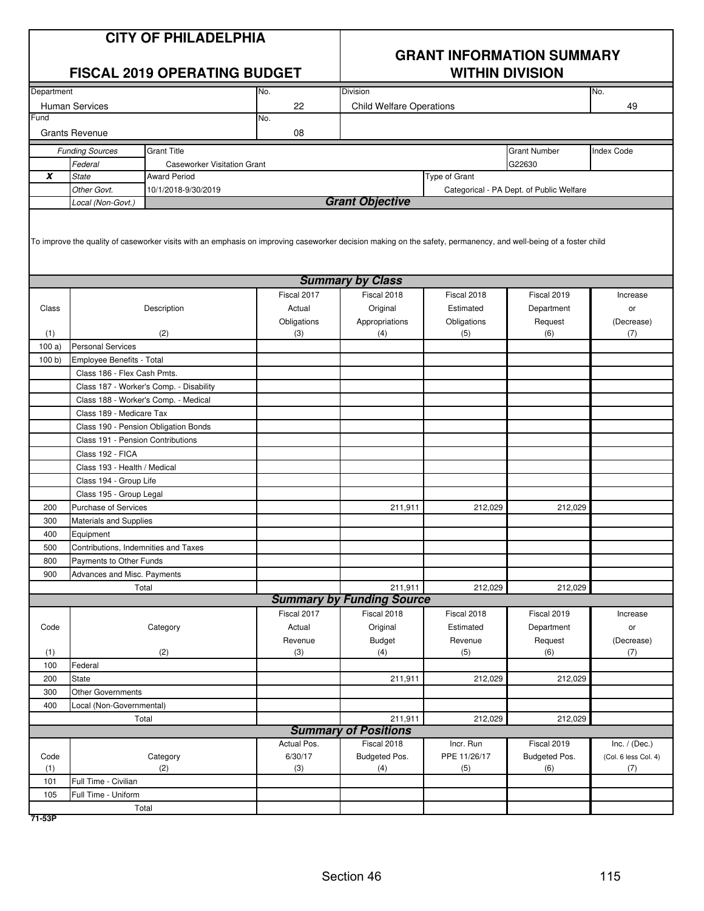|                  | <b>CITY OF PHILADELPHIA</b><br><b>FISCAL 2019 OPERATING BUDGET</b>                                                                                               |                                         |                    | <b>GRANT INFORMATION SUMMARY</b><br><b>WITHIN DIVISION</b> |                    |                                          |                      |  |  |  |  |
|------------------|------------------------------------------------------------------------------------------------------------------------------------------------------------------|-----------------------------------------|--------------------|------------------------------------------------------------|--------------------|------------------------------------------|----------------------|--|--|--|--|
| Department       |                                                                                                                                                                  |                                         | No.                | <b>Division</b>                                            |                    |                                          | No.                  |  |  |  |  |
|                  | <b>Human Services</b>                                                                                                                                            |                                         | 22                 | <b>Child Welfare Operations</b>                            |                    |                                          | 49                   |  |  |  |  |
| Fund             | <b>Grants Revenue</b>                                                                                                                                            |                                         | No.<br>08          |                                                            |                    |                                          |                      |  |  |  |  |
|                  | <b>Funding Sources</b>                                                                                                                                           | <b>Grant Title</b>                      |                    |                                                            |                    | <b>Grant Number</b>                      | <b>Index Code</b>    |  |  |  |  |
|                  | Federal                                                                                                                                                          | <b>Caseworker Visitation Grant</b>      |                    |                                                            |                    | G22630                                   |                      |  |  |  |  |
| $\boldsymbol{x}$ | <b>State</b>                                                                                                                                                     | <b>Award Period</b>                     |                    |                                                            | Type of Grant      |                                          |                      |  |  |  |  |
|                  | Other Govt.                                                                                                                                                      | 10/1/2018-9/30/2019                     |                    |                                                            |                    | Categorical - PA Dept. of Public Welfare |                      |  |  |  |  |
|                  | Local (Non-Govt.)                                                                                                                                                |                                         |                    | <b>Grant Objective</b>                                     |                    |                                          |                      |  |  |  |  |
|                  | To improve the quality of caseworker visits with an emphasis on improving caseworker decision making on the safety, permanency, and well-being of a foster child |                                         |                    |                                                            |                    |                                          |                      |  |  |  |  |
|                  |                                                                                                                                                                  |                                         |                    | <b>Summary by Class</b>                                    |                    |                                          |                      |  |  |  |  |
|                  |                                                                                                                                                                  |                                         | Fiscal 2017        | Fiscal 2018                                                | Fiscal 2018        | Fiscal 2019                              | Increase             |  |  |  |  |
| Class            |                                                                                                                                                                  | Description                             | Actual             | Original                                                   | Estimated          | Department                               | or                   |  |  |  |  |
| (1)              |                                                                                                                                                                  | (2)                                     | Obligations<br>(3) | Appropriations<br>(4)                                      | Obligations<br>(5) | Request<br>(6)                           | (Decrease)<br>(7)    |  |  |  |  |
| 100a             | <b>Personal Services</b>                                                                                                                                         |                                         |                    |                                                            |                    |                                          |                      |  |  |  |  |
| 100 b            | Employee Benefits - Total                                                                                                                                        |                                         |                    |                                                            |                    |                                          |                      |  |  |  |  |
|                  | Class 186 - Flex Cash Pmts.                                                                                                                                      |                                         |                    |                                                            |                    |                                          |                      |  |  |  |  |
|                  |                                                                                                                                                                  | Class 187 - Worker's Comp. - Disability |                    |                                                            |                    |                                          |                      |  |  |  |  |
|                  | Class 188 - Worker's Comp. - Medical                                                                                                                             |                                         |                    |                                                            |                    |                                          |                      |  |  |  |  |
|                  | Class 189 - Medicare Tax                                                                                                                                         |                                         |                    |                                                            |                    |                                          |                      |  |  |  |  |
|                  | Class 190 - Pension Obligation Bonds                                                                                                                             |                                         |                    |                                                            |                    |                                          |                      |  |  |  |  |
|                  | Class 191 - Pension Contributions                                                                                                                                |                                         |                    |                                                            |                    |                                          |                      |  |  |  |  |
|                  | Class 192 - FICA                                                                                                                                                 |                                         |                    |                                                            |                    |                                          |                      |  |  |  |  |
|                  | Class 193 - Health / Medical                                                                                                                                     |                                         |                    |                                                            |                    |                                          |                      |  |  |  |  |
|                  | Class 194 - Group Life                                                                                                                                           |                                         |                    |                                                            |                    |                                          |                      |  |  |  |  |
|                  | Class 195 - Group Legal                                                                                                                                          |                                         |                    |                                                            |                    |                                          |                      |  |  |  |  |
| 200              | <b>Purchase of Services</b>                                                                                                                                      |                                         |                    | 211,911                                                    | 212,029            | 212,029                                  |                      |  |  |  |  |
| 300              | <b>Materials and Supplies</b>                                                                                                                                    |                                         |                    |                                                            |                    |                                          |                      |  |  |  |  |
| 400              | Equipment                                                                                                                                                        |                                         |                    |                                                            |                    |                                          |                      |  |  |  |  |
| 500              | Contributions, Indemnities and Taxes                                                                                                                             |                                         |                    |                                                            |                    |                                          |                      |  |  |  |  |
| 800              | Payments to Other Funds                                                                                                                                          |                                         |                    |                                                            |                    |                                          |                      |  |  |  |  |
| 900              | Advances and Misc. Payments                                                                                                                                      |                                         |                    |                                                            |                    |                                          |                      |  |  |  |  |
|                  |                                                                                                                                                                  | Total                                   |                    | 211,911                                                    | 212,029            | 212,029                                  |                      |  |  |  |  |
|                  |                                                                                                                                                                  |                                         |                    | <b>Summary by Funding Source</b>                           |                    |                                          |                      |  |  |  |  |
|                  |                                                                                                                                                                  |                                         | Fiscal 2017        | Fiscal 2018                                                | Fiscal 2018        | Fiscal 2019                              | Increase             |  |  |  |  |
| Code             |                                                                                                                                                                  | Category                                | Actual             | Original                                                   | Estimated          | Department                               | or                   |  |  |  |  |
| (1)              |                                                                                                                                                                  | (2)                                     | Revenue<br>(3)     | <b>Budget</b><br>(4)                                       | Revenue<br>(5)     | Request<br>(6)                           | (Decrease)<br>(7)    |  |  |  |  |
| 100              | Federal                                                                                                                                                          |                                         |                    |                                                            |                    |                                          |                      |  |  |  |  |
| 200              | State                                                                                                                                                            |                                         |                    | 211,911                                                    | 212,029            | 212,029                                  |                      |  |  |  |  |
| 300              | <b>Other Governments</b>                                                                                                                                         |                                         |                    |                                                            |                    |                                          |                      |  |  |  |  |
| 400              | Local (Non-Governmental)                                                                                                                                         |                                         |                    |                                                            |                    |                                          |                      |  |  |  |  |
|                  | Total                                                                                                                                                            |                                         |                    | 211,911                                                    | 212,029            | 212,029                                  |                      |  |  |  |  |
|                  |                                                                                                                                                                  |                                         |                    | <b>Summary of Positions</b>                                |                    |                                          |                      |  |  |  |  |
|                  |                                                                                                                                                                  |                                         | Actual Pos.        | Fiscal 2018                                                | Incr. Run          | Fiscal 2019                              | Inc. $/$ (Dec.)      |  |  |  |  |
| Code             |                                                                                                                                                                  | Category                                | 6/30/17            | Budgeted Pos.                                              | PPE 11/26/17       | Budgeted Pos.                            | (Col. 6 less Col. 4) |  |  |  |  |
| (1)              |                                                                                                                                                                  | (2)                                     | (3)                | (4)                                                        | (5)                | (6)                                      | (7)                  |  |  |  |  |
| 101              | Full Time - Civilian                                                                                                                                             |                                         |                    |                                                            |                    |                                          |                      |  |  |  |  |
| 105              | Full Time - Uniform                                                                                                                                              |                                         |                    |                                                            |                    |                                          |                      |  |  |  |  |
|                  |                                                                                                                                                                  | Total                                   |                    |                                                            |                    |                                          |                      |  |  |  |  |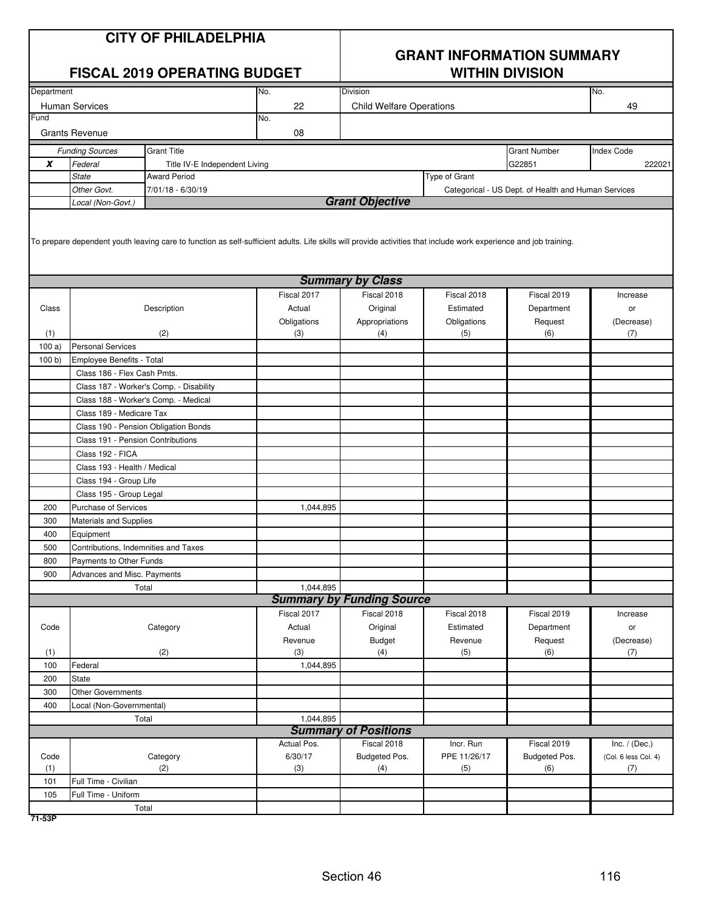| <b>CITY OF PHILADELPHIA</b><br><b>FISCAL 2019 OPERATING BUDGET</b> |                                      |                                                                                                                                                                   | <b>GRANT INFORMATION SUMMARY</b><br><b>WITHIN DIVISION</b> |                                  |                    |                                                     |                      |
|--------------------------------------------------------------------|--------------------------------------|-------------------------------------------------------------------------------------------------------------------------------------------------------------------|------------------------------------------------------------|----------------------------------|--------------------|-----------------------------------------------------|----------------------|
| Department                                                         |                                      |                                                                                                                                                                   | No.                                                        | Division                         |                    |                                                     | No.                  |
|                                                                    | <b>Human Services</b>                |                                                                                                                                                                   | 22                                                         | <b>Child Welfare Operations</b>  |                    |                                                     | 49                   |
| Fund                                                               |                                      |                                                                                                                                                                   | No.                                                        |                                  |                    |                                                     |                      |
|                                                                    | <b>Grants Revenue</b>                |                                                                                                                                                                   | 08                                                         |                                  |                    |                                                     |                      |
|                                                                    | <b>Funding Sources</b>               | <b>Grant Title</b>                                                                                                                                                |                                                            |                                  |                    | <b>Grant Number</b>                                 | <b>Index Code</b>    |
| X                                                                  | Federal                              | Title IV-E Independent Living                                                                                                                                     |                                                            |                                  |                    | G22851                                              | 222021               |
|                                                                    | <b>State</b>                         | <b>Award Period</b>                                                                                                                                               |                                                            |                                  | Type of Grant      |                                                     |                      |
|                                                                    | Other Govt.                          | 7/01/18 - 6/30/19                                                                                                                                                 |                                                            |                                  |                    | Categorical - US Dept. of Health and Human Services |                      |
|                                                                    | Local (Non-Govt.)                    |                                                                                                                                                                   |                                                            | <b>Grant Objective</b>           |                    |                                                     |                      |
|                                                                    |                                      | To prepare dependent youth leaving care to function as self-sufficient adults. Life skills will provide activities that include work experience and job training. |                                                            |                                  |                    |                                                     |                      |
|                                                                    |                                      |                                                                                                                                                                   |                                                            | <b>Summary by Class</b>          |                    |                                                     |                      |
|                                                                    |                                      |                                                                                                                                                                   | Fiscal 2017                                                | Fiscal 2018                      | Fiscal 2018        | Fiscal 2019                                         | Increase             |
| Class                                                              | Description                          |                                                                                                                                                                   | Actual                                                     | Original                         | Estimated          | Department                                          | or                   |
| (1)                                                                |                                      | (2)                                                                                                                                                               | Obligations<br>(3)                                         | Appropriations<br>(4)            | Obligations<br>(5) | Request<br>(6)                                      | (Decrease)<br>(7)    |
| 100a)                                                              | <b>Personal Services</b>             |                                                                                                                                                                   |                                                            |                                  |                    |                                                     |                      |
| 100 b)                                                             | Employee Benefits - Total            |                                                                                                                                                                   |                                                            |                                  |                    |                                                     |                      |
|                                                                    | Class 186 - Flex Cash Pmts.          |                                                                                                                                                                   |                                                            |                                  |                    |                                                     |                      |
|                                                                    |                                      | Class 187 - Worker's Comp. - Disability                                                                                                                           |                                                            |                                  |                    |                                                     |                      |
|                                                                    |                                      | Class 188 - Worker's Comp. - Medical                                                                                                                              |                                                            |                                  |                    |                                                     |                      |
|                                                                    | Class 189 - Medicare Tax             |                                                                                                                                                                   |                                                            |                                  |                    |                                                     |                      |
|                                                                    |                                      | Class 190 - Pension Obligation Bonds                                                                                                                              |                                                            |                                  |                    |                                                     |                      |
|                                                                    | Class 191 - Pension Contributions    |                                                                                                                                                                   |                                                            |                                  |                    |                                                     |                      |
|                                                                    | Class 192 - FICA                     |                                                                                                                                                                   |                                                            |                                  |                    |                                                     |                      |
|                                                                    | Class 193 - Health / Medical         |                                                                                                                                                                   |                                                            |                                  |                    |                                                     |                      |
|                                                                    | Class 194 - Group Life               |                                                                                                                                                                   |                                                            |                                  |                    |                                                     |                      |
|                                                                    | Class 195 - Group Legal              |                                                                                                                                                                   |                                                            |                                  |                    |                                                     |                      |
| 200                                                                | Purchase of Services                 |                                                                                                                                                                   | 1,044,895                                                  |                                  |                    |                                                     |                      |
| 300                                                                | <b>Materials and Supplies</b>        |                                                                                                                                                                   |                                                            |                                  |                    |                                                     |                      |
| 400                                                                | Equipment                            |                                                                                                                                                                   |                                                            |                                  |                    |                                                     |                      |
| 500                                                                | Contributions, Indemnities and Taxes |                                                                                                                                                                   |                                                            |                                  |                    |                                                     |                      |
| 800                                                                | Payments to Other Funds              |                                                                                                                                                                   |                                                            |                                  |                    |                                                     |                      |
| 900                                                                | Advances and Misc. Payments          |                                                                                                                                                                   |                                                            |                                  |                    |                                                     |                      |
|                                                                    |                                      | Total                                                                                                                                                             | 1,044,895                                                  |                                  |                    |                                                     |                      |
|                                                                    |                                      |                                                                                                                                                                   |                                                            | <b>Summary by Funding Source</b> |                    |                                                     |                      |
|                                                                    |                                      |                                                                                                                                                                   | Fiscal 2017                                                | Fiscal 2018                      | Fiscal 2018        | Fiscal 2019                                         | Increase             |
| Code                                                               |                                      | Category                                                                                                                                                          | Actual                                                     | Original                         | Estimated          | Department                                          | or                   |
|                                                                    |                                      |                                                                                                                                                                   | Revenue                                                    | <b>Budget</b>                    | Revenue            | Request                                             | (Decrease)           |
| (1)                                                                |                                      | (2)                                                                                                                                                               | (3)                                                        | (4)                              | (5)                | (6)                                                 | (7)                  |
| 100                                                                | Federal<br><b>State</b>              |                                                                                                                                                                   | 1,044,895                                                  |                                  |                    |                                                     |                      |
| 200<br>300                                                         | <b>Other Governments</b>             |                                                                                                                                                                   |                                                            |                                  |                    |                                                     |                      |
| 400                                                                | Local (Non-Governmental)             |                                                                                                                                                                   |                                                            |                                  |                    |                                                     |                      |
|                                                                    |                                      | Total                                                                                                                                                             | 1,044,895                                                  |                                  |                    |                                                     |                      |
|                                                                    |                                      |                                                                                                                                                                   |                                                            | <b>Summary of Positions</b>      |                    |                                                     |                      |
|                                                                    |                                      |                                                                                                                                                                   | Actual Pos.                                                | Fiscal 2018                      | Incr. Run          | Fiscal 2019                                         | Inc. $/$ (Dec.)      |
| Code                                                               |                                      | Category                                                                                                                                                          | 6/30/17                                                    | Budgeted Pos.                    | PPE 11/26/17       | Budgeted Pos.                                       | (Col. 6 less Col. 4) |
| (1)                                                                |                                      | (2)                                                                                                                                                               | (3)                                                        | (4)                              | (5)                | (6)                                                 | (7)                  |
| 101                                                                | Full Time - Civilian                 |                                                                                                                                                                   |                                                            |                                  |                    |                                                     |                      |
| 105                                                                | Full Time - Uniform                  |                                                                                                                                                                   |                                                            |                                  |                    |                                                     |                      |
|                                                                    |                                      | Total                                                                                                                                                             |                                                            |                                  |                    |                                                     |                      |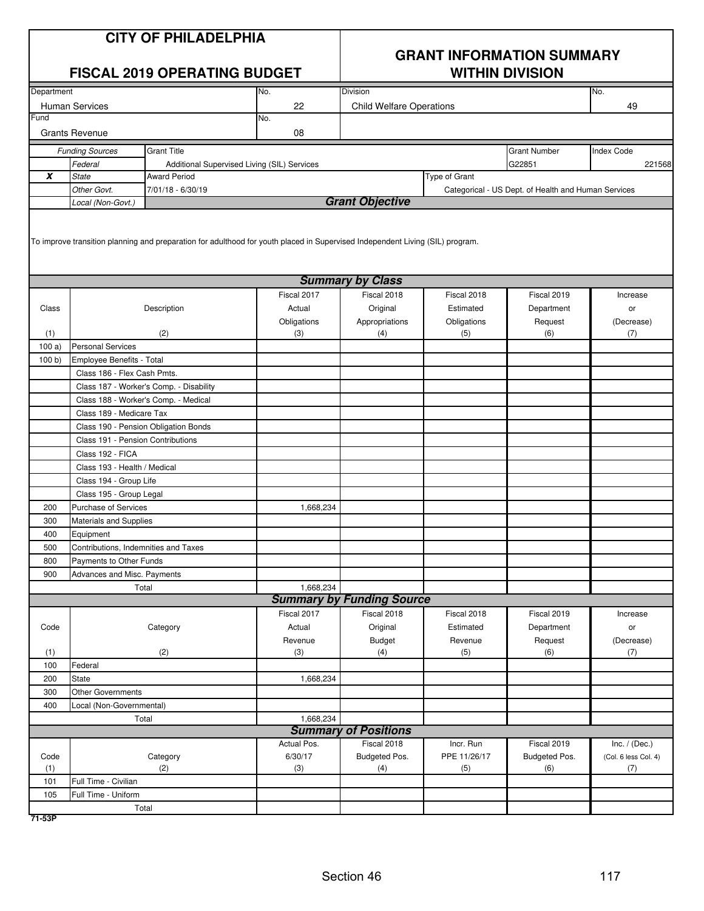|            |                                      | <b>CITY OF PHILADELPHIA</b><br><b>FISCAL 2019 OPERATING BUDGET</b> |                                                                                                                               | <b>GRANT INFORMATION SUMMARY</b><br><b>WITHIN DIVISION</b> |                    |                                                     |                      |  |
|------------|--------------------------------------|--------------------------------------------------------------------|-------------------------------------------------------------------------------------------------------------------------------|------------------------------------------------------------|--------------------|-----------------------------------------------------|----------------------|--|
| Department |                                      |                                                                    | No.                                                                                                                           | <b>Division</b>                                            |                    |                                                     | No.                  |  |
|            | <b>Human Services</b>                |                                                                    | 22                                                                                                                            | <b>Child Welfare Operations</b>                            |                    |                                                     | 49                   |  |
| Fund       |                                      |                                                                    | No.                                                                                                                           |                                                            |                    |                                                     |                      |  |
|            | <b>Grants Revenue</b>                |                                                                    | 08                                                                                                                            |                                                            |                    |                                                     |                      |  |
|            | <b>Funding Sources</b>               | <b>Grant Title</b>                                                 |                                                                                                                               |                                                            |                    | <b>Grant Number</b>                                 | <b>Index Code</b>    |  |
|            | Federal                              |                                                                    | Additional Supervised Living (SIL) Services                                                                                   |                                                            |                    | G22851                                              | 221568               |  |
| X          | <b>State</b>                         | <b>Award Period</b>                                                |                                                                                                                               |                                                            | Type of Grant      |                                                     |                      |  |
|            | Other Govt.                          | 7/01/18 - 6/30/19                                                  |                                                                                                                               |                                                            |                    | Categorical - US Dept. of Health and Human Services |                      |  |
|            | Local (Non-Govt.)                    |                                                                    |                                                                                                                               | <b>Grant Objective</b>                                     |                    |                                                     |                      |  |
|            |                                      |                                                                    | To improve transition planning and preparation for adulthood for youth placed in Supervised Independent Living (SIL) program. |                                                            |                    |                                                     |                      |  |
|            |                                      |                                                                    |                                                                                                                               | <b>Summary by Class</b>                                    |                    |                                                     |                      |  |
|            |                                      |                                                                    | Fiscal 2017                                                                                                                   | Fiscal 2018                                                | Fiscal 2018        | Fiscal 2019                                         | Increase             |  |
| Class      |                                      | Description                                                        | Actual                                                                                                                        | Original                                                   | Estimated          | Department                                          | or                   |  |
| (1)        |                                      | (2)                                                                | Obligations<br>(3)                                                                                                            | Appropriations<br>(4)                                      | Obligations<br>(5) | Request<br>(6)                                      | (Decrease)<br>(7)    |  |
| 100a)      | <b>Personal Services</b>             |                                                                    |                                                                                                                               |                                                            |                    |                                                     |                      |  |
| 100 b)     | Employee Benefits - Total            |                                                                    |                                                                                                                               |                                                            |                    |                                                     |                      |  |
|            | Class 186 - Flex Cash Pmts.          |                                                                    |                                                                                                                               |                                                            |                    |                                                     |                      |  |
|            |                                      | Class 187 - Worker's Comp. - Disability                            |                                                                                                                               |                                                            |                    |                                                     |                      |  |
|            |                                      | Class 188 - Worker's Comp. - Medical                               |                                                                                                                               |                                                            |                    |                                                     |                      |  |
|            | Class 189 - Medicare Tax             |                                                                    |                                                                                                                               |                                                            |                    |                                                     |                      |  |
|            |                                      | Class 190 - Pension Obligation Bonds                               |                                                                                                                               |                                                            |                    |                                                     |                      |  |
|            | Class 191 - Pension Contributions    |                                                                    |                                                                                                                               |                                                            |                    |                                                     |                      |  |
|            | Class 192 - FICA                     |                                                                    |                                                                                                                               |                                                            |                    |                                                     |                      |  |
|            | Class 193 - Health / Medical         |                                                                    |                                                                                                                               |                                                            |                    |                                                     |                      |  |
|            | Class 194 - Group Life               |                                                                    |                                                                                                                               |                                                            |                    |                                                     |                      |  |
|            | Class 195 - Group Legal              |                                                                    |                                                                                                                               |                                                            |                    |                                                     |                      |  |
| 200        | Purchase of Services                 |                                                                    | 1,668,234                                                                                                                     |                                                            |                    |                                                     |                      |  |
| 300        | <b>Materials and Supplies</b>        |                                                                    |                                                                                                                               |                                                            |                    |                                                     |                      |  |
| 400        | Equipment                            |                                                                    |                                                                                                                               |                                                            |                    |                                                     |                      |  |
| 500        | Contributions, Indemnities and Taxes |                                                                    |                                                                                                                               |                                                            |                    |                                                     |                      |  |
| 800        | Payments to Other Funds              |                                                                    |                                                                                                                               |                                                            |                    |                                                     |                      |  |
| 900        | Advances and Misc. Payments          |                                                                    |                                                                                                                               |                                                            |                    |                                                     |                      |  |
|            |                                      | Total                                                              | 1,668,234                                                                                                                     |                                                            |                    |                                                     |                      |  |
|            |                                      |                                                                    |                                                                                                                               | <b>Summary by Funding Source</b>                           |                    |                                                     |                      |  |
|            |                                      |                                                                    | Fiscal 2017                                                                                                                   | Fiscal 2018                                                | Fiscal 2018        | Fiscal 2019                                         | Increase             |  |
| Code       |                                      | Category                                                           | Actual                                                                                                                        | Original                                                   | Estimated          | Department                                          | or                   |  |
|            |                                      |                                                                    | Revenue                                                                                                                       | Budget                                                     | Revenue            | Request                                             | (Decrease)           |  |
| (1)<br>100 | Federal                              | (2)                                                                | (3)                                                                                                                           | (4)                                                        | (5)                | (6)                                                 | (7)                  |  |
| 200        | State                                |                                                                    | 1,668,234                                                                                                                     |                                                            |                    |                                                     |                      |  |
| 300        | Other Governments                    |                                                                    |                                                                                                                               |                                                            |                    |                                                     |                      |  |
| 400        | Local (Non-Governmental)             |                                                                    |                                                                                                                               |                                                            |                    |                                                     |                      |  |
|            |                                      | Total                                                              | 1,668,234                                                                                                                     |                                                            |                    |                                                     |                      |  |
|            |                                      |                                                                    |                                                                                                                               | <b>Summary of Positions</b>                                |                    |                                                     |                      |  |
|            |                                      |                                                                    | Actual Pos.                                                                                                                   | Fiscal 2018                                                | Incr. Run          | Fiscal 2019                                         | Inc. $/$ (Dec.)      |  |
| Code       |                                      | Category                                                           | 6/30/17                                                                                                                       | Budgeted Pos.                                              | PPE 11/26/17       | Budgeted Pos.                                       | (Col. 6 less Col. 4) |  |
| (1)        |                                      | (2)                                                                | (3)                                                                                                                           | (4)                                                        | (5)                | (6)                                                 | (7)                  |  |
| 101        | Full Time - Civilian                 |                                                                    |                                                                                                                               |                                                            |                    |                                                     |                      |  |
| 105        | Full Time - Uniform                  |                                                                    |                                                                                                                               |                                                            |                    |                                                     |                      |  |
|            |                                      | Total                                                              |                                                                                                                               |                                                            |                    |                                                     |                      |  |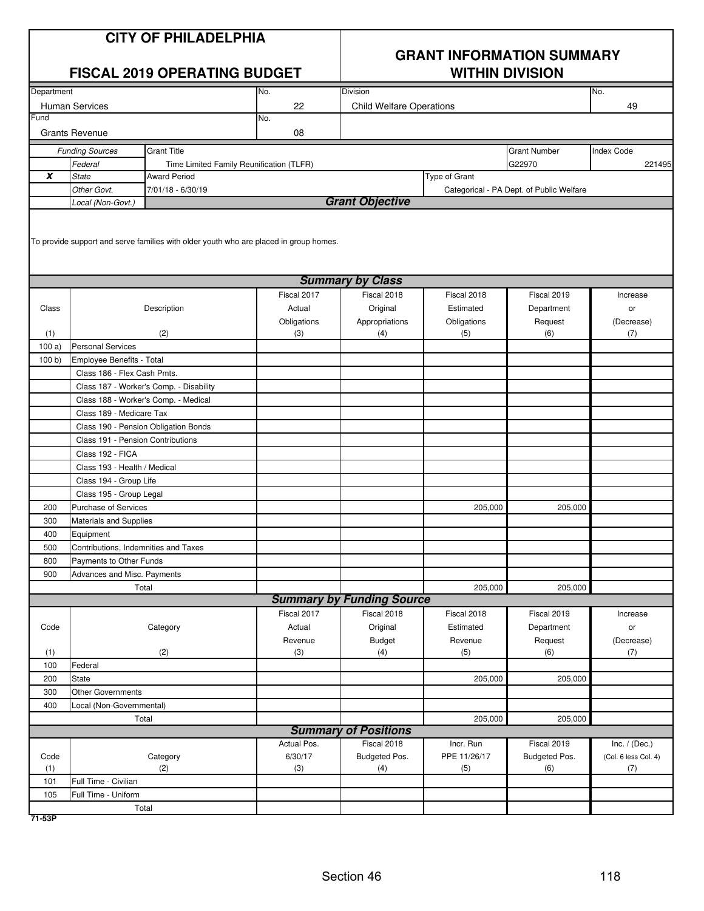|            |                                      | <b>CITY OF PHILADELPHIA</b><br><b>FISCAL 2019 OPERATING BUDGET</b> |                                                                                       | <b>GRANT INFORMATION SUMMARY</b><br><b>WITHIN DIVISION</b> |                          |                                          |                      |  |
|------------|--------------------------------------|--------------------------------------------------------------------|---------------------------------------------------------------------------------------|------------------------------------------------------------|--------------------------|------------------------------------------|----------------------|--|
| Department |                                      |                                                                    | No.                                                                                   | Division                                                   |                          |                                          | No.                  |  |
|            | <b>Human Services</b>                |                                                                    | 22                                                                                    | <b>Child Welfare Operations</b>                            |                          |                                          | 49                   |  |
| Fund       |                                      |                                                                    | No.                                                                                   |                                                            |                          |                                          |                      |  |
|            | <b>Grants Revenue</b>                |                                                                    | 08                                                                                    |                                                            |                          |                                          |                      |  |
|            | <b>Funding Sources</b>               | <b>Grant Title</b>                                                 |                                                                                       |                                                            |                          | <b>Grant Number</b>                      | <b>Index Code</b>    |  |
|            | Federal                              | Time Limited Family Reunification (TLFR)                           |                                                                                       |                                                            |                          | G22970                                   | 221495               |  |
| X          | <b>State</b>                         | <b>Award Period</b>                                                |                                                                                       |                                                            | Type of Grant            |                                          |                      |  |
|            | Other Govt.                          | 7/01/18 - 6/30/19                                                  |                                                                                       |                                                            |                          | Categorical - PA Dept. of Public Welfare |                      |  |
|            | Local (Non-Govt.)                    |                                                                    |                                                                                       | <b>Grant Objective</b>                                     |                          |                                          |                      |  |
|            |                                      |                                                                    | To provide support and serve families with older youth who are placed in group homes. | <b>Summary by Class</b>                                    |                          |                                          |                      |  |
|            |                                      |                                                                    |                                                                                       |                                                            |                          |                                          |                      |  |
|            |                                      |                                                                    | Fiscal 2017                                                                           | Fiscal 2018                                                | Fiscal 2018<br>Estimated | Fiscal 2019                              | Increase             |  |
| Class      |                                      | Description                                                        | Actual                                                                                | Original<br>Appropriations                                 |                          | Department                               | or                   |  |
| (1)        |                                      | (2)                                                                | Obligations<br>(3)                                                                    | (4)                                                        | Obligations<br>(5)       | Request<br>(6)                           | (Decrease)<br>(7)    |  |
| 100a)      | <b>Personal Services</b>             |                                                                    |                                                                                       |                                                            |                          |                                          |                      |  |
| 100 b)     | Employee Benefits - Total            |                                                                    |                                                                                       |                                                            |                          |                                          |                      |  |
|            | Class 186 - Flex Cash Pmts.          |                                                                    |                                                                                       |                                                            |                          |                                          |                      |  |
|            |                                      | Class 187 - Worker's Comp. - Disability                            |                                                                                       |                                                            |                          |                                          |                      |  |
|            |                                      | Class 188 - Worker's Comp. - Medical                               |                                                                                       |                                                            |                          |                                          |                      |  |
|            | Class 189 - Medicare Tax             |                                                                    |                                                                                       |                                                            |                          |                                          |                      |  |
|            |                                      | Class 190 - Pension Obligation Bonds                               |                                                                                       |                                                            |                          |                                          |                      |  |
|            | Class 191 - Pension Contributions    |                                                                    |                                                                                       |                                                            |                          |                                          |                      |  |
|            | Class 192 - FICA                     |                                                                    |                                                                                       |                                                            |                          |                                          |                      |  |
|            | Class 193 - Health / Medical         |                                                                    |                                                                                       |                                                            |                          |                                          |                      |  |
|            | Class 194 - Group Life               |                                                                    |                                                                                       |                                                            |                          |                                          |                      |  |
|            | Class 195 - Group Legal              |                                                                    |                                                                                       |                                                            |                          |                                          |                      |  |
| 200        | Purchase of Services                 |                                                                    |                                                                                       |                                                            | 205,000                  | 205,000                                  |                      |  |
| 300        | <b>Materials and Supplies</b>        |                                                                    |                                                                                       |                                                            |                          |                                          |                      |  |
| 400        | Equipment                            |                                                                    |                                                                                       |                                                            |                          |                                          |                      |  |
| 500        | Contributions, Indemnities and Taxes |                                                                    |                                                                                       |                                                            |                          |                                          |                      |  |
| 800        | Payments to Other Funds              |                                                                    |                                                                                       |                                                            |                          |                                          |                      |  |
| 900        | Advances and Misc. Payments          |                                                                    |                                                                                       |                                                            |                          |                                          |                      |  |
|            |                                      | Total                                                              |                                                                                       |                                                            | 205,000                  | 205,000                                  |                      |  |
|            |                                      |                                                                    |                                                                                       | <b>Summary by Funding Source</b>                           |                          |                                          |                      |  |
|            |                                      |                                                                    | Fiscal 2017                                                                           | Fiscal 2018                                                | Fiscal 2018              | Fiscal 2019                              | Increase             |  |
| Code       |                                      | Category                                                           | Actual                                                                                | Original                                                   | Estimated                | Department                               | or                   |  |
| (1)        |                                      | (2)                                                                | Revenue<br>(3)                                                                        | Budget<br>(4)                                              | Revenue<br>(5)           | Request<br>(6)                           | (Decrease)           |  |
| 100        | Federal                              |                                                                    |                                                                                       |                                                            |                          |                                          | (7)                  |  |
| 200        | State                                |                                                                    |                                                                                       |                                                            | 205,000                  | 205,000                                  |                      |  |
| 300        | <b>Other Governments</b>             |                                                                    |                                                                                       |                                                            |                          |                                          |                      |  |
| 400        | Local (Non-Governmental)             |                                                                    |                                                                                       |                                                            |                          |                                          |                      |  |
|            |                                      | Total                                                              |                                                                                       |                                                            | 205,000                  | 205,000                                  |                      |  |
|            |                                      |                                                                    |                                                                                       | <b>Summary of Positions</b>                                |                          |                                          |                      |  |
|            |                                      |                                                                    | Actual Pos.                                                                           | Fiscal 2018                                                | Incr. Run                | Fiscal 2019                              | Inc. $/$ (Dec.)      |  |
| Code       |                                      | Category                                                           | 6/30/17                                                                               | Budgeted Pos.                                              | PPE 11/26/17             | Budgeted Pos.                            | (Col. 6 less Col. 4) |  |
| (1)        |                                      | (2)                                                                | (3)                                                                                   | (4)                                                        | (5)                      | (6)                                      | (7)                  |  |
| 101        | Full Time - Civilian                 |                                                                    |                                                                                       |                                                            |                          |                                          |                      |  |
| 105        | Full Time - Uniform                  |                                                                    |                                                                                       |                                                            |                          |                                          |                      |  |
|            |                                      | Total                                                              |                                                                                       |                                                            |                          |                                          |                      |  |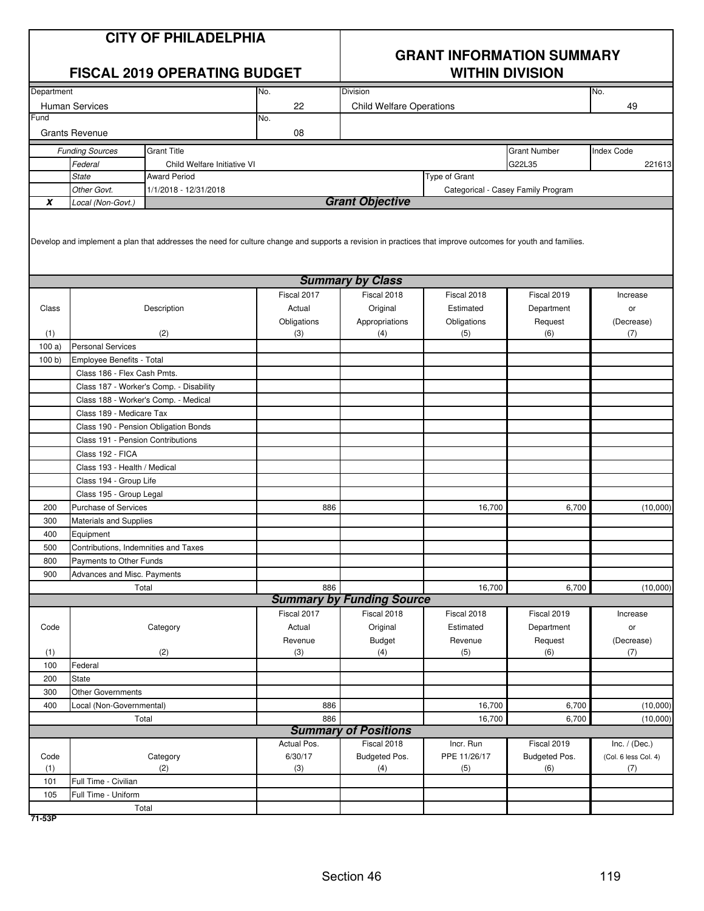| <b>CITY OF PHILADELPHIA</b><br><b>FISCAL 2019 OPERATING BUDGET</b> |                                                  |                                                                                                                                                            | <b>GRANT INFORMATION SUMMARY</b><br><b>WITHIN DIVISION</b> |                                  |               |                                    |                      |
|--------------------------------------------------------------------|--------------------------------------------------|------------------------------------------------------------------------------------------------------------------------------------------------------------|------------------------------------------------------------|----------------------------------|---------------|------------------------------------|----------------------|
| Department                                                         |                                                  |                                                                                                                                                            | No.                                                        | Division                         |               |                                    | No.                  |
|                                                                    | <b>Human Services</b>                            |                                                                                                                                                            | 22                                                         | <b>Child Welfare Operations</b>  |               |                                    | 49                   |
| Fund                                                               |                                                  |                                                                                                                                                            | No.                                                        |                                  |               |                                    |                      |
|                                                                    | <b>Grants Revenue</b>                            |                                                                                                                                                            | 08                                                         |                                  |               |                                    |                      |
|                                                                    | <b>Funding Sources</b>                           | <b>Grant Title</b>                                                                                                                                         |                                                            |                                  |               | <b>Grant Number</b>                | <b>Index Code</b>    |
|                                                                    | Federal                                          | Child Welfare Initiative VI                                                                                                                                |                                                            |                                  |               | G22L35                             | 221613               |
|                                                                    | State                                            | <b>Award Period</b>                                                                                                                                        |                                                            |                                  | Type of Grant |                                    |                      |
|                                                                    | Other Govt.                                      | 1/1/2018 - 12/31/2018                                                                                                                                      |                                                            |                                  |               | Categorical - Casey Family Program |                      |
| X                                                                  | Local (Non-Govt.)                                |                                                                                                                                                            |                                                            | <b>Grant Objective</b>           |               |                                    |                      |
|                                                                    |                                                  | Develop and implement a plan that addresses the need for culture change and supports a revision in practices that improve outcomes for youth and families. |                                                            |                                  |               |                                    |                      |
|                                                                    |                                                  |                                                                                                                                                            |                                                            | <b>Summary by Class</b>          |               |                                    |                      |
|                                                                    |                                                  |                                                                                                                                                            | Fiscal 2017                                                | Fiscal 2018                      | Fiscal 2018   | Fiscal 2019                        | Increase             |
| Class                                                              |                                                  | Description                                                                                                                                                | Actual                                                     | Original                         | Estimated     | Department                         | or                   |
|                                                                    |                                                  |                                                                                                                                                            | Obligations                                                | Appropriations                   | Obligations   | Request                            | (Decrease)           |
| (1)                                                                |                                                  | (2)                                                                                                                                                        | (3)                                                        | (4)                              | (5)           | (6)                                | (7)                  |
| 100a)                                                              | <b>Personal Services</b>                         |                                                                                                                                                            |                                                            |                                  |               |                                    |                      |
| 100 b                                                              | Employee Benefits - Total                        |                                                                                                                                                            |                                                            |                                  |               |                                    |                      |
|                                                                    | Class 186 - Flex Cash Pmts.                      |                                                                                                                                                            |                                                            |                                  |               |                                    |                      |
|                                                                    |                                                  | Class 187 - Worker's Comp. - Disability                                                                                                                    |                                                            |                                  |               |                                    |                      |
|                                                                    |                                                  | Class 188 - Worker's Comp. - Medical                                                                                                                       |                                                            |                                  |               |                                    |                      |
|                                                                    | Class 189 - Medicare Tax                         |                                                                                                                                                            |                                                            |                                  |               |                                    |                      |
|                                                                    |                                                  | Class 190 - Pension Obligation Bonds                                                                                                                       |                                                            |                                  |               |                                    |                      |
|                                                                    | Class 191 - Pension Contributions                |                                                                                                                                                            |                                                            |                                  |               |                                    |                      |
|                                                                    | Class 192 - FICA<br>Class 193 - Health / Medical |                                                                                                                                                            |                                                            |                                  |               |                                    |                      |
|                                                                    | Class 194 - Group Life                           |                                                                                                                                                            |                                                            |                                  |               |                                    |                      |
|                                                                    | Class 195 - Group Legal                          |                                                                                                                                                            |                                                            |                                  |               |                                    |                      |
| 200                                                                | <b>Purchase of Services</b>                      |                                                                                                                                                            | 886                                                        |                                  | 16,700        | 6,700                              | (10,000)             |
| 300                                                                | <b>Materials and Supplies</b>                    |                                                                                                                                                            |                                                            |                                  |               |                                    |                      |
| 400                                                                | Equipment                                        |                                                                                                                                                            |                                                            |                                  |               |                                    |                      |
| 500                                                                | Contributions, Indemnities and Taxes             |                                                                                                                                                            |                                                            |                                  |               |                                    |                      |
| 800                                                                | Payments to Other Funds                          |                                                                                                                                                            |                                                            |                                  |               |                                    |                      |
| 900                                                                | Advances and Misc. Payments                      |                                                                                                                                                            |                                                            |                                  |               |                                    |                      |
|                                                                    |                                                  | Total                                                                                                                                                      | 886                                                        |                                  | 16,700        | 6,700                              | (10,000)             |
|                                                                    |                                                  |                                                                                                                                                            |                                                            | <b>Summary by Funding Source</b> |               |                                    |                      |
|                                                                    |                                                  |                                                                                                                                                            | Fiscal 2017                                                | Fiscal 2018                      | Fiscal 2018   | Fiscal 2019                        | Increase             |
| Code                                                               |                                                  | Category                                                                                                                                                   | Actual                                                     | Original                         | Estimated     | Department                         | or                   |
|                                                                    |                                                  |                                                                                                                                                            | Revenue                                                    | Budget                           | Revenue       | Request                            | (Decrease)           |
| (1)                                                                |                                                  | (2)                                                                                                                                                        | (3)                                                        | (4)                              | (5)           | (6)                                | (7)                  |
| 100                                                                | Federal                                          |                                                                                                                                                            |                                                            |                                  |               |                                    |                      |
| 200                                                                | State                                            |                                                                                                                                                            |                                                            |                                  |               |                                    |                      |
| 300                                                                | <b>Other Governments</b>                         |                                                                                                                                                            |                                                            |                                  |               |                                    |                      |
| 400                                                                | Local (Non-Governmental)                         |                                                                                                                                                            | 886                                                        |                                  | 16,700        | 6,700                              | (10,000)             |
|                                                                    |                                                  | Total                                                                                                                                                      | 886                                                        |                                  | 16,700        | 6,700                              | (10,000)             |
|                                                                    |                                                  |                                                                                                                                                            |                                                            | <b>Summary of Positions</b>      |               |                                    |                      |
|                                                                    |                                                  |                                                                                                                                                            | Actual Pos.                                                | Fiscal 2018                      | Incr. Run     | Fiscal 2019                        | Inc. $/$ (Dec.)      |
| Code                                                               |                                                  | Category                                                                                                                                                   | 6/30/17                                                    | Budgeted Pos.                    | PPE 11/26/17  | Budgeted Pos.                      | (Col. 6 less Col. 4) |
| (1)                                                                |                                                  | (2)                                                                                                                                                        | (3)                                                        | (4)                              | (5)           | (6)                                | (7)                  |
| 101<br>105                                                         | Full Time - Civilian<br>Full Time - Uniform      |                                                                                                                                                            |                                                            |                                  |               |                                    |                      |
|                                                                    |                                                  | Total                                                                                                                                                      |                                                            |                                  |               |                                    |                      |
|                                                                    |                                                  |                                                                                                                                                            |                                                            |                                  |               |                                    |                      |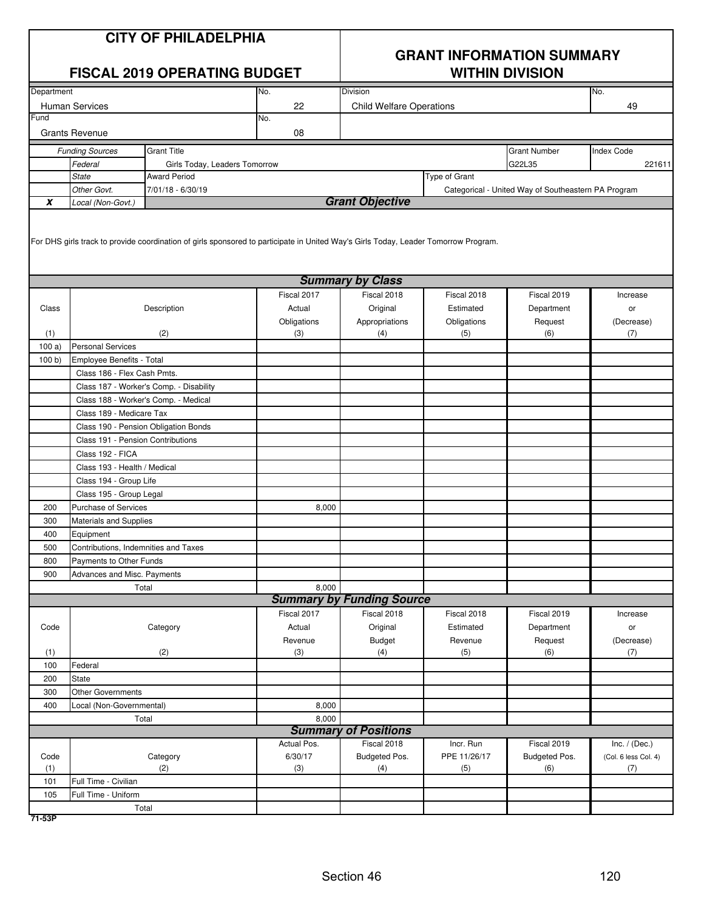|            |                                      | <b>CITY OF PHILADELPHIA</b><br><b>FISCAL 2019 OPERATING BUDGET</b>                                                                  |             | <b>GRANT INFORMATION SUMMARY</b><br><b>WITHIN DIVISION</b><br>Division<br>No. |               |                                                     |                      |  |  |
|------------|--------------------------------------|-------------------------------------------------------------------------------------------------------------------------------------|-------------|-------------------------------------------------------------------------------|---------------|-----------------------------------------------------|----------------------|--|--|
| Department |                                      |                                                                                                                                     | No.         |                                                                               |               |                                                     |                      |  |  |
|            | <b>Human Services</b>                |                                                                                                                                     | 22          | <b>Child Welfare Operations</b>                                               |               |                                                     | 49                   |  |  |
| Fund       |                                      |                                                                                                                                     | No.         |                                                                               |               |                                                     |                      |  |  |
|            | <b>Grants Revenue</b>                |                                                                                                                                     | 08          |                                                                               |               |                                                     |                      |  |  |
|            | <b>Funding Sources</b>               | <b>Grant Title</b>                                                                                                                  |             |                                                                               |               | <b>Grant Number</b>                                 | <b>Index Code</b>    |  |  |
|            | Federal                              | Girls Today, Leaders Tomorrow                                                                                                       |             |                                                                               |               | G22L35                                              | 221611               |  |  |
|            | <b>State</b>                         | <b>Award Period</b>                                                                                                                 |             |                                                                               | Type of Grant |                                                     |                      |  |  |
|            | Other Govt.                          | 7/01/18 - 6/30/19                                                                                                                   |             |                                                                               |               | Categorical - United Way of Southeastern PA Program |                      |  |  |
| $\pmb{X}$  | Local (Non-Govt.)                    |                                                                                                                                     |             | <b>Grant Objective</b>                                                        |               |                                                     |                      |  |  |
|            |                                      | For DHS girls track to provide coordination of girls sponsored to participate in United Way's Girls Today, Leader Tomorrow Program. |             |                                                                               |               |                                                     |                      |  |  |
|            |                                      |                                                                                                                                     |             | <b>Summary by Class</b>                                                       |               |                                                     |                      |  |  |
|            |                                      |                                                                                                                                     | Fiscal 2017 | Fiscal 2018                                                                   | Fiscal 2018   | Fiscal 2019                                         | Increase             |  |  |
| Class      |                                      | Description                                                                                                                         | Actual      | Original                                                                      | Estimated     | Department                                          | or                   |  |  |
|            |                                      |                                                                                                                                     | Obligations | Appropriations                                                                | Obligations   | Request                                             | (Decrease)           |  |  |
| (1)        |                                      | (2)                                                                                                                                 | (3)         | (4)                                                                           | (5)           | (6)                                                 | (7)                  |  |  |
| 100a)      | <b>Personal Services</b>             |                                                                                                                                     |             |                                                                               |               |                                                     |                      |  |  |
| 100 b)     | Employee Benefits - Total            |                                                                                                                                     |             |                                                                               |               |                                                     |                      |  |  |
|            | Class 186 - Flex Cash Pmts.          |                                                                                                                                     |             |                                                                               |               |                                                     |                      |  |  |
|            |                                      | Class 187 - Worker's Comp. - Disability                                                                                             |             |                                                                               |               |                                                     |                      |  |  |
|            |                                      | Class 188 - Worker's Comp. - Medical                                                                                                |             |                                                                               |               |                                                     |                      |  |  |
|            | Class 189 - Medicare Tax             |                                                                                                                                     |             |                                                                               |               |                                                     |                      |  |  |
|            |                                      | Class 190 - Pension Obligation Bonds                                                                                                |             |                                                                               |               |                                                     |                      |  |  |
|            | Class 191 - Pension Contributions    |                                                                                                                                     |             |                                                                               |               |                                                     |                      |  |  |
|            | Class 192 - FICA                     |                                                                                                                                     |             |                                                                               |               |                                                     |                      |  |  |
|            | Class 193 - Health / Medical         |                                                                                                                                     |             |                                                                               |               |                                                     |                      |  |  |
|            | Class 194 - Group Life               |                                                                                                                                     |             |                                                                               |               |                                                     |                      |  |  |
|            | Class 195 - Group Legal              |                                                                                                                                     |             |                                                                               |               |                                                     |                      |  |  |
| 200        | <b>Purchase of Services</b>          |                                                                                                                                     | 8,000       |                                                                               |               |                                                     |                      |  |  |
| 300        | <b>Materials and Supplies</b>        |                                                                                                                                     |             |                                                                               |               |                                                     |                      |  |  |
| 400        | Equipment                            |                                                                                                                                     |             |                                                                               |               |                                                     |                      |  |  |
| 500        | Contributions, Indemnities and Taxes |                                                                                                                                     |             |                                                                               |               |                                                     |                      |  |  |
| 800        | Payments to Other Funds              |                                                                                                                                     |             |                                                                               |               |                                                     |                      |  |  |
| 900        | Advances and Misc. Payments          |                                                                                                                                     |             |                                                                               |               |                                                     |                      |  |  |
|            |                                      | Total                                                                                                                               | 8,000       |                                                                               |               |                                                     |                      |  |  |
|            |                                      |                                                                                                                                     |             | <b>Summary by Funding Source</b>                                              |               |                                                     |                      |  |  |
|            |                                      |                                                                                                                                     | Fiscal 2017 | Fiscal 2018                                                                   | Fiscal 2018   | Fiscal 2019                                         | Increase             |  |  |
| Code       |                                      | Category                                                                                                                            | Actual      | Original                                                                      | Estimated     | Department                                          | or                   |  |  |
|            |                                      |                                                                                                                                     | Revenue     | <b>Budget</b>                                                                 | Revenue       | Request                                             | (Decrease)           |  |  |
| (1)        |                                      | (2)                                                                                                                                 | (3)         | (4)                                                                           | (5)           | (6)                                                 | (7)                  |  |  |
| 100        | Federal                              |                                                                                                                                     |             |                                                                               |               |                                                     |                      |  |  |
| 200        | <b>State</b>                         |                                                                                                                                     |             |                                                                               |               |                                                     |                      |  |  |
| 300        | Other Governments                    |                                                                                                                                     |             |                                                                               |               |                                                     |                      |  |  |
| 400        | Local (Non-Governmental)             |                                                                                                                                     | 8,000       |                                                                               |               |                                                     |                      |  |  |
|            |                                      | Total                                                                                                                               | 8,000       |                                                                               |               |                                                     |                      |  |  |
|            |                                      |                                                                                                                                     |             | <b>Summary of Positions</b>                                                   |               |                                                     |                      |  |  |
|            |                                      |                                                                                                                                     | Actual Pos. | Fiscal 2018                                                                   | Incr. Run     | Fiscal 2019                                         | Inc. $/$ (Dec.)      |  |  |
| Code       |                                      | Category                                                                                                                            | 6/30/17     | Budgeted Pos.                                                                 | PPE 11/26/17  | Budgeted Pos.                                       | (Col. 6 less Col. 4) |  |  |
| (1)        |                                      | (2)                                                                                                                                 | (3)         | (4)                                                                           | (5)           | (6)                                                 | (7)                  |  |  |
| 101        | Full Time - Civilian                 |                                                                                                                                     |             |                                                                               |               |                                                     |                      |  |  |
| 105        | Full Time - Uniform                  |                                                                                                                                     |             |                                                                               |               |                                                     |                      |  |  |
|            |                                      | Total                                                                                                                               |             |                                                                               |               |                                                     |                      |  |  |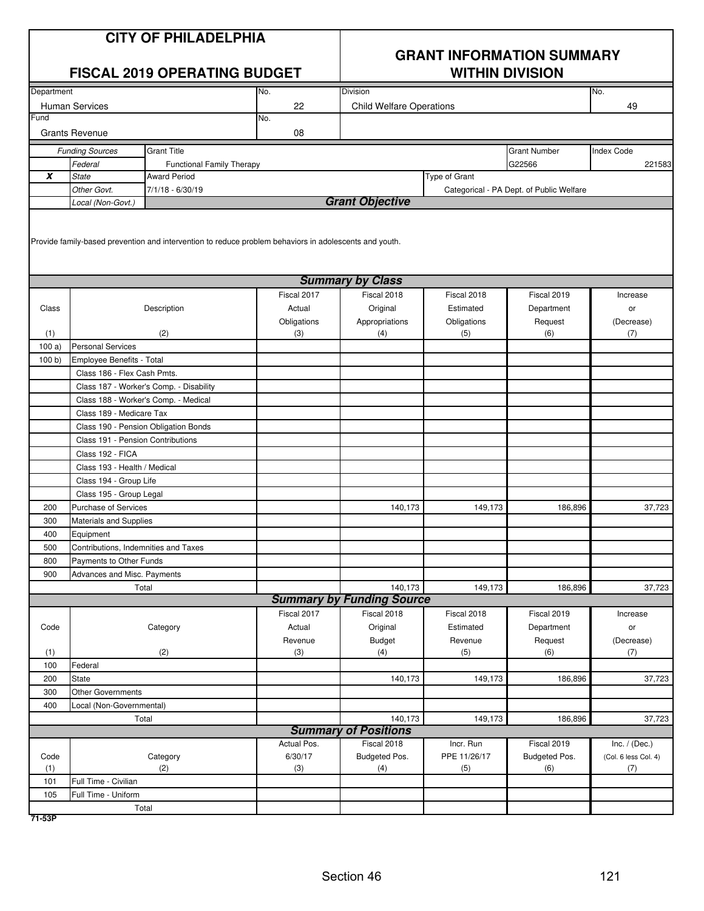|            |                                                   | <b>CITY OF PHILADELPHIA</b><br><b>FISCAL 2019 OPERATING BUDGET</b>                                     |                       |                                  | <b>WITHIN DIVISION</b>   | <b>GRANT INFORMATION SUMMARY</b>         |                      |
|------------|---------------------------------------------------|--------------------------------------------------------------------------------------------------------|-----------------------|----------------------------------|--------------------------|------------------------------------------|----------------------|
| Department |                                                   |                                                                                                        | No.                   | Division                         |                          |                                          | No.                  |
|            | Human Services                                    |                                                                                                        | 22                    | <b>Child Welfare Operations</b>  |                          |                                          | 49                   |
| Fund       |                                                   |                                                                                                        | No.                   |                                  |                          |                                          |                      |
|            | <b>Grants Revenue</b>                             |                                                                                                        | 08                    |                                  |                          |                                          |                      |
|            | <b>Funding Sources</b>                            | <b>Grant Title</b>                                                                                     |                       |                                  |                          | <b>Grant Number</b>                      | <b>Index Code</b>    |
|            | Federal                                           | <b>Functional Family Therapy</b>                                                                       |                       |                                  |                          | G22566                                   | 221583               |
| X          | <b>State</b>                                      | <b>Award Period</b>                                                                                    |                       |                                  | Type of Grant            |                                          |                      |
|            | Other Govt.                                       | $7/1/18 - 6/30/19$                                                                                     |                       |                                  |                          | Categorical - PA Dept. of Public Welfare |                      |
|            | Local (Non-Govt.)                                 |                                                                                                        |                       | <b>Grant Objective</b>           |                          |                                          |                      |
|            |                                                   | Provide family-based prevention and intervention to reduce problem behaviors in adolescents and youth. |                       | <b>Summary by Class</b>          |                          |                                          |                      |
|            |                                                   |                                                                                                        |                       |                                  |                          |                                          |                      |
| Class      |                                                   |                                                                                                        | Fiscal 2017<br>Actual | Fiscal 2018                      | Fiscal 2018<br>Estimated | Fiscal 2019                              | Increase             |
|            |                                                   | Description                                                                                            |                       | Original                         |                          | Department                               | or                   |
| (1)        |                                                   | (2)                                                                                                    | Obligations<br>(3)    | Appropriations<br>(4)            | Obligations<br>(5)       | Request<br>(6)                           | (Decrease)<br>(7)    |
| 100a       | <b>Personal Services</b>                          |                                                                                                        |                       |                                  |                          |                                          |                      |
| 100 b)     | Employee Benefits - Total                         |                                                                                                        |                       |                                  |                          |                                          |                      |
|            | Class 186 - Flex Cash Pmts.                       |                                                                                                        |                       |                                  |                          |                                          |                      |
|            |                                                   | Class 187 - Worker's Comp. - Disability                                                                |                       |                                  |                          |                                          |                      |
|            |                                                   | Class 188 - Worker's Comp. - Medical                                                                   |                       |                                  |                          |                                          |                      |
|            | Class 189 - Medicare Tax                          |                                                                                                        |                       |                                  |                          |                                          |                      |
|            |                                                   | Class 190 - Pension Obligation Bonds                                                                   |                       |                                  |                          |                                          |                      |
|            | Class 191 - Pension Contributions                 |                                                                                                        |                       |                                  |                          |                                          |                      |
|            | Class 192 - FICA                                  |                                                                                                        |                       |                                  |                          |                                          |                      |
|            | Class 193 - Health / Medical                      |                                                                                                        |                       |                                  |                          |                                          |                      |
|            | Class 194 - Group Life                            |                                                                                                        |                       |                                  |                          |                                          |                      |
|            | Class 195 - Group Legal                           |                                                                                                        |                       |                                  |                          |                                          |                      |
| 200        | Purchase of Services                              |                                                                                                        |                       | 140,173                          | 149,173                  | 186,896                                  | 37,723               |
| 300        | Materials and Supplies                            |                                                                                                        |                       |                                  |                          |                                          |                      |
| 400        |                                                   |                                                                                                        |                       |                                  |                          |                                          |                      |
| 500        | Equipment<br>Contributions, Indemnities and Taxes |                                                                                                        |                       |                                  |                          |                                          |                      |
| 800        | Payments to Other Funds                           |                                                                                                        |                       |                                  |                          |                                          |                      |
| 900        | Advances and Misc. Payments                       |                                                                                                        |                       |                                  |                          |                                          |                      |
|            |                                                   | Total                                                                                                  |                       | 140,173                          | 149,173                  | 186,896                                  | 37,723               |
|            |                                                   |                                                                                                        |                       | <b>Summary by Funding Source</b> |                          |                                          |                      |
|            |                                                   |                                                                                                        | Fiscal 2017           | Fiscal 2018                      | Fiscal 2018              | Fiscal 2019                              | Increase             |
| Code       |                                                   | Category                                                                                               | Actual                | Original                         | Estimated                | Department                               | or                   |
|            |                                                   |                                                                                                        | Revenue               | Budget                           | Revenue                  | Request                                  | (Decrease)           |
| (1)        |                                                   | (2)                                                                                                    | (3)                   | (4)                              | (5)                      | (6)                                      | (7)                  |
| 100        | Federal                                           |                                                                                                        |                       |                                  |                          |                                          |                      |
| 200        | <b>State</b>                                      |                                                                                                        |                       | 140,173                          | 149,173                  | 186,896                                  | 37,723               |
| 300        | <b>Other Governments</b>                          |                                                                                                        |                       |                                  |                          |                                          |                      |
| 400        | Local (Non-Governmental)                          |                                                                                                        |                       |                                  |                          |                                          |                      |
|            |                                                   | Total                                                                                                  |                       | 140,173                          | 149,173                  | 186,896                                  | 37,723               |
|            |                                                   |                                                                                                        |                       | <b>Summary of Positions</b>      |                          |                                          |                      |
|            |                                                   |                                                                                                        | Actual Pos.           | Fiscal 2018                      | Incr. Run                | Fiscal 2019                              | Inc. $/$ (Dec.)      |
| Code       |                                                   | Category                                                                                               | 6/30/17               | Budgeted Pos.                    | PPE 11/26/17             | Budgeted Pos.                            | (Col. 6 less Col. 4) |
| (1)        |                                                   | (2)                                                                                                    | (3)                   | (4)                              | (5)                      | (6)                                      | (7)                  |
| 101        | Full Time - Civilian                              |                                                                                                        |                       |                                  |                          |                                          |                      |
| 105        | Full Time - Uniform                               |                                                                                                        |                       |                                  |                          |                                          |                      |
|            |                                                   | Total                                                                                                  |                       |                                  |                          |                                          |                      |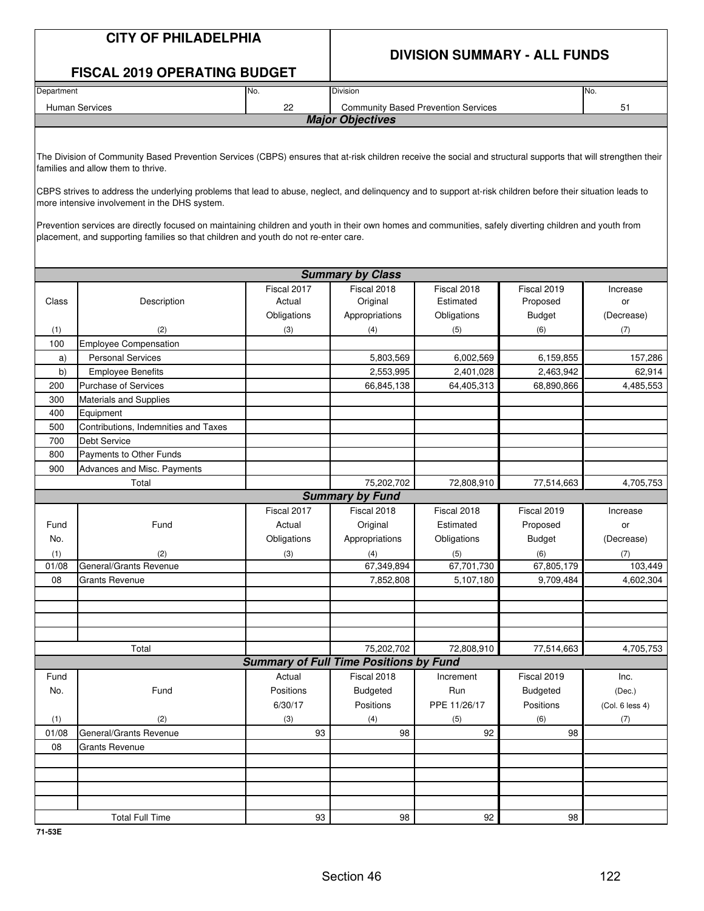|            | <b>CITY OF PHILADELPHIA</b>                                                                                                                                                                                                                                                                                                                                                                                                                                                                                                                                                                                                                                             |                                               |                         | <b>DIVISION SUMMARY - ALL FUNDS</b>        |                         |                 |
|------------|-------------------------------------------------------------------------------------------------------------------------------------------------------------------------------------------------------------------------------------------------------------------------------------------------------------------------------------------------------------------------------------------------------------------------------------------------------------------------------------------------------------------------------------------------------------------------------------------------------------------------------------------------------------------------|-----------------------------------------------|-------------------------|--------------------------------------------|-------------------------|-----------------|
|            | <b>FISCAL 2019 OPERATING BUDGET</b>                                                                                                                                                                                                                                                                                                                                                                                                                                                                                                                                                                                                                                     |                                               |                         |                                            |                         |                 |
| Department |                                                                                                                                                                                                                                                                                                                                                                                                                                                                                                                                                                                                                                                                         | No.                                           | <b>Division</b>         |                                            |                         | No.             |
|            | <b>Human Services</b>                                                                                                                                                                                                                                                                                                                                                                                                                                                                                                                                                                                                                                                   | 22                                            |                         | <b>Community Based Prevention Services</b> |                         | 51              |
|            |                                                                                                                                                                                                                                                                                                                                                                                                                                                                                                                                                                                                                                                                         |                                               | <b>Major Objectives</b> |                                            |                         |                 |
|            | The Division of Community Based Prevention Services (CBPS) ensures that at-risk children receive the social and structural supports that will strengthen their<br>families and allow them to thrive.<br>CBPS strives to address the underlying problems that lead to abuse, neglect, and delinquency and to support at-risk children before their situation leads to<br>more intensive involvement in the DHS system.<br>Prevention services are directly focused on maintaining children and youth in their own homes and communities, safely diverting children and youth from<br>placement, and supporting families so that children and youth do not re-enter care. |                                               |                         |                                            |                         |                 |
|            |                                                                                                                                                                                                                                                                                                                                                                                                                                                                                                                                                                                                                                                                         |                                               |                         |                                            |                         |                 |
|            |                                                                                                                                                                                                                                                                                                                                                                                                                                                                                                                                                                                                                                                                         |                                               | <b>Summary by Class</b> |                                            |                         |                 |
| Class      | Description                                                                                                                                                                                                                                                                                                                                                                                                                                                                                                                                                                                                                                                             | Fiscal 2017<br>Actual                         | Fiscal 2018<br>Original | Fiscal 2018<br>Estimated                   | Fiscal 2019<br>Proposed | Increase<br>or  |
|            |                                                                                                                                                                                                                                                                                                                                                                                                                                                                                                                                                                                                                                                                         | Obligations                                   | Appropriations          | Obligations                                | <b>Budget</b>           | (Decrease)      |
|            | (2)                                                                                                                                                                                                                                                                                                                                                                                                                                                                                                                                                                                                                                                                     | (3)                                           | (4)                     | (5)                                        | (6)                     | (7)             |
| (1)<br>100 | <b>Employee Compensation</b>                                                                                                                                                                                                                                                                                                                                                                                                                                                                                                                                                                                                                                            |                                               |                         |                                            |                         |                 |
| a)         | <b>Personal Services</b>                                                                                                                                                                                                                                                                                                                                                                                                                                                                                                                                                                                                                                                |                                               | 5,803,569               | 6,002,569                                  | 6,159,855               | 157,286         |
| b)         | <b>Employee Benefits</b>                                                                                                                                                                                                                                                                                                                                                                                                                                                                                                                                                                                                                                                |                                               | 2,553,995               | 2,401,028                                  | 2,463,942               | 62,914          |
| 200        | <b>Purchase of Services</b>                                                                                                                                                                                                                                                                                                                                                                                                                                                                                                                                                                                                                                             |                                               | 66,845,138              | 64,405,313                                 | 68,890,866              | 4,485,553       |
| 300        | Materials and Supplies                                                                                                                                                                                                                                                                                                                                                                                                                                                                                                                                                                                                                                                  |                                               |                         |                                            |                         |                 |
| 400        | Equipment                                                                                                                                                                                                                                                                                                                                                                                                                                                                                                                                                                                                                                                               |                                               |                         |                                            |                         |                 |
| 500        | Contributions, Indemnities and Taxes                                                                                                                                                                                                                                                                                                                                                                                                                                                                                                                                                                                                                                    |                                               |                         |                                            |                         |                 |
| 700        | <b>Debt Service</b>                                                                                                                                                                                                                                                                                                                                                                                                                                                                                                                                                                                                                                                     |                                               |                         |                                            |                         |                 |
| 800        | Payments to Other Funds                                                                                                                                                                                                                                                                                                                                                                                                                                                                                                                                                                                                                                                 |                                               |                         |                                            |                         |                 |
| 900        | Advances and Misc. Payments                                                                                                                                                                                                                                                                                                                                                                                                                                                                                                                                                                                                                                             |                                               |                         |                                            |                         |                 |
|            | Total                                                                                                                                                                                                                                                                                                                                                                                                                                                                                                                                                                                                                                                                   |                                               | 75,202,702              | 72,808,910                                 | 77,514,663              | 4,705,753       |
|            |                                                                                                                                                                                                                                                                                                                                                                                                                                                                                                                                                                                                                                                                         |                                               | <b>Summary by Fund</b>  |                                            |                         |                 |
|            |                                                                                                                                                                                                                                                                                                                                                                                                                                                                                                                                                                                                                                                                         | Fiscal 2017                                   | Fiscal 2018             | Fiscal 2018                                | Fiscal 2019             | Increase        |
| Fund       | Fund                                                                                                                                                                                                                                                                                                                                                                                                                                                                                                                                                                                                                                                                    | Actual                                        | Original                | Estimated                                  | Proposed                | or              |
| No.        |                                                                                                                                                                                                                                                                                                                                                                                                                                                                                                                                                                                                                                                                         | Obligations                                   | Appropriations          | Obligations                                | <b>Budget</b>           | (Decrease)      |
| (1)        | (2)                                                                                                                                                                                                                                                                                                                                                                                                                                                                                                                                                                                                                                                                     | (3)                                           | (4)                     | (5)                                        | (6)                     | (7)             |
| 01/08      | General/Grants Revenue                                                                                                                                                                                                                                                                                                                                                                                                                                                                                                                                                                                                                                                  |                                               | 67,349,894              | 67,701,730                                 | 67,805,179              | 103,449         |
| 08         | Grants Revenue                                                                                                                                                                                                                                                                                                                                                                                                                                                                                                                                                                                                                                                          |                                               | 7,852,808               | 5,107,180                                  | 9,709,484               | 4,602,304       |
|            |                                                                                                                                                                                                                                                                                                                                                                                                                                                                                                                                                                                                                                                                         |                                               |                         |                                            |                         |                 |
|            |                                                                                                                                                                                                                                                                                                                                                                                                                                                                                                                                                                                                                                                                         |                                               |                         |                                            |                         |                 |
|            |                                                                                                                                                                                                                                                                                                                                                                                                                                                                                                                                                                                                                                                                         |                                               |                         |                                            |                         |                 |
|            |                                                                                                                                                                                                                                                                                                                                                                                                                                                                                                                                                                                                                                                                         |                                               |                         |                                            |                         |                 |
|            | Total                                                                                                                                                                                                                                                                                                                                                                                                                                                                                                                                                                                                                                                                   |                                               | 75,202,702              | 72,808,910                                 | 77,514,663              | 4,705,753       |
|            |                                                                                                                                                                                                                                                                                                                                                                                                                                                                                                                                                                                                                                                                         | <b>Summary of Full Time Positions by Fund</b> |                         |                                            |                         |                 |
| Fund       |                                                                                                                                                                                                                                                                                                                                                                                                                                                                                                                                                                                                                                                                         | Actual                                        | Fiscal 2018             | Increment                                  | Fiscal 2019             | Inc.            |
| No.        | Fund                                                                                                                                                                                                                                                                                                                                                                                                                                                                                                                                                                                                                                                                    | Positions                                     | <b>Budgeted</b>         | Run                                        | <b>Budgeted</b>         | (Dec.)          |
|            |                                                                                                                                                                                                                                                                                                                                                                                                                                                                                                                                                                                                                                                                         | 6/30/17                                       | Positions               | PPE 11/26/17                               | Positions               | (Col. 6 less 4) |
| (1)        | (2)                                                                                                                                                                                                                                                                                                                                                                                                                                                                                                                                                                                                                                                                     | (3)                                           | (4)                     | (5)                                        | (6)                     | (7)             |
| 01/08      | General/Grants Revenue                                                                                                                                                                                                                                                                                                                                                                                                                                                                                                                                                                                                                                                  | 93                                            | 98                      | 92                                         | 98                      |                 |
| 08         | Grants Revenue                                                                                                                                                                                                                                                                                                                                                                                                                                                                                                                                                                                                                                                          |                                               |                         |                                            |                         |                 |
|            |                                                                                                                                                                                                                                                                                                                                                                                                                                                                                                                                                                                                                                                                         |                                               |                         |                                            |                         |                 |
|            |                                                                                                                                                                                                                                                                                                                                                                                                                                                                                                                                                                                                                                                                         |                                               |                         |                                            |                         |                 |
|            |                                                                                                                                                                                                                                                                                                                                                                                                                                                                                                                                                                                                                                                                         |                                               |                         |                                            |                         |                 |
|            |                                                                                                                                                                                                                                                                                                                                                                                                                                                                                                                                                                                                                                                                         |                                               |                         |                                            |                         |                 |
|            | <b>Total Full Time</b>                                                                                                                                                                                                                                                                                                                                                                                                                                                                                                                                                                                                                                                  | 93                                            | 98                      | 92                                         | 98                      |                 |

**71-53E**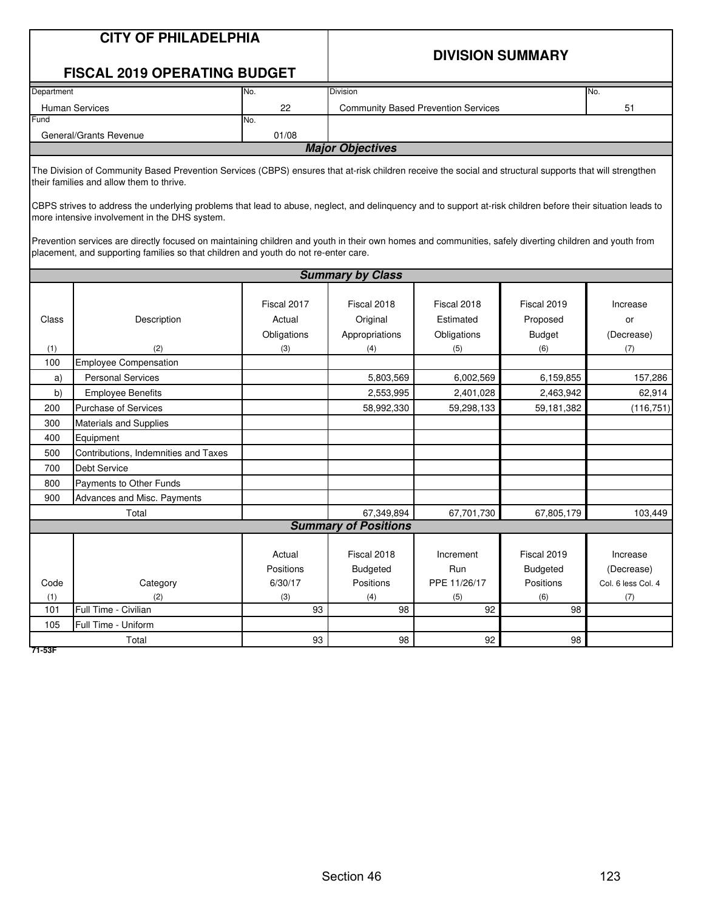|                                                                                                                                                                                                                                                                                                                                                                                                                                                                                                                                                                                                                                                                         | <b>CITY OF PHILADELPHIA</b><br><b>FISCAL 2019 OPERATING BUDGET</b> |                                      | <b>DIVISION SUMMARY</b>                   |                                            |                                             |                                              |  |  |  |
|-------------------------------------------------------------------------------------------------------------------------------------------------------------------------------------------------------------------------------------------------------------------------------------------------------------------------------------------------------------------------------------------------------------------------------------------------------------------------------------------------------------------------------------------------------------------------------------------------------------------------------------------------------------------------|--------------------------------------------------------------------|--------------------------------------|-------------------------------------------|--------------------------------------------|---------------------------------------------|----------------------------------------------|--|--|--|
| Department                                                                                                                                                                                                                                                                                                                                                                                                                                                                                                                                                                                                                                                              |                                                                    | No.                                  | <b>Division</b>                           |                                            |                                             | No.                                          |  |  |  |
|                                                                                                                                                                                                                                                                                                                                                                                                                                                                                                                                                                                                                                                                         | <b>Human Services</b>                                              | 22                                   |                                           | <b>Community Based Prevention Services</b> |                                             | 51                                           |  |  |  |
| Fund                                                                                                                                                                                                                                                                                                                                                                                                                                                                                                                                                                                                                                                                    |                                                                    | No.                                  |                                           |                                            |                                             |                                              |  |  |  |
|                                                                                                                                                                                                                                                                                                                                                                                                                                                                                                                                                                                                                                                                         | General/Grants Revenue                                             | 01/08                                |                                           |                                            |                                             |                                              |  |  |  |
|                                                                                                                                                                                                                                                                                                                                                                                                                                                                                                                                                                                                                                                                         |                                                                    |                                      | <b>Major Objectives</b>                   |                                            |                                             |                                              |  |  |  |
| The Division of Community Based Prevention Services (CBPS) ensures that at-risk children receive the social and structural supports that will strengthen<br>their families and allow them to thrive.<br>CBPS strives to address the underlying problems that lead to abuse, neglect, and delinquency and to support at-risk children before their situation leads to<br>more intensive involvement in the DHS system.<br>Prevention services are directly focused on maintaining children and youth in their own homes and communities, safely diverting children and youth from<br>placement, and supporting families so that children and youth do not re-enter care. |                                                                    |                                      |                                           |                                            |                                             |                                              |  |  |  |
|                                                                                                                                                                                                                                                                                                                                                                                                                                                                                                                                                                                                                                                                         |                                                                    |                                      | <b>Summary by Class</b>                   |                                            |                                             |                                              |  |  |  |
|                                                                                                                                                                                                                                                                                                                                                                                                                                                                                                                                                                                                                                                                         |                                                                    |                                      |                                           |                                            |                                             |                                              |  |  |  |
| Class                                                                                                                                                                                                                                                                                                                                                                                                                                                                                                                                                                                                                                                                   | Description                                                        | Fiscal 2017<br>Actual<br>Obligations | Fiscal 2018<br>Original<br>Appropriations | Fiscal 2018<br>Estimated<br>Obligations    | Fiscal 2019<br>Proposed<br><b>Budget</b>    | Increase<br>or<br>(Decrease)                 |  |  |  |
| (1)                                                                                                                                                                                                                                                                                                                                                                                                                                                                                                                                                                                                                                                                     | (2)                                                                | (3)                                  | (4)                                       | (5)                                        | (6)                                         | (7)                                          |  |  |  |
| 100                                                                                                                                                                                                                                                                                                                                                                                                                                                                                                                                                                                                                                                                     | <b>Employee Compensation</b>                                       |                                      |                                           |                                            |                                             |                                              |  |  |  |
| a)                                                                                                                                                                                                                                                                                                                                                                                                                                                                                                                                                                                                                                                                      | <b>Personal Services</b>                                           |                                      | 5,803,569                                 | 6,002,569                                  | 6,159,855                                   | 157,286                                      |  |  |  |
| b)                                                                                                                                                                                                                                                                                                                                                                                                                                                                                                                                                                                                                                                                      | <b>Employee Benefits</b>                                           |                                      | 2,553,995                                 | 2,401,028                                  | 2,463,942                                   | 62,914                                       |  |  |  |
| 200                                                                                                                                                                                                                                                                                                                                                                                                                                                                                                                                                                                                                                                                     | <b>Purchase of Services</b>                                        |                                      | 58,992,330                                | 59,298,133                                 | 59,181,382                                  | (116, 751)                                   |  |  |  |
| 300                                                                                                                                                                                                                                                                                                                                                                                                                                                                                                                                                                                                                                                                     | Materials and Supplies                                             |                                      |                                           |                                            |                                             |                                              |  |  |  |
| 400                                                                                                                                                                                                                                                                                                                                                                                                                                                                                                                                                                                                                                                                     | Equipment                                                          |                                      |                                           |                                            |                                             |                                              |  |  |  |
| 500                                                                                                                                                                                                                                                                                                                                                                                                                                                                                                                                                                                                                                                                     | Contributions, Indemnities and Taxes                               |                                      |                                           |                                            |                                             |                                              |  |  |  |
| 700                                                                                                                                                                                                                                                                                                                                                                                                                                                                                                                                                                                                                                                                     | <b>Debt Service</b>                                                |                                      |                                           |                                            |                                             |                                              |  |  |  |
| 800                                                                                                                                                                                                                                                                                                                                                                                                                                                                                                                                                                                                                                                                     | Payments to Other Funds                                            |                                      |                                           |                                            |                                             |                                              |  |  |  |
| 900                                                                                                                                                                                                                                                                                                                                                                                                                                                                                                                                                                                                                                                                     | Advances and Misc. Payments                                        |                                      |                                           |                                            |                                             |                                              |  |  |  |
|                                                                                                                                                                                                                                                                                                                                                                                                                                                                                                                                                                                                                                                                         | Total                                                              |                                      | 67,349,894                                | 67.701.730                                 | 67,805,179                                  | 103,449                                      |  |  |  |
|                                                                                                                                                                                                                                                                                                                                                                                                                                                                                                                                                                                                                                                                         |                                                                    |                                      | <b>Summary of Positions</b>               |                                            |                                             |                                              |  |  |  |
| Code                                                                                                                                                                                                                                                                                                                                                                                                                                                                                                                                                                                                                                                                    | Category                                                           | Actual<br>Positions<br>6/30/17       | Fiscal 2018<br>Budgeted<br>Positions      | Increment<br>Run<br>PPE 11/26/17           | Fiscal 2019<br><b>Budgeted</b><br>Positions | Increase<br>(Decrease)<br>Col. 6 less Col. 4 |  |  |  |
| (1)                                                                                                                                                                                                                                                                                                                                                                                                                                                                                                                                                                                                                                                                     | (2)                                                                | (3)                                  | (4)                                       | (5)                                        | (6)                                         | (7)                                          |  |  |  |
| 101                                                                                                                                                                                                                                                                                                                                                                                                                                                                                                                                                                                                                                                                     | Full Time - Civilian                                               | 93                                   | 98                                        | 92                                         | 98                                          |                                              |  |  |  |
| 105                                                                                                                                                                                                                                                                                                                                                                                                                                                                                                                                                                                                                                                                     | Full Time - Uniform                                                |                                      |                                           |                                            |                                             |                                              |  |  |  |
| 71-53F                                                                                                                                                                                                                                                                                                                                                                                                                                                                                                                                                                                                                                                                  | Total                                                              | 93                                   | 98                                        | 92                                         | 98                                          |                                              |  |  |  |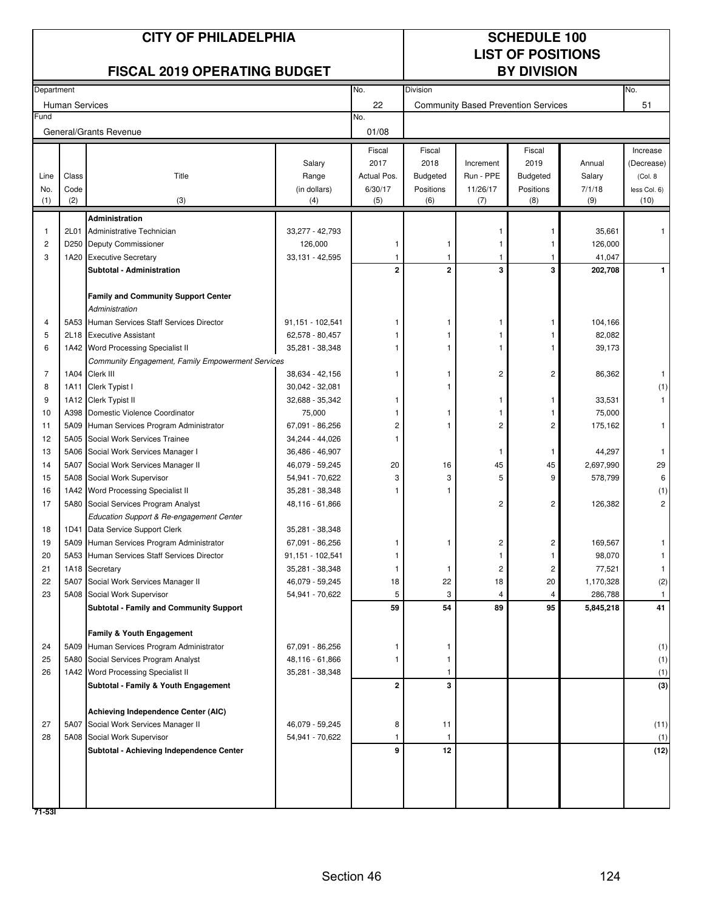## No. Division No. No. No. 01/08 Department **CITY OF PHILADELPHIA** SCHEDULE 100 FISCAL 2019 OPERATING BUDGET BY DIVISION

# **LIST OF POSITIONS**

|             | <b>Human Services</b> |                                                              |                                 | 22                                       | <b>Community Based Prevention Services</b>     |                                    |                                                |                            | 51                                                 |
|-------------|-----------------------|--------------------------------------------------------------|---------------------------------|------------------------------------------|------------------------------------------------|------------------------------------|------------------------------------------------|----------------------------|----------------------------------------------------|
| Fund        |                       |                                                              |                                 | No.                                      |                                                |                                    |                                                |                            |                                                    |
|             |                       | General/Grants Revenue                                       |                                 | 01/08                                    |                                                |                                    |                                                |                            |                                                    |
| Line<br>No. | Class<br>Code         | Title                                                        | Salary<br>Range<br>(in dollars) | Fiscal<br>2017<br>Actual Pos.<br>6/30/17 | Fiscal<br>2018<br><b>Budgeted</b><br>Positions | Increment<br>Run - PPE<br>11/26/17 | Fiscal<br>2019<br><b>Budgeted</b><br>Positions | Annual<br>Salary<br>7/1/18 | Increase<br>(Decrease)<br>(Col. 8)<br>less Col. 6) |
| (1)         | (2)                   | (3)                                                          | (4)                             | (5)                                      | (6)                                            | (7)                                | (8)                                            | (9)                        | (10)                                               |
|             |                       | <b>Administration</b>                                        |                                 |                                          |                                                |                                    |                                                |                            |                                                    |
| 1           | 2L01                  | Administrative Technician                                    | 33,277 - 42,793                 |                                          |                                                |                                    | -1                                             | 35,661                     | 1                                                  |
| 2           |                       | D250 Deputy Commissioner                                     | 126,000                         | 1                                        | -1                                             |                                    | 1                                              | 126,000                    |                                                    |
| 3           | 1A20                  | <b>Executive Secretary</b>                                   | 33,131 - 42,595                 | 1                                        | -1                                             |                                    |                                                | 41,047                     |                                                    |
|             |                       | <b>Subtotal - Administration</b>                             |                                 | $\mathbf{2}$                             | $\mathbf 2$                                    | 3                                  | 3                                              | 202,708                    | 1                                                  |
|             |                       | <b>Family and Community Support Center</b><br>Administration |                                 |                                          |                                                |                                    |                                                |                            |                                                    |
| 4           |                       | 5A53 Human Services Staff Services Director                  | 91,151 - 102,541                |                                          |                                                |                                    | 1                                              | 104,166                    |                                                    |
| 5           |                       | 2L18 Executive Assistant                                     | 62,578 - 80,457                 |                                          |                                                |                                    |                                                | 82,082                     |                                                    |
| 6           |                       | 1A42 Word Processing Specialist II                           | 35,281 - 38,348                 |                                          |                                                |                                    |                                                | 39,173                     |                                                    |
|             |                       | <b>Community Engagement, Family Empowerment Services</b>     |                                 |                                          |                                                |                                    |                                                |                            |                                                    |
| 7           | 1A04                  | Clerk III                                                    | 38,634 - 42,156                 | 1                                        |                                                | 2                                  | $\overline{c}$                                 | 86,362                     | 1                                                  |
| 8           | 1A11                  | Clerk Typist I                                               | 30,042 - 32,081                 |                                          |                                                |                                    |                                                |                            | (1)                                                |
| 9           |                       | 1A12 Clerk Typist II                                         | 32,688 - 35,342                 |                                          |                                                | 1                                  | 1                                              | 33,531                     | $\mathbf{1}$                                       |
| 10          |                       | A398 Domestic Violence Coordinator                           | 75,000                          |                                          |                                                |                                    | 1                                              | 75,000                     |                                                    |
| 11          |                       | 5A09 Human Services Program Administrator                    | 67,091 - 86,256                 | 2                                        |                                                | 2                                  | $\overline{c}$                                 | 175,162                    | $\mathbf{1}$                                       |
| 12          |                       | 5A05 Social Work Services Trainee                            | 34,244 - 44,026                 |                                          |                                                |                                    |                                                |                            |                                                    |
| 13          |                       | 5A06 Social Work Services Manager I                          | 36,486 - 46,907                 |                                          |                                                | 1                                  | 1                                              | 44,297                     | $\mathbf{1}$                                       |
| 14          | 5A07                  | Social Work Services Manager II                              | 46,079 - 59,245                 | 20                                       | 16                                             | 45                                 | 45                                             | 2,697,990                  | 29                                                 |
| 15          |                       | 5A08 Social Work Supervisor                                  | 54,941 - 70,622                 | 3                                        | 3                                              | 5                                  | 9                                              | 578,799                    | 6                                                  |
| 16          |                       | 1A42 Word Processing Specialist II                           | 35,281 - 38,348                 |                                          |                                                |                                    |                                                |                            | (1)                                                |
| 17          |                       | 5A80 Social Services Program Analyst                         | 48,116 - 61,866                 |                                          |                                                | 2                                  | 2                                              | 126,382                    | $\overline{c}$                                     |
|             |                       | Education Support & Re-engagement Center                     |                                 |                                          |                                                |                                    |                                                |                            |                                                    |
| 18          |                       | 1D41 Data Service Support Clerk                              | 35,281 - 38,348                 |                                          |                                                |                                    |                                                |                            |                                                    |
| 19          |                       | 5A09 Human Services Program Administrator                    | 67,091 - 86,256                 |                                          |                                                | 2                                  | 2                                              | 169,567                    | 1                                                  |
| 20          |                       | 5A53 Human Services Staff Services Director                  | 91,151 - 102,541                |                                          |                                                |                                    | 1                                              | 98,070                     | 1                                                  |
| 21          |                       | 1A18 Secretary                                               | 35,281 - 38,348                 | 1                                        | -1                                             | 2                                  | 2                                              | 77,521                     | 1                                                  |
| 22          | 5A07                  | Social Work Services Manager II                              | 46,079 - 59,245                 | 18                                       | 22                                             | 18                                 | 20                                             | 1,170,328                  | (2)                                                |
| 23          |                       | 5A08 Social Work Supervisor                                  | 54,941 - 70,622                 | 5                                        | 3                                              | 4                                  | 4                                              | 286,788                    | $\mathbf{1}$                                       |
|             |                       | <b>Subtotal - Family and Community Support</b>               |                                 | 59                                       | 54                                             | 89                                 | 95                                             | 5,845,218                  | 41                                                 |
|             |                       | Family & Youth Engagement                                    |                                 |                                          |                                                |                                    |                                                |                            |                                                    |
| 24          |                       | 5A09 Human Services Program Administrator                    | 67,091 - 86,256                 | 1                                        | 1.                                             |                                    |                                                |                            | (1)                                                |
| 25          |                       | 5A80 Social Services Program Analyst                         | 48,116 - 61,866                 | 1                                        | 1                                              |                                    |                                                |                            | (1)                                                |
| 26          |                       | 1A42 Word Processing Specialist II                           | 35,281 - 38,348                 |                                          | 1                                              |                                    |                                                |                            | (1)                                                |
|             |                       | Subtotal - Family & Youth Engagement                         |                                 | $\mathbf{2}$                             | 3                                              |                                    |                                                |                            | (3)                                                |
|             |                       |                                                              |                                 |                                          |                                                |                                    |                                                |                            |                                                    |
|             |                       | Achieving Independence Center (AIC)                          |                                 |                                          |                                                |                                    |                                                |                            |                                                    |
| 27          | 5A07                  | Social Work Services Manager II                              | 46,079 - 59,245                 | 8                                        | 11                                             |                                    |                                                |                            | (11)                                               |
| 28          |                       | 5A08 Social Work Supervisor                                  | 54,941 - 70,622                 | 1                                        | 1                                              |                                    |                                                |                            | (1)                                                |
|             |                       | Subtotal - Achieving Independence Center                     |                                 | 9                                        | 12                                             |                                    |                                                |                            | (12)                                               |
|             |                       |                                                              |                                 |                                          |                                                |                                    |                                                |                            |                                                    |
|             |                       |                                                              |                                 |                                          |                                                |                                    |                                                |                            |                                                    |
| $71 - 531$  |                       |                                                              |                                 |                                          |                                                |                                    |                                                |                            |                                                    |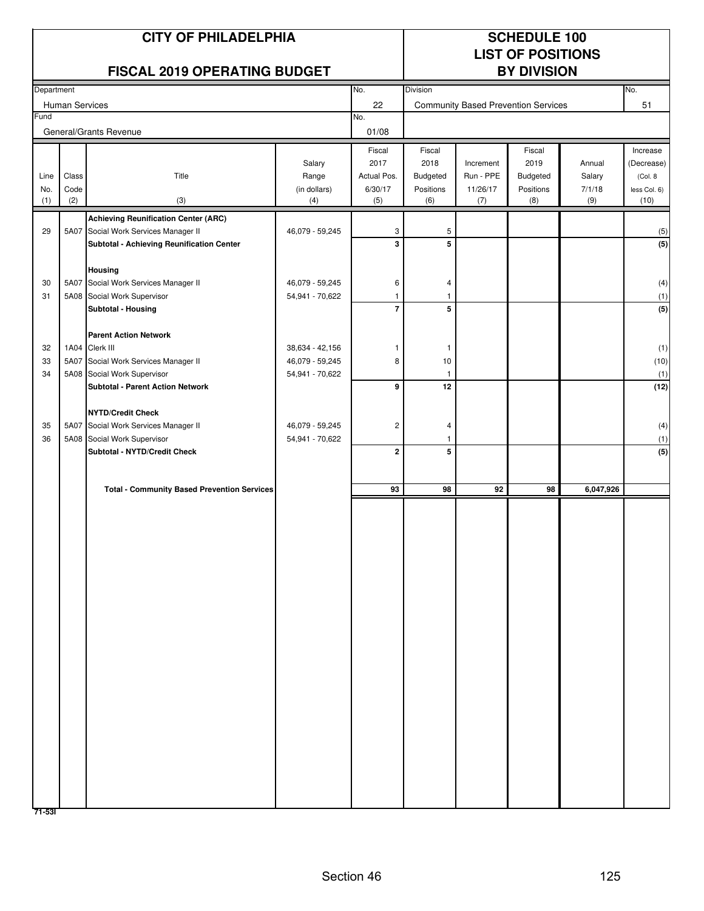|            |                | <b>CITY OF PHILADELPHIA</b>                                    |                                    |                                |                  | <b>SCHEDULE 100</b><br><b>LIST OF POSITIONS</b> |                                            |                  |                        |
|------------|----------------|----------------------------------------------------------------|------------------------------------|--------------------------------|------------------|-------------------------------------------------|--------------------------------------------|------------------|------------------------|
|            |                | <b>FISCAL 2019 OPERATING BUDGET</b>                            |                                    |                                |                  |                                                 | <b>BY DIVISION</b>                         |                  |                        |
| Department |                |                                                                |                                    | No.<br>22                      | Division         |                                                 |                                            |                  | No.<br>51              |
| Fund       | Human Services |                                                                |                                    | No.                            |                  |                                                 | <b>Community Based Prevention Services</b> |                  |                        |
|            |                | General/Grants Revenue                                         |                                    | 01/08                          |                  |                                                 |                                            |                  |                        |
|            |                |                                                                |                                    | Fiscal                         | Fiscal           |                                                 | Fiscal                                     |                  | Increase               |
| Line       | Class          | Title                                                          | Salary<br>Range                    | 2017<br>Actual Pos.            | 2018<br>Budgeted | Increment<br>Run - PPE                          | 2019<br>Budgeted                           | Annual<br>Salary | (Decrease)<br>(Col. 8) |
| No.        | Code           |                                                                | (in dollars)                       | 6/30/17                        | Positions        | 11/26/17                                        | Positions                                  | 7/1/18           | less Col. 6)           |
| (1)        | (2)            | (3)                                                            | (4)                                | (5)                            | (6)              | (7)                                             | (8)                                        | (9)              | (10)                   |
|            |                | <b>Achieving Reunification Center (ARC)</b>                    |                                    |                                |                  |                                                 |                                            |                  |                        |
| 29         | 5A07           | Social Work Services Manager II                                | 46,079 - 59,245                    | 3                              | 5                |                                                 |                                            |                  | (5)                    |
|            |                | Subtotal - Achieving Reunification Center                      |                                    | 3                              | 5                |                                                 |                                            |                  | (5)                    |
|            |                | Housing                                                        |                                    |                                |                  |                                                 |                                            |                  |                        |
| 30         | 5A07           | Social Work Services Manager II                                | 46,079 - 59,245                    | 6                              | 4                |                                                 |                                            |                  | (4)                    |
| 31         |                | 5A08 Social Work Supervisor<br>Subtotal - Housing              | 54,941 - 70,622                    | $\mathbf{1}$<br>$\overline{7}$ | 1<br>5           |                                                 |                                            |                  | (1)<br>(5)             |
|            |                |                                                                |                                    |                                |                  |                                                 |                                            |                  |                        |
|            |                | <b>Parent Action Network</b>                                   |                                    |                                |                  |                                                 |                                            |                  |                        |
| 32         | 1A04           | Clerk III                                                      | 38,634 - 42,156                    | -1                             | 1                |                                                 |                                            |                  | (1)                    |
| 33<br>34   | 5A07           | Social Work Services Manager II<br>5A08 Social Work Supervisor | 46,079 - 59,245<br>54,941 - 70,622 | 8                              | 10<br>-1         |                                                 |                                            |                  | (10)<br>(1)            |
|            |                | <b>Subtotal - Parent Action Network</b>                        |                                    | 9                              | 12               |                                                 |                                            |                  | (12)                   |
|            |                |                                                                |                                    |                                |                  |                                                 |                                            |                  |                        |
|            |                | <b>NYTD/Credit Check</b>                                       |                                    |                                |                  |                                                 |                                            |                  |                        |
| 35<br>36   | 5A07           | Social Work Services Manager II<br>5A08 Social Work Supervisor | 46,079 - 59,245<br>54,941 - 70,622 | $\sqrt{2}$                     | 4<br>-1          |                                                 |                                            |                  | (4)<br>(1)             |
|            |                | Subtotal - NYTD/Credit Check                                   |                                    | $\mathbf 2$                    | 5                |                                                 |                                            |                  | (5)                    |
|            |                |                                                                |                                    |                                |                  |                                                 |                                            |                  |                        |
|            |                | <b>Total - Community Based Prevention Services</b>             |                                    | 93                             | 98               | 92                                              | 98                                         | 6,047,926        |                        |
|            |                |                                                                |                                    |                                |                  |                                                 |                                            |                  |                        |
|            |                |                                                                |                                    |                                |                  |                                                 |                                            |                  |                        |
|            |                |                                                                |                                    |                                |                  |                                                 |                                            |                  |                        |
|            |                |                                                                |                                    |                                |                  |                                                 |                                            |                  |                        |
|            |                |                                                                |                                    |                                |                  |                                                 |                                            |                  |                        |
|            |                |                                                                |                                    |                                |                  |                                                 |                                            |                  |                        |
|            |                |                                                                |                                    |                                |                  |                                                 |                                            |                  |                        |
|            |                |                                                                |                                    |                                |                  |                                                 |                                            |                  |                        |
|            |                |                                                                |                                    |                                |                  |                                                 |                                            |                  |                        |
|            |                |                                                                |                                    |                                |                  |                                                 |                                            |                  |                        |
|            |                |                                                                |                                    |                                |                  |                                                 |                                            |                  |                        |
|            |                |                                                                |                                    |                                |                  |                                                 |                                            |                  |                        |
|            |                |                                                                |                                    |                                |                  |                                                 |                                            |                  |                        |
|            |                |                                                                |                                    |                                |                  |                                                 |                                            |                  |                        |
|            |                |                                                                |                                    |                                |                  |                                                 |                                            |                  |                        |
|            |                |                                                                |                                    |                                |                  |                                                 |                                            |                  |                        |
|            |                |                                                                |                                    |                                |                  |                                                 |                                            |                  |                        |
|            |                |                                                                |                                    |                                |                  |                                                 |                                            |                  |                        |
|            |                |                                                                |                                    |                                |                  |                                                 |                                            |                  |                        |
| 71-531     |                |                                                                |                                    |                                |                  |                                                 |                                            |                  |                        |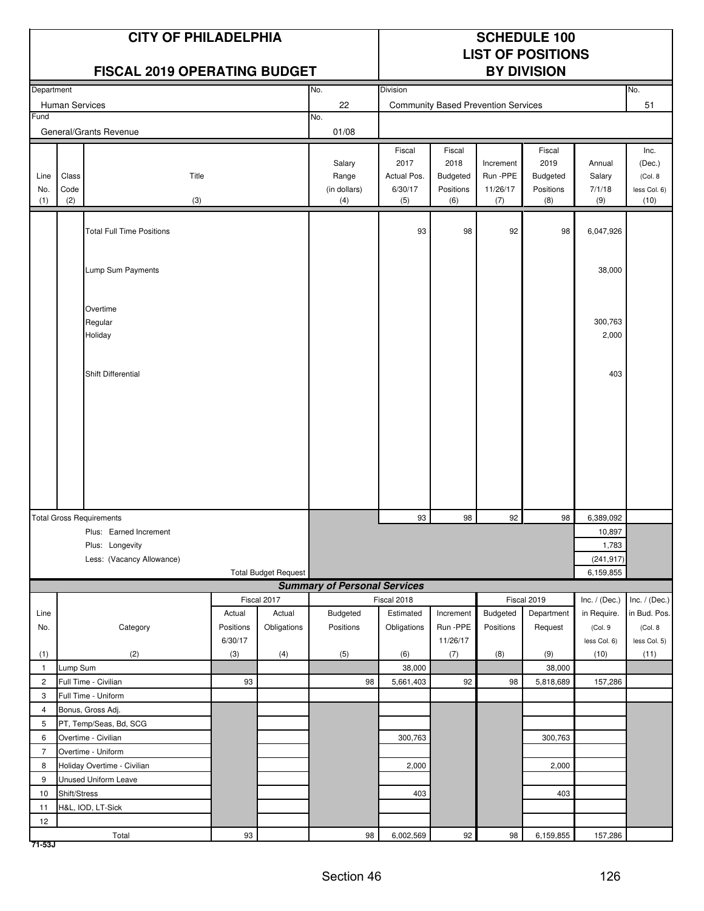|                     |                       | <b>CITY OF PHILADELPHIA</b><br><b>FISCAL 2019 OPERATING BUDGET</b> |           |                             |                                        |                                                 |                                                       |                                            | <b>SCHEDULE 100</b><br><b>LIST OF POSITIONS</b><br><b>BY DIVISION</b> |                                   |                                                    |
|---------------------|-----------------------|--------------------------------------------------------------------|-----------|-----------------------------|----------------------------------------|-------------------------------------------------|-------------------------------------------------------|--------------------------------------------|-----------------------------------------------------------------------|-----------------------------------|----------------------------------------------------|
| Department          |                       |                                                                    |           |                             | No.                                    | Division                                        |                                                       |                                            |                                                                       |                                   | No.                                                |
|                     | <b>Human Services</b> |                                                                    |           |                             | 22                                     |                                                 |                                                       | <b>Community Based Prevention Services</b> |                                                                       |                                   | 51                                                 |
| Fund                |                       |                                                                    |           |                             | No.                                    |                                                 |                                                       |                                            |                                                                       |                                   |                                                    |
|                     |                       | General/Grants Revenue                                             |           |                             | 01/08                                  |                                                 |                                                       |                                            |                                                                       |                                   |                                                    |
| Line<br>No.<br>(1)  | Class<br>Code<br>(2)  | Title<br>(3)                                                       |           |                             | Salary<br>Range<br>(in dollars)<br>(4) | Fiscal<br>2017<br>Actual Pos.<br>6/30/17<br>(5) | Fiscal<br>2018<br><b>Budgeted</b><br>Positions<br>(6) | Increment<br>Run - PPE<br>11/26/17<br>(7)  | Fiscal<br>2019<br><b>Budgeted</b><br>Positions<br>(8)                 | Annual<br>Salary<br>7/1/18<br>(9) | Inc.<br>(Dec.)<br>(Col. 8)<br>less Col. 6)<br>(10) |
|                     |                       |                                                                    |           |                             |                                        |                                                 |                                                       |                                            |                                                                       |                                   |                                                    |
|                     |                       | <b>Total Full Time Positions</b>                                   |           |                             |                                        | 93                                              | 98                                                    | 92                                         | 98                                                                    | 6,047,926                         |                                                    |
|                     |                       |                                                                    |           |                             |                                        |                                                 |                                                       |                                            |                                                                       |                                   |                                                    |
|                     |                       | Lump Sum Payments                                                  |           |                             |                                        |                                                 |                                                       |                                            |                                                                       | 38,000                            |                                                    |
|                     |                       |                                                                    |           |                             |                                        |                                                 |                                                       |                                            |                                                                       |                                   |                                                    |
|                     |                       |                                                                    |           |                             |                                        |                                                 |                                                       |                                            |                                                                       |                                   |                                                    |
|                     |                       | Overtime                                                           |           |                             |                                        |                                                 |                                                       |                                            |                                                                       |                                   |                                                    |
|                     |                       | Regular                                                            |           |                             |                                        |                                                 |                                                       |                                            |                                                                       | 300,763                           |                                                    |
|                     |                       | Holiday                                                            |           |                             |                                        |                                                 |                                                       |                                            |                                                                       | 2,000                             |                                                    |
|                     |                       |                                                                    |           |                             |                                        |                                                 |                                                       |                                            |                                                                       |                                   |                                                    |
|                     |                       | Shift Differential                                                 |           |                             |                                        |                                                 |                                                       |                                            |                                                                       | 403                               |                                                    |
|                     |                       |                                                                    |           |                             |                                        |                                                 |                                                       |                                            |                                                                       |                                   |                                                    |
|                     |                       |                                                                    |           |                             |                                        |                                                 |                                                       |                                            |                                                                       |                                   |                                                    |
|                     |                       |                                                                    |           |                             |                                        |                                                 |                                                       |                                            |                                                                       |                                   |                                                    |
|                     |                       |                                                                    |           |                             |                                        |                                                 |                                                       |                                            |                                                                       |                                   |                                                    |
|                     |                       |                                                                    |           |                             |                                        |                                                 |                                                       |                                            |                                                                       |                                   |                                                    |
|                     |                       |                                                                    |           |                             |                                        |                                                 |                                                       |                                            |                                                                       |                                   |                                                    |
|                     |                       |                                                                    |           |                             |                                        |                                                 |                                                       |                                            |                                                                       |                                   |                                                    |
|                     |                       |                                                                    |           |                             |                                        |                                                 |                                                       |                                            |                                                                       |                                   |                                                    |
|                     |                       |                                                                    |           |                             |                                        |                                                 |                                                       |                                            |                                                                       |                                   |                                                    |
|                     |                       | <b>Total Gross Requirements</b>                                    |           |                             |                                        | 93                                              | 98                                                    | 92                                         | 98                                                                    | 6,389,092                         |                                                    |
|                     |                       | Plus: Earned Increment                                             |           |                             |                                        |                                                 |                                                       |                                            |                                                                       | 10,897                            |                                                    |
|                     |                       | Plus: Longevity                                                    |           |                             |                                        |                                                 |                                                       |                                            |                                                                       | 1,783                             |                                                    |
|                     |                       | Less: (Vacancy Allowance)                                          |           | <b>Total Budget Request</b> |                                        |                                                 |                                                       |                                            |                                                                       | (241, 917)<br>6,159,855           |                                                    |
|                     |                       |                                                                    |           |                             | <b>Summary of Personal Services</b>    |                                                 |                                                       |                                            |                                                                       |                                   |                                                    |
|                     |                       |                                                                    |           | Fiscal 2017                 |                                        | Fiscal 2018                                     |                                                       |                                            | Fiscal 2019                                                           | Inc. $/$ (Dec.)                   | Inc. $/$ (Dec.)                                    |
| Line                |                       |                                                                    | Actual    | Actual                      | Budgeted                               | Estimated                                       | Increment                                             | Budgeted                                   | Department                                                            | in Require.                       | in Bud. Pos.                                       |
| No.                 |                       | Category                                                           | Positions | Obligations                 | Positions                              | Obligations                                     | Run -PPE                                              | Positions                                  | Request                                                               | (Col.9                            | (Col. 8                                            |
|                     |                       |                                                                    | 6/30/17   |                             |                                        |                                                 | 11/26/17                                              |                                            |                                                                       | less Col. 6)                      | less Col. 5)                                       |
| (1)                 | Lump Sum              | (2)                                                                | (3)       | (4)                         | (5)                                    | (6)                                             | (7)                                                   | (8)                                        | (9)                                                                   | (10)                              | (11)                                               |
| $\mathbf{1}$        |                       |                                                                    | 93        |                             | 98                                     | 38,000                                          | 92                                                    | 98                                         | 38,000                                                                |                                   |                                                    |
| $\overline{c}$<br>3 |                       | Full Time - Civilian<br>Full Time - Uniform                        |           |                             |                                        | 5,661,403                                       |                                                       |                                            | 5,818,689                                                             | 157,286                           |                                                    |
| 4                   |                       | Bonus, Gross Adj.                                                  |           |                             |                                        |                                                 |                                                       |                                            |                                                                       |                                   |                                                    |
| 5                   |                       | PT, Temp/Seas, Bd, SCG                                             |           |                             |                                        |                                                 |                                                       |                                            |                                                                       |                                   |                                                    |
| 6                   |                       | Overtime - Civilian                                                |           |                             |                                        | 300,763                                         |                                                       |                                            | 300,763                                                               |                                   |                                                    |
| $\overline{7}$      |                       | Overtime - Uniform                                                 |           |                             |                                        |                                                 |                                                       |                                            |                                                                       |                                   |                                                    |
| 8                   |                       | Holiday Overtime - Civilian                                        |           |                             |                                        | 2,000                                           |                                                       |                                            | 2,000                                                                 |                                   |                                                    |
| 9                   |                       | <b>Unused Uniform Leave</b>                                        |           |                             |                                        |                                                 |                                                       |                                            |                                                                       |                                   |                                                    |
| 10                  | Shift/Stress          |                                                                    |           |                             |                                        | 403                                             |                                                       |                                            | 403                                                                   |                                   |                                                    |
| 11                  |                       | H&L, IOD, LT-Sick                                                  |           |                             |                                        |                                                 |                                                       |                                            |                                                                       |                                   |                                                    |
| 12                  |                       |                                                                    |           |                             |                                        |                                                 |                                                       |                                            |                                                                       |                                   |                                                    |
|                     |                       | Total                                                              | 93        |                             | 98                                     | 6,002,569                                       | 92                                                    | 98                                         | 6,159,855                                                             | 157,286                           |                                                    |

**71-53J**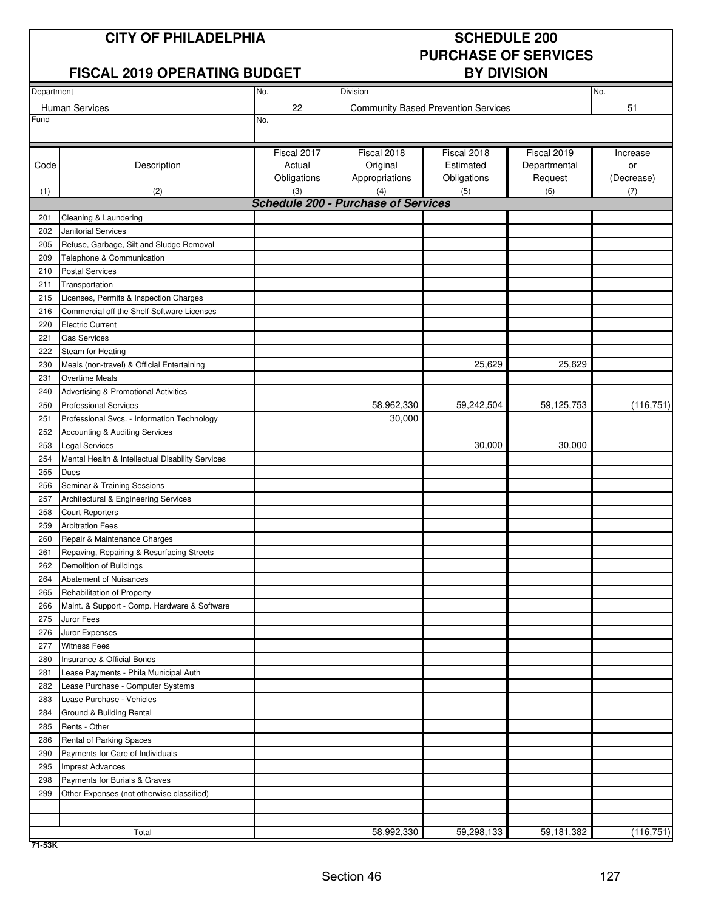### **CITY OF PHILADELPHIA** SCHEDULE 200

### **FISCAL 2019 OPERATING BUDGET**

# **PURCHASE OF SERVICES**

| Department |                                                  | Division    | No.                                               |                                            |              |            |
|------------|--------------------------------------------------|-------------|---------------------------------------------------|--------------------------------------------|--------------|------------|
|            |                                                  | No.         |                                                   |                                            |              |            |
| Fund       | <b>Human Services</b>                            | 22<br>No.   |                                                   | <b>Community Based Prevention Services</b> |              | 51         |
|            |                                                  |             |                                                   |                                            |              |            |
|            |                                                  | Fiscal 2017 | Fiscal 2018                                       | Fiscal 2018                                | Fiscal 2019  | Increase   |
| Code       | Description                                      | Actual      | Original                                          | Estimated                                  | Departmental | or         |
|            |                                                  | Obligations | Appropriations                                    | Obligations                                | Request      | (Decrease) |
|            |                                                  |             |                                                   |                                            |              |            |
| (1)        | (2)                                              | (3)         | (4)<br><b>Schedule 200 - Purchase of Services</b> | (5)                                        | (6)          | (7)        |
| 201        | Cleaning & Laundering                            |             |                                                   |                                            |              |            |
| 202        | <b>Janitorial Services</b>                       |             |                                                   |                                            |              |            |
|            |                                                  |             |                                                   |                                            |              |            |
| 205        | Refuse, Garbage, Silt and Sludge Removal         |             |                                                   |                                            |              |            |
| 209        | Telephone & Communication                        |             |                                                   |                                            |              |            |
| 210        | <b>Postal Services</b>                           |             |                                                   |                                            |              |            |
| 211        | Transportation                                   |             |                                                   |                                            |              |            |
| 215        | Licenses, Permits & Inspection Charges           |             |                                                   |                                            |              |            |
| 216        | Commercial off the Shelf Software Licenses       |             |                                                   |                                            |              |            |
| 220        | <b>Electric Current</b>                          |             |                                                   |                                            |              |            |
| 221        | <b>Gas Services</b>                              |             |                                                   |                                            |              |            |
| 222        | Steam for Heating                                |             |                                                   |                                            |              |            |
| 230        | Meals (non-travel) & Official Entertaining       |             |                                                   | 25,629                                     | 25,629       |            |
| 231        | Overtime Meals                                   |             |                                                   |                                            |              |            |
| 240        | Advertising & Promotional Activities             |             |                                                   |                                            |              |            |
| 250        | <b>Professional Services</b>                     |             | 58,962,330                                        | 59,242,504                                 | 59,125,753   | (116, 751) |
| 251        | Professional Svcs. - Information Technology      |             | 30,000                                            |                                            |              |            |
| 252        | Accounting & Auditing Services                   |             |                                                   |                                            |              |            |
| 253        | <b>Legal Services</b>                            |             |                                                   | 30,000                                     | 30,000       |            |
| 254        | Mental Health & Intellectual Disability Services |             |                                                   |                                            |              |            |
| 255        | Dues                                             |             |                                                   |                                            |              |            |
| 256        | Seminar & Training Sessions                      |             |                                                   |                                            |              |            |
| 257        | Architectural & Engineering Services             |             |                                                   |                                            |              |            |
| 258        | <b>Court Reporters</b>                           |             |                                                   |                                            |              |            |
| 259        | <b>Arbitration Fees</b>                          |             |                                                   |                                            |              |            |
| 260        | Repair & Maintenance Charges                     |             |                                                   |                                            |              |            |
| 261        | Repaving, Repairing & Resurfacing Streets        |             |                                                   |                                            |              |            |
| 262        | Demolition of Buildings                          |             |                                                   |                                            |              |            |
| 264        | Abatement of Nuisances                           |             |                                                   |                                            |              |            |
| 265        | Rehabilitation of Property                       |             |                                                   |                                            |              |            |
| 266        | Maint. & Support - Comp. Hardware & Software     |             |                                                   |                                            |              |            |
| 275        | Juror Fees                                       |             |                                                   |                                            |              |            |
| 276        | Juror Expenses                                   |             |                                                   |                                            |              |            |
| 277        | <b>Witness Fees</b>                              |             |                                                   |                                            |              |            |
| 280        | Insurance & Official Bonds                       |             |                                                   |                                            |              |            |
| 281        | Lease Payments - Phila Municipal Auth            |             |                                                   |                                            |              |            |
| 282        | Lease Purchase - Computer Systems                |             |                                                   |                                            |              |            |
| 283        | Lease Purchase - Vehicles                        |             |                                                   |                                            |              |            |
| 284        | Ground & Building Rental                         |             |                                                   |                                            |              |            |
| 285        | Rents - Other                                    |             |                                                   |                                            |              |            |
| 286        | Rental of Parking Spaces                         |             |                                                   |                                            |              |            |
| 290        | Payments for Care of Individuals                 |             |                                                   |                                            |              |            |
| 295        | <b>Imprest Advances</b>                          |             |                                                   |                                            |              |            |
| 298        | Payments for Burials & Graves                    |             |                                                   |                                            |              |            |
| 299        | Other Expenses (not otherwise classified)        |             |                                                   |                                            |              |            |
|            |                                                  |             |                                                   |                                            |              |            |
|            |                                                  |             |                                                   |                                            |              |            |
|            | Total                                            |             | 58,992,330                                        | 59,298,133                                 | 59,181,382   | (116, 751) |
|            |                                                  |             |                                                   |                                            |              |            |

**71-53K**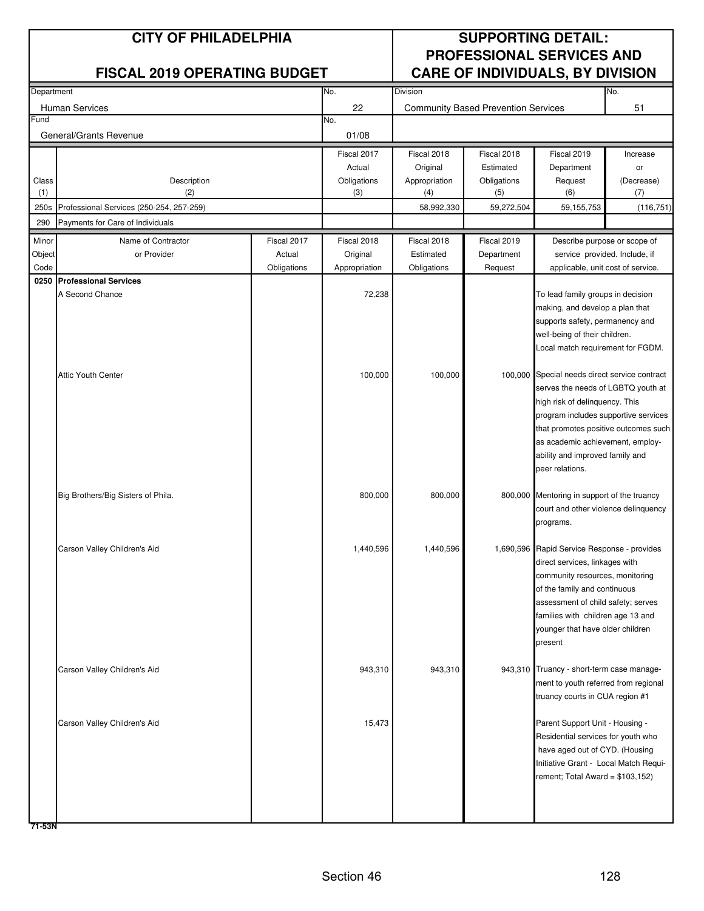| Department |                                          |             | No.           | Division      |                                            |                                                                                   | No.        |
|------------|------------------------------------------|-------------|---------------|---------------|--------------------------------------------|-----------------------------------------------------------------------------------|------------|
|            | Human Services                           |             | 22            |               | <b>Community Based Prevention Services</b> |                                                                                   | 51         |
| Fund       |                                          |             | No.           |               |                                            |                                                                                   |            |
|            | General/Grants Revenue                   |             | 01/08         |               |                                            |                                                                                   |            |
|            |                                          |             | Fiscal 2017   | Fiscal 2018   | Fiscal 2018                                | Fiscal 2019                                                                       | Increase   |
|            |                                          |             | Actual        | Original      | Estimated                                  | Department                                                                        | or         |
| Class      | Description                              |             | Obligations   | Appropriation | Obligations                                | Request                                                                           | (Decrease) |
| (1)        | (2)                                      |             | (3)           | (4)           | (5)                                        | (6)                                                                               | (7)        |
| 250s       | Professional Services (250-254, 257-259) |             |               | 58,992,330    | 59,272,504                                 | 59,155,753                                                                        | (116, 751) |
| 290        | Payments for Care of Individuals         |             |               |               |                                            |                                                                                   |            |
| Minor      | Name of Contractor                       | Fiscal 2017 | Fiscal 2018   | Fiscal 2018   | Fiscal 2019                                | Describe purpose or scope of                                                      |            |
| Object     | or Provider                              | Actual      | Original      | Estimated     | Department                                 | service provided. Include, if                                                     |            |
| Code       |                                          | Obligations | Appropriation | Obligations   | Request                                    | applicable, unit cost of service.                                                 |            |
|            | 0250 Professional Services               |             |               |               |                                            |                                                                                   |            |
|            | A Second Chance                          |             | 72,238        |               |                                            | To lead family groups in decision                                                 |            |
|            |                                          |             |               |               |                                            | making, and develop a plan that                                                   |            |
|            |                                          |             |               |               |                                            | supports safety, permanency and                                                   |            |
|            |                                          |             |               |               |                                            | well-being of their children.                                                     |            |
|            |                                          |             |               |               |                                            | Local match requirement for FGDM.                                                 |            |
|            | <b>Attic Youth Center</b>                |             | 100,000       | 100,000       |                                            | 100,000 Special needs direct service contract                                     |            |
|            |                                          |             |               |               |                                            | serves the needs of LGBTQ youth at                                                |            |
|            |                                          |             |               |               |                                            | high risk of delinquency. This                                                    |            |
|            |                                          |             |               |               |                                            | program includes supportive services                                              |            |
|            |                                          |             |               |               |                                            | that promotes positive outcomes such                                              |            |
|            |                                          |             |               |               |                                            | as academic achievement, employ-                                                  |            |
|            |                                          |             |               |               |                                            | ability and improved family and                                                   |            |
|            |                                          |             |               |               |                                            | peer relations.                                                                   |            |
|            |                                          |             |               |               |                                            |                                                                                   |            |
|            | Big Brothers/Big Sisters of Phila.       |             | 800,000       | 800,000       |                                            | 800,000 Mentoring in support of the truancy                                       |            |
|            |                                          |             |               |               |                                            | court and other violence delinquency                                              |            |
|            |                                          |             |               |               |                                            | programs.                                                                         |            |
|            | Carson Valley Children's Aid             |             | 1,440,596     | 1,440,596     |                                            | 1,690,596 Rapid Service Response - provides                                       |            |
|            |                                          |             |               |               |                                            | direct services, linkages with                                                    |            |
|            |                                          |             |               |               |                                            | community resources, monitoring                                                   |            |
|            |                                          |             |               |               |                                            | of the family and continuous                                                      |            |
|            |                                          |             |               |               |                                            | assessment of child safety; serves                                                |            |
|            |                                          |             |               |               |                                            | families with children age 13 and                                                 |            |
|            |                                          |             |               |               |                                            | younger that have older children                                                  |            |
|            |                                          |             |               |               |                                            | present                                                                           |            |
|            |                                          |             |               |               |                                            |                                                                                   |            |
|            | Carson Valley Children's Aid             |             | 943,310       | 943,310       |                                            | 943,310 Truancy - short-term case manage-<br>ment to youth referred from regional |            |
|            |                                          |             |               |               |                                            | truancy courts in CUA region #1                                                   |            |
|            |                                          |             |               |               |                                            |                                                                                   |            |
|            | Carson Valley Children's Aid             |             | 15,473        |               |                                            | Parent Support Unit - Housing -                                                   |            |
|            |                                          |             |               |               |                                            | Residential services for youth who                                                |            |
|            |                                          |             |               |               |                                            | have aged out of CYD. (Housing                                                    |            |
|            |                                          |             |               |               |                                            | Initiative Grant - Local Match Requi-                                             |            |
|            |                                          |             |               |               |                                            | rement; Total Award = \$103,152)                                                  |            |
|            |                                          |             |               |               |                                            |                                                                                   |            |
|            |                                          |             |               |               |                                            |                                                                                   |            |
|            |                                          |             |               |               |                                            |                                                                                   |            |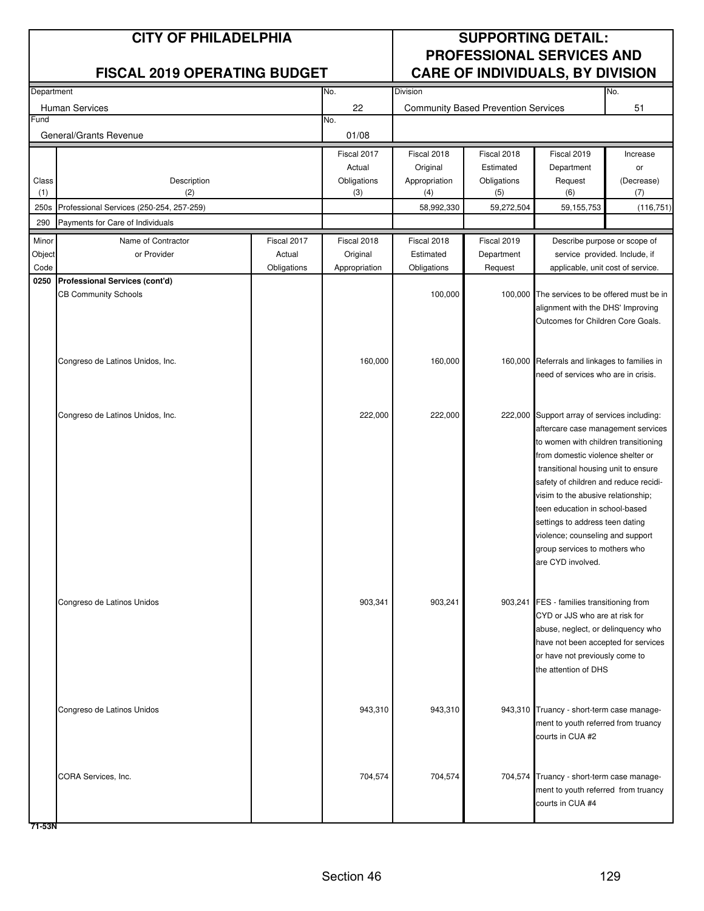| Department |                                          |             | No.           | Division      |                                              | No.                                                                              |            |
|------------|------------------------------------------|-------------|---------------|---------------|----------------------------------------------|----------------------------------------------------------------------------------|------------|
|            | <b>Human Services</b>                    |             | 22            |               | <b>Community Based Prevention Services</b>   |                                                                                  | 51         |
| Fund       |                                          |             | No.           |               |                                              |                                                                                  |            |
|            | General/Grants Revenue                   |             | 01/08         |               |                                              |                                                                                  |            |
|            |                                          |             | Fiscal 2017   | Fiscal 2018   | Fiscal 2018                                  | Fiscal 2019                                                                      | Increase   |
|            |                                          |             | Actual        | Original      | Estimated                                    | Department                                                                       | or         |
| Class      | Description                              |             | Obligations   | Appropriation | Obligations                                  | Request                                                                          | (Decrease) |
| (1)        | (2)                                      |             | (3)           | (4)           | (5)                                          | (6)                                                                              | (7)        |
| 250s       | Professional Services (250-254, 257-259) |             |               | 58,992,330    | 59,272,504                                   | 59, 155, 753                                                                     | (116, 751) |
| 290        | Payments for Care of Individuals         |             |               |               |                                              |                                                                                  |            |
| Minor      | Name of Contractor                       | Fiscal 2017 | Fiscal 2018   | Fiscal 2018   | Fiscal 2019                                  | Describe purpose or scope of                                                     |            |
| Object     | or Provider                              | Actual      | Original      | Estimated     | Department                                   | service provided. Include, if                                                    |            |
| Code       |                                          | Obligations | Appropriation | Obligations   | Request                                      | applicable, unit cost of service.                                                |            |
| 0250       | Professional Services (cont'd)           |             |               |               |                                              |                                                                                  |            |
|            | <b>CB Community Schools</b>              |             |               | 100,000       |                                              | 100,000 The services to be offered must be in                                    |            |
|            |                                          |             |               |               |                                              | alignment with the DHS' Improving<br>Outcomes for Children Core Goals.           |            |
|            |                                          |             |               |               |                                              |                                                                                  |            |
|            |                                          |             |               |               |                                              |                                                                                  |            |
|            | Congreso de Latinos Unidos, Inc.         |             | 160,000       | 160,000       |                                              | 160,000 Referrals and linkages to families in                                    |            |
|            |                                          |             |               |               |                                              | need of services who are in crisis.                                              |            |
|            |                                          |             |               |               |                                              |                                                                                  |            |
|            |                                          |             |               |               |                                              |                                                                                  |            |
|            | Congreso de Latinos Unidos, Inc.         |             | 222,000       | 222,000       | 222,000 Support array of services including: |                                                                                  |            |
|            |                                          |             |               |               |                                              | aftercare case management services                                               |            |
|            |                                          |             |               |               |                                              | to women with children transitioning                                             |            |
|            |                                          |             |               |               |                                              | from domestic violence shelter or                                                |            |
|            |                                          |             |               |               |                                              | transitional housing unit to ensure<br>safety of children and reduce recidi-     |            |
|            |                                          |             |               |               |                                              | visim to the abusive relationship;                                               |            |
|            |                                          |             |               |               |                                              | teen education in school-based                                                   |            |
|            |                                          |             |               |               |                                              | settings to address teen dating                                                  |            |
|            |                                          |             |               |               |                                              | violence; counseling and support                                                 |            |
|            |                                          |             |               |               |                                              | group services to mothers who                                                    |            |
|            |                                          |             |               |               |                                              | are CYD involved.                                                                |            |
|            |                                          |             |               |               |                                              |                                                                                  |            |
|            |                                          |             |               |               |                                              |                                                                                  |            |
|            | Congreso de Latinos Unidos               |             | 903,341       | 903,241       |                                              | 903,241 FES - families transitioning from<br>CYD or JJS who are at risk for      |            |
|            |                                          |             |               |               |                                              | abuse, neglect, or delinquency who                                               |            |
|            |                                          |             |               |               |                                              | have not been accepted for services                                              |            |
|            |                                          |             |               |               |                                              | or have not previously come to                                                   |            |
|            |                                          |             |               |               |                                              | the attention of DHS                                                             |            |
|            |                                          |             |               |               |                                              |                                                                                  |            |
|            |                                          |             |               |               |                                              |                                                                                  |            |
|            | Congreso de Latinos Unidos               |             | 943,310       | 943,310       |                                              | 943,310 Truancy - short-term case manage-                                        |            |
|            |                                          |             |               |               |                                              | ment to youth referred from truancy                                              |            |
|            |                                          |             |               |               |                                              | courts in CUA #2                                                                 |            |
|            |                                          |             |               |               |                                              |                                                                                  |            |
|            |                                          |             |               |               |                                              |                                                                                  |            |
|            | CORA Services, Inc.                      |             | 704,574       | 704,574       |                                              | 704,574 Truancy - short-term case manage-<br>ment to youth referred from truancy |            |
|            |                                          |             |               |               |                                              | courts in CUA #4                                                                 |            |
|            |                                          |             |               |               |                                              |                                                                                  |            |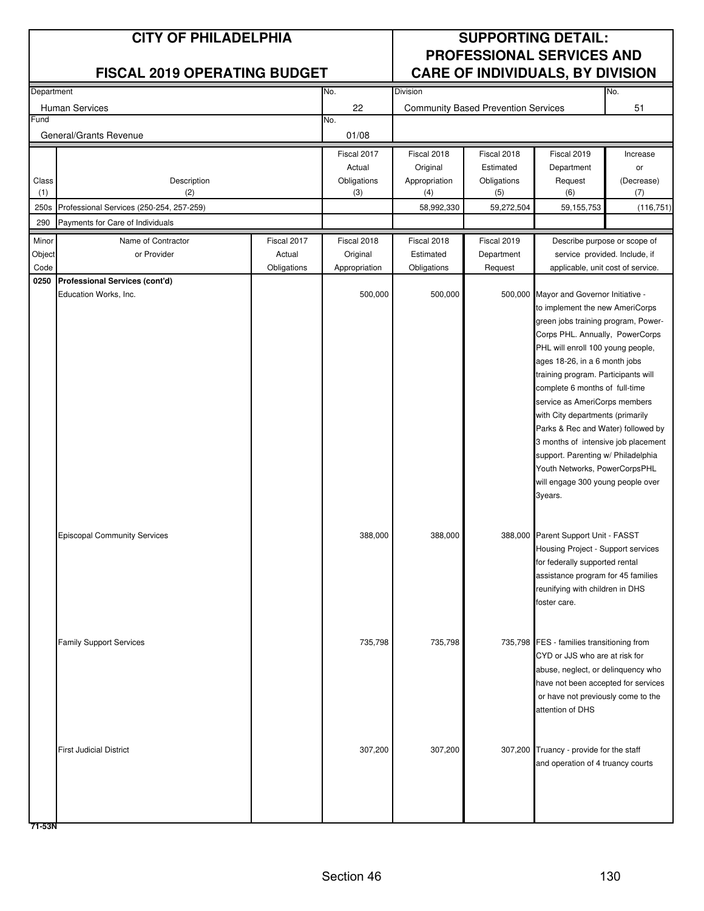| Department |                                          |             | No.           | No.<br>Division |                                            |                                                                 |            |
|------------|------------------------------------------|-------------|---------------|-----------------|--------------------------------------------|-----------------------------------------------------------------|------------|
|            | Human Services                           |             | 22            |                 | <b>Community Based Prevention Services</b> |                                                                 | 51         |
| Fund       |                                          |             | No.           |                 |                                            |                                                                 |            |
|            | General/Grants Revenue                   |             | 01/08         |                 |                                            |                                                                 |            |
|            |                                          |             | Fiscal 2017   | Fiscal 2018     | Fiscal 2018                                | Fiscal 2019                                                     | Increase   |
|            |                                          |             | Actual        | Original        | Estimated                                  | Department                                                      | or         |
| Class      | Description                              |             | Obligations   | Appropriation   | Obligations                                | Request                                                         | (Decrease) |
| (1)        | (2)                                      |             | (3)           | (4)             | (5)                                        | (6)                                                             | (7)        |
| 250s       | Professional Services (250-254, 257-259) |             |               | 58,992,330      | 59,272,504                                 | 59,155,753                                                      | (116, 751) |
| 290        | Payments for Care of Individuals         |             |               |                 |                                            |                                                                 |            |
| Minor      | Name of Contractor                       | Fiscal 2017 | Fiscal 2018   | Fiscal 2018     | Fiscal 2019                                | Describe purpose or scope of                                    |            |
| Object     | or Provider                              | Actual      | Original      | Estimated       | Department                                 | service provided. Include, if                                   |            |
| Code       |                                          | Obligations | Appropriation | Obligations     | Request                                    | applicable, unit cost of service.                               |            |
|            | 0250 Professional Services (cont'd)      |             |               |                 |                                            |                                                                 |            |
|            | Education Works, Inc.                    |             | 500,000       | 500,000         |                                            | 500,000 Mayor and Governor Initiative -                         |            |
|            |                                          |             |               |                 |                                            | to implement the new AmeriCorps                                 |            |
|            |                                          |             |               |                 |                                            | green jobs training program, Power-                             |            |
|            |                                          |             |               |                 |                                            | Corps PHL. Annually, PowerCorps                                 |            |
|            |                                          |             |               |                 |                                            | PHL will enroll 100 young people,                               |            |
|            |                                          |             |               |                 |                                            | ages 18-26, in a 6 month jobs                                   |            |
|            |                                          |             |               |                 |                                            | training program. Participants will                             |            |
|            |                                          |             |               |                 |                                            | complete 6 months of full-time<br>service as AmeriCorps members |            |
|            |                                          |             |               |                 |                                            | with City departments (primarily                                |            |
|            |                                          |             |               |                 |                                            | Parks & Rec and Water) followed by                              |            |
|            |                                          |             |               |                 |                                            | 3 months of intensive job placement                             |            |
|            |                                          |             |               |                 |                                            | support. Parenting w/ Philadelphia                              |            |
|            |                                          |             |               |                 |                                            | Youth Networks, PowerCorpsPHL                                   |            |
|            |                                          |             |               |                 |                                            | will engage 300 young people over                               |            |
|            |                                          |             |               |                 |                                            | 3years.                                                         |            |
|            |                                          |             |               |                 |                                            |                                                                 |            |
|            |                                          |             |               |                 |                                            |                                                                 |            |
|            | <b>Episcopal Community Services</b>      |             | 388,000       | 388,000         |                                            | 388,000 Parent Support Unit - FASST                             |            |
|            |                                          |             |               |                 |                                            | Housing Project - Support services                              |            |
|            |                                          |             |               |                 |                                            | for federally supported rental                                  |            |
|            |                                          |             |               |                 |                                            | assistance program for 45 families                              |            |
|            |                                          |             |               |                 |                                            | reunifying with children in DHS                                 |            |
|            |                                          |             |               |                 |                                            | foster care.                                                    |            |
|            |                                          |             |               |                 |                                            |                                                                 |            |
|            | <b>Family Support Services</b>           |             | 735,798       | 735,798         |                                            | 735,798 FES - families transitioning from                       |            |
|            |                                          |             |               |                 |                                            | CYD or JJS who are at risk for                                  |            |
|            |                                          |             |               |                 |                                            | abuse, neglect, or delinquency who                              |            |
|            |                                          |             |               |                 |                                            | have not been accepted for services                             |            |
|            |                                          |             |               |                 |                                            | or have not previously come to the                              |            |
|            |                                          |             |               |                 |                                            | attention of DHS                                                |            |
|            |                                          |             |               |                 |                                            |                                                                 |            |
|            |                                          |             |               |                 |                                            |                                                                 |            |
|            | <b>First Judicial District</b>           |             | 307,200       | 307,200         |                                            | 307,200 Truancy - provide for the staff                         |            |
|            |                                          |             |               |                 |                                            | and operation of 4 truancy courts                               |            |
|            |                                          |             |               |                 |                                            |                                                                 |            |
|            |                                          |             |               |                 |                                            |                                                                 |            |
|            |                                          |             |               |                 |                                            |                                                                 |            |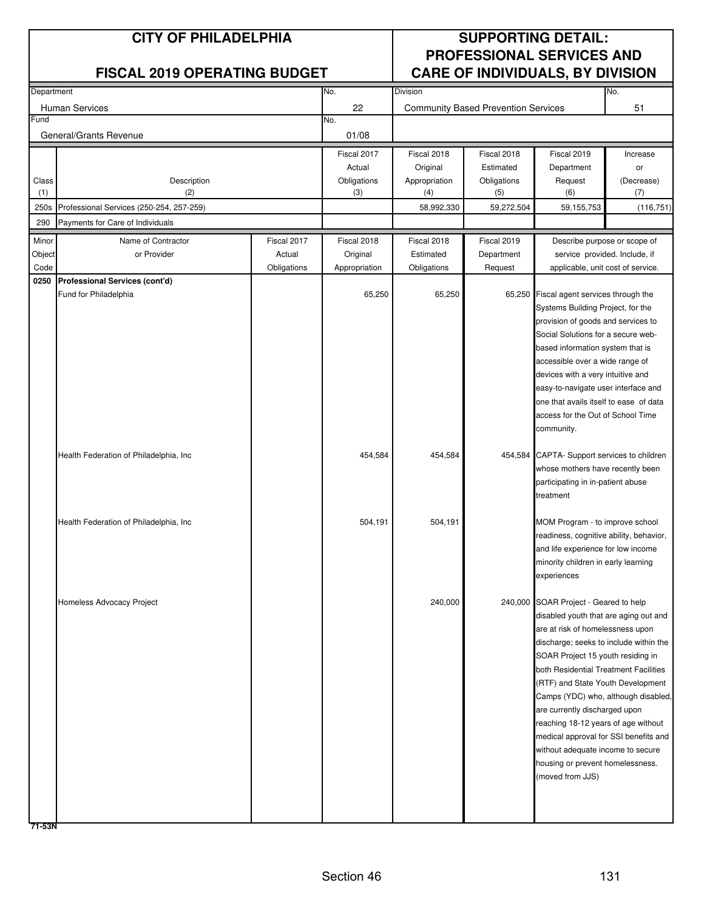| Department |                                          |             | No.<br>Division |               |                                            |                                                                               | No.        |
|------------|------------------------------------------|-------------|-----------------|---------------|--------------------------------------------|-------------------------------------------------------------------------------|------------|
|            | <b>Human Services</b>                    |             | 22              |               | <b>Community Based Prevention Services</b> |                                                                               | 51         |
| Fund       |                                          |             | No.             |               |                                            |                                                                               |            |
|            | General/Grants Revenue                   |             | 01/08           |               |                                            |                                                                               |            |
|            |                                          |             | Fiscal 2017     | Fiscal 2018   | Fiscal 2018                                | Fiscal 2019                                                                   | Increase   |
|            |                                          |             | Actual          | Original      | Estimated                                  | Department                                                                    | or         |
| Class      | Description                              |             | Obligations     | Appropriation | Obligations                                | Request                                                                       | (Decrease) |
| (1)        | (2)                                      |             | (3)             | (4)           | (5)                                        | (6)                                                                           | (7)        |
| 250s       | Professional Services (250-254, 257-259) |             |                 | 58,992,330    | 59,272,504                                 | 59, 155, 753                                                                  | (116, 751) |
| 290        | Payments for Care of Individuals         |             |                 |               |                                            |                                                                               |            |
| Minor      | Name of Contractor                       | Fiscal 2017 | Fiscal 2018     | Fiscal 2018   | Fiscal 2019                                | Describe purpose or scope of                                                  |            |
| Object     | or Provider                              | Actual      | Original        | Estimated     | Department                                 | service provided. Include, if                                                 |            |
| Code       |                                          | Obligations | Appropriation   | Obligations   | Request                                    | applicable, unit cost of service.                                             |            |
| 0250       | Professional Services (cont'd)           |             |                 |               |                                            | 65,250 Fiscal agent services through the                                      |            |
|            | Fund for Philadelphia                    |             | 65,250          | 65,250        |                                            | Systems Building Project, for the                                             |            |
|            |                                          |             |                 |               |                                            | provision of goods and services to                                            |            |
|            |                                          |             |                 |               |                                            | Social Solutions for a secure web-                                            |            |
|            |                                          |             |                 |               |                                            | based information system that is                                              |            |
|            |                                          |             |                 |               |                                            | accessible over a wide range of                                               |            |
|            |                                          |             |                 |               |                                            | devices with a very intuitive and                                             |            |
|            |                                          |             |                 |               |                                            | easy-to-navigate user interface and                                           |            |
|            |                                          |             |                 |               |                                            | one that avails itself to ease of data                                        |            |
|            |                                          |             |                 |               |                                            | access for the Out of School Time                                             |            |
|            |                                          |             |                 |               |                                            | community.                                                                    |            |
|            | Health Federation of Philadelphia, Inc   |             | 454,584         | 454,584       |                                            | 454,584 CAPTA- Support services to children                                   |            |
|            |                                          |             |                 |               |                                            | whose mothers have recently been                                              |            |
|            |                                          |             |                 |               |                                            | participating in in-patient abuse                                             |            |
|            |                                          |             |                 |               |                                            | treatment                                                                     |            |
|            |                                          |             |                 |               |                                            |                                                                               |            |
|            | Health Federation of Philadelphia, Inc.  |             | 504,191         | 504,191       | MOM Program - to improve school            |                                                                               |            |
|            |                                          |             |                 |               |                                            | readiness, cognitive ability, behavior,<br>and life experience for low income |            |
|            |                                          |             |                 |               |                                            | minority children in early learning                                           |            |
|            |                                          |             |                 |               |                                            | experiences                                                                   |            |
|            |                                          |             |                 |               |                                            |                                                                               |            |
|            | Homeless Advocacy Project                |             |                 | 240,000       |                                            | 240,000 SOAR Project - Geared to help                                         |            |
|            |                                          |             |                 |               |                                            | disabled youth that are aging out and                                         |            |
|            |                                          |             |                 |               |                                            | are at risk of homelessness upon                                              |            |
|            |                                          |             |                 |               |                                            | discharge; seeks to include within the                                        |            |
|            |                                          |             |                 |               |                                            | SOAR Project 15 youth residing in                                             |            |
|            |                                          |             |                 |               |                                            | both Residential Treatment Facilities<br>(RTF) and State Youth Development    |            |
|            |                                          |             |                 |               |                                            | Camps (YDC) who, although disabled,                                           |            |
|            |                                          |             |                 |               |                                            | are currently discharged upon                                                 |            |
|            |                                          |             |                 |               |                                            | reaching 18-12 years of age without                                           |            |
|            |                                          |             |                 |               |                                            | medical approval for SSI benefits and                                         |            |
|            |                                          |             |                 |               |                                            | without adequate income to secure                                             |            |
|            |                                          |             |                 |               |                                            | housing or prevent homelessness.                                              |            |
|            |                                          |             |                 |               |                                            | (moved from JJS)                                                              |            |
|            |                                          |             |                 |               |                                            |                                                                               |            |
|            |                                          |             |                 |               |                                            |                                                                               |            |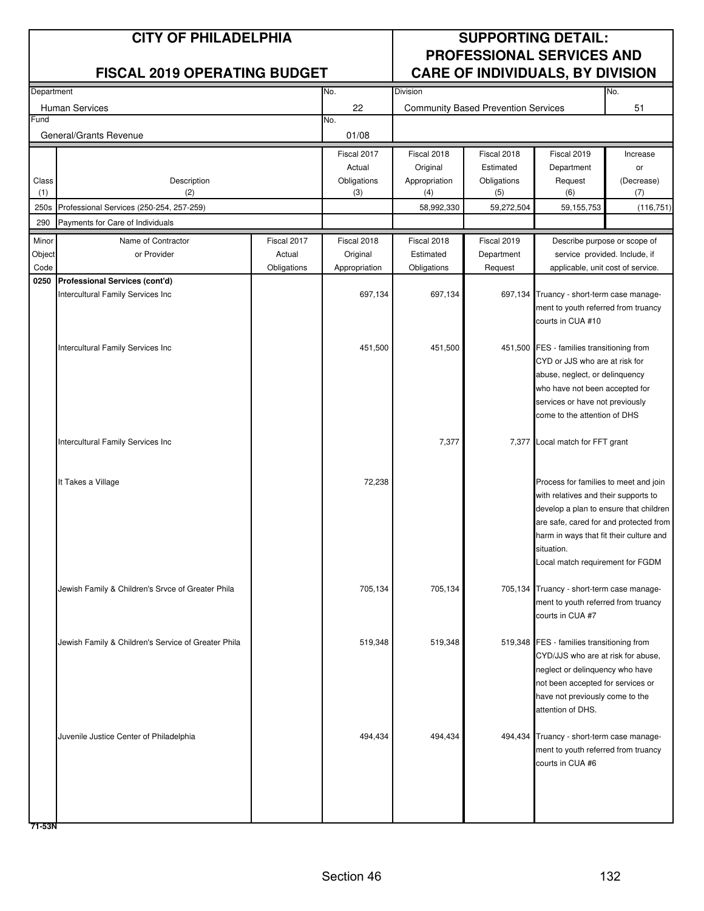| Department |                                                     |             | No.           | Division      |                                            |                                                                                  | No.        |
|------------|-----------------------------------------------------|-------------|---------------|---------------|--------------------------------------------|----------------------------------------------------------------------------------|------------|
|            | <b>Human Services</b>                               |             | 22            |               | <b>Community Based Prevention Services</b> |                                                                                  | 51         |
| Fund       |                                                     |             | No.           |               |                                            |                                                                                  |            |
|            | General/Grants Revenue                              |             | 01/08         |               |                                            |                                                                                  |            |
|            |                                                     |             | Fiscal 2017   | Fiscal 2018   | Fiscal 2018                                | Fiscal 2019                                                                      | Increase   |
|            |                                                     |             | Actual        | Original      | Estimated                                  | Department                                                                       | or         |
| Class      | Description                                         |             | Obligations   | Appropriation | Obligations                                | Request                                                                          | (Decrease) |
| (1)        | (2)                                                 |             | (3)           | (4)           | (5)                                        | (6)                                                                              | (7)        |
| 250s       | Professional Services (250-254, 257-259)            |             |               | 58,992,330    | 59,272,504                                 | 59, 155, 753                                                                     | (116, 751) |
| 290        | Payments for Care of Individuals                    |             |               |               |                                            |                                                                                  |            |
| Minor      | Name of Contractor                                  | Fiscal 2017 | Fiscal 2018   | Fiscal 2018   | Fiscal 2019                                | Describe purpose or scope of                                                     |            |
| Object     | or Provider                                         | Actual      | Original      | Estimated     | Department                                 | service provided. Include, if                                                    |            |
| Code       |                                                     | Obligations | Appropriation | Obligations   | Request                                    | applicable, unit cost of service.                                                |            |
| 0250       | Professional Services (cont'd)                      |             |               |               |                                            |                                                                                  |            |
|            | Intercultural Family Services Inc                   |             | 697,134       | 697,134       |                                            | 697,134 Truancy - short-term case manage-                                        |            |
|            |                                                     |             |               |               |                                            | ment to youth referred from truancy<br>courts in CUA #10                         |            |
|            |                                                     |             |               |               |                                            |                                                                                  |            |
|            | Intercultural Family Services Inc                   |             | 451,500       | 451,500       |                                            | 451,500 FES - families transitioning from                                        |            |
|            |                                                     |             |               |               |                                            | CYD or JJS who are at risk for                                                   |            |
|            |                                                     |             |               |               |                                            | abuse, neglect, or delinquency                                                   |            |
|            |                                                     |             |               |               |                                            | who have not been accepted for                                                   |            |
|            |                                                     |             |               |               |                                            | services or have not previously                                                  |            |
|            |                                                     |             |               |               |                                            | come to the attention of DHS                                                     |            |
|            |                                                     |             |               |               |                                            |                                                                                  |            |
|            | Intercultural Family Services Inc                   |             |               | 7,377         |                                            | 7,377 Local match for FFT grant                                                  |            |
|            |                                                     |             |               |               |                                            |                                                                                  |            |
|            | It Takes a Village                                  |             | 72,238        |               |                                            | Process for families to meet and join                                            |            |
|            |                                                     |             |               |               |                                            | with relatives and their supports to                                             |            |
|            |                                                     |             |               |               |                                            | develop a plan to ensure that children                                           |            |
|            |                                                     |             |               |               |                                            | are safe, cared for and protected from                                           |            |
|            |                                                     |             |               |               |                                            | harm in ways that fit their culture and                                          |            |
|            |                                                     |             |               |               |                                            | situation.                                                                       |            |
|            |                                                     |             |               |               |                                            | Local match requirement for FGDM                                                 |            |
|            |                                                     |             |               |               |                                            |                                                                                  |            |
|            | Jewish Family & Children's Srvce of Greater Phila   |             | 705,134       | 705,134       |                                            | 705,134 Truancy - short-term case manage-<br>ment to youth referred from truancy |            |
|            |                                                     |             |               |               |                                            | courts in CUA #7                                                                 |            |
|            |                                                     |             |               |               |                                            |                                                                                  |            |
|            | Jewish Family & Children's Service of Greater Phila |             | 519,348       | 519,348       |                                            | 519,348 FES - families transitioning from                                        |            |
|            |                                                     |             |               |               |                                            | CYD/JJS who are at risk for abuse,                                               |            |
|            |                                                     |             |               |               |                                            | neglect or delinquency who have                                                  |            |
|            |                                                     |             |               |               |                                            | not been accepted for services or                                                |            |
|            |                                                     |             |               |               |                                            | have not previously come to the                                                  |            |
|            |                                                     |             |               |               |                                            | attention of DHS.                                                                |            |
|            |                                                     |             | 494,434       | 494,434       |                                            |                                                                                  |            |
|            | Juvenile Justice Center of Philadelphia             |             |               |               |                                            | 494,434 Truancy - short-term case manage-<br>ment to youth referred from truancy |            |
|            |                                                     |             |               |               |                                            | courts in CUA #6                                                                 |            |
|            |                                                     |             |               |               |                                            |                                                                                  |            |
|            |                                                     |             |               |               |                                            |                                                                                  |            |
|            |                                                     |             |               |               |                                            |                                                                                  |            |
|            |                                                     |             |               |               |                                            |                                                                                  |            |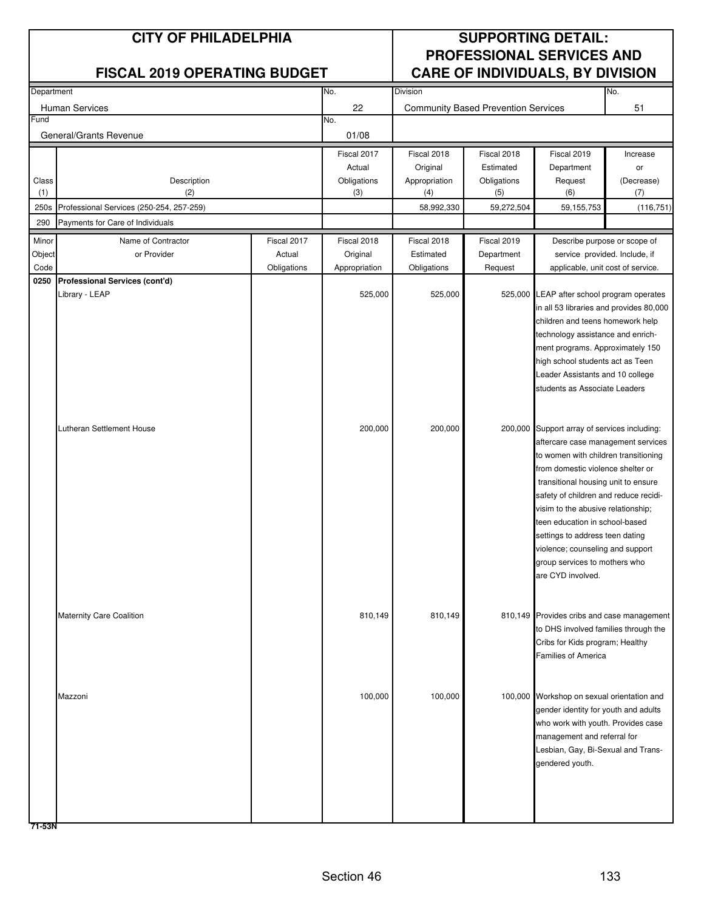| Department |                                          |             | No.           | No.<br>Division |                                            |                                                                          |            |
|------------|------------------------------------------|-------------|---------------|-----------------|--------------------------------------------|--------------------------------------------------------------------------|------------|
|            | Human Services                           |             | 22            |                 | <b>Community Based Prevention Services</b> |                                                                          | 51         |
| Fund       |                                          |             | No.           |                 |                                            |                                                                          |            |
|            | General/Grants Revenue                   |             | 01/08         |                 |                                            |                                                                          |            |
|            |                                          |             | Fiscal 2017   | Fiscal 2018     | Fiscal 2018                                | Fiscal 2019                                                              | Increase   |
|            |                                          |             | Actual        | Original        | Estimated                                  | Department                                                               | or         |
| Class      | Description                              |             | Obligations   | Appropriation   | Obligations                                | Request                                                                  | (Decrease) |
| (1)        | (2)                                      |             | (3)           | (4)             | (5)                                        | (6)                                                                      | (7)        |
| 250s       | Professional Services (250-254, 257-259) |             |               | 58,992,330      | 59,272,504                                 | 59, 155, 753                                                             | (116, 751) |
| 290        | Payments for Care of Individuals         |             |               |                 |                                            |                                                                          |            |
| Minor      | Name of Contractor                       | Fiscal 2017 | Fiscal 2018   | Fiscal 2018     | Fiscal 2019                                | Describe purpose or scope of                                             |            |
| Object     | or Provider                              | Actual      | Original      | Estimated       | Department                                 | service provided. Include, if                                            |            |
| Code       |                                          | Obligations | Appropriation | Obligations     | Request                                    | applicable, unit cost of service.                                        |            |
| 0250       | Professional Services (cont'd)           |             |               |                 |                                            |                                                                          |            |
|            | Library - LEAP                           |             | 525,000       | 525,000         | 525,000                                    | LEAP after school program operates                                       |            |
|            |                                          |             |               |                 |                                            | in all 53 libraries and provides 80,000                                  |            |
|            |                                          |             |               |                 |                                            | children and teens homework help<br>technology assistance and enrich-    |            |
|            |                                          |             |               |                 |                                            | ment programs. Approximately 150                                         |            |
|            |                                          |             |               |                 |                                            | high school students act as Teen                                         |            |
|            |                                          |             |               |                 |                                            | Leader Assistants and 10 college                                         |            |
|            |                                          |             |               |                 |                                            | students as Associate Leaders                                            |            |
|            |                                          |             |               |                 |                                            |                                                                          |            |
|            |                                          |             |               |                 |                                            |                                                                          |            |
|            | Lutheran Settlement House                |             | 200,000       | 200,000         |                                            | 200,000 Support array of services including:                             |            |
|            |                                          |             |               |                 |                                            | aftercare case management services                                       |            |
|            |                                          |             |               |                 |                                            | to women with children transitioning                                     |            |
|            |                                          |             |               |                 |                                            | from domestic violence shelter or<br>transitional housing unit to ensure |            |
|            |                                          |             |               |                 |                                            | safety of children and reduce recidi-                                    |            |
|            |                                          |             |               |                 |                                            | visim to the abusive relationship;                                       |            |
|            |                                          |             |               |                 |                                            | teen education in school-based                                           |            |
|            |                                          |             |               |                 |                                            | settings to address teen dating                                          |            |
|            |                                          |             |               |                 |                                            | violence; counseling and support                                         |            |
|            |                                          |             |               |                 |                                            | group services to mothers who                                            |            |
|            |                                          |             |               |                 |                                            | are CYD involved.                                                        |            |
|            |                                          |             |               |                 |                                            |                                                                          |            |
|            |                                          |             |               |                 |                                            |                                                                          |            |
|            | <b>Maternity Care Coalition</b>          |             | 810,149       | 810,149         |                                            | 810,149 Provides cribs and case management                               |            |
|            |                                          |             |               |                 |                                            | to DHS involved families through the<br>Cribs for Kids program; Healthy  |            |
|            |                                          |             |               |                 |                                            | <b>Families of America</b>                                               |            |
|            |                                          |             |               |                 |                                            |                                                                          |            |
|            |                                          |             |               |                 |                                            |                                                                          |            |
|            | Mazzoni                                  |             | 100,000       | 100,000         |                                            | 100,000 Workshop on sexual orientation and                               |            |
|            |                                          |             |               |                 |                                            | gender identity for youth and adults                                     |            |
|            |                                          |             |               |                 |                                            | who work with youth. Provides case                                       |            |
|            |                                          |             |               |                 |                                            | management and referral for                                              |            |
|            |                                          |             |               |                 |                                            | Lesbian, Gay, Bi-Sexual and Trans-                                       |            |
|            |                                          |             |               |                 |                                            | gendered youth.                                                          |            |
|            |                                          |             |               |                 |                                            |                                                                          |            |
|            |                                          |             |               |                 |                                            |                                                                          |            |
|            |                                          |             |               |                 |                                            |                                                                          |            |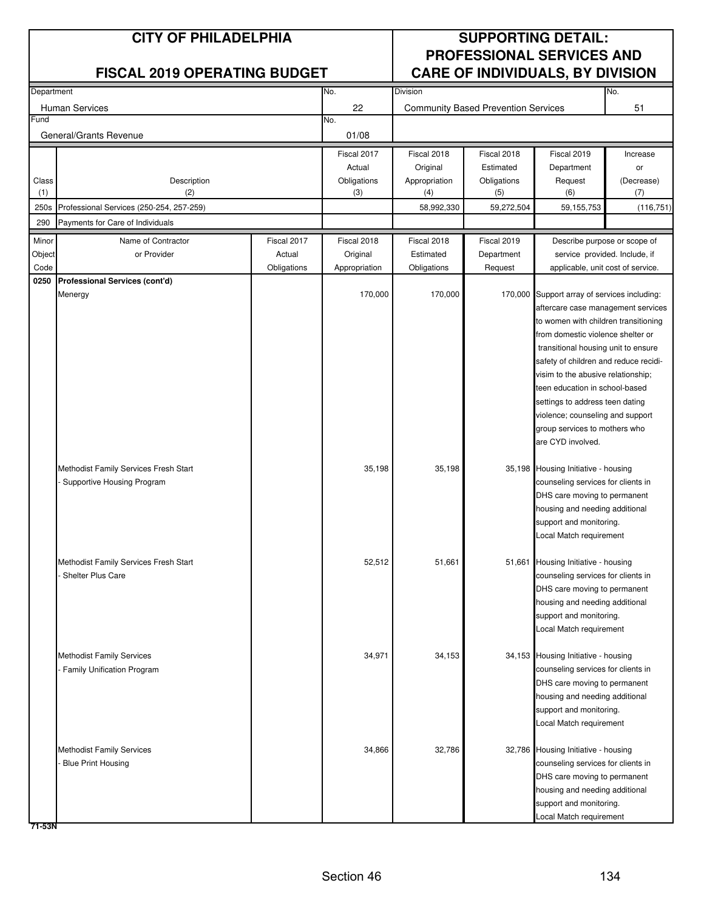| Department |                                          |             | No.           | <b>Division</b><br>No. |                                            |                                                                      |            |
|------------|------------------------------------------|-------------|---------------|------------------------|--------------------------------------------|----------------------------------------------------------------------|------------|
|            | <b>Human Services</b>                    |             | 22            |                        | <b>Community Based Prevention Services</b> |                                                                      | 51         |
| Fund       |                                          |             | No.           |                        |                                            |                                                                      |            |
|            | General/Grants Revenue                   |             | 01/08         |                        |                                            |                                                                      |            |
|            |                                          |             | Fiscal 2017   | Fiscal 2018            | Fiscal 2018                                | Fiscal 2019                                                          | Increase   |
|            |                                          |             | Actual        | Original               | Estimated                                  | Department                                                           | or         |
| Class      | Description                              |             | Obligations   | Appropriation          | Obligations                                | Request                                                              | (Decrease) |
| (1)        | (2)                                      |             | (3)           | (4)                    | (5)                                        | (6)                                                                  | (7)        |
| 250s       | Professional Services (250-254, 257-259) |             |               | 58,992,330             | 59,272,504                                 | 59,155,753                                                           | (116, 751) |
| 290        | Payments for Care of Individuals         |             |               |                        |                                            |                                                                      |            |
| Minor      | Name of Contractor                       | Fiscal 2017 | Fiscal 2018   | Fiscal 2018            | Fiscal 2019                                | Describe purpose or scope of                                         |            |
| Object     | or Provider                              | Actual      | Original      | Estimated              | Department                                 | service provided. Include, if                                        |            |
| Code       |                                          | Obligations | Appropriation | Obligations            | Request                                    | applicable, unit cost of service.                                    |            |
| 0250       | Professional Services (cont'd)           |             |               |                        |                                            |                                                                      |            |
|            | Menergy                                  |             | 170,000       | 170,000                |                                            | 170,000 Support array of services including:                         |            |
|            |                                          |             |               |                        |                                            | aftercare case management services                                   |            |
|            |                                          |             |               |                        |                                            | to women with children transitioning                                 |            |
|            |                                          |             |               |                        |                                            | from domestic violence shelter or                                    |            |
|            |                                          |             |               |                        |                                            | transitional housing unit to ensure                                  |            |
|            |                                          |             |               |                        |                                            | safety of children and reduce recidi-                                |            |
|            |                                          |             |               |                        |                                            | visim to the abusive relationship;<br>teen education in school-based |            |
|            |                                          |             |               |                        |                                            | settings to address teen dating                                      |            |
|            |                                          |             |               |                        |                                            | violence; counseling and support                                     |            |
|            |                                          |             |               |                        |                                            | group services to mothers who                                        |            |
|            |                                          |             |               |                        |                                            | are CYD involved.                                                    |            |
|            |                                          |             |               |                        |                                            |                                                                      |            |
|            | Methodist Family Services Fresh Start    |             | 35,198        | 35,198                 |                                            | 35,198 Housing Initiative - housing                                  |            |
|            | Supportive Housing Program               |             |               |                        |                                            | counseling services for clients in                                   |            |
|            |                                          |             |               |                        |                                            | DHS care moving to permanent                                         |            |
|            |                                          |             |               |                        |                                            | housing and needing additional                                       |            |
|            |                                          |             |               |                        |                                            | support and monitoring.                                              |            |
|            |                                          |             |               |                        |                                            | Local Match requirement                                              |            |
|            | Methodist Family Services Fresh Start    |             | 52,512        | 51,661                 |                                            | 51,661 Housing Initiative - housing                                  |            |
|            | Shelter Plus Care                        |             |               |                        |                                            | counseling services for clients in                                   |            |
|            |                                          |             |               |                        |                                            | DHS care moving to permanent                                         |            |
|            |                                          |             |               |                        |                                            | housing and needing additional                                       |            |
|            |                                          |             |               |                        |                                            | support and monitoring.                                              |            |
|            |                                          |             |               |                        |                                            | Local Match requirement                                              |            |
|            |                                          |             |               |                        |                                            |                                                                      |            |
|            | <b>Methodist Family Services</b>         |             | 34,971        | 34,153                 |                                            | 34,153 Housing Initiative - housing                                  |            |
|            | Family Unification Program               |             |               |                        |                                            | counseling services for clients in                                   |            |
|            |                                          |             |               |                        |                                            | DHS care moving to permanent                                         |            |
|            |                                          |             |               |                        |                                            | housing and needing additional                                       |            |
|            |                                          |             |               |                        |                                            | support and monitoring.                                              |            |
|            |                                          |             |               |                        |                                            | Local Match requirement                                              |            |
|            | <b>Methodist Family Services</b>         |             | 34,866        | 32,786                 |                                            | 32,786 Housing Initiative - housing                                  |            |
|            | <b>Blue Print Housing</b>                |             |               |                        |                                            | counseling services for clients in                                   |            |
|            |                                          |             |               |                        |                                            | DHS care moving to permanent                                         |            |
|            |                                          |             |               |                        |                                            | housing and needing additional                                       |            |
|            |                                          |             |               |                        |                                            | support and monitoring.                                              |            |
|            |                                          |             |               |                        |                                            | Local Match requirement                                              |            |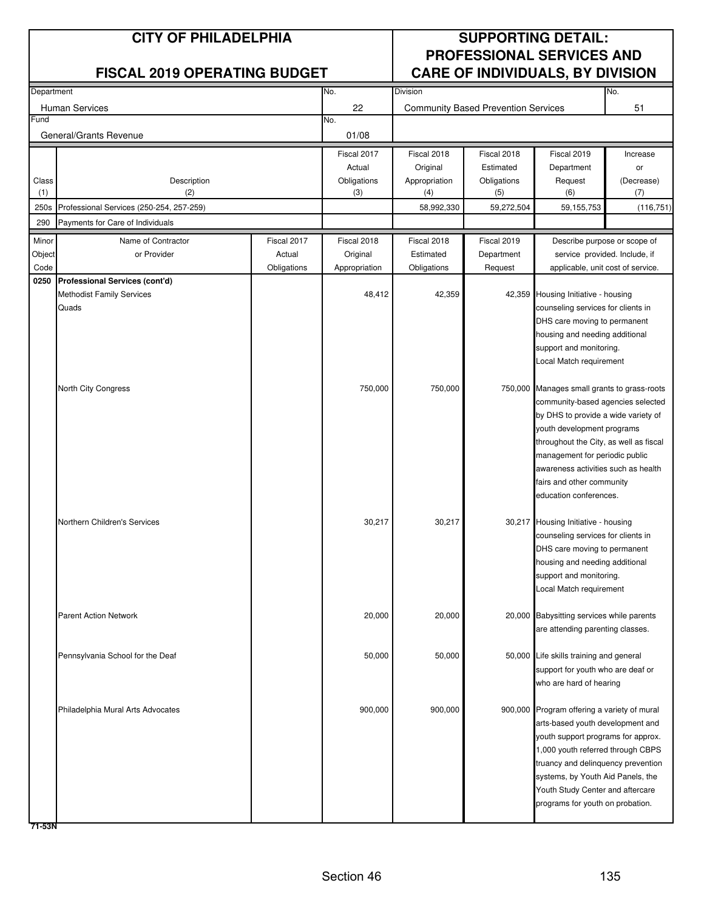| Department |                                          |             | No.           | No.<br>Division |                                            |                                                                           |            |
|------------|------------------------------------------|-------------|---------------|-----------------|--------------------------------------------|---------------------------------------------------------------------------|------------|
|            | <b>Human Services</b>                    |             | 22            |                 | <b>Community Based Prevention Services</b> |                                                                           | 51         |
| Fund       |                                          |             | No.           |                 |                                            |                                                                           |            |
|            | General/Grants Revenue                   |             | 01/08         |                 |                                            |                                                                           |            |
|            |                                          |             | Fiscal 2017   | Fiscal 2018     | Fiscal 2018                                | Fiscal 2019                                                               | Increase   |
|            |                                          |             | Actual        | Original        | Estimated                                  | Department                                                                | or         |
| Class      | Description                              |             | Obligations   | Appropriation   | Obligations                                | Request                                                                   | (Decrease) |
| (1)        | (2)                                      |             | (3)           | (4)             | (5)                                        | (6)                                                                       | (7)        |
| 250s       | Professional Services (250-254, 257-259) |             |               | 58,992,330      | 59,272,504                                 | 59, 155, 753                                                              | (116, 751) |
| 290        | Payments for Care of Individuals         |             |               |                 |                                            |                                                                           |            |
| Minor      | Name of Contractor                       | Fiscal 2017 | Fiscal 2018   | Fiscal 2018     | Fiscal 2019                                | Describe purpose or scope of                                              |            |
| Object     | or Provider                              | Actual      | Original      | Estimated       | Department                                 | service provided. Include, if                                             |            |
| Code       |                                          | Obligations | Appropriation | Obligations     | Request                                    | applicable, unit cost of service.                                         |            |
| 0250       | Professional Services (cont'd)           |             |               |                 |                                            |                                                                           |            |
|            | Methodist Family Services                |             | 48,412        | 42,359          |                                            | 42,359 Housing Initiative - housing                                       |            |
|            | Quads                                    |             |               |                 |                                            | counseling services for clients in                                        |            |
|            |                                          |             |               |                 |                                            | DHS care moving to permanent                                              |            |
|            |                                          |             |               |                 |                                            | housing and needing additional                                            |            |
|            |                                          |             |               |                 |                                            | support and monitoring.<br>Local Match requirement                        |            |
|            |                                          |             |               |                 |                                            |                                                                           |            |
|            | North City Congress                      |             | 750,000       | 750,000         |                                            | 750,000 Manages small grants to grass-roots                               |            |
|            |                                          |             |               |                 |                                            | community-based agencies selected                                         |            |
|            |                                          |             |               |                 |                                            | by DHS to provide a wide variety of                                       |            |
|            |                                          |             |               |                 |                                            | youth development programs                                                |            |
|            |                                          |             |               |                 |                                            | throughout the City, as well as fiscal                                    |            |
|            |                                          |             |               |                 |                                            | management for periodic public                                            |            |
|            |                                          |             |               |                 |                                            | awareness activities such as health                                       |            |
|            |                                          |             |               |                 |                                            | fairs and other community                                                 |            |
|            |                                          |             |               |                 |                                            | education conferences.                                                    |            |
|            | Northern Children's Services             |             |               |                 |                                            |                                                                           |            |
|            |                                          |             | 30,217        | 30,217          |                                            | 30,217 Housing Initiative - housing<br>counseling services for clients in |            |
|            |                                          |             |               |                 |                                            | DHS care moving to permanent                                              |            |
|            |                                          |             |               |                 |                                            | housing and needing additional                                            |            |
|            |                                          |             |               |                 |                                            | support and monitoring.                                                   |            |
|            |                                          |             |               |                 |                                            | Local Match requirement                                                   |            |
|            |                                          |             |               |                 |                                            |                                                                           |            |
|            | <b>Parent Action Network</b>             |             | 20,000        | 20,000          |                                            | 20,000 Babysitting services while parents                                 |            |
|            |                                          |             |               |                 |                                            | are attending parenting classes.                                          |            |
|            |                                          |             |               |                 |                                            |                                                                           |            |
|            | Pennsylvania School for the Deaf         |             | 50,000        | 50,000          |                                            | 50,000 Life skills training and general                                   |            |
|            |                                          |             |               |                 |                                            | support for youth who are deaf or<br>who are hard of hearing              |            |
|            |                                          |             |               |                 |                                            |                                                                           |            |
|            | Philadelphia Mural Arts Advocates        |             | 900,000       | 900,000         |                                            | 900,000 Program offering a variety of mural                               |            |
|            |                                          |             |               |                 |                                            | arts-based youth development and                                          |            |
|            |                                          |             |               |                 |                                            | youth support programs for approx.                                        |            |
|            |                                          |             |               |                 |                                            | 1,000 youth referred through CBPS                                         |            |
|            |                                          |             |               |                 |                                            | truancy and delinquency prevention                                        |            |
|            |                                          |             |               |                 |                                            | systems, by Youth Aid Panels, the                                         |            |
|            |                                          |             |               |                 |                                            | Youth Study Center and aftercare                                          |            |
|            |                                          |             |               |                 |                                            | programs for youth on probation.                                          |            |
|            |                                          |             |               |                 |                                            |                                                                           |            |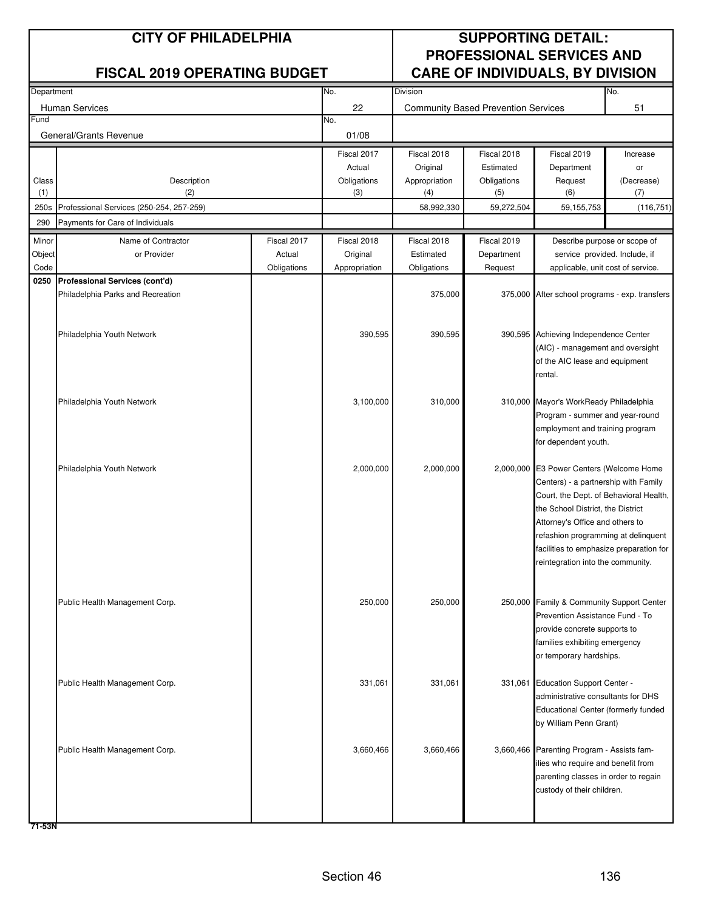| Department |                                          |             | No.           | No.<br>Division |                                            |                                                                              |            |
|------------|------------------------------------------|-------------|---------------|-----------------|--------------------------------------------|------------------------------------------------------------------------------|------------|
|            | Human Services                           |             | 22            |                 | <b>Community Based Prevention Services</b> |                                                                              | 51         |
| Fund       |                                          |             | No.           |                 |                                            |                                                                              |            |
|            | General/Grants Revenue                   |             | 01/08         |                 |                                            |                                                                              |            |
|            |                                          |             | Fiscal 2017   | Fiscal 2018     | Fiscal 2018                                | Fiscal 2019                                                                  | Increase   |
|            |                                          |             | Actual        | Original        | Estimated                                  | Department                                                                   | or         |
| Class      | Description                              |             | Obligations   | Appropriation   | Obligations                                | Request                                                                      | (Decrease) |
| (1)        | (2)                                      |             | (3)           | (4)             | (5)                                        | (6)                                                                          | (7)        |
| 250s       | Professional Services (250-254, 257-259) |             |               | 58,992,330      | 59,272,504                                 | 59,155,753                                                                   | (116, 751) |
| 290        | Payments for Care of Individuals         |             |               |                 |                                            |                                                                              |            |
| Minor      | Name of Contractor                       | Fiscal 2017 | Fiscal 2018   | Fiscal 2018     | Fiscal 2019                                | Describe purpose or scope of                                                 |            |
| Object     | or Provider                              | Actual      | Original      | Estimated       | Department                                 | service provided. Include, if                                                |            |
| Code       |                                          | Obligations | Appropriation | Obligations     | Request                                    | applicable, unit cost of service.                                            |            |
| 0250       | Professional Services (cont'd)           |             |               |                 |                                            |                                                                              |            |
|            | Philadelphia Parks and Recreation        |             |               | 375,000         |                                            | 375,000 After school programs - exp. transfers                               |            |
|            |                                          |             |               |                 |                                            |                                                                              |            |
|            |                                          |             |               |                 |                                            |                                                                              |            |
|            | Philadelphia Youth Network               |             | 390,595       | 390,595         |                                            | 390,595 Achieving Independence Center<br>(AIC) - management and oversight    |            |
|            |                                          |             |               |                 |                                            | of the AIC lease and equipment                                               |            |
|            |                                          |             |               |                 |                                            | rental.                                                                      |            |
|            |                                          |             |               |                 |                                            |                                                                              |            |
|            | Philadelphia Youth Network               |             | 3,100,000     | 310,000         |                                            | 310,000 Mayor's WorkReady Philadelphia                                       |            |
|            |                                          |             |               |                 |                                            | Program - summer and year-round                                              |            |
|            |                                          |             |               |                 |                                            | employment and training program                                              |            |
|            |                                          |             |               |                 |                                            | for dependent youth.                                                         |            |
|            |                                          |             |               |                 |                                            |                                                                              |            |
|            | Philadelphia Youth Network               |             | 2,000,000     | 2,000,000       |                                            | 2,000,000 E3 Power Centers (Welcome Home                                     |            |
|            |                                          |             |               |                 |                                            | Centers) - a partnership with Family                                         |            |
|            |                                          |             |               |                 |                                            | Court, the Dept. of Behavioral Health,                                       |            |
|            |                                          |             |               |                 |                                            | the School District, the District                                            |            |
|            |                                          |             |               |                 |                                            | Attorney's Office and others to                                              |            |
|            |                                          |             |               |                 |                                            | refashion programming at delinquent                                          |            |
|            |                                          |             |               |                 |                                            | facilities to emphasize preparation for<br>reintegration into the community. |            |
|            |                                          |             |               |                 |                                            |                                                                              |            |
|            |                                          |             |               |                 |                                            |                                                                              |            |
|            | Public Health Management Corp.           |             | 250,000       | 250,000         |                                            | 250,000 Family & Community Support Center                                    |            |
|            |                                          |             |               |                 |                                            | Prevention Assistance Fund - To                                              |            |
|            |                                          |             |               |                 |                                            | provide concrete supports to                                                 |            |
|            |                                          |             |               |                 |                                            | families exhibiting emergency                                                |            |
|            |                                          |             |               |                 |                                            | or temporary hardships.                                                      |            |
|            |                                          |             |               |                 |                                            |                                                                              |            |
|            | Public Health Management Corp.           |             | 331,061       | 331,061         |                                            | 331,061 Education Support Center -                                           |            |
|            |                                          |             |               |                 |                                            | administrative consultants for DHS<br>Educational Center (formerly funded    |            |
|            |                                          |             |               |                 |                                            | by William Penn Grant)                                                       |            |
|            |                                          |             |               |                 |                                            |                                                                              |            |
|            | Public Health Management Corp.           |             | 3,660,466     | 3,660,466       |                                            | 3,660,466 Parenting Program - Assists fam-                                   |            |
|            |                                          |             |               |                 |                                            | lies who require and benefit from                                            |            |
|            |                                          |             |               |                 |                                            | parenting classes in order to regain                                         |            |
|            |                                          |             |               |                 |                                            | custody of their children.                                                   |            |
|            |                                          |             |               |                 |                                            |                                                                              |            |
|            |                                          |             |               |                 |                                            |                                                                              |            |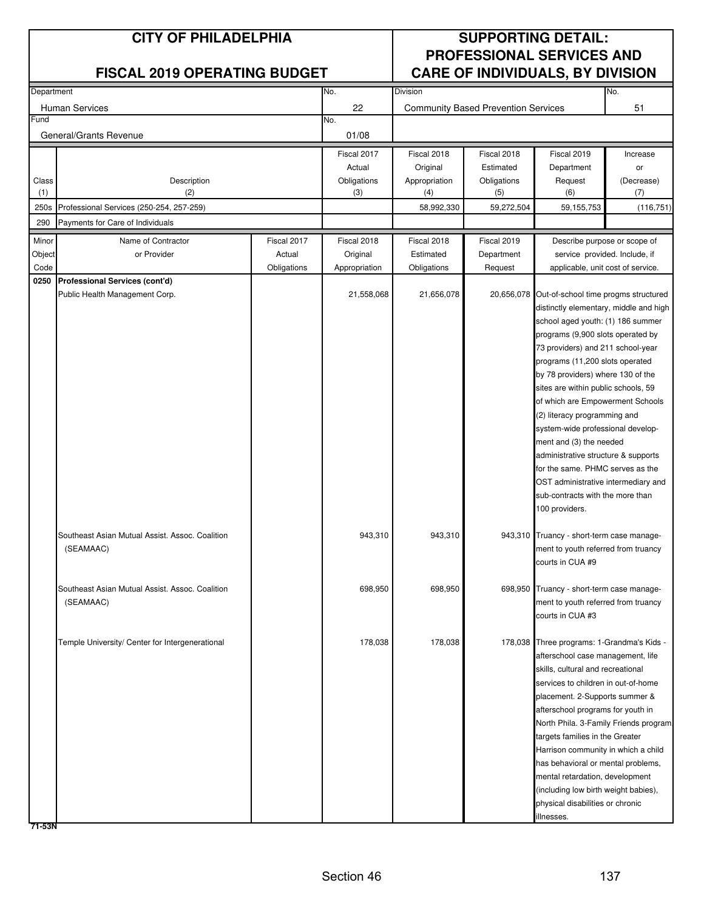| Department |                                                 |             | No.           | Division      |                                            |                                                 | No.        |
|------------|-------------------------------------------------|-------------|---------------|---------------|--------------------------------------------|-------------------------------------------------|------------|
|            | <b>Human Services</b>                           |             | 22            |               | <b>Community Based Prevention Services</b> |                                                 | 51         |
| Fund       |                                                 |             | No.           |               |                                            |                                                 |            |
|            | General/Grants Revenue                          |             | 01/08         |               |                                            |                                                 |            |
|            |                                                 |             | Fiscal 2017   | Fiscal 2018   | Fiscal 2018                                | Fiscal 2019                                     | Increase   |
|            |                                                 |             | Actual        | Original      | Estimated                                  | Department                                      | or         |
| Class      | Description                                     |             | Obligations   | Appropriation | Obligations                                | Request                                         | (Decrease) |
| (1)        | (2)                                             |             | (3)           | (4)           | (5)                                        | (6)                                             | (7)        |
| 250s       | Professional Services (250-254, 257-259)        |             |               | 58,992,330    | 59,272,504                                 | 59,155,753                                      | (116, 751) |
| 290        | Payments for Care of Individuals                |             |               |               |                                            |                                                 |            |
| Minor      | Name of Contractor                              | Fiscal 2017 | Fiscal 2018   | Fiscal 2018   | Fiscal 2019                                | Describe purpose or scope of                    |            |
| Object     | or Provider                                     | Actual      | Original      | Estimated     | Department                                 | service provided. Include, if                   |            |
| Code       |                                                 | Obligations | Appropriation | Obligations   | Request                                    | applicable, unit cost of service.               |            |
|            | 0250 Professional Services (cont'd)             |             |               |               |                                            |                                                 |            |
|            | Public Health Management Corp.                  |             | 21,558,068    | 21,656,078    |                                            | 20,656,078 Out-of-school time progms structured |            |
|            |                                                 |             |               |               |                                            | distinctly elementary, middle and high          |            |
|            |                                                 |             |               |               |                                            | school aged youth: (1) 186 summer               |            |
|            |                                                 |             |               |               |                                            | programs (9,900 slots operated by               |            |
|            |                                                 |             |               |               |                                            | 73 providers) and 211 school-year               |            |
|            |                                                 |             |               |               |                                            | programs (11,200 slots operated                 |            |
|            |                                                 |             |               |               |                                            | by 78 providers) where 130 of the               |            |
|            |                                                 |             |               |               |                                            | sites are within public schools, 59             |            |
|            |                                                 |             |               |               |                                            | of which are Empowerment Schools                |            |
|            |                                                 |             |               |               |                                            | (2) literacy programming and                    |            |
|            |                                                 |             |               |               |                                            | system-wide professional develop-               |            |
|            |                                                 |             |               |               |                                            | ment and (3) the needed                         |            |
|            |                                                 |             |               |               |                                            | administrative structure & supports             |            |
|            |                                                 |             |               |               |                                            | for the same. PHMC serves as the                |            |
|            |                                                 |             |               |               |                                            | OST administrative intermediary and             |            |
|            |                                                 |             |               |               |                                            | sub-contracts with the more than                |            |
|            |                                                 |             |               |               |                                            | 100 providers.                                  |            |
|            | Southeast Asian Mutual Assist. Assoc. Coalition |             | 943,310       | 943,310       |                                            | 943,310 Truancy - short-term case manage-       |            |
|            | (SEAMAAC)                                       |             |               |               |                                            | ment to youth referred from truancy             |            |
|            |                                                 |             |               |               |                                            | courts in CUA #9                                |            |
|            |                                                 |             |               |               |                                            |                                                 |            |
|            | Southeast Asian Mutual Assist. Assoc. Coalition |             | 698,950       | 698,950       |                                            | 698,950 Truancy - short-term case manage-       |            |
|            | (SEAMAAC)                                       |             |               |               |                                            | ment to youth referred from truancy             |            |
|            |                                                 |             |               |               |                                            | courts in CUA #3                                |            |
|            |                                                 |             |               |               |                                            |                                                 |            |
|            | Temple University/ Center for Intergenerational |             | 178,038       | 178,038       |                                            | 178,038 Three programs: 1-Grandma's Kids -      |            |
|            |                                                 |             |               |               |                                            | afterschool case management, life               |            |
|            |                                                 |             |               |               |                                            | skills, cultural and recreational               |            |
|            |                                                 |             |               |               |                                            | services to children in out-of-home             |            |
|            |                                                 |             |               |               |                                            | placement. 2-Supports summer &                  |            |
|            |                                                 |             |               |               |                                            | afterschool programs for youth in               |            |
|            |                                                 |             |               |               |                                            | North Phila. 3-Family Friends program.          |            |
|            |                                                 |             |               |               |                                            | targets families in the Greater                 |            |
|            |                                                 |             |               |               |                                            | Harrison community in which a child             |            |
|            |                                                 |             |               |               |                                            | has behavioral or mental problems,              |            |
|            |                                                 |             |               |               |                                            | mental retardation, development                 |            |
|            |                                                 |             |               |               |                                            | (including low birth weight babies),            |            |
|            |                                                 |             |               |               |                                            | physical disabilities or chronic                |            |
|            |                                                 |             |               |               |                                            | illnesses.                                      |            |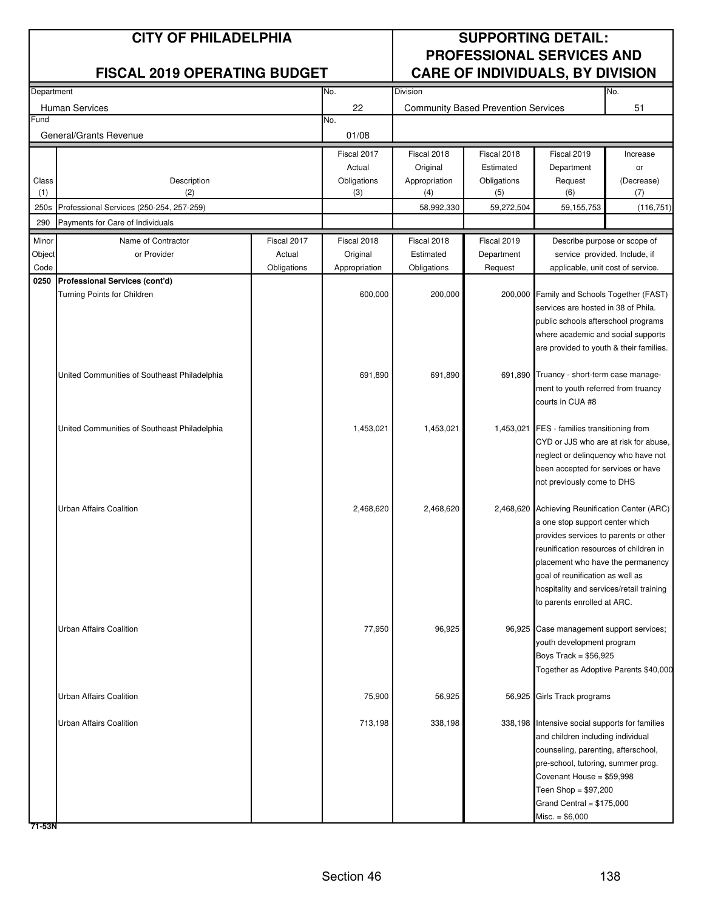| Department |                                              |             | Division<br>No. |               |                                            |                                                                              | No.        |
|------------|----------------------------------------------|-------------|-----------------|---------------|--------------------------------------------|------------------------------------------------------------------------------|------------|
|            | <b>Human Services</b>                        |             | 22              |               | <b>Community Based Prevention Services</b> |                                                                              | 51         |
| Fund       |                                              |             | No.             |               |                                            |                                                                              |            |
|            | General/Grants Revenue                       |             | 01/08           |               |                                            |                                                                              |            |
|            |                                              |             | Fiscal 2017     | Fiscal 2018   | Fiscal 2018                                | Fiscal 2019                                                                  | Increase   |
|            |                                              |             | Actual          | Original      | Estimated                                  | Department                                                                   | or         |
| Class      | Description                                  |             | Obligations     | Appropriation | Obligations                                | Request                                                                      | (Decrease) |
| (1)        | (2)                                          |             | (3)             | (4)           | (5)                                        | (6)                                                                          | (7)        |
| 250s       | Professional Services (250-254, 257-259)     |             |                 | 58,992,330    | 59,272,504                                 | 59,155,753                                                                   | (116, 751) |
| 290        | Payments for Care of Individuals             |             |                 |               |                                            |                                                                              |            |
| Minor      | Name of Contractor                           | Fiscal 2017 | Fiscal 2018     | Fiscal 2018   | Fiscal 2019                                | Describe purpose or scope of                                                 |            |
| Object     | or Provider                                  | Actual      | Original        | Estimated     | Department                                 | service provided. Include, if                                                |            |
| Code       |                                              | Obligations | Appropriation   | Obligations   | Request                                    | applicable, unit cost of service.                                            |            |
| 0250       | Professional Services (cont'd)               |             |                 |               |                                            |                                                                              |            |
|            | Turning Points for Children                  |             | 600,000         | 200,000       |                                            | 200,000 Family and Schools Together (FAST)                                   |            |
|            |                                              |             |                 |               |                                            | services are hosted in 38 of Phila.                                          |            |
|            |                                              |             |                 |               |                                            | public schools afterschool programs                                          |            |
|            |                                              |             |                 |               |                                            | where academic and social supports                                           |            |
|            |                                              |             |                 |               |                                            | are provided to youth & their families.                                      |            |
|            | United Communities of Southeast Philadelphia |             | 691,890         | 691,890       |                                            | 691,890 Truancy - short-term case manage-                                    |            |
|            |                                              |             |                 |               |                                            | ment to youth referred from truancy                                          |            |
|            |                                              |             |                 |               |                                            | courts in CUA #8                                                             |            |
|            |                                              |             |                 |               |                                            |                                                                              |            |
|            | United Communities of Southeast Philadelphia |             | 1,453,021       | 1,453,021     |                                            | 1,453,021 FES - families transitioning from                                  |            |
|            |                                              |             |                 |               |                                            | CYD or JJS who are at risk for abuse,                                        |            |
|            |                                              |             |                 |               |                                            | neglect or delinquency who have not                                          |            |
|            |                                              |             |                 |               |                                            | been accepted for services or have                                           |            |
|            |                                              |             |                 |               |                                            | not previously come to DHS                                                   |            |
|            |                                              |             |                 |               |                                            |                                                                              |            |
|            | Urban Affairs Coalition                      |             | 2,468,620       | 2,468,620     |                                            | 2,468,620 Achieving Reunification Center (ARC)                               |            |
|            |                                              |             |                 |               |                                            | a one stop support center which                                              |            |
|            |                                              |             |                 |               |                                            | provides services to parents or other                                        |            |
|            |                                              |             |                 |               |                                            | reunification resources of children in                                       |            |
|            |                                              |             |                 |               |                                            | placement who have the permanency                                            |            |
|            |                                              |             |                 |               |                                            | goal of reunification as well as<br>hospitality and services/retail training |            |
|            |                                              |             |                 |               |                                            | to parents enrolled at ARC.                                                  |            |
|            |                                              |             |                 |               |                                            |                                                                              |            |
|            | Urban Affairs Coalition                      |             | 77,950          | 96,925        |                                            | 96,925 Case management support services;                                     |            |
|            |                                              |             |                 |               |                                            | youth development program                                                    |            |
|            |                                              |             |                 |               |                                            | Boys Track = $$56,925$                                                       |            |
|            |                                              |             |                 |               |                                            | Together as Adoptive Parents \$40,000                                        |            |
|            |                                              |             |                 |               |                                            |                                                                              |            |
|            | Urban Affairs Coalition                      |             | 75,900          | 56,925        |                                            | 56,925 Girls Track programs                                                  |            |
|            |                                              |             |                 |               |                                            |                                                                              |            |
|            | Urban Affairs Coalition                      |             | 713,198         | 338,198       |                                            | 338,198 Intensive social supports for families                               |            |
|            |                                              |             |                 |               |                                            | and children including individual                                            |            |
|            |                                              |             |                 |               |                                            | counseling, parenting, afterschool,                                          |            |
|            |                                              |             |                 |               |                                            | pre-school, tutoring, summer prog.<br>Covenant House = \$59,998              |            |
|            |                                              |             |                 |               |                                            | Teen Shop = $$97,200$                                                        |            |
|            |                                              |             |                 |               |                                            | Grand Central = $$175,000$                                                   |            |
|            |                                              |             |                 |               |                                            | $Misc. = $6,000$                                                             |            |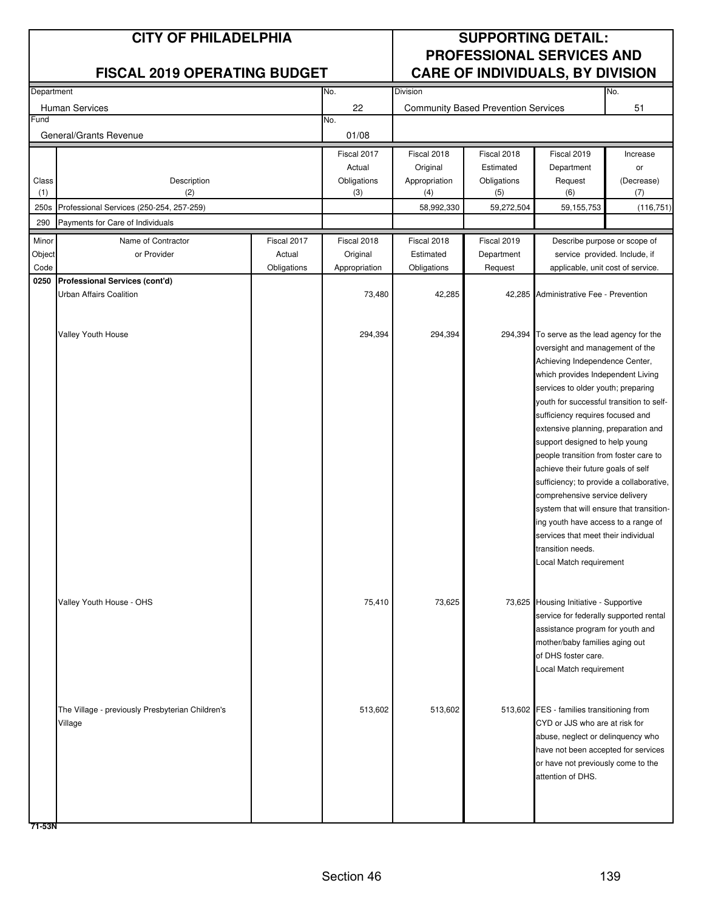| Department |                                                  |             | <b>Division</b><br>No. |               |                                            |                                                                         | No.        |
|------------|--------------------------------------------------|-------------|------------------------|---------------|--------------------------------------------|-------------------------------------------------------------------------|------------|
|            | <b>Human Services</b>                            |             | 22                     |               | <b>Community Based Prevention Services</b> |                                                                         | 51         |
| Fund       |                                                  |             | No.                    |               |                                            |                                                                         |            |
|            | General/Grants Revenue                           |             | 01/08                  |               |                                            |                                                                         |            |
|            |                                                  |             | Fiscal 2017            | Fiscal 2018   | Fiscal 2018                                | Fiscal 2019                                                             | Increase   |
|            |                                                  |             | Actual                 | Original      | Estimated                                  | Department                                                              | or         |
| Class      | Description                                      |             | Obligations            | Appropriation | Obligations                                | Request                                                                 | (Decrease) |
| (1)        | (2)                                              |             | (3)                    | (4)           | (5)                                        | (6)                                                                     | (7)        |
| 250s       | Professional Services (250-254, 257-259)         |             |                        | 58,992,330    | 59,272,504                                 | 59, 155, 753                                                            | (116, 751) |
| 290        | Payments for Care of Individuals                 |             |                        |               |                                            |                                                                         |            |
| Minor      | Name of Contractor                               | Fiscal 2017 | Fiscal 2018            | Fiscal 2018   | Fiscal 2019                                | Describe purpose or scope of                                            |            |
| Object     | or Provider                                      | Actual      | Original               | Estimated     | Department                                 | service provided. Include, if                                           |            |
| Code       |                                                  | Obligations | Appropriation          | Obligations   | Request                                    | applicable, unit cost of service.                                       |            |
| 0250       | Professional Services (cont'd)                   |             |                        |               |                                            |                                                                         |            |
|            | Urban Affairs Coalition                          |             | 73,480                 | 42,285        |                                            | 42,285 Administrative Fee - Prevention                                  |            |
|            |                                                  |             |                        |               |                                            |                                                                         |            |
|            | Valley Youth House                               |             | 294,394                | 294,394       |                                            | 294,394 To serve as the lead agency for the                             |            |
|            |                                                  |             |                        |               |                                            | oversight and management of the                                         |            |
|            |                                                  |             |                        |               |                                            | Achieving Independence Center,                                          |            |
|            |                                                  |             |                        |               |                                            | which provides Independent Living                                       |            |
|            |                                                  |             |                        |               |                                            | services to older youth; preparing                                      |            |
|            |                                                  |             |                        |               |                                            | youth for successful transition to self-                                |            |
|            |                                                  |             |                        |               |                                            | sufficiency requires focused and                                        |            |
|            |                                                  |             |                        |               |                                            | extensive planning, preparation and                                     |            |
|            |                                                  |             |                        |               |                                            | support designed to help young<br>people transition from foster care to |            |
|            |                                                  |             |                        |               | achieve their future goals of self         |                                                                         |            |
|            |                                                  |             |                        |               |                                            | sufficiency; to provide a collaborative,                                |            |
|            |                                                  |             |                        |               |                                            | comprehensive service delivery                                          |            |
|            |                                                  |             |                        |               |                                            | system that will ensure that transition-                                |            |
|            |                                                  |             |                        |               |                                            | ing youth have access to a range of                                     |            |
|            |                                                  |             |                        |               |                                            | services that meet their individual                                     |            |
|            |                                                  |             |                        |               |                                            | transition needs.                                                       |            |
|            |                                                  |             |                        |               |                                            | Local Match requirement                                                 |            |
|            |                                                  |             |                        |               |                                            |                                                                         |            |
|            | Valley Youth House - OHS                         |             | 75,410                 | 73,625        |                                            | 73,625 Housing Initiative - Supportive                                  |            |
|            |                                                  |             |                        |               |                                            | service for federally supported rental                                  |            |
|            |                                                  |             |                        |               |                                            | assistance program for youth and                                        |            |
|            |                                                  |             |                        |               |                                            | mother/baby families aging out                                          |            |
|            |                                                  |             |                        |               |                                            | of DHS foster care.                                                     |            |
|            |                                                  |             |                        |               |                                            | Local Match requirement                                                 |            |
|            |                                                  |             |                        |               |                                            |                                                                         |            |
|            | The Village - previously Presbyterian Children's |             | 513,602                | 513,602       |                                            | 513,602 FES - families transitioning from                               |            |
|            | Village                                          |             |                        |               |                                            | CYD or JJS who are at risk for                                          |            |
|            |                                                  |             |                        |               |                                            | abuse, neglect or delinquency who                                       |            |
|            |                                                  |             |                        |               |                                            | have not been accepted for services                                     |            |
|            |                                                  |             |                        |               |                                            | or have not previously come to the                                      |            |
|            |                                                  |             |                        |               |                                            | attention of DHS.                                                       |            |
|            |                                                  |             |                        |               |                                            |                                                                         |            |
|            |                                                  |             |                        |               |                                            |                                                                         |            |
|            |                                                  |             |                        |               |                                            |                                                                         |            |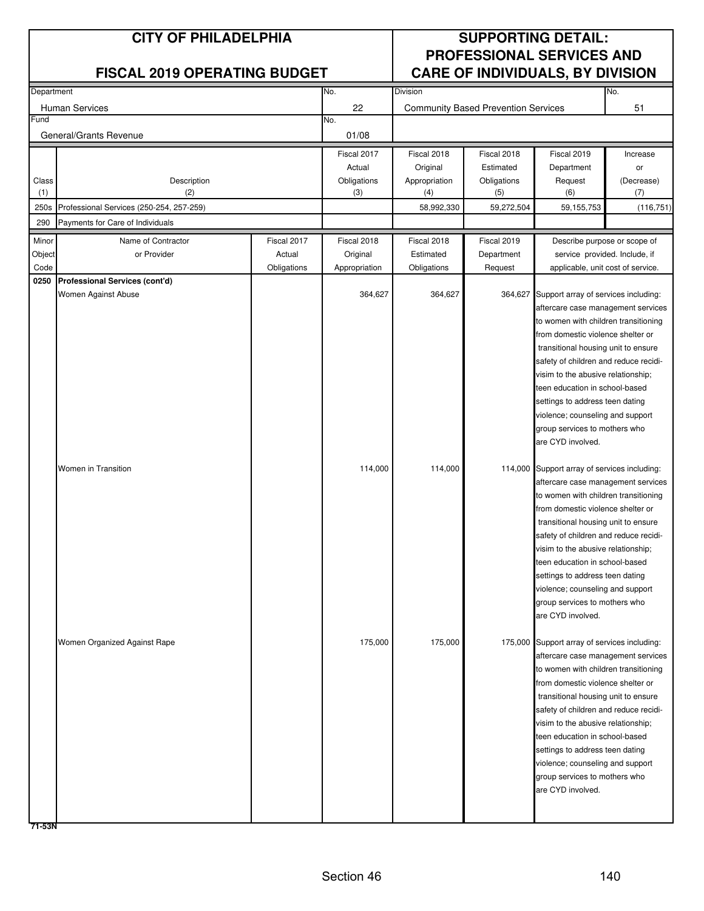| Department |                                          | No.         | Division      |               |                                                  | No.                                                                          |            |  |
|------------|------------------------------------------|-------------|---------------|---------------|--------------------------------------------------|------------------------------------------------------------------------------|------------|--|
|            | Human Services                           |             | 22            |               | 51<br><b>Community Based Prevention Services</b> |                                                                              |            |  |
| Fund       |                                          |             | No.           |               |                                                  |                                                                              |            |  |
|            | General/Grants Revenue                   |             | 01/08         |               |                                                  |                                                                              |            |  |
|            |                                          |             | Fiscal 2017   | Fiscal 2018   | Fiscal 2018                                      | Fiscal 2019                                                                  | Increase   |  |
|            |                                          |             | Actual        | Original      | Estimated                                        | Department                                                                   | or         |  |
| Class      | Description                              |             | Obligations   | Appropriation | Obligations                                      | Request                                                                      | (Decrease) |  |
| (1)        | (2)                                      |             | (3)           | (4)           | (5)                                              | (6)                                                                          | (7)        |  |
| 250s       | Professional Services (250-254, 257-259) |             |               | 58,992,330    | 59,272,504                                       | 59, 155, 753                                                                 | (116, 751) |  |
| 290        | Payments for Care of Individuals         |             |               |               |                                                  |                                                                              |            |  |
| Minor      | Name of Contractor                       | Fiscal 2017 | Fiscal 2018   | Fiscal 2018   | Fiscal 2019                                      | Describe purpose or scope of                                                 |            |  |
| Object     | or Provider                              | Actual      | Original      | Estimated     | Department                                       | service provided. Include, if                                                |            |  |
| Code       |                                          | Obligations | Appropriation | Obligations   | Request                                          | applicable, unit cost of service.                                            |            |  |
| 0250       | Professional Services (cont'd)           |             |               |               |                                                  |                                                                              |            |  |
|            | Women Against Abuse                      |             | 364,627       | 364,627       |                                                  | 364,627 Support array of services including:                                 |            |  |
|            |                                          |             |               |               |                                                  | aftercare case management services                                           |            |  |
|            |                                          |             |               |               |                                                  | to women with children transitioning                                         |            |  |
|            |                                          |             |               |               |                                                  | from domestic violence shelter or                                            |            |  |
|            |                                          |             |               |               |                                                  | transitional housing unit to ensure<br>safety of children and reduce recidi- |            |  |
|            |                                          |             |               |               |                                                  | visim to the abusive relationship;                                           |            |  |
|            |                                          |             |               |               |                                                  | teen education in school-based                                               |            |  |
|            |                                          |             |               |               |                                                  | settings to address teen dating                                              |            |  |
|            |                                          |             |               |               |                                                  | violence; counseling and support                                             |            |  |
|            |                                          |             |               |               |                                                  | group services to mothers who                                                |            |  |
|            |                                          |             |               |               |                                                  | are CYD involved.                                                            |            |  |
|            |                                          |             |               |               |                                                  |                                                                              |            |  |
|            | Women in Transition                      |             | 114,000       | 114,000       |                                                  | 114,000 Support array of services including:                                 |            |  |
|            |                                          |             |               |               |                                                  | aftercare case management services                                           |            |  |
|            |                                          |             |               |               |                                                  | to women with children transitioning                                         |            |  |
|            |                                          |             |               |               |                                                  | from domestic violence shelter or                                            |            |  |
|            |                                          |             |               |               |                                                  | transitional housing unit to ensure<br>safety of children and reduce recidi- |            |  |
|            |                                          |             |               |               |                                                  | visim to the abusive relationship;                                           |            |  |
|            |                                          |             |               |               |                                                  | teen education in school-based                                               |            |  |
|            |                                          |             |               |               |                                                  | settings to address teen dating                                              |            |  |
|            |                                          |             |               |               |                                                  | violence; counseling and support                                             |            |  |
|            |                                          |             |               |               |                                                  | group services to mothers who                                                |            |  |
|            |                                          |             |               |               |                                                  | are CYD involved.                                                            |            |  |
|            |                                          |             |               |               |                                                  |                                                                              |            |  |
|            | Women Organized Against Rape             |             | 175,000       | 175,000       |                                                  | 175,000 Support array of services including:                                 |            |  |
|            |                                          |             |               |               |                                                  | aftercare case management services                                           |            |  |
|            |                                          |             |               |               |                                                  | to women with children transitioning<br>from domestic violence shelter or    |            |  |
|            |                                          |             |               |               |                                                  | transitional housing unit to ensure                                          |            |  |
|            |                                          |             |               |               |                                                  | safety of children and reduce recidi-                                        |            |  |
|            |                                          |             |               |               |                                                  | visim to the abusive relationship;                                           |            |  |
|            |                                          |             |               |               |                                                  | teen education in school-based                                               |            |  |
|            |                                          |             |               |               |                                                  | settings to address teen dating                                              |            |  |
|            |                                          |             |               |               |                                                  | violence; counseling and support                                             |            |  |
|            |                                          |             |               |               |                                                  | group services to mothers who                                                |            |  |
|            |                                          |             |               |               |                                                  | are CYD involved.                                                            |            |  |
|            |                                          |             |               |               |                                                  |                                                                              |            |  |
|            |                                          |             |               |               |                                                  |                                                                              |            |  |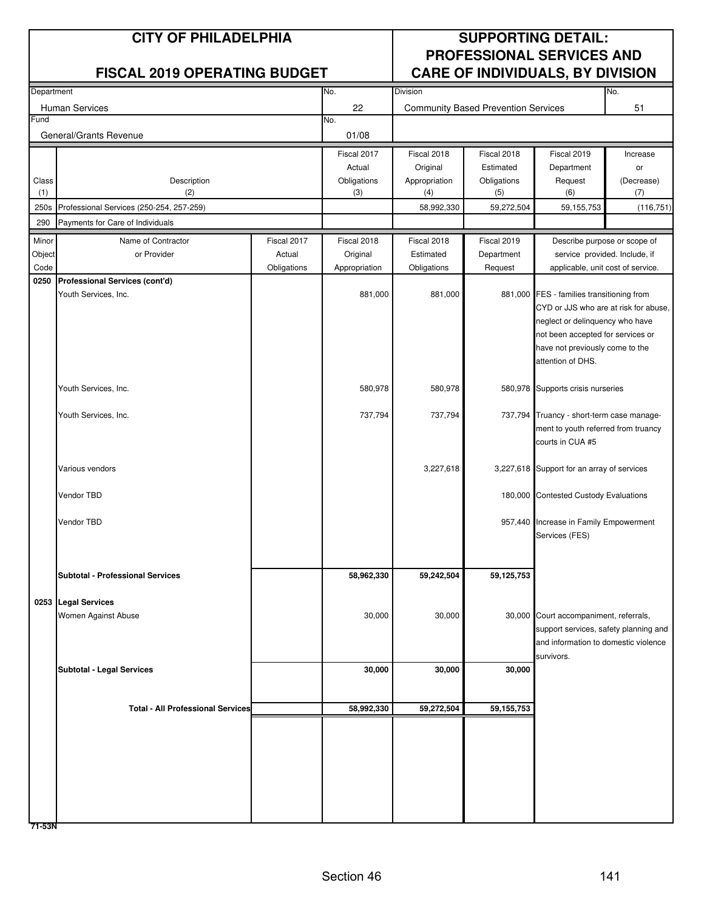| Department     |                                          |                       | No.                       | <b>Division</b>          |                                            | No.                                                  |                              |  |  |
|----------------|------------------------------------------|-----------------------|---------------------------|--------------------------|--------------------------------------------|------------------------------------------------------|------------------------------|--|--|
|                | Human Services                           |                       | 22                        |                          | <b>Community Based Prevention Services</b> |                                                      | 51                           |  |  |
| Fund           |                                          |                       | No.                       |                          |                                            |                                                      |                              |  |  |
|                | General/Grants Revenue                   |                       | 01/08                     |                          |                                            |                                                      |                              |  |  |
|                |                                          |                       | Fiscal 2017               | Fiscal 2018              | Fiscal 2018                                | Fiscal 2019                                          | Increase                     |  |  |
|                |                                          |                       | Actual                    | Original                 | Estimated                                  | Department                                           | or                           |  |  |
| Class          | Description                              |                       | Obligations               | Appropriation            | Obligations                                | Request                                              | (Decrease)                   |  |  |
| (1)            | (2)                                      |                       | (3)                       | (4)                      | (5)                                        | (6)                                                  | (7)                          |  |  |
| 250s           | Professional Services (250-254, 257-259) |                       |                           | 58,992,330               | 59,272,504                                 | 59, 155, 753                                         | (116, 751)                   |  |  |
| 290            | Payments for Care of Individuals         |                       |                           |                          |                                            |                                                      |                              |  |  |
| Minor          | Name of Contractor                       | Fiscal 2017           | Fiscal 2018               | Fiscal 2018              | Fiscal 2019                                |                                                      | Describe purpose or scope of |  |  |
| Object<br>Code | or Provider                              | Actual<br>Obligations | Original<br>Appropriation | Estimated<br>Obligations | Department<br>Request                      | service provided. Include, if                        |                              |  |  |
| 0250           | Professional Services (cont'd)           |                       |                           |                          |                                            | applicable, unit cost of service.                    |                              |  |  |
|                | Youth Services, Inc.                     |                       | 881,000                   | 881,000                  |                                            | 881,000 FES - families transitioning from            |                              |  |  |
|                |                                          |                       |                           |                          |                                            | CYD or JJS who are at risk for abuse,                |                              |  |  |
|                |                                          |                       |                           |                          |                                            | neglect or delinquency who have                      |                              |  |  |
|                |                                          |                       |                           |                          |                                            | not been accepted for services or                    |                              |  |  |
|                |                                          |                       |                           |                          |                                            | have not previously come to the<br>attention of DHS. |                              |  |  |
|                |                                          |                       |                           |                          |                                            |                                                      |                              |  |  |
|                | Youth Services, Inc.                     |                       | 580,978                   | 580,978                  |                                            | 580,978 Supports crisis nurseries                    |                              |  |  |
|                |                                          |                       |                           |                          |                                            |                                                      |                              |  |  |
|                | Youth Services, Inc.                     |                       | 737,794                   | 737,794                  |                                            | 737,794 Truancy - short-term case manage-            |                              |  |  |
|                |                                          |                       |                           |                          |                                            | ment to youth referred from truancy                  |                              |  |  |
|                |                                          |                       |                           |                          |                                            | courts in CUA #5                                     |                              |  |  |
|                | Various vendors                          |                       |                           | 3,227,618                |                                            | 3,227,618 Support for an array of services           |                              |  |  |
|                |                                          |                       |                           |                          |                                            |                                                      |                              |  |  |
|                | Vendor TBD                               |                       |                           |                          |                                            | 180,000 Contested Custody Evaluations                |                              |  |  |
|                |                                          |                       |                           |                          |                                            |                                                      |                              |  |  |
|                | Vendor TBD                               |                       |                           |                          |                                            | 957,440 Increase in Family Empowerment               |                              |  |  |
|                |                                          |                       |                           |                          |                                            | Services (FES)                                       |                              |  |  |
|                |                                          |                       |                           |                          |                                            |                                                      |                              |  |  |
|                | <b>Subtotal - Professional Services</b>  |                       | 58,962,330                | 59,242,504               | 59,125,753                                 |                                                      |                              |  |  |
|                |                                          |                       |                           |                          |                                            |                                                      |                              |  |  |
|                | 0253 Legal Services                      |                       |                           |                          |                                            |                                                      |                              |  |  |
|                | Women Against Abuse                      |                       | 30,000                    | 30,000                   |                                            | 30,000 Court accompaniment, referrals,               |                              |  |  |
|                |                                          |                       |                           |                          |                                            | support services, safety planning and                |                              |  |  |
|                |                                          |                       |                           |                          |                                            | and information to domestic violence<br>survivors.   |                              |  |  |
|                | <b>Subtotal - Legal Services</b>         |                       | 30,000                    | 30,000                   | 30,000                                     |                                                      |                              |  |  |
|                |                                          |                       |                           |                          |                                            |                                                      |                              |  |  |
|                |                                          |                       |                           |                          |                                            |                                                      |                              |  |  |
|                | <b>Total - All Professional Services</b> |                       | 58,992,330                | 59,272,504               | 59, 155, 753                               |                                                      |                              |  |  |
|                |                                          |                       |                           |                          |                                            |                                                      |                              |  |  |
|                |                                          |                       |                           |                          |                                            |                                                      |                              |  |  |
|                |                                          |                       |                           |                          |                                            |                                                      |                              |  |  |
|                |                                          |                       |                           |                          |                                            |                                                      |                              |  |  |
|                |                                          |                       |                           |                          |                                            |                                                      |                              |  |  |
|                |                                          |                       |                           |                          |                                            |                                                      |                              |  |  |
|                |                                          |                       |                           |                          |                                            |                                                      |                              |  |  |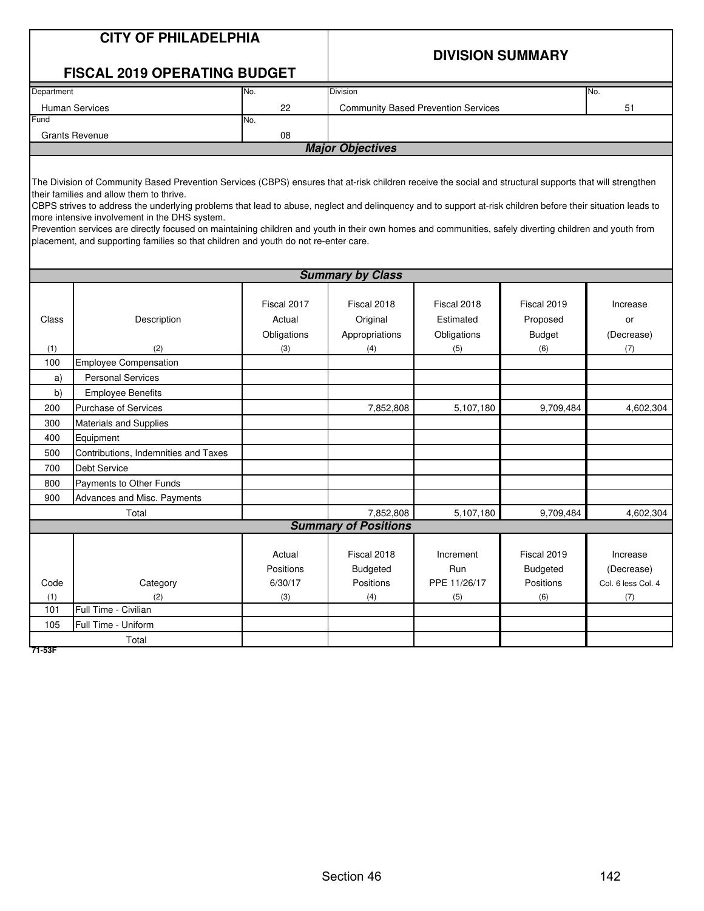|              | <b>CITY OF PHILADELPHIA</b><br><b>FISCAL 2019 OPERATING BUDGET</b>                                                                                                                                                                                                                                                                                                                                                                                                                                                                                                                                                                                                     |                                             | <b>DIVISION SUMMARY</b>                          |                                                |                                                    |                                                     |  |  |
|--------------|------------------------------------------------------------------------------------------------------------------------------------------------------------------------------------------------------------------------------------------------------------------------------------------------------------------------------------------------------------------------------------------------------------------------------------------------------------------------------------------------------------------------------------------------------------------------------------------------------------------------------------------------------------------------|---------------------------------------------|--------------------------------------------------|------------------------------------------------|----------------------------------------------------|-----------------------------------------------------|--|--|
| Department   |                                                                                                                                                                                                                                                                                                                                                                                                                                                                                                                                                                                                                                                                        | No.                                         | <b>Division</b>                                  |                                                |                                                    | No.                                                 |  |  |
|              | Human Services                                                                                                                                                                                                                                                                                                                                                                                                                                                                                                                                                                                                                                                         | 22                                          | <b>Community Based Prevention Services</b><br>51 |                                                |                                                    |                                                     |  |  |
| Fund         |                                                                                                                                                                                                                                                                                                                                                                                                                                                                                                                                                                                                                                                                        | No.                                         |                                                  |                                                |                                                    |                                                     |  |  |
|              | <b>Grants Revenue</b>                                                                                                                                                                                                                                                                                                                                                                                                                                                                                                                                                                                                                                                  | 08                                          |                                                  |                                                |                                                    |                                                     |  |  |
|              |                                                                                                                                                                                                                                                                                                                                                                                                                                                                                                                                                                                                                                                                        |                                             | <b>Major Objectives</b>                          |                                                |                                                    |                                                     |  |  |
|              | The Division of Community Based Prevention Services (CBPS) ensures that at-risk children receive the social and structural supports that will strengthen<br>their families and allow them to thrive.<br>CBPS strives to address the underlying problems that lead to abuse, neglect and delinquency and to support at-risk children before their situation leads to<br>more intensive involvement in the DHS system.<br>Prevention services are directly focused on maintaining children and youth in their own homes and communities, safely diverting children and youth from<br>placement, and supporting families so that children and youth do not re-enter care. |                                             |                                                  |                                                |                                                    |                                                     |  |  |
|              |                                                                                                                                                                                                                                                                                                                                                                                                                                                                                                                                                                                                                                                                        |                                             | <b>Summary by Class</b>                          |                                                |                                                    |                                                     |  |  |
| Class<br>(1) | Description<br>(2)                                                                                                                                                                                                                                                                                                                                                                                                                                                                                                                                                                                                                                                     | Fiscal 2017<br>Actual<br>Obligations<br>(3) | Fiscal 2018<br>Original<br>Appropriations<br>(4) | Fiscal 2018<br>Estimated<br>Obligations<br>(5) | Fiscal 2019<br>Proposed<br><b>Budget</b><br>(6)    | Increase<br>or<br>(Decrease)<br>(7)                 |  |  |
| 100          | <b>Employee Compensation</b>                                                                                                                                                                                                                                                                                                                                                                                                                                                                                                                                                                                                                                           |                                             |                                                  |                                                |                                                    |                                                     |  |  |
| a)           | <b>Personal Services</b>                                                                                                                                                                                                                                                                                                                                                                                                                                                                                                                                                                                                                                               |                                             |                                                  |                                                |                                                    |                                                     |  |  |
| b)           | <b>Employee Benefits</b>                                                                                                                                                                                                                                                                                                                                                                                                                                                                                                                                                                                                                                               |                                             |                                                  |                                                |                                                    |                                                     |  |  |
| 200          | <b>Purchase of Services</b>                                                                                                                                                                                                                                                                                                                                                                                                                                                                                                                                                                                                                                            |                                             | 7,852,808                                        | 5,107,180                                      | 9,709,484                                          | 4,602,304                                           |  |  |
| 300          | <b>Materials and Supplies</b>                                                                                                                                                                                                                                                                                                                                                                                                                                                                                                                                                                                                                                          |                                             |                                                  |                                                |                                                    |                                                     |  |  |
| 400          | Equipment                                                                                                                                                                                                                                                                                                                                                                                                                                                                                                                                                                                                                                                              |                                             |                                                  |                                                |                                                    |                                                     |  |  |
| 500          | Contributions, Indemnities and Taxes                                                                                                                                                                                                                                                                                                                                                                                                                                                                                                                                                                                                                                   |                                             |                                                  |                                                |                                                    |                                                     |  |  |
| 700          | <b>Debt Service</b>                                                                                                                                                                                                                                                                                                                                                                                                                                                                                                                                                                                                                                                    |                                             |                                                  |                                                |                                                    |                                                     |  |  |
| 800          | Payments to Other Funds                                                                                                                                                                                                                                                                                                                                                                                                                                                                                                                                                                                                                                                |                                             |                                                  |                                                |                                                    |                                                     |  |  |
| 900          | Advances and Misc. Payments                                                                                                                                                                                                                                                                                                                                                                                                                                                                                                                                                                                                                                            |                                             |                                                  |                                                |                                                    |                                                     |  |  |
|              | Total                                                                                                                                                                                                                                                                                                                                                                                                                                                                                                                                                                                                                                                                  |                                             | 7,852,808                                        | 5,107,180                                      | 9,709,484                                          | 4.602.304                                           |  |  |
|              |                                                                                                                                                                                                                                                                                                                                                                                                                                                                                                                                                                                                                                                                        |                                             | <b>Summary of Positions</b>                      |                                                |                                                    |                                                     |  |  |
| Code<br>(1)  | Category<br>(2)                                                                                                                                                                                                                                                                                                                                                                                                                                                                                                                                                                                                                                                        | Actual<br>Positions<br>6/30/17<br>(3)       | Fiscal 2018<br>Budgeted<br>Positions<br>(4)      | Increment<br>Run<br>PPE 11/26/17<br>(5)        | Fiscal 2019<br><b>Budgeted</b><br>Positions<br>(6) | Increase<br>(Decrease)<br>Col. 6 less Col. 4<br>(7) |  |  |
| 101          | Full Time - Civilian                                                                                                                                                                                                                                                                                                                                                                                                                                                                                                                                                                                                                                                   |                                             |                                                  |                                                |                                                    |                                                     |  |  |
| 105          | Full Time - Uniform                                                                                                                                                                                                                                                                                                                                                                                                                                                                                                                                                                                                                                                    |                                             |                                                  |                                                |                                                    |                                                     |  |  |
|              | Total                                                                                                                                                                                                                                                                                                                                                                                                                                                                                                                                                                                                                                                                  |                                             |                                                  |                                                |                                                    |                                                     |  |  |
| 71-53F       |                                                                                                                                                                                                                                                                                                                                                                                                                                                                                                                                                                                                                                                                        |                                             |                                                  |                                                |                                                    |                                                     |  |  |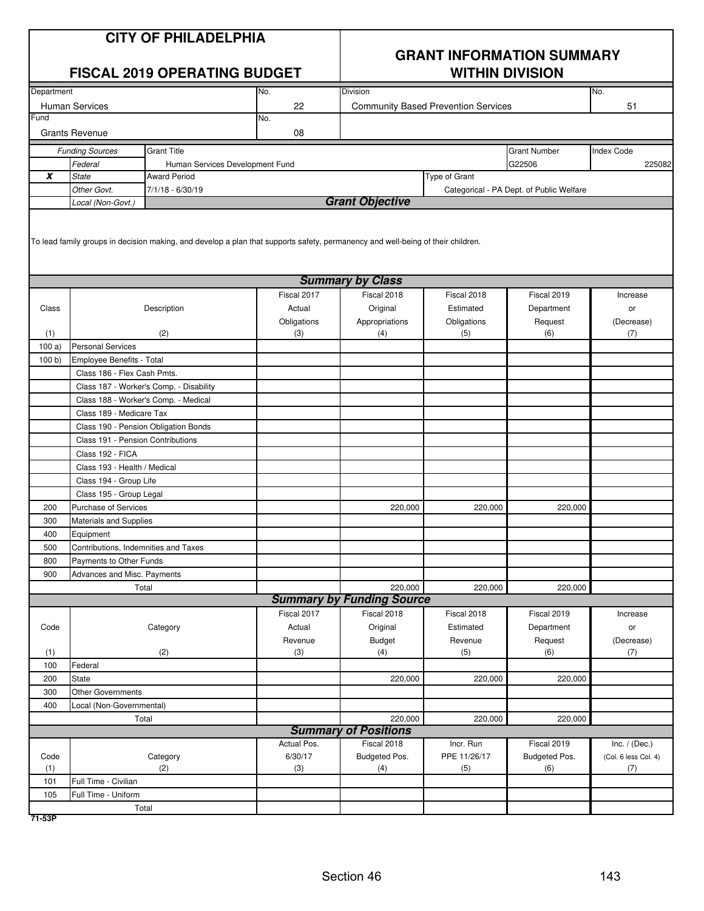|            |                                      | <b>CITY OF PHILADELPHIA</b><br><b>FISCAL 2019 OPERATING BUDGET</b>                                                              |                       | <b>GRANT INFORMATION SUMMARY</b><br><b>WITHIN DIVISION</b> |                                            |                                          |                      |  |  |
|------------|--------------------------------------|---------------------------------------------------------------------------------------------------------------------------------|-----------------------|------------------------------------------------------------|--------------------------------------------|------------------------------------------|----------------------|--|--|
| Department |                                      |                                                                                                                                 | No.                   | Division                                                   |                                            |                                          | No.                  |  |  |
|            | <b>Human Services</b>                |                                                                                                                                 | 22                    |                                                            | <b>Community Based Prevention Services</b> |                                          | 51                   |  |  |
| Fund       | <b>Grants Revenue</b>                |                                                                                                                                 | No.<br>08             |                                                            |                                            |                                          |                      |  |  |
|            |                                      | <b>Grant Title</b>                                                                                                              |                       |                                                            |                                            | <b>Grant Number</b>                      | <b>Index Code</b>    |  |  |
|            | <b>Funding Sources</b><br>Federal    |                                                                                                                                 |                       |                                                            |                                            | G22506                                   | 225082               |  |  |
| X          | <b>State</b>                         | Human Services Development Fund<br><b>Award Period</b>                                                                          |                       |                                                            | Type of Grant                              |                                          |                      |  |  |
|            | Other Govt.                          | 7/1/18 - 6/30/19                                                                                                                |                       |                                                            |                                            | Categorical - PA Dept. of Public Welfare |                      |  |  |
|            | Local (Non-Govt.)                    |                                                                                                                                 |                       | <b>Grant Objective</b>                                     |                                            |                                          |                      |  |  |
|            |                                      | To lead family groups in decision making, and develop a plan that supports safety, permanency and well-being of their children. |                       |                                                            |                                            |                                          |                      |  |  |
|            |                                      |                                                                                                                                 |                       | <b>Summary by Class</b>                                    |                                            |                                          |                      |  |  |
|            |                                      |                                                                                                                                 | Fiscal 2017           | Fiscal 2018                                                | Fiscal 2018                                | Fiscal 2019                              | Increase             |  |  |
| Class      |                                      | Description                                                                                                                     | Actual<br>Obligations | Original<br>Appropriations                                 | Estimated<br>Obligations                   | Department<br>Request                    | or<br>(Decrease)     |  |  |
| (1)        |                                      | (2)                                                                                                                             | (3)                   | (4)                                                        | (5)                                        | (6)                                      | (7)                  |  |  |
| 100a)      | <b>Personal Services</b>             |                                                                                                                                 |                       |                                                            |                                            |                                          |                      |  |  |
| 100 b)     | Employee Benefits - Total            |                                                                                                                                 |                       |                                                            |                                            |                                          |                      |  |  |
|            | Class 186 - Flex Cash Pmts.          |                                                                                                                                 |                       |                                                            |                                            |                                          |                      |  |  |
|            |                                      | Class 187 - Worker's Comp. - Disability                                                                                         |                       |                                                            |                                            |                                          |                      |  |  |
|            |                                      | Class 188 - Worker's Comp. - Medical                                                                                            |                       |                                                            |                                            |                                          |                      |  |  |
|            | Class 189 - Medicare Tax             |                                                                                                                                 |                       |                                                            |                                            |                                          |                      |  |  |
|            |                                      | Class 190 - Pension Obligation Bonds                                                                                            |                       |                                                            |                                            |                                          |                      |  |  |
|            | Class 191 - Pension Contributions    |                                                                                                                                 |                       |                                                            |                                            |                                          |                      |  |  |
|            | Class 192 - FICA                     |                                                                                                                                 |                       |                                                            |                                            |                                          |                      |  |  |
|            | Class 193 - Health / Medical         |                                                                                                                                 |                       |                                                            |                                            |                                          |                      |  |  |
|            | Class 194 - Group Life               |                                                                                                                                 |                       |                                                            |                                            |                                          |                      |  |  |
|            | Class 195 - Group Legal              |                                                                                                                                 |                       |                                                            |                                            |                                          |                      |  |  |
| 200        | Purchase of Services                 |                                                                                                                                 |                       | 220,000                                                    | 220,000                                    | 220,000                                  |                      |  |  |
| 300        | <b>Materials and Supplies</b>        |                                                                                                                                 |                       |                                                            |                                            |                                          |                      |  |  |
| 400        | Equipment                            |                                                                                                                                 |                       |                                                            |                                            |                                          |                      |  |  |
| 500        | Contributions, Indemnities and Taxes |                                                                                                                                 |                       |                                                            |                                            |                                          |                      |  |  |
| 800        | Payments to Other Funds              |                                                                                                                                 |                       |                                                            |                                            |                                          |                      |  |  |
| 900        | Advances and Misc. Payments          |                                                                                                                                 |                       |                                                            |                                            |                                          |                      |  |  |
|            |                                      | Total                                                                                                                           |                       | 220,000<br><b>Summary by Funding Source</b>                | 220,000                                    | 220,000                                  |                      |  |  |
|            |                                      |                                                                                                                                 | Fiscal 2017           | Fiscal 2018                                                | Fiscal 2018                                | Fiscal 2019                              |                      |  |  |
| Code       |                                      | Category                                                                                                                        | Actual                | Original                                                   | Estimated                                  | Department                               | Increase             |  |  |
|            |                                      |                                                                                                                                 | Revenue               | Budget                                                     | Revenue                                    | Request                                  | or<br>(Decrease)     |  |  |
| (1)        |                                      | (2)                                                                                                                             | (3)                   | (4)                                                        | (5)                                        | (6)                                      | (7)                  |  |  |
| 100        | Federal                              |                                                                                                                                 |                       |                                                            |                                            |                                          |                      |  |  |
| 200        | State                                |                                                                                                                                 |                       | 220,000                                                    | 220,000                                    | 220,000                                  |                      |  |  |
| 300        | Other Governments                    |                                                                                                                                 |                       |                                                            |                                            |                                          |                      |  |  |
| 400        | Local (Non-Governmental)             |                                                                                                                                 |                       |                                                            |                                            |                                          |                      |  |  |
|            |                                      | Total                                                                                                                           |                       | 220,000                                                    | 220,000                                    | 220,000                                  |                      |  |  |
|            |                                      |                                                                                                                                 |                       | <b>Summary of Positions</b>                                |                                            |                                          |                      |  |  |
|            |                                      |                                                                                                                                 | Actual Pos.           | Fiscal 2018                                                | Incr. Run                                  | Fiscal 2019                              | Inc. $/$ (Dec.)      |  |  |
| Code       |                                      | Category                                                                                                                        | 6/30/17               | Budgeted Pos.                                              | PPE 11/26/17                               | Budgeted Pos.                            | (Col. 6 less Col. 4) |  |  |
| (1)        |                                      | (2)                                                                                                                             | (3)                   | (4)                                                        | (5)                                        | (6)                                      | (7)                  |  |  |
| 101        | Full Time - Civilian                 |                                                                                                                                 |                       |                                                            |                                            |                                          |                      |  |  |
| 105        | Full Time - Uniform                  |                                                                                                                                 |                       |                                                            |                                            |                                          |                      |  |  |
|            |                                      | Total                                                                                                                           |                       |                                                            |                                            |                                          |                      |  |  |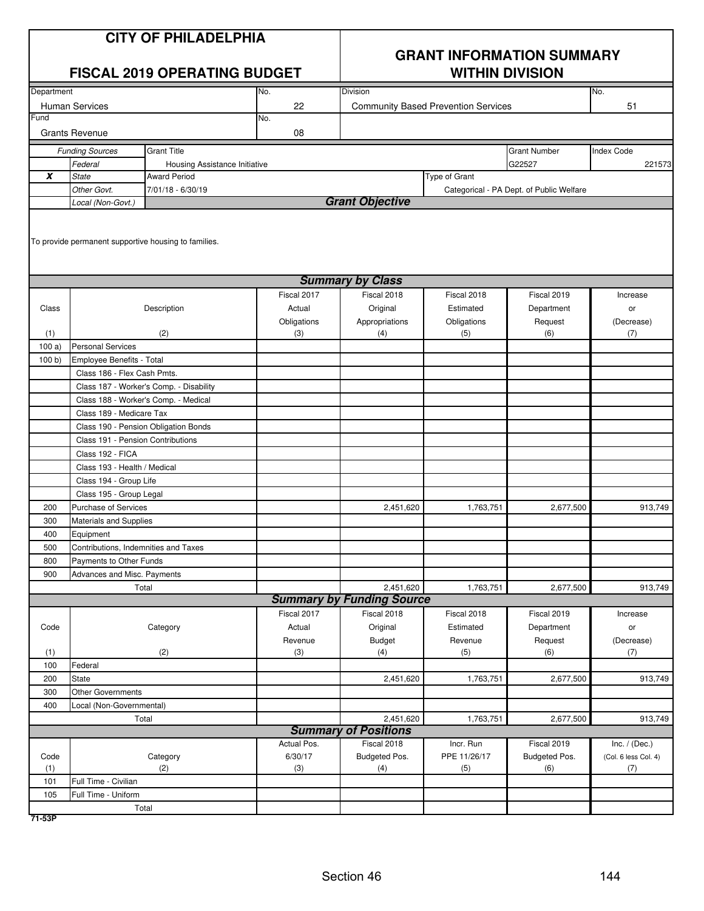| <b>CITY OF PHILADELPHIA</b><br><b>FISCAL 2019 OPERATING BUDGET</b> |                                                        |                                                      |                    | <b>GRANT INFORMATION SUMMARY</b><br><b>WITHIN DIVISION</b> |               |                                          |                      |
|--------------------------------------------------------------------|--------------------------------------------------------|------------------------------------------------------|--------------------|------------------------------------------------------------|---------------|------------------------------------------|----------------------|
| Department                                                         |                                                        |                                                      | No.                | Division                                                   |               |                                          | No.                  |
| <b>Human Services</b>                                              |                                                        |                                                      | 22                 | <b>Community Based Prevention Services</b>                 |               | 51                                       |                      |
| Fund                                                               |                                                        |                                                      | No.                |                                                            |               |                                          |                      |
|                                                                    | <b>Grants Revenue</b>                                  |                                                      | 08                 |                                                            |               |                                          |                      |
|                                                                    | <b>Funding Sources</b>                                 | <b>Grant Title</b>                                   |                    |                                                            |               | <b>Grant Number</b>                      | <b>Index Code</b>    |
| Federal<br>Housing Assistance Initiative                           |                                                        |                                                      |                    |                                                            |               | G22527                                   | 221573               |
| X                                                                  | <b>State</b><br><b>Award Period</b>                    |                                                      |                    |                                                            | Type of Grant |                                          |                      |
|                                                                    | 7/01/18 - 6/30/19<br>Other Govt.                       |                                                      |                    |                                                            |               | Categorical - PA Dept. of Public Welfare |                      |
|                                                                    | Local (Non-Govt.)                                      |                                                      |                    | <b>Grant Objective</b>                                     |               |                                          |                      |
|                                                                    |                                                        | To provide permanent supportive housing to families. |                    | <b>Summary by Class</b>                                    |               |                                          |                      |
|                                                                    |                                                        |                                                      | Fiscal 2017        | Fiscal 2018                                                | Fiscal 2018   | Fiscal 2019                              | Increase             |
| Class                                                              | Description                                            |                                                      | Actual             | Original                                                   | Estimated     | Department                               | or                   |
|                                                                    |                                                        |                                                      |                    | Appropriations                                             | Obligations   | Request                                  | (Decrease)           |
| (1)                                                                | (2)                                                    |                                                      | Obligations<br>(3) | (4)                                                        | (5)           | (6)                                      | (7)                  |
| 100a)                                                              | <b>Personal Services</b>                               |                                                      |                    |                                                            |               |                                          |                      |
| 100 b                                                              | Employee Benefits - Total                              |                                                      |                    |                                                            |               |                                          |                      |
|                                                                    | Class 186 - Flex Cash Pmts.                            |                                                      |                    |                                                            |               |                                          |                      |
|                                                                    | Class 187 - Worker's Comp. - Disability                |                                                      |                    |                                                            |               |                                          |                      |
|                                                                    |                                                        | Class 188 - Worker's Comp. - Medical                 |                    |                                                            |               |                                          |                      |
|                                                                    | Class 189 - Medicare Tax                               |                                                      |                    |                                                            |               |                                          |                      |
|                                                                    | Class 190 - Pension Obligation Bonds                   |                                                      |                    |                                                            |               |                                          |                      |
|                                                                    | Class 191 - Pension Contributions                      |                                                      |                    |                                                            |               |                                          |                      |
|                                                                    | Class 192 - FICA                                       |                                                      |                    |                                                            |               |                                          |                      |
|                                                                    | Class 193 - Health / Medical                           |                                                      |                    |                                                            |               |                                          |                      |
|                                                                    | Class 194 - Group Life                                 |                                                      |                    |                                                            |               |                                          |                      |
|                                                                    | Class 195 - Group Legal                                |                                                      |                    |                                                            |               |                                          |                      |
| 200                                                                | <b>Purchase of Services</b>                            |                                                      |                    | 2,451,620                                                  | 1,763,751     | 2,677,500                                | 913,749              |
| 300                                                                | <b>Materials and Supplies</b>                          |                                                      |                    |                                                            |               |                                          |                      |
| 400                                                                | Equipment                                              |                                                      |                    |                                                            |               |                                          |                      |
| 500                                                                | Contributions, Indemnities and Taxes                   |                                                      |                    |                                                            |               |                                          |                      |
| 800                                                                | Payments to Other Funds<br>Advances and Misc. Payments |                                                      |                    |                                                            |               |                                          |                      |
| 900                                                                |                                                        |                                                      |                    |                                                            |               |                                          |                      |
|                                                                    |                                                        | Total                                                |                    | 2,451,620<br><b>Summary by Funding Source</b>              | 1,763,751     | 2,677,500                                | 913,749              |
|                                                                    |                                                        |                                                      | Fiscal 2017        | Fiscal 2018                                                | Fiscal 2018   | Fiscal 2019                              | Increase             |
| Code                                                               |                                                        | Category                                             | Actual             | Original                                                   | Estimated     | Department                               | or                   |
|                                                                    |                                                        |                                                      | Revenue            | <b>Budget</b>                                              | Revenue       | Request                                  | (Decrease)           |
| (1)                                                                |                                                        | (2)                                                  | (3)                | (4)                                                        | (5)           | (6)                                      | (7)                  |
| 100                                                                | Federal                                                |                                                      |                    |                                                            |               |                                          |                      |
| 200                                                                | State                                                  |                                                      |                    | 2,451,620                                                  | 1,763,751     | 2,677,500                                | 913,749              |
| 300                                                                | <b>Other Governments</b>                               |                                                      |                    |                                                            |               |                                          |                      |
| 400                                                                | Local (Non-Governmental)                               |                                                      |                    |                                                            |               |                                          |                      |
| 2,451,620<br>1,763,751<br>2,677,500<br>Total                       |                                                        |                                                      |                    |                                                            |               |                                          | 913,749              |
| <b>Summary of Positions</b>                                        |                                                        |                                                      |                    |                                                            |               |                                          |                      |
|                                                                    |                                                        |                                                      | Actual Pos.        | Fiscal 2018                                                | Incr. Run     | Fiscal 2019                              | Inc. $/$ (Dec.)      |
| Code                                                               |                                                        | Category                                             | 6/30/17            | Budgeted Pos.                                              | PPE 11/26/17  | Budgeted Pos.                            | (Col. 6 less Col. 4) |
| (1)                                                                | Full Time - Civilian                                   | (2)                                                  | (3)                | (4)                                                        | (5)           | (6)                                      | (7)                  |
| 101<br>105                                                         | Full Time - Uniform                                    |                                                      |                    |                                                            |               |                                          |                      |
|                                                                    |                                                        | Total                                                |                    |                                                            |               |                                          |                      |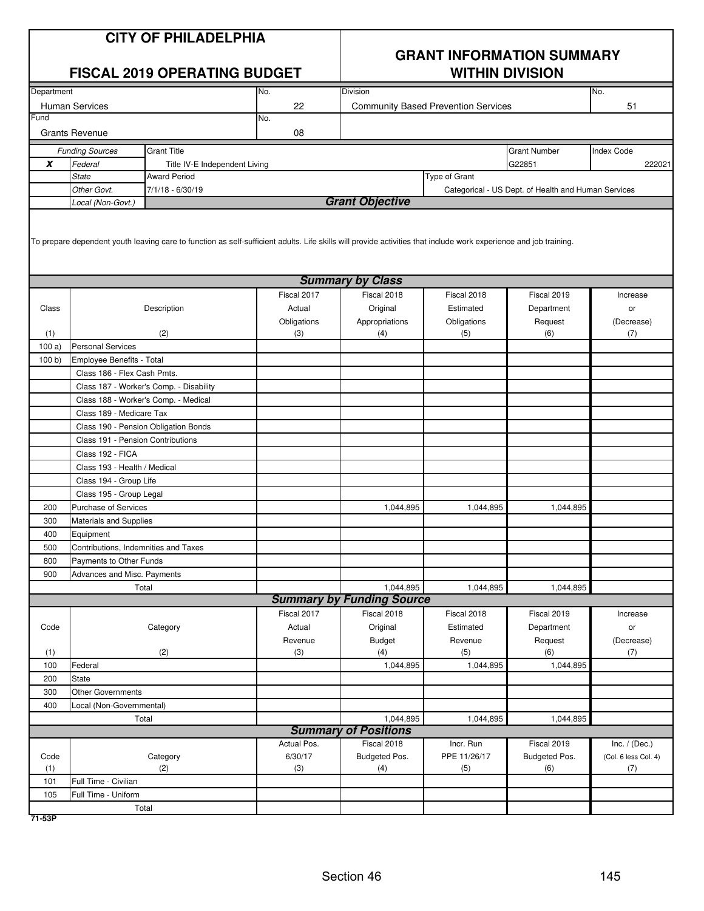| <b>CITY OF PHILADELPHIA</b><br><b>FISCAL 2019 OPERATING BUDGET</b> |                                      |                                                                                                                                                                   |             | <b>GRANT INFORMATION SUMMARY</b><br><b>WITHIN DIVISION</b> |                                            |                                                     |                      |  |
|--------------------------------------------------------------------|--------------------------------------|-------------------------------------------------------------------------------------------------------------------------------------------------------------------|-------------|------------------------------------------------------------|--------------------------------------------|-----------------------------------------------------|----------------------|--|
| Department<br>No.                                                  |                                      |                                                                                                                                                                   |             | Division                                                   |                                            |                                                     | No.                  |  |
|                                                                    | <b>Human Services</b>                |                                                                                                                                                                   | 22          |                                                            | <b>Community Based Prevention Services</b> |                                                     | 51                   |  |
| Fund                                                               |                                      |                                                                                                                                                                   | No.         |                                                            |                                            |                                                     |                      |  |
|                                                                    | <b>Grants Revenue</b>                |                                                                                                                                                                   | 08          |                                                            |                                            |                                                     |                      |  |
|                                                                    | <b>Funding Sources</b>               | <b>Grant Title</b>                                                                                                                                                |             |                                                            |                                            | <b>Grant Number</b>                                 | <b>Index Code</b>    |  |
| X                                                                  | Federal                              | Title IV-E Independent Living                                                                                                                                     |             |                                                            |                                            | G22851                                              | 222021               |  |
|                                                                    | <b>State</b>                         | <b>Award Period</b>                                                                                                                                               |             | Type of Grant                                              |                                            |                                                     |                      |  |
|                                                                    | Other Govt.<br>Local (Non-Govt.)     | 7/1/18 - 6/30/19                                                                                                                                                  |             | <b>Grant Objective</b>                                     |                                            | Categorical - US Dept. of Health and Human Services |                      |  |
|                                                                    |                                      | To prepare dependent youth leaving care to function as self-sufficient adults. Life skills will provide activities that include work experience and job training. |             |                                                            |                                            |                                                     |                      |  |
|                                                                    |                                      |                                                                                                                                                                   |             | <b>Summary by Class</b>                                    |                                            |                                                     |                      |  |
|                                                                    |                                      |                                                                                                                                                                   | Fiscal 2017 | Fiscal 2018                                                | Fiscal 2018                                | Fiscal 2019                                         | Increase             |  |
| Class                                                              |                                      | Description                                                                                                                                                       | Actual      | Original                                                   | Estimated                                  | Department                                          | or                   |  |
|                                                                    |                                      |                                                                                                                                                                   | Obligations | Appropriations                                             | Obligations                                | Request                                             | (Decrease)           |  |
| (1)                                                                |                                      | (2)                                                                                                                                                               | (3)         | (4)                                                        | (5)                                        | (6)                                                 | (7)                  |  |
| 100a)                                                              | <b>Personal Services</b>             |                                                                                                                                                                   |             |                                                            |                                            |                                                     |                      |  |
| 100 b)                                                             | Employee Benefits - Total            |                                                                                                                                                                   |             |                                                            |                                            |                                                     |                      |  |
|                                                                    | Class 186 - Flex Cash Pmts.          |                                                                                                                                                                   |             |                                                            |                                            |                                                     |                      |  |
|                                                                    |                                      | Class 187 - Worker's Comp. - Disability                                                                                                                           |             |                                                            |                                            |                                                     |                      |  |
|                                                                    | Class 188 - Worker's Comp. - Medical |                                                                                                                                                                   |             |                                                            |                                            |                                                     |                      |  |
|                                                                    | Class 189 - Medicare Tax             |                                                                                                                                                                   |             |                                                            |                                            |                                                     |                      |  |
|                                                                    | Class 190 - Pension Obligation Bonds |                                                                                                                                                                   |             |                                                            |                                            |                                                     |                      |  |
|                                                                    | Class 191 - Pension Contributions    |                                                                                                                                                                   |             |                                                            |                                            |                                                     |                      |  |
|                                                                    | Class 192 - FICA                     |                                                                                                                                                                   |             |                                                            |                                            |                                                     |                      |  |
|                                                                    | Class 193 - Health / Medical         |                                                                                                                                                                   |             |                                                            |                                            |                                                     |                      |  |
|                                                                    | Class 194 - Group Life               |                                                                                                                                                                   |             |                                                            |                                            |                                                     |                      |  |
|                                                                    | Class 195 - Group Legal              |                                                                                                                                                                   |             |                                                            |                                            |                                                     |                      |  |
| 200                                                                | Purchase of Services                 |                                                                                                                                                                   |             | 1,044,895                                                  | 1,044,895                                  | 1,044,895                                           |                      |  |
| 300                                                                | <b>Materials and Supplies</b>        |                                                                                                                                                                   |             |                                                            |                                            |                                                     |                      |  |
| 400                                                                | Equipment                            |                                                                                                                                                                   |             |                                                            |                                            |                                                     |                      |  |
| 500                                                                | Contributions, Indemnities and Taxes |                                                                                                                                                                   |             |                                                            |                                            |                                                     |                      |  |
| 800                                                                | Payments to Other Funds              |                                                                                                                                                                   |             |                                                            |                                            |                                                     |                      |  |
| 900                                                                | Advances and Misc. Payments          |                                                                                                                                                                   |             |                                                            |                                            |                                                     |                      |  |
|                                                                    |                                      | Total                                                                                                                                                             |             | 1,044,895                                                  | 1,044,895                                  | 1,044,895                                           |                      |  |
|                                                                    |                                      |                                                                                                                                                                   |             | <b>Summary by Funding Source</b>                           |                                            |                                                     |                      |  |
|                                                                    |                                      |                                                                                                                                                                   | Fiscal 2017 | Fiscal 2018                                                | Fiscal 2018                                | Fiscal 2019                                         | Increase             |  |
| Code                                                               |                                      | Category                                                                                                                                                          | Actual      | Original                                                   | Estimated                                  | Department                                          | or                   |  |
|                                                                    |                                      |                                                                                                                                                                   | Revenue     | <b>Budget</b>                                              | Revenue                                    | Request                                             | (Decrease)           |  |
| (1)                                                                |                                      | (2)                                                                                                                                                               | (3)         | (4)                                                        | (5)                                        | (6)                                                 | (7)                  |  |
| 100                                                                | Federal                              |                                                                                                                                                                   |             | 1,044,895                                                  | 1,044,895                                  | 1,044,895                                           |                      |  |
| 200                                                                | State                                |                                                                                                                                                                   |             |                                                            |                                            |                                                     |                      |  |
| 300                                                                | <b>Other Governments</b>             |                                                                                                                                                                   |             |                                                            |                                            |                                                     |                      |  |
| 400                                                                | Local (Non-Governmental)             |                                                                                                                                                                   |             |                                                            |                                            |                                                     |                      |  |
|                                                                    |                                      | Total                                                                                                                                                             |             | 1,044,895                                                  | 1,044,895                                  | 1,044,895                                           |                      |  |
|                                                                    |                                      |                                                                                                                                                                   |             | <b>Summary of Positions</b>                                |                                            |                                                     |                      |  |
|                                                                    |                                      |                                                                                                                                                                   | Actual Pos. | Fiscal 2018                                                | Incr. Run                                  | Fiscal 2019                                         | Inc. $/$ (Dec.)      |  |
| Code                                                               |                                      | Category                                                                                                                                                          | 6/30/17     | Budgeted Pos.                                              | PPE 11/26/17                               | Budgeted Pos.                                       | (Col. 6 less Col. 4) |  |
| (1)                                                                |                                      | (2)                                                                                                                                                               | (3)         | (4)                                                        | (5)                                        | (6)                                                 | (7)                  |  |
| 101                                                                | Full Time - Civilian                 |                                                                                                                                                                   |             |                                                            |                                            |                                                     |                      |  |
| 105                                                                | Full Time - Uniform                  |                                                                                                                                                                   |             |                                                            |                                            |                                                     |                      |  |
|                                                                    |                                      | Total                                                                                                                                                             |             |                                                            |                                            |                                                     |                      |  |

**71-53P**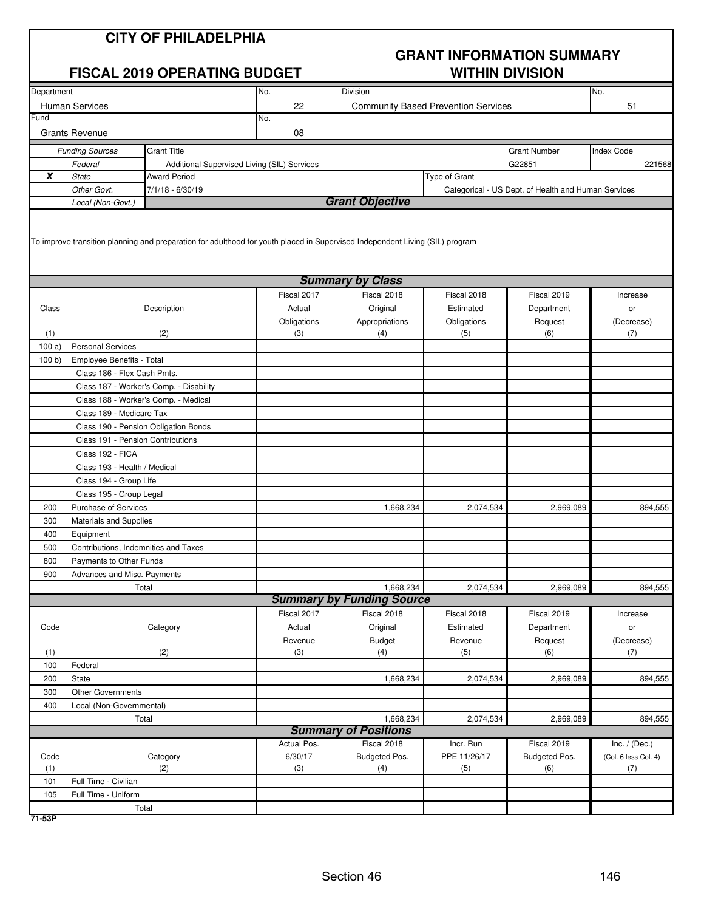| <b>CITY OF PHILADELPHIA</b><br><b>FISCAL 2019 OPERATING BUDGET</b> |                                      |                                                                                                                              |                | <b>GRANT INFORMATION SUMMARY</b><br><b>WITHIN DIVISION</b> |                                            |                                                     |                      |  |
|--------------------------------------------------------------------|--------------------------------------|------------------------------------------------------------------------------------------------------------------------------|----------------|------------------------------------------------------------|--------------------------------------------|-----------------------------------------------------|----------------------|--|
| Department                                                         |                                      |                                                                                                                              | No.            | Division                                                   |                                            |                                                     | No.                  |  |
|                                                                    | <b>Human Services</b>                |                                                                                                                              | 22             |                                                            | <b>Community Based Prevention Services</b> |                                                     | 51                   |  |
| Fund                                                               |                                      |                                                                                                                              | No.            |                                                            |                                            |                                                     |                      |  |
|                                                                    | <b>Grants Revenue</b>                |                                                                                                                              | 08             |                                                            |                                            |                                                     |                      |  |
|                                                                    | <b>Funding Sources</b>               | <b>Grant Title</b>                                                                                                           |                |                                                            |                                            | <b>Grant Number</b>                                 | <b>Index Code</b>    |  |
|                                                                    | Federal                              | Additional Supervised Living (SIL) Services                                                                                  |                |                                                            |                                            | G22851                                              | 221568               |  |
| X                                                                  | <b>State</b>                         | <b>Award Period</b>                                                                                                          |                |                                                            | Type of Grant                              |                                                     |                      |  |
|                                                                    | Other Govt.                          | 7/1/18 - 6/30/19                                                                                                             |                |                                                            |                                            | Categorical - US Dept. of Health and Human Services |                      |  |
|                                                                    | Local (Non-Govt.)                    |                                                                                                                              |                | <b>Grant Objective</b>                                     |                                            |                                                     |                      |  |
|                                                                    |                                      | To improve transition planning and preparation for adulthood for youth placed in Supervised Independent Living (SIL) program |                | <b>Summary by Class</b>                                    |                                            |                                                     |                      |  |
|                                                                    |                                      |                                                                                                                              | Fiscal 2017    | Fiscal 2018                                                | Fiscal 2018                                | Fiscal 2019                                         | Increase             |  |
| Class                                                              |                                      | Description                                                                                                                  | Actual         | Original                                                   | Estimated                                  | Department                                          | or                   |  |
|                                                                    |                                      |                                                                                                                              | Obligations    | Appropriations                                             | Obligations                                | Request                                             | (Decrease)           |  |
| (1)                                                                |                                      | (2)                                                                                                                          | (3)            | (4)                                                        | (5)                                        | (6)                                                 | (7)                  |  |
| 100a                                                               | <b>Personal Services</b>             |                                                                                                                              |                |                                                            |                                            |                                                     |                      |  |
| 100 b                                                              | Employee Benefits - Total            |                                                                                                                              |                |                                                            |                                            |                                                     |                      |  |
|                                                                    | Class 186 - Flex Cash Pmts.          |                                                                                                                              |                |                                                            |                                            |                                                     |                      |  |
|                                                                    |                                      | Class 187 - Worker's Comp. - Disability                                                                                      |                |                                                            |                                            |                                                     |                      |  |
|                                                                    | Class 188 - Worker's Comp. - Medical |                                                                                                                              |                |                                                            |                                            |                                                     |                      |  |
|                                                                    | Class 189 - Medicare Tax             |                                                                                                                              |                |                                                            |                                            |                                                     |                      |  |
|                                                                    | Class 190 - Pension Obligation Bonds |                                                                                                                              |                |                                                            |                                            |                                                     |                      |  |
|                                                                    | Class 191 - Pension Contributions    |                                                                                                                              |                |                                                            |                                            |                                                     |                      |  |
|                                                                    | Class 192 - FICA                     |                                                                                                                              |                |                                                            |                                            |                                                     |                      |  |
|                                                                    | Class 193 - Health / Medical         |                                                                                                                              |                |                                                            |                                            |                                                     |                      |  |
|                                                                    | Class 194 - Group Life               |                                                                                                                              |                |                                                            |                                            |                                                     |                      |  |
|                                                                    | Class 195 - Group Legal              |                                                                                                                              |                |                                                            |                                            |                                                     |                      |  |
| 200                                                                | Purchase of Services                 |                                                                                                                              |                | 1,668,234                                                  | 2,074,534                                  | 2,969,089                                           | 894,555              |  |
| 300                                                                | <b>Materials and Supplies</b>        |                                                                                                                              |                |                                                            |                                            |                                                     |                      |  |
| 400                                                                | Equipment                            |                                                                                                                              |                |                                                            |                                            |                                                     |                      |  |
| 500                                                                | Contributions, Indemnities and Taxes |                                                                                                                              |                |                                                            |                                            |                                                     |                      |  |
| 800                                                                | Payments to Other Funds              |                                                                                                                              |                |                                                            |                                            |                                                     |                      |  |
| 900                                                                | Advances and Misc. Payments          |                                                                                                                              |                |                                                            |                                            |                                                     |                      |  |
|                                                                    |                                      | Total                                                                                                                        |                | 1,668,234                                                  | 2,074,534                                  | 2,969,089                                           | 894,555              |  |
|                                                                    |                                      |                                                                                                                              |                | <b>Summary by Funding Source</b>                           | Fiscal 2018                                |                                                     |                      |  |
|                                                                    |                                      |                                                                                                                              | Fiscal 2017    | Fiscal 2018                                                |                                            | Fiscal 2019                                         | Increase             |  |
| Code                                                               |                                      | Category                                                                                                                     | Actual         | Original                                                   | Estimated                                  | Department<br>Request                               | or                   |  |
| (1)                                                                |                                      | (2)                                                                                                                          | Revenue<br>(3) | Budget<br>(4)                                              | Revenue<br>(5)                             | (6)                                                 | (Decrease)<br>(7)    |  |
| 100                                                                | Federal                              |                                                                                                                              |                |                                                            |                                            |                                                     |                      |  |
| 200                                                                | State                                |                                                                                                                              |                | 1,668,234                                                  | 2,074,534                                  | 2,969,089                                           | 894,555              |  |
| 300                                                                | <b>Other Governments</b>             |                                                                                                                              |                |                                                            |                                            |                                                     |                      |  |
| 400                                                                | Local (Non-Governmental)             |                                                                                                                              |                |                                                            |                                            |                                                     |                      |  |
|                                                                    |                                      | Total                                                                                                                        |                | 1,668,234                                                  | 2,074,534                                  | 2,969,089                                           | 894,555              |  |
|                                                                    |                                      |                                                                                                                              |                | <b>Summary of Positions</b>                                |                                            |                                                     |                      |  |
|                                                                    |                                      |                                                                                                                              | Actual Pos.    | Fiscal 2018                                                | Incr. Run                                  | Fiscal 2019                                         | Inc. $/$ (Dec.)      |  |
| Code                                                               |                                      | Category                                                                                                                     | 6/30/17        | Budgeted Pos.                                              | PPE 11/26/17                               | Budgeted Pos.                                       | (Col. 6 less Col. 4) |  |
| (1)                                                                |                                      | (2)                                                                                                                          | (3)            | (4)                                                        | (5)                                        | (6)                                                 | (7)                  |  |
| 101                                                                | Full Time - Civilian                 |                                                                                                                              |                |                                                            |                                            |                                                     |                      |  |
| 105                                                                | Full Time - Uniform                  |                                                                                                                              |                |                                                            |                                            |                                                     |                      |  |
|                                                                    |                                      | Total                                                                                                                        |                |                                                            |                                            |                                                     |                      |  |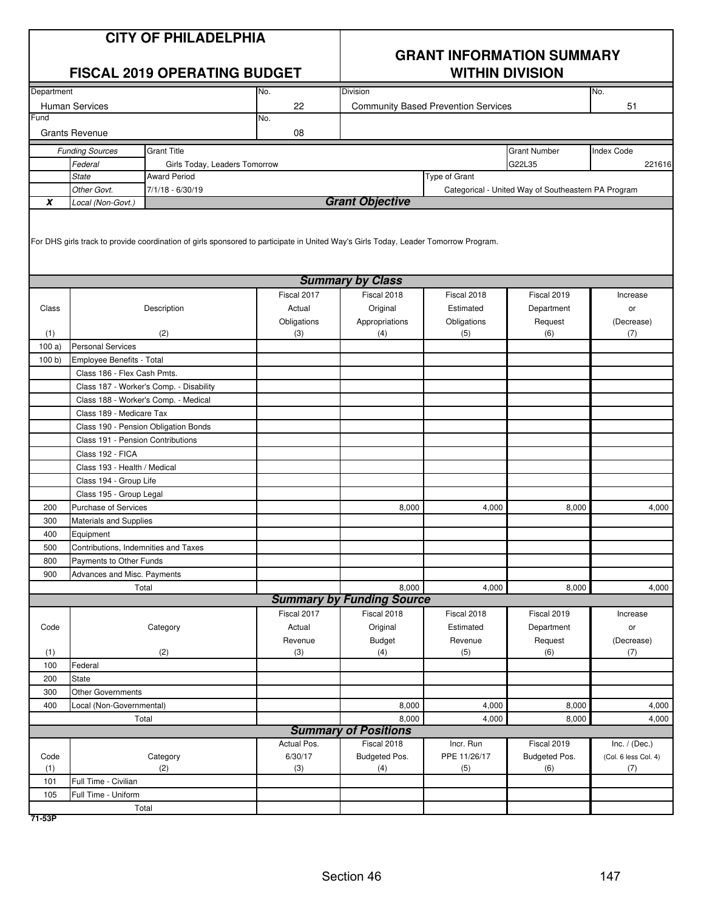| <b>CITY OF PHILADELPHIA</b><br><b>FISCAL 2019 OPERATING BUDGET</b> |                                                       |                                                                                                                                     |             | <b>GRANT INFORMATION SUMMARY</b><br><b>WITHIN DIVISION</b> |                                            |                                                     |                      |  |
|--------------------------------------------------------------------|-------------------------------------------------------|-------------------------------------------------------------------------------------------------------------------------------------|-------------|------------------------------------------------------------|--------------------------------------------|-----------------------------------------------------|----------------------|--|
| Department                                                         |                                                       |                                                                                                                                     | No.         | Division                                                   |                                            |                                                     | No.                  |  |
|                                                                    | <b>Human Services</b>                                 |                                                                                                                                     | 22          |                                                            | <b>Community Based Prevention Services</b> |                                                     | 51                   |  |
| Fund                                                               |                                                       |                                                                                                                                     | No.         |                                                            |                                            |                                                     |                      |  |
|                                                                    | <b>Grants Revenue</b>                                 |                                                                                                                                     | 08          |                                                            |                                            |                                                     |                      |  |
|                                                                    | <b>Funding Sources</b>                                | <b>Grant Title</b>                                                                                                                  |             |                                                            |                                            | <b>Grant Number</b>                                 | <b>Index Code</b>    |  |
|                                                                    | Federal                                               | Girls Today, Leaders Tomorrow                                                                                                       |             |                                                            |                                            | G22L35                                              | 221616               |  |
|                                                                    | <b>State</b>                                          | <b>Award Period</b>                                                                                                                 |             |                                                            | Type of Grant                              |                                                     |                      |  |
|                                                                    | Other Govt.                                           | 7/1/18 - 6/30/19                                                                                                                    |             |                                                            |                                            | Categorical - United Way of Southeastern PA Program |                      |  |
| $\pmb{X}$                                                          | Local (Non-Govt.)                                     |                                                                                                                                     |             | <b>Grant Objective</b>                                     |                                            |                                                     |                      |  |
|                                                                    |                                                       | For DHS girls track to provide coordination of girls sponsored to participate in United Way's Girls Today, Leader Tomorrow Program. |             |                                                            |                                            |                                                     |                      |  |
|                                                                    |                                                       |                                                                                                                                     |             | <b>Summary by Class</b>                                    |                                            |                                                     |                      |  |
|                                                                    |                                                       |                                                                                                                                     | Fiscal 2017 | Fiscal 2018                                                | Fiscal 2018                                | Fiscal 2019                                         | Increase             |  |
| Class                                                              |                                                       | Description                                                                                                                         | Actual      | Original                                                   | Estimated                                  | Department                                          | or                   |  |
|                                                                    |                                                       |                                                                                                                                     | Obligations | Appropriations                                             | Obligations                                | Request                                             | (Decrease)           |  |
| (1)                                                                |                                                       | (2)                                                                                                                                 | (3)         | (4)                                                        | (5)                                        | (6)                                                 | (7)                  |  |
| 100a)                                                              | <b>Personal Services</b><br>Employee Benefits - Total |                                                                                                                                     |             |                                                            |                                            |                                                     |                      |  |
| 100 b                                                              |                                                       |                                                                                                                                     |             |                                                            |                                            |                                                     |                      |  |
|                                                                    | Class 186 - Flex Cash Pmts.                           |                                                                                                                                     |             |                                                            |                                            |                                                     |                      |  |
|                                                                    |                                                       | Class 187 - Worker's Comp. - Disability                                                                                             |             |                                                            |                                            |                                                     |                      |  |
|                                                                    |                                                       | Class 188 - Worker's Comp. - Medical                                                                                                |             |                                                            |                                            |                                                     |                      |  |
|                                                                    | Class 189 - Medicare Tax                              |                                                                                                                                     |             |                                                            |                                            |                                                     |                      |  |
|                                                                    | Class 190 - Pension Obligation Bonds                  |                                                                                                                                     |             |                                                            |                                            |                                                     |                      |  |
|                                                                    | Class 191 - Pension Contributions                     |                                                                                                                                     |             |                                                            |                                            |                                                     |                      |  |
|                                                                    | Class 192 - FICA<br>Class 193 - Health / Medical      |                                                                                                                                     |             |                                                            |                                            |                                                     |                      |  |
|                                                                    | Class 194 - Group Life                                |                                                                                                                                     |             |                                                            |                                            |                                                     |                      |  |
|                                                                    | Class 195 - Group Legal                               |                                                                                                                                     |             |                                                            |                                            |                                                     |                      |  |
| 200                                                                | <b>Purchase of Services</b>                           |                                                                                                                                     |             | 8,000                                                      | 4,000                                      | 8,000                                               | 4,000                |  |
| 300                                                                | <b>Materials and Supplies</b>                         |                                                                                                                                     |             |                                                            |                                            |                                                     |                      |  |
| 400                                                                | Equipment                                             |                                                                                                                                     |             |                                                            |                                            |                                                     |                      |  |
| 500                                                                | Contributions, Indemnities and Taxes                  |                                                                                                                                     |             |                                                            |                                            |                                                     |                      |  |
| 800                                                                | Payments to Other Funds                               |                                                                                                                                     |             |                                                            |                                            |                                                     |                      |  |
| 900                                                                | Advances and Misc. Payments                           |                                                                                                                                     |             |                                                            |                                            |                                                     |                      |  |
|                                                                    |                                                       | Total                                                                                                                               |             | 8,000                                                      | 4,000                                      | 8,000                                               | 4,000                |  |
|                                                                    |                                                       |                                                                                                                                     |             | <b>Summary by Funding Source</b>                           |                                            |                                                     |                      |  |
|                                                                    |                                                       |                                                                                                                                     | Fiscal 2017 | Fiscal 2018                                                | Fiscal 2018                                | Fiscal 2019                                         | Increase             |  |
| Code                                                               |                                                       | Category                                                                                                                            | Actual      | Original                                                   | Estimated                                  | Department                                          | or                   |  |
|                                                                    |                                                       |                                                                                                                                     | Revenue     | <b>Budget</b>                                              | Revenue                                    | Request                                             | (Decrease)           |  |
| (1)                                                                |                                                       | (2)                                                                                                                                 | (3)         | (4)                                                        | (5)                                        | (6)                                                 | (7)                  |  |
| 100                                                                | Federal                                               |                                                                                                                                     |             |                                                            |                                            |                                                     |                      |  |
| 200                                                                | <b>State</b>                                          |                                                                                                                                     |             |                                                            |                                            |                                                     |                      |  |
| 300                                                                | Other Governments                                     |                                                                                                                                     |             |                                                            |                                            |                                                     |                      |  |
| 400                                                                | Local (Non-Governmental)                              |                                                                                                                                     |             | 8,000                                                      | 4,000                                      | 8,000                                               | 4,000                |  |
|                                                                    |                                                       | Total                                                                                                                               |             | 8,000                                                      | 4,000                                      | 8,000                                               | 4,000                |  |
|                                                                    |                                                       |                                                                                                                                     |             | <b>Summary of Positions</b>                                |                                            |                                                     |                      |  |
|                                                                    |                                                       |                                                                                                                                     | Actual Pos. | Fiscal 2018                                                | Incr. Run                                  | Fiscal 2019                                         | Inc. $/$ (Dec.)      |  |
| Code                                                               |                                                       | Category                                                                                                                            | 6/30/17     | Budgeted Pos.                                              | PPE 11/26/17                               | Budgeted Pos.                                       | (Col. 6 less Col. 4) |  |
| (1)                                                                |                                                       | (2)                                                                                                                                 | (3)         | (4)                                                        | (5)                                        | (6)                                                 | (7)                  |  |
| 101                                                                | Full Time - Civilian                                  |                                                                                                                                     |             |                                                            |                                            |                                                     |                      |  |
| 105                                                                | Full Time - Uniform                                   |                                                                                                                                     |             |                                                            |                                            |                                                     |                      |  |
|                                                                    |                                                       | Total                                                                                                                               |             |                                                            |                                            |                                                     |                      |  |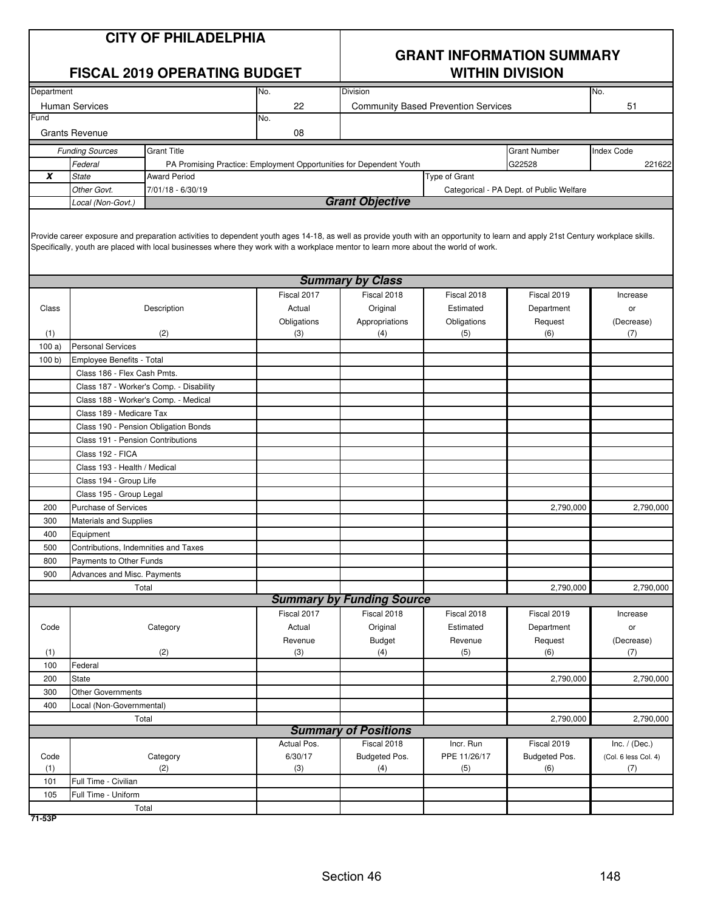| <b>CITY OF PHILADELPHIA</b> |  |
|-----------------------------|--|
|-----------------------------|--|

## **GRANT INFORMATION SUMMARY**

|                       | <b>FISCAL 2019 OPERATING BUDGET</b>               |                                                                                                                                                                                                                                                                                                                         |             | <b>WITHIN DIVISION</b>                     |               |                                          |                      |
|-----------------------|---------------------------------------------------|-------------------------------------------------------------------------------------------------------------------------------------------------------------------------------------------------------------------------------------------------------------------------------------------------------------------------|-------------|--------------------------------------------|---------------|------------------------------------------|----------------------|
| Department            |                                                   |                                                                                                                                                                                                                                                                                                                         | No.         | Division                                   |               |                                          | No.                  |
| <b>Human Services</b> |                                                   |                                                                                                                                                                                                                                                                                                                         | 22          | <b>Community Based Prevention Services</b> |               |                                          | 51                   |
| Fund                  |                                                   |                                                                                                                                                                                                                                                                                                                         | No.         |                                            |               |                                          |                      |
|                       | <b>Grants Revenue</b>                             |                                                                                                                                                                                                                                                                                                                         | 08          |                                            |               |                                          |                      |
|                       | <b>Funding Sources</b>                            | <b>Grant Title</b>                                                                                                                                                                                                                                                                                                      |             |                                            |               | <b>Grant Number</b>                      | <b>Index Code</b>    |
|                       | Federal                                           | PA Promising Practice: Employment Opportunities for Dependent Youth                                                                                                                                                                                                                                                     |             |                                            |               | G22528                                   | 221622               |
| $\pmb{\chi}$          | <b>State</b>                                      | <b>Award Period</b>                                                                                                                                                                                                                                                                                                     |             |                                            | Type of Grant |                                          |                      |
|                       | Other Govt.                                       | 7/01/18 - 6/30/19                                                                                                                                                                                                                                                                                                       |             |                                            |               | Categorical - PA Dept. of Public Welfare |                      |
|                       | Local (Non-Govt.)                                 |                                                                                                                                                                                                                                                                                                                         |             | <b>Grant Objective</b>                     |               |                                          |                      |
|                       |                                                   | Provide career exposure and preparation activities to dependent youth ages 14-18, as well as provide youth with an opportunity to learn and apply 21st Century workplace skills.<br>Specifically, youth are placed with local businesses where they work with a workplace mentor to learn more about the world of work. |             |                                            |               |                                          |                      |
|                       |                                                   |                                                                                                                                                                                                                                                                                                                         |             | <b>Summary by Class</b>                    |               |                                          |                      |
|                       |                                                   |                                                                                                                                                                                                                                                                                                                         | Fiscal 2017 | Fiscal 2018                                | Fiscal 2018   | Fiscal 2019                              | Increase             |
| Class                 |                                                   | Description                                                                                                                                                                                                                                                                                                             | Actual      | Original                                   | Estimated     | Department                               | or                   |
|                       |                                                   |                                                                                                                                                                                                                                                                                                                         | Obligations | Appropriations                             | Obligations   | Request                                  | (Decrease)           |
| (1)                   |                                                   | (2)                                                                                                                                                                                                                                                                                                                     | (3)         | (4)                                        | (5)           | (6)                                      | (7)                  |
| 100a)                 | <b>Personal Services</b>                          |                                                                                                                                                                                                                                                                                                                         |             |                                            |               |                                          |                      |
| 100 b)                | <b>Employee Benefits - Total</b>                  |                                                                                                                                                                                                                                                                                                                         |             |                                            |               |                                          |                      |
|                       | Class 186 - Flex Cash Pmts.                       |                                                                                                                                                                                                                                                                                                                         |             |                                            |               |                                          |                      |
|                       | Class 187 - Worker's Comp. - Disability           |                                                                                                                                                                                                                                                                                                                         |             |                                            |               |                                          |                      |
|                       | Class 188 - Worker's Comp. - Medical              |                                                                                                                                                                                                                                                                                                                         |             |                                            |               |                                          |                      |
|                       | Class 189 - Medicare Tax                          |                                                                                                                                                                                                                                                                                                                         |             |                                            |               |                                          |                      |
|                       | Class 190 - Pension Obligation Bonds              |                                                                                                                                                                                                                                                                                                                         |             |                                            |               |                                          |                      |
|                       | Class 191 - Pension Contributions                 |                                                                                                                                                                                                                                                                                                                         |             |                                            |               |                                          |                      |
|                       | Class 192 - FICA                                  |                                                                                                                                                                                                                                                                                                                         |             |                                            |               |                                          |                      |
|                       | Class 193 - Health / Medical                      |                                                                                                                                                                                                                                                                                                                         |             |                                            |               |                                          |                      |
|                       | Class 194 - Group Life                            |                                                                                                                                                                                                                                                                                                                         |             |                                            |               |                                          |                      |
|                       | Class 195 - Group Legal                           |                                                                                                                                                                                                                                                                                                                         |             |                                            |               |                                          |                      |
| 200                   | Purchase of Services                              |                                                                                                                                                                                                                                                                                                                         |             |                                            |               | 2,790,000                                | 2,790,000            |
| 300                   | Materials and Supplies                            |                                                                                                                                                                                                                                                                                                                         |             |                                            |               |                                          |                      |
| 400                   | Equipment<br>Contributions, Indemnities and Taxes |                                                                                                                                                                                                                                                                                                                         |             |                                            |               |                                          |                      |
| 500                   |                                                   |                                                                                                                                                                                                                                                                                                                         |             |                                            |               |                                          |                      |
| 800                   | Payments to Other Funds                           |                                                                                                                                                                                                                                                                                                                         |             |                                            |               |                                          |                      |
| 900                   | Advances and Misc. Payments<br>Total              |                                                                                                                                                                                                                                                                                                                         |             |                                            |               | 2,790,000                                | 2,790,000            |
|                       |                                                   |                                                                                                                                                                                                                                                                                                                         |             | <b>Summary by Funding Source</b>           |               |                                          |                      |
|                       |                                                   |                                                                                                                                                                                                                                                                                                                         | Fiscal 2017 | Fiscal 2018                                | Fiscal 2018   | Fiscal 2019                              | Increase             |
| Code                  |                                                   | Category                                                                                                                                                                                                                                                                                                                | Actual      | Original                                   | Estimated     | Department                               | or                   |
|                       |                                                   |                                                                                                                                                                                                                                                                                                                         | Revenue     | Budget                                     | Revenue       | Request                                  | (Decrease)           |
| (1)                   |                                                   | (2)                                                                                                                                                                                                                                                                                                                     | (3)         | (4)                                        | (5)           | (6)                                      | (7)                  |
| 100                   | Federal                                           |                                                                                                                                                                                                                                                                                                                         |             |                                            |               |                                          |                      |
| 200                   | State                                             |                                                                                                                                                                                                                                                                                                                         |             |                                            |               | 2,790,000                                | 2,790,000            |
| 300                   | <b>Other Governments</b>                          |                                                                                                                                                                                                                                                                                                                         |             |                                            |               |                                          |                      |
| 400                   | Local (Non-Governmental)                          |                                                                                                                                                                                                                                                                                                                         |             |                                            |               |                                          |                      |
|                       | Total                                             |                                                                                                                                                                                                                                                                                                                         |             |                                            |               | 2,790,000                                | 2,790,000            |
|                       |                                                   |                                                                                                                                                                                                                                                                                                                         |             | <b>Summary of Positions</b>                |               |                                          |                      |
|                       |                                                   |                                                                                                                                                                                                                                                                                                                         | Actual Pos. | Fiscal 2018                                | Incr. Run     | Fiscal 2019                              | Inc. $/$ (Dec.)      |
| Code                  |                                                   | Category                                                                                                                                                                                                                                                                                                                | 6/30/17     | Budgeted Pos.                              | PPE 11/26/17  | Budgeted Pos.                            | (Col. 6 less Col. 4) |
| (1)                   |                                                   | (2)                                                                                                                                                                                                                                                                                                                     | (3)         | (4)                                        | (5)           | (6)                                      | (7)                  |
| 101                   | Full Time - Civilian                              |                                                                                                                                                                                                                                                                                                                         |             |                                            |               |                                          |                      |
| 105                   | Full Time - Uniform                               |                                                                                                                                                                                                                                                                                                                         |             |                                            |               |                                          |                      |
|                       | Total                                             |                                                                                                                                                                                                                                                                                                                         |             |                                            |               |                                          |                      |

**71-53P**